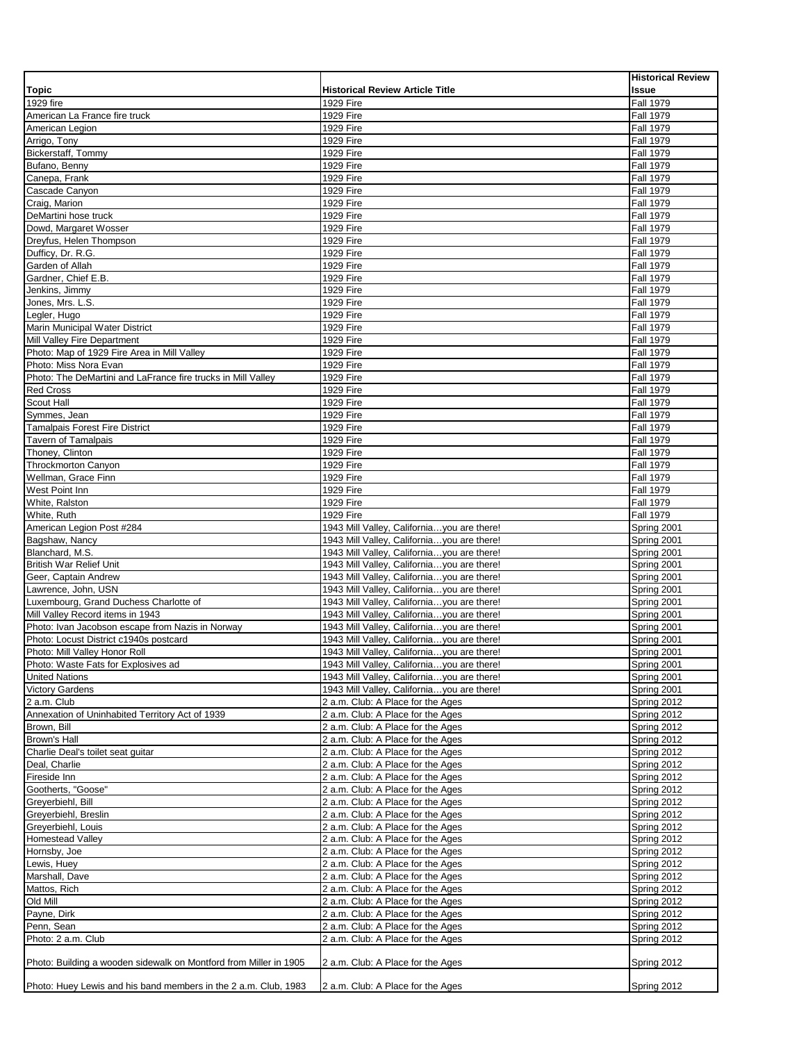|                                                                   |                                            | <b>Historical Review</b> |
|-------------------------------------------------------------------|--------------------------------------------|--------------------------|
| <b>Topic</b>                                                      | <b>Historical Review Article Title</b>     | <b>Issue</b>             |
| 1929 fire                                                         | 1929 Fire                                  | <b>Fall 1979</b>         |
|                                                                   | 1929 Fire                                  |                          |
| American La France fire truck                                     |                                            | <b>Fall 1979</b>         |
| American Legion                                                   | 1929 Fire                                  | <b>Fall 1979</b>         |
| Arrigo, Tony                                                      | 1929 Fire                                  | <b>Fall 1979</b>         |
| Bickerstaff, Tommy                                                | 1929 Fire                                  | <b>Fall 1979</b>         |
| Bufano, Benny                                                     | 1929 Fire                                  | <b>Fall 1979</b>         |
| Canepa, Frank                                                     | 1929 Fire                                  | <b>Fall 1979</b>         |
| Cascade Canyon                                                    | 1929 Fire                                  |                          |
|                                                                   |                                            | <b>Fall 1979</b>         |
| Craig. Marion                                                     | 1929 Fire                                  | <b>Fall 1979</b>         |
| DeMartini hose truck                                              | 1929 Fire                                  | <b>Fall 1979</b>         |
| Dowd, Margaret Wosser                                             | 1929 Fire                                  | <b>Fall 1979</b>         |
| Dreyfus, Helen Thompson                                           | 1929 Fire                                  | <b>Fall 1979</b>         |
| Dufficy, Dr. R.G.                                                 | 1929 Fire                                  | <b>Fall 1979</b>         |
| Garden of Allah                                                   | 1929 Fire                                  | <b>Fall 1979</b>         |
|                                                                   |                                            |                          |
| Gardner, Chief E.B.                                               | 1929 Fire                                  | <b>Fall 1979</b>         |
| Jenkins, Jimmy                                                    | 1929 Fire                                  | <b>Fall 1979</b>         |
| Jones, Mrs. L.S.                                                  | 1929 Fire                                  | <b>Fall 1979</b>         |
| Legler, Hugo                                                      | 1929 Fire                                  | <b>Fall 1979</b>         |
| Marin Municipal Water District                                    | 1929 Fire                                  | <b>Fall 1979</b>         |
| Mill Valley Fire Department                                       | 1929 Fire                                  | <b>Fall 1979</b>         |
|                                                                   | 1929 Fire                                  | <b>Fall 1979</b>         |
| Photo: Map of 1929 Fire Area in Mill Valley                       |                                            |                          |
| Photo: Miss Nora Evan                                             | 1929 Fire                                  | <b>Fall 1979</b>         |
| Photo: The DeMartini and LaFrance fire trucks in Mill Valley      | 1929 Fire                                  | <b>Fall 1979</b>         |
| <b>Red Cross</b>                                                  | 1929 Fire                                  | <b>Fall 1979</b>         |
| Scout Hall                                                        | 1929 Fire                                  | <b>Fall 1979</b>         |
| Symmes, Jean                                                      | 1929 Fire                                  | <b>Fall 1979</b>         |
| <b>Tamalpais Forest Fire District</b>                             | 1929 Fire                                  | <b>Fall 1979</b>         |
|                                                                   |                                            |                          |
| <b>Tavern of Tamalpais</b>                                        | 1929 Fire                                  | <b>Fall 1979</b>         |
| Thoney, Clinton                                                   | 1929 Fire                                  | <b>Fall 1979</b>         |
| <b>Throckmorton Canyon</b>                                        | 1929 Fire                                  | <b>Fall 1979</b>         |
| Wellman, Grace Finn                                               | 1929 Fire                                  | <b>Fall 1979</b>         |
| West Point Inn                                                    | 1929 Fire                                  | <b>Fall 1979</b>         |
| White, Ralston                                                    | 1929 Fire                                  | <b>Fall 1979</b>         |
| White, Ruth                                                       | 1929 Fire                                  | <b>Fall 1979</b>         |
|                                                                   |                                            |                          |
| American Legion Post #284                                         | 1943 Mill Valley, Californiayou are there! | Spring 2001              |
| Bagshaw, Nancy                                                    | 1943 Mill Valley, Californiayou are there! | Spring 2001              |
| Blanchard, M.S.                                                   | 1943 Mill Valley, Californiayou are there! | Spring 2001              |
| <b>British War Relief Unit</b>                                    | 1943 Mill Valley, Californiayou are there! | Spring 2001              |
| Geer, Captain Andrew                                              | 1943 Mill Valley, Californiayou are there! | Spring 2001              |
| Lawrence, John, USN                                               | 1943 Mill Valley, Californiayou are there! | Spring 2001              |
|                                                                   |                                            |                          |
| Luxembourg, Grand Duchess Charlotte of                            | 1943 Mill Valley, Californiayou are there! | Spring 2001              |
| Mill Valley Record items in 1943                                  | 1943 Mill Valley, Californiayou are there! | Spring 2001              |
| Photo: Ivan Jacobson escape from Nazis in Norway                  | 1943 Mill Valley, Californiayou are there! | Spring 2001              |
| Photo: Locust District c1940s postcard                            | 1943 Mill Valley, Californiayou are there! | Spring 2001              |
| Photo: Mill Valley Honor Roll                                     | 1943 Mill Valley, Californiayou are there! | Spring 2001              |
| Photo: Waste Fats for Explosives ad                               | 1943 Mill Valley, Californiayou are there! | Spring 2001              |
| <b>United Nations</b>                                             | 1943 Mill Valley, Californiayou are there! | Spring 2001              |
|                                                                   |                                            |                          |
| <b>Victory Gardens</b>                                            | 1943 Mill Valley, Californiayou are there! | Spring 2001              |
| 2 a.m. Club                                                       | 2 a.m. Club: A Place for the Ages          | Spring 2012              |
| Annexation of Uninhabited Territory Act of 1939                   | 2 a.m. Club: A Place for the Ages          | Spring 2012              |
| Brown, Bill                                                       | 2 a.m. Club: A Place for the Ages          | Spring 2012              |
| Brown's Hall                                                      | 2 a.m. Club: A Place for the Ages          | Spring 2012              |
| Charlie Deal's toilet seat quitar                                 | 2 a.m. Club: A Place for the Ages          | Spring 2012              |
|                                                                   |                                            |                          |
| Deal, Charlie                                                     | 2 a.m. Club: A Place for the Ages          | Spring 2012              |
| Fireside Inn                                                      | 2 a.m. Club: A Place for the Ages          | Spring 2012              |
| Gootherts, "Goose"                                                | 2 a.m. Club: A Place for the Ages          | Spring 2012              |
| Greyerbiehl, Bill                                                 | 2 a.m. Club: A Place for the Ages          | Spring 2012              |
| Greyerbiehl, Breslin                                              | 2 a.m. Club: A Place for the Ages          | Spring 2012              |
| Greyerbiehl, Louis                                                | 2 a.m. Club: A Place for the Ages          | Spring 2012              |
| Homestead Valley                                                  | 2 a.m. Club: A Place for the Ages          | Spring 2012              |
|                                                                   |                                            |                          |
| Hornsby, Joe                                                      | 2 a.m. Club: A Place for the Ages          | Spring 2012              |
| Lewis, Huey                                                       | 2 a.m. Club: A Place for the Ages          | Spring 2012              |
| Marshall, Dave                                                    | 2 a.m. Club: A Place for the Ages          | Spring 2012              |
| Mattos, Rich                                                      | 2 a.m. Club: A Place for the Ages          | Spring 2012              |
| Old Mill                                                          | 2 a.m. Club: A Place for the Ages          | Spring 2012              |
| Payne, Dirk                                                       | 2 a.m. Club: A Place for the Ages          | Spring 2012              |
|                                                                   |                                            |                          |
| Penn, Sean                                                        | 2 a.m. Club: A Place for the Ages          | Spring 2012              |
| Photo: 2 a.m. Club                                                | 2 a.m. Club: A Place for the Ages          | Spring 2012              |
|                                                                   |                                            |                          |
| Photo: Building a wooden sidewalk on Montford from Miller in 1905 | 2 a.m. Club: A Place for the Ages          | Spring 2012              |
|                                                                   |                                            |                          |
| Photo: Huey Lewis and his band members in the 2 a.m. Club, 1983   | 2 a.m. Club: A Place for the Ages          | Spring 2012              |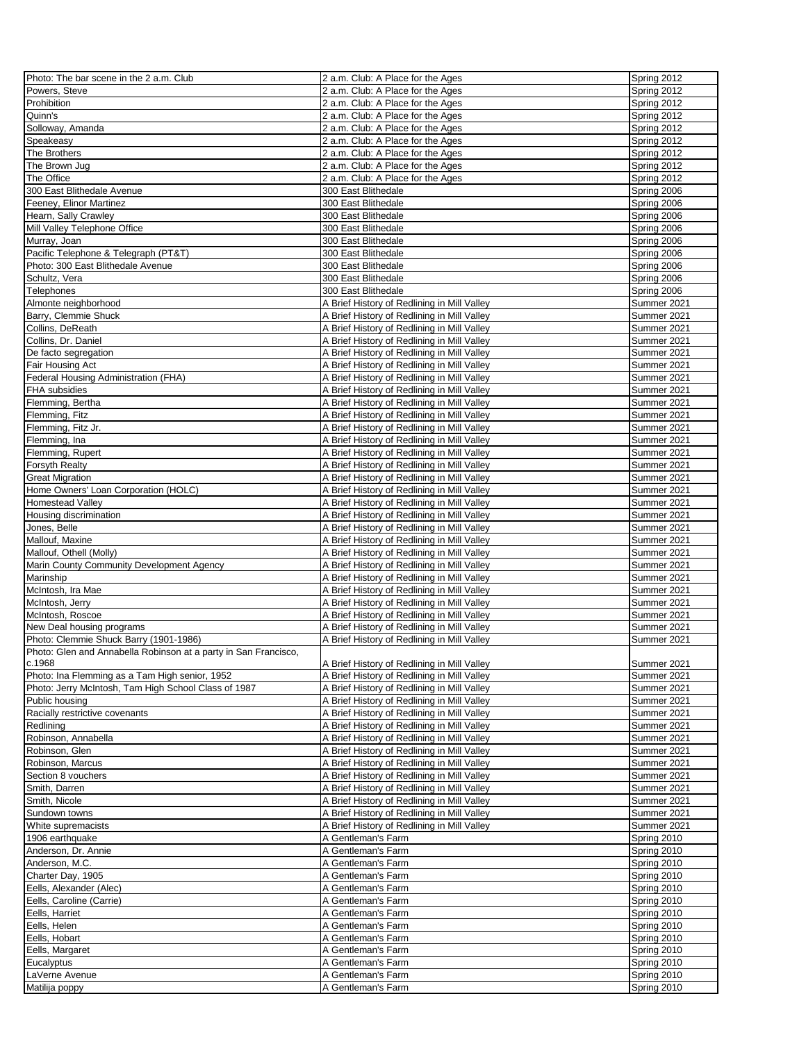| Photo: The bar scene in the 2 a.m. Club                         | 2 a.m. Club: A Place for the Ages           | Spring 2012 |
|-----------------------------------------------------------------|---------------------------------------------|-------------|
| Powers, Steve                                                   | 2 a.m. Club: A Place for the Ages           | Spring 2012 |
| Prohibition                                                     | 2 a.m. Club: A Place for the Ages           | Spring 2012 |
| Quinn's                                                         | 2 a.m. Club: A Place for the Ages           | Spring 2012 |
| Solloway, Amanda                                                | 2 a.m. Club: A Place for the Ages           | Spring 2012 |
| Speakeasy                                                       | 2 a.m. Club: A Place for the Ages           | Spring 2012 |
| <b>The Brothers</b>                                             | 2 a.m. Club: A Place for the Ages           | Spring 2012 |
| The Brown Jug                                                   | 2 a.m. Club: A Place for the Ages           | Spring 2012 |
| The Office                                                      | 2 a.m. Club: A Place for the Ages           | Spring 2012 |
| 300 East Blithedale Avenue                                      | 300 East Blithedale                         | Spring 2006 |
| Feeney, Elinor Martinez                                         | 300 East Blithedale                         | Spring 2006 |
| Hearn, Sally Crawley                                            | 300 East Blithedale                         | Spring 2006 |
| Mill Valley Telephone Office                                    | 300 East Blithedale                         | Spring 2006 |
| Murray, Joan                                                    | 300 East Blithedale                         | Spring 2006 |
| Pacific Telephone & Telegraph (PT&T)                            | 300 East Blithedale                         | Spring 2006 |
| Photo: 300 East Blithedale Avenue                               | 300 East Blithedale                         | Spring 2006 |
| Schultz, Vera                                                   | 300 East Blithedale                         | Spring 2006 |
| Telephones                                                      | 300 East Blithedale                         | Spring 2006 |
|                                                                 |                                             |             |
| Almonte neighborhood                                            | A Brief History of Redlining in Mill Valley | Summer 2021 |
| Barry, Clemmie Shuck                                            | A Brief History of Redlining in Mill Valley | Summer 2021 |
| Collins, DeReath                                                | A Brief History of Redlining in Mill Valley | Summer 2021 |
| Collins, Dr. Daniel                                             | A Brief History of Redlining in Mill Valley | Summer 2021 |
| De facto segregation                                            | A Brief History of Redlining in Mill Valley | Summer 2021 |
| Fair Housing Act                                                | A Brief History of Redlining in Mill Valley | Summer 2021 |
| Federal Housing Administration (FHA)                            | A Brief History of Redlining in Mill Valley | Summer 2021 |
| <b>FHA</b> subsidies                                            | A Brief History of Redlining in Mill Valley | Summer 2021 |
| Flemming, Bertha                                                | A Brief History of Redlining in Mill Valley | Summer 2021 |
| Flemming, Fitz                                                  | A Brief History of Redlining in Mill Valley | Summer 2021 |
| Flemming, Fitz Jr.                                              | A Brief History of Redlining in Mill Valley | Summer 2021 |
| Flemming, Ina                                                   | A Brief History of Redlining in Mill Valley | Summer 2021 |
| Flemming, Rupert                                                | A Brief History of Redlining in Mill Valley | Summer 2021 |
| <b>Forsyth Realty</b>                                           | A Brief History of Redlining in Mill Valley | Summer 2021 |
| <b>Great Migration</b>                                          | A Brief History of Redlining in Mill Valley | Summer 2021 |
| Home Owners' Loan Corporation (HOLC)                            | A Brief History of Redlining in Mill Valley | Summer 2021 |
| <b>Homestead Valley</b>                                         | A Brief History of Redlining in Mill Valley | Summer 2021 |
| Housing discrimination                                          | A Brief History of Redlining in Mill Valley | Summer 2021 |
| Jones, Belle                                                    | A Brief History of Redlining in Mill Valley | Summer 2021 |
| Mallouf, Maxine                                                 | A Brief History of Redlining in Mill Valley | Summer 2021 |
| Mallouf, Othell (Molly)                                         | A Brief History of Redlining in Mill Valley | Summer 2021 |
| Marin County Community Development Agency                       | A Brief History of Redlining in Mill Valley | Summer 2021 |
| Marinship                                                       | A Brief History of Redlining in Mill Valley | Summer 2021 |
| McIntosh, Ira Mae                                               | A Brief History of Redlining in Mill Valley | Summer 2021 |
| McIntosh, Jerry                                                 | A Brief History of Redlining in Mill Valley | Summer 2021 |
| McIntosh, Roscoe                                                | A Brief History of Redlining in Mill Valley | Summer 2021 |
| New Deal housing programs                                       | A Brief History of Redlining in Mill Valley | Summer 2021 |
| Photo: Clemmie Shuck Barry (1901-1986)                          | A Brief History of Redlining in Mill Valley | Summer 2021 |
| Photo: Glen and Annabella Robinson at a party in San Francisco, |                                             |             |
| c.1968                                                          | A Brief History of Redlining in Mill Valley | Summer 2021 |
| Photo: Ina Flemming as a Tam High senior, 1952                  | A Brief History of Redlining in Mill Valley | Summer 2021 |
| Photo: Jerry McIntosh, Tam High School Class of 1987            | A Brief History of Redlining in Mill Valley | Summer 2021 |
| Public housing                                                  | A Brief History of Redlining in Mill Valley | Summer 2021 |
| Racially restrictive covenants                                  | A Brief History of Redlining in Mill Valley | Summer 2021 |
| Redlining                                                       | A Brief History of Redlining in Mill Valley | Summer 2021 |
| Robinson, Annabella                                             | A Brief History of Redlining in Mill Valley | Summer 2021 |
| Robinson, Glen                                                  | A Brief History of Redlining in Mill Valley | Summer 2021 |
| Robinson, Marcus                                                | A Brief History of Redlining in Mill Valley | Summer 2021 |
| Section 8 vouchers                                              | A Brief History of Redlining in Mill Valley | Summer 2021 |
| Smith, Darren                                                   | A Brief History of Redlining in Mill Valley | Summer 2021 |
| Smith, Nicole                                                   | A Brief History of Redlining in Mill Valley | Summer 2021 |
| Sundown towns                                                   | A Brief History of Redlining in Mill Valley | Summer 2021 |
|                                                                 |                                             |             |
| White supremacists                                              | A Brief History of Redlining in Mill Valley | Summer 2021 |
| 1906 earthquake                                                 | A Gentleman's Farm                          | Spring 2010 |
| Anderson, Dr. Annie                                             | A Gentleman's Farm                          | Spring 2010 |
| Anderson, M.C.                                                  | A Gentleman's Farm                          | Spring 2010 |
| Charter Day, 1905                                               | A Gentleman's Farm                          | Spring 2010 |
| Eells, Alexander (Alec)                                         | A Gentleman's Farm                          | Spring 2010 |
| Eells, Caroline (Carrie)                                        | A Gentleman's Farm                          | Spring 2010 |
| Eells, Harriet                                                  | A Gentleman's Farm                          | Spring 2010 |
| Eells, Helen                                                    | A Gentleman's Farm                          | Spring 2010 |
| Eells, Hobart                                                   | A Gentleman's Farm                          | Spring 2010 |
| Eells, Margaret                                                 | A Gentleman's Farm                          | Spring 2010 |
| Eucalyptus                                                      | A Gentleman's Farm                          | Spring 2010 |
| LaVerne Avenue                                                  | A Gentleman's Farm                          | Spring 2010 |
| Matilija poppy                                                  | A Gentleman's Farm                          | Spring 2010 |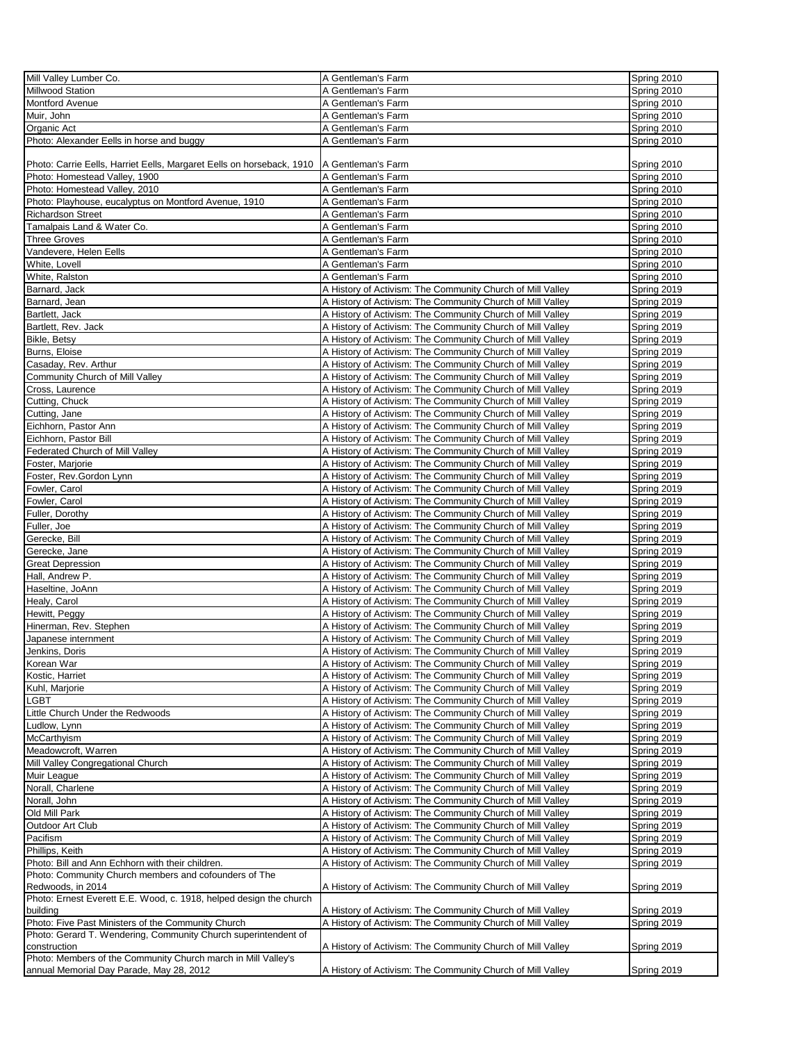| Mill Valley Lumber Co.                                                | A Gentleman's Farm                                         | Spring 2010 |
|-----------------------------------------------------------------------|------------------------------------------------------------|-------------|
| Millwood Station                                                      | A Gentleman's Farm                                         | Spring 2010 |
| <b>Montford Avenue</b>                                                | A Gentleman's Farm                                         |             |
|                                                                       |                                                            | Spring 2010 |
| Muir, John                                                            | A Gentleman's Farm                                         | Spring 2010 |
| Organic Act                                                           | A Gentleman's Farm                                         | Spring 2010 |
| Photo: Alexander Eells in horse and buggy                             | A Gentleman's Farm                                         | Spring 2010 |
|                                                                       |                                                            |             |
| Photo: Carrie Eells, Harriet Eells, Margaret Eells on horseback, 1910 | A Gentleman's Farm                                         | Spring 2010 |
| Photo: Homestead Valley, 1900                                         | A Gentleman's Farm                                         | Spring 2010 |
|                                                                       | A Gentleman's Farm                                         |             |
| Photo: Homestead Valley, 2010                                         |                                                            | Spring 2010 |
| Photo: Playhouse, eucalyptus on Montford Avenue, 1910                 | A Gentleman's Farm                                         | Spring 2010 |
| <b>Richardson Street</b>                                              | A Gentleman's Farm                                         | Spring 2010 |
| Tamalpais Land & Water Co.                                            | A Gentleman's Farm                                         | Spring 2010 |
| <b>Three Groves</b>                                                   | A Gentleman's Farm                                         | Spring 2010 |
| Vandevere, Helen Eells                                                | A Gentleman's Farm                                         | Spring 2010 |
|                                                                       |                                                            |             |
| White, Lovell                                                         | A Gentleman's Farm                                         | Spring 2010 |
| White, Ralston                                                        | A Gentleman's Farm                                         | Spring 2010 |
| Barnard, Jack                                                         | A History of Activism: The Community Church of Mill Valley | Spring 2019 |
| Barnard, Jean                                                         | A History of Activism: The Community Church of Mill Valley | Spring 2019 |
| Bartlett, Jack                                                        | A History of Activism: The Community Church of Mill Valley | Spring 2019 |
| Bartlett, Rev. Jack                                                   | A History of Activism: The Community Church of Mill Valley | Spring 2019 |
|                                                                       |                                                            |             |
| Bikle, Betsy                                                          | A History of Activism: The Community Church of Mill Valley | Spring 2019 |
| Burns, Eloise                                                         | A History of Activism: The Community Church of Mill Valley | Spring 2019 |
| Casaday, Rev. Arthur                                                  | A History of Activism: The Community Church of Mill Valley | Spring 2019 |
| Community Church of Mill Valley                                       | A History of Activism: The Community Church of Mill Valley | Spring 2019 |
| Cross, Laurence                                                       | A History of Activism: The Community Church of Mill Valley | Spring 2019 |
|                                                                       |                                                            |             |
| Cutting, Chuck                                                        | A History of Activism: The Community Church of Mill Valley | Spring 2019 |
| Cutting, Jane                                                         | A History of Activism: The Community Church of Mill Valley | Spring 2019 |
| Eichhorn, Pastor Ann                                                  | A History of Activism: The Community Church of Mill Valley | Spring 2019 |
| Eichhorn, Pastor Bill                                                 | A History of Activism: The Community Church of Mill Valley | Spring 2019 |
| Federated Church of Mill Valley                                       | A History of Activism: The Community Church of Mill Valley | Spring 2019 |
| Foster, Marjorie                                                      | A History of Activism: The Community Church of Mill Valley | Spring 2019 |
|                                                                       |                                                            |             |
| Foster, Rev.Gordon Lynn                                               | A History of Activism: The Community Church of Mill Valley | Spring 2019 |
| Fowler, Carol                                                         | A History of Activism: The Community Church of Mill Valley | Spring 2019 |
| Fowler, Carol                                                         | A History of Activism: The Community Church of Mill Valley | Spring 2019 |
| Fuller, Dorothy                                                       | A History of Activism: The Community Church of Mill Valley | Spring 2019 |
| Fuller, Joe                                                           | A History of Activism: The Community Church of Mill Valley | Spring 2019 |
| Gerecke, Bill                                                         | A History of Activism: The Community Church of Mill Valley | Spring 2019 |
|                                                                       |                                                            |             |
| Gerecke, Jane                                                         | A History of Activism: The Community Church of Mill Valley | Spring 2019 |
| <b>Great Depression</b>                                               | A History of Activism: The Community Church of Mill Valley | Spring 2019 |
| Hall, Andrew P.                                                       | A History of Activism: The Community Church of Mill Valley | Spring 2019 |
| Haseltine, JoAnn                                                      | A History of Activism: The Community Church of Mill Valley | Spring 2019 |
| Healy, Carol                                                          | A History of Activism: The Community Church of Mill Valley | Spring 2019 |
| Hewitt, Peggy                                                         | A History of Activism: The Community Church of Mill Valley | Spring 2019 |
|                                                                       |                                                            |             |
| Hinerman, Rev. Stephen                                                | A History of Activism: The Community Church of Mill Valley | Spring 2019 |
| Japanese internment                                                   | A History of Activism: The Community Church of Mill Valley | Spring 2019 |
| Jenkins, Doris                                                        | A History of Activism: The Community Church of Mill Valley | Spring 2019 |
| Korean War                                                            | A History of Activism: The Community Church of Mill Valley | Spring 2019 |
| Kostic, Harriet                                                       | A History of Activism: The Community Church of Mill Valley | Spring 2019 |
| Kuhl, Marjorie                                                        | A History of Activism: The Community Church of Mill Valley | Spring 2019 |
|                                                                       |                                                            |             |
| LGBT                                                                  | A History of Activism: The Community Church of Mill Valley | Spring 2019 |
| Little Church Under the Redwoods                                      | A History of Activism: The Community Church of Mill Valley | Spring 2019 |
| Ludlow, Lynn                                                          | A History of Activism: The Community Church of Mill Valley | Spring 2019 |
| McCarthyism                                                           | A History of Activism: The Community Church of Mill Valley | Spring 2019 |
| Meadowcroft, Warren                                                   | A History of Activism: The Community Church of Mill Valley | Spring 2019 |
| Mill Valley Congregational Church                                     | A History of Activism: The Community Church of Mill Valley | Spring 2019 |
|                                                                       |                                                            |             |
| Muir League                                                           | A History of Activism: The Community Church of Mill Valley | Spring 2019 |
| Norall, Charlene                                                      | A History of Activism: The Community Church of Mill Valley | Spring 2019 |
| Norall, John                                                          | A History of Activism: The Community Church of Mill Valley | Spring 2019 |
| Old Mill Park                                                         | A History of Activism: The Community Church of Mill Valley | Spring 2019 |
| Outdoor Art Club                                                      | A History of Activism: The Community Church of Mill Valley | Spring 2019 |
| Pacifism                                                              | A History of Activism: The Community Church of Mill Valley | Spring 2019 |
|                                                                       |                                                            |             |
| Phillips, Keith                                                       | A History of Activism: The Community Church of Mill Valley | Spring 2019 |
| Photo: Bill and Ann Echhorn with their children.                      | A History of Activism: The Community Church of Mill Valley | Spring 2019 |
| Photo: Community Church members and cofounders of The                 |                                                            |             |
| Redwoods, in 2014                                                     | A History of Activism: The Community Church of Mill Valley | Spring 2019 |
| Photo: Ernest Everett E.E. Wood, c. 1918, helped design the church    |                                                            |             |
| building                                                              | A History of Activism: The Community Church of Mill Valley | Spring 2019 |
| Photo: Five Past Ministers of the Community Church                    | A History of Activism: The Community Church of Mill Valley | Spring 2019 |
|                                                                       |                                                            |             |
| Photo: Gerard T. Wendering, Community Church superintendent of        |                                                            |             |
| construction                                                          | A History of Activism: The Community Church of Mill Valley | Spring 2019 |
| Photo: Members of the Community Church march in Mill Valley's         |                                                            |             |
| annual Memorial Day Parade, May 28, 2012                              | A History of Activism: The Community Church of Mill Valley | Spring 2019 |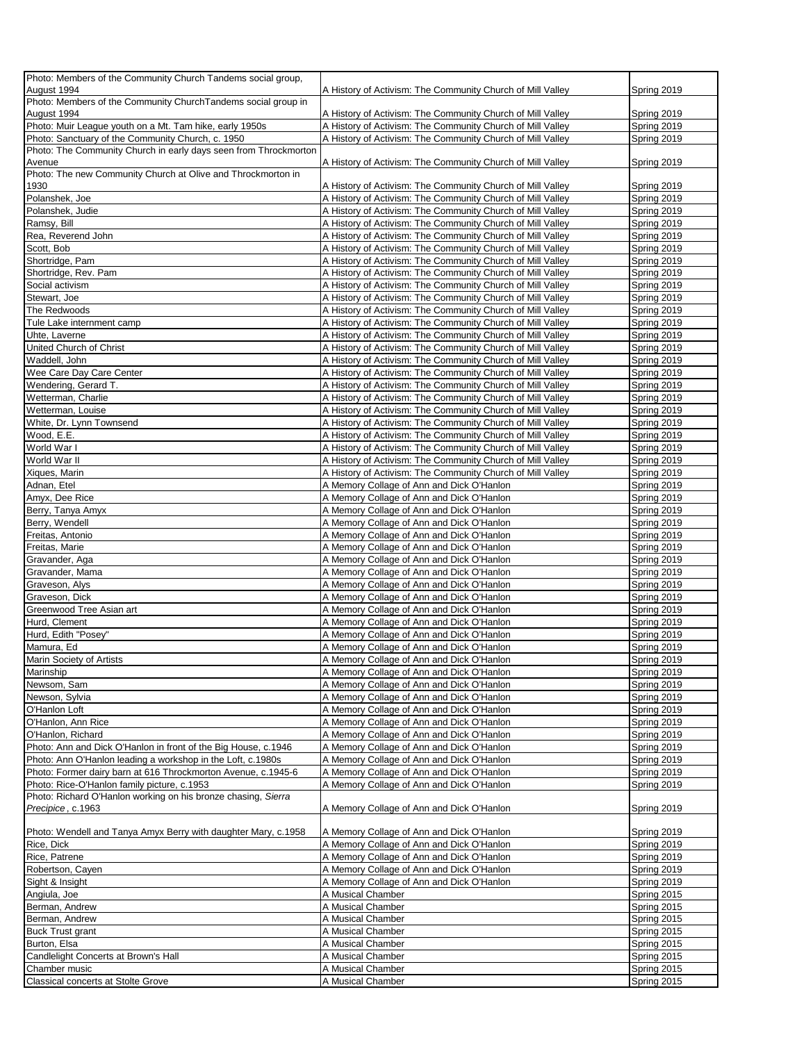| Photo: Members of the Community Church Tandems social group,         |                                                            |             |
|----------------------------------------------------------------------|------------------------------------------------------------|-------------|
| August 1994                                                          | A History of Activism: The Community Church of Mill Valley | Spring 2019 |
| Photo: Members of the Community ChurchTandems social group in        |                                                            |             |
| August 1994                                                          | A History of Activism: The Community Church of Mill Valley | Spring 2019 |
| Photo: Muir League youth on a Mt. Tam hike, early 1950s              | A History of Activism: The Community Church of Mill Valley | Spring 2019 |
| Photo: Sanctuary of the Community Church, c. 1950                    | A History of Activism: The Community Church of Mill Valley | Spring 2019 |
| Photo: The Community Church in early days seen from Throckmorton     |                                                            |             |
| Avenue                                                               | A History of Activism: The Community Church of Mill Valley | Spring 2019 |
| Photo: The new Community Church at Olive and Throckmorton in<br>1930 | A History of Activism: The Community Church of Mill Valley | Spring 2019 |
| Polanshek, Joe                                                       | A History of Activism: The Community Church of Mill Valley | Spring 2019 |
| Polanshek, Judie                                                     | A History of Activism: The Community Church of Mill Valley | Spring 2019 |
| Ramsy, Bill                                                          | A History of Activism: The Community Church of Mill Valley | Spring 2019 |
| Rea, Reverend John                                                   | A History of Activism: The Community Church of Mill Valley | Spring 2019 |
| Scott, Bob                                                           | A History of Activism: The Community Church of Mill Valley | Spring 2019 |
| Shortridge, Pam                                                      | A History of Activism: The Community Church of Mill Valley | Spring 2019 |
| Shortridge, Rev. Pam                                                 | A History of Activism: The Community Church of Mill Valley | Spring 2019 |
| Social activism                                                      | A History of Activism: The Community Church of Mill Valley | Spring 2019 |
| Stewart, Joe                                                         | A History of Activism: The Community Church of Mill Valley | Spring 2019 |
| The Redwoods                                                         | A History of Activism: The Community Church of Mill Valley | Spring 2019 |
| Tule Lake internment camp                                            | A History of Activism: The Community Church of Mill Valley | Spring 2019 |
| Uhte, Laverne                                                        | A History of Activism: The Community Church of Mill Valley | Spring 2019 |
| United Church of Christ                                              | A History of Activism: The Community Church of Mill Valley | Spring 2019 |
| Waddell, John                                                        | A History of Activism: The Community Church of Mill Valley | Spring 2019 |
| Wee Care Day Care Center                                             | A History of Activism: The Community Church of Mill Valley | Spring 2019 |
| Wendering, Gerard T.                                                 | A History of Activism: The Community Church of Mill Valley | Spring 2019 |
| Wetterman, Charlie                                                   | A History of Activism: The Community Church of Mill Valley | Spring 2019 |
| Wetterman, Louise                                                    | A History of Activism: The Community Church of Mill Valley | Spring 2019 |
| White, Dr. Lynn Townsend                                             | A History of Activism: The Community Church of Mill Valley | Spring 2019 |
| Wood, E.E.                                                           | A History of Activism: The Community Church of Mill Valley | Spring 2019 |
| World War I                                                          | A History of Activism: The Community Church of Mill Valley | Spring 2019 |
| World War II                                                         | A History of Activism: The Community Church of Mill Valley | Spring 2019 |
| Xiques, Marin                                                        | A History of Activism: The Community Church of Mill Valley | Spring 2019 |
| Adnan, Etel                                                          | A Memory Collage of Ann and Dick O'Hanlon                  | Spring 2019 |
| Amyx, Dee Rice                                                       | A Memory Collage of Ann and Dick O'Hanlon                  | Spring 2019 |
| Berry, Tanya Amyx                                                    | A Memory Collage of Ann and Dick O'Hanlon                  | Spring 2019 |
| Berry, Wendell                                                       | A Memory Collage of Ann and Dick O'Hanlon                  | Spring 2019 |
| Freitas, Antonio                                                     | A Memory Collage of Ann and Dick O'Hanlon                  | Spring 2019 |
| Freitas, Marie                                                       | A Memory Collage of Ann and Dick O'Hanlon                  | Spring 2019 |
| Gravander, Aga                                                       | A Memory Collage of Ann and Dick O'Hanlon                  | Spring 2019 |
| Gravander, Mama                                                      | A Memory Collage of Ann and Dick O'Hanlon                  | Spring 2019 |
| Graveson, Alys                                                       | A Memory Collage of Ann and Dick O'Hanlon                  | Spring 2019 |
| Graveson, Dick                                                       | A Memory Collage of Ann and Dick O'Hanlon                  | Spring 2019 |
| Greenwood Tree Asian art                                             | A Memory Collage of Ann and Dick O'Hanlon                  | Spring 2019 |
| Hurd, Clement                                                        | A Memory Collage of Ann and Dick O'Hanlon                  | Spring 2019 |
| Hurd, Edith "Posey"                                                  | A Memory Collage of Ann and Dick O'Hanlon                  | Spring 2019 |
| Mamura, Ed                                                           | A Memory Collage of Ann and Dick O'Hanlon                  | Spring 2019 |
| Marin Society of Artists                                             | A Memory Collage of Ann and Dick O'Hanlon                  | Spring 2019 |
| Marinship                                                            | A Memory Collage of Ann and Dick O'Hanlon                  | Spring 2019 |
| Newsom, Sam                                                          | A Memory Collage of Ann and Dick O'Hanlon                  | Spring 2019 |
| Newson, Sylvia                                                       | A Memory Collage of Ann and Dick O'Hanlon                  | Spring 2019 |
| O'Hanlon Loft                                                        | A Memory Collage of Ann and Dick O'Hanlon                  | Spring 2019 |
| O'Hanlon, Ann Rice                                                   | A Memory Collage of Ann and Dick O'Hanlon                  | Spring 2019 |
| O'Hanlon, Richard                                                    | A Memory Collage of Ann and Dick O'Hanlon                  | Spring 2019 |
| Photo: Ann and Dick O'Hanlon in front of the Big House, c.1946       | A Memory Collage of Ann and Dick O'Hanlon                  | Spring 2019 |
| Photo: Ann O'Hanlon leading a workshop in the Loft, c.1980s          | A Memory Collage of Ann and Dick O'Hanlon                  | Spring 2019 |
| Photo: Former dairy barn at 616 Throckmorton Avenue, c.1945-6        | A Memory Collage of Ann and Dick O'Hanlon                  | Spring 2019 |
| Photo: Rice-O'Hanlon family picture, c.1953                          | A Memory Collage of Ann and Dick O'Hanlon                  | Spring 2019 |
| Photo: Richard O'Hanlon working on his bronze chasing, Sierra        |                                                            |             |
| Precipice, c.1963                                                    | A Memory Collage of Ann and Dick O'Hanlon                  | Spring 2019 |
|                                                                      |                                                            |             |
| Photo: Wendell and Tanya Amyx Berry with daughter Mary, c.1958       | A Memory Collage of Ann and Dick O'Hanlon                  | Spring 2019 |
| Rice, Dick                                                           | A Memory Collage of Ann and Dick O'Hanlon                  | Spring 2019 |
| Rice, Patrene                                                        | A Memory Collage of Ann and Dick O'Hanlon                  | Spring 2019 |
| Robertson, Cayen                                                     | A Memory Collage of Ann and Dick O'Hanlon                  | Spring 2019 |
| Sight & Insight                                                      | A Memory Collage of Ann and Dick O'Hanlon                  | Spring 2019 |
| Angiula, Joe                                                         | A Musical Chamber                                          | Spring 2015 |
| Berman, Andrew                                                       | A Musical Chamber                                          | Spring 2015 |
| Berman, Andrew                                                       | A Musical Chamber                                          | Spring 2015 |
| <b>Buck Trust grant</b>                                              | A Musical Chamber                                          | Spring 2015 |
| Burton, Elsa                                                         | A Musical Chamber                                          | Spring 2015 |
| Candlelight Concerts at Brown's Hall                                 | A Musical Chamber                                          | Spring 2015 |
| Chamber music                                                        | A Musical Chamber                                          | Spring 2015 |
| Classical concerts at Stolte Grove                                   | A Musical Chamber                                          | Spring 2015 |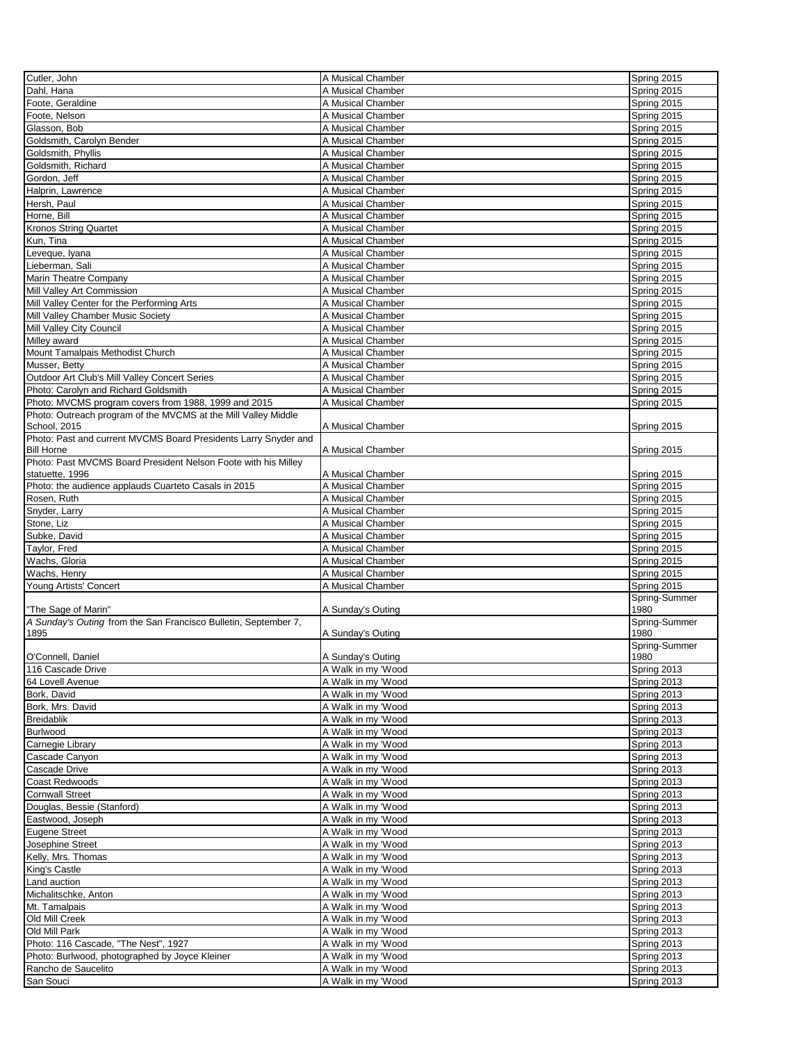| Cutler, John                                                    | A Musical Chamber  | Spring 2015   |
|-----------------------------------------------------------------|--------------------|---------------|
| Dahl, Hana                                                      | A Musical Chamber  | Spring 2015   |
| Foote, Geraldine                                                | A Musical Chamber  | Spring 2015   |
|                                                                 |                    |               |
| Foote, Nelson                                                   | A Musical Chamber  | Spring 2015   |
| Glasson, Bob                                                    | A Musical Chamber  | Spring 2015   |
| Goldsmith, Carolyn Bender                                       | A Musical Chamber  | Spring 2015   |
| Goldsmith, Phyllis                                              | A Musical Chamber  | Spring 2015   |
| Goldsmith, Richard                                              | A Musical Chamber  | Spring 2015   |
| Gordon, Jeff                                                    | A Musical Chamber  | Spring 2015   |
| Halprin, Lawrence                                               | A Musical Chamber  | Spring 2015   |
| Hersh, Paul                                                     | A Musical Chamber  | Spring 2015   |
| Horne, Bill                                                     | A Musical Chamber  |               |
|                                                                 |                    | Spring 2015   |
| <b>Kronos String Quartet</b>                                    | A Musical Chamber  | Spring 2015   |
| Kun, Tina                                                       | A Musical Chamber  | Spring 2015   |
| Leveque, Iyana                                                  | A Musical Chamber  | Spring 2015   |
| Lieberman, Sali                                                 | A Musical Chamber  | Spring 2015   |
| Marin Theatre Company                                           | A Musical Chamber  | Spring 2015   |
| Mill Valley Art Commission                                      | A Musical Chamber  | Spring 2015   |
| Mill Valley Center for the Performing Arts                      | A Musical Chamber  | Spring 2015   |
| Mill Valley Chamber Music Society                               | A Musical Chamber  | Spring 2015   |
|                                                                 |                    |               |
| Mill Valley City Council                                        | A Musical Chamber  | Spring 2015   |
| Milley award                                                    | A Musical Chamber  | Spring 2015   |
| Mount Tamalpais Methodist Church                                | A Musical Chamber  | Spring 2015   |
| Musser, Betty                                                   | A Musical Chamber  | Spring 2015   |
| Outdoor Art Club's Mill Valley Concert Series                   | A Musical Chamber  | Spring 2015   |
| Photo: Carolyn and Richard Goldsmith                            | A Musical Chamber  | Spring 2015   |
| Photo: MVCMS program covers from 1988, 1999 and 2015            | A Musical Chamber  | Spring 2015   |
| Photo: Outreach program of the MVCMS at the Mill Valley Middle  |                    |               |
| School, 2015                                                    | A Musical Chamber  |               |
|                                                                 |                    | Spring 2015   |
| Photo: Past and current MVCMS Board Presidents Larry Snyder and |                    |               |
| <b>Bill Horne</b>                                               | A Musical Chamber  | Spring 2015   |
| Photo: Past MVCMS Board President Nelson Foote with his Milley  |                    |               |
| statuette, 1996                                                 | A Musical Chamber  | Spring 2015   |
| Photo: the audience applauds Cuarteto Casals in 2015            | A Musical Chamber  | Spring 2015   |
| Rosen, Ruth                                                     | A Musical Chamber  | Spring 2015   |
| Snyder, Larry                                                   | A Musical Chamber  | Spring 2015   |
| Stone, Liz                                                      | A Musical Chamber  | Spring 2015   |
|                                                                 |                    |               |
|                                                                 |                    |               |
| Subke, David                                                    | A Musical Chamber  | Spring 2015   |
| Taylor, Fred                                                    | A Musical Chamber  | Spring 2015   |
| Wachs, Gloria                                                   | A Musical Chamber  | Spring 2015   |
| Wachs, Henry                                                    | A Musical Chamber  | Spring 2015   |
| Young Artists' Concert                                          | A Musical Chamber  | Spring 2015   |
|                                                                 |                    | Spring-Summer |
| "The Sage of Marin"                                             | A Sunday's Outing  | 1980          |
|                                                                 |                    |               |
| A Sunday's Outing from the San Francisco Bulletin, September 7, |                    | Spring-Summer |
| 1895                                                            | A Sunday's Outing  | 1980          |
|                                                                 |                    | Spring-Summer |
| O'Connell, Daniel                                               | A Sunday's Outing  | 1980          |
| 116 Cascade Drive                                               | A Walk in my 'Wood | Spring 2013   |
| 64 Lovell Avenue                                                | A Walk in my 'Wood | Spring 2013   |
| Bork, David                                                     | A Walk in my 'Wood | Spring 2013   |
| Bork, Mrs. David                                                | A Walk in my 'Wood | Spring 2013   |
| <b>Breidablik</b>                                               | A Walk in my 'Wood | Spring 2013   |
| <b>Burlwood</b>                                                 | A Walk in my 'Wood | Spring 2013   |
| Carnegie Library                                                | A Walk in my 'Wood | Spring 2013   |
|                                                                 |                    |               |
| Cascade Canyon                                                  | A Walk in my 'Wood | Spring 2013   |
| Cascade Drive                                                   | A Walk in my 'Wood | Spring 2013   |
| Coast Redwoods                                                  | A Walk in my 'Wood | Spring 2013   |
| <b>Cornwall Street</b>                                          | A Walk in my 'Wood | Spring 2013   |
| Douglas, Bessie (Stanford)                                      | A Walk in my 'Wood | Spring 2013   |
| Eastwood, Joseph                                                | A Walk in my 'Wood | Spring 2013   |
| Eugene Street                                                   | A Walk in my 'Wood | Spring 2013   |
| Josephine Street                                                | A Walk in my 'Wood | Spring 2013   |
| Kelly, Mrs. Thomas                                              | A Walk in my 'Wood | Spring 2013   |
|                                                                 |                    |               |
| King's Castle                                                   | A Walk in my 'Wood | Spring 2013   |
| Land auction                                                    | A Walk in my 'Wood | Spring 2013   |
| Michalitschke, Anton                                            | A Walk in my 'Wood | Spring 2013   |
| Mt. Tamalpais                                                   | A Walk in my 'Wood | Spring 2013   |
| Old Mill Creek                                                  | A Walk in my 'Wood | Spring 2013   |
| Old Mill Park                                                   | A Walk in my 'Wood | Spring 2013   |
| Photo: 116 Cascade, "The Nest", 1927                            | A Walk in my 'Wood | Spring 2013   |
| Photo: Burlwood, photographed by Joyce Kleiner                  | A Walk in my 'Wood | Spring 2013   |
| Rancho de Saucelito                                             | A Walk in my 'Wood | Spring 2013   |
| San Souci                                                       | A Walk in my 'Wood | Spring 2013   |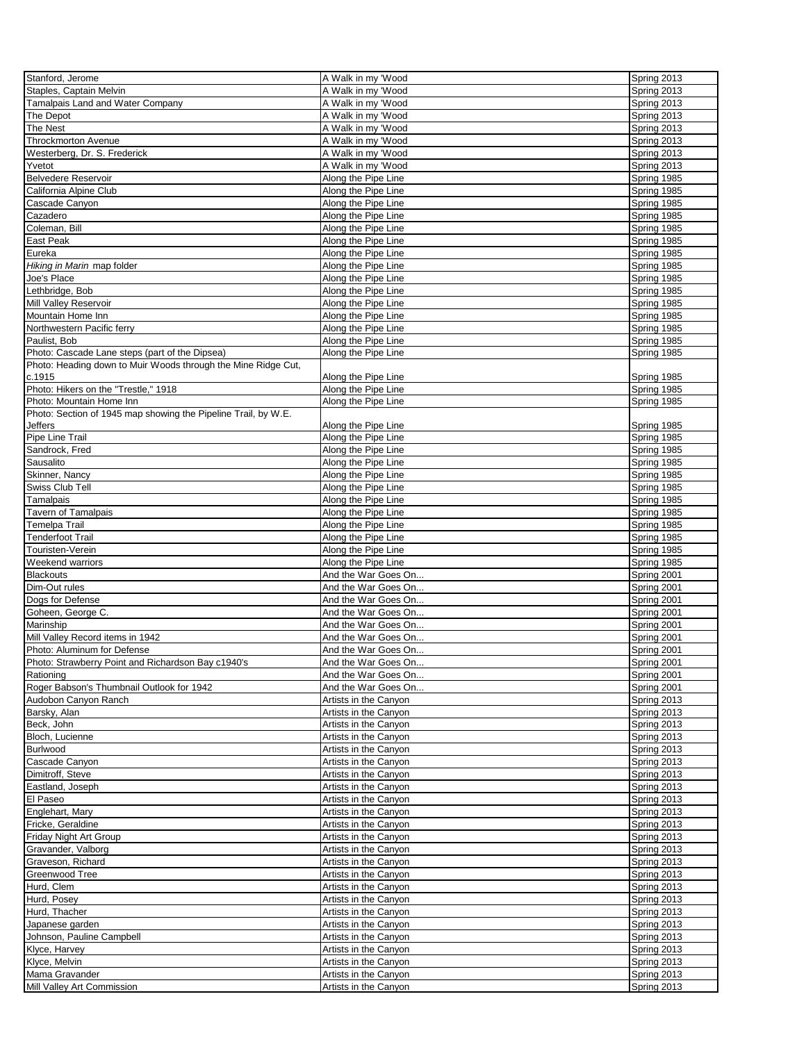| Stanford, Jerome                                               | A Walk in my 'Wood    | Spring 2013 |
|----------------------------------------------------------------|-----------------------|-------------|
| Staples, Captain Melvin                                        | A Walk in my 'Wood    | Spring 2013 |
| Tamalpais Land and Water Company                               | A Walk in my 'Wood    | Spring 2013 |
| The Depot                                                      | A Walk in my 'Wood    | Spring 2013 |
| The Nest                                                       | A Walk in my 'Wood    | Spring 2013 |
| <b>Throckmorton Avenue</b>                                     | A Walk in my 'Wood    | Spring 2013 |
| Westerberg, Dr. S. Frederick                                   | A Walk in my 'Wood    | Spring 2013 |
| Yvetot                                                         | A Walk in my 'Wood    | Spring 2013 |
|                                                                |                       |             |
| <b>Belvedere Reservoir</b>                                     | Along the Pipe Line   | Spring 1985 |
| California Alpine Club                                         | Along the Pipe Line   | Spring 1985 |
| Cascade Canyon                                                 | Along the Pipe Line   | Spring 1985 |
| Cazadero                                                       | Along the Pipe Line   | Spring 1985 |
| Coleman, Bill                                                  | Along the Pipe Line   | Spring 1985 |
| East Peak                                                      | Along the Pipe Line   | Spring 1985 |
| Eureka                                                         | Along the Pipe Line   | Spring 1985 |
| Hiking in Marin map folder                                     | Along the Pipe Line   | Spring 1985 |
| Joe's Place                                                    | Along the Pipe Line   | Spring 1985 |
| Lethbridge, Bob                                                | Along the Pipe Line   | Spring 1985 |
| Mill Valley Reservoir                                          | Along the Pipe Line   | Spring 1985 |
| Mountain Home Inn                                              | Along the Pipe Line   | Spring 1985 |
| Northwestern Pacific ferry                                     | Along the Pipe Line   | Spring 1985 |
| Paulist, Bob                                                   | Along the Pipe Line   | Spring 1985 |
|                                                                |                       |             |
| Photo: Cascade Lane steps (part of the Dipsea)                 | Along the Pipe Line   | Spring 1985 |
| Photo: Heading down to Muir Woods through the Mine Ridge Cut,  |                       |             |
| c.1915                                                         | Along the Pipe Line   | Spring 1985 |
| Photo: Hikers on the "Trestle," 1918                           | Along the Pipe Line   | Spring 1985 |
| Photo: Mountain Home Inn                                       | Along the Pipe Line   | Spring 1985 |
| Photo: Section of 1945 map showing the Pipeline Trail, by W.E. |                       |             |
| Jeffers                                                        | Along the Pipe Line   | Spring 1985 |
| Pipe Line Trail                                                | Along the Pipe Line   | Spring 1985 |
| Sandrock, Fred                                                 | Along the Pipe Line   | Spring 1985 |
| Sausalito                                                      | Along the Pipe Line   | Spring 1985 |
| Skinner, Nancy                                                 | Along the Pipe Line   | Spring 1985 |
| Swiss Club Tell                                                | Along the Pipe Line   | Spring 1985 |
| Tamalpais                                                      | Along the Pipe Line   | Spring 1985 |
|                                                                |                       |             |
| Tavern of Tamalpais                                            | Along the Pipe Line   | Spring 1985 |
| Temelpa Trail                                                  | Along the Pipe Line   | Spring 1985 |
| Tenderfoot Trail                                               | Along the Pipe Line   | Spring 1985 |
| Touristen-Verein                                               | Along the Pipe Line   | Spring 1985 |
| Weekend warriors                                               | Along the Pipe Line   | Spring 1985 |
| <b>Blackouts</b>                                               | And the War Goes On   | Spring 2001 |
| Dim-Out rules                                                  | And the War Goes On   | Spring 2001 |
| Dogs for Defense                                               | And the War Goes On   | Spring 2001 |
| Goheen, George C.                                              | And the War Goes On   | Spring 2001 |
| Marinship                                                      | And the War Goes On   | Spring 2001 |
|                                                                |                       |             |
| Mill Valley Record items in 1942                               | And the War Goes On   | Spring 2001 |
| Photo: Aluminum for Defense                                    | And the War Goes On   | Spring 2001 |
| Photo: Strawberry Point and Richardson Bay c1940's             | And the War Goes On   | Spring 2001 |
| Rationing                                                      | And the War Goes On   | Spring 2001 |
| Roger Babson's Thumbnail Outlook for 1942                      | And the War Goes On   | Spring 2001 |
| Audobon Canyon Ranch                                           | Artists in the Canyon | Spring 2013 |
| Barsky, Alan                                                   | Artists in the Canyon | Spring 2013 |
| Beck, John                                                     |                       |             |
| Bloch, Lucienne                                                |                       |             |
|                                                                | Artists in the Canyon | Spring 2013 |
|                                                                | Artists in the Canyon | Spring 2013 |
| <b>Burlwood</b>                                                | Artists in the Canyon | Spring 2013 |
| Cascade Canyon                                                 | Artists in the Canyon | Spring 2013 |
| Dimitroff, Steve                                               | Artists in the Canyon | Spring 2013 |
| Eastland, Joseph                                               | Artists in the Canyon | Spring 2013 |
| El Paseo                                                       | Artists in the Canyon | Spring 2013 |
| Englehart, Mary                                                | Artists in the Canyon | Spring 2013 |
| Fricke, Geraldine                                              | Artists in the Canyon | Spring 2013 |
| Friday Night Art Group                                         | Artists in the Canyon | Spring 2013 |
|                                                                | Artists in the Canyon | Spring 2013 |
| Gravander, Valborg                                             |                       |             |
| Graveson, Richard                                              | Artists in the Canyon | Spring 2013 |
| Greenwood Tree                                                 | Artists in the Canyon | Spring 2013 |
| Hurd, Clem                                                     | Artists in the Canyon | Spring 2013 |
| Hurd, Posey                                                    | Artists in the Canyon | Spring 2013 |
| Hurd, Thacher                                                  | Artists in the Canyon | Spring 2013 |
| Japanese garden                                                | Artists in the Canyon | Spring 2013 |
| Johnson, Pauline Campbell                                      | Artists in the Canyon | Spring 2013 |
| Klyce, Harvey                                                  | Artists in the Canyon | Spring 2013 |
| Klyce, Melvin                                                  | Artists in the Canyon | Spring 2013 |
| Mama Gravander                                                 | Artists in the Canyon | Spring 2013 |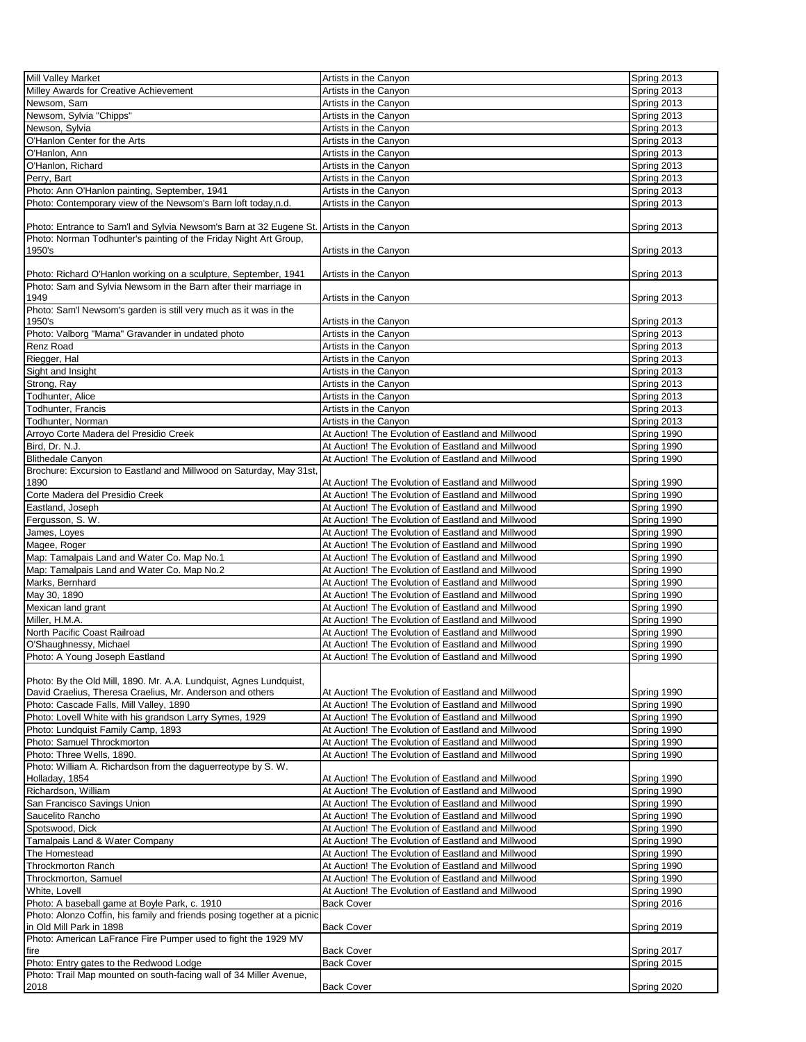| <b>Mill Valley Market</b>                                                                |                                                    | Spring 2013 |
|------------------------------------------------------------------------------------------|----------------------------------------------------|-------------|
|                                                                                          | Artists in the Canyon                              |             |
| Milley Awards for Creative Achievement                                                   | Artists in the Canyon                              | Spring 2013 |
| Newsom, Sam                                                                              | Artists in the Canyon                              | Spring 2013 |
| Newsom, Sylvia "Chipps"                                                                  | Artists in the Canyon                              | Spring 2013 |
| Newson, Sylvia                                                                           | Artists in the Canyon                              | Spring 2013 |
| O'Hanlon Center for the Arts                                                             | Artists in the Canyon                              | Spring 2013 |
|                                                                                          |                                                    |             |
| O'Hanlon, Ann                                                                            | Artists in the Canyon                              | Spring 2013 |
| O'Hanlon, Richard                                                                        | Artists in the Canyon                              | Spring 2013 |
| Perry, Bart                                                                              | Artists in the Canyon                              | Spring 2013 |
| Photo: Ann O'Hanlon painting, September, 1941                                            | Artists in the Canyon                              | Spring 2013 |
|                                                                                          |                                                    |             |
| Photo: Contemporary view of the Newsom's Barn loft today,n.d.                            | Artists in the Canyon                              | Spring 2013 |
|                                                                                          |                                                    |             |
| Photo: Entrance to Sam'l and Sylvia Newsom's Barn at 32 Eugene St. Artists in the Canyon |                                                    | Spring 2013 |
| Photo: Norman Todhunter's painting of the Friday Night Art Group,                        |                                                    |             |
| 1950's                                                                                   | Artists in the Canyon                              | Spring 2013 |
|                                                                                          |                                                    |             |
|                                                                                          |                                                    |             |
| Photo: Richard O'Hanlon working on a sculpture, September, 1941                          | Artists in the Canyon                              | Spring 2013 |
| Photo: Sam and Sylvia Newsom in the Barn after their marriage in                         |                                                    |             |
| 1949                                                                                     | Artists in the Canyon                              | Spring 2013 |
| Photo: Sam'l Newsom's garden is still very much as it was in the                         |                                                    |             |
| 1950's                                                                                   | Artists in the Canyon                              | Spring 2013 |
|                                                                                          |                                                    |             |
| Photo: Valborg "Mama" Gravander in undated photo                                         | Artists in the Canyon                              | Spring 2013 |
| Renz Road                                                                                | Artists in the Canyon                              | Spring 2013 |
| Riegger, Hal                                                                             | Artists in the Canyon                              | Spring 2013 |
| Sight and Insight                                                                        | Artists in the Canvon                              | Spring 2013 |
| Strong, Ray                                                                              | Artists in the Canyon                              | Spring 2013 |
|                                                                                          |                                                    |             |
| Todhunter, Alice                                                                         | Artists in the Canyon                              | Spring 2013 |
| Todhunter, Francis                                                                       | Artists in the Canyon                              | Spring 2013 |
| Todhunter, Norman                                                                        | Artists in the Canyon                              | Spring 2013 |
| Arroyo Corte Madera del Presidio Creek                                                   | At Auction! The Evolution of Eastland and Millwood | Spring 1990 |
|                                                                                          |                                                    |             |
| Bird, Dr. N.J.                                                                           | At Auction! The Evolution of Eastland and Millwood | Spring 1990 |
| <b>Blithedale Canyon</b>                                                                 | At Auction! The Evolution of Eastland and Millwood | Spring 1990 |
| Brochure: Excursion to Eastland and Millwood on Saturday, May 31st,                      |                                                    |             |
| 1890                                                                                     | At Auction! The Evolution of Eastland and Millwood | Spring 1990 |
| Corte Madera del Presidio Creek                                                          | At Auction! The Evolution of Eastland and Millwood | Spring 1990 |
|                                                                                          |                                                    |             |
| Eastland, Joseph                                                                         | At Auction! The Evolution of Eastland and Millwood | Spring 1990 |
| Fergusson, S. W.                                                                         | At Auction! The Evolution of Eastland and Millwood | Spring 1990 |
| James, Loyes                                                                             | At Auction! The Evolution of Eastland and Millwood | Spring 1990 |
| Magee, Roger                                                                             | At Auction! The Evolution of Eastland and Millwood | Spring 1990 |
| Map: Tamalpais Land and Water Co. Map No.1                                               | At Auction! The Evolution of Eastland and Millwood | Spring 1990 |
|                                                                                          |                                                    |             |
| Map: Tamalpais Land and Water Co. Map No.2                                               | At Auction! The Evolution of Eastland and Millwood | Spring 1990 |
| Marks, Bernhard                                                                          | At Auction! The Evolution of Eastland and Millwood | Spring 1990 |
| May 30, 1890                                                                             | At Auction! The Evolution of Eastland and Millwood | Spring 1990 |
| Mexican land grant                                                                       | At Auction! The Evolution of Eastland and Millwood | Spring 1990 |
|                                                                                          |                                                    |             |
| Miller, H.M.A.                                                                           | At Auction! The Evolution of Eastland and Millwood | Spring 1990 |
| North Pacific Coast Railroad                                                             | At Auction! The Evolution of Eastland and Millwood | Spring 1990 |
| O'Shaughnessy, Michael                                                                   | At Auction! The Evolution of Eastland and Millwood | Spring 1990 |
| Photo: A Young Joseph Eastland                                                           | At Auction! The Evolution of Eastland and Millwood | Spring 1990 |
|                                                                                          |                                                    |             |
|                                                                                          |                                                    |             |
| Photo: By the Old Mill, 1890. Mr. A.A. Lundquist, Agnes Lundquist,                       |                                                    |             |
| David Craelius, Theresa Craelius, Mr. Anderson and others                                | At Auction! The Evolution of Eastland and Millwood | Spring 1990 |
| Photo: Cascade Falls, Mill Valley, 1890                                                  | At Auction! The Evolution of Eastland and Millwood | Spring 1990 |
| Photo: Lovell White with his grandson Larry Symes, 1929                                  | At Auction! The Evolution of Eastland and Millwood | Spring 1990 |
| Photo: Lundquist Family Camp, 1893                                                       | At Auction! The Evolution of Eastland and Millwood | Spring 1990 |
| Photo: Samuel Throckmorton                                                               | At Auction! The Evolution of Eastland and Millwood |             |
|                                                                                          |                                                    | Spring 1990 |
| Photo: Three Wells, 1890.                                                                | At Auction! The Evolution of Eastland and Millwood | Spring 1990 |
| Photo: William A. Richardson from the daquerreotype by S. W.                             |                                                    |             |
| Holladay, 1854                                                                           | At Auction! The Evolution of Eastland and Millwood | Spring 1990 |
| Richardson, William                                                                      | At Auction! The Evolution of Eastland and Millwood | Spring 1990 |
|                                                                                          |                                                    |             |
| San Francisco Savings Union                                                              | At Auction! The Evolution of Eastland and Millwood | Spring 1990 |
| Saucelito Rancho                                                                         | At Auction! The Evolution of Eastland and Millwood | Spring 1990 |
| Spotswood, Dick                                                                          | At Auction! The Evolution of Eastland and Millwood | Spring 1990 |
| Tamalpais Land & Water Company                                                           | At Auction! The Evolution of Eastland and Millwood | Spring 1990 |
| The Homestead                                                                            | At Auction! The Evolution of Eastland and Millwood | Spring 1990 |
|                                                                                          |                                                    |             |
| <b>Throckmorton Ranch</b>                                                                | At Auction! The Evolution of Eastland and Millwood | Spring 1990 |
| Throckmorton, Samuel                                                                     | At Auction! The Evolution of Eastland and Millwood | Spring 1990 |
| White, Lovell                                                                            | At Auction! The Evolution of Eastland and Millwood | Spring 1990 |
| Photo: A baseball game at Boyle Park, c. 1910                                            | <b>Back Cover</b>                                  | Spring 2016 |
| Photo: Alonzo Coffin, his family and friends posing together at a picnic                 |                                                    |             |
|                                                                                          |                                                    |             |
| in Old Mill Park in 1898                                                                 | <b>Back Cover</b>                                  | Spring 2019 |
| Photo: American LaFrance Fire Pumper used to fight the 1929 MV                           |                                                    |             |
| fire                                                                                     | <b>Back Cover</b>                                  | Spring 2017 |
| Photo: Entry gates to the Redwood Lodge                                                  | <b>Back Cover</b>                                  | Spring 2015 |
| Photo: Trail Map mounted on south-facing wall of 34 Miller Avenue,                       |                                                    |             |
| 2018                                                                                     | <b>Back Cover</b>                                  | Spring 2020 |
|                                                                                          |                                                    |             |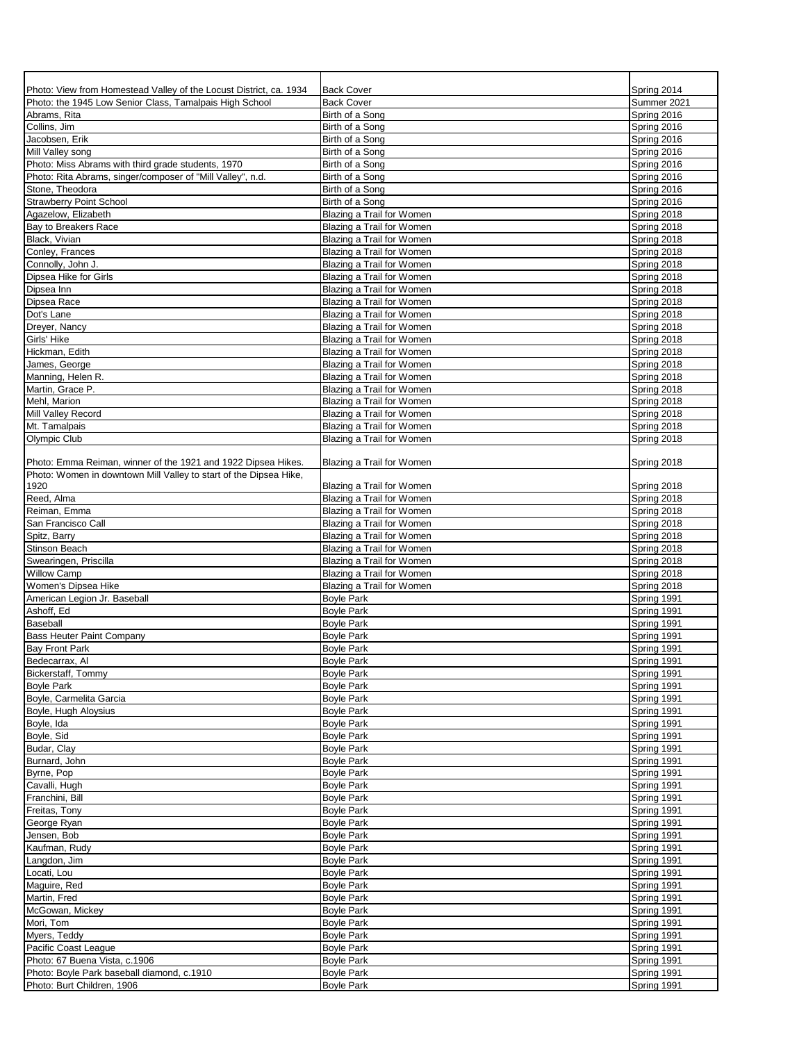| Photo: View from Homestead Valley of the Locust District, ca. 1934<br>Photo: the 1945 Low Senior Class, Tamalpais High School | <b>Back Cover</b><br><b>Back Cover</b>                 | Spring 2014<br>Summer 2021 |
|-------------------------------------------------------------------------------------------------------------------------------|--------------------------------------------------------|----------------------------|
| Abrams, Rita                                                                                                                  | Birth of a Song                                        | Spring 2016                |
| Collins, Jim                                                                                                                  | Birth of a Song                                        | Spring 2016                |
| Jacobsen, Erik                                                                                                                | Birth of a Song                                        | Spring 2016                |
| Mill Valley song                                                                                                              | Birth of a Song                                        | Spring 2016                |
| Photo: Miss Abrams with third grade students, 1970                                                                            | Birth of a Song                                        | Spring 2016                |
| Photo: Rita Abrams, singer/composer of "Mill Valley", n.d.                                                                    | Birth of a Song                                        | Spring 2016                |
| Stone, Theodora                                                                                                               | Birth of a Song                                        | Spring 2016                |
| <b>Strawberry Point School</b>                                                                                                | Birth of a Song                                        | Spring 2016                |
| Agazelow, Elizabeth                                                                                                           | Blazing a Trail for Women                              | Spring 2018                |
| Bay to Breakers Race<br>Black, Vivian                                                                                         | Blazing a Trail for Women<br>Blazing a Trail for Women | Spring 2018<br>Spring 2018 |
| Conley, Frances                                                                                                               | Blazing a Trail for Women                              | Spring 2018                |
| Connolly, John J.                                                                                                             | Blazing a Trail for Women                              | Spring 2018                |
| Dipsea Hike for Girls                                                                                                         | Blazing a Trail for Women                              | Spring 2018                |
| Dipsea Inn                                                                                                                    | Blazing a Trail for Women                              | Spring 2018                |
| Dipsea Race                                                                                                                   | Blazing a Trail for Women                              | Spring 2018                |
| Dot's Lane                                                                                                                    | Blazing a Trail for Women                              | Spring 2018                |
| Dreyer, Nancy                                                                                                                 | Blazing a Trail for Women                              | Spring 2018                |
| Girls' Hike                                                                                                                   | Blazing a Trail for Women                              | Spring 2018                |
| Hickman, Edith                                                                                                                | Blazing a Trail for Women                              | Spring 2018                |
| James, George                                                                                                                 | Blazing a Trail for Women                              | Spring 2018                |
| Manning, Helen R.                                                                                                             | Blazing a Trail for Women                              | Spring 2018                |
| Martin, Grace P.                                                                                                              | Blazing a Trail for Women                              | Spring 2018                |
| Mehl, Marion                                                                                                                  | Blazing a Trail for Women                              | Spring 2018                |
| Mill Valley Record                                                                                                            | Blazing a Trail for Women                              | Spring 2018                |
| Mt. Tamalpais                                                                                                                 | Blazing a Trail for Women<br>Blazing a Trail for Women | Spring 2018                |
| <b>Olympic Club</b>                                                                                                           |                                                        | Spring 2018                |
| Photo: Emma Reiman, winner of the 1921 and 1922 Dipsea Hikes.                                                                 | Blazing a Trail for Women                              | Spring 2018                |
| Photo: Women in downtown Mill Valley to start of the Dipsea Hike,                                                             |                                                        |                            |
| 1920<br>Reed, Alma                                                                                                            | Blazing a Trail for Women                              | Spring 2018<br>Spring 2018 |
| Reiman, Emma                                                                                                                  | Blazing a Trail for Women<br>Blazing a Trail for Women | Spring 2018                |
| San Francisco Call                                                                                                            | Blazing a Trail for Women                              | Spring 2018                |
| Spitz, Barry                                                                                                                  | Blazing a Trail for Women                              | Spring 2018                |
| Stinson Beach                                                                                                                 | Blazing a Trail for Women                              | Spring 2018                |
| Swearingen, Priscilla                                                                                                         | Blazing a Trail for Women                              | Spring 2018                |
| <b>Willow Camp</b>                                                                                                            | Blazing a Trail for Women                              | Spring 2018                |
| Women's Dipsea Hike                                                                                                           | Blazing a Trail for Women                              | Spring 2018                |
| American Legion Jr. Baseball                                                                                                  | <b>Boyle Park</b>                                      | Spring 1991                |
| Ashoff, Ed                                                                                                                    | <b>Boyle Park</b>                                      | Spring 1991                |
| Baseball                                                                                                                      | <b>Boyle Park</b>                                      | Spring 1991                |
| <b>Bass Heuter Paint Company</b>                                                                                              | <b>Boyle Park</b>                                      | Spring 1991                |
| <b>Bay Front Park</b>                                                                                                         | <b>Boyle Park</b>                                      | Spring 1991                |
| Bedecarrax, Al                                                                                                                | <b>Boyle Park</b>                                      | Spring 1991                |
| Bickerstaff, Tommy                                                                                                            | <b>Boyle Park</b>                                      | Spring 1991                |
| <b>Boyle Park</b>                                                                                                             | <b>Boyle Park</b>                                      | Spring 1991                |
| Boyle, Carmelita Garcia                                                                                                       | <b>Boyle Park</b>                                      | Spring 1991                |
| Boyle, Hugh Aloysius                                                                                                          | <b>Boyle Park</b>                                      | Spring 1991                |
| Boyle, Ida                                                                                                                    | <b>Boyle Park</b>                                      | Spring 1991                |
| Boyle, Sid                                                                                                                    | <b>Boyle Park</b>                                      | Spring 1991                |
| Budar, Clay<br>Burnard, John                                                                                                  | <b>Boyle Park</b><br><b>Boyle Park</b>                 | Spring 1991<br>Spring 1991 |
| Byrne, Pop                                                                                                                    | <b>Boyle Park</b>                                      | Spring 1991                |
| Cavalli, Hugh                                                                                                                 | <b>Boyle Park</b>                                      | Spring 1991                |
| Franchini, Bill                                                                                                               | <b>Boyle Park</b>                                      | Spring 1991                |
| Freitas, Tony                                                                                                                 | <b>Boyle Park</b>                                      | Spring 1991                |
| George Ryan                                                                                                                   | <b>Boyle Park</b>                                      | Spring 1991                |
| Jensen, Bob                                                                                                                   | <b>Boyle Park</b>                                      | Spring 1991                |
| Kaufman, Rudy                                                                                                                 | <b>Boyle Park</b>                                      | Spring 1991                |
| Langdon, Jim                                                                                                                  | <b>Boyle Park</b>                                      | Spring 1991                |
| Locati, Lou                                                                                                                   | <b>Boyle Park</b>                                      | Spring 1991                |
| Maguire, Red                                                                                                                  | <b>Boyle Park</b>                                      | Spring 1991                |
| Martin, Fred                                                                                                                  | <b>Boyle Park</b>                                      | Spring 1991                |
| McGowan, Mickey                                                                                                               | <b>Boyle Park</b>                                      | Spring 1991                |
| Mori, Tom                                                                                                                     | <b>Boyle Park</b>                                      | Spring 1991                |
| Myers, Teddy                                                                                                                  | <b>Boyle Park</b>                                      | Spring 1991                |
| Pacific Coast League                                                                                                          | <b>Boyle Park</b>                                      | Spring 1991                |
| Photo: 67 Buena Vista, c.1906                                                                                                 | <b>Boyle Park</b>                                      | Spring 1991                |
| Photo: Boyle Park baseball diamond, c.1910                                                                                    | <b>Boyle Park</b>                                      | Spring 1991                |
| Photo: Burt Children, 1906                                                                                                    | <b>Boyle Park</b>                                      | Spring 1991                |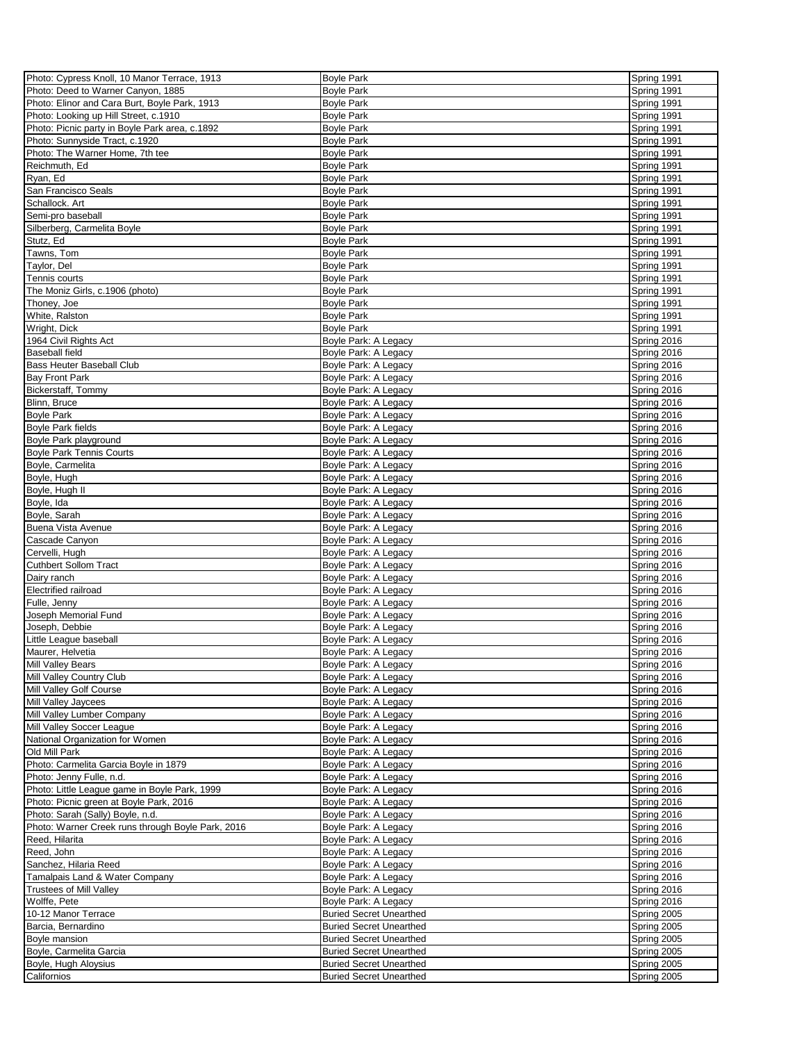| Photo: Cypress Knoll, 10 Manor Terrace, 1913      | <b>Boyle Park</b>              | Spring 1991 |
|---------------------------------------------------|--------------------------------|-------------|
| Photo: Deed to Warner Canyon, 1885                | <b>Boyle Park</b>              | Spring 1991 |
|                                                   |                                |             |
| Photo: Elinor and Cara Burt, Boyle Park, 1913     | <b>Boyle Park</b>              | Spring 1991 |
| Photo: Looking up Hill Street, c.1910             | <b>Boyle Park</b>              | Spring 1991 |
| Photo: Picnic party in Boyle Park area, c.1892    | <b>Boyle Park</b>              | Spring 1991 |
| Photo: Sunnyside Tract, c.1920                    | <b>Boyle Park</b>              | Spring 1991 |
| Photo: The Warner Home, 7th tee                   | <b>Boyle Park</b>              | Spring 1991 |
| Reichmuth, Ed                                     | <b>Boyle Park</b>              | Spring 1991 |
|                                                   |                                |             |
| Ryan, Ed                                          | <b>Boyle Park</b>              | Spring 1991 |
| San Francisco Seals                               | <b>Boyle Park</b>              | Spring 1991 |
| Schallock. Art                                    | <b>Boyle Park</b>              | Spring 1991 |
| Semi-pro baseball                                 | <b>Boyle Park</b>              | Spring 1991 |
| Silberberg, Carmelita Boyle                       | <b>Boyle Park</b>              | Spring 1991 |
| Stutz, Ed                                         | <b>Boyle Park</b>              | Spring 1991 |
| Tawns, Tom                                        | <b>Boyle Park</b>              | Spring 1991 |
|                                                   |                                |             |
| Taylor, Del                                       | <b>Boyle Park</b>              | Spring 1991 |
| Tennis courts                                     | <b>Boyle Park</b>              | Spring 1991 |
| The Moniz Girls, c.1906 (photo)                   | <b>Boyle Park</b>              | Spring 1991 |
| Thoney, Joe                                       | <b>Boyle Park</b>              | Spring 1991 |
| White, Ralston                                    | <b>Boyle Park</b>              | Spring 1991 |
| Wright, Dick                                      | <b>Boyle Park</b>              | Spring 1991 |
|                                                   |                                |             |
| 1964 Civil Rights Act                             | Boyle Park: A Legacy           | Spring 2016 |
| <b>Baseball field</b>                             | Boyle Park: A Legacy           | Spring 2016 |
| <b>Bass Heuter Baseball Club</b>                  | Boyle Park: A Legacy           | Spring 2016 |
| <b>Bay Front Park</b>                             | Boyle Park: A Legacy           | Spring 2016 |
| Bickerstaff, Tommy                                | Boyle Park: A Legacy           | Spring 2016 |
| Blinn, Bruce                                      | Boyle Park: A Legacy           | Spring 2016 |
| <b>Boyle Park</b>                                 | Boyle Park: A Legacy           | Spring 2016 |
|                                                   |                                |             |
| <b>Boyle Park fields</b>                          | Boyle Park: A Legacy           | Spring 2016 |
| Boyle Park playground                             | Boyle Park: A Legacy           | Spring 2016 |
| <b>Boyle Park Tennis Courts</b>                   | Boyle Park: A Legacy           | Spring 2016 |
| Boyle, Carmelita                                  | Boyle Park: A Legacy           | Spring 2016 |
| Boyle, Hugh                                       | Boyle Park: A Legacy           | Spring 2016 |
|                                                   |                                |             |
| Boyle, Hugh II                                    | Boyle Park: A Legacy           | Spring 2016 |
| Boyle, Ida                                        | Boyle Park: A Legacy           | Spring 2016 |
| Boyle, Sarah                                      | Boyle Park: A Legacy           | Spring 2016 |
| <b>Buena Vista Avenue</b>                         | Boyle Park: A Legacy           | Spring 2016 |
| Cascade Canyon                                    | Boyle Park: A Legacy           | Spring 2016 |
| Cervelli, Hugh                                    | Boyle Park: A Legacy           | Spring 2016 |
|                                                   |                                |             |
| Cuthbert Sollom Tract                             | Boyle Park: A Legacy           | Spring 2016 |
| Dairy ranch                                       | Boyle Park: A Legacy           | Spring 2016 |
| <b>Electrified railroad</b>                       | Boyle Park: A Legacy           | Spring 2016 |
| Fulle, Jenny                                      | Boyle Park: A Legacy           | Spring 2016 |
| Joseph Memorial Fund                              | Boyle Park: A Legacy           | Spring 2016 |
| Joseph, Debbie                                    | Boyle Park: A Legacy           | Spring 2016 |
|                                                   |                                |             |
| Little League baseball                            | Boyle Park: A Legacy           | Spring 2016 |
| Maurer, Helvetia                                  | Boyle Park: A Legacy           | Spring 2016 |
| Mill Valley Bears                                 | Boyle Park: A Legacy           | Spring 2016 |
| Mill Valley Country Club                          | Boyle Park: A Legacy           | Spring 2016 |
| Mill Valley Golf Course                           | Boyle Park: A Legacy           | Spring 2016 |
| Mill Valley Jaycees                               | Boyle Park: A Legacy           | Spring 2016 |
| Mill Valley Lumber Company                        |                                | Spring 2016 |
|                                                   | Boyle Park: A Legacy           |             |
| Mill Valley Soccer League                         | Boyle Park: A Legacy           | Spring 2016 |
| National Organization for Women                   | Boyle Park: A Legacy           | Spring 2016 |
| Old Mill Park                                     | Boyle Park: A Legacy           | Spring 2016 |
| Photo: Carmelita Garcia Boyle in 1879             | Boyle Park: A Legacy           | Spring 2016 |
| Photo: Jenny Fulle, n.d.                          | Boyle Park: A Legacy           | Spring 2016 |
| Photo: Little League game in Boyle Park, 1999     | Boyle Park: A Legacy           | Spring 2016 |
|                                                   |                                |             |
| Photo: Picnic green at Boyle Park, 2016           | Boyle Park: A Legacy           | Spring 2016 |
| Photo: Sarah (Sally) Boyle, n.d.                  | Boyle Park: A Legacy           | Spring 2016 |
| Photo: Warner Creek runs through Boyle Park, 2016 | Boyle Park: A Legacy           | Spring 2016 |
| Reed, Hilarita                                    | Boyle Park: A Legacy           | Spring 2016 |
| Reed, John                                        | Boyle Park: A Legacy           | Spring 2016 |
| Sanchez, Hilaria Reed                             | Boyle Park: A Legacy           | Spring 2016 |
|                                                   |                                |             |
| Tamalpais Land & Water Company                    | Boyle Park: A Legacy           | Spring 2016 |
| <b>Trustees of Mill Valley</b>                    | Boyle Park: A Legacy           | Spring 2016 |
| Wolffe, Pete                                      | Boyle Park: A Legacy           | Spring 2016 |
| 10-12 Manor Terrace                               | <b>Buried Secret Unearthed</b> | Spring 2005 |
| Barcia, Bernardino                                | <b>Buried Secret Unearthed</b> | Spring 2005 |
| Boyle mansion                                     | <b>Buried Secret Unearthed</b> | Spring 2005 |
|                                                   |                                |             |
| Boyle, Carmelita Garcia                           | <b>Buried Secret Unearthed</b> | Spring 2005 |
| Boyle, Hugh Aloysius                              | <b>Buried Secret Unearthed</b> | Spring 2005 |
| Californios                                       | <b>Buried Secret Unearthed</b> | Spring 2005 |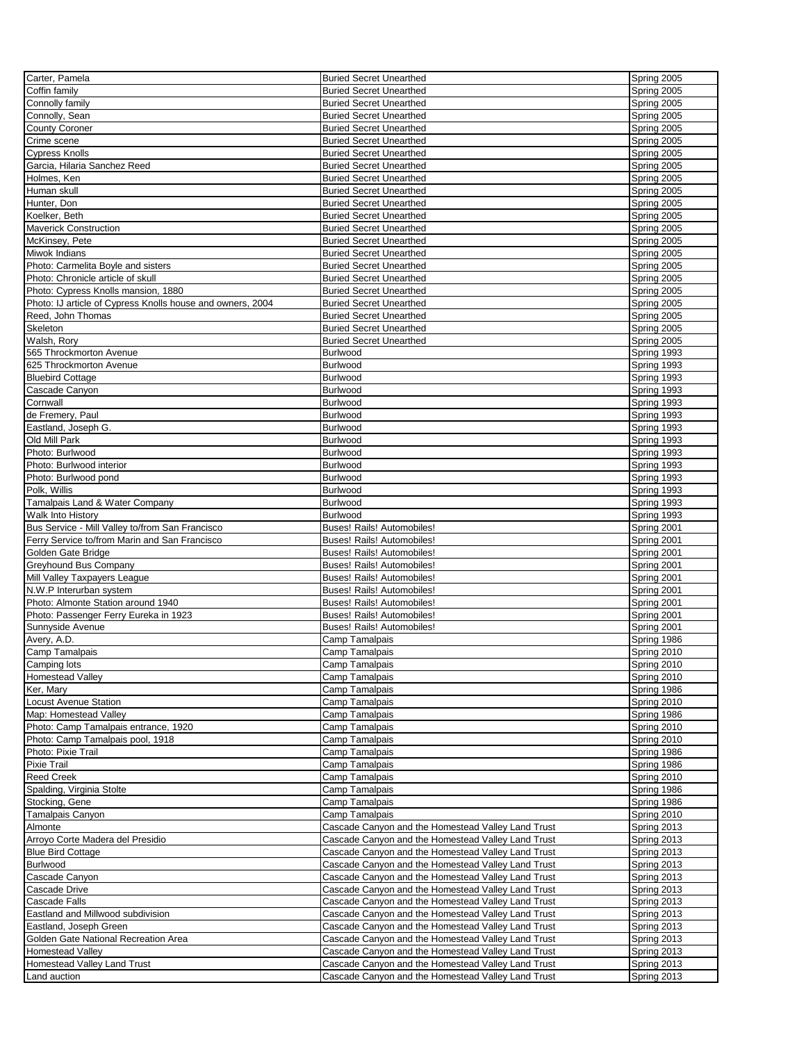| Carter, Pamela                                             | <b>Buried Secret Unearthed</b>                     | Spring 2005 |
|------------------------------------------------------------|----------------------------------------------------|-------------|
| Coffin family                                              | <b>Buried Secret Unearthed</b>                     | Spring 2005 |
| Connolly family                                            | <b>Buried Secret Unearthed</b>                     | Spring 2005 |
| Connolly, Sean                                             | <b>Buried Secret Unearthed</b>                     | Spring 2005 |
| <b>County Coroner</b>                                      | <b>Buried Secret Unearthed</b>                     | Spring 2005 |
| Crime scene                                                | <b>Buried Secret Unearthed</b>                     | Spring 2005 |
|                                                            |                                                    |             |
| <b>Cypress Knolls</b>                                      | <b>Buried Secret Unearthed</b>                     | Spring 2005 |
| Garcia. Hilaria Sanchez Reed                               | <b>Buried Secret Unearthed</b>                     | Spring 2005 |
| Holmes, Ken                                                | <b>Buried Secret Unearthed</b>                     | Spring 2005 |
| Human skull                                                | <b>Buried Secret Unearthed</b>                     | Spring 2005 |
| Hunter, Don                                                | <b>Buried Secret Unearthed</b>                     | Spring 2005 |
| Koelker, Beth                                              | <b>Buried Secret Unearthed</b>                     | Spring 2005 |
| <b>Maverick Construction</b>                               | <b>Buried Secret Unearthed</b>                     | Spring 2005 |
| McKinsey, Pete                                             | <b>Buried Secret Unearthed</b>                     | Spring 2005 |
| Miwok Indians                                              | <b>Buried Secret Unearthed</b>                     | Spring 2005 |
| Photo: Carmelita Boyle and sisters                         | <b>Buried Secret Unearthed</b>                     | Spring 2005 |
| Photo: Chronicle article of skull                          | <b>Buried Secret Unearthed</b>                     | Spring 2005 |
| Photo: Cypress Knolls mansion, 1880                        | <b>Buried Secret Unearthed</b>                     | Spring 2005 |
| Photo: IJ article of Cypress Knolls house and owners, 2004 | <b>Buried Secret Unearthed</b>                     | Spring 2005 |
| Reed, John Thomas                                          | <b>Buried Secret Unearthed</b>                     | Spring 2005 |
| Skeleton                                                   | <b>Buried Secret Unearthed</b>                     | Spring 2005 |
|                                                            |                                                    |             |
| Walsh, Rory                                                | <b>Buried Secret Unearthed</b>                     | Spring 2005 |
| 565 Throckmorton Avenue                                    | Burlwood                                           | Spring 1993 |
| 625 Throckmorton Avenue                                    | Burlwood                                           | Spring 1993 |
| <b>Bluebird Cottage</b>                                    | Burlwood                                           | Spring 1993 |
| Cascade Canyon                                             | <b>Burlwood</b>                                    | Spring 1993 |
| Cornwall                                                   | Burlwood                                           | Spring 1993 |
| de Fremery, Paul                                           | Burlwood                                           | Spring 1993 |
| Eastland, Joseph G.                                        | <b>Burlwood</b>                                    | Spring 1993 |
| Old Mill Park                                              | Burlwood                                           | Spring 1993 |
| Photo: Burlwood                                            | Burlwood                                           | Spring 1993 |
| Photo: Burlwood interior                                   | <b>Burlwood</b>                                    | Spring 1993 |
| Photo: Burlwood pond                                       | Burlwood                                           | Spring 1993 |
| Polk, Willis                                               | Burlwood                                           | Spring 1993 |
|                                                            |                                                    |             |
| Tamalpais Land & Water Company                             | Burlwood                                           | Spring 1993 |
| Walk Into History                                          | Burlwood                                           | Spring 1993 |
| Bus Service - Mill Valley to/from San Francisco            | Buses! Rails! Automobiles!                         | Spring 2001 |
| Ferry Service to/from Marin and San Francisco              | Buses! Rails! Automobiles!                         | Spring 2001 |
| Golden Gate Bridge                                         | Buses! Rails! Automobiles!                         | Spring 2001 |
| Greyhound Bus Company                                      | Buses! Rails! Automobiles!                         | Spring 2001 |
| Mill Valley Taxpayers League                               | Buses! Rails! Automobiles!                         | Spring 2001 |
| N.W.P Interurban system                                    | Buses! Rails! Automobiles!                         | Spring 2001 |
| Photo: Almonte Station around 1940                         | Buses! Rails! Automobiles!                         | Spring 2001 |
| Photo: Passenger Ferry Eureka in 1923                      | Buses! Rails! Automobiles!                         | Spring 2001 |
| Sunnyside Avenue                                           | Buses! Rails! Automobiles!                         | Spring 2001 |
| Avery, A.D.                                                | Camp Tamalpais                                     | Spring 1986 |
| Camp Tamalpais                                             | Camp Tamalpais                                     | Spring 2010 |
|                                                            | Camp Tamalpais                                     |             |
| Camping lots                                               |                                                    | Spring 2010 |
| <b>Homestead Valley</b>                                    | Camp Tamalpais                                     | Spring 2010 |
| Ker, Mary                                                  | Camp Tamalpais                                     | Spring 1986 |
| <b>Locust Avenue Station</b>                               | Camp Tamalpais                                     | Spring 2010 |
| Map: Homestead Valley                                      | Camp Tamalpais                                     | Spring 1986 |
| Photo: Camp Tamalpais entrance, 1920                       | Camp Tamalpais                                     | Spring 2010 |
| Photo: Camp Tamalpais pool, 1918                           | Camp Tamalpais                                     | Spring 2010 |
| Photo: Pixie Trail                                         | Camp Tamalpais                                     | Spring 1986 |
| Pixie Trail                                                | Camp Tamalpais                                     | Spring 1986 |
| Reed Creek                                                 | Camp Tamalpais                                     | Spring 2010 |
| Spalding, Virginia Stolte                                  | Camp Tamalpais                                     | Spring 1986 |
| Stocking, Gene                                             | Camp Tamalpais                                     | Spring 1986 |
| Tamalpais Canyon                                           | Camp Tamalpais                                     | Spring 2010 |
| Almonte                                                    | Cascade Canyon and the Homestead Valley Land Trust | Spring 2013 |
| Arroyo Corte Madera del Presidio                           | Cascade Canyon and the Homestead Valley Land Trust | Spring 2013 |
| <b>Blue Bird Cottage</b>                                   | Cascade Canyon and the Homestead Valley Land Trust | Spring 2013 |
| <b>Burlwood</b>                                            |                                                    |             |
|                                                            | Cascade Canyon and the Homestead Valley Land Trust | Spring 2013 |
| Cascade Canyon                                             | Cascade Canyon and the Homestead Valley Land Trust | Spring 2013 |
| Cascade Drive                                              | Cascade Canyon and the Homestead Valley Land Trust | Spring 2013 |
| Cascade Falls                                              | Cascade Canyon and the Homestead Valley Land Trust | Spring 2013 |
| Eastland and Millwood subdivision                          | Cascade Canyon and the Homestead Valley Land Trust | Spring 2013 |
| Eastland, Joseph Green                                     | Cascade Canyon and the Homestead Valley Land Trust | Spring 2013 |
| Golden Gate National Recreation Area                       | Cascade Canyon and the Homestead Valley Land Trust | Spring 2013 |
| Homestead Valley                                           | Cascade Canyon and the Homestead Valley Land Trust | Spring 2013 |
| Homestead Valley Land Trust                                | Cascade Canyon and the Homestead Valley Land Trust | Spring 2013 |
| Land auction                                               | Cascade Canyon and the Homestead Valley Land Trust | Spring 2013 |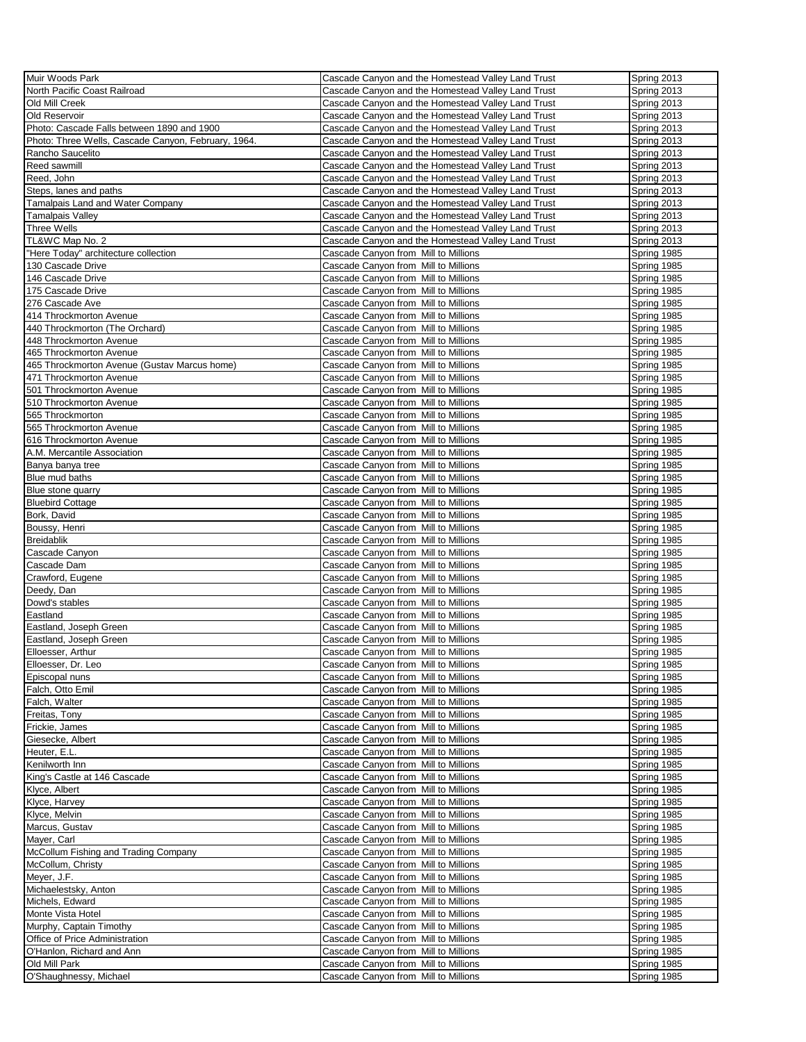| Muir Woods Park                                     | Cascade Canyon and the Homestead Valley Land Trust | Spring 2013 |
|-----------------------------------------------------|----------------------------------------------------|-------------|
| North Pacific Coast Railroad                        | Cascade Canyon and the Homestead Valley Land Trust | Spring 2013 |
| Old Mill Creek                                      | Cascade Canyon and the Homestead Valley Land Trust | Spring 2013 |
| Old Reservoir                                       | Cascade Canyon and the Homestead Valley Land Trust | Spring 2013 |
| Photo: Cascade Falls between 1890 and 1900          | Cascade Canyon and the Homestead Valley Land Trust | Spring 2013 |
| Photo: Three Wells, Cascade Canyon, February, 1964. | Cascade Canyon and the Homestead Valley Land Trust | Spring 2013 |
| Rancho Saucelito                                    | Cascade Canyon and the Homestead Valley Land Trust | Spring 2013 |
| Reed sawmill                                        | Cascade Canyon and the Homestead Valley Land Trust | Spring 2013 |
| Reed, John                                          | Cascade Canyon and the Homestead Valley Land Trust | Spring 2013 |
|                                                     |                                                    |             |
| Steps, lanes and paths                              | Cascade Canyon and the Homestead Valley Land Trust | Spring 2013 |
| Tamalpais Land and Water Company                    | Cascade Canyon and the Homestead Valley Land Trust | Spring 2013 |
| <b>Tamalpais Valley</b>                             | Cascade Canyon and the Homestead Valley Land Trust | Spring 2013 |
| <b>Three Wells</b>                                  | Cascade Canyon and the Homestead Valley Land Trust | Spring 2013 |
| TL&WC Map No. 2                                     | Cascade Canyon and the Homestead Valley Land Trust | Spring 2013 |
| "Here Today" architecture collection                | Cascade Canyon from Mill to Millions               | Spring 1985 |
| 130 Cascade Drive                                   | Cascade Canyon from Mill to Millions               | Spring 1985 |
| 146 Cascade Drive                                   | Cascade Canyon from Mill to Millions               | Spring 1985 |
| 175 Cascade Drive                                   | Cascade Canyon from Mill to Millions               | Spring 1985 |
| 276 Cascade Ave                                     | Cascade Canyon from Mill to Millions               | Spring 1985 |
| 414 Throckmorton Avenue                             | Cascade Canyon from Mill to Millions               | Spring 1985 |
| 440 Throckmorton (The Orchard)                      | Cascade Canyon from Mill to Millions               | Spring 1985 |
| 448 Throckmorton Avenue                             | Cascade Canyon from Mill to Millions               | Spring 1985 |
| 465 Throckmorton Avenue                             | Cascade Canyon from Mill to Millions               | Spring 1985 |
| 465 Throckmorton Avenue (Gustav Marcus home)        | Cascade Canyon from Mill to Millions               | Spring 1985 |
| 471 Throckmorton Avenue                             | Cascade Canyon from Mill to Millions               | Spring 1985 |
| 501 Throckmorton Avenue                             | Cascade Canyon from Mill to Millions               | Spring 1985 |
| 510 Throckmorton Avenue                             | Cascade Canyon from Mill to Millions               | Spring 1985 |
| 565 Throckmorton                                    | Cascade Canyon from Mill to Millions               | Spring 1985 |
| 565 Throckmorton Avenue                             | Cascade Canyon from Mill to Millions               | Spring 1985 |
| 616 Throckmorton Avenue                             | Cascade Canyon from Mill to Millions               | Spring 1985 |
| A.M. Mercantile Association                         | Cascade Canyon from Mill to Millions               | Spring 1985 |
| Banya banya tree                                    | Cascade Canyon from Mill to Millions               | Spring 1985 |
| Blue mud baths                                      | Cascade Canyon from Mill to Millions               | Spring 1985 |
| Blue stone quarry                                   | Cascade Canyon from Mill to Millions               | Spring 1985 |
| <b>Bluebird Cottage</b>                             | Cascade Canyon from Mill to Millions               | Spring 1985 |
| Bork, David                                         | Cascade Canyon from Mill to Millions               | Spring 1985 |
| Boussy, Henri                                       |                                                    |             |
| <b>Breidablik</b>                                   | Cascade Canyon from Mill to Millions               | Spring 1985 |
|                                                     | Cascade Canyon from Mill to Millions               | Spring 1985 |
| Cascade Canyon                                      | Cascade Canyon from Mill to Millions               | Spring 1985 |
| Cascade Dam                                         | Cascade Canyon from Mill to Millions               | Spring 1985 |
| Crawford, Eugene                                    | Cascade Canyon from Mill to Millions               | Spring 1985 |
| Deedy, Dan                                          | Cascade Canyon from Mill to Millions               | Spring 1985 |
| Dowd's stables                                      | Cascade Canyon from Mill to Millions               | Spring 1985 |
| Eastland                                            | Cascade Canyon from Mill to Millions               | Spring 1985 |
| Eastland, Joseph Green                              | Cascade Canyon from Mill to Millions               | Spring 1985 |
| Eastland, Joseph Green                              | Cascade Canyon from Mill to Millions               | Spring 1985 |
| Elloesser, Arthur                                   | Cascade Canyon from Mill to Millions               | Spring 1985 |
| Elloesser, Dr. Leo                                  | Cascade Canyon from Mill to Millions               | Spring 1985 |
| Episcopal nuns                                      | Cascade Canyon from Mill to Millions               | Spring 1985 |
| Falch, Otto Emil                                    | Cascade Canyon from Mill to Millions               | Spring 1985 |
| Falch, Walter                                       | Cascade Canyon from Mill to Millions               | Spring 1985 |
| Freitas, Tony                                       | Cascade Canyon from Mill to Millions               | Spring 1985 |
| Frickie, James                                      | Cascade Canyon from Mill to Millions               | Spring 1985 |
| Giesecke, Albert                                    | Cascade Canyon from Mill to Millions               | Spring 1985 |
| Heuter, E.L.                                        | Cascade Canyon from Mill to Millions               | Spring 1985 |
| Kenilworth Inn                                      | Cascade Canyon from Mill to Millions               | Spring 1985 |
| King's Castle at 146 Cascade                        | Cascade Canvon from Mill to Millions               | Spring 1985 |
| Klyce, Albert                                       | Cascade Canyon from Mill to Millions               | Spring 1985 |
| Klyce, Harvey                                       | Cascade Canyon from Mill to Millions               | Spring 1985 |
| Klyce, Melvin                                       | Cascade Canvon from Mill to Millions               | Spring 1985 |
| Marcus, Gustav                                      | Cascade Canyon from Mill to Millions               | Spring 1985 |
| Mayer, Carl                                         | Cascade Canyon from Mill to Millions               | Spring 1985 |
| McCollum Fishing and Trading Company                | Cascade Canyon from Mill to Millions               | Spring 1985 |
| McCollum, Christy                                   | Cascade Canyon from Mill to Millions               | Spring 1985 |
| Meyer, J.F.                                         | Cascade Canyon from Mill to Millions               | Spring 1985 |
| Michaelestsky, Anton                                | Cascade Canyon from Mill to Millions               | Spring 1985 |
| Michels, Edward                                     | Cascade Canyon from Mill to Millions               | Spring 1985 |
| Monte Vista Hotel                                   | Cascade Canyon from Mill to Millions               | Spring 1985 |
| Murphy, Captain Timothy                             |                                                    |             |
|                                                     | Cascade Canyon from Mill to Millions               | Spring 1985 |
| Office of Price Administration                      | Cascade Canyon from Mill to Millions               | Spring 1985 |
| O'Hanlon, Richard and Ann                           | Cascade Canyon from Mill to Millions               | Spring 1985 |
| Old Mill Park                                       | Cascade Canyon from Mill to Millions               | Spring 1985 |
| O'Shaughnessy, Michael                              | Cascade Canyon from Mill to Millions               | Spring 1985 |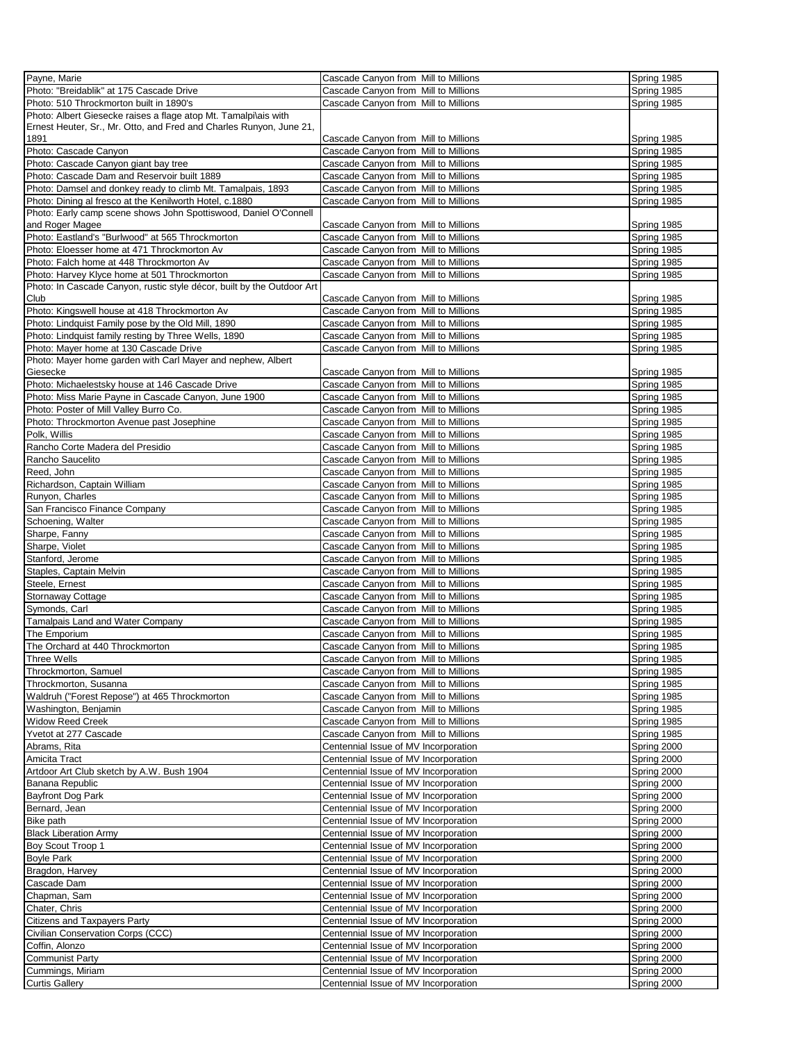| Payne, Marie                                                           | Cascade Canyon from Mill to Millions | Spring 1985        |
|------------------------------------------------------------------------|--------------------------------------|--------------------|
| Photo: "Breidablik" at 175 Cascade Drive                               | Cascade Canyon from Mill to Millions | Spring 1985        |
|                                                                        |                                      |                    |
| Photo: 510 Throckmorton built in 1890's                                | Cascade Canyon from Mill to Millions | Spring 1985        |
| Photo: Albert Giesecke raises a flage atop Mt. Tamalpi\ais with        |                                      |                    |
| Ernest Heuter, Sr., Mr. Otto, and Fred and Charles Runyon, June 21,    |                                      |                    |
| 1891                                                                   | Cascade Canyon from Mill to Millions | Spring 1985        |
| Photo: Cascade Canyon                                                  | Cascade Canvon from Mill to Millions | Spring 1985        |
| Photo: Cascade Canyon giant bay tree                                   | Cascade Canyon from Mill to Millions | Spring 1985        |
| Photo: Cascade Dam and Reservoir built 1889                            | Cascade Canyon from Mill to Millions | Spring 1985        |
| Photo: Damsel and donkey ready to climb Mt. Tamalpais, 1893            | Cascade Canyon from Mill to Millions | Spring 1985        |
| Photo: Dining al fresco at the Kenilworth Hotel, c.1880                | Cascade Canyon from Mill to Millions | Spring 1985        |
| Photo: Early camp scene shows John Spottiswood, Daniel O'Connell       |                                      |                    |
| and Roger Magee                                                        | Cascade Canyon from Mill to Millions | Spring 1985        |
| Photo: Eastland's "Burlwood" at 565 Throckmorton                       | Cascade Canyon from Mill to Millions | Spring 1985        |
| Photo: Eloesser home at 471 Throckmorton Av                            | Cascade Canyon from Mill to Millions | Spring 1985        |
| Photo: Falch home at 448 Throckmorton Av                               | Cascade Canyon from Mill to Millions | Spring 1985        |
| Photo: Harvey Klyce home at 501 Throckmorton                           | Cascade Canyon from Mill to Millions | Spring 1985        |
| Photo: In Cascade Canyon, rustic style décor, built by the Outdoor Art |                                      |                    |
| Club                                                                   | Cascade Canyon from Mill to Millions | Spring 1985        |
| Photo: Kingswell house at 418 Throckmorton Av                          | Cascade Canyon from Mill to Millions | Spring 1985        |
| Photo: Lindquist Family pose by the Old Mill, 1890                     | Cascade Canyon from Mill to Millions | Spring 1985        |
| Photo: Lindquist family resting by Three Wells, 1890                   | Cascade Canyon from Mill to Millions | Spring 1985        |
| Photo: Mayer home at 130 Cascade Drive                                 | Cascade Canyon from Mill to Millions | Spring 1985        |
| Photo: Mayer home garden with Carl Mayer and nephew, Albert            |                                      |                    |
| Giesecke                                                               | Cascade Canyon from Mill to Millions | Spring 1985        |
| Photo: Michaelestsky house at 146 Cascade Drive                        | Cascade Canyon from Mill to Millions | Spring 1985        |
| Photo: Miss Marie Payne in Cascade Canyon, June 1900                   | Cascade Canyon from Mill to Millions | Spring 1985        |
| Photo: Poster of Mill Valley Burro Co.                                 | Cascade Canyon from Mill to Millions | Spring 1985        |
| Photo: Throckmorton Avenue past Josephine                              | Cascade Canyon from Mill to Millions | Spring 1985        |
| Polk, Willis                                                           | Cascade Canyon from Mill to Millions | Spring 1985        |
| Rancho Corte Madera del Presidio                                       | Cascade Canyon from Mill to Millions | Spring 1985        |
| Rancho Saucelito                                                       | Cascade Canyon from Mill to Millions | Spring 1985        |
| Reed, John                                                             | Cascade Canyon from Mill to Millions | Spring 1985        |
| Richardson, Captain William                                            | Cascade Canyon from Mill to Millions | Spring 1985        |
|                                                                        |                                      |                    |
| Runyon, Charles                                                        | Cascade Canyon from Mill to Millions | Spring 1985        |
| San Francisco Finance Company                                          | Cascade Canyon from Mill to Millions | Spring 1985        |
| Schoening, Walter                                                      | Cascade Canyon from Mill to Millions | Spring 1985        |
| Sharpe, Fanny                                                          | Cascade Canyon from Mill to Millions | Spring 1985        |
| Sharpe, Violet                                                         | Cascade Canyon from Mill to Millions | Spring 1985        |
| Stanford, Jerome                                                       | Cascade Canyon from Mill to Millions | <b>Spring 1985</b> |
| Staples, Captain Melvin                                                | Cascade Canyon from Mill to Millions | Spring 1985        |
| Steele, Ernest                                                         | Cascade Canyon from Mill to Millions | Spring 1985        |
| Stornaway Cottage                                                      | Cascade Canyon from Mill to Millions | Spring 1985        |
| Symonds, Carl                                                          | Cascade Canyon from Mill to Millions | Spring 1985        |
| Tamalpais Land and Water Company                                       | Cascade Canyon from Mill to Millions | Spring 1985        |
| The Emporium                                                           | Cascade Canyon from Mill to Millions | Spring 1985        |
| The Orchard at 440 Throckmorton                                        | Cascade Canyon from Mill to Millions | Spring 1985        |
| <b>Three Wells</b>                                                     | Cascade Canyon from Mill to Millions | Spring 1985        |
| Throckmorton, Samuel                                                   | Cascade Canyon from Mill to Millions | Spring 1985        |
| Throckmorton, Susanna                                                  | Cascade Canyon from Mill to Millions | Spring 1985        |
| Waldruh ("Forest Repose") at 465 Throckmorton                          | Cascade Canyon from Mill to Millions | Spring 1985        |
| Washington, Benjamin                                                   | Cascade Canyon from Mill to Millions | Spring 1985        |
| <b>Widow Reed Creek</b>                                                | Cascade Canyon from Mill to Millions | Spring 1985        |
| Yvetot at 277 Cascade                                                  | Cascade Canyon from Mill to Millions | Spring 1985        |
| Abrams, Rita                                                           | Centennial Issue of MV Incorporation | Spring 2000        |
| Amicita Tract                                                          | Centennial Issue of MV Incorporation | Spring 2000        |
| Artdoor Art Club sketch by A.W. Bush 1904                              | Centennial Issue of MV Incorporation | Spring 2000        |
| Banana Republic                                                        | Centennial Issue of MV Incorporation | Spring 2000        |
| <b>Bayfront Dog Park</b>                                               | Centennial Issue of MV Incorporation | Spring 2000        |
| Bernard, Jean                                                          | Centennial Issue of MV Incorporation | Spring 2000        |
| Bike path                                                              | Centennial Issue of MV Incorporation | Spring 2000        |
| <b>Black Liberation Army</b>                                           | Centennial Issue of MV Incorporation | Spring 2000        |
| Boy Scout Troop 1                                                      | Centennial Issue of MV Incorporation | Spring 2000        |
| <b>Boyle Park</b>                                                      | Centennial Issue of MV Incorporation | Spring 2000        |
| Bragdon, Harvey                                                        | Centennial Issue of MV Incorporation | Spring 2000        |
| Cascade Dam                                                            | Centennial Issue of MV Incorporation | Spring 2000        |
| Chapman, Sam                                                           | Centennial Issue of MV Incorporation | Spring 2000        |
| Chater, Chris                                                          | Centennial Issue of MV Incorporation | Spring 2000        |
| Citizens and Taxpayers Party                                           | Centennial Issue of MV Incorporation | Spring 2000        |
| Civilian Conservation Corps (CCC)                                      | Centennial Issue of MV Incorporation | Spring 2000        |
| Coffin, Alonzo                                                         | Centennial Issue of MV Incorporation | Spring 2000        |
| <b>Communist Party</b>                                                 | Centennial Issue of MV Incorporation | Spring 2000        |
| Cummings, Miriam                                                       | Centennial Issue of MV Incorporation | Spring 2000        |
| <b>Curtis Gallery</b>                                                  | Centennial Issue of MV Incorporation | Spring 2000        |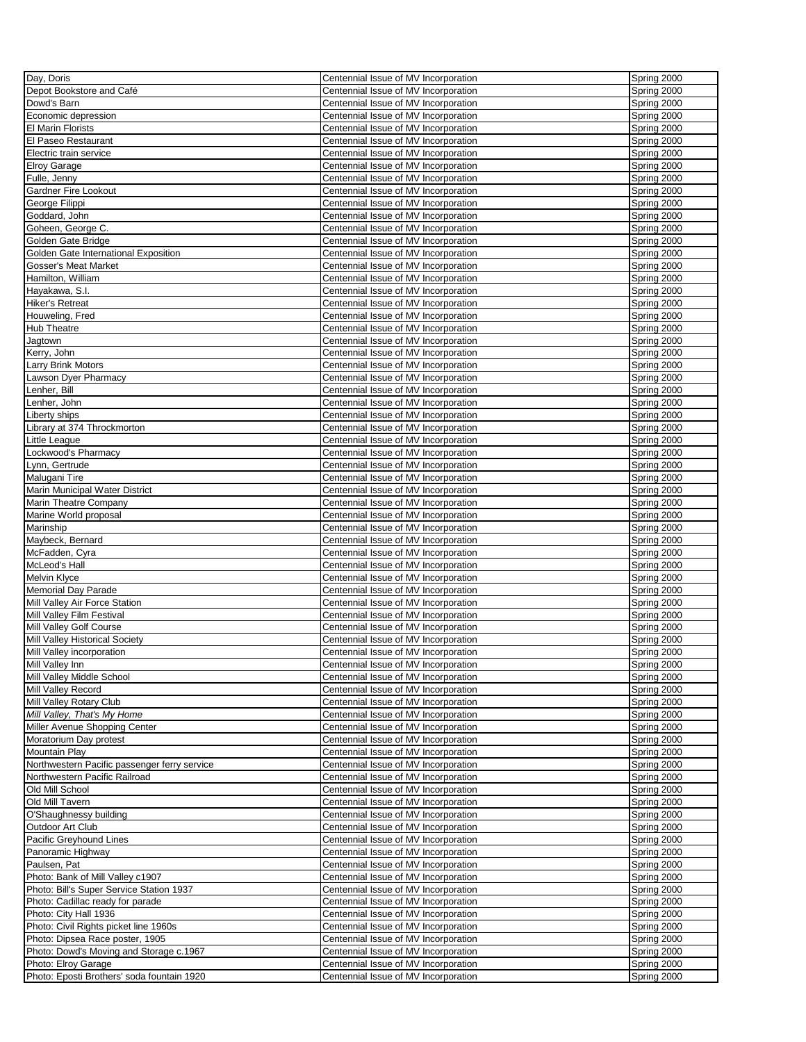| Day, Doris                                                                    | Centennial Issue of MV Incorporation                                         | Spring 2000                |
|-------------------------------------------------------------------------------|------------------------------------------------------------------------------|----------------------------|
| Depot Bookstore and Café                                                      | Centennial Issue of MV Incorporation                                         | Spring 2000                |
| Dowd's Barn                                                                   | Centennial Issue of MV Incorporation                                         | Spring 2000                |
| Economic depression                                                           | Centennial Issue of MV Incorporation                                         | Spring 2000                |
| <b>El Marin Florists</b>                                                      | Centennial Issue of MV Incorporation                                         | Spring 2000                |
| El Paseo Restaurant                                                           | Centennial Issue of MV Incorporation                                         | Spring 2000                |
| Electric train service                                                        | Centennial Issue of MV Incorporation                                         | Spring 2000                |
| <b>Elroy Garage</b>                                                           | Centennial Issue of MV Incorporation                                         | Spring 2000                |
| Fulle, Jenny                                                                  | Centennial Issue of MV Incorporation                                         | Spring 2000                |
| <b>Gardner Fire Lookout</b>                                                   | Centennial Issue of MV Incorporation                                         | Spring 2000                |
| George Filippi                                                                | Centennial Issue of MV Incorporation                                         | Spring 2000                |
| Goddard, John                                                                 | Centennial Issue of MV Incorporation                                         | Spring 2000                |
| Goheen, George C.                                                             | Centennial Issue of MV Incorporation                                         | Spring 2000                |
| Golden Gate Bridge                                                            | Centennial Issue of MV Incorporation                                         | Spring 2000                |
| Golden Gate International Exposition                                          | Centennial Issue of MV Incorporation                                         | Spring 2000                |
| Gosser's Meat Market                                                          | Centennial Issue of MV Incorporation                                         | Spring 2000                |
| Hamilton, William                                                             | Centennial Issue of MV Incorporation                                         | Spring 2000                |
| Hayakawa, S.I.                                                                | Centennial Issue of MV Incorporation                                         | Spring 2000                |
| <b>Hiker's Retreat</b>                                                        | Centennial Issue of MV Incorporation                                         | Spring 2000                |
| Houweling, Fred                                                               | Centennial Issue of MV Incorporation                                         | Spring 2000                |
| <b>Hub Theatre</b>                                                            | Centennial Issue of MV Incorporation                                         | Spring 2000                |
| Jagtown                                                                       | Centennial Issue of MV Incorporation                                         | Spring 2000                |
| Kerry, John                                                                   | Centennial Issue of MV Incorporation                                         | Spring 2000                |
| Larry Brink Motors                                                            | Centennial Issue of MV Incorporation                                         | Spring 2000                |
| Lawson Dyer Pharmacy                                                          | Centennial Issue of MV Incorporation                                         | Spring 2000                |
| Lenher, Bill                                                                  | Centennial Issue of MV Incorporation                                         | Spring 2000                |
| Lenher, John                                                                  | Centennial Issue of MV Incorporation                                         | Spring 2000                |
| _iberty ships                                                                 | Centennial Issue of MV Incorporation                                         | Spring 2000                |
| Library at 374 Throckmorton                                                   | Centennial Issue of MV Incorporation                                         | Spring 2000                |
| Little League                                                                 | Centennial Issue of MV Incorporation                                         | Spring 2000                |
| Lockwood's Pharmacy                                                           | Centennial Issue of MV Incorporation                                         | Spring 2000                |
| Lynn, Gertrude                                                                | Centennial Issue of MV Incorporation                                         | Spring 2000                |
| Malugani Tire                                                                 | Centennial Issue of MV Incorporation                                         | Spring 2000                |
| Marin Municipal Water District                                                | Centennial Issue of MV Incorporation                                         | Spring 2000                |
| Marin Theatre Company                                                         | Centennial Issue of MV Incorporation                                         | Spring 2000                |
| Marine World proposal                                                         | Centennial Issue of MV Incorporation                                         | Spring 2000                |
| Marinship                                                                     | Centennial Issue of MV Incorporation                                         | Spring 2000                |
| Maybeck, Bernard                                                              | Centennial Issue of MV Incorporation                                         | Spring 2000                |
| McFadden, Cyra                                                                | Centennial Issue of MV Incorporation                                         | Spring 2000                |
| McLeod's Hall                                                                 | Centennial Issue of MV Incorporation                                         | Spring 2000                |
| <b>Melvin Klyce</b>                                                           | Centennial Issue of MV Incorporation                                         | Spring 2000                |
| <b>Memorial Day Parade</b>                                                    | Centennial Issue of MV Incorporation                                         | Spring 2000                |
| Mill Valley Air Force Station                                                 | Centennial Issue of MV Incorporation                                         | Spring 2000                |
| Mill Valley Film Festival                                                     | Centennial Issue of MV Incorporation                                         | Spring 2000                |
| Mill Valley Golf Course                                                       | Centennial Issue of MV Incorporation                                         | Spring 2000                |
| Mill Valley Historical Society                                                | Centennial Issue of MV Incorporation                                         | Spring 2000                |
| Mill Valley incorporation                                                     | Centennial Issue of MV Incorporation                                         | Spring 2000                |
| Mill Valley Inn                                                               | Centennial Issue of MV Incorporation                                         | Spring 2000                |
| Mill Valley Middle School                                                     | Centennial Issue of MV Incorporation                                         | Spring 2000                |
| Mill Valley Record                                                            | Centennial Issue of MV Incorporation                                         | Spring 2000                |
| Mill Valley Rotary Club                                                       | Centennial Issue of MV Incorporation                                         | Spring 2000                |
| Mill Valley, That's My Home                                                   | Centennial Issue of MV Incorporation                                         | Spring 2000                |
| Miller Avenue Shopping Center                                                 | Centennial Issue of MV Incorporation                                         | Spring 2000                |
| Moratorium Day protest<br><b>Mountain Play</b>                                | Centennial Issue of MV Incorporation<br>Centennial Issue of MV Incorporation | Spring 2000<br>Spring 2000 |
|                                                                               | Centennial Issue of MV Incorporation                                         |                            |
| Northwestern Pacific passenger ferry service<br>Northwestern Pacific Railroad | Centennial Issue of MV Incorporation                                         | Spring 2000<br>Spring 2000 |
| Old Mill School                                                               | Centennial Issue of MV Incorporation                                         | Spring 2000                |
| Old Mill Tavern                                                               | Centennial Issue of MV Incorporation                                         | Spring 2000                |
| O'Shaughnessy building                                                        | Centennial Issue of MV Incorporation                                         | Spring 2000                |
| Outdoor Art Club                                                              | Centennial Issue of MV Incorporation                                         | Spring 2000                |
| Pacific Greyhound Lines                                                       | Centennial Issue of MV Incorporation                                         | Spring 2000                |
| Panoramic Highway                                                             | Centennial Issue of MV Incorporation                                         | Spring 2000                |
| Paulsen, Pat                                                                  | Centennial Issue of MV Incorporation                                         | Spring 2000                |
| Photo: Bank of Mill Valley c1907                                              | Centennial Issue of MV Incorporation                                         | Spring 2000                |
| Photo: Bill's Super Service Station 1937                                      | Centennial Issue of MV Incorporation                                         | Spring 2000                |
| Photo: Cadillac ready for parade                                              | Centennial Issue of MV Incorporation                                         | Spring 2000                |
| Photo: City Hall 1936                                                         | Centennial Issue of MV Incorporation                                         | Spring 2000                |
| Photo: Civil Rights picket line 1960s                                         | Centennial Issue of MV Incorporation                                         | Spring 2000                |
| Photo: Dipsea Race poster, 1905                                               | Centennial Issue of MV Incorporation                                         | Spring 2000                |
| Photo: Dowd's Moving and Storage c.1967                                       | Centennial Issue of MV Incorporation                                         | Spring 2000                |
| Photo: Elroy Garage                                                           | Centennial Issue of MV Incorporation                                         | Spring 2000                |
| Photo: Eposti Brothers' soda fountain 1920                                    | Centennial Issue of MV Incorporation                                         | Spring 2000                |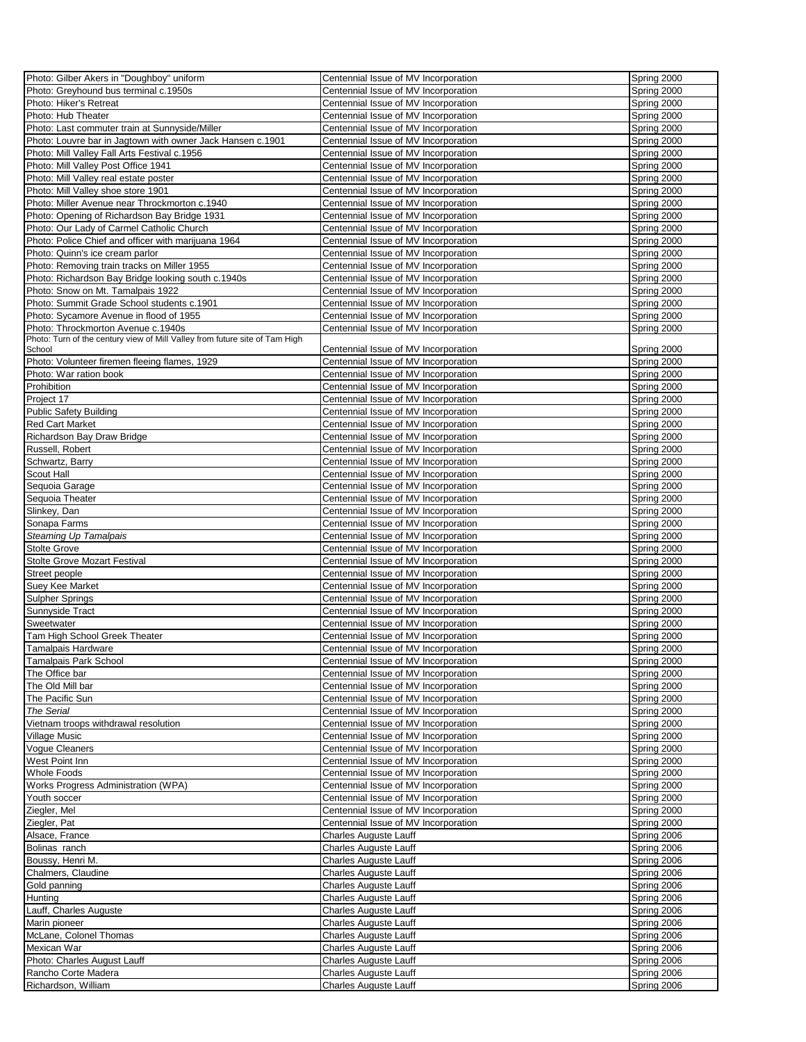| Photo: Gilber Akers in "Doughboy" uniform                                             | Centennial Issue of MV Incorporation | Spring 2000 |
|---------------------------------------------------------------------------------------|--------------------------------------|-------------|
| Photo: Greyhound bus terminal c.1950s                                                 | Centennial Issue of MV Incorporation | Spring 2000 |
| Photo: Hiker's Retreat                                                                | Centennial Issue of MV Incorporation | Spring 2000 |
| Photo: Hub Theater                                                                    | Centennial Issue of MV Incorporation | Spring 2000 |
| Photo: Last commuter train at Sunnyside/Miller                                        | Centennial Issue of MV Incorporation | Spring 2000 |
| Photo: Louvre bar in Jagtown with owner Jack Hansen c.1901                            | Centennial Issue of MV Incorporation | Spring 2000 |
| Photo: Mill Valley Fall Arts Festival c.1956                                          | Centennial Issue of MV Incorporation | Spring 2000 |
| Photo: Mill Valley Post Office 1941                                                   | Centennial Issue of MV Incorporation | Spring 2000 |
| Photo: Mill Valley real estate poster                                                 | Centennial Issue of MV Incorporation | Spring 2000 |
| Photo: Mill Valley shoe store 1901                                                    | Centennial Issue of MV Incorporation | Spring 2000 |
| Photo: Miller Avenue near Throckmorton c.1940                                         | Centennial Issue of MV Incorporation | Spring 2000 |
| Photo: Opening of Richardson Bay Bridge 1931                                          | Centennial Issue of MV Incorporation | Spring 2000 |
| Photo: Our Lady of Carmel Catholic Church                                             | Centennial Issue of MV Incorporation | Spring 2000 |
| Photo: Police Chief and officer with marijuana 1964                                   | Centennial Issue of MV Incorporation | Spring 2000 |
| Photo: Quinn's ice cream parlor                                                       | Centennial Issue of MV Incorporation | Spring 2000 |
| Photo: Removing train tracks on Miller 1955                                           | Centennial Issue of MV Incorporation | Spring 2000 |
|                                                                                       |                                      |             |
| Photo: Richardson Bay Bridge looking south c.1940s                                    | Centennial Issue of MV Incorporation | Spring 2000 |
| Photo: Snow on Mt. Tamalpais 1922                                                     | Centennial Issue of MV Incorporation | Spring 2000 |
| Photo: Summit Grade School students c.1901                                            | Centennial Issue of MV Incorporation | Spring 2000 |
| Photo: Sycamore Avenue in flood of 1955                                               | Centennial Issue of MV Incorporation | Spring 2000 |
| Photo: Throckmorton Avenue c.1940s                                                    | Centennial Issue of MV Incorporation | Spring 2000 |
| Photo: Turn of the century view of Mill Valley from future site of Tam High<br>School | Centennial Issue of MV Incorporation | Spring 2000 |
| Photo: Volunteer firemen fleeing flames, 1929                                         | Centennial Issue of MV Incorporation | Spring 2000 |
| Photo: War ration book                                                                | Centennial Issue of MV Incorporation | Spring 2000 |
| Prohibition                                                                           | Centennial Issue of MV Incorporation | Spring 2000 |
| Project 17                                                                            | Centennial Issue of MV Incorporation | Spring 2000 |
| <b>Public Safety Building</b>                                                         | Centennial Issue of MV Incorporation | Spring 2000 |
| <b>Red Cart Market</b>                                                                |                                      | Spring 2000 |
|                                                                                       | Centennial Issue of MV Incorporation |             |
| Richardson Bay Draw Bridge                                                            | Centennial Issue of MV Incorporation | Spring 2000 |
| Russell, Robert                                                                       | Centennial Issue of MV Incorporation | Spring 2000 |
| Schwartz, Barry                                                                       | Centennial Issue of MV Incorporation | Spring 2000 |
| Scout Hall                                                                            | Centennial Issue of MV Incorporation | Spring 2000 |
| Sequoia Garage                                                                        | Centennial Issue of MV Incorporation | Spring 2000 |
| Sequoia Theater                                                                       | Centennial Issue of MV Incorporation | Spring 2000 |
| Slinkey, Dan                                                                          | Centennial Issue of MV Incorporation | Spring 2000 |
| Sonapa Farms                                                                          | Centennial Issue of MV Incorporation | Spring 2000 |
| Steaming Up Tamalpais                                                                 | Centennial Issue of MV Incorporation | Spring 2000 |
| <b>Stolte Grove</b>                                                                   | Centennial Issue of MV Incorporation | Spring 2000 |
| <b>Stolte Grove Mozart Festival</b>                                                   | Centennial Issue of MV Incorporation | Spring 2000 |
| Street people                                                                         | Centennial Issue of MV Incorporation | Spring 2000 |
| Suey Kee Market                                                                       | Centennial Issue of MV Incorporation | Spring 2000 |
| Sulpher Springs                                                                       | Centennial Issue of MV Incorporation | Spring 2000 |
| Sunnyside Tract                                                                       | Centennial Issue of MV Incorporation | Spring 2000 |
| Sweetwater                                                                            | Centennial Issue of MV Incorporation | Spring 2000 |
| Tam High School Greek Theater                                                         | Centennial Issue of MV Incorporation | Spring 2000 |
| Tamalpais Hardware                                                                    | Centennial Issue of MV Incorporation | Spring 2000 |
| Tamalpais Park School                                                                 | Centennial Issue of MV Incorporation | Spring 2000 |
| The Office bar                                                                        | Centennial Issue of MV Incorporation | Spring 2000 |
| The Old Mill bar                                                                      | Centennial Issue of MV Incorporation | Spring 2000 |
| The Pacific Sun                                                                       | Centennial Issue of MV Incorporation | Spring 2000 |
| The Serial                                                                            | Centennial Issue of MV Incorporation | Spring 2000 |
| Vietnam troops withdrawal resolution                                                  | Centennial Issue of MV Incorporation | Spring 2000 |
| Village Music                                                                         | Centennial Issue of MV Incorporation | Spring 2000 |
| Vogue Cleaners                                                                        | Centennial Issue of MV Incorporation | Spring 2000 |
| West Point Inn                                                                        | Centennial Issue of MV Incorporation | Spring 2000 |
| <b>Whole Foods</b>                                                                    | Centennial Issue of MV Incorporation | Spring 2000 |
| Works Progress Administration (WPA)                                                   | Centennial Issue of MV Incorporation | Spring 2000 |
| Youth soccer                                                                          | Centennial Issue of MV Incorporation | Spring 2000 |
| Ziegler, Mel                                                                          | Centennial Issue of MV Incorporation | Spring 2000 |
| Ziegler, Pat                                                                          | Centennial Issue of MV Incorporation | Spring 2000 |
| Alsace, France                                                                        | Charles Auguste Lauff                | Spring 2006 |
| Bolinas ranch                                                                         | <b>Charles Auguste Lauff</b>         | Spring 2006 |
| Boussy, Henri M.                                                                      | Charles Auguste Lauff                | Spring 2006 |
| Chalmers, Claudine                                                                    | Charles Auguste Lauff                | Spring 2006 |
| Gold panning                                                                          | <b>Charles Auguste Lauff</b>         | Spring 2006 |
| Hunting                                                                               | <b>Charles Auguste Lauff</b>         | Spring 2006 |
| Lauff, Charles Auguste                                                                | <b>Charles Auguste Lauff</b>         | Spring 2006 |
| Marin pioneer                                                                         | Charles Auguste Lauff                | Spring 2006 |
| McLane, Colonel Thomas                                                                | <b>Charles Auguste Lauff</b>         | Spring 2006 |
| Mexican War                                                                           | Charles Auguste Lauff                | Spring 2006 |
| Photo: Charles August Lauff                                                           | <b>Charles Auguste Lauff</b>         | Spring 2006 |
| Rancho Corte Madera                                                                   | <b>Charles Auguste Lauff</b>         | Spring 2006 |
|                                                                                       |                                      |             |
| Richardson, William                                                                   | <b>Charles Auguste Lauff</b>         | Spring 2006 |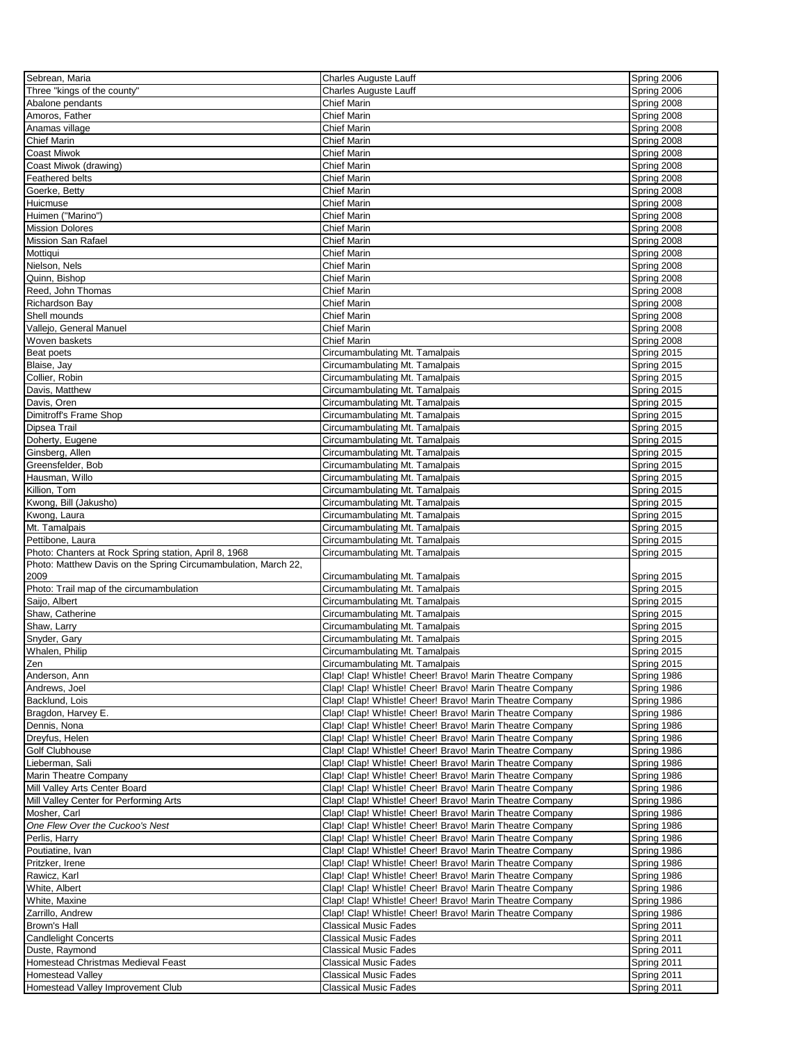| Sebrean, Maria                                                 | <b>Charles Auguste Lauff</b>                                                                                         | Spring 2006                |
|----------------------------------------------------------------|----------------------------------------------------------------------------------------------------------------------|----------------------------|
| Three "kings of the county"                                    | <b>Charles Auguste Lauff</b>                                                                                         | Spring 2006                |
| Abalone pendants                                               | <b>Chief Marin</b>                                                                                                   | Spring 2008                |
| Amoros, Father                                                 | <b>Chief Marin</b>                                                                                                   | Spring 2008                |
| Anamas village                                                 | <b>Chief Marin</b>                                                                                                   | Spring 2008                |
| <b>Chief Marin</b>                                             | <b>Chief Marin</b>                                                                                                   | Spring 2008                |
| <b>Coast Miwok</b>                                             | <b>Chief Marin</b>                                                                                                   | Spring 2008                |
| Coast Miwok (drawing)                                          | <b>Chief Marin</b>                                                                                                   | Spring 2008                |
| Feathered belts                                                | <b>Chief Marin</b>                                                                                                   | Spring 2008                |
| Goerke, Betty                                                  | <b>Chief Marin</b>                                                                                                   | Spring 2008                |
| Huicmuse                                                       | <b>Chief Marin</b>                                                                                                   | Spring 2008                |
| Huimen ("Marino")                                              | <b>Chief Marin</b>                                                                                                   | Spring 2008                |
| <b>Mission Dolores</b>                                         | <b>Chief Marin</b>                                                                                                   | Spring 2008                |
| Mission San Rafael                                             | <b>Chief Marin</b>                                                                                                   | Spring 2008                |
| Mottiqui                                                       | <b>Chief Marin</b>                                                                                                   | Spring 2008                |
| Nielson, Nels                                                  | <b>Chief Marin</b>                                                                                                   | Spring 2008                |
| Quinn, Bishop                                                  | <b>Chief Marin</b>                                                                                                   | Spring 2008                |
| Reed, John Thomas                                              | <b>Chief Marin</b>                                                                                                   | Spring 2008                |
| Richardson Bay                                                 | <b>Chief Marin</b>                                                                                                   | Spring 2008                |
| Shell mounds                                                   | <b>Chief Marin</b>                                                                                                   | Spring 2008                |
| Vallejo, General Manuel                                        | <b>Chief Marin</b>                                                                                                   | Spring 2008                |
| Woven baskets                                                  | <b>Chief Marin</b>                                                                                                   | Spring 2008                |
| Beat poets                                                     | Circumambulating Mt. Tamalpais                                                                                       | Spring 2015                |
| Blaise, Jay                                                    | Circumambulating Mt. Tamalpais                                                                                       | Spring 2015                |
| Collier, Robin                                                 | Circumambulating Mt. Tamalpais                                                                                       | Spring 2015                |
| Davis, Matthew                                                 | Circumambulating Mt. Tamalpais                                                                                       | Spring 2015                |
| Davis, Oren                                                    | Circumambulating Mt. Tamalpais                                                                                       | Spring 2015                |
| Dimitroff's Frame Shop                                         | Circumambulating Mt. Tamalpais                                                                                       | Spring 2015                |
| Dipsea Trail                                                   | Circumambulating Mt. Tamalpais                                                                                       | Spring 2015                |
| Doherty, Eugene                                                | Circumambulating Mt. Tamalpais                                                                                       | Spring 2015                |
| Ginsberg, Allen                                                | Circumambulating Mt. Tamalpais                                                                                       | Spring 2015                |
| Greensfelder, Bob                                              | Circumambulating Mt. Tamalpais                                                                                       | Spring 2015                |
| Hausman, Willo                                                 | Circumambulating Mt. Tamalpais                                                                                       | Spring 2015                |
| Killion, Tom                                                   | Circumambulating Mt. Tamalpais                                                                                       | Spring 2015                |
| Kwong, Bill (Jakusho)                                          | Circumambulating Mt. Tamalpais                                                                                       | Spring 2015                |
| Kwong, Laura                                                   | Circumambulating Mt. Tamalpais                                                                                       | Spring 2015                |
| Mt. Tamalpais                                                  | Circumambulating Mt. Tamalpais                                                                                       | Spring 2015                |
| Pettibone, Laura                                               | Circumambulating Mt. Tamalpais                                                                                       | Spring 2015                |
| Photo: Chanters at Rock Spring station, April 8, 1968          | Circumambulating Mt. Tamalpais                                                                                       | Spring 2015                |
| Photo: Matthew Davis on the Spring Circumambulation, March 22, |                                                                                                                      |                            |
| 2009                                                           | Circumambulating Mt. Tamalpais                                                                                       | Spring 2015                |
| Photo: Trail map of the circumambulation                       | Circumambulating Mt. Tamalpais                                                                                       | Spring 2015                |
| Saijo, Albert                                                  | Circumambulating Mt. Tamalpais                                                                                       | Spring 2015                |
| Shaw, Catherine                                                | Circumambulating Mt. Tamalpais                                                                                       | Spring 2015                |
| Shaw, Larry                                                    | Circumambulating Mt. Tamalpais                                                                                       | Spring 2015                |
| Snyder, Gary                                                   | Circumambulating Mt. Tamalpais                                                                                       | Spring 2015                |
| Whalen, Philip                                                 | Circumambulating Mt. Tamalpais                                                                                       | Spring 2015                |
| ∠en                                                            | Circumambulating Mt. Tamalpais                                                                                       | Spring 2015                |
| Anderson, Ann                                                  | Clap! Clap! Whistle! Cheer! Bravo! Marin Theatre Company                                                             | Spring 1986                |
| Andrews, Joel                                                  | Clap! Clap! Whistle! Cheer! Bravo! Marin Theatre Company                                                             | Spring 1986                |
| Backlund, Lois                                                 | Clap! Clap! Whistle! Cheer! Bravo! Marin Theatre Company                                                             | Spring 1986                |
| Bragdon, Harvey E.                                             | Clap! Clap! Whistle! Cheer! Bravo! Marin Theatre Company                                                             | Spring 1986                |
| Dennis, Nona                                                   | Clap! Clap! Whistle! Cheer! Bravo! Marin Theatre Company                                                             | Spring 1986                |
| Dreyfus, Helen                                                 | Clap! Clap! Whistle! Cheer! Bravo! Marin Theatre Company                                                             | Spring 1986                |
| Golf Clubhouse                                                 | Clap! Clap! Whistle! Cheer! Bravo! Marin Theatre Company                                                             | Spring 1986                |
| Lieberman, Sali                                                | Clap! Clap! Whistle! Cheer! Bravo! Marin Theatre Company                                                             | Spring 1986                |
| Marin Theatre Company                                          | Clap! Clap! Whistle! Cheer! Bravo! Marin Theatre Company                                                             | Spring 1986                |
| Mill Valley Arts Center Board                                  | Clap! Clap! Whistle! Cheer! Bravo! Marin Theatre Company                                                             | Spring 1986                |
| Mill Valley Center for Performing Arts                         | Clap! Clap! Whistle! Cheer! Bravo! Marin Theatre Company                                                             | Spring 1986                |
| Mosher, Carl                                                   | Clap! Clap! Whistle! Cheer! Bravo! Marin Theatre Company                                                             | Spring 1986                |
| One Flew Over the Cuckoo's Nest                                | Clap! Clap! Whistle! Cheer! Bravo! Marin Theatre Company                                                             | Spring 1986                |
|                                                                |                                                                                                                      |                            |
| Perlis, Harry<br>Poutiatine, Ivan                              | Clap! Clap! Whistle! Cheer! Bravo! Marin Theatre Company<br>Clap! Clap! Whistle! Cheer! Bravo! Marin Theatre Company | Spring 1986<br>Spring 1986 |
| Pritzker, Irene                                                | Clap! Clap! Whistle! Cheer! Bravo! Marin Theatre Company                                                             | Spring 1986                |
| Rawicz, Karl                                                   | Clap! Clap! Whistle! Cheer! Bravo! Marin Theatre Company                                                             | Spring 1986                |
| White, Albert                                                  | Clap! Clap! Whistle! Cheer! Bravo! Marin Theatre Company                                                             | Spring 1986                |
|                                                                |                                                                                                                      |                            |
| White, Maxine                                                  | Clap! Clap! Whistle! Cheer! Bravo! Marin Theatre Company<br>Clap! Clap! Whistle! Cheer! Bravo! Marin Theatre Company | Spring 1986                |
| Zarrillo, Andrew                                               |                                                                                                                      | Spring 1986                |
| Brown's Hall                                                   | <b>Classical Music Fades</b>                                                                                         | Spring 2011                |
| <b>Candlelight Concerts</b>                                    | <b>Classical Music Fades</b>                                                                                         | Spring 2011                |
| Duste, Raymond                                                 | <b>Classical Music Fades</b>                                                                                         | Spring 2011                |
| Homestead Christmas Medieval Feast                             | <b>Classical Music Fades</b>                                                                                         | Spring 2011                |
| <b>Homestead Valley</b>                                        | <b>Classical Music Fades</b><br><b>Classical Music Fades</b>                                                         | Spring 2011<br>Spring 2011 |
| Homestead Valley Improvement Club                              |                                                                                                                      |                            |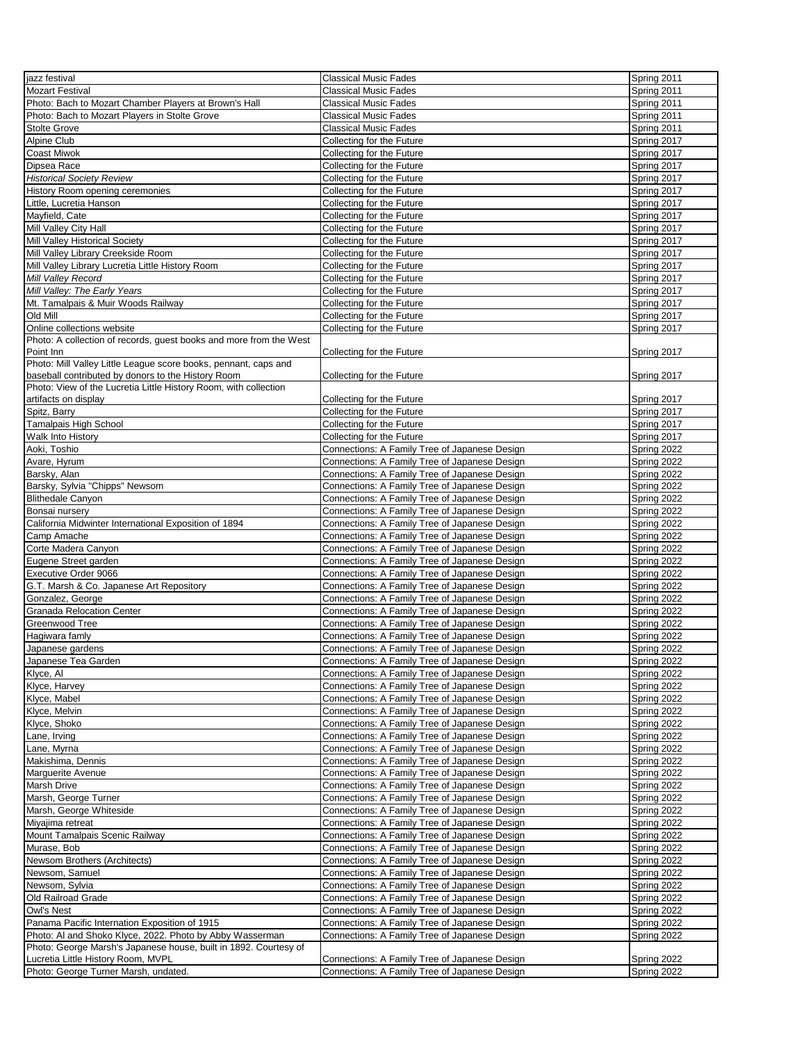| jazz festival                                                      | <b>Classical Music Fades</b>                                                                   | Spring 2011 |
|--------------------------------------------------------------------|------------------------------------------------------------------------------------------------|-------------|
| <b>Mozart Festival</b>                                             | <b>Classical Music Fades</b>                                                                   | Spring 2011 |
| Photo: Bach to Mozart Chamber Players at Brown's Hall              | <b>Classical Music Fades</b>                                                                   | Spring 2011 |
| Photo: Bach to Mozart Players in Stolte Grove                      | <b>Classical Music Fades</b>                                                                   | Spring 2011 |
| <b>Stolte Grove</b>                                                | <b>Classical Music Fades</b>                                                                   | Spring 2011 |
| Alpine Club                                                        | Collecting for the Future                                                                      | Spring 2017 |
| Coast Miwok                                                        | Collecting for the Future                                                                      | Spring 2017 |
| Dipsea Race                                                        | Collecting for the Future                                                                      | Spring 2017 |
|                                                                    |                                                                                                |             |
| <b>Historical Society Review</b>                                   | Collecting for the Future                                                                      | Spring 2017 |
| History Room opening ceremonies                                    | Collecting for the Future                                                                      | Spring 2017 |
| Little, Lucretia Hanson                                            | Collecting for the Future                                                                      | Spring 2017 |
| Mayfield, Cate                                                     | Collecting for the Future                                                                      | Spring 2017 |
| Mill Valley City Hall                                              | Collecting for the Future                                                                      | Spring 2017 |
| Mill Valley Historical Society                                     | Collecting for the Future                                                                      | Spring 2017 |
| Mill Valley Library Creekside Room                                 | Collecting for the Future                                                                      | Spring 2017 |
| Mill Valley Library Lucretia Little History Room                   | Collecting for the Future                                                                      | Spring 2017 |
| Mill Valley Record                                                 | Collecting for the Future                                                                      | Spring 2017 |
| Mill Valley: The Early Years                                       | Collecting for the Future                                                                      | Spring 2017 |
| Mt. Tamalpais & Muir Woods Railway                                 | Collecting for the Future                                                                      | Spring 2017 |
| Old Mill                                                           | Collecting for the Future                                                                      | Spring 2017 |
| Online collections website                                         | Collecting for the Future                                                                      | Spring 2017 |
| Photo: A collection of records, guest books and more from the West |                                                                                                |             |
| Point Inn                                                          | Collecting for the Future                                                                      | Spring 2017 |
| Photo: Mill Valley Little League score books, pennant, caps and    |                                                                                                |             |
| baseball contributed by donors to the History Room                 | Collecting for the Future                                                                      | Spring 2017 |
| Photo: View of the Lucretia Little History Room, with collection   |                                                                                                |             |
| artifacts on display                                               | Collecting for the Future                                                                      | Spring 2017 |
| Spitz, Barry                                                       | Collecting for the Future                                                                      | Spring 2017 |
| Tamalpais High School                                              | Collecting for the Future                                                                      | Spring 2017 |
| Walk Into History                                                  | Collecting for the Future                                                                      | Spring 2017 |
| Aoki, Toshio                                                       | Connections: A Family Tree of Japanese Design                                                  | Spring 2022 |
| Avare, Hyrum                                                       | Connections: A Family Tree of Japanese Design                                                  | Spring 2022 |
| Barsky, Alan                                                       | Connections: A Family Tree of Japanese Design                                                  | Spring 2022 |
| Barsky, Sylvia "Chipps" Newsom                                     | Connections: A Family Tree of Japanese Design                                                  | Spring 2022 |
| <b>Blithedale Canyon</b>                                           | Connections: A Family Tree of Japanese Design                                                  | Spring 2022 |
|                                                                    | Connections: A Family Tree of Japanese Design                                                  | Spring 2022 |
| Bonsai nursery                                                     | Connections: A Family Tree of Japanese Design                                                  | Spring 2022 |
| California Midwinter International Exposition of 1894              |                                                                                                |             |
| Camp Amache                                                        | Connections: A Family Tree of Japanese Design                                                  | Spring 2022 |
| Corte Madera Canyon                                                | Connections: A Family Tree of Japanese Design                                                  | Spring 2022 |
| Eugene Street garden                                               | Connections: A Family Tree of Japanese Design                                                  | Spring 2022 |
| Executive Order 9066                                               | Connections: A Family Tree of Japanese Design                                                  | Spring 2022 |
| G.T. Marsh & Co. Japanese Art Repository                           | Connections: A Family Tree of Japanese Design                                                  | Spring 2022 |
| Gonzalez, George                                                   | Connections: A Family Tree of Japanese Design                                                  | Spring 2022 |
| <b>Granada Relocation Center</b>                                   | Connections: A Family Tree of Japanese Design                                                  | Spring 2022 |
| Greenwood Tree                                                     | Connections: A Family Tree of Japanese Design                                                  | Spring 2022 |
| Hagiwara famly                                                     | Connections: A Family Tree of Japanese Design                                                  | Spring 2022 |
| Japanese gardens                                                   | Connections: A Family Tree of Japanese Design                                                  | Spring 2022 |
| Japanese Tea Garden                                                | Connections: A Family Tree of Japanese Design                                                  | Spring 2022 |
| Klyce, Al                                                          | Connections: A Family Tree of Japanese Design                                                  | Spring 2022 |
| Klyce, Harvey                                                      | Connections: A Family Tree of Japanese Design                                                  | Spring 2022 |
| Klyce, Mabel                                                       | Connections: A Family Tree of Japanese Design                                                  | Spring 2022 |
| Klyce, Melvin                                                      | Connections: A Family Tree of Japanese Design                                                  | Spring 2022 |
| Klyce, Shoko                                                       | Connections: A Family Tree of Japanese Design                                                  | Spring 2022 |
| Lane, Irving                                                       | Connections: A Family Tree of Japanese Design                                                  | Spring 2022 |
| Lane, Myrna                                                        | Connections: A Family Tree of Japanese Design                                                  | Spring 2022 |
| Makishima, Dennis                                                  | Connections: A Family Tree of Japanese Design                                                  | Spring 2022 |
| Marguerite Avenue                                                  | Connections: A Family Tree of Japanese Design                                                  | Spring 2022 |
| Marsh Drive                                                        | Connections: A Family Tree of Japanese Design                                                  | Spring 2022 |
| Marsh, George Turner                                               | Connections: A Family Tree of Japanese Design                                                  | Spring 2022 |
| Marsh, George Whiteside                                            |                                                                                                | Spring 2022 |
|                                                                    | Connections: A Family Tree of Japanese Design<br>Connections: A Family Tree of Japanese Design |             |
| Miyajima retreat                                                   |                                                                                                | Spring 2022 |
| Mount Tamalpais Scenic Railway                                     | Connections: A Family Tree of Japanese Design                                                  | Spring 2022 |
| Murase, Bob                                                        | Connections: A Family Tree of Japanese Design                                                  | Spring 2022 |
| Newsom Brothers (Architects)                                       | Connections: A Family Tree of Japanese Design                                                  | Spring 2022 |
| Newsom, Samuel                                                     | Connections: A Family Tree of Japanese Design                                                  | Spring 2022 |
| Newsom, Sylvia                                                     | Connections: A Family Tree of Japanese Design                                                  | Spring 2022 |
| Old Railroad Grade                                                 | Connections: A Family Tree of Japanese Design                                                  | Spring 2022 |
| Owl's Nest                                                         | Connections: A Family Tree of Japanese Design                                                  | Spring 2022 |
| Panama Pacific Internation Exposition of 1915                      | Connections: A Family Tree of Japanese Design                                                  | Spring 2022 |
| Photo: Al and Shoko Klyce, 2022. Photo by Abby Wasserman           | Connections: A Family Tree of Japanese Design                                                  | Spring 2022 |
| Photo: George Marsh's Japanese house, built in 1892. Courtesy of   |                                                                                                |             |
| Lucretia Little History Room, MVPL                                 | Connections: A Family Tree of Japanese Design                                                  | Spring 2022 |
| Photo: George Turner Marsh, undated.                               | Connections: A Family Tree of Japanese Design                                                  | Spring 2022 |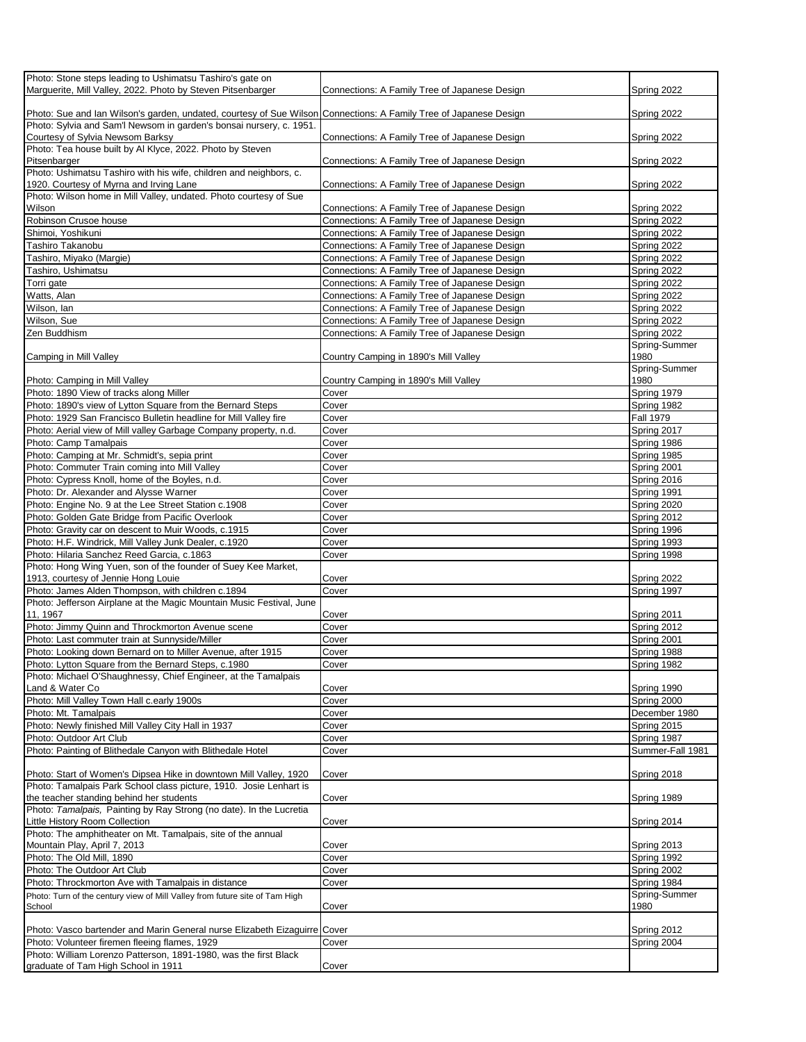| Photo: Stone steps leading to Ushimatsu Tashiro's gate on                                                         |                                               |                  |
|-------------------------------------------------------------------------------------------------------------------|-----------------------------------------------|------------------|
| Marquerite, Mill Valley, 2022. Photo by Steven Pitsenbarger                                                       | Connections: A Family Tree of Japanese Design | Spring 2022      |
|                                                                                                                   |                                               |                  |
|                                                                                                                   |                                               |                  |
| Photo: Sue and Ian Wilson's garden, undated, courtesy of Sue Wilson Connections: A Family Tree of Japanese Design |                                               | Spring 2022      |
| Photo: Sylvia and Sam'l Newsom in garden's bonsai nursery, c. 1951.                                               |                                               |                  |
| Courtesy of Sylvia Newsom Barksy                                                                                  | Connections: A Family Tree of Japanese Design | Spring 2022      |
| Photo: Tea house built by Al Klyce, 2022. Photo by Steven                                                         |                                               |                  |
| Pitsenbarger                                                                                                      | Connections: A Family Tree of Japanese Design | Spring 2022      |
| Photo: Ushimatsu Tashiro with his wife, children and neighbors, c.                                                |                                               |                  |
| 1920. Courtesy of Myrna and Irving Lane                                                                           | Connections: A Family Tree of Japanese Design |                  |
|                                                                                                                   |                                               | Spring 2022      |
| Photo: Wilson home in Mill Valley, undated. Photo courtesy of Sue                                                 |                                               |                  |
| Wilson                                                                                                            | Connections: A Family Tree of Japanese Design | Spring 2022      |
| Robinson Crusoe house                                                                                             | Connections: A Family Tree of Japanese Design | Spring 2022      |
| Shimoi, Yoshikuni                                                                                                 | Connections: A Family Tree of Japanese Design | Spring 2022      |
| Tashiro Takanobu                                                                                                  | Connections: A Family Tree of Japanese Design | Spring 2022      |
|                                                                                                                   |                                               |                  |
| Tashiro, Miyako (Margie)                                                                                          | Connections: A Family Tree of Japanese Design | Spring 2022      |
| Tashiro, Ushimatsu                                                                                                | Connections: A Family Tree of Japanese Design | Spring 2022      |
| Torri gate                                                                                                        | Connections: A Family Tree of Japanese Design | Spring 2022      |
| Watts, Alan                                                                                                       | Connections: A Family Tree of Japanese Design | Spring 2022      |
| Wilson, lan                                                                                                       | Connections: A Family Tree of Japanese Design | Spring 2022      |
|                                                                                                                   |                                               |                  |
| Wilson, Sue                                                                                                       | Connections: A Family Tree of Japanese Design | Spring 2022      |
| Zen Buddhism                                                                                                      | Connections: A Family Tree of Japanese Design | Spring 2022      |
|                                                                                                                   |                                               | Spring-Summer    |
| Camping in Mill Valley                                                                                            | Country Camping in 1890's Mill Valley         | 1980             |
|                                                                                                                   |                                               | Spring-Summer    |
| Photo: Camping in Mill Valley                                                                                     |                                               | 1980             |
|                                                                                                                   | Country Camping in 1890's Mill Valley         |                  |
| Photo: 1890 View of tracks along Miller                                                                           | Cover                                         | Spring 1979      |
| Photo: 1890's view of Lytton Square from the Bernard Steps                                                        | Cover                                         | Spring 1982      |
| Photo: 1929 San Francisco Bulletin headline for Mill Valley fire                                                  | Cover                                         | <b>Fall 1979</b> |
| Photo: Aerial view of Mill valley Garbage Company property, n.d.                                                  | Cover                                         | Spring 2017      |
| Photo: Camp Tamalpais                                                                                             | Cover                                         | Spring 1986      |
|                                                                                                                   |                                               |                  |
| Photo: Camping at Mr. Schmidt's, sepia print                                                                      | Cover                                         | Spring 1985      |
| Photo: Commuter Train coming into Mill Valley                                                                     | Cover                                         | Spring 2001      |
| Photo: Cypress Knoll, home of the Boyles, n.d.                                                                    | Cover                                         | Spring 2016      |
| Photo: Dr. Alexander and Alysse Warner                                                                            | Cover                                         | Spring 1991      |
|                                                                                                                   |                                               |                  |
| Photo: Engine No. 9 at the Lee Street Station c.1908                                                              | Cover                                         | Spring 2020      |
| Photo: Golden Gate Bridge from Pacific Overlook                                                                   | Cover                                         | Spring 2012      |
| Photo: Gravity car on descent to Muir Woods, c.1915                                                               | Cover                                         | Spring 1996      |
| Photo: H.F. Windrick, Mill Valley Junk Dealer, c.1920                                                             | Cover                                         | Spring 1993      |
| Photo: Hilaria Sanchez Reed Garcia, c.1863                                                                        | Cover                                         | Spring 1998      |
|                                                                                                                   |                                               |                  |
| Photo: Hong Wing Yuen, son of the founder of Suey Kee Market,                                                     |                                               |                  |
| 1913, courtesy of Jennie Hong Louie                                                                               | Cover                                         | Spring 2022      |
| Photo: James Alden Thompson, with children c.1894                                                                 | Cover                                         | Spring 1997      |
| Photo: Jefferson Airplane at the Magic Mountain Music Festival, June                                              |                                               |                  |
| 11, 1967                                                                                                          | Cover                                         | Spring 2011      |
| Photo: Jimmy Quinn and Throckmorton Avenue scene                                                                  | Cover                                         | Spring 2012      |
|                                                                                                                   |                                               |                  |
| Photo: Last commuter train at Sunnyside/Miller                                                                    | Cover                                         | Spring 2001      |
| Photo: Looking down Bernard on to Miller Avenue, after 1915                                                       | Cover                                         | Spring 1988      |
| Photo: Lytton Square from the Bernard Steps, c.1980                                                               | Cover                                         | Spring 1982      |
| Photo: Michael O'Shaughnessy, Chief Engineer, at the Tamalpais                                                    |                                               |                  |
| Land & Water Co                                                                                                   | Cover                                         | Spring 1990      |
|                                                                                                                   |                                               |                  |
| Photo: Mill Valley Town Hall c.early 1900s                                                                        | Cover                                         | Spring 2000      |
| Photo: Mt. Tamalpais                                                                                              | Cover                                         | December 1980    |
| Photo: Newly finished Mill Valley City Hall in 1937                                                               | Cover                                         | Spring 2015      |
| Photo: Outdoor Art Club                                                                                           | Cover                                         | Spring 1987      |
| Photo: Painting of Blithedale Canyon with Blithedale Hotel                                                        | Cover                                         | Summer-Fall 1981 |
|                                                                                                                   |                                               |                  |
|                                                                                                                   |                                               |                  |
| Photo: Start of Women's Dipsea Hike in downtown Mill Valley, 1920                                                 | Cover                                         | Spring 2018      |
| Photo: Tamalpais Park School class picture, 1910. Josie Lenhart is                                                |                                               |                  |
| the teacher standing behind her students                                                                          | Cover                                         | Spring 1989      |
| Photo: Tamalpais, Painting by Ray Strong (no date). In the Lucretia                                               |                                               |                  |
| Little History Room Collection                                                                                    | Cover                                         | Spring 2014      |
|                                                                                                                   |                                               |                  |
| Photo: The amphitheater on Mt. Tamalpais, site of the annual                                                      |                                               |                  |
| Mountain Play, April 7, 2013                                                                                      | Cover                                         | Spring 2013      |
| Photo: The Old Mill, 1890                                                                                         | Cover                                         | Spring 1992      |
| Photo: The Outdoor Art Club                                                                                       | Cover                                         | Spring 2002      |
| Photo: Throckmorton Ave with Tamalpais in distance                                                                | Cover                                         | Spring 1984      |
|                                                                                                                   |                                               | Spring-Summer    |
| Photo: Turn of the century view of Mill Valley from future site of Tam High                                       |                                               |                  |
| School                                                                                                            | Cover                                         | 1980             |
|                                                                                                                   |                                               |                  |
| Photo: Vasco bartender and Marin General nurse Elizabeth Eizaguirre Cover                                         |                                               | Spring 2012      |
| Photo: Volunteer firemen fleeing flames, 1929                                                                     | Cover                                         | Spring 2004      |
| Photo: William Lorenzo Patterson, 1891-1980, was the first Black                                                  |                                               |                  |
| graduate of Tam High School in 1911                                                                               | Cover                                         |                  |
|                                                                                                                   |                                               |                  |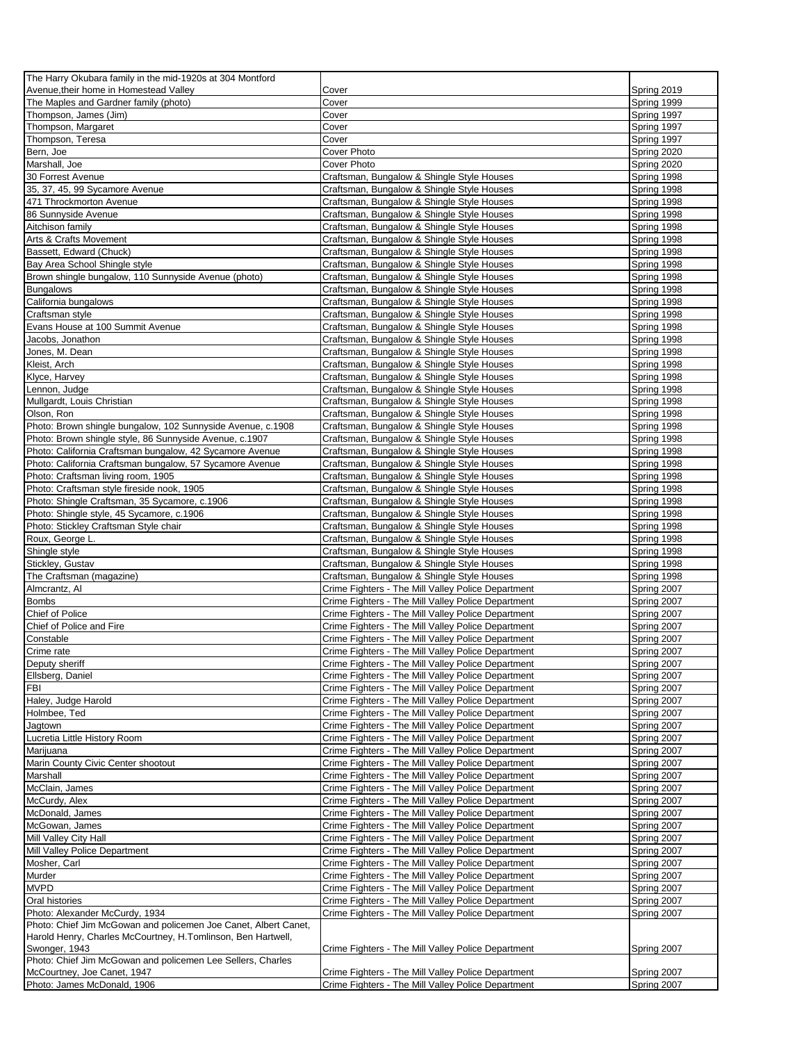| The Harry Okubara family in the mid-1920s at 304 Montford                                  |                                                                                                          |                            |
|--------------------------------------------------------------------------------------------|----------------------------------------------------------------------------------------------------------|----------------------------|
| Avenue, their home in Homestead Valley                                                     | Cover                                                                                                    | Spring 2019                |
| The Maples and Gardner family (photo)                                                      | Cover                                                                                                    | Spring 1999                |
| Thompson, James (Jim)                                                                      | Cover                                                                                                    | Spring 1997                |
| Thompson, Margaret                                                                         | Cover                                                                                                    | Spring 1997                |
| Thompson, Teresa                                                                           | Cover                                                                                                    | Spring 1997                |
| Bern, Joe<br>Marshall, Joe                                                                 | Cover Photo<br>Cover Photo                                                                               | Spring 2020<br>Spring 2020 |
| 30 Forrest Avenue                                                                          | Craftsman, Bungalow & Shingle Style Houses                                                               | Spring 1998                |
| 35, 37, 45, 99 Sycamore Avenue                                                             | Craftsman, Bungalow & Shingle Style Houses                                                               | Spring 1998                |
| 471 Throckmorton Avenue                                                                    | Craftsman, Bungalow & Shingle Style Houses                                                               | Spring 1998                |
| 86 Sunnyside Avenue                                                                        | Craftsman, Bungalow & Shingle Style Houses                                                               | Spring 1998                |
| Aitchison family                                                                           | Craftsman, Bungalow & Shingle Style Houses                                                               | Spring 1998                |
| Arts & Crafts Movement                                                                     | Craftsman, Bungalow & Shingle Style Houses                                                               | Spring 1998                |
| Bassett, Edward (Chuck)                                                                    | Craftsman, Bungalow & Shingle Style Houses                                                               | Spring 1998                |
| Bay Area School Shingle style                                                              | Craftsman, Bungalow & Shingle Style Houses                                                               | Spring 1998                |
| Brown shingle bungalow, 110 Sunnyside Avenue (photo)                                       | Craftsman, Bungalow & Shingle Style Houses                                                               | Spring 1998                |
| <b>Bungalows</b>                                                                           | Craftsman, Bungalow & Shingle Style Houses                                                               | Spring 1998                |
| California bungalows                                                                       | Craftsman, Bungalow & Shingle Style Houses                                                               | Spring 1998                |
| Craftsman style                                                                            | Craftsman, Bungalow & Shingle Style Houses                                                               | Spring 1998                |
| Evans House at 100 Summit Avenue                                                           | Craftsman, Bungalow & Shingle Style Houses                                                               | Spring 1998                |
| Jacobs, Jonathon                                                                           | Craftsman, Bungalow & Shingle Style Houses                                                               | Spring 1998                |
| Jones, M. Dean                                                                             | Craftsman, Bungalow & Shingle Style Houses                                                               | Spring 1998                |
| Kleist, Arch                                                                               | Craftsman, Bungalow & Shingle Style Houses                                                               | Spring 1998                |
| Klyce, Harvey                                                                              | Craftsman, Bungalow & Shingle Style Houses                                                               | Spring 1998                |
| Lennon, Judge                                                                              | Craftsman, Bungalow & Shingle Style Houses                                                               | Spring 1998                |
| Mullgardt, Louis Christian<br>Olson, Ron                                                   | Craftsman, Bungalow & Shingle Style Houses<br>Craftsman, Bungalow & Shingle Style Houses                 | Spring 1998<br>Spring 1998 |
| Photo: Brown shingle bungalow, 102 Sunnyside Avenue, c.1908                                | Craftsman, Bungalow & Shingle Style Houses                                                               | Spring 1998                |
| Photo: Brown shingle style, 86 Sunnyside Avenue, c.1907                                    | Craftsman, Bungalow & Shingle Style Houses                                                               | Spring 1998                |
| Photo: California Craftsman bungalow, 42 Sycamore Avenue                                   | Craftsman, Bungalow & Shingle Style Houses                                                               | Spring 1998                |
| Photo: California Craftsman bungalow, 57 Sycamore Avenue                                   | Craftsman, Bungalow & Shingle Style Houses                                                               | Spring 1998                |
| Photo: Craftsman living room, 1905                                                         | Craftsman, Bungalow & Shingle Style Houses                                                               | Spring 1998                |
| Photo: Craftsman style fireside nook, 1905                                                 | Craftsman, Bungalow & Shingle Style Houses                                                               | Spring 1998                |
| Photo: Shingle Craftsman, 35 Sycamore, c.1906                                              | Craftsman, Bungalow & Shingle Style Houses                                                               | Spring 1998                |
| Photo: Shingle style, 45 Sycamore, c.1906                                                  | Craftsman, Bungalow & Shingle Style Houses                                                               | Spring 1998                |
| Photo: Stickley Craftsman Style chair                                                      | Craftsman, Bungalow & Shingle Style Houses                                                               | Spring 1998                |
|                                                                                            |                                                                                                          |                            |
| Roux, George L.                                                                            | Craftsman, Bungalow & Shingle Style Houses                                                               | Spring 1998                |
| Shingle style                                                                              | Craftsman, Bungalow & Shingle Style Houses                                                               | Spring 1998                |
| Stickley, Gustav                                                                           | Craftsman, Bungalow & Shingle Style Houses                                                               | Spring 1998                |
| The Craftsman (magazine)                                                                   | Craftsman, Bungalow & Shingle Style Houses                                                               | Spring 1998                |
| Almcrantz, Al                                                                              | Crime Fighters - The Mill Valley Police Department                                                       | Spring 2007                |
| <b>Bombs</b>                                                                               | Crime Fighters - The Mill Valley Police Department                                                       | Spring 2007                |
| Chief of Police                                                                            | Crime Fighters - The Mill Valley Police Department                                                       | Spring 2007                |
| Chief of Police and Fire                                                                   | Crime Fighters - The Mill Valley Police Department                                                       | Spring 2007                |
| Constable                                                                                  | Crime Fighters - The Mill Valley Police Department                                                       | Spring 2007                |
| Crime rate                                                                                 | Crime Fighters - The Mill Valley Police Department                                                       | Spring 2007                |
| Deputy sheriff                                                                             | Crime Fighters - The Mill Valley Police Department                                                       | Spring 2007                |
| Ellsberg, Daniel<br>FBI                                                                    | Crime Fighters - The Mill Valley Police Department<br>Crime Fighters - The Mill Valley Police Department | Spring 2007<br>Spring 2007 |
| Haley, Judge Harold                                                                        | Crime Fighters - The Mill Valley Police Department                                                       | Spring 2007                |
| Holmbee, Ted                                                                               | Crime Fighters - The Mill Valley Police Department                                                       | Spring 2007                |
| Jagtown                                                                                    | Crime Fighters - The Mill Valley Police Department                                                       | Spring 2007                |
| Lucretia Little History Room                                                               | Crime Fighters - The Mill Valley Police Department                                                       | Spring 2007                |
| Marijuana                                                                                  | Crime Fighters - The Mill Valley Police Department                                                       | Spring 2007                |
| Marin County Civic Center shootout                                                         | Crime Fighters - The Mill Valley Police Department                                                       | Spring 2007                |
| Marshall                                                                                   | Crime Fighters - The Mill Valley Police Department                                                       | Spring 2007                |
| McClain, James                                                                             | Crime Fighters - The Mill Valley Police Department                                                       | Spring 2007                |
| McCurdy, Alex                                                                              | Crime Fighters - The Mill Valley Police Department                                                       | Spring 2007                |
| McDonald, James                                                                            | Crime Fighters - The Mill Valley Police Department                                                       | Spring 2007                |
| McGowan, James                                                                             | Crime Fighters - The Mill Valley Police Department                                                       | Spring 2007                |
| Mill Valley City Hall                                                                      | Crime Fighters - The Mill Valley Police Department                                                       | Spring 2007                |
| Mill Valley Police Department                                                              | Crime Fighters - The Mill Valley Police Department                                                       | Spring 2007                |
| Mosher, Carl<br>Murder                                                                     | Crime Fighters - The Mill Valley Police Department                                                       | Spring 2007                |
| <b>MVPD</b>                                                                                | Crime Fighters - The Mill Valley Police Department<br>Crime Fighters - The Mill Valley Police Department | Spring 2007<br>Spring 2007 |
| Oral histories                                                                             | Crime Fighters - The Mill Valley Police Department                                                       | Spring 2007                |
| Photo: Alexander McCurdy, 1934                                                             | Crime Fighters - The Mill Valley Police Department                                                       | Spring 2007                |
| Photo: Chief Jim McGowan and policemen Joe Canet, Albert Canet,                            |                                                                                                          |                            |
| Harold Henry, Charles McCourtney, H.Tomlinson, Ben Hartwell,                               |                                                                                                          |                            |
| Swonger, 1943                                                                              | Crime Fighters - The Mill Valley Police Department                                                       | Spring 2007                |
| Photo: Chief Jim McGowan and policemen Lee Sellers, Charles<br>McCourtney, Joe Canet, 1947 | Crime Fighters - The Mill Valley Police Department                                                       | Spring 2007                |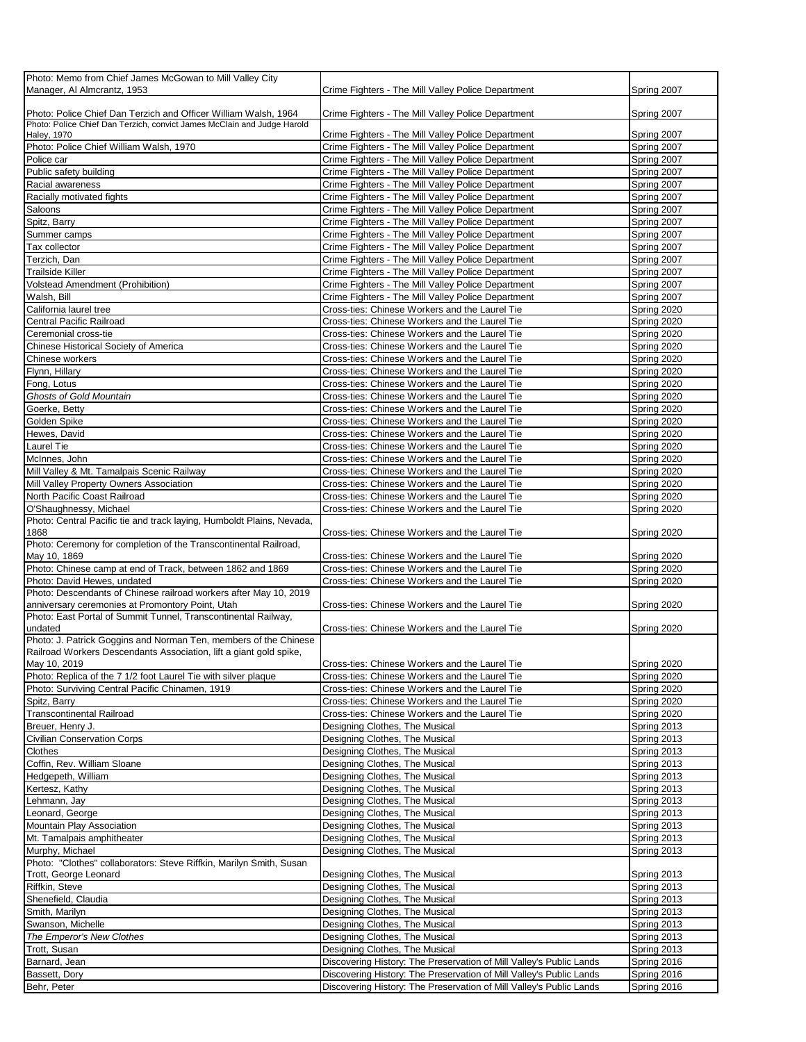| Photo: Memo from Chief James McGowan to Mill Valley City                |                                                                     |             |
|-------------------------------------------------------------------------|---------------------------------------------------------------------|-------------|
| Manager, Al Almcrantz, 1953                                             | Crime Fighters - The Mill Valley Police Department                  | Spring 2007 |
|                                                                         |                                                                     |             |
| Photo: Police Chief Dan Terzich and Officer William Walsh, 1964         | Crime Fighters - The Mill Valley Police Department                  | Spring 2007 |
| Photo: Police Chief Dan Terzich, convict James McClain and Judge Harold |                                                                     |             |
| <b>Haley, 1970</b>                                                      | Crime Fighters - The Mill Valley Police Department                  | Spring 2007 |
| Photo: Police Chief William Walsh, 1970                                 | Crime Fighters - The Mill Valley Police Department                  | Spring 2007 |
| Police car                                                              | Crime Fighters - The Mill Valley Police Department                  | Spring 2007 |
| Public safety building                                                  | Crime Fighters - The Mill Valley Police Department                  | Spring 2007 |
| Racial awareness                                                        | Crime Fighters - The Mill Valley Police Department                  | Spring 2007 |
| Racially motivated fights                                               | Crime Fighters - The Mill Valley Police Department                  | Spring 2007 |
| Saloons                                                                 | Crime Fighters - The Mill Valley Police Department                  | Spring 2007 |
|                                                                         |                                                                     |             |
| Spitz, Barry                                                            | Crime Fighters - The Mill Valley Police Department                  | Spring 2007 |
| Summer camps                                                            | Crime Fighters - The Mill Valley Police Department                  | Spring 2007 |
| Tax collector                                                           | Crime Fighters - The Mill Valley Police Department                  | Spring 2007 |
| Terzich, Dan                                                            | Crime Fighters - The Mill Valley Police Department                  | Spring 2007 |
| <b>Trailside Killer</b>                                                 | Crime Fighters - The Mill Valley Police Department                  | Spring 2007 |
| <b>Volstead Amendment (Prohibition)</b>                                 | Crime Fighters - The Mill Valley Police Department                  | Spring 2007 |
| Walsh, Bill                                                             | Crime Fighters - The Mill Valley Police Department                  | Spring 2007 |
| California laurel tree                                                  | Cross-ties: Chinese Workers and the Laurel Tie                      | Spring 2020 |
| Central Pacific Railroad                                                | Cross-ties: Chinese Workers and the Laurel Tie                      | Spring 2020 |
| Ceremonial cross-tie                                                    |                                                                     |             |
|                                                                         | Cross-ties: Chinese Workers and the Laurel Tie                      | Spring 2020 |
| Chinese Historical Society of America                                   | Cross-ties: Chinese Workers and the Laurel Tie                      | Spring 2020 |
| Chinese workers                                                         | Cross-ties: Chinese Workers and the Laurel Tie                      | Spring 2020 |
| Flynn, Hillary                                                          | Cross-ties: Chinese Workers and the Laurel Tie                      | Spring 2020 |
| Fong, Lotus                                                             | Cross-ties: Chinese Workers and the Laurel Tie                      | Spring 2020 |
| <b>Ghosts of Gold Mountain</b>                                          | Cross-ties: Chinese Workers and the Laurel Tie                      | Spring 2020 |
| Goerke, Betty                                                           | Cross-ties: Chinese Workers and the Laurel Tie                      | Spring 2020 |
| Golden Spike                                                            | Cross-ties: Chinese Workers and the Laurel Tie                      | Spring 2020 |
| Hewes, David                                                            | Cross-ties: Chinese Workers and the Laurel Tie                      | Spring 2020 |
| <b>Laurel Tie</b>                                                       | Cross-ties: Chinese Workers and the Laurel Tie                      | Spring 2020 |
|                                                                         |                                                                     | Spring 2020 |
| McInnes, John                                                           | Cross-ties: Chinese Workers and the Laurel Tie                      |             |
| Mill Valley & Mt. Tamalpais Scenic Railway                              | Cross-ties: Chinese Workers and the Laurel Tie                      | Spring 2020 |
| Mill Valley Property Owners Association                                 | Cross-ties: Chinese Workers and the Laurel Tie                      | Spring 2020 |
| North Pacific Coast Railroad                                            | Cross-ties: Chinese Workers and the Laurel Tie                      | Spring 2020 |
| O'Shaughnessy, Michael                                                  | Cross-ties: Chinese Workers and the Laurel Tie                      | Spring 2020 |
| Photo: Central Pacific tie and track laying, Humboldt Plains, Nevada,   |                                                                     |             |
| 1868                                                                    | Cross-ties: Chinese Workers and the Laurel Tie                      | Spring 2020 |
| Photo: Ceremony for completion of the Transcontinental Railroad,        |                                                                     |             |
| May 10, 1869                                                            | Cross-ties: Chinese Workers and the Laurel Tie                      | Spring 2020 |
| Photo: Chinese camp at end of Track, between 1862 and 1869              | Cross-ties: Chinese Workers and the Laurel Tie                      | Spring 2020 |
| Photo: David Hewes, undated                                             | Cross-ties: Chinese Workers and the Laurel Tie                      | Spring 2020 |
| Photo: Descendants of Chinese railroad workers after May 10, 2019       |                                                                     |             |
| anniversary ceremonies at Promontory Point, Utah                        | Cross-ties: Chinese Workers and the Laurel Tie                      | Spring 2020 |
| Photo: East Portal of Summit Tunnel, Transcontinental Railway,          |                                                                     |             |
|                                                                         |                                                                     |             |
| undated                                                                 | Cross-ties: Chinese Workers and the Laurel Tie                      | Spring 2020 |
| Photo: J. Patrick Goggins and Norman Ten, members of the Chinese        |                                                                     |             |
| Railroad Workers Descendants Association, lift a giant gold spike,      |                                                                     |             |
| May 10, 2019                                                            | Cross-ties: Chinese Workers and the Laurel Tie                      | Spring 2020 |
| Photo: Replica of the 7 1/2 foot Laurel Tie with silver plaque          | Cross-ties: Chinese Workers and the Laurel Tie                      | Spring 2020 |
| Photo: Surviving Central Pacific Chinamen, 1919                         | Cross-ties: Chinese Workers and the Laurel Tie                      | Spring 2020 |
| Spitz, Barry                                                            | Cross-ties: Chinese Workers and the Laurel Tie                      | Spring 2020 |
| <b>Transcontinental Railroad</b>                                        | Cross-ties: Chinese Workers and the Laurel Tie                      | Spring 2020 |
| Breuer, Henry J.                                                        | Designing Clothes, The Musical                                      | Spring 2013 |
| <b>Civilian Conservation Corps</b>                                      | Designing Clothes, The Musical                                      | Spring 2013 |
|                                                                         |                                                                     |             |
| Clothes                                                                 | Designing Clothes, The Musical                                      | Spring 2013 |
| Coffin, Rev. William Sloane                                             | Designing Clothes, The Musical                                      | Spring 2013 |
| Hedgepeth, William                                                      | Designing Clothes, The Musical                                      | Spring 2013 |
| Kertesz, Kathy                                                          | Designing Clothes, The Musical                                      | Spring 2013 |
| Lehmann, Jay                                                            | Designing Clothes, The Musical                                      | Spring 2013 |
| Leonard, George                                                         | Designing Clothes, The Musical                                      | Spring 2013 |
| Mountain Play Association                                               | Designing Clothes, The Musical                                      | Spring 2013 |
| Mt. Tamalpais amphitheater                                              | Designing Clothes, The Musical                                      | Spring 2013 |
| Murphy, Michael                                                         | Designing Clothes, The Musical                                      | Spring 2013 |
| Photo: "Clothes" collaborators: Steve Riffkin, Marilyn Smith, Susan     |                                                                     |             |
|                                                                         |                                                                     | Spring 2013 |
| Trott, George Leonard                                                   | Designing Clothes, The Musical                                      |             |
| Riffkin, Steve                                                          | Designing Clothes, The Musical                                      | Spring 2013 |
| Shenefield, Claudia                                                     | Designing Clothes, The Musical                                      | Spring 2013 |
| Smith, Marilyn                                                          | Designing Clothes, The Musical                                      | Spring 2013 |
| Swanson, Michelle                                                       | Designing Clothes, The Musical                                      | Spring 2013 |
| The Emperor's New Clothes                                               | Designing Clothes, The Musical                                      | Spring 2013 |
| Trott, Susan                                                            | Designing Clothes, The Musical                                      | Spring 2013 |
| Barnard, Jean                                                           | Discovering History: The Preservation of Mill Valley's Public Lands | Spring 2016 |
| Bassett, Dory                                                           | Discovering History: The Preservation of Mill Valley's Public Lands | Spring 2016 |
| Behr, Peter                                                             | Discovering History: The Preservation of Mill Valley's Public Lands | Spring 2016 |
|                                                                         |                                                                     |             |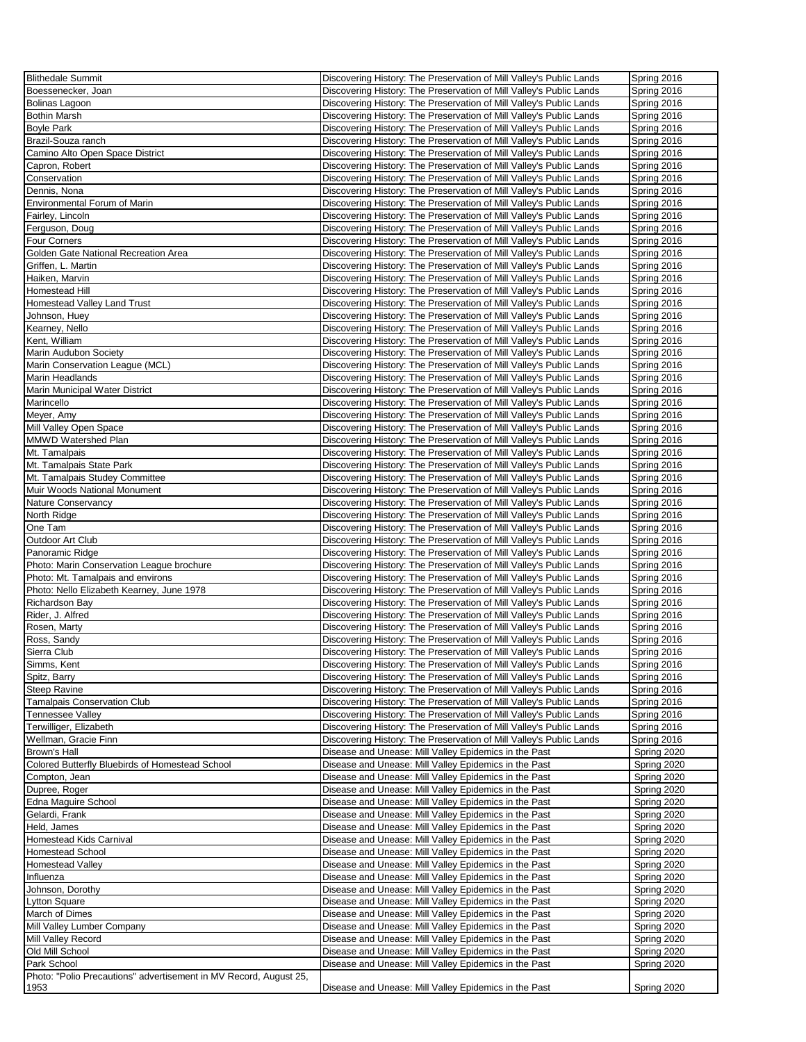| <b>Blithedale Summit</b>                                                         | Discovering History: The Preservation of Mill Valley's Public Lands                                            | Spring 2016 |
|----------------------------------------------------------------------------------|----------------------------------------------------------------------------------------------------------------|-------------|
| Boessenecker, Joan                                                               | Discovering History: The Preservation of Mill Valley's Public Lands                                            | Spring 2016 |
| Bolinas Lagoon                                                                   | Discovering History: The Preservation of Mill Valley's Public Lands                                            | Spring 2016 |
| <b>Bothin Marsh</b>                                                              | Discovering History: The Preservation of Mill Valley's Public Lands                                            | Spring 2016 |
| <b>Boyle Park</b>                                                                | Discovering History: The Preservation of Mill Valley's Public Lands                                            | Spring 2016 |
| Brazil-Souza ranch                                                               | Discovering History: The Preservation of Mill Valley's Public Lands                                            | Spring 2016 |
| Camino Alto Open Space District                                                  | Discovering History: The Preservation of Mill Valley's Public Lands                                            | Spring 2016 |
| Capron, Robert                                                                   | Discovering History: The Preservation of Mill Valley's Public Lands                                            | Spring 2016 |
| Conservation                                                                     | Discovering History: The Preservation of Mill Valley's Public Lands                                            | Spring 2016 |
| Dennis, Nona                                                                     | Discovering History: The Preservation of Mill Valley's Public Lands                                            | Spring 2016 |
| <b>Environmental Forum of Marin</b>                                              | Discovering History: The Preservation of Mill Valley's Public Lands                                            | Spring 2016 |
| Fairley, Lincoln                                                                 | Discovering History: The Preservation of Mill Valley's Public Lands                                            | Spring 2016 |
| Ferguson, Doug                                                                   | Discovering History: The Preservation of Mill Valley's Public Lands                                            | Spring 2016 |
| <b>Four Corners</b>                                                              | Discovering History: The Preservation of Mill Valley's Public Lands                                            | Spring 2016 |
| Golden Gate National Recreation Area                                             | Discovering History: The Preservation of Mill Valley's Public Lands                                            | Spring 2016 |
| Griffen, L. Martin                                                               | Discovering History: The Preservation of Mill Valley's Public Lands                                            | Spring 2016 |
| Haiken, Marvin                                                                   | Discovering History: The Preservation of Mill Valley's Public Lands                                            | Spring 2016 |
| Homestead Hill                                                                   | Discovering History: The Preservation of Mill Valley's Public Lands                                            | Spring 2016 |
| Homestead Valley Land Trust                                                      | Discovering History: The Preservation of Mill Valley's Public Lands                                            | Spring 2016 |
| Johnson, Huey                                                                    | Discovering History: The Preservation of Mill Valley's Public Lands                                            | Spring 2016 |
| Kearney, Nello                                                                   | Discovering History: The Preservation of Mill Valley's Public Lands                                            | Spring 2016 |
| Kent, William                                                                    |                                                                                                                | Spring 2016 |
| Marin Audubon Society                                                            | Discovering History: The Preservation of Mill Valley's Public Lands                                            | Spring 2016 |
|                                                                                  | Discovering History: The Preservation of Mill Valley's Public Lands                                            |             |
| Marin Conservation League (MCL)<br><b>Marin Headlands</b>                        | Discovering History: The Preservation of Mill Valley's Public Lands                                            | Spring 2016 |
|                                                                                  | Discovering History: The Preservation of Mill Valley's Public Lands                                            | Spring 2016 |
| Marin Municipal Water District                                                   | Discovering History: The Preservation of Mill Valley's Public Lands                                            | Spring 2016 |
| Marincello                                                                       | Discovering History: The Preservation of Mill Valley's Public Lands                                            | Spring 2016 |
| Meyer, Amy                                                                       | Discovering History: The Preservation of Mill Valley's Public Lands                                            | Spring 2016 |
| Mill Valley Open Space                                                           | Discovering History: The Preservation of Mill Valley's Public Lands                                            | Spring 2016 |
| MMWD Watershed Plan                                                              | Discovering History: The Preservation of Mill Valley's Public Lands                                            | Spring 2016 |
| Mt. Tamalpais                                                                    | Discovering History: The Preservation of Mill Valley's Public Lands                                            | Spring 2016 |
| Mt. Tamalpais State Park                                                         | Discovering History: The Preservation of Mill Valley's Public Lands                                            | Spring 2016 |
| Mt. Tamalpais Studey Committee                                                   | Discovering History: The Preservation of Mill Valley's Public Lands                                            | Spring 2016 |
| Muir Woods National Monument                                                     | Discovering History: The Preservation of Mill Valley's Public Lands                                            | Spring 2016 |
| Nature Conservancy                                                               | Discovering History: The Preservation of Mill Valley's Public Lands                                            | Spring 2016 |
| North Ridge                                                                      | Discovering History: The Preservation of Mill Valley's Public Lands                                            | Spring 2016 |
| One Tam                                                                          | Discovering History: The Preservation of Mill Valley's Public Lands                                            | Spring 2016 |
| Outdoor Art Club                                                                 | Discovering History: The Preservation of Mill Valley's Public Lands                                            | Spring 2016 |
| Panoramic Ridge                                                                  | Discovering History: The Preservation of Mill Valley's Public Lands                                            | Spring 2016 |
| Photo: Marin Conservation League brochure                                        | Discovering History: The Preservation of Mill Valley's Public Lands                                            | Spring 2016 |
| Photo: Mt. Tamalpais and environs                                                | Discovering History: The Preservation of Mill Valley's Public Lands                                            | Spring 2016 |
| Photo: Nello Elizabeth Kearney, June 1978                                        | Discovering History: The Preservation of Mill Valley's Public Lands                                            | Spring 2016 |
| Richardson Bay                                                                   | Discovering History: The Preservation of Mill Valley's Public Lands                                            | Spring 2016 |
| Rider, J. Alfred                                                                 | Discovering History: The Preservation of Mill Valley's Public Lands                                            | Spring 2016 |
| Rosen, Marty                                                                     | Discovering History: The Preservation of Mill Valley's Public Lands                                            | Spring 2016 |
| Ross, Sandy                                                                      | Discovering History: The Preservation of Mill Valley's Public Lands                                            | Spring 2016 |
| Sierra Club                                                                      | Discovering History: The Preservation of Mill Valley's Public Lands                                            | Spring 2016 |
| Simms, Kent                                                                      | Discovering History: The Preservation of Mill Valley's Public Lands                                            | Spring 2016 |
| Spitz, Barry                                                                     | Discovering History: The Preservation of Mill Valley's Public Lands                                            | Spring 2016 |
| <b>Steep Ravine</b>                                                              | Discovering History: The Preservation of Mill Valley's Public Lands                                            | Spring 2016 |
| <b>Tamalpais Conservation Club</b>                                               | Discovering History: The Preservation of Mill Valley's Public Lands                                            | Spring 2016 |
| Tennessee Valley                                                                 | Discovering History: The Preservation of Mill Valley's Public Lands                                            | Spring 2016 |
| Terwilliger, Elizabeth                                                           | Discovering History: The Preservation of Mill Valley's Public Lands                                            | Spring 2016 |
| Wellman, Gracie Finn                                                             | Discovering History: The Preservation of Mill Valley's Public Lands                                            | Spring 2016 |
| Brown's Hall                                                                     | Disease and Unease: Mill Valley Epidemics in the Past                                                          | Spring 2020 |
| Colored Butterfly Bluebirds of Homestead School                                  |                                                                                                                |             |
|                                                                                  | Disease and Unease: Mill Valley Epidemics in the Past                                                          | Spring 2020 |
|                                                                                  |                                                                                                                |             |
| Compton, Jean                                                                    | Disease and Unease: Mill Valley Epidemics in the Past<br>Disease and Unease: Mill Valley Epidemics in the Past | Spring 2020 |
| Dupree, Roger                                                                    |                                                                                                                | Spring 2020 |
| Edna Maguire School                                                              | Disease and Unease: Mill Valley Epidemics in the Past                                                          | Spring 2020 |
| Gelardi, Frank                                                                   | Disease and Unease: Mill Valley Epidemics in the Past<br>Disease and Unease: Mill Valley Epidemics in the Past | Spring 2020 |
| Held, James<br><b>Homestead Kids Carnival</b>                                    |                                                                                                                | Spring 2020 |
| <b>Homestead School</b>                                                          | Disease and Unease: Mill Valley Epidemics in the Past                                                          | Spring 2020 |
|                                                                                  | Disease and Unease: Mill Valley Epidemics in the Past                                                          | Spring 2020 |
| <b>Homestead Valley</b>                                                          | Disease and Unease: Mill Valley Epidemics in the Past                                                          | Spring 2020 |
| Influenza                                                                        | Disease and Unease: Mill Valley Epidemics in the Past                                                          | Spring 2020 |
| Johnson, Dorothy                                                                 | Disease and Unease: Mill Valley Epidemics in the Past<br>Disease and Unease: Mill Valley Epidemics in the Past | Spring 2020 |
| <b>Lytton Square</b>                                                             |                                                                                                                | Spring 2020 |
| March of Dimes                                                                   | Disease and Unease: Mill Valley Epidemics in the Past                                                          | Spring 2020 |
| Mill Valley Lumber Company                                                       | Disease and Unease: Mill Valley Epidemics in the Past                                                          | Spring 2020 |
| Mill Valley Record                                                               | Disease and Unease: Mill Valley Epidemics in the Past                                                          | Spring 2020 |
| Old Mill School                                                                  | Disease and Unease: Mill Valley Epidemics in the Past                                                          | Spring 2020 |
| Park School<br>Photo: "Polio Precautions" advertisement in MV Record, August 25, | Disease and Unease: Mill Valley Epidemics in the Past                                                          | Spring 2020 |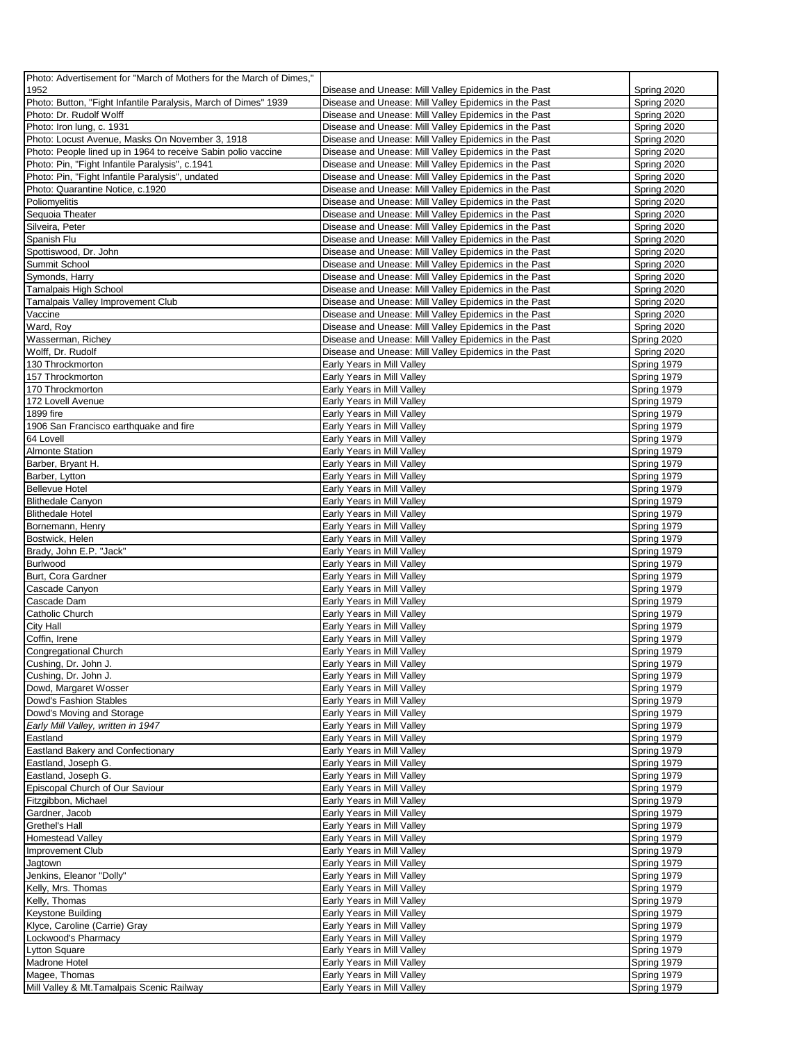| Photo: Advertisement for "March of Mothers for the March of Dimes," |                                                       |             |
|---------------------------------------------------------------------|-------------------------------------------------------|-------------|
| 1952                                                                | Disease and Unease: Mill Valley Epidemics in the Past | Spring 2020 |
| Photo: Button, "Fight Infantile Paralysis, March of Dimes" 1939     | Disease and Unease: Mill Valley Epidemics in the Past | Spring 2020 |
| Photo: Dr. Rudolf Wolff                                             | Disease and Unease: Mill Valley Epidemics in the Past | Spring 2020 |
| Photo: Iron lung, c. 1931                                           | Disease and Unease: Mill Valley Epidemics in the Past | Spring 2020 |
| Photo: Locust Avenue, Masks On November 3, 1918                     | Disease and Unease: Mill Valley Epidemics in the Past | Spring 2020 |
| Photo: People lined up in 1964 to receive Sabin polio vaccine       | Disease and Unease: Mill Valley Epidemics in the Past | Spring 2020 |
| Photo: Pin, "Fight Infantile Paralysis", c.1941                     | Disease and Unease: Mill Valley Epidemics in the Past | Spring 2020 |
| Photo: Pin, "Fight Infantile Paralysis", undated                    | Disease and Unease: Mill Valley Epidemics in the Past | Spring 2020 |
| Photo: Quarantine Notice, c.1920                                    | Disease and Unease: Mill Valley Epidemics in the Past | Spring 2020 |
| Poliomyelitis                                                       | Disease and Unease: Mill Valley Epidemics in the Past | Spring 2020 |
| Sequoia Theater                                                     | Disease and Unease: Mill Valley Epidemics in the Past | Spring 2020 |
| Silveira, Peter                                                     | Disease and Unease: Mill Valley Epidemics in the Past | Spring 2020 |
| Spanish Flu                                                         | Disease and Unease: Mill Valley Epidemics in the Past | Spring 2020 |
| Spottiswood, Dr. John                                               | Disease and Unease: Mill Valley Epidemics in the Past | Spring 2020 |
|                                                                     | Disease and Unease: Mill Valley Epidemics in the Past |             |
| Summit School                                                       |                                                       | Spring 2020 |
| Symonds, Harry                                                      | Disease and Unease: Mill Valley Epidemics in the Past | Spring 2020 |
| Tamalpais High School                                               | Disease and Unease: Mill Valley Epidemics in the Past | Spring 2020 |
| Tamalpais Valley Improvement Club                                   | Disease and Unease: Mill Valley Epidemics in the Past | Spring 2020 |
| Vaccine                                                             | Disease and Unease: Mill Valley Epidemics in the Past | Spring 2020 |
| Ward, Roy                                                           | Disease and Unease: Mill Valley Epidemics in the Past | Spring 2020 |
| Wasserman, Richey                                                   | Disease and Unease: Mill Valley Epidemics in the Past | Spring 2020 |
| Wolff, Dr. Rudolf                                                   | Disease and Unease: Mill Valley Epidemics in the Past | Spring 2020 |
| 130 Throckmorton                                                    | Early Years in Mill Valley                            | Spring 1979 |
| 157 Throckmorton                                                    | Early Years in Mill Valley                            | Spring 1979 |
| 170 Throckmorton                                                    | Early Years in Mill Valley                            | Spring 1979 |
| 172 Lovell Avenue                                                   | Early Years in Mill Valley                            | Spring 1979 |
| 1899 fire                                                           | Early Years in Mill Valley                            | Spring 1979 |
| 1906 San Francisco earthquake and fire                              | Early Years in Mill Valley                            | Spring 1979 |
| 64 Lovell                                                           | Early Years in Mill Valley                            | Spring 1979 |
| <b>Almonte Station</b>                                              | Early Years in Mill Valley                            | Spring 1979 |
| Barber, Bryant H.                                                   | Early Years in Mill Valley                            | Spring 1979 |
| Barber, Lytton                                                      | Early Years in Mill Valley                            | Spring 1979 |
| <b>Bellevue Hotel</b>                                               | Early Years in Mill Valley                            | Spring 1979 |
| <b>Blithedale Canyon</b>                                            | Early Years in Mill Valley                            | Spring 1979 |
| <b>Blithedale Hotel</b>                                             | Early Years in Mill Valley                            | Spring 1979 |
| Bornemann, Henry                                                    | Early Years in Mill Valley                            | Spring 1979 |
| Bostwick, Helen                                                     | Early Years in Mill Valley                            | Spring 1979 |
| Brady, John E.P. "Jack"                                             | Early Years in Mill Valley                            | Spring 1979 |
| Burlwood                                                            | Early Years in Mill Valley                            | Spring 1979 |
| Burt, Cora Gardner                                                  | Early Years in Mill Valley                            | Spring 1979 |
| Cascade Canyon                                                      | Early Years in Mill Valley                            | Spring 1979 |
| Cascade Dam                                                         | Early Years in Mill Valley                            | Spring 1979 |
| Catholic Church                                                     | Early Years in Mill Valley                            | Spring 1979 |
| City Hall                                                           | Early Years in Mill Valley                            | Spring 1979 |
| Coffin, Irene                                                       | Early Years in Mill Valley                            | Spring 1979 |
| Congregational Church                                               | Early Years in Mill Valley                            | Spring 1979 |
| Cushing, Dr. John J.                                                | Early Years in Mill Valley                            | Spring 1979 |
| Cushing, Dr. John J.                                                | Early Years in Mill Valley                            | Spring 1979 |
| Dowd, Margaret Wosser                                               | Early Years in Mill Valley                            | Spring 1979 |
| Dowd's Fashion Stables                                              | Early Years in Mill Valley                            | Spring 1979 |
| Dowd's Moving and Storage                                           | Early Years in Mill Valley                            | Spring 1979 |
| Early Mill Valley, written in 1947                                  | Early Years in Mill Valley                            | Spring 1979 |
| Eastland                                                            | Early Years in Mill Valley                            | Spring 1979 |
|                                                                     | Early Years in Mill Valley                            |             |
| <b>Eastland Bakery and Confectionary</b>                            |                                                       | Spring 1979 |
| Eastland, Joseph G.                                                 | Early Years in Mill Valley                            | Spring 1979 |
| Eastland, Joseph G.                                                 | Early Years in Mill Valley                            | Spring 1979 |
| Episcopal Church of Our Saviour                                     | Early Years in Mill Valley                            | Spring 1979 |
| Fitzgibbon, Michael                                                 | Early Years in Mill Valley                            | Spring 1979 |
| Gardner, Jacob                                                      | Early Years in Mill Valley                            | Spring 1979 |
| Grethel's Hall                                                      | Early Years in Mill Valley                            | Spring 1979 |
| Homestead Valley                                                    | Early Years in Mill Valley                            | Spring 1979 |
| Improvement Club                                                    | Early Years in Mill Valley                            | Spring 1979 |
| Jagtown                                                             | Early Years in Mill Valley                            | Spring 1979 |
| Jenkins, Eleanor "Dolly"                                            | Early Years in Mill Valley                            | Spring 1979 |
| Kelly, Mrs. Thomas                                                  | Early Years in Mill Valley                            | Spring 1979 |
| Kelly, Thomas                                                       | Early Years in Mill Valley                            | Spring 1979 |
| Keystone Building                                                   | Early Years in Mill Valley                            | Spring 1979 |
| Klyce, Caroline (Carrie) Gray                                       | Early Years in Mill Valley                            | Spring 1979 |
| Lockwood's Pharmacy                                                 | Early Years in Mill Valley                            | Spring 1979 |
| <b>Lytton Square</b>                                                | Early Years in Mill Valley                            | Spring 1979 |
| Madrone Hotel                                                       | Early Years in Mill Valley                            | Spring 1979 |
| Magee, Thomas                                                       | Early Years in Mill Valley                            | Spring 1979 |
| Mill Valley & Mt. Tamalpais Scenic Railway                          | Early Years in Mill Valley                            | Spring 1979 |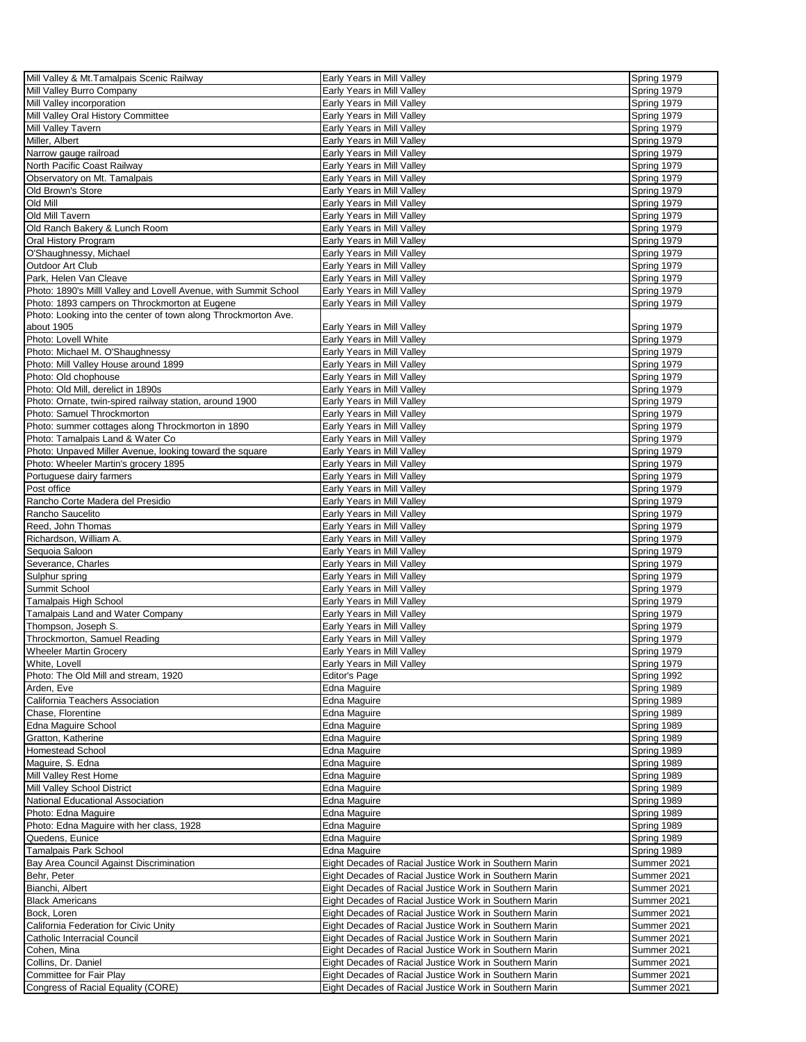| Mill Valley & Mt. Tamalpais Scenic Railway                       | Early Years in Mill Valley                             | Spring 1979 |
|------------------------------------------------------------------|--------------------------------------------------------|-------------|
| Mill Valley Burro Company                                        | Early Years in Mill Valley                             | Spring 1979 |
|                                                                  |                                                        |             |
| Mill Valley incorporation                                        | Early Years in Mill Valley                             | Spring 1979 |
| Mill Valley Oral History Committee                               | Early Years in Mill Valley                             | Spring 1979 |
| Mill Valley Tavern                                               | Early Years in Mill Valley                             | Spring 1979 |
| Miller, Albert                                                   | Early Years in Mill Valley                             | Spring 1979 |
| Narrow gauge railroad                                            | Early Years in Mill Valley                             | Spring 1979 |
| North Pacific Coast Railway                                      | Early Years in Mill Valley                             | Spring 1979 |
|                                                                  |                                                        |             |
| Observatory on Mt. Tamalpais                                     | Early Years in Mill Valley                             | Spring 1979 |
| Old Brown's Store                                                | Early Years in Mill Valley                             | Spring 1979 |
| Old Mill                                                         | Early Years in Mill Valley                             | Spring 1979 |
| Old Mill Tavern                                                  | Early Years in Mill Valley                             | Spring 1979 |
| Old Ranch Bakery & Lunch Room                                    | Early Years in Mill Valley                             | Spring 1979 |
| Oral History Program                                             | Early Years in Mill Valley                             | Spring 1979 |
| O'Shaughnessy, Michael                                           | Early Years in Mill Valley                             | Spring 1979 |
|                                                                  |                                                        |             |
| Outdoor Art Club                                                 | Early Years in Mill Valley                             | Spring 1979 |
| Park, Helen Van Cleave                                           | Early Years in Mill Valley                             | Spring 1979 |
| Photo: 1890's Milll Valley and Lovell Avenue, with Summit School | Early Years in Mill Valley                             | Spring 1979 |
| Photo: 1893 campers on Throckmorton at Eugene                    | Early Years in Mill Valley                             | Spring 1979 |
| Photo: Looking into the center of town along Throckmorton Ave.   |                                                        |             |
| about 1905                                                       | Early Years in Mill Valley                             | Spring 1979 |
| Photo: Lovell White                                              | Early Years in Mill Valley                             | Spring 1979 |
| Photo: Michael M. O'Shaughnessy                                  |                                                        |             |
|                                                                  | Early Years in Mill Valley                             | Spring 1979 |
| Photo: Mill Valley House around 1899                             | Early Years in Mill Valley                             | Spring 1979 |
| Photo: Old chophouse                                             | Early Years in Mill Valley                             | Spring 1979 |
| Photo: Old Mill, derelict in 1890s                               | Early Years in Mill Valley                             | Spring 1979 |
| Photo: Ornate, twin-spired railway station, around 1900          | Early Years in Mill Valley                             | Spring 1979 |
| Photo: Samuel Throckmorton                                       | Early Years in Mill Valley                             | Spring 1979 |
| Photo: summer cottages along Throckmorton in 1890                | Early Years in Mill Valley                             | Spring 1979 |
| Photo: Tamalpais Land & Water Co                                 |                                                        |             |
|                                                                  | Early Years in Mill Valley                             | Spring 1979 |
| Photo: Unpaved Miller Avenue, looking toward the square          | Early Years in Mill Valley                             | Spring 1979 |
| Photo: Wheeler Martin's grocery 1895                             | Early Years in Mill Valley                             | Spring 1979 |
| Portuguese dairy farmers                                         | Early Years in Mill Valley                             | Spring 1979 |
| Post office                                                      | Early Years in Mill Valley                             | Spring 1979 |
| Rancho Corte Madera del Presidio                                 | Early Years in Mill Valley                             | Spring 1979 |
| Rancho Saucelito                                                 | Early Years in Mill Valley                             | Spring 1979 |
| Reed, John Thomas                                                | Early Years in Mill Valley                             | Spring 1979 |
|                                                                  |                                                        |             |
| Richardson, William A.                                           | Early Years in Mill Valley                             | Spring 1979 |
| Sequoia Saloon                                                   | Early Years in Mill Valley                             | Spring 1979 |
| Severance, Charles                                               | Early Years in Mill Valley                             | Spring 1979 |
| Sulphur spring                                                   | Early Years in Mill Valley                             | Spring 1979 |
| Summit School                                                    | Early Years in Mill Valley                             | Spring 1979 |
| Tamalpais High School                                            | Early Years in Mill Valley                             | Spring 1979 |
| Tamalpais Land and Water Company                                 | Early Years in Mill Valley                             | Spring 1979 |
| Thompson, Joseph S.                                              | Early Years in Mill Valley                             | Spring 1979 |
|                                                                  |                                                        |             |
| Throckmorton, Samuel Reading                                     | Early Years in Mill Valley                             | Spring 1979 |
| <b>Wheeler Martin Grocery</b>                                    | Early Years in Mill Valley                             | Spring 1979 |
| White, Lovell                                                    | Early Years in Mill Valley                             | Spring 1979 |
| Photo: The Old Mill and stream, 1920                             | Editor's Page                                          | Spring 1992 |
| Arden, Eve                                                       | Edna Maguire                                           | Spring 1989 |
| California Teachers Association                                  | Edna Maguire                                           | Spring 1989 |
| Chase, Florentine                                                | Edna Maguire                                           | Spring 1989 |
|                                                                  |                                                        | Spring 1989 |
| Edna Maguire School                                              | Edna Maguire                                           |             |
| Gratton, Katherine                                               | Edna Maguire                                           | Spring 1989 |
| <b>Homestead School</b>                                          | Edna Maguire                                           | Spring 1989 |
| Maguire, S. Edna                                                 | Edna Maguire                                           | Spring 1989 |
| Mill Valley Rest Home                                            | Edna Maguire                                           | Spring 1989 |
| Mill Valley School District                                      | Edna Maguire                                           | Spring 1989 |
| National Educational Association                                 | Edna Maguire                                           | Spring 1989 |
| Photo: Edna Maguire                                              | <b>Edna Maguire</b>                                    | Spring 1989 |
| Photo: Edna Maguire with her class, 1928                         | Edna Maguire                                           | Spring 1989 |
|                                                                  |                                                        |             |
| Quedens, Eunice                                                  | Edna Maguire                                           | Spring 1989 |
| Tamalpais Park School                                            | Edna Maguire                                           | Spring 1989 |
| Bay Area Council Against Discrimination                          | Eight Decades of Racial Justice Work in Southern Marin | Summer 2021 |
| Behr, Peter                                                      | Eight Decades of Racial Justice Work in Southern Marin | Summer 2021 |
| Bianchi, Albert                                                  | Eight Decades of Racial Justice Work in Southern Marin | Summer 2021 |
| <b>Black Americans</b>                                           | Eight Decades of Racial Justice Work in Southern Marin | Summer 2021 |
| Bock, Loren                                                      | Eight Decades of Racial Justice Work in Southern Marin | Summer 2021 |
| California Federation for Civic Unity                            | Eight Decades of Racial Justice Work in Southern Marin | Summer 2021 |
| Catholic Interracial Council                                     |                                                        |             |
|                                                                  | Eight Decades of Racial Justice Work in Southern Marin | Summer 2021 |
| Cohen, Mina                                                      | Eight Decades of Racial Justice Work in Southern Marin | Summer 2021 |
| Collins, Dr. Daniel                                              | Eight Decades of Racial Justice Work in Southern Marin | Summer 2021 |
| Committee for Fair Play                                          | Eight Decades of Racial Justice Work in Southern Marin | Summer 2021 |
| Congress of Racial Equality (CORE)                               | Eight Decades of Racial Justice Work in Southern Marin | Summer 2021 |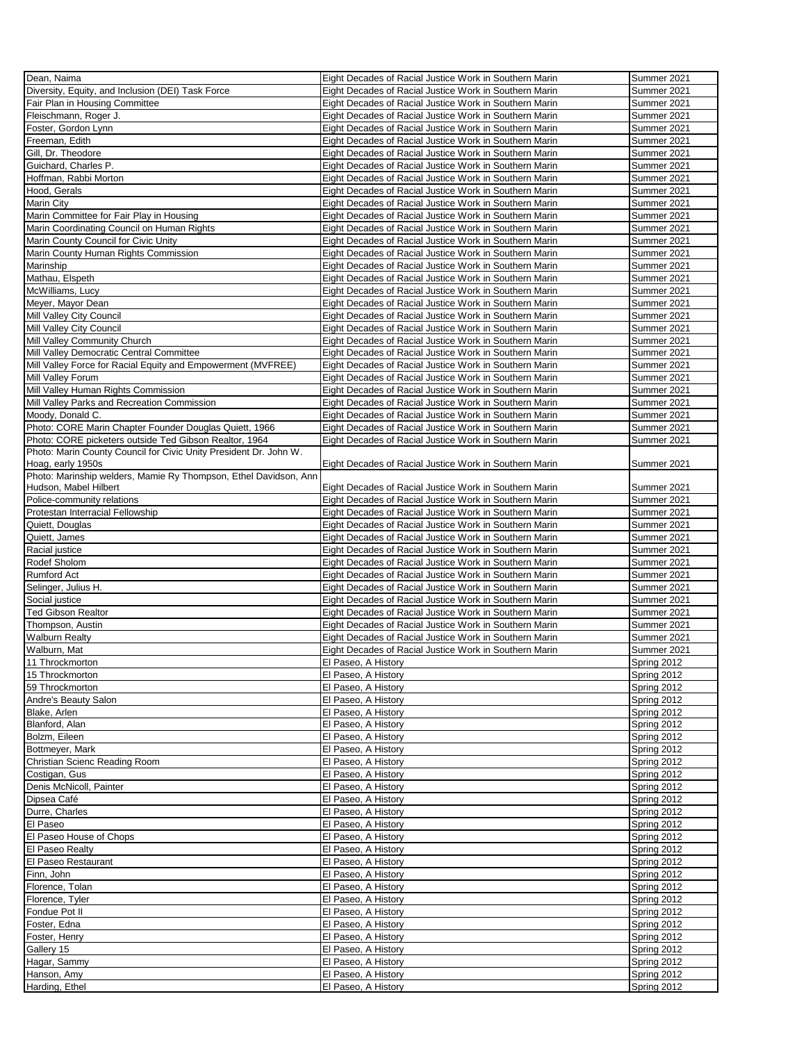| Dean, Naima                                                       | Eight Decades of Racial Justice Work in Southern Marin | Summer 2021                |
|-------------------------------------------------------------------|--------------------------------------------------------|----------------------------|
| Diversity, Equity, and Inclusion (DEI) Task Force                 | Eight Decades of Racial Justice Work in Southern Marin | Summer 2021                |
|                                                                   |                                                        |                            |
| Fair Plan in Housing Committee                                    | Eight Decades of Racial Justice Work in Southern Marin | Summer 2021                |
| Fleischmann, Roger J.                                             | Eight Decades of Racial Justice Work in Southern Marin | Summer 2021                |
| Foster, Gordon Lynn                                               | Eight Decades of Racial Justice Work in Southern Marin | Summer 2021                |
| Freeman, Edith                                                    | Eight Decades of Racial Justice Work in Southern Marin | Summer 2021                |
| Gill, Dr. Theodore                                                | Eight Decades of Racial Justice Work in Southern Marin | Summer 2021                |
| Guichard, Charles P.                                              | Eight Decades of Racial Justice Work in Southern Marin | Summer 2021                |
|                                                                   |                                                        |                            |
| Hoffman, Rabbi Morton                                             | Eight Decades of Racial Justice Work in Southern Marin | Summer 2021                |
| Hood, Gerals                                                      | Eight Decades of Racial Justice Work in Southern Marin | Summer 2021                |
| Marin City                                                        | Eight Decades of Racial Justice Work in Southern Marin | Summer 2021                |
| Marin Committee for Fair Play in Housing                          | Eight Decades of Racial Justice Work in Southern Marin | Summer 2021                |
| Marin Coordinating Council on Human Rights                        | Eight Decades of Racial Justice Work in Southern Marin | Summer 2021                |
| Marin County Council for Civic Unity                              | Eight Decades of Racial Justice Work in Southern Marin | Summer 2021                |
|                                                                   |                                                        |                            |
| Marin County Human Rights Commission                              | Eight Decades of Racial Justice Work in Southern Marin | Summer 2021                |
| Marinship                                                         | Eight Decades of Racial Justice Work in Southern Marin | Summer 2021                |
| Mathau, Elspeth                                                   | Eight Decades of Racial Justice Work in Southern Marin | Summer 2021                |
| McWilliams, Lucy                                                  | Eight Decades of Racial Justice Work in Southern Marin | Summer 2021                |
| Meyer, Mayor Dean                                                 | Eight Decades of Racial Justice Work in Southern Marin | Summer 2021                |
| Mill Valley City Council                                          | Eight Decades of Racial Justice Work in Southern Marin | Summer 2021                |
|                                                                   |                                                        |                            |
| Mill Valley City Council                                          | Eight Decades of Racial Justice Work in Southern Marin | Summer 2021                |
| Mill Valley Community Church                                      | Eight Decades of Racial Justice Work in Southern Marin | Summer 2021                |
| Mill Valley Democratic Central Committee                          | Eight Decades of Racial Justice Work in Southern Marin | Summer 2021                |
| Mill Valley Force for Racial Equity and Empowerment (MVFREE)      | Eight Decades of Racial Justice Work in Southern Marin | Summer 2021                |
| Mill Valley Forum                                                 | Eight Decades of Racial Justice Work in Southern Marin | Summer 2021                |
| Mill Valley Human Rights Commission                               | Eight Decades of Racial Justice Work in Southern Marin | Summer 2021                |
|                                                                   |                                                        |                            |
| Mill Valley Parks and Recreation Commission                       | Eight Decades of Racial Justice Work in Southern Marin | Summer 2021                |
| Moody, Donald C.                                                  | Eight Decades of Racial Justice Work in Southern Marin | Summer 2021                |
| Photo: CORE Marin Chapter Founder Douglas Quiett, 1966            | Eight Decades of Racial Justice Work in Southern Marin | Summer 2021                |
| Photo: CORE picketers outside Ted Gibson Realtor, 1964            | Eight Decades of Racial Justice Work in Southern Marin | Summer 2021                |
| Photo: Marin County Council for Civic Unity President Dr. John W. |                                                        |                            |
| Hoag, early 1950s                                                 | Eight Decades of Racial Justice Work in Southern Marin | Summer 2021                |
| Photo: Marinship welders, Mamie Ry Thompson, Ethel Davidson, Ann  |                                                        |                            |
|                                                                   |                                                        |                            |
| Hudson, Mabel Hilbert                                             | Eight Decades of Racial Justice Work in Southern Marin | Summer 2021                |
| Police-community relations                                        | Eight Decades of Racial Justice Work in Southern Marin | Summer 2021                |
| Protestan Interracial Fellowship                                  | Eight Decades of Racial Justice Work in Southern Marin | Summer 2021                |
| Quiett, Douglas                                                   | Eight Decades of Racial Justice Work in Southern Marin | Summer 2021                |
| Quiett, James                                                     | Eight Decades of Racial Justice Work in Southern Marin | Summer 2021                |
| Racial justice                                                    | Eight Decades of Racial Justice Work in Southern Marin | Summer 2021                |
| Rodef Sholom                                                      | Eight Decades of Racial Justice Work in Southern Marin | Summer 2021                |
|                                                                   |                                                        |                            |
| Rumford Act                                                       | Eight Decades of Racial Justice Work in Southern Marin | Summer 2021                |
| Selinger, Julius H.                                               | Eight Decades of Racial Justice Work in Southern Marin | Summer 2021                |
| Social justice                                                    | Eight Decades of Racial Justice Work in Southern Marin | Summer 2021                |
| <b>Ted Gibson Realtor</b>                                         | Eight Decades of Racial Justice Work in Southern Marin | Summer 2021                |
| Thompson, Austin                                                  | Eight Decades of Racial Justice Work in Southern Marin | Summer 2021                |
| <b>Walburn Realty</b>                                             | Eight Decades of Racial Justice Work in Southern Marin | Summer 2021                |
|                                                                   |                                                        |                            |
| Walburn, Mat                                                      | Eight Decades of Racial Justice Work in Southern Marin | Summer 2021                |
| 11 I hrockmorton                                                  | <b>El Paseo, A History</b>                             | Spring 2012                |
| 15 Throckmorton                                                   | El Paseo, A History                                    | Spring 2012                |
| 59 Throckmorton                                                   | El Paseo, A History                                    | Spring 2012                |
| Andre's Beauty Salon                                              | El Paseo, A History                                    | Spring 2012                |
| Blake, Arlen                                                      | El Paseo, A History                                    | Spring 2012                |
|                                                                   |                                                        |                            |
| Blanford, Alan                                                    | El Paseo, A History                                    | Spring 2012                |
| Bolzm, Eileen                                                     | El Paseo, A History                                    | Spring 2012                |
| Bottmeyer, Mark                                                   | El Paseo, A History                                    | Spring 2012                |
| Christian Scienc Reading Room                                     | El Paseo, A History                                    | Spring 2012                |
| Costigan, Gus                                                     | El Paseo, A History                                    | Spring 2012                |
| Denis McNicoll, Painter                                           | El Paseo, A History                                    | Spring 2012                |
| Dipsea Café                                                       | El Paseo, A History                                    | Spring 2012                |
|                                                                   |                                                        |                            |
| Durre, Charles                                                    | El Paseo, A History                                    | Spring 2012                |
| El Paseo                                                          | El Paseo, A History                                    | Spring 2012                |
| El Paseo House of Chops                                           | El Paseo, A History                                    | Spring 2012                |
| El Paseo Realty                                                   | El Paseo, A History                                    | Spring 2012                |
| El Paseo Restaurant                                               | El Paseo, A History                                    | Spring 2012                |
| Finn, John                                                        | El Paseo, A History                                    | Spring 2012                |
|                                                                   |                                                        | Spring 2012                |
| Florence, Tolan                                                   | El Paseo, A History                                    |                            |
| Florence, Tyler                                                   | El Paseo, A History                                    | Spring 2012                |
| Fondue Pot II                                                     |                                                        |                            |
|                                                                   | El Paseo, A History                                    | Spring 2012                |
| Foster, Edna                                                      | El Paseo, A History                                    | Spring 2012                |
| Foster, Henry                                                     | El Paseo, A History                                    | Spring 2012                |
|                                                                   |                                                        |                            |
| Gallery 15                                                        | El Paseo, A History                                    | Spring 2012                |
| Hagar, Sammy                                                      | El Paseo, A History                                    | Spring 2012                |
| Hanson, Amy<br>Harding, Ethel                                     | El Paseo, A History<br>El Paseo, A History             | Spring 2012<br>Spring 2012 |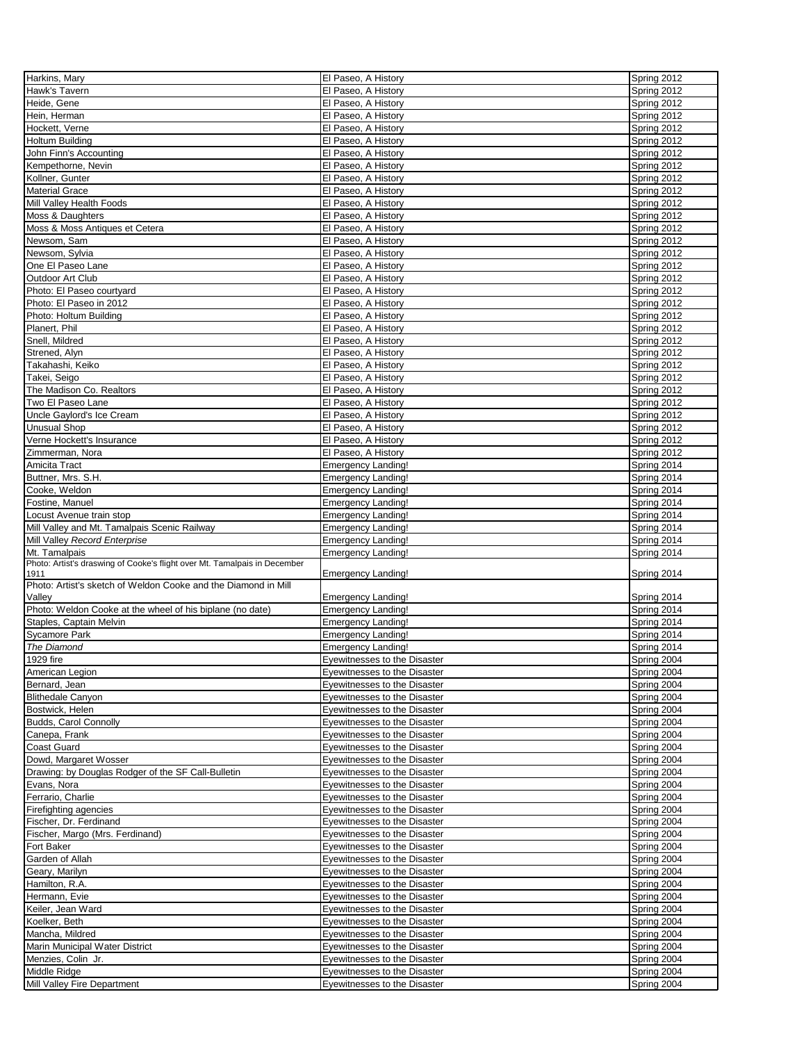| Harkins, Mary<br>Hawk's Tavern                                                                                                                                                                                                                                                                             | El Paseo, A History          | Spring 2012 |
|------------------------------------------------------------------------------------------------------------------------------------------------------------------------------------------------------------------------------------------------------------------------------------------------------------|------------------------------|-------------|
|                                                                                                                                                                                                                                                                                                            | El Paseo, A History          | Spring 2012 |
| Heide, Gene                                                                                                                                                                                                                                                                                                | El Paseo, A History          | Spring 2012 |
| Hein, Herman                                                                                                                                                                                                                                                                                               | El Paseo, A History          | Spring 2012 |
| Hockett, Verne                                                                                                                                                                                                                                                                                             |                              |             |
|                                                                                                                                                                                                                                                                                                            | El Paseo, A History          | Spring 2012 |
| <b>Holtum Building</b>                                                                                                                                                                                                                                                                                     | El Paseo, A History          | Spring 2012 |
| John Finn's Accounting                                                                                                                                                                                                                                                                                     | El Paseo, A History          | Spring 2012 |
| Kempethorne, Nevin                                                                                                                                                                                                                                                                                         | El Paseo, A History          | Spring 2012 |
| Kollner, Gunter                                                                                                                                                                                                                                                                                            | El Paseo, A History          | Spring 2012 |
| <b>Material Grace</b>                                                                                                                                                                                                                                                                                      | El Paseo, A History          | Spring 2012 |
| Mill Valley Health Foods                                                                                                                                                                                                                                                                                   | El Paseo, A History          | Spring 2012 |
| Moss & Daughters                                                                                                                                                                                                                                                                                           | El Paseo, A History          | Spring 2012 |
| Moss & Moss Antiques et Cetera                                                                                                                                                                                                                                                                             | El Paseo, A History          | Spring 2012 |
| Newsom, Sam                                                                                                                                                                                                                                                                                                | El Paseo, A History          | Spring 2012 |
| Newsom, Sylvia                                                                                                                                                                                                                                                                                             | El Paseo, A History          | Spring 2012 |
| One El Paseo Lane                                                                                                                                                                                                                                                                                          | El Paseo, A History          | Spring 2012 |
| Outdoor Art Club                                                                                                                                                                                                                                                                                           | El Paseo, A History          | Spring 2012 |
| Photo: El Paseo courtyard                                                                                                                                                                                                                                                                                  | El Paseo, A History          | Spring 2012 |
| Photo: El Paseo in 2012                                                                                                                                                                                                                                                                                    | El Paseo, A History          | Spring 2012 |
| Photo: Holtum Building                                                                                                                                                                                                                                                                                     | El Paseo, A History          | Spring 2012 |
|                                                                                                                                                                                                                                                                                                            |                              |             |
| Planert, Phil                                                                                                                                                                                                                                                                                              | El Paseo, A History          | Spring 2012 |
| Snell, Mildred                                                                                                                                                                                                                                                                                             | El Paseo, A History          | Spring 2012 |
| Strened, Alyn                                                                                                                                                                                                                                                                                              | El Paseo, A History          | Spring 2012 |
| Takahashi, Keiko                                                                                                                                                                                                                                                                                           | El Paseo. A History          | Spring 2012 |
| Takei, Seigo                                                                                                                                                                                                                                                                                               | El Paseo, A History          | Spring 2012 |
| The Madison Co. Realtors                                                                                                                                                                                                                                                                                   | El Paseo, A History          | Spring 2012 |
| Two El Paseo Lane                                                                                                                                                                                                                                                                                          | El Paseo, A History          | Spring 2012 |
| Uncle Gaylord's Ice Cream                                                                                                                                                                                                                                                                                  | El Paseo, A History          | Spring 2012 |
| <b>Unusual Shop</b>                                                                                                                                                                                                                                                                                        | El Paseo, A History          | Spring 2012 |
| Verne Hockett's Insurance                                                                                                                                                                                                                                                                                  | El Paseo, A History          | Spring 2012 |
| Zimmerman, Nora                                                                                                                                                                                                                                                                                            | El Paseo, A History          | Spring 2012 |
| Amicita Tract                                                                                                                                                                                                                                                                                              | <b>Emergency Landing!</b>    | Spring 2014 |
| Buttner, Mrs. S.H.                                                                                                                                                                                                                                                                                         | <b>Emergency Landing!</b>    | Spring 2014 |
| Cooke, Weldon                                                                                                                                                                                                                                                                                              | <b>Emergency Landing!</b>    | Spring 2014 |
| Fostine, Manuel                                                                                                                                                                                                                                                                                            | <b>Emergency Landing!</b>    | Spring 2014 |
| Locust Avenue train stop                                                                                                                                                                                                                                                                                   | <b>Emergency Landing!</b>    | Spring 2014 |
| Mill Valley and Mt. Tamalpais Scenic Railway                                                                                                                                                                                                                                                               | <b>Emergency Landing!</b>    | Spring 2014 |
| Mill Valley Record Enterprise                                                                                                                                                                                                                                                                              | <b>Emergency Landing!</b>    | Spring 2014 |
| Mt. Tamalpais                                                                                                                                                                                                                                                                                              | <b>Emergency Landing!</b>    | Spring 2014 |
|                                                                                                                                                                                                                                                                                                            |                              |             |
|                                                                                                                                                                                                                                                                                                            |                              |             |
|                                                                                                                                                                                                                                                                                                            |                              |             |
| 1911                                                                                                                                                                                                                                                                                                       | <b>Emergency Landing!</b>    | Spring 2014 |
| Photo: Artist's draswing of Cooke's flight over Mt. Tamalpais in December<br>Photo: Artist's sketch of Weldon Cooke and the Diamond in Mill<br>Valley                                                                                                                                                      |                              |             |
|                                                                                                                                                                                                                                                                                                            | <b>Emergency Landing!</b>    | Spring 2014 |
| Photo: Weldon Cooke at the wheel of his biplane (no date)                                                                                                                                                                                                                                                  | <b>Emergency Landing!</b>    | Spring 2014 |
| Staples, Captain Melvin                                                                                                                                                                                                                                                                                    | <b>Emergency Landing!</b>    | Spring 2014 |
| <b>Sycamore Park</b>                                                                                                                                                                                                                                                                                       | <b>Emergency Landing!</b>    | Spring 2014 |
|                                                                                                                                                                                                                                                                                                            | <b>Emergency Landing!</b>    | Spring 2014 |
|                                                                                                                                                                                                                                                                                                            | Eyewitnesses to the Disaster | Spring 2004 |
| American Legion                                                                                                                                                                                                                                                                                            | Eyewitnesses to the Disaster | Spring 2004 |
| Bernard, Jean                                                                                                                                                                                                                                                                                              | Eyewitnesses to the Disaster | Spring 2004 |
|                                                                                                                                                                                                                                                                                                            | Eyewitnesses to the Disaster | Spring 2004 |
| Bostwick, Helen                                                                                                                                                                                                                                                                                            | Eyewitnesses to the Disaster | Spring 2004 |
|                                                                                                                                                                                                                                                                                                            | Eyewitnesses to the Disaster | Spring 2004 |
|                                                                                                                                                                                                                                                                                                            | Eyewitnesses to the Disaster | Spring 2004 |
|                                                                                                                                                                                                                                                                                                            | Eyewitnesses to the Disaster | Spring 2004 |
| Dowd, Margaret Wosser                                                                                                                                                                                                                                                                                      | Eyewitnesses to the Disaster | Spring 2004 |
|                                                                                                                                                                                                                                                                                                            | Eyewitnesses to the Disaster | Spring 2004 |
|                                                                                                                                                                                                                                                                                                            | Eyewitnesses to the Disaster | Spring 2004 |
| Ferrario, Charlie                                                                                                                                                                                                                                                                                          | Eyewitnesses to the Disaster | Spring 2004 |
|                                                                                                                                                                                                                                                                                                            | Eyewitnesses to the Disaster | Spring 2004 |
| Fischer, Dr. Ferdinand                                                                                                                                                                                                                                                                                     | Eyewitnesses to the Disaster | Spring 2004 |
| Fischer, Margo (Mrs. Ferdinand)                                                                                                                                                                                                                                                                            | Eyewitnesses to the Disaster | Spring 2004 |
| Fort Baker                                                                                                                                                                                                                                                                                                 | Eyewitnesses to the Disaster | Spring 2004 |
| Garden of Allah                                                                                                                                                                                                                                                                                            | Eyewitnesses to the Disaster | Spring 2004 |
|                                                                                                                                                                                                                                                                                                            | Eyewitnesses to the Disaster | Spring 2004 |
| Hamilton, R.A.                                                                                                                                                                                                                                                                                             | Eyewitnesses to the Disaster | Spring 2004 |
|                                                                                                                                                                                                                                                                                                            | Eyewitnesses to the Disaster | Spring 2004 |
| Keiler, Jean Ward                                                                                                                                                                                                                                                                                          | Eyewitnesses to the Disaster | Spring 2004 |
| Koelker, Beth                                                                                                                                                                                                                                                                                              | Eyewitnesses to the Disaster | Spring 2004 |
|                                                                                                                                                                                                                                                                                                            | Eyewitnesses to the Disaster | Spring 2004 |
|                                                                                                                                                                                                                                                                                                            | Eyewitnesses to the Disaster | Spring 2004 |
| The Diamond<br>1929 fire<br><b>Blithedale Canyon</b><br><b>Budds, Carol Connolly</b><br>Canepa, Frank<br>Coast Guard<br>Drawing: by Douglas Rodger of the SF Call-Bulletin<br>Evans, Nora<br>Firefighting agencies<br>Geary, Marilyn<br>Hermann, Evie<br>Mancha, Mildred<br>Marin Municipal Water District | Eyewitnesses to the Disaster | Spring 2004 |
| Menzies, Colin Jr.<br>Middle Ridge                                                                                                                                                                                                                                                                         | Eyewitnesses to the Disaster | Spring 2004 |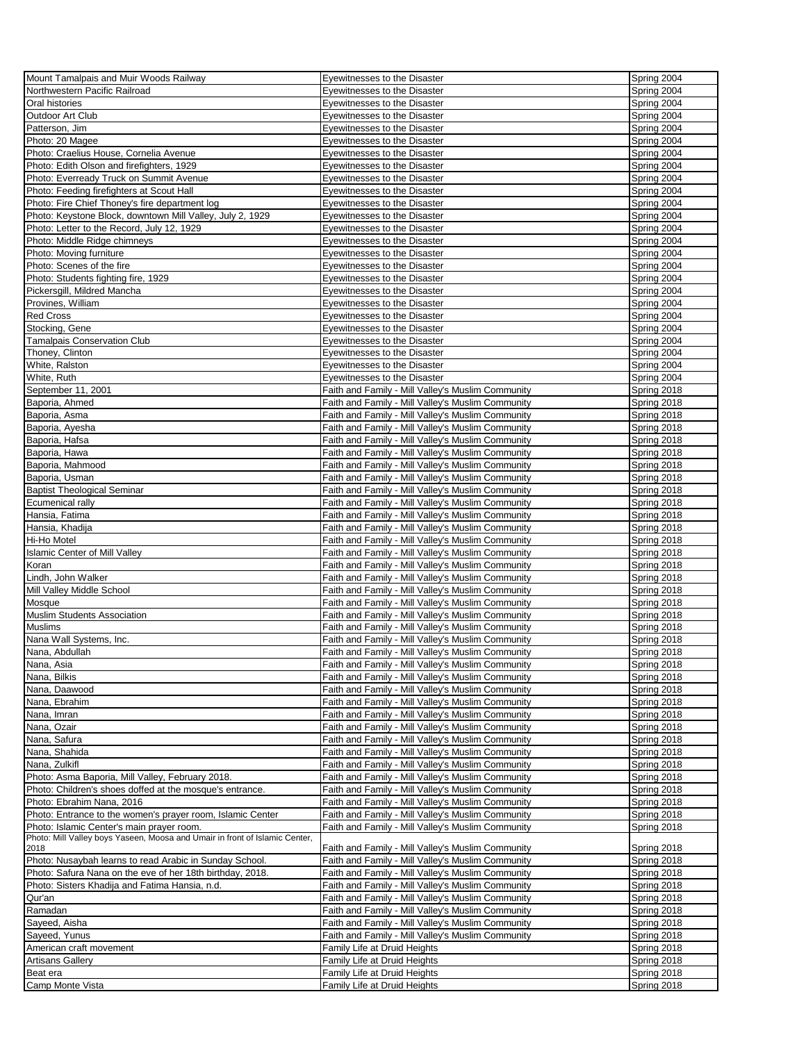| Mount Tamalpais and Muir Woods Railway                                      | Eyewitnesses to the Disaster                      | Spring 2004 |
|-----------------------------------------------------------------------------|---------------------------------------------------|-------------|
| Northwestern Pacific Railroad                                               | Eyewitnesses to the Disaster                      | Spring 2004 |
|                                                                             |                                                   |             |
| Oral histories                                                              | Eyewitnesses to the Disaster                      | Spring 2004 |
| Outdoor Art Club                                                            | Eyewitnesses to the Disaster                      | Spring 2004 |
| Patterson, Jim                                                              | Eyewitnesses to the Disaster                      | Spring 2004 |
| Photo: 20 Magee                                                             | Eyewitnesses to the Disaster                      | Spring 2004 |
| Photo: Craelius House, Cornelia Avenue                                      | Eyewitnesses to the Disaster                      | Spring 2004 |
| Photo: Edith Olson and firefighters, 1929                                   | Eyewitnesses to the Disaster                      | Spring 2004 |
|                                                                             |                                                   |             |
| Photo: Everready Truck on Summit Avenue                                     | Eyewitnesses to the Disaster                      | Spring 2004 |
| Photo: Feeding firefighters at Scout Hall                                   | Eyewitnesses to the Disaster                      | Spring 2004 |
| Photo: Fire Chief Thoney's fire department log                              | Eyewitnesses to the Disaster                      | Spring 2004 |
| Photo: Keystone Block, downtown Mill Valley, July 2, 1929                   | Eyewitnesses to the Disaster                      | Spring 2004 |
| Photo: Letter to the Record, July 12, 1929                                  | Eyewitnesses to the Disaster                      | Spring 2004 |
| Photo: Middle Ridge chimneys                                                | Eyewitnesses to the Disaster                      | Spring 2004 |
| Photo: Moving furniture                                                     | Eyewitnesses to the Disaster                      | Spring 2004 |
|                                                                             |                                                   |             |
| Photo: Scenes of the fire                                                   | Eyewitnesses to the Disaster                      | Spring 2004 |
| Photo: Students fighting fire, 1929                                         | Eyewitnesses to the Disaster                      | Spring 2004 |
| Pickersgill, Mildred Mancha                                                 | Eyewitnesses to the Disaster                      | Spring 2004 |
| Provines, William                                                           | Eyewitnesses to the Disaster                      | Spring 2004 |
| <b>Red Cross</b>                                                            | Eyewitnesses to the Disaster                      | Spring 2004 |
| Stocking, Gene                                                              | Eyewitnesses to the Disaster                      | Spring 2004 |
| Tamalpais Conservation Club                                                 | Eyewitnesses to the Disaster                      | Spring 2004 |
|                                                                             |                                                   |             |
| Thoney, Clinton                                                             | Eyewitnesses to the Disaster                      | Spring 2004 |
| White, Ralston                                                              | Eyewitnesses to the Disaster                      | Spring 2004 |
| White, Ruth                                                                 | Eyewitnesses to the Disaster                      | Spring 2004 |
| September 11, 2001                                                          | Faith and Family - Mill Valley's Muslim Community | Spring 2018 |
| Baporia, Ahmed                                                              | Faith and Family - Mill Valley's Muslim Community | Spring 2018 |
| Baporia, Asma                                                               | Faith and Family - Mill Valley's Muslim Community | Spring 2018 |
| Baporia, Ayesha                                                             | Faith and Family - Mill Valley's Muslim Community | Spring 2018 |
| Baporia, Hafsa                                                              | Faith and Family - Mill Valley's Muslim Community | Spring 2018 |
| Baporia, Hawa                                                               | Faith and Family - Mill Valley's Muslim Community | Spring 2018 |
|                                                                             |                                                   |             |
| Baporia, Mahmood                                                            | Faith and Family - Mill Valley's Muslim Community | Spring 2018 |
| Baporia, Usman                                                              | Faith and Family - Mill Valley's Muslim Community | Spring 2018 |
| <b>Baptist Theological Seminar</b>                                          | Faith and Family - Mill Valley's Muslim Community | Spring 2018 |
| Ecumenical rally                                                            | Faith and Family - Mill Valley's Muslim Community | Spring 2018 |
| Hansia, Fatima                                                              | Faith and Family - Mill Valley's Muslim Community | Spring 2018 |
| Hansia, Khadija                                                             | Faith and Family - Mill Valley's Muslim Community | Spring 2018 |
| Hi-Ho Motel                                                                 | Faith and Family - Mill Valley's Muslim Community | Spring 2018 |
| <b>Islamic Center of Mill Valley</b>                                        | Faith and Family - Mill Valley's Muslim Community | Spring 2018 |
|                                                                             |                                                   |             |
| Koran                                                                       | Faith and Family - Mill Valley's Muslim Community | Spring 2018 |
| Lindh, John Walker                                                          | Faith and Family - Mill Valley's Muslim Community | Spring 2018 |
| Mill Valley Middle School                                                   | Faith and Family - Mill Valley's Muslim Community | Spring 2018 |
| Mosque                                                                      | Faith and Family - Mill Valley's Muslim Community | Spring 2018 |
| <b>Muslim Students Association</b>                                          | Faith and Family - Mill Valley's Muslim Community | Spring 2018 |
| Muslims                                                                     | Faith and Family - Mill Valley's Muslim Community | Spring 2018 |
| Nana Wall Systems, Inc.                                                     | Faith and Family - Mill Valley's Muslim Community | Spring 2018 |
| Nana, Abdullah                                                              | Faith and Family - Mill Valley's Muslim Community | Spring 2018 |
|                                                                             |                                                   |             |
| Nana, Asia                                                                  | Faith and Family - Mill Valley's Muslim Community | Spring 2018 |
| Nana, Bilkis                                                                | Faith and Family - Mill Valley's Muslim Community | Spring 2018 |
| Nana, Daawood                                                               | Faith and Family - Mill Valley's Muslim Community | Spring 2018 |
| Nana, Ebrahim                                                               | Faith and Family - Mill Valley's Muslim Community | Spring 2018 |
| Nana, Imran                                                                 | Faith and Family - Mill Valley's Muslim Community | Spring 2018 |
| Nana, Ozair                                                                 | Faith and Family - Mill Valley's Muslim Community | Spring 2018 |
| Nana, Safura                                                                | Faith and Family - Mill Valley's Muslim Community | Spring 2018 |
| Nana, Shahida                                                               | Faith and Family - Mill Valley's Muslim Community | Spring 2018 |
| Nana, Zulkifl                                                               | Faith and Family - Mill Valley's Muslim Community | Spring 2018 |
|                                                                             |                                                   |             |
| Photo: Asma Baporia, Mill Valley, February 2018.                            | Faith and Family - Mill Valley's Muslim Community | Spring 2018 |
| Photo: Children's shoes doffed at the mosque's entrance.                    | Faith and Family - Mill Valley's Muslim Community | Spring 2018 |
| Photo: Ebrahim Nana, 2016                                                   | Faith and Family - Mill Valley's Muslim Community | Spring 2018 |
| Photo: Entrance to the women's prayer room, Islamic Center                  | Faith and Family - Mill Valley's Muslim Community | Spring 2018 |
| Photo: Islamic Center's main prayer room.                                   | Faith and Family - Mill Valley's Muslim Community | Spring 2018 |
| Photo: Mill Valley boys Yaseen, Moosa and Umair in front of Islamic Center, |                                                   |             |
| 2018                                                                        | Faith and Family - Mill Valley's Muslim Community | Spring 2018 |
| Photo: Nusaybah learns to read Arabic in Sunday School.                     | Faith and Family - Mill Valley's Muslim Community | Spring 2018 |
| Photo: Safura Nana on the eve of her 18th birthday, 2018.                   | Faith and Family - Mill Valley's Muslim Community | Spring 2018 |
| Photo: Sisters Khadija and Fatima Hansia, n.d.                              | Faith and Family - Mill Valley's Muslim Community | Spring 2018 |
| Qur'an                                                                      | Faith and Family - Mill Valley's Muslim Community | Spring 2018 |
| Ramadan                                                                     | Faith and Family - Mill Valley's Muslim Community | Spring 2018 |
|                                                                             |                                                   |             |
| Sayeed, Aisha                                                               | Faith and Family - Mill Valley's Muslim Community | Spring 2018 |
| Sayeed, Yunus                                                               | Faith and Family - Mill Valley's Muslim Community | Spring 2018 |
| American craft movement                                                     | Family Life at Druid Heights                      | Spring 2018 |
| <b>Artisans Gallery</b>                                                     | Family Life at Druid Heights                      | Spring 2018 |
| Beat era                                                                    | Family Life at Druid Heights                      | Spring 2018 |
| Camp Monte Vista                                                            | Family Life at Druid Heights                      | Spring 2018 |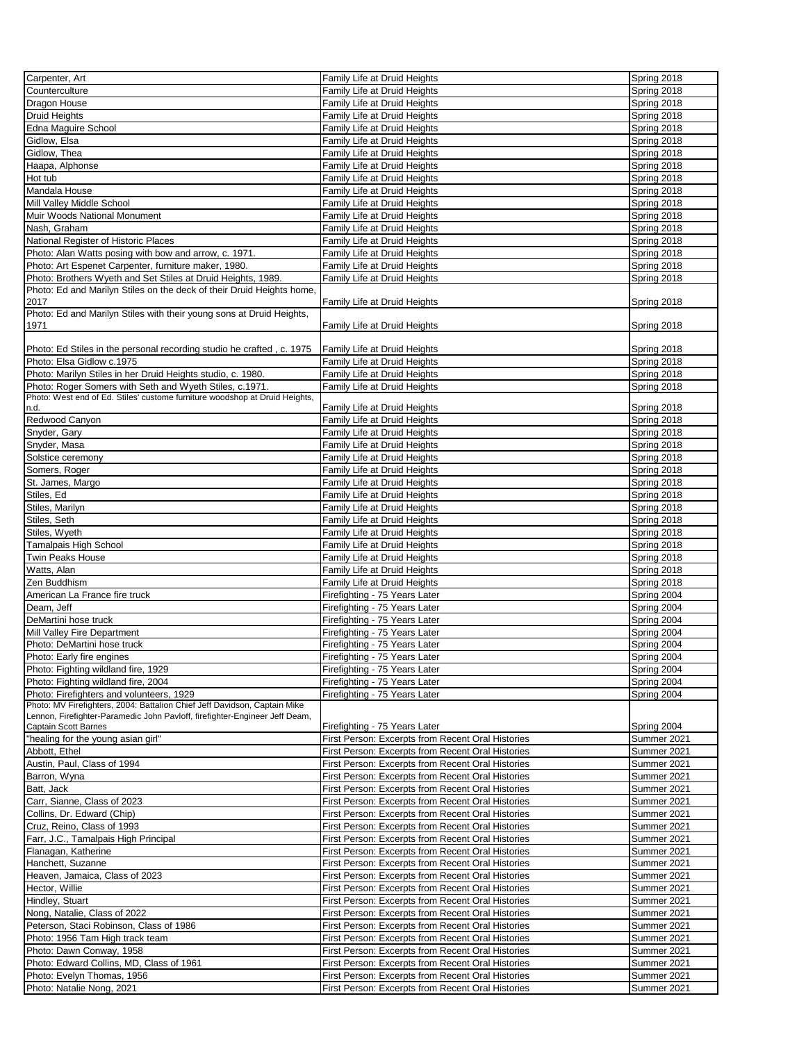| Carpenter, Art                                                                                                        | Family Life at Druid Heights                      | Spring 2018 |
|-----------------------------------------------------------------------------------------------------------------------|---------------------------------------------------|-------------|
| Counterculture                                                                                                        | Family Life at Druid Heights                      | Spring 2018 |
| Dragon House                                                                                                          | Family Life at Druid Heights                      | Spring 2018 |
| <b>Druid Heights</b>                                                                                                  | Family Life at Druid Heights                      | Spring 2018 |
| Edna Maguire School                                                                                                   | Family Life at Druid Heights                      | Spring 2018 |
| Gidlow, Elsa                                                                                                          | Family Life at Druid Heights                      | Spring 2018 |
| Gidlow, Thea                                                                                                          | Family Life at Druid Heights                      | Spring 2018 |
| Haapa, Alphonse                                                                                                       | Family Life at Druid Heights                      | Spring 2018 |
| Hot tub                                                                                                               | Family Life at Druid Heights                      | Spring 2018 |
| Mandala House                                                                                                         | Family Life at Druid Heights                      | Spring 2018 |
| Mill Valley Middle School                                                                                             | Family Life at Druid Heights                      | Spring 2018 |
| Muir Woods National Monument                                                                                          | Family Life at Druid Heights                      | Spring 2018 |
| Nash, Graham                                                                                                          | Family Life at Druid Heights                      | Spring 2018 |
| National Register of Historic Places                                                                                  | Family Life at Druid Heights                      | Spring 2018 |
| Photo: Alan Watts posing with bow and arrow, c. 1971.                                                                 | Family Life at Druid Heights                      | Spring 2018 |
| Photo: Art Espenet Carpenter, furniture maker, 1980.                                                                  | Family Life at Druid Heights                      | Spring 2018 |
| Photo: Brothers Wyeth and Set Stiles at Druid Heights, 1989.                                                          | Family Life at Druid Heights                      | Spring 2018 |
| Photo: Ed and Marilyn Stiles on the deck of their Druid Heights home,                                                 |                                                   |             |
| 2017                                                                                                                  | Family Life at Druid Heights                      | Spring 2018 |
| Photo: Ed and Marilyn Stiles with their young sons at Druid Heights,                                                  |                                                   |             |
| 1971                                                                                                                  | Family Life at Druid Heights                      | Spring 2018 |
|                                                                                                                       |                                                   |             |
| Photo: Ed Stiles in the personal recording studio he crafted, c. 1975                                                 | Family Life at Druid Heights                      | Spring 2018 |
| Photo: Elsa Gidlow c.1975                                                                                             | Family Life at Druid Heights                      | Spring 2018 |
| Photo: Marilyn Stiles in her Druid Heights studio, c. 1980.                                                           | Family Life at Druid Heights                      | Spring 2018 |
| Photo: Roger Somers with Seth and Wyeth Stiles, c.1971.                                                               | Family Life at Druid Heights                      | Spring 2018 |
| Photo: West end of Ed. Stiles' custome furniture woodshop at Druid Heights,                                           |                                                   |             |
| n.d.                                                                                                                  | Family Life at Druid Heights                      | Spring 2018 |
| Redwood Canyon                                                                                                        | Family Life at Druid Heights                      | Spring 2018 |
| Snyder, Gary                                                                                                          | Family Life at Druid Heights                      | Spring 2018 |
| Snyder, Masa                                                                                                          | Family Life at Druid Heights                      | Spring 2018 |
| Solstice ceremony                                                                                                     | Family Life at Druid Heights                      | Spring 2018 |
| Somers, Roger                                                                                                         | Family Life at Druid Heights                      | Spring 2018 |
| St. James, Margo                                                                                                      | Family Life at Druid Heights                      | Spring 2018 |
| Stiles, Ed                                                                                                            | Family Life at Druid Heights                      | Spring 2018 |
| Stiles, Marilyn                                                                                                       | Family Life at Druid Heights                      | Spring 2018 |
| Stiles, Seth                                                                                                          | Family Life at Druid Heights                      | Spring 2018 |
| Stiles, Wyeth                                                                                                         | Family Life at Druid Heights                      | Spring 2018 |
| <b>Tamalpais High School</b>                                                                                          | Family Life at Druid Heights                      | Spring 2018 |
| Twin Peaks House                                                                                                      | Family Life at Druid Heights                      | Spring 2018 |
| Watts, Alan                                                                                                           | Family Life at Druid Heights                      | Spring 2018 |
| Zen Buddhism                                                                                                          | Family Life at Druid Heights                      | Spring 2018 |
| American La France fire truck                                                                                         | Firefighting - 75 Years Later                     | Spring 2004 |
| Deam, Jeff                                                                                                            | Firefighting - 75 Years Later                     | Spring 2004 |
| DeMartini hose truck                                                                                                  |                                                   |             |
| Mill Valley Fire Department                                                                                           | Firefighting - 75 Years Later                     | Spring 2004 |
|                                                                                                                       | Firefighting - 75 Years Later                     | Spring 2004 |
| Photo: DeMartini hose truck                                                                                           | Firefighting - 75 Years Later                     | Spring 2004 |
| Photo: Early fire engines                                                                                             | Firefighting - 75 Years Later                     | Spring 2004 |
| Photo: Fighting wildland fire, 1929                                                                                   | Firefighting - 75 Years Later                     | Spring 2004 |
| Photo: Fighting wildland fire, 2004                                                                                   | Firefighting - 75 Years Later                     | Spring 2004 |
| Photo: Firefighters and volunteers, 1929<br>Photo: MV Firefighters, 2004: Battalion Chief Jeff Davidson, Captain Mike | Firefighting - 75 Years Later                     | Spring 2004 |
| Lennon, Firefighter-Paramedic John Pavloff, firefighter-Engineer Jeff Deam,                                           |                                                   |             |
| <b>Captain Scott Barnes</b>                                                                                           | Firefighting - 75 Years Later                     | Spring 2004 |
| "healing for the young asian girl"                                                                                    | First Person: Excerpts from Recent Oral Histories | Summer 2021 |
| Abbott, Ethel                                                                                                         | First Person: Excerpts from Recent Oral Histories | Summer 2021 |
| Austin, Paul, Class of 1994                                                                                           | First Person: Excerpts from Recent Oral Histories | Summer 2021 |
| Barron, Wyna                                                                                                          | First Person: Excerpts from Recent Oral Histories | Summer 2021 |
| Batt, Jack                                                                                                            | First Person: Excerpts from Recent Oral Histories | Summer 2021 |
| Carr, Sianne, Class of 2023                                                                                           | First Person: Excerpts from Recent Oral Histories | Summer 2021 |
| Collins, Dr. Edward (Chip)                                                                                            | First Person: Excerpts from Recent Oral Histories | Summer 2021 |
| Cruz, Reino, Class of 1993                                                                                            | First Person: Excerpts from Recent Oral Histories | Summer 2021 |
| Farr, J.C., Tamalpais High Principal                                                                                  | First Person: Excerpts from Recent Oral Histories | Summer 2021 |
| Flanagan, Katherine                                                                                                   | First Person: Excerpts from Recent Oral Histories | Summer 2021 |
| Hanchett, Suzanne                                                                                                     | First Person: Excerpts from Recent Oral Histories | Summer 2021 |
| Heaven, Jamaica, Class of 2023                                                                                        | First Person: Excerpts from Recent Oral Histories | Summer 2021 |
| Hector, Willie                                                                                                        | First Person: Excerpts from Recent Oral Histories | Summer 2021 |
| Hindley, Stuart                                                                                                       | First Person: Excerpts from Recent Oral Histories | Summer 2021 |
| Nong, Natalie, Class of 2022                                                                                          | First Person: Excerpts from Recent Oral Histories | Summer 2021 |
| Peterson, Staci Robinson, Class of 1986                                                                               | First Person: Excerpts from Recent Oral Histories | Summer 2021 |
| Photo: 1956 Tam High track team                                                                                       | First Person: Excerpts from Recent Oral Histories | Summer 2021 |
|                                                                                                                       |                                                   |             |
| Photo: Dawn Conway, 1958                                                                                              | First Person: Excerpts from Recent Oral Histories | Summer 2021 |
| Photo: Edward Collins, MD, Class of 1961                                                                              | First Person: Excerpts from Recent Oral Histories | Summer 2021 |
| Photo: Evelyn Thomas, 1956                                                                                            | First Person: Excerpts from Recent Oral Histories | Summer 2021 |
| Photo: Natalie Nong, 2021                                                                                             | First Person: Excerpts from Recent Oral Histories | Summer 2021 |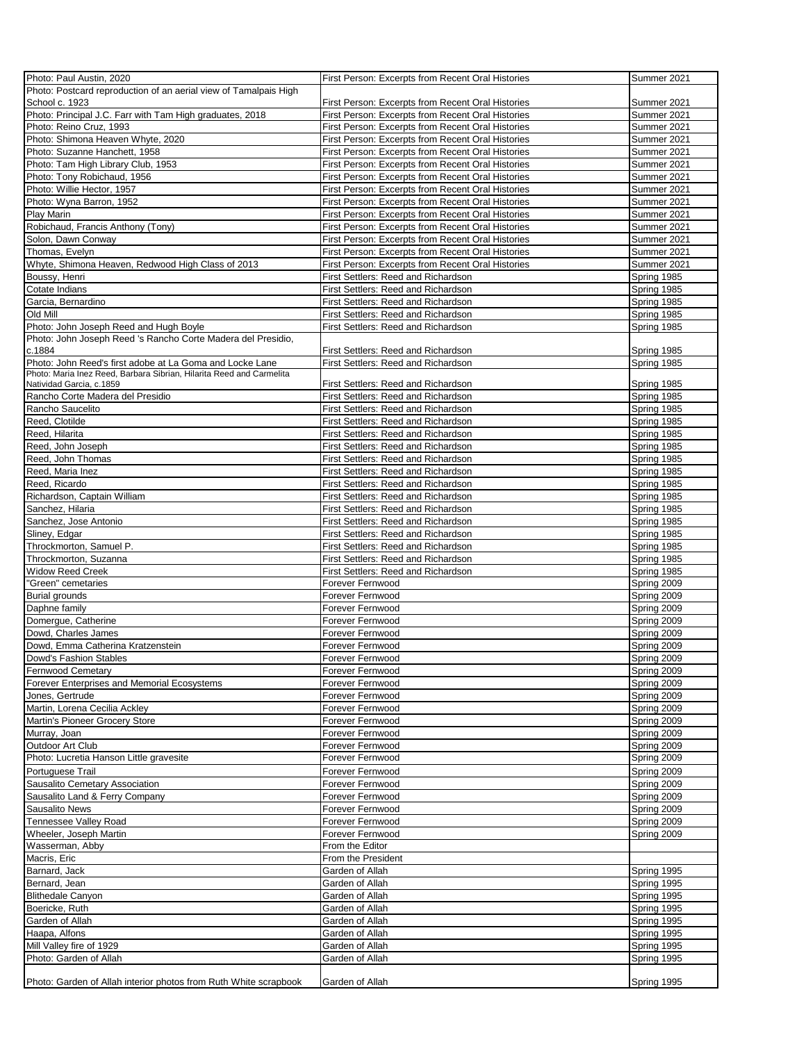| Photo: Paul Austin, 2020                                             | First Person: Excerpts from Recent Oral Histories | Summer 2021 |
|----------------------------------------------------------------------|---------------------------------------------------|-------------|
| Photo: Postcard reproduction of an aerial view of Tamalpais High     |                                                   |             |
| School c. 1923                                                       | First Person: Excerpts from Recent Oral Histories | Summer 2021 |
| Photo: Principal J.C. Farr with Tam High graduates, 2018             | First Person: Excerpts from Recent Oral Histories | Summer 2021 |
| Photo: Reino Cruz, 1993                                              | First Person: Excerpts from Recent Oral Histories | Summer 2021 |
| Photo: Shimona Heaven Whyte, 2020                                    | First Person: Excerpts from Recent Oral Histories | Summer 2021 |
| Photo: Suzanne Hanchett, 1958                                        | First Person: Excerpts from Recent Oral Histories | Summer 2021 |
|                                                                      |                                                   | Summer 2021 |
| Photo: Tam High Library Club, 1953                                   | First Person: Excerpts from Recent Oral Histories |             |
| Photo: Tony Robichaud, 1956                                          | First Person: Excerpts from Recent Oral Histories | Summer 2021 |
| Photo: Willie Hector, 1957                                           | First Person: Excerpts from Recent Oral Histories | Summer 2021 |
| Photo: Wyna Barron, 1952                                             | First Person: Excerpts from Recent Oral Histories | Summer 2021 |
| Play Marin                                                           | First Person: Excerpts from Recent Oral Histories | Summer 2021 |
| Robichaud, Francis Anthony (Tony)                                    | First Person: Excerpts from Recent Oral Histories | Summer 2021 |
| Solon, Dawn Conway                                                   | First Person: Excerpts from Recent Oral Histories | Summer 2021 |
| Thomas, Evelyn                                                       | First Person: Excerpts from Recent Oral Histories | Summer 2021 |
| Whyte, Shimona Heaven, Redwood High Class of 2013                    | First Person: Excerpts from Recent Oral Histories | Summer 2021 |
| Boussy, Henri                                                        | First Settlers: Reed and Richardson               |             |
|                                                                      |                                                   | Spring 1985 |
| Cotate Indians                                                       | First Settlers: Reed and Richardson               | Spring 1985 |
| Garcia, Bernardino                                                   | First Settlers: Reed and Richardson               | Spring 1985 |
| Old Mill                                                             | First Settlers: Reed and Richardson               | Spring 1985 |
| Photo: John Joseph Reed and Hugh Boyle                               | First Settlers: Reed and Richardson               | Spring 1985 |
| Photo: John Joseph Reed 's Rancho Corte Madera del Presidio,         |                                                   |             |
| c.1884                                                               | First Settlers: Reed and Richardson               | Spring 1985 |
| Photo: John Reed's first adobe at La Goma and Locke Lane             | First Settlers: Reed and Richardson               | Spring 1985 |
| Photo: Maria Inez Reed, Barbara Sibrian, Hilarita Reed and Carmelita |                                                   |             |
| Natividad Garcia, c.1859                                             | <b>First Settlers: Reed and Richardson</b>        | Spring 1985 |
| Rancho Corte Madera del Presidio                                     | <b>First Settlers: Reed and Richardson</b>        | Spring 1985 |
| Rancho Saucelito                                                     | First Settlers: Reed and Richardson               | Spring 1985 |
| Reed, Clotilde                                                       | First Settlers: Reed and Richardson               | Spring 1985 |
| Reed, Hilarita                                                       | First Settlers: Reed and Richardson               | Spring 1985 |
|                                                                      |                                                   |             |
| Reed, John Joseph                                                    | First Settlers: Reed and Richardson               | Spring 1985 |
| Reed, John Thomas                                                    | First Settlers: Reed and Richardson               | Spring 1985 |
| Reed, Maria Inez                                                     | First Settlers: Reed and Richardson               | Spring 1985 |
| Reed, Ricardo                                                        | First Settlers: Reed and Richardson               | Spring 1985 |
| Richardson, Captain William                                          | First Settlers: Reed and Richardson               | Spring 1985 |
| Sanchez, Hilaria                                                     | First Settlers: Reed and Richardson               | Spring 1985 |
| Sanchez, Jose Antonio                                                | First Settlers: Reed and Richardson               | Spring 1985 |
| Sliney, Edgar                                                        | First Settlers: Reed and Richardson               | Spring 1985 |
|                                                                      |                                                   |             |
| Throckmorton, Samuel P.                                              | First Settlers: Reed and Richardson               | Spring 1985 |
| Throckmorton, Suzanna                                                | First Settlers: Reed and Richardson               | Spring 1985 |
| <b>Widow Reed Creek</b>                                              | First Settlers: Reed and Richardson               | Spring 1985 |
| 'Green" cemetaries                                                   | Forever Fernwood                                  | Spring 2009 |
| Burial grounds                                                       | Forever Fernwood                                  | Spring 2009 |
| Daphne family                                                        | Forever Fernwood                                  | Spring 2009 |
| Domergue, Catherine                                                  | Forever Fernwood                                  | Spring 2009 |
| Dowd, Charles James                                                  | Forever Fernwood                                  | Spring 2009 |
|                                                                      | Forever Fernwood                                  |             |
| Dowd, Emma Catherina Kratzenstein                                    |                                                   | Spring 2009 |
| Dowd's Fashion Stables                                               | Forever Fernwood                                  | Spring 2009 |
| Fernwood Cemetary                                                    | Forever Fernwood                                  | Spring 2009 |
| Forever Enterprises and Memorial Ecosystems                          | Forever Fernwood                                  | Spring 2009 |
| Jones, Gertrude                                                      | Forever Fernwood                                  | Spring 2009 |
| Martin, Lorena Cecilia Ackley                                        | Forever Fernwood                                  | Spring 2009 |
| Martin's Pioneer Grocery Store                                       | Forever Fernwood                                  | Spring 2009 |
| Murray, Joan                                                         | Forever Fernwood                                  | Spring 2009 |
| Outdoor Art Club                                                     | Forever Fernwood                                  | Spring 2009 |
| Photo: Lucretia Hanson Little gravesite                              | Forever Fernwood                                  | Spring 2009 |
|                                                                      |                                                   |             |
| Portuguese Trail                                                     | Forever Fernwood                                  | Spring 2009 |
| Sausalito Cemetary Association                                       | Forever Fernwood                                  | Spring 2009 |
| Sausalito Land & Ferry Company                                       | Forever Fernwood                                  | Spring 2009 |
| <b>Sausalito News</b>                                                | Forever Fernwood                                  | Spring 2009 |
| Tennessee Valley Road                                                | Forever Fernwood                                  | Spring 2009 |
| Wheeler, Joseph Martin                                               | Forever Fernwood                                  | Spring 2009 |
| Wasserman, Abby                                                      | From the Editor                                   |             |
| Macris, Eric                                                         | From the President                                |             |
|                                                                      |                                                   |             |
| Barnard, Jack                                                        | Garden of Allah                                   | Spring 1995 |
| Bernard, Jean                                                        | Garden of Allah                                   | Spring 1995 |
| <b>Blithedale Canyon</b>                                             | Garden of Allah                                   | Spring 1995 |
| Boericke, Ruth                                                       | Garden of Allah                                   | Spring 1995 |
| Garden of Allah                                                      | Garden of Allah                                   | Spring 1995 |
| Haapa, Alfons                                                        | Garden of Allah                                   | Spring 1995 |
| Mill Valley fire of 1929                                             | Garden of Allah                                   | Spring 1995 |
| Photo: Garden of Allah                                               | Garden of Allah                                   | Spring 1995 |
|                                                                      |                                                   |             |
|                                                                      |                                                   |             |
| Photo: Garden of Allah interior photos from Ruth White scrapbook     | Garden of Allah                                   | Spring 1995 |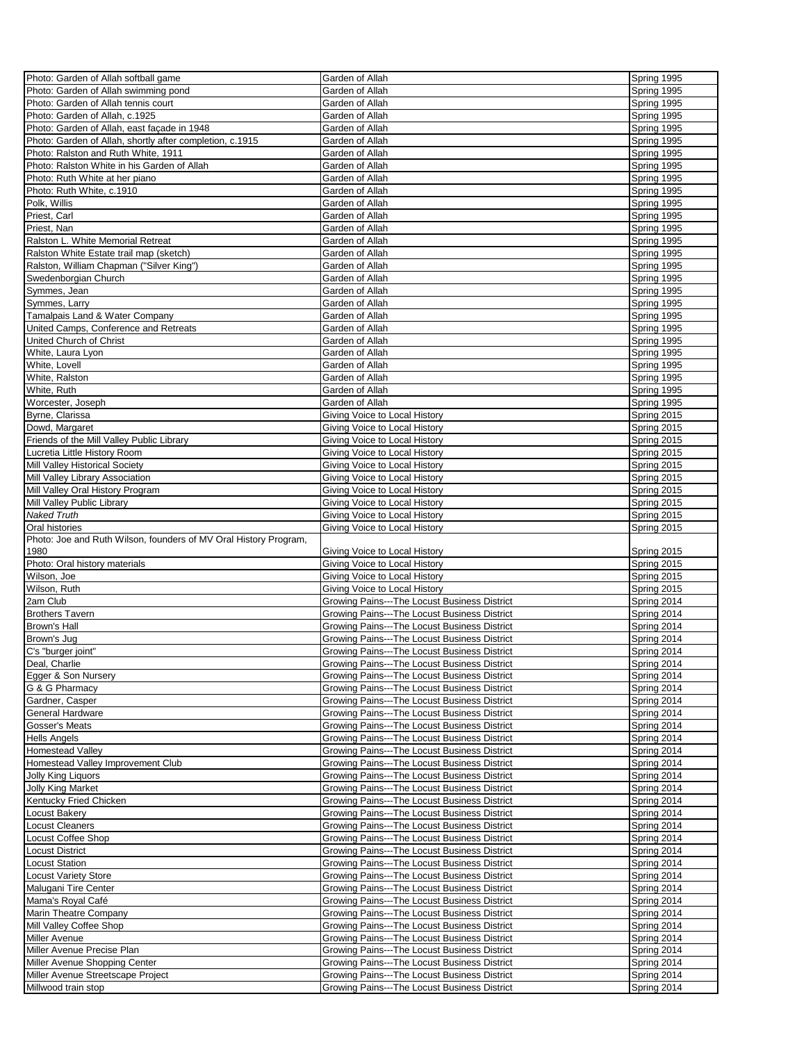| Photo: Garden of Allah softball game                             | Garden of Allah                                                                              | Spring 1995                |
|------------------------------------------------------------------|----------------------------------------------------------------------------------------------|----------------------------|
| Photo: Garden of Allah swimming pond                             | Garden of Allah                                                                              | Spring 1995                |
| Photo: Garden of Allah tennis court                              | Garden of Allah                                                                              | Spring 1995                |
| Photo: Garden of Allah, c.1925                                   | Garden of Allah                                                                              | Spring 1995                |
|                                                                  |                                                                                              |                            |
| Photo: Garden of Allah, east façade in 1948                      | Garden of Allah                                                                              | Spring 1995                |
| Photo: Garden of Allah, shortly after completion, c.1915         | Garden of Allah                                                                              | Spring 1995                |
| Photo: Ralston and Ruth White, 1911                              | Garden of Allah                                                                              | Spring 1995                |
| Photo: Ralston White in his Garden of Allah                      | Garden of Allah                                                                              | Spring 1995                |
| Photo: Ruth White at her piano                                   | Garden of Allah                                                                              | Spring 1995                |
| Photo: Ruth White, c.1910                                        | Garden of Allah                                                                              | Spring 1995                |
| Polk, Willis                                                     | Garden of Allah                                                                              | Spring 1995                |
| Priest, Carl                                                     | Garden of Allah                                                                              | Spring 1995                |
| Priest, Nan                                                      | Garden of Allah                                                                              | Spring 1995                |
| Ralston L. White Memorial Retreat                                | Garden of Allah                                                                              | Spring 1995                |
| Ralston White Estate trail map (sketch)                          | Garden of Allah                                                                              | Spring 1995                |
| Ralston, William Chapman ("Silver King")                         | Garden of Allah                                                                              | Spring 1995                |
| Swedenborgian Church                                             | Garden of Allah                                                                              | Spring 1995                |
|                                                                  |                                                                                              |                            |
| Symmes, Jean                                                     | Garden of Allah                                                                              | Spring 1995                |
| Symmes, Larry                                                    | Garden of Allah                                                                              | Spring 1995                |
| Tamalpais Land & Water Company                                   | Garden of Allah                                                                              | Spring 1995                |
| United Camps, Conference and Retreats                            | Garden of Allah                                                                              | Spring 1995                |
| United Church of Christ                                          | Garden of Allah                                                                              | Spring 1995                |
| White, Laura Lyon                                                | Garden of Allah                                                                              | Spring 1995                |
| White, Lovell                                                    | Garden of Allah                                                                              | Spring 1995                |
| White, Ralston                                                   | Garden of Allah                                                                              | Spring 1995                |
| White, Ruth                                                      | Garden of Allah                                                                              | Spring 1995                |
| Worcester, Joseph                                                | Garden of Allah                                                                              | Spring 1995                |
| Byrne, Clarissa                                                  | Giving Voice to Local History                                                                | Spring 2015                |
| Dowd, Margaret                                                   | Giving Voice to Local History                                                                | Spring 2015                |
| Friends of the Mill Valley Public Library                        | Giving Voice to Local History                                                                | Spring 2015                |
| Lucretia Little History Room                                     | Giving Voice to Local History                                                                | Spring 2015                |
| <b>Mill Valley Historical Society</b>                            | Giving Voice to Local History                                                                | Spring 2015                |
| Mill Valley Library Association                                  | Giving Voice to Local History                                                                | Spring 2015                |
| Mill Valley Oral History Program                                 | Giving Voice to Local History                                                                | Spring 2015                |
| Mill Valley Public Library                                       | Giving Voice to Local History                                                                | Spring 2015                |
| Naked Truth                                                      | Giving Voice to Local History                                                                | Spring 2015                |
| Oral histories                                                   | Giving Voice to Local History                                                                | Spring 2015                |
| Photo: Joe and Ruth Wilson, founders of MV Oral History Program, |                                                                                              |                            |
|                                                                  |                                                                                              |                            |
|                                                                  |                                                                                              |                            |
| 1980                                                             | Giving Voice to Local History                                                                | Spring 2015                |
| Photo: Oral history materials                                    | Giving Voice to Local History                                                                | Spring 2015                |
| Wilson, Joe                                                      | Giving Voice to Local History                                                                | Spring 2015                |
| Wilson, Ruth                                                     | Giving Voice to Local History                                                                | Spring 2015                |
| 2am Club                                                         | Growing Pains---The Locust Business District                                                 | Spring 2014                |
| <b>Brothers Tavern</b>                                           | Growing Pains---The Locust Business District                                                 | Spring 2014                |
| Brown's Hall                                                     | Growing Pains---The Locust Business District                                                 | Spring 2014                |
| Brown's Jug                                                      | Growing Pains---The Locust Business District                                                 | Spring 2014                |
| C's "burger joint"                                               | Growing Pains---The Locust Business District                                                 | Spring 2014                |
| Deal, Charlie                                                    | Growing Pains---The Locust Business District                                                 | Spring 2014                |
| Egger & Son Nursery                                              | Growing Pains---The Locust Business District                                                 | Spring 2014                |
| G & G Pharmacy                                                   | Growing Pains---The Locust Business District                                                 | Spring 2014                |
| Gardner, Casper                                                  | Growing Pains---The Locust Business District                                                 | Spring 2014                |
| General Hardware                                                 | Growing Pains---The Locust Business District                                                 | Spring 2014                |
| Gosser's Meats                                                   | Growing Pains---The Locust Business District                                                 | Spring 2014                |
| <b>Hells Angels</b>                                              | Growing Pains---The Locust Business District                                                 | Spring 2014                |
| Homestead Valley                                                 | Growing Pains---The Locust Business District                                                 | Spring 2014                |
| Homestead Valley Improvement Club                                | Growing Pains---The Locust Business District                                                 | Spring 2014                |
|                                                                  |                                                                                              |                            |
| Jolly King Liquors                                               | Growing Pains---The Locust Business District                                                 | Spring 2014                |
| Jolly King Market                                                | Growing Pains---The Locust Business District                                                 | Spring 2014                |
| Kentucky Fried Chicken                                           | Growing Pains---The Locust Business District                                                 | Spring 2014                |
| Locust Bakery                                                    | Growing Pains---The Locust Business District                                                 | Spring 2014                |
| Locust Cleaners                                                  | Growing Pains---The Locust Business District                                                 | Spring 2014                |
| Locust Coffee Shop                                               | Growing Pains---The Locust Business District                                                 | Spring 2014                |
| Locust District                                                  | Growing Pains---The Locust Business District                                                 | Spring 2014                |
| Locust Station                                                   | Growing Pains---The Locust Business District                                                 | Spring 2014                |
| Locust Variety Store                                             | Growing Pains---The Locust Business District                                                 | Spring 2014                |
| Malugani Tire Center                                             | Growing Pains---The Locust Business District                                                 | Spring 2014                |
| Mama's Royal Café                                                | Growing Pains---The Locust Business District                                                 | Spring 2014                |
| Marin Theatre Company                                            | Growing Pains---The Locust Business District                                                 | Spring 2014                |
| Mill Valley Coffee Shop                                          | Growing Pains---The Locust Business District                                                 | Spring 2014                |
| Miller Avenue                                                    | Growing Pains---The Locust Business District                                                 | Spring 2014                |
| Miller Avenue Precise Plan                                       | Growing Pains---The Locust Business District                                                 | Spring 2014                |
| Miller Avenue Shopping Center                                    | Growing Pains---The Locust Business District                                                 | Spring 2014                |
| Miller Avenue Streetscape Project<br>Millwood train stop         | Growing Pains---The Locust Business District<br>Growing Pains---The Locust Business District | Spring 2014<br>Spring 2014 |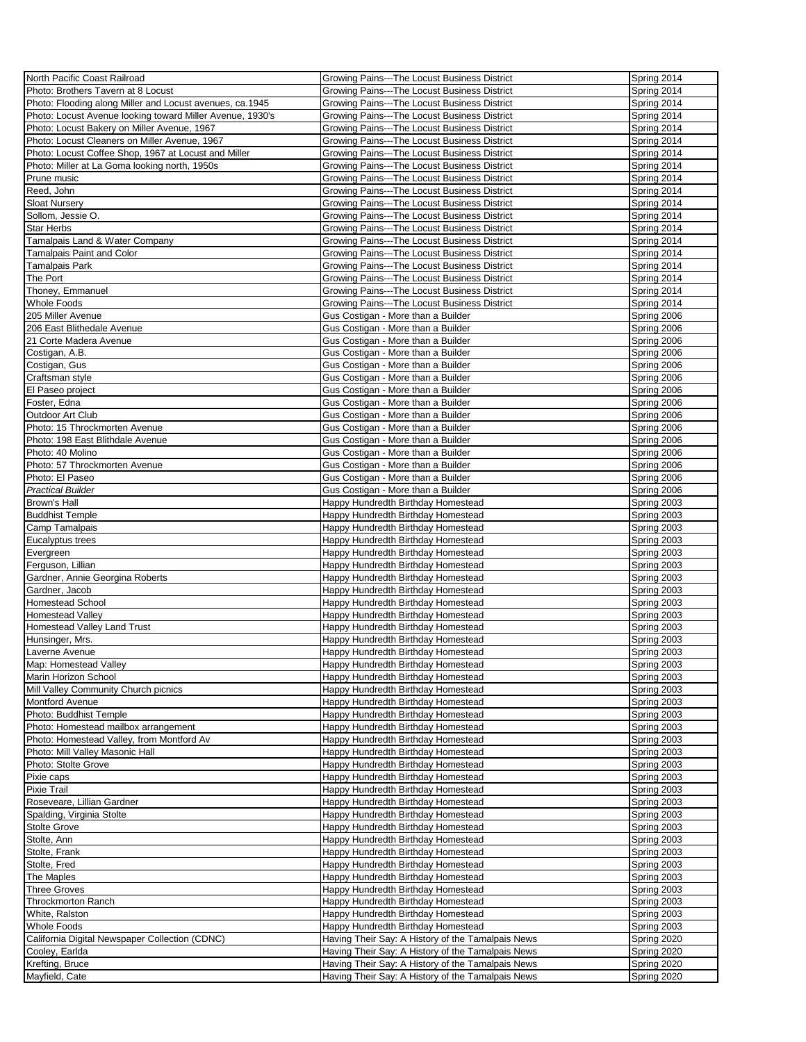| North Pacific Coast Railroad                              | Growing Pains---The Locust Business District         | Spring 2014 |
|-----------------------------------------------------------|------------------------------------------------------|-------------|
| Photo: Brothers Tavern at 8 Locust                        | Growing Pains---The Locust Business District         | Spring 2014 |
| Photo: Flooding along Miller and Locust avenues, ca.1945  | Growing Pains---The Locust Business District         | Spring 2014 |
| Photo: Locust Avenue looking toward Miller Avenue, 1930's | Growing Pains---The Locust Business District         | Spring 2014 |
| Photo: Locust Bakery on Miller Avenue, 1967               | Growing Pains---The Locust Business District         | Spring 2014 |
| Photo: Locust Cleaners on Miller Avenue, 1967             | Growing Pains---The Locust Business District         | Spring 2014 |
| Photo: Locust Coffee Shop, 1967 at Locust and Miller      | Growing Pains---The Locust Business District         | Spring 2014 |
| Photo: Miller at La Goma looking north, 1950s             | Growing Pains---The Locust Business District         | Spring 2014 |
| Prune music                                               | Growing Pains---The Locust Business District         | Spring 2014 |
| Reed, John                                                | Growing Pains---The Locust Business District         | Spring 2014 |
| <b>Sloat Nurserv</b>                                      | Growing Pains---The Locust Business District         | Spring 2014 |
| Sollom, Jessie O.                                         | Growing Pains---The Locust Business District         | Spring 2014 |
| <b>Star Herbs</b>                                         | Growing Pains---The Locust Business District         | Spring 2014 |
|                                                           | Growing Pains---The Locust Business District         | Spring 2014 |
| Tamalpais Land & Water Company                            |                                                      |             |
| <b>Tamalpais Paint and Color</b>                          | <b>Growing Pains--- The Locust Business District</b> | Spring 2014 |
| Tamalpais Park                                            | Growing Pains---The Locust Business District         | Spring 2014 |
| The Port                                                  | Growing Pains---The Locust Business District         | Spring 2014 |
| Thoney, Emmanuel                                          | Growing Pains---The Locust Business District         | Spring 2014 |
| Whole Foods                                               | Growing Pains---The Locust Business District         | Spring 2014 |
| 205 Miller Avenue                                         | Gus Costigan - More than a Builder                   | Spring 2006 |
| 206 East Blithedale Avenue                                | Gus Costigan - More than a Builder                   | Spring 2006 |
| 21 Corte Madera Avenue                                    | Gus Costigan - More than a Builder                   | Spring 2006 |
| Costigan, A.B.                                            | Gus Costigan - More than a Builder                   | Spring 2006 |
| Costigan, Gus                                             | Gus Costigan - More than a Builder                   | Spring 2006 |
| Craftsman style                                           | Gus Costigan - More than a Builder                   | Spring 2006 |
| El Paseo project                                          | Gus Costigan - More than a Builder                   | Spring 2006 |
| Foster, Edna                                              | Gus Costigan - More than a Builder                   | Spring 2006 |
| Outdoor Art Club                                          | Gus Costigan - More than a Builder                   | Spring 2006 |
| Photo: 15 Throckmorten Avenue                             | Gus Costigan - More than a Builder                   | Spring 2006 |
| Photo: 198 East Blithdale Avenue                          | Gus Costigan - More than a Builder                   | Spring 2006 |
| Photo: 40 Molino                                          | Gus Costigan - More than a Builder                   | Spring 2006 |
| Photo: 57 Throckmorten Avenue                             | Gus Costigan - More than a Builder                   | Spring 2006 |
| Photo: El Paseo                                           | Gus Costigan - More than a Builder                   | Spring 2006 |
| <b>Practical Builder</b>                                  | Gus Costigan - More than a Builder                   | Spring 2006 |
| Brown's Hall                                              | Happy Hundredth Birthday Homestead                   | Spring 2003 |
| <b>Buddhist Temple</b>                                    | Happy Hundredth Birthday Homestead                   | Spring 2003 |
| Camp Tamalpais                                            | Happy Hundredth Birthday Homestead                   | Spring 2003 |
| Eucalyptus trees                                          | Happy Hundredth Birthday Homestead                   | Spring 2003 |
| Evergreen                                                 | Happy Hundredth Birthday Homestead                   | Spring 2003 |
| Ferguson, Lillian                                         | Happy Hundredth Birthday Homestead                   | Spring 2003 |
| Gardner, Annie Georgina Roberts                           | Happy Hundredth Birthday Homestead                   | Spring 2003 |
| Gardner, Jacob                                            | Happy Hundredth Birthday Homestead                   | Spring 2003 |
| <b>Homestead School</b>                                   | Happy Hundredth Birthday Homestead                   | Spring 2003 |
| Homestead Valley                                          | Happy Hundredth Birthday Homestead                   | Spring 2003 |
| Homestead Valley Land Trust                               | Happy Hundredth Birthday Homestead                   | Spring 2003 |
|                                                           |                                                      | Spring 2003 |
| Hunsinger, Mrs.                                           | Happy Hundredth Birthday Homestead                   |             |
| Laverne Avenue                                            | Happy Hundredth Birthday Homestead                   | Spring 2003 |
| Map: Homestead Valley                                     | Happy Hundredth Birthday Homestead                   | Spring 2003 |
| Marin Horizon School                                      | Happy Hundredth Birthday Homestead                   | Spring 2003 |
| Mill Valley Community Church picnics                      | Happy Hundredth Birthday Homestead                   | Spring 2003 |
| Montford Avenue                                           | Happy Hundredth Birthday Homestead                   | Spring 2003 |
| Photo: Buddhist Temple                                    | Happy Hundredth Birthday Homestead                   | Spring 2003 |
| Photo: Homestead mailbox arrangement                      | Happy Hundredth Birthday Homestead                   | Spring 2003 |
| Photo: Homestead Valley, from Montford Av                 | Happy Hundredth Birthday Homestead                   | Spring 2003 |
| Photo: Mill Valley Masonic Hall                           | Happy Hundredth Birthday Homestead                   | Spring 2003 |
| Photo: Stolte Grove                                       | Happy Hundredth Birthday Homestead                   | Spring 2003 |
| Pixie caps                                                | Happy Hundredth Birthday Homestead                   | Spring 2003 |
| Pixie Trail                                               | Happy Hundredth Birthday Homestead                   | Spring 2003 |
| Roseveare, Lillian Gardner                                | Happy Hundredth Birthday Homestead                   | Spring 2003 |
| Spalding, Virginia Stolte                                 | Happy Hundredth Birthday Homestead                   | Spring 2003 |
| <b>Stolte Grove</b>                                       | Happy Hundredth Birthday Homestead                   | Spring 2003 |
| Stolte, Ann                                               | Happy Hundredth Birthday Homestead                   | Spring 2003 |
| Stolte, Frank                                             | Happy Hundredth Birthday Homestead                   | Spring 2003 |
| Stolte, Fred                                              | Happy Hundredth Birthday Homestead                   | Spring 2003 |
| The Maples                                                | Happy Hundredth Birthday Homestead                   | Spring 2003 |
| <b>Three Groves</b>                                       | Happy Hundredth Birthday Homestead                   | Spring 2003 |
| <b>Throckmorton Ranch</b>                                 | Happy Hundredth Birthday Homestead                   | Spring 2003 |
| White, Ralston                                            | Happy Hundredth Birthday Homestead                   | Spring 2003 |
| Whole Foods                                               | Happy Hundredth Birthday Homestead                   | Spring 2003 |
| California Digital Newspaper Collection (CDNC)            | Having Their Say: A History of the Tamalpais News    | Spring 2020 |
| Cooley, Earlda                                            | Having Their Say: A History of the Tamalpais News    | Spring 2020 |
| Krefting, Bruce                                           | Having Their Say: A History of the Tamalpais News    | Spring 2020 |
| Mayfield, Cate                                            | Having Their Say: A History of the Tamalpais News    | Spring 2020 |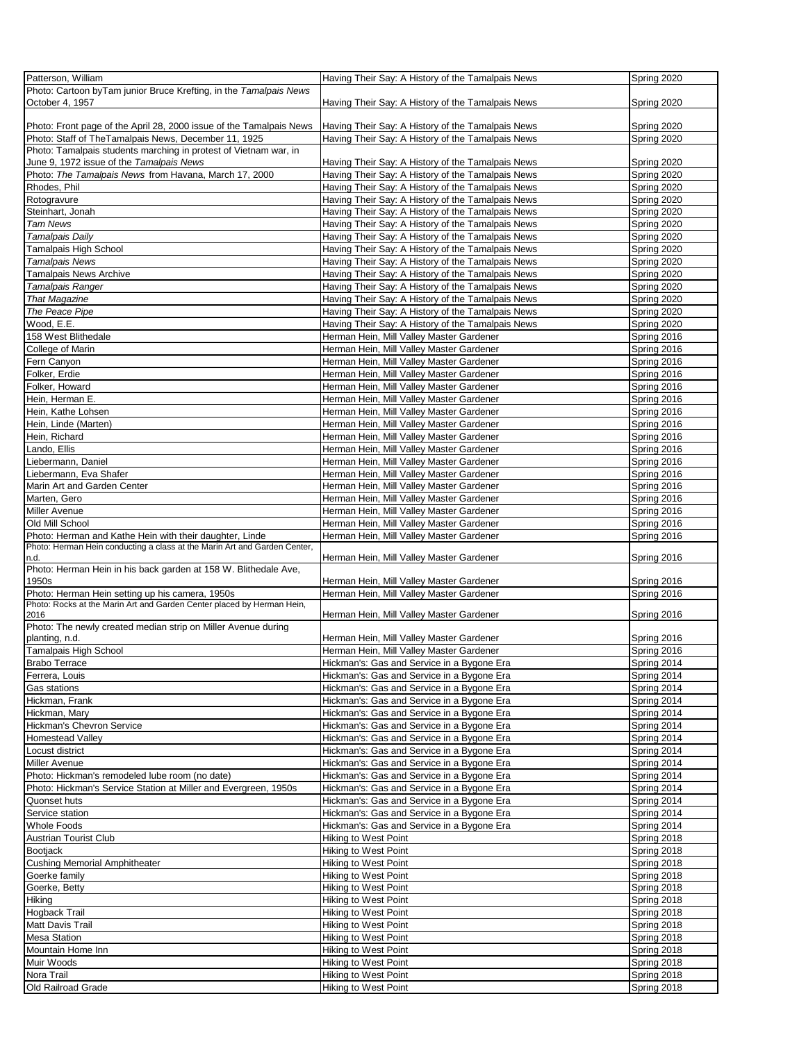| Patterson, William                                                        | Having Their Say: A History of the Tamalpais News | Spring 2020 |
|---------------------------------------------------------------------------|---------------------------------------------------|-------------|
| Photo: Cartoon byTam junior Bruce Krefting, in the Tamalpais News         |                                                   |             |
| October 4, 1957                                                           | Having Their Say: A History of the Tamalpais News | Spring 2020 |
|                                                                           |                                                   |             |
| Photo: Front page of the April 28, 2000 issue of the Tamalpais News       | Having Their Say: A History of the Tamalpais News | Spring 2020 |
| Photo: Staff of TheTamalpais News, December 11, 1925                      | Having Their Say: A History of the Tamalpais News | Spring 2020 |
| Photo: Tamalpais students marching in protest of Vietnam war, in          |                                                   |             |
| June 9, 1972 issue of the Tamalpais News                                  | Having Their Say: A History of the Tamalpais News | Spring 2020 |
|                                                                           |                                                   |             |
| Photo: The Tamalpais News from Havana, March 17, 2000                     | Having Their Say: A History of the Tamalpais News | Spring 2020 |
| Rhodes, Phil                                                              | Having Their Say: A History of the Tamalpais News | Spring 2020 |
| Rotogravure                                                               | Having Their Say: A History of the Tamalpais News | Spring 2020 |
| Steinhart, Jonah                                                          | Having Their Say: A History of the Tamalpais News | Spring 2020 |
| Tam News                                                                  | Having Their Say: A History of the Tamalpais News | Spring 2020 |
| <b>Tamalpais Daily</b>                                                    | Having Their Say: A History of the Tamalpais News | Spring 2020 |
| Tamalpais High School                                                     | Having Their Say: A History of the Tamalpais News | Spring 2020 |
| <b>Tamalpais News</b>                                                     | Having Their Say: A History of the Tamalpais News | Spring 2020 |
| Tamalpais News Archive                                                    | Having Their Say: A History of the Tamalpais News | Spring 2020 |
| Tamalpais Ranger                                                          | Having Their Say: A History of the Tamalpais News | Spring 2020 |
| <b>That Magazine</b>                                                      | Having Their Say: A History of the Tamalpais News | Spring 2020 |
| The Peace Pipe                                                            | Having Their Say: A History of the Tamalpais News | Spring 2020 |
| Wood, E.E.                                                                | Having Their Say: A History of the Tamalpais News | Spring 2020 |
|                                                                           | Herman Hein, Mill Valley Master Gardener          |             |
| 158 West Blithedale                                                       |                                                   | Spring 2016 |
| College of Marin                                                          | Herman Hein, Mill Valley Master Gardener          | Spring 2016 |
| Fern Canyon                                                               | Herman Hein, Mill Valley Master Gardener          | Spring 2016 |
| Folker, Erdie                                                             | Herman Hein, Mill Valley Master Gardener          | Spring 2016 |
| Folker, Howard                                                            | Herman Hein, Mill Valley Master Gardener          | Spring 2016 |
| Hein, Herman E.                                                           | Herman Hein, Mill Valley Master Gardener          | Spring 2016 |
| Hein, Kathe Lohsen                                                        | Herman Hein, Mill Valley Master Gardener          | Spring 2016 |
| Hein, Linde (Marten)                                                      | Herman Hein, Mill Valley Master Gardener          | Spring 2016 |
| Hein, Richard                                                             | Herman Hein, Mill Valley Master Gardener          | Spring 2016 |
| Lando, Ellis                                                              | Herman Hein, Mill Valley Master Gardener          | Spring 2016 |
| Liebermann, Daniel                                                        | Herman Hein, Mill Valley Master Gardener          | Spring 2016 |
| Liebermann, Eva Shafer                                                    | Herman Hein, Mill Valley Master Gardener          | Spring 2016 |
| Marin Art and Garden Center                                               | Herman Hein, Mill Valley Master Gardener          | Spring 2016 |
| Marten, Gero                                                              | Herman Hein, Mill Valley Master Gardener          | Spring 2016 |
| Miller Avenue                                                             | Herman Hein, Mill Valley Master Gardener          | Spring 2016 |
| Old Mill School                                                           | Herman Hein, Mill Valley Master Gardener          | Spring 2016 |
| Photo: Herman and Kathe Hein with their daughter, Linde                   | Herman Hein, Mill Valley Master Gardener          | Spring 2016 |
| Photo: Herman Hein conducting a class at the Marin Art and Garden Center, |                                                   |             |
| n.d.                                                                      | Herman Hein, Mill Valley Master Gardener          | Spring 2016 |
| Photo: Herman Hein in his back garden at 158 W. Blithedale Ave,           |                                                   |             |
| 1950s                                                                     | Herman Hein, Mill Valley Master Gardener          | Spring 2016 |
| Photo: Herman Hein setting up his camera, 1950s                           | Herman Hein, Mill Valley Master Gardener          | Spring 2016 |
| Photo: Rocks at the Marin Art and Garden Center placed by Herman Hein,    |                                                   |             |
| 2016                                                                      | Herman Hein, Mill Valley Master Gardener          | Spring 2016 |
| Photo: The newly created median strip on Miller Avenue during             |                                                   |             |
| planting, n.d.                                                            | Herman Hein, Mill Valley Master Gardener          | Spring 2016 |
| <b>Tamalpais High School</b>                                              | Herman Hein, Mill Valley Master Gardener          | Spring 2016 |
| <b>Brabo Terrace</b>                                                      | Hickman's: Gas and Service in a Bygone Era        | Spring 2014 |
| Ferrera, Louis                                                            | Hickman's: Gas and Service in a Bygone Era        | Spring 2014 |
| Gas stations                                                              | Hickman's: Gas and Service in a Bygone Era        | Spring 2014 |
| Hickman, Frank                                                            | Hickman's: Gas and Service in a Bygone Era        | Spring 2014 |
| Hickman, Mary                                                             | Hickman's: Gas and Service in a Bygone Era        | Spring 2014 |
| Hickman's Chevron Service                                                 | Hickman's: Gas and Service in a Bygone Era        | Spring 2014 |
| <b>Homestead Valley</b>                                                   | Hickman's: Gas and Service in a Bygone Era        | Spring 2014 |
|                                                                           | Hickman's: Gas and Service in a Bygone Era        |             |
| Locust district                                                           |                                                   | Spring 2014 |
| Miller Avenue                                                             | Hickman's: Gas and Service in a Bygone Era        | Spring 2014 |
| Photo: Hickman's remodeled lube room (no date)                            | Hickman's: Gas and Service in a Bygone Era        | Spring 2014 |
| Photo: Hickman's Service Station at Miller and Evergreen, 1950s           |                                                   | Spring 2014 |
| Quonset huts                                                              | Hickman's: Gas and Service in a Bygone Era        |             |
|                                                                           | Hickman's: Gas and Service in a Bygone Era        | Spring 2014 |
| Service station                                                           | Hickman's: Gas and Service in a Bygone Era        | Spring 2014 |
| <b>Whole Foods</b>                                                        | Hickman's: Gas and Service in a Bygone Era        | Spring 2014 |
| <b>Austrian Tourist Club</b>                                              | Hiking to West Point                              | Spring 2018 |
| <b>Bootjack</b>                                                           | Hiking to West Point                              | Spring 2018 |
| <b>Cushing Memorial Amphitheater</b>                                      | Hiking to West Point                              | Spring 2018 |
| Goerke family                                                             | Hiking to West Point                              | Spring 2018 |
| Goerke, Betty                                                             | Hiking to West Point                              | Spring 2018 |
| Hiking                                                                    | Hiking to West Point                              | Spring 2018 |
| Hogback Trail                                                             | Hiking to West Point                              | Spring 2018 |
| Matt Davis Trail                                                          | Hiking to West Point                              | Spring 2018 |
| <b>Mesa Station</b>                                                       | Hiking to West Point                              | Spring 2018 |
| Mountain Home Inn                                                         | Hiking to West Point                              | Spring 2018 |
| Muir Woods                                                                | Hiking to West Point                              | Spring 2018 |
| Nora Trail                                                                | Hiking to West Point                              | Spring 2018 |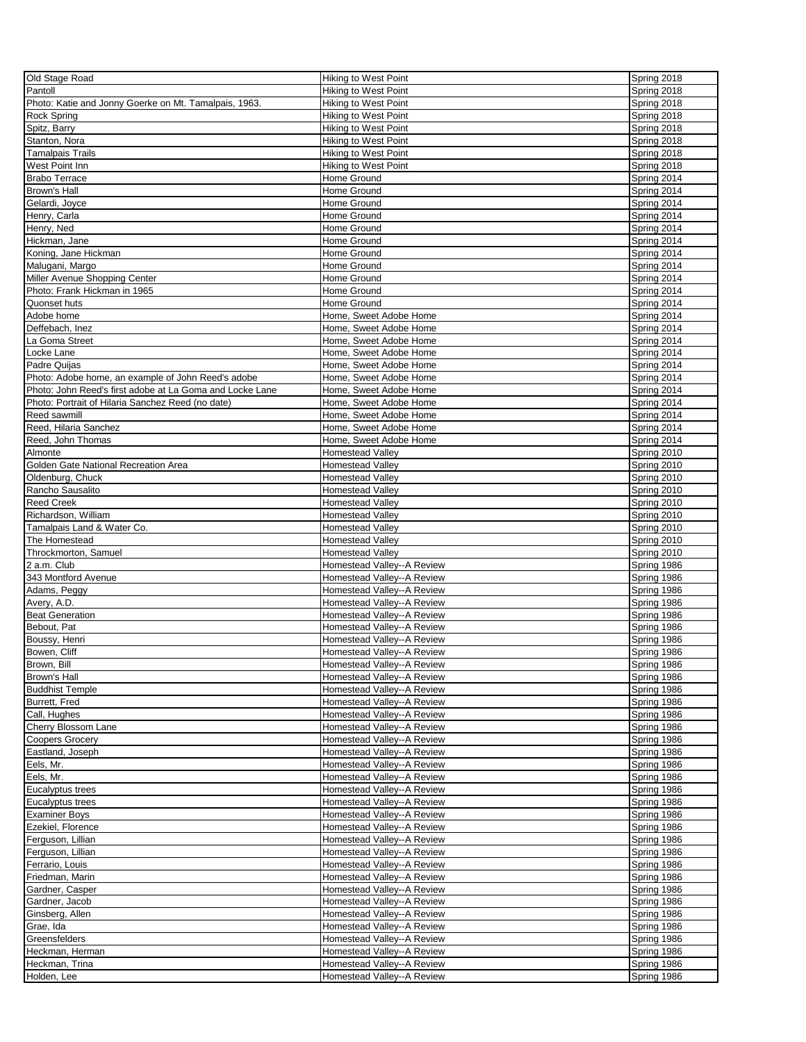| Old Stage Road                                           | <b>Hiking to West Point</b> | Spring 2018 |
|----------------------------------------------------------|-----------------------------|-------------|
| Pantoll                                                  | Hiking to West Point        | Spring 2018 |
| Photo: Katie and Jonny Goerke on Mt. Tamalpais, 1963.    | <b>Hiking to West Point</b> | Spring 2018 |
|                                                          | <b>Hiking to West Point</b> | Spring 2018 |
| Rock Spring                                              |                             |             |
| Spitz, Barry                                             | Hiking to West Point        | Spring 2018 |
| Stanton, Nora                                            | Hiking to West Point        | Spring 2018 |
| Tamalpais Trails                                         | Hiking to West Point        | Spring 2018 |
| West Point Inn                                           | Hiking to West Point        | Spring 2018 |
| <b>Brabo Terrace</b>                                     | Home Ground                 | Spring 2014 |
| Brown's Hall                                             | Home Ground                 | Spring 2014 |
| Gelardi, Joyce                                           | Home Ground                 | Spring 2014 |
| Henry, Carla                                             | Home Ground                 | Spring 2014 |
| Henry, Ned                                               | Home Ground                 | Spring 2014 |
| Hickman, Jane                                            | Home Ground                 | Spring 2014 |
| Koning, Jane Hickman                                     | Home Ground                 | Spring 2014 |
| Malugani, Margo                                          | Home Ground                 | Spring 2014 |
| Miller Avenue Shopping Center                            | Home Ground                 | Spring 2014 |
| Photo: Frank Hickman in 1965                             | Home Ground                 | Spring 2014 |
| Quonset huts                                             | Home Ground                 | Spring 2014 |
| Adobe home                                               |                             |             |
|                                                          | Home, Sweet Adobe Home      | Spring 2014 |
| Deffebach, Inez                                          | Home, Sweet Adobe Home      | Spring 2014 |
| La Goma Street                                           | Home. Sweet Adobe Home      | Spring 2014 |
| Locke Lane                                               | Home, Sweet Adobe Home      | Spring 2014 |
| Padre Quijas                                             | Home. Sweet Adobe Home      | Spring 2014 |
| Photo: Adobe home, an example of John Reed's adobe       | Home, Sweet Adobe Home      | Spring 2014 |
| Photo: John Reed's first adobe at La Goma and Locke Lane | Home, Sweet Adobe Home      | Spring 2014 |
| Photo: Portrait of Hilaria Sanchez Reed (no date)        | Home, Sweet Adobe Home      | Spring 2014 |
| Reed sawmill                                             | Home, Sweet Adobe Home      | Spring 2014 |
| Reed, Hilaria Sanchez                                    | Home, Sweet Adobe Home      | Spring 2014 |
| Reed, John Thomas                                        | Home. Sweet Adobe Home      | Spring 2014 |
| Almonte                                                  | <b>Homestead Valley</b>     | Spring 2010 |
| Golden Gate National Recreation Area                     | <b>Homestead Valley</b>     | Spring 2010 |
|                                                          |                             | Spring 2010 |
| Oldenburg, Chuck                                         | <b>Homestead Valley</b>     |             |
| Rancho Sausalito                                         | <b>Homestead Valley</b>     | Spring 2010 |
| <b>Reed Creek</b>                                        | <b>Homestead Valley</b>     | Spring 2010 |
| Richardson, William                                      | <b>Homestead Valley</b>     | Spring 2010 |
| Tamalpais Land & Water Co.                               | <b>Homestead Valley</b>     | Spring 2010 |
| The Homestead                                            | <b>Homestead Valley</b>     | Spring 2010 |
| Throckmorton, Samuel                                     | <b>Homestead Valley</b>     | Spring 2010 |
| 2 a.m. Club                                              | Homestead Valley--A Review  | Spring 1986 |
| 343 Montford Avenue                                      | Homestead Valley--A Review  | Spring 1986 |
| Adams, Peggy                                             | Homestead Valley--A Review  | Spring 1986 |
| Avery, A.D.                                              | Homestead Valley--A Review  | Spring 1986 |
| <b>Beat Generation</b>                                   | Homestead Valley--A Review  | Spring 1986 |
| Bebout, Pat                                              | Homestead Valley--A Review  | Spring 1986 |
|                                                          |                             |             |
| Boussy, Henri                                            | Homestead Valley--A Review  | Spring 1986 |
| Bowen, Cliff                                             | Homestead Valley--A Review  | Spring 1986 |
| Brown, Bill                                              | Homestead Valley--A Review  | Spring 1986 |
| Brown's Hall                                             | Homestead Valley--A Review  | Spring 1986 |
| <b>Buddhist Temple</b>                                   | Homestead Valley--A Review  | Spring 1986 |
| Burrett, Fred                                            | Homestead Valley--A Review  | Spring 1986 |
| Call, Hughes                                             | Homestead Valley--A Review  | Spring 1986 |
| Cherry Blossom Lane                                      | Homestead Valley--A Review  | Spring 1986 |
| <b>Coopers Grocery</b>                                   | Homestead Valley--A Review  | Spring 1986 |
| Eastland, Joseph                                         | Homestead Valley--A Review  | Spring 1986 |
| Eels, Mr.                                                | Homestead Valley--A Review  | Spring 1986 |
| Eels, Mr.                                                | Homestead Valley--A Review  | Spring 1986 |
| Eucalyptus trees                                         | Homestead Valley--A Review  | Spring 1986 |
| Eucalyptus trees                                         | Homestead Valley--A Review  | Spring 1986 |
| <b>Examiner Boys</b>                                     | Homestead Valley--A Review  | Spring 1986 |
|                                                          |                             |             |
| Ezekiel, Florence                                        | Homestead Valley--A Review  | Spring 1986 |
| Ferguson, Lillian                                        | Homestead Valley--A Review  | Spring 1986 |
| Ferguson, Lillian                                        | Homestead Valley--A Review  | Spring 1986 |
| Ferrario, Louis                                          | Homestead Valley--A Review  | Spring 1986 |
| Friedman, Marin                                          | Homestead Valley--A Review  | Spring 1986 |
| Gardner, Casper                                          | Homestead Valley--A Review  | Spring 1986 |
| Gardner, Jacob                                           | Homestead Valley--A Review  | Spring 1986 |
| Ginsberg, Allen                                          | Homestead Valley--A Review  | Spring 1986 |
| Grae, Ida                                                | Homestead Valley--A Review  | Spring 1986 |
| Greensfelders                                            | Homestead Valley--A Review  | Spring 1986 |
| Heckman, Herman                                          | Homestead Valley--A Review  | Spring 1986 |
| Heckman, Trina                                           | Homestead Valley--A Review  | Spring 1986 |
|                                                          |                             |             |
| Holden, Lee                                              | Homestead Valley--A Review  | Spring 1986 |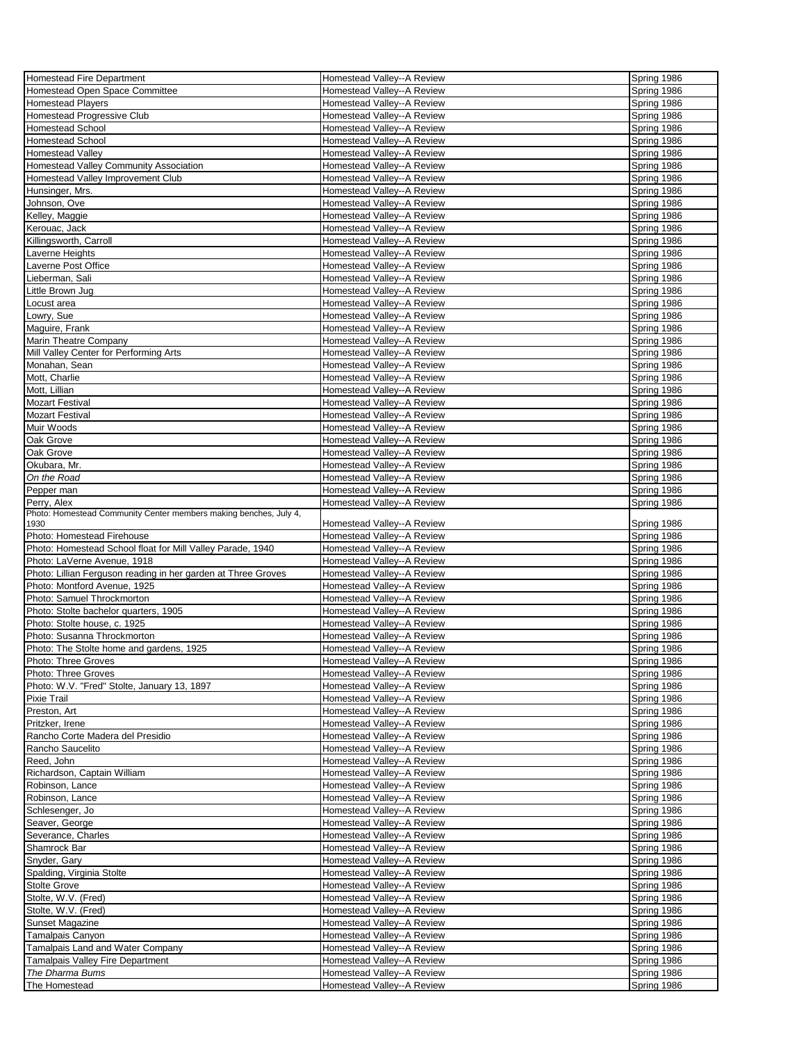| Homestead Fire Department                                                 | Homestead Valley--A Review                               | Spring 1986                |
|---------------------------------------------------------------------------|----------------------------------------------------------|----------------------------|
| Homestead Open Space Committee                                            | Homestead Valley--A Review                               | Spring 1986                |
| <b>Homestead Players</b>                                                  | Homestead Valley--A Review                               | Spring 1986                |
| Homestead Progressive Club                                                | Homestead Valley--A Review                               | Spring 1986                |
| Homestead School                                                          | Homestead Valley--A Review                               | Spring 1986                |
| <b>Homestead School</b>                                                   | Homestead Valley--A Review                               | Spring 1986                |
| Homestead Valley                                                          | Homestead Valley--A Review                               | Spring 1986                |
| Homestead Valley Community Association                                    | Homestead Valley--A Review                               | Spring 1986                |
| Homestead Valley Improvement Club                                         | Homestead Valley--A Review                               | Spring 1986                |
| Hunsinger, Mrs.                                                           | Homestead Valley--A Review                               | Spring 1986                |
| Johnson, Ove                                                              | Homestead Valley--A Review                               | Spring 1986                |
| Kelley, Maggie                                                            | Homestead Valley--A Review                               | Spring 1986                |
| Kerouac, Jack                                                             | Homestead Valley--A Review                               | Spring 1986                |
| Killingsworth, Carroll                                                    | Homestead Valley--A Review                               | Spring 1986                |
| Laverne Heights                                                           | Homestead Valley--A Review                               | Spring 1986                |
| Laverne Post Office                                                       | Homestead Valley--A Review                               | Spring 1986                |
| Lieberman, Sali                                                           | Homestead Valley--A Review                               | Spring 1986                |
| Little Brown Jug                                                          | Homestead Valley--A Review                               | Spring 1986                |
| Locust area                                                               | Homestead Valley--A Review                               | Spring 1986                |
| Lowry, Sue                                                                | Homestead Valley--A Review                               | Spring 1986                |
| Maguire, Frank                                                            | Homestead Valley--A Review                               | Spring 1986                |
|                                                                           | Homestead Valley--A Review                               | Spring 1986                |
| Marin Theatre Company<br>Mill Valley Center for Performing Arts           | Homestead Valley--A Review                               | Spring 1986                |
| Monahan, Sean                                                             | Homestead Valley--A Review                               | Spring 1986                |
| Mott, Charlie                                                             | Homestead Valley--A Review                               |                            |
|                                                                           |                                                          | Spring 1986<br>Spring 1986 |
| Mott, Lillian                                                             | Homestead Valley--A Review<br>Homestead Valley--A Review |                            |
| <b>Mozart Festival</b>                                                    |                                                          | Spring 1986                |
| <b>Mozart Festival</b>                                                    | Homestead Valley--A Review                               | Spring 1986                |
| Muir Woods                                                                | Homestead Valley--A Review                               | Spring 1986                |
| Oak Grove                                                                 | Homestead Valley--A Review                               | Spring 1986                |
| Oak Grove                                                                 | Homestead Valley--A Review                               | Spring 1986                |
| Okubara, Mr.                                                              | Homestead Valley--A Review                               | Spring 1986                |
| On the Road                                                               | Homestead Valley--A Review                               | Spring 1986                |
| Pepper man                                                                | Homestead Valley--A Review                               | Spring 1986                |
| Perry, Alex                                                               | Homestead Valley--A Review                               | Spring 1986                |
| Photo: Homestead Community Center members making benches, July 4,<br>1930 | Homestead Valley--A Review                               | Spring 1986                |
| Photo: Homestead Firehouse                                                | Homestead Valley--A Review                               | Spring 1986                |
| Photo: Homestead School float for Mill Valley Parade, 1940                | Homestead Valley--A Review                               | Spring 1986                |
| Photo: LaVerne Avenue, 1918                                               | Homestead Valley--A Review                               | Spring 1986                |
| Photo: Lillian Ferguson reading in her garden at Three Groves             | Homestead Valley--A Review                               | Spring 1986                |
| Photo: Montford Avenue, 1925                                              | Homestead Valley--A Review                               | Spring 1986                |
| Photo: Samuel Throckmorton                                                | Homestead Valley--A Review                               | Spring 1986                |
| Photo: Stolte bachelor quarters, 1905                                     | Homestead Valley--A Review                               | Spring 1986                |
| Photo: Stolte house, c. 1925                                              | Homestead Valley--A Review                               | Spring 1986                |
| Photo: Susanna Throckmorton                                               | Homestead Valley--A Review                               | Spring 1986                |
|                                                                           |                                                          |                            |
| Photo: The Stolte home and gardens, 1925                                  | Homestead Valley--A Review                               | Spring 1986                |
| Photo: Three Groves                                                       | Homestead Valley--A Review                               | Spring 1986                |
| Photo: Three Groves                                                       | Homestead Valley--A Review                               | Spring 1986                |
| Photo: W.V. "Fred" Stolte, January 13, 1897                               | Homestead Valley--A Review                               | Spring 1986                |
| Pixie Trail                                                               | Homestead Valley--A Review                               | Spring 1986                |
| Preston, Art                                                              | Homestead Valley--A Review                               | Spring 1986                |
| Pritzker, Irene                                                           | Homestead Valley--A Review                               | Spring 1986                |
| Rancho Corte Madera del Presidio                                          | Homestead Valley--A Review                               | Spring 1986                |
| Rancho Saucelito                                                          | Homestead Valley--A Review                               | Spring 1986                |
| Reed, John                                                                | Homestead Valley--A Review                               | Spring 1986                |
| Richardson, Captain William                                               | Homestead Valley--A Review                               | Spring 1986                |
| Robinson, Lance                                                           | Homestead Valley--A Review                               | Spring 1986                |
| Robinson, Lance                                                           | Homestead Valley--A Review                               | Spring 1986                |
| Schlesenger, Jo                                                           | Homestead Valley--A Review                               | Spring 1986                |
| Seaver, George                                                            | Homestead Valley--A Review                               | Spring 1986                |
| Severance, Charles                                                        | Homestead Valley--A Review                               | Spring 1986                |
| Shamrock Bar                                                              | Homestead Valley--A Review                               | Spring 1986                |
| Snyder, Gary                                                              | Homestead Valley--A Review                               | Spring 1986                |
| Spalding, Virginia Stolte                                                 | Homestead Valley--A Review                               | Spring 1986                |
| <b>Stolte Grove</b>                                                       | Homestead Valley--A Review                               | Spring 1986                |
| Stolte, W.V. (Fred)                                                       | Homestead Valley--A Review                               | Spring 1986                |
| Stolte, W.V. (Fred)                                                       | Homestead Valley--A Review                               | Spring 1986                |
| Sunset Magazine                                                           | Homestead Valley--A Review                               | Spring 1986                |
| Tamalpais Canyon                                                          | Homestead Valley--A Review                               | Spring 1986                |
| Tamalpais Land and Water Company                                          | Homestead Valley--A Review                               | Spring 1986                |
| Tamalpais Valley Fire Department                                          | Homestead Valley--A Review                               | Spring 1986                |
| The Dharma Bums                                                           | Homestead Valley--A Review                               | Spring 1986                |
| The Homestead                                                             | Homestead Valley--A Review                               | Spring 1986                |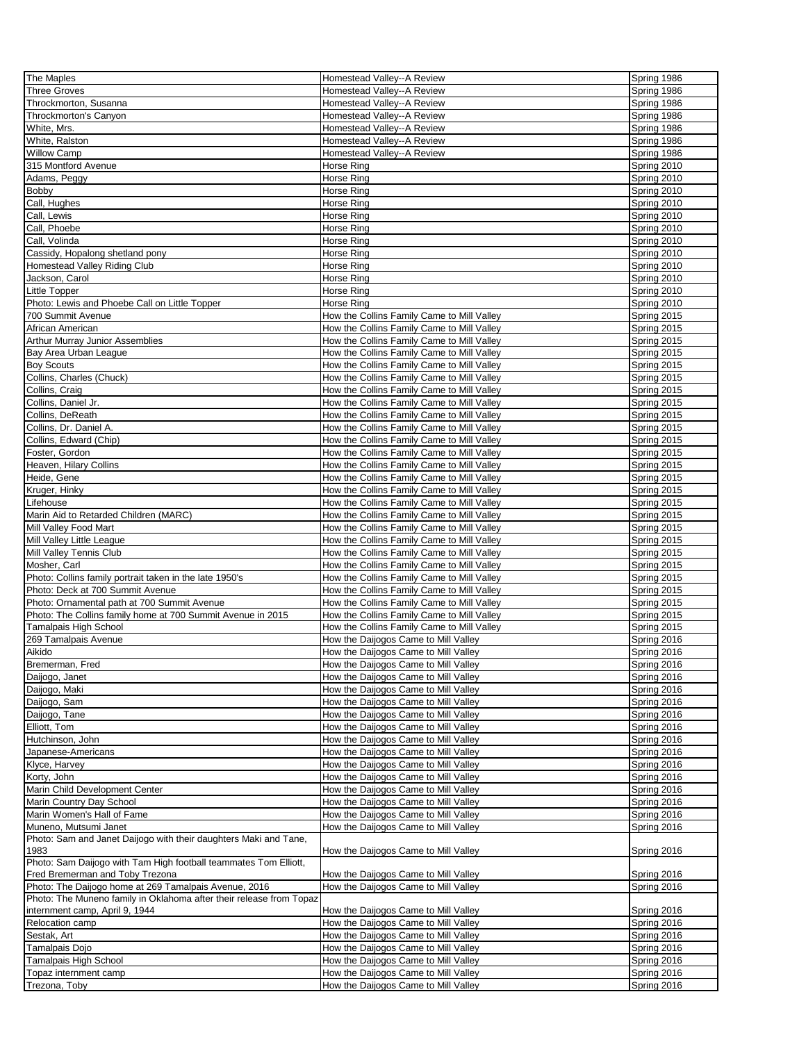| The Maples                                                          | Homestead Valley--A Review                 | Spring 1986 |
|---------------------------------------------------------------------|--------------------------------------------|-------------|
| <b>Three Groves</b>                                                 | Homestead Valley--A Review                 | Spring 1986 |
| Throckmorton, Susanna                                               | Homestead Valley--A Review                 | Spring 1986 |
| Throckmorton's Canyon                                               | Homestead Valley--A Review                 | Spring 1986 |
|                                                                     |                                            |             |
| White, Mrs.                                                         | Homestead Valley--A Review                 | Spring 1986 |
| White, Ralston                                                      | Homestead Valley--A Review                 | Spring 1986 |
| <b>Willow Camp</b>                                                  | Homestead Valley--A Review                 | Spring 1986 |
| 315 Montford Avenue                                                 | Horse Ring                                 | Spring 2010 |
| Adams, Peggy                                                        | Horse Ring                                 | Spring 2010 |
| Bobby                                                               | Horse Ring                                 | Spring 2010 |
| Call, Hughes                                                        | Horse Rina                                 | Spring 2010 |
| Call. Lewis                                                         | Horse Ring                                 | Spring 2010 |
| Call, Phoebe                                                        | Horse Ring                                 | Spring 2010 |
| Call, Volinda                                                       | Horse Ring                                 | Spring 2010 |
| Cassidy, Hopalong shetland pony                                     | Horse Ring                                 | Spring 2010 |
|                                                                     | Horse Ring                                 | Spring 2010 |
| Homestead Valley Riding Club                                        |                                            |             |
| Jackson, Carol                                                      | Horse Ring                                 | Spring 2010 |
| Little Topper                                                       | Horse Ring                                 | Spring 2010 |
| Photo: Lewis and Phoebe Call on Little Topper                       | Horse Ring                                 | Spring 2010 |
| 700 Summit Avenue                                                   | How the Collins Family Came to Mill Valley | Spring 2015 |
| African American                                                    | How the Collins Family Came to Mill Valley | Spring 2015 |
| <b>Arthur Murray Junior Assemblies</b>                              | How the Collins Family Came to Mill Valley | Spring 2015 |
| Bay Area Urban League                                               | How the Collins Family Came to Mill Valley | Spring 2015 |
| <b>Boy Scouts</b>                                                   | How the Collins Family Came to Mill Valley | Spring 2015 |
| Collins, Charles (Chuck)                                            | How the Collins Family Came to Mill Valley | Spring 2015 |
| Collins, Craig                                                      | How the Collins Family Came to Mill Valley | Spring 2015 |
| Collins, Daniel Jr.                                                 | How the Collins Family Came to Mill Valley | Spring 2015 |
| Collins, DeReath                                                    | How the Collins Family Came to Mill Valley | Spring 2015 |
| Collins, Dr. Daniel A.                                              | How the Collins Family Came to Mill Valley | Spring 2015 |
|                                                                     |                                            |             |
| Collins, Edward (Chip)                                              | How the Collins Family Came to Mill Valley | Spring 2015 |
| Foster, Gordon                                                      | How the Collins Family Came to Mill Valley | Spring 2015 |
| Heaven, Hilary Collins                                              | How the Collins Family Came to Mill Valley | Spring 2015 |
| Heide, Gene                                                         | How the Collins Family Came to Mill Valley | Spring 2015 |
| Kruger, Hinky                                                       | How the Collins Family Came to Mill Valley | Spring 2015 |
| Lifehouse                                                           | How the Collins Family Came to Mill Valley | Spring 2015 |
| Marin Aid to Retarded Children (MARC)                               | How the Collins Family Came to Mill Valley | Spring 2015 |
| Mill Valley Food Mart                                               | How the Collins Family Came to Mill Valley | Spring 2015 |
| Mill Valley Little League                                           | How the Collins Family Came to Mill Valley | Spring 2015 |
| Mill Valley Tennis Club                                             | How the Collins Family Came to Mill Valley | Spring 2015 |
| Mosher, Carl                                                        | How the Collins Family Came to Mill Valley | Spring 2015 |
| Photo: Collins family portrait taken in the late 1950's             | How the Collins Family Came to Mill Valley | Spring 2015 |
| Photo: Deck at 700 Summit Avenue                                    | How the Collins Family Came to Mill Valley | Spring 2015 |
| Photo: Ornamental path at 700 Summit Avenue                         | How the Collins Family Came to Mill Valley | Spring 2015 |
| Photo: The Collins family home at 700 Summit Avenue in 2015         | How the Collins Family Came to Mill Valley | Spring 2015 |
| Tamalpais High School                                               | How the Collins Family Came to Mill Valley | Spring 2015 |
| 269 Tamalpais Avenue                                                | How the Daijogos Came to Mill Valley       | Spring 2016 |
|                                                                     |                                            |             |
| Aikido                                                              | How the Daijogos Came to Mill Valley       | Spring 2016 |
| Bremerman, Fred                                                     | How the Daijogos Came to Mill Valley       | Spring 2016 |
| Daijogo, Janet                                                      | How the Daijogos Came to Mill Valley       | Spring 2016 |
| Daijogo, Maki                                                       | How the Daijogos Came to Mill Valley       | Spring 2016 |
| Daijogo, Sam                                                        | How the Daijogos Came to Mill Valley       | Spring 2016 |
| Daijogo, Tane                                                       | How the Daijogos Came to Mill Valley       | Spring 2016 |
| Elliott, Tom                                                        | How the Daijogos Came to Mill Valley       | Spring 2016 |
| Hutchinson, John                                                    | How the Daijogos Came to Mill Valley       | Spring 2016 |
| Japanese-Americans                                                  | How the Daijogos Came to Mill Valley       | Spring 2016 |
| Klyce, Harvey                                                       | How the Daijogos Came to Mill Valley       | Spring 2016 |
| Korty, John                                                         | How the Daijogos Came to Mill Valley       | Spring 2016 |
| Marin Child Development Center                                      | How the Daijogos Came to Mill Valley       | Spring 2016 |
| Marin Country Day School                                            | How the Daijogos Came to Mill Valley       | Spring 2016 |
| Marin Women's Hall of Fame                                          | How the Daijogos Came to Mill Valley       | Spring 2016 |
| Muneno. Mutsumi Janet                                               | How the Daijogos Came to Mill Valley       | Spring 2016 |
| Photo: Sam and Janet Daijogo with their daughters Maki and Tane,    |                                            |             |
| 1983                                                                | How the Daijogos Came to Mill Valley       | Spring 2016 |
| Photo: Sam Daijogo with Tam High football teammates Tom Elliott,    |                                            |             |
| Fred Bremerman and Toby Trezona                                     | How the Daijogos Came to Mill Valley       | Spring 2016 |
| Photo: The Daijogo home at 269 Tamalpais Avenue, 2016               | How the Daijogos Came to Mill Valley       | Spring 2016 |
| Photo: The Muneno family in Oklahoma after their release from Topaz |                                            |             |
| internment camp, April 9, 1944                                      | How the Daijogos Came to Mill Valley       | Spring 2016 |
| Relocation camp                                                     | How the Daijogos Came to Mill Valley       | Spring 2016 |
| Sestak, Art                                                         | How the Daijogos Came to Mill Valley       | Spring 2016 |
| Tamalpais Dojo                                                      | How the Daijogos Came to Mill Valley       | Spring 2016 |
| Tamalpais High School                                               | How the Daijogos Came to Mill Valley       | Spring 2016 |
|                                                                     |                                            |             |
| Topaz internment camp                                               | How the Daijogos Came to Mill Valley       | Spring 2016 |
| Trezona, Toby                                                       | How the Daijogos Came to Mill Valley       | Spring 2016 |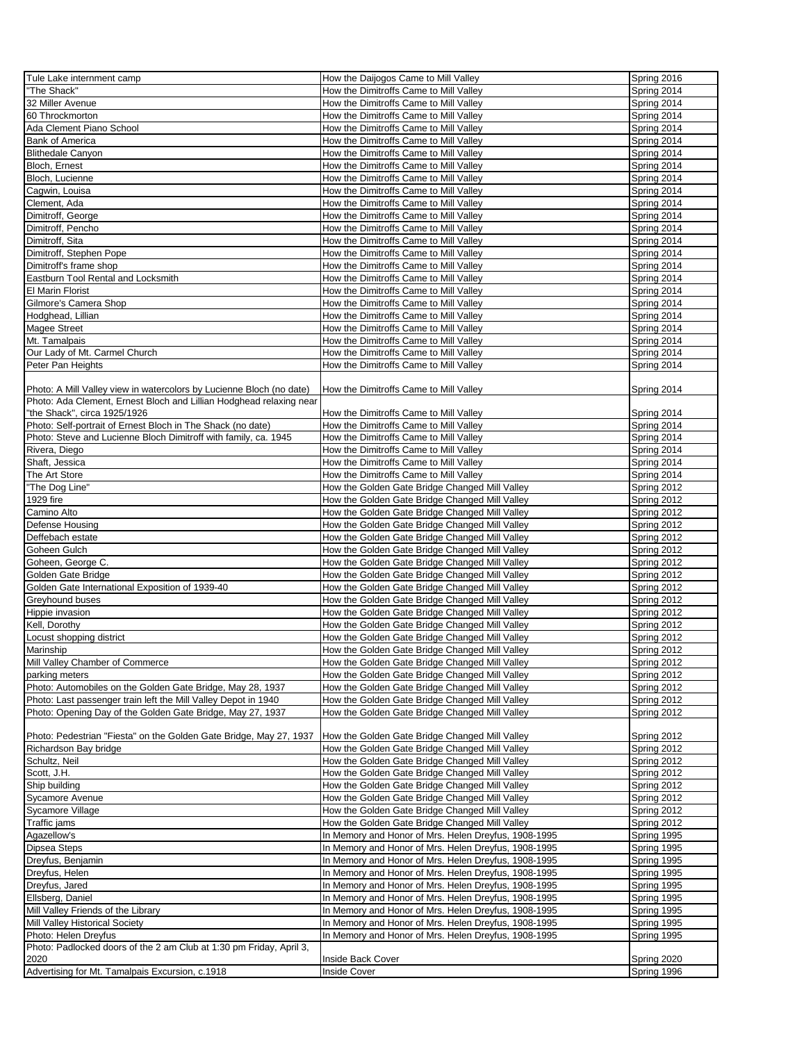| Tule Lake internment camp                                            | How the Daijogos Came to Mill Valley                 | Spring 2016 |
|----------------------------------------------------------------------|------------------------------------------------------|-------------|
| 'The Shack"                                                          | How the Dimitroffs Came to Mill Valley               | Spring 2014 |
|                                                                      |                                                      |             |
| 32 Miller Avenue                                                     | How the Dimitroffs Came to Mill Valley               | Spring 2014 |
| 60 Throckmorton                                                      | How the Dimitroffs Came to Mill Valley               | Spring 2014 |
| Ada Clement Piano School                                             | How the Dimitroffs Came to Mill Valley               | Spring 2014 |
| <b>Bank of America</b>                                               | How the Dimitroffs Came to Mill Valley               | Spring 2014 |
| <b>Blithedale Canyon</b>                                             | How the Dimitroffs Came to Mill Valley               | Spring 2014 |
|                                                                      |                                                      |             |
| Bloch, Ernest                                                        | How the Dimitroffs Came to Mill Valley               | Spring 2014 |
| Bloch, Lucienne                                                      | How the Dimitroffs Came to Mill Valley               | Spring 2014 |
| Cagwin, Louisa                                                       | How the Dimitroffs Came to Mill Valley               | Spring 2014 |
| Clement, Ada                                                         | How the Dimitroffs Came to Mill Valley               | Spring 2014 |
| Dimitroff, George                                                    | How the Dimitroffs Came to Mill Valley               | Spring 2014 |
|                                                                      |                                                      |             |
| Dimitroff, Pencho                                                    | How the Dimitroffs Came to Mill Valley               | Spring 2014 |
| Dimitroff, Sita                                                      | How the Dimitroffs Came to Mill Valley               | Spring 2014 |
| Dimitroff, Stephen Pope                                              | How the Dimitroffs Came to Mill Valley               | Spring 2014 |
| Dimitroff's frame shop                                               | How the Dimitroffs Came to Mill Valley               | Spring 2014 |
| Eastburn Tool Rental and Locksmith                                   | How the Dimitroffs Came to Mill Valley               | Spring 2014 |
|                                                                      |                                                      |             |
| <b>El Marin Florist</b>                                              | How the Dimitroffs Came to Mill Valley               | Spring 2014 |
| Gilmore's Camera Shop                                                | How the Dimitroffs Came to Mill Valley               | Spring 2014 |
| Hodghead, Lillian                                                    | How the Dimitroffs Came to Mill Valley               | Spring 2014 |
| Magee Street                                                         | How the Dimitroffs Came to Mill Valley               | Spring 2014 |
| Mt. Tamalpais                                                        | How the Dimitroffs Came to Mill Valley               |             |
|                                                                      |                                                      | Spring 2014 |
| Our Lady of Mt. Carmel Church                                        | How the Dimitroffs Came to Mill Valley               | Spring 2014 |
| Peter Pan Heights                                                    | How the Dimitroffs Came to Mill Valley               | Spring 2014 |
|                                                                      |                                                      |             |
| Photo: A Mill Valley view in watercolors by Lucienne Bloch (no date) | How the Dimitroffs Came to Mill Valley               | Spring 2014 |
| Photo: Ada Clement, Ernest Bloch and Lillian Hodghead relaxing near  |                                                      |             |
|                                                                      |                                                      |             |
| 'the Shack", circa 1925/1926                                         | How the Dimitroffs Came to Mill Valley               | Spring 2014 |
| Photo: Self-portrait of Ernest Bloch in The Shack (no date)          | How the Dimitroffs Came to Mill Valley               | Spring 2014 |
| Photo: Steve and Lucienne Bloch Dimitroff with family, ca. 1945      | How the Dimitroffs Came to Mill Valley               | Spring 2014 |
| Rivera, Diego                                                        | How the Dimitroffs Came to Mill Valley               | Spring 2014 |
| Shaft, Jessica                                                       | How the Dimitroffs Came to Mill Valley               | Spring 2014 |
|                                                                      |                                                      |             |
| The Art Store                                                        | How the Dimitroffs Came to Mill Valley               | Spring 2014 |
| "The Dog Line"                                                       | How the Golden Gate Bridge Changed Mill Valley       | Spring 2012 |
| 1929 fire                                                            | How the Golden Gate Bridge Changed Mill Valley       | Spring 2012 |
| Camino Alto                                                          | How the Golden Gate Bridge Changed Mill Valley       | Spring 2012 |
| Defense Housing                                                      | How the Golden Gate Bridge Changed Mill Valley       | Spring 2012 |
|                                                                      |                                                      |             |
| Deffebach estate                                                     | How the Golden Gate Bridge Changed Mill Valley       | Spring 2012 |
| Goheen Gulch                                                         | How the Golden Gate Bridge Changed Mill Valley       | Spring 2012 |
| Goheen, George C.                                                    | How the Golden Gate Bridge Changed Mill Valley       | Spring 2012 |
| Golden Gate Bridge                                                   | How the Golden Gate Bridge Changed Mill Valley       | Spring 2012 |
|                                                                      |                                                      |             |
| Golden Gate International Exposition of 1939-40                      | How the Golden Gate Bridge Changed Mill Valley       | Spring 2012 |
| Greyhound buses                                                      | How the Golden Gate Bridge Changed Mill Valley       | Spring 2012 |
| Hippie invasion                                                      | How the Golden Gate Bridge Changed Mill Valley       | Spring 2012 |
| Kell, Dorothy                                                        | How the Golden Gate Bridge Changed Mill Valley       | Spring 2012 |
| Locust shopping district                                             | How the Golden Gate Bridge Changed Mill Valley       | Spring 2012 |
|                                                                      |                                                      |             |
| Marinship                                                            | How the Golden Gate Bridge Changed Mill Valley       | Spring 2012 |
| Mill Valley Chamber of Commerce                                      | How the Golden Gate Bridge Changed Mill Valley       | Spring 2012 |
| parking meters                                                       | How the Golden Gate Bridge Changed Mill Valley       | Spring 2012 |
| Photo: Automobiles on the Golden Gate Bridge, May 28, 1937           | How the Golden Gate Bridge Changed Mill Valley       | Spring 2012 |
|                                                                      | How the Golden Gate Bridge Changed Mill Valley       | Spring 2012 |
| Photo: Last passenger train left the Mill Valley Depot in 1940       |                                                      |             |
| Photo: Opening Day of the Golden Gate Bridge, May 27, 1937           | How the Golden Gate Bridge Changed Mill Valley       | Spring 2012 |
|                                                                      |                                                      |             |
| Photo: Pedestrian "Fiesta" on the Golden Gate Bridge, May 27, 1937   | How the Golden Gate Bridge Changed Mill Valley       | Spring 2012 |
| Richardson Bay bridge                                                | How the Golden Gate Bridge Changed Mill Valley       | Spring 2012 |
| Schultz, Neil                                                        | How the Golden Gate Bridge Changed Mill Valley       | Spring 2012 |
|                                                                      |                                                      |             |
| Scott, J.H.                                                          | How the Golden Gate Bridge Changed Mill Valley       | Spring 2012 |
| Ship building                                                        | How the Golden Gate Bridge Changed Mill Valley       | Spring 2012 |
| Sycamore Avenue                                                      | How the Golden Gate Bridge Changed Mill Valley       | Spring 2012 |
| Sycamore Village                                                     | How the Golden Gate Bridge Changed Mill Valley       | Spring 2012 |
| Traffic jams                                                         | How the Golden Gate Bridge Changed Mill Valley       | Spring 2012 |
| Agazellow's                                                          | In Memory and Honor of Mrs. Helen Dreyfus, 1908-1995 | Spring 1995 |
|                                                                      |                                                      |             |
| Dipsea Steps                                                         | In Memory and Honor of Mrs. Helen Dreyfus, 1908-1995 | Spring 1995 |
| Dreyfus, Benjamin                                                    | In Memory and Honor of Mrs. Helen Dreyfus, 1908-1995 | Spring 1995 |
| Dreyfus, Helen                                                       | In Memory and Honor of Mrs. Helen Dreyfus, 1908-1995 | Spring 1995 |
| Dreyfus, Jared                                                       | In Memory and Honor of Mrs. Helen Dreyfus, 1908-1995 | Spring 1995 |
|                                                                      |                                                      |             |
| Ellsberg, Daniel                                                     | In Memory and Honor of Mrs. Helen Dreyfus, 1908-1995 | Spring 1995 |
| Mill Valley Friends of the Library                                   | In Memory and Honor of Mrs. Helen Dreyfus, 1908-1995 | Spring 1995 |
| Mill Valley Historical Society                                       | In Memory and Honor of Mrs. Helen Dreyfus, 1908-1995 | Spring 1995 |
| Photo: Helen Dreyfus                                                 | In Memory and Honor of Mrs. Helen Dreyfus, 1908-1995 | Spring 1995 |
| Photo: Padlocked doors of the 2 am Club at 1:30 pm Friday, April 3,  |                                                      |             |
| 2020                                                                 | Inside Back Cover                                    | Spring 2020 |
|                                                                      |                                                      |             |
| Advertising for Mt. Tamalpais Excursion, c.1918                      | <b>Inside Cover</b>                                  | Spring 1996 |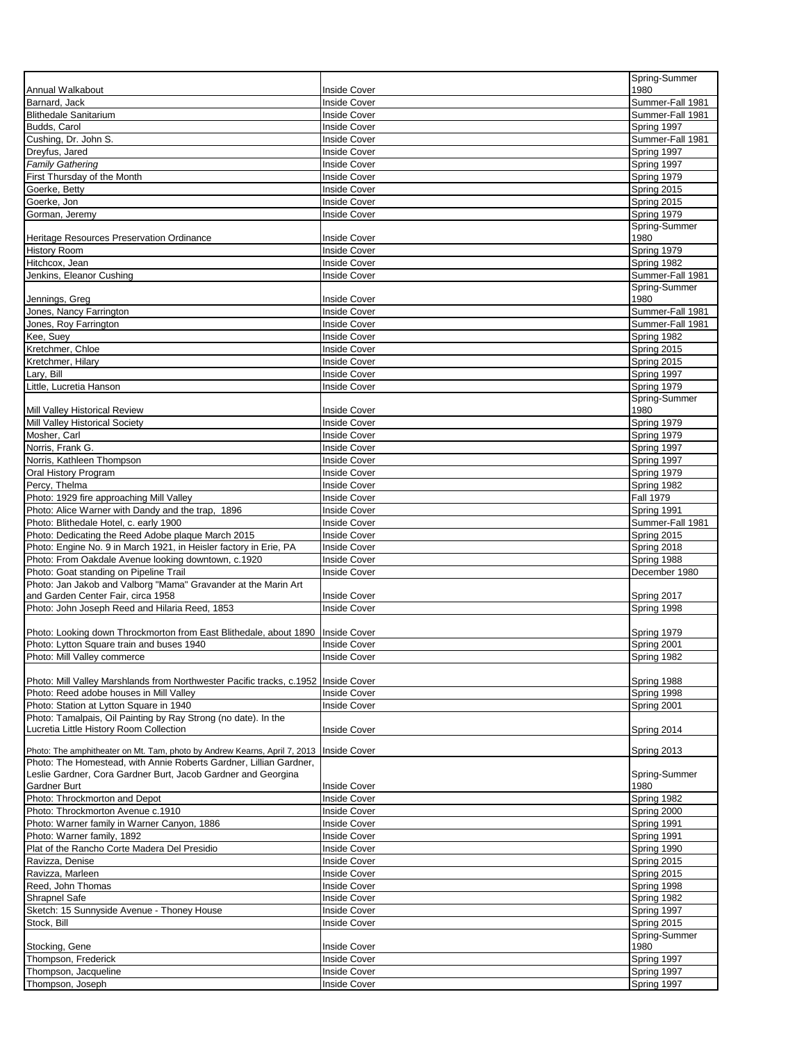|                                                                                                                         |                                            | Spring-Summer                        |
|-------------------------------------------------------------------------------------------------------------------------|--------------------------------------------|--------------------------------------|
| Annual Walkabout                                                                                                        | <b>Inside Cover</b>                        | 1980                                 |
| Barnard, Jack<br><b>Blithedale Sanitarium</b>                                                                           | <b>Inside Cover</b><br><b>Inside Cover</b> | Summer-Fall 1981<br>Summer-Fall 1981 |
| Budds, Carol                                                                                                            | Inside Cover                               | Spring 1997                          |
| Cushing, Dr. John S.                                                                                                    | <b>Inside Cover</b>                        | Summer-Fall 1981                     |
| Dreyfus, Jared                                                                                                          | <b>Inside Cover</b>                        | Spring 1997                          |
| <b>Family Gathering</b>                                                                                                 | <b>Inside Cover</b>                        | Spring 1997                          |
| First Thursday of the Month                                                                                             | <b>Inside Cover</b>                        | Spring 1979                          |
| Goerke, Betty                                                                                                           | <b>Inside Cover</b>                        | Spring 2015                          |
| Goerke, Jon                                                                                                             | <b>Inside Cover</b>                        | Spring 2015                          |
| Gorman, Jeremy                                                                                                          | <b>Inside Cover</b>                        | Spring 1979                          |
| Heritage Resources Preservation Ordinance                                                                               | <b>Inside Cover</b>                        | Spring-Summer<br>1980                |
| <b>History Room</b>                                                                                                     | <b>Inside Cover</b>                        | Spring 1979                          |
| Hitchcox, Jean                                                                                                          | <b>Inside Cover</b>                        | Spring 1982                          |
| Jenkins, Eleanor Cushing                                                                                                | <b>Inside Cover</b>                        | Summer-Fall 1981                     |
|                                                                                                                         |                                            | Spring-Summer                        |
| Jennings, Greg                                                                                                          | <b>Inside Cover</b>                        | 1980                                 |
| Jones, Nancy Farrington<br>Jones, Roy Farrington                                                                        | <b>Inside Cover</b><br><b>Inside Cover</b> | Summer-Fall 1981<br>Summer-Fall 1981 |
| Kee, Suey                                                                                                               | <b>Inside Cover</b>                        | Spring 1982                          |
| Kretchmer, Chloe                                                                                                        | <b>Inside Cover</b>                        | Spring 2015                          |
| Kretchmer, Hilary                                                                                                       | <b>Inside Cover</b>                        | Spring 2015                          |
| Lary, Bill                                                                                                              | <b>Inside Cover</b>                        | Spring 1997                          |
| Little, Lucretia Hanson                                                                                                 | <b>Inside Cover</b>                        | Spring 1979                          |
|                                                                                                                         |                                            | Spring-Summer                        |
| Mill Valley Historical Review                                                                                           | <b>Inside Cover</b>                        | 1980                                 |
| Mill Valley Historical Society                                                                                          | <b>Inside Cover</b>                        | Spring 1979                          |
| Mosher, Carl<br>Norris, Frank G.                                                                                        | <b>Inside Cover</b><br><b>Inside Cover</b> | Spring 1979<br>Spring 1997           |
| Norris, Kathleen Thompson                                                                                               | <b>Inside Cover</b>                        | Spring 1997                          |
| Oral History Program                                                                                                    | <b>Inside Cover</b>                        | Spring 1979                          |
| Percy, Thelma                                                                                                           | <b>Inside Cover</b>                        | Spring 1982                          |
| Photo: 1929 fire approaching Mill Valley                                                                                | <b>Inside Cover</b>                        | <b>Fall 1979</b>                     |
| Photo: Alice Warner with Dandy and the trap, 1896                                                                       | <b>Inside Cover</b>                        | Spring 1991                          |
| Photo: Blithedale Hotel, c. early 1900                                                                                  | <b>Inside Cover</b>                        | Summer-Fall 1981                     |
| Photo: Dedicating the Reed Adobe plaque March 2015<br>Photo: Engine No. 9 in March 1921, in Heisler factory in Erie, PA | <b>Inside Cover</b><br><b>Inside Cover</b> | Spring 2015                          |
| Photo: From Oakdale Avenue looking downtown, c.1920                                                                     | <b>Inside Cover</b>                        | Spring 2018<br>Spring 1988           |
| Photo: Goat standing on Pipeline Trail                                                                                  | <b>Inside Cover</b>                        | December 1980                        |
| Photo: Jan Jakob and Valborg "Mama" Gravander at the Marin Art                                                          |                                            |                                      |
| and Garden Center Fair, circa 1958                                                                                      | <b>Inside Cover</b>                        | Spring 2017                          |
| Photo: John Joseph Reed and Hilaria Reed, 1853                                                                          | <b>Inside Cover</b>                        | Spring 1998                          |
|                                                                                                                         |                                            |                                      |
| Photo: Looking down Throckmorton from East Blithedale, about 1890<br>Photo: Lytton Square train and buses 1940          | <b>Inside Cover</b><br><b>Inside Cover</b> | Spring 1979<br>Spring 2001           |
| Photo: Mill Valley commerce                                                                                             | <b>Inside Cover</b>                        | Spring 1982                          |
|                                                                                                                         |                                            |                                      |
| Photo: Mill Valley Marshlands from Northwester Pacific tracks, c.1952   Inside Cover                                    |                                            | Spring 1988                          |
| Photo: Reed adobe houses in Mill Valley                                                                                 | <b>Inside Cover</b>                        | Spring 1998                          |
| Photo: Station at Lytton Square in 1940                                                                                 | <b>Inside Cover</b>                        | Spring 2001                          |
| Photo: Tamalpais, Oil Painting by Ray Strong (no date). In the<br>Lucretia Little History Room Collection               |                                            |                                      |
|                                                                                                                         | Inside Cover                               | Spring 2014                          |
| Photo: The amphitheater on Mt. Tam, photo by Andrew Kearns, April 7, 2013   Inside Cover                                |                                            | Spring 2013                          |
| Photo: The Homestead, with Annie Roberts Gardner, Lillian Gardner,                                                      |                                            |                                      |
| Leslie Gardner, Cora Gardner Burt, Jacob Gardner and Georgina                                                           |                                            | Spring-Summer                        |
| Gardner Burt<br>Photo: Throckmorton and Depot                                                                           | <b>Inside Cover</b><br><b>Inside Cover</b> | 1980<br>Spring 1982                  |
| Photo: Throckmorton Avenue c.1910                                                                                       | <b>Inside Cover</b>                        | Spring 2000                          |
| Photo: Warner family in Warner Canyon, 1886                                                                             | <b>Inside Cover</b>                        | Spring 1991                          |
| Photo: Warner family, 1892                                                                                              | <b>Inside Cover</b>                        | Spring 1991                          |
| Plat of the Rancho Corte Madera Del Presidio                                                                            | <b>Inside Cover</b>                        | Spring 1990                          |
| Ravizza, Denise                                                                                                         | <b>Inside Cover</b>                        | Spring 2015                          |
| Ravizza, Marleen                                                                                                        | <b>Inside Cover</b>                        | Spring 2015                          |
| Reed, John Thomas                                                                                                       | <b>Inside Cover</b>                        | Spring 1998                          |
| <b>Shrapnel Safe</b>                                                                                                    | <b>Inside Cover</b>                        | Spring 1982                          |
| Sketch: 15 Sunnyside Avenue - Thoney House<br>Stock, Bill                                                               | <b>Inside Cover</b><br><b>Inside Cover</b> | Spring 1997<br>Spring 2015           |
|                                                                                                                         |                                            | Spring-Summer                        |
| Stocking, Gene                                                                                                          | <b>Inside Cover</b>                        | 1980                                 |
| Thompson, Frederick                                                                                                     | <b>Inside Cover</b>                        | Spring 1997                          |
| Thompson, Jacqueline                                                                                                    | <b>Inside Cover</b>                        | Spring 1997                          |
| Thompson, Joseph                                                                                                        | <b>Inside Cover</b>                        | Spring 1997                          |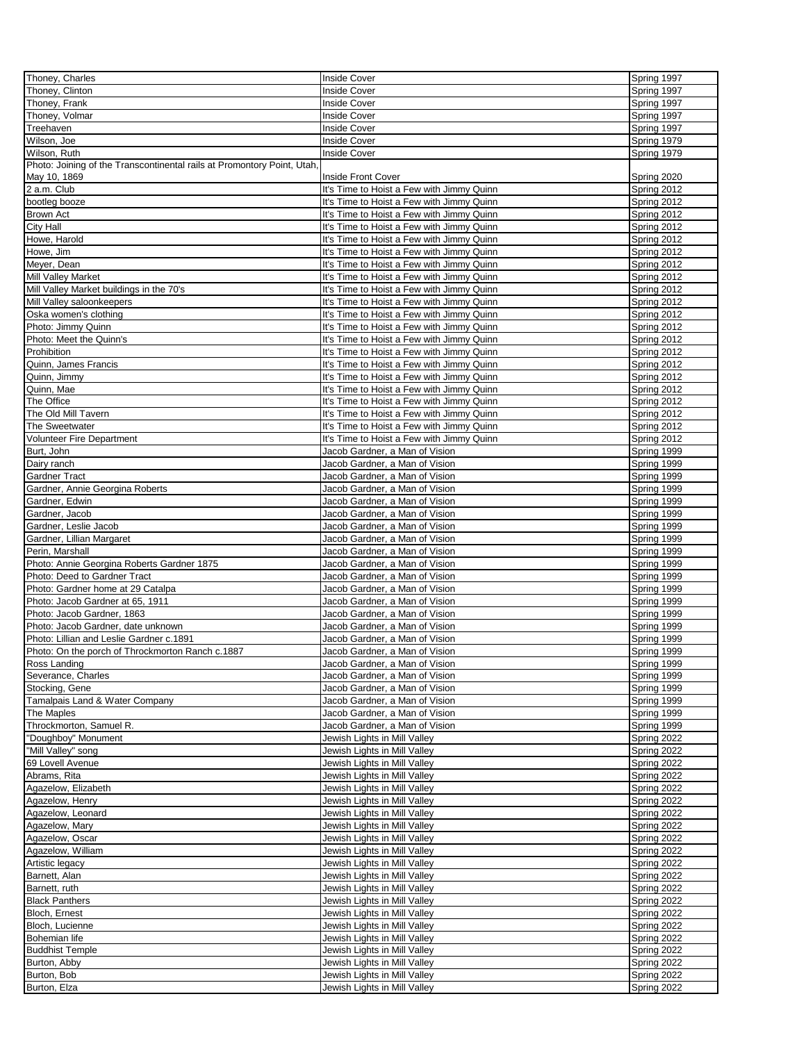| Thoney, Charles                                                         | <b>Inside Cover</b>                       | Spring 1997 |
|-------------------------------------------------------------------------|-------------------------------------------|-------------|
| Thoney, Clinton                                                         | <b>Inside Cover</b>                       | Spring 1997 |
| Thoney, Frank                                                           | <b>Inside Cover</b>                       | Spring 1997 |
| Thoney, Volmar                                                          | <b>Inside Cover</b>                       | Spring 1997 |
| Treehaven                                                               | <b>Inside Cover</b>                       | Spring 1997 |
| Wilson, Joe                                                             | <b>Inside Cover</b>                       | Spring 1979 |
| Wilson, Ruth                                                            | <b>Inside Cover</b>                       | Spring 1979 |
| Photo: Joining of the Transcontinental rails at Promontory Point, Utah, |                                           |             |
| May 10, 1869                                                            | <b>Inside Front Cover</b>                 | Spring 2020 |
| 2 a.m. Club                                                             | It's Time to Hoist a Few with Jimmy Quinn | Spring 2012 |
| bootleg booze                                                           | It's Time to Hoist a Few with Jimmy Quinn | Spring 2012 |
| <b>Brown Act</b>                                                        | It's Time to Hoist a Few with Jimmy Quinn | Spring 2012 |
| City Hall                                                               | It's Time to Hoist a Few with Jimmy Quinn | Spring 2012 |
| Howe, Harold                                                            | It's Time to Hoist a Few with Jimmy Quinn | Spring 2012 |
| Howe, Jim                                                               | It's Time to Hoist a Few with Jimmy Quinn | Spring 2012 |
| Meyer, Dean                                                             | It's Time to Hoist a Few with Jimmy Quinn | Spring 2012 |
| Mill Valley Market                                                      | It's Time to Hoist a Few with Jimmy Quinn | Spring 2012 |
| Mill Valley Market buildings in the 70's                                | It's Time to Hoist a Few with Jimmy Quinn | Spring 2012 |
| Mill Valley saloonkeepers                                               | It's Time to Hoist a Few with Jimmy Quinn | Spring 2012 |
| Oska women's clothing                                                   | It's Time to Hoist a Few with Jimmy Quinn | Spring 2012 |
| Photo: Jimmy Quinn                                                      | It's Time to Hoist a Few with Jimmy Quinn | Spring 2012 |
| Photo: Meet the Quinn's                                                 |                                           |             |
|                                                                         | It's Time to Hoist a Few with Jimmy Quinn | Spring 2012 |
| Prohibition                                                             | It's Time to Hoist a Few with Jimmy Quinn | Spring 2012 |
| Quinn, James Francis                                                    | It's Time to Hoist a Few with Jimmy Quinn | Spring 2012 |
| Quinn, Jimmy                                                            | It's Time to Hoist a Few with Jimmy Quinn | Spring 2012 |
| Quinn, Mae                                                              | It's Time to Hoist a Few with Jimmy Quinn | Spring 2012 |
| The Office                                                              | It's Time to Hoist a Few with Jimmy Quinn | Spring 2012 |
| The Old Mill Tavern                                                     | It's Time to Hoist a Few with Jimmy Quinn | Spring 2012 |
| The Sweetwater                                                          | It's Time to Hoist a Few with Jimmy Quinn | Spring 2012 |
| Volunteer Fire Department                                               | It's Time to Hoist a Few with Jimmy Quinn | Spring 2012 |
| Burt, John                                                              | Jacob Gardner, a Man of Vision            | Spring 1999 |
| Dairy ranch                                                             | Jacob Gardner, a Man of Vision            | Spring 1999 |
| Gardner Tract                                                           | Jacob Gardner, a Man of Vision            | Spring 1999 |
| Gardner, Annie Georgina Roberts                                         | Jacob Gardner, a Man of Vision            | Spring 1999 |
| Gardner, Edwin                                                          | Jacob Gardner, a Man of Vision            | Spring 1999 |
| Gardner, Jacob                                                          | Jacob Gardner, a Man of Vision            | Spring 1999 |
| Gardner, Leslie Jacob                                                   | Jacob Gardner, a Man of Vision            | Spring 1999 |
| Gardner, Lillian Margaret                                               | Jacob Gardner, a Man of Vision            | Spring 1999 |
| Perin, Marshall                                                         | Jacob Gardner, a Man of Vision            | Spring 1999 |
| Photo: Annie Georgina Roberts Gardner 1875                              | Jacob Gardner, a Man of Vision            | Spring 1999 |
| Photo: Deed to Gardner Tract                                            | Jacob Gardner, a Man of Vision            | Spring 1999 |
| Photo: Gardner home at 29 Catalpa                                       | Jacob Gardner, a Man of Vision            | Spring 1999 |
| Photo: Jacob Gardner at 65, 1911                                        | Jacob Gardner, a Man of Vision            | Spring 1999 |
| Photo: Jacob Gardner, 1863                                              | Jacob Gardner, a Man of Vision            | Spring 1999 |
| Photo: Jacob Gardner, date unknown                                      | Jacob Gardner, a Man of Vision            | Spring 1999 |
| Photo: Lillian and Leslie Gardner c.1891                                | Jacob Gardner, a Man of Vision            | Spring 1999 |
| Photo: On the porch of Throckmorton Ranch c.1887                        | Jacob Gardner, a Man of Vision            | Spring 1999 |
| Ross Landing                                                            | Jacob Gardner, a Man of Vision            | Spring 1999 |
| Severance, Charles                                                      | Jacob Gardner, a Man of Vision            | Spring 1999 |
| Stocking, Gene                                                          | Jacob Gardner, a Man of Vision            | Spring 1999 |
| Tamalpais Land & Water Company                                          | Jacob Gardner, a Man of Vision            | Spring 1999 |
| The Maples                                                              | Jacob Gardner, a Man of Vision            | Spring 1999 |
| Throckmorton, Samuel R.                                                 | Jacob Gardner, a Man of Vision            | Spring 1999 |
| "Doughboy" Monument                                                     | Jewish Lights in Mill Valley              | Spring 2022 |
| "Mill Valley" song                                                      | Jewish Lights in Mill Valley              | Spring 2022 |
| 69 Lovell Avenue                                                        | Jewish Lights in Mill Valley              | Spring 2022 |
| Abrams, Rita                                                            | Jewish Lights in Mill Valley              | Spring 2022 |
| Agazelow, Elizabeth                                                     | Jewish Lights in Mill Valley              | Spring 2022 |
| Agazelow, Henry                                                         | Jewish Lights in Mill Valley              | Spring 2022 |
| Agazelow, Leonard                                                       | Jewish Lights in Mill Valley              | Spring 2022 |
| Agazelow, Mary                                                          | Jewish Lights in Mill Valley              | Spring 2022 |
| Agazelow, Oscar                                                         | Jewish Lights in Mill Valley              | Spring 2022 |
| Agazelow, William                                                       | Jewish Lights in Mill Valley              | Spring 2022 |
| Artistic legacy                                                         | Jewish Lights in Mill Valley              | Spring 2022 |
| Barnett, Alan                                                           | Jewish Lights in Mill Valley              | Spring 2022 |
| Barnett, ruth                                                           | Jewish Lights in Mill Valley              | Spring 2022 |
| <b>Black Panthers</b>                                                   | Jewish Lights in Mill Valley              | Spring 2022 |
| Bloch, Ernest                                                           | Jewish Lights in Mill Valley              | Spring 2022 |
| Bloch, Lucienne                                                         | Jewish Lights in Mill Valley              | Spring 2022 |
| Bohemian life                                                           | Jewish Lights in Mill Valley              | Spring 2022 |
|                                                                         |                                           |             |
| <b>Buddhist Temple</b>                                                  | Jewish Lights in Mill Valley              | Spring 2022 |
| Burton, Abby                                                            | Jewish Lights in Mill Valley              | Spring 2022 |
| Burton, Bob                                                             | Jewish Lights in Mill Valley              | Spring 2022 |
| Burton, Elza                                                            | Jewish Lights in Mill Valley              | Spring 2022 |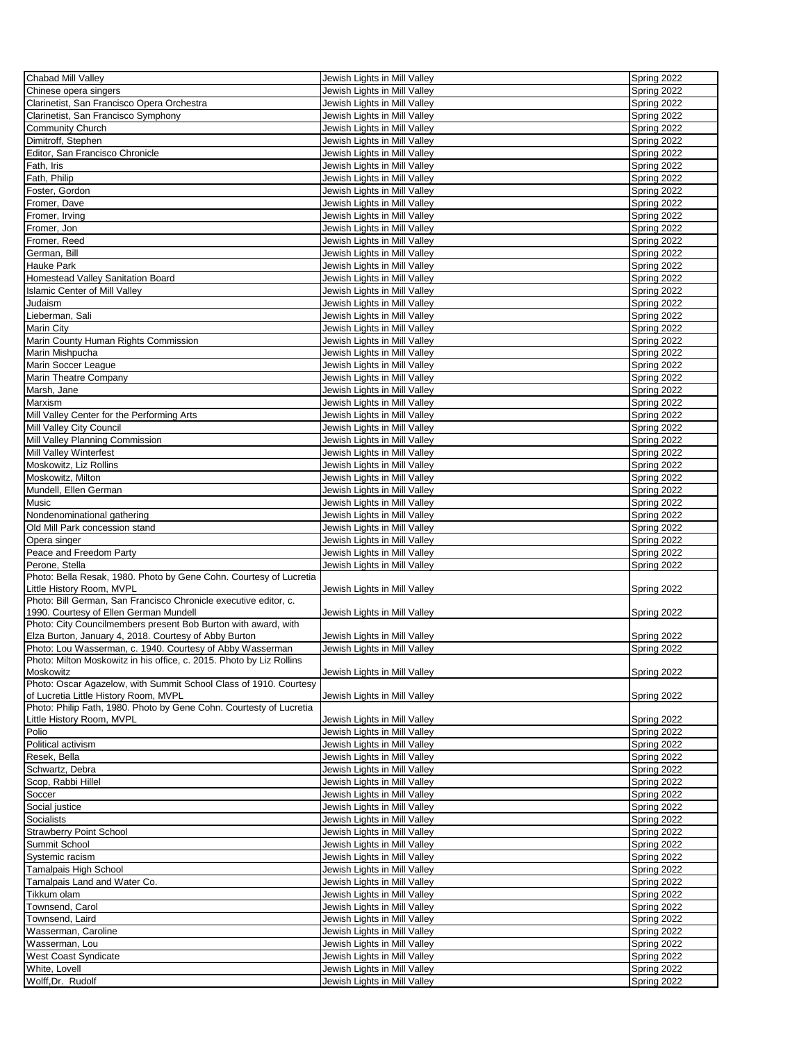| Chabad Mill Valley                                                   | Jewish Lights in Mill Valley                                 | Spring 2022                |
|----------------------------------------------------------------------|--------------------------------------------------------------|----------------------------|
| Chinese opera singers                                                | Jewish Lights in Mill Valley                                 | Spring 2022                |
| Clarinetist, San Francisco Opera Orchestra                           | Jewish Lights in Mill Valley                                 | Spring 2022                |
| Clarinetist, San Francisco Symphony                                  | Jewish Lights in Mill Valley                                 | Spring 2022                |
| <b>Community Church</b>                                              | Jewish Lights in Mill Valley                                 | Spring 2022                |
| Dimitroff, Stephen                                                   | Jewish Lights in Mill Valley                                 | Spring 2022                |
| Editor, San Francisco Chronicle                                      | Jewish Lights in Mill Valley                                 | Spring 2022                |
|                                                                      | Jewish Lights in Mill Valley                                 |                            |
| Fath, Iris                                                           |                                                              | Spring 2022                |
| Fath, Philip                                                         | Jewish Lights in Mill Valley                                 | Spring 2022                |
| Foster, Gordon                                                       | Jewish Lights in Mill Valley                                 | Spring 2022                |
| Fromer, Dave                                                         | Jewish Lights in Mill Valley                                 | Spring 2022                |
| Fromer, Irving                                                       | Jewish Lights in Mill Valley                                 | Spring 2022                |
| Fromer, Jon                                                          | Jewish Lights in Mill Valley                                 | Spring 2022                |
| Fromer, Reed                                                         | Jewish Lights in Mill Valley                                 | Spring 2022                |
| German, Bill                                                         | Jewish Lights in Mill Valley                                 | Spring 2022                |
| <b>Hauke Park</b>                                                    | Jewish Lights in Mill Valley                                 | Spring 2022                |
| Homestead Valley Sanitation Board                                    | Jewish Lights in Mill Valley                                 | Spring 2022                |
| <b>Islamic Center of Mill Valley</b>                                 | Jewish Lights in Mill Valley                                 | Spring 2022                |
| Judaism                                                              | Jewish Lights in Mill Valley                                 | Spring 2022                |
| Lieberman, Sali                                                      | Jewish Lights in Mill Valley                                 | Spring 2022                |
| Marin City                                                           | Jewish Lights in Mill Valley                                 | Spring 2022                |
|                                                                      |                                                              |                            |
| Marin County Human Rights Commission                                 | Jewish Lights in Mill Valley                                 | Spring 2022                |
| Marin Mishpucha                                                      | Jewish Lights in Mill Valley                                 | Spring 2022                |
| Marin Soccer League                                                  | Jewish Lights in Mill Valley                                 | Spring 2022                |
| Marin Theatre Company                                                | Jewish Lights in Mill Valley                                 | Spring 2022                |
| Marsh, Jane                                                          | Jewish Lights in Mill Valley                                 | Spring 2022                |
| Marxism                                                              | Jewish Lights in Mill Valley                                 | Spring 2022                |
| Mill Valley Center for the Performing Arts                           | Jewish Lights in Mill Valley                                 | Spring 2022                |
| Mill Valley City Council                                             | Jewish Lights in Mill Valley                                 | Spring 2022                |
| Mill Valley Planning Commission                                      | Jewish Lights in Mill Valley                                 | Spring 2022                |
| Mill Valley Winterfest                                               | Jewish Lights in Mill Valley                                 | Spring 2022                |
| Moskowitz, Liz Rollins                                               | Jewish Lights in Mill Valley                                 | Spring 2022                |
| Moskowitz, Milton                                                    | Jewish Lights in Mill Valley                                 | Spring 2022                |
| Mundell, Ellen German                                                | Jewish Lights in Mill Valley                                 | Spring 2022                |
| Music                                                                | Jewish Lights in Mill Valley                                 | Spring 2022                |
| Nondenominational gathering                                          |                                                              | Spring 2022                |
|                                                                      | Jewish Lights in Mill Valley                                 |                            |
| Old Mill Park concession stand                                       | Jewish Lights in Mill Valley                                 | Spring 2022                |
| Opera singer                                                         | Jewish Lights in Mill Valley                                 | Spring 2022                |
| Peace and Freedom Party                                              | Jewish Lights in Mill Valley                                 | Spring 2022                |
| Perone, Stella                                                       | Jewish Lights in Mill Valley                                 | Spring 2022                |
| Photo: Bella Resak, 1980. Photo by Gene Cohn. Courtesy of Lucretia   |                                                              |                            |
| Little History Room, MVPL                                            | Jewish Lights in Mill Valley                                 | Spring 2022                |
| Photo: Bill German, San Francisco Chronicle executive editor, c.     |                                                              |                            |
| 1990. Courtesy of Ellen German Mundell                               | Jewish Lights in Mill Valley                                 | Spring 2022                |
| Photo: City Councilmembers present Bob Burton with award, with       |                                                              |                            |
| Elza Burton, January 4, 2018. Courtesy of Abby Burton                | Jewish Lights in Mill Valley                                 | Spring 2022                |
| Photo: Lou Wasserman, c. 1940. Courtesy of Abby Wasserman            | Jewish Lights in Mill Valley                                 | Spring 2022                |
| Photo: Milton Moskowitz in his office, c. 2015. Photo by Liz Rollins |                                                              |                            |
| Moskowitz                                                            | Jewish Lights in Mill Valley                                 | Spring 2022                |
| Photo: Oscar Agazelow, with Summit School Class of 1910. Courtesy    |                                                              |                            |
| of Lucretia Little History Room, MVPL                                | Jewish Lights in Mill Valley                                 | Spring 2022                |
| Photo: Philip Fath, 1980. Photo by Gene Cohn. Courtesty of Lucretia  |                                                              |                            |
| Little History Room, MVPL                                            | Jewish Lights in Mill Valley                                 | Spring 2022                |
| Polio                                                                | Jewish Lights in Mill Valley                                 | Spring 2022                |
| Political activism                                                   | Jewish Lights in Mill Valley                                 | Spring 2022                |
| Resek, Bella                                                         | Jewish Lights in Mill Valley                                 | Spring 2022                |
| Schwartz, Debra                                                      | Jewish Lights in Mill Valley                                 | Spring 2022                |
| Scop, Rabbi Hillel                                                   | Jewish Lights in Mill Valley                                 | Spring 2022                |
| Soccer                                                               |                                                              | Spring 2022                |
| Social justice                                                       |                                                              |                            |
|                                                                      | Jewish Lights in Mill Valley                                 |                            |
| Socialists                                                           | Jewish Lights in Mill Valley                                 | Spring 2022                |
|                                                                      | Jewish Lights in Mill Valley                                 | Spring 2022                |
| <b>Strawberry Point School</b>                                       | Jewish Lights in Mill Valley                                 | Spring 2022                |
| Summit School                                                        | Jewish Lights in Mill Valley                                 | Spring 2022                |
| Systemic racism                                                      | Jewish Lights in Mill Valley                                 | Spring 2022                |
| Tamalpais High School                                                | Jewish Lights in Mill Valley                                 | Spring 2022                |
| Tamalpais Land and Water Co.                                         | Jewish Lights in Mill Valley                                 | Spring 2022                |
| Tikkum olam                                                          | Jewish Lights in Mill Valley                                 | Spring 2022                |
| Townsend, Carol                                                      | Jewish Lights in Mill Valley                                 | Spring 2022                |
| Townsend, Laird                                                      | Jewish Lights in Mill Valley                                 | Spring 2022                |
| Wasserman, Caroline                                                  |                                                              | Spring 2022                |
|                                                                      | Jewish Lights in Mill Valley                                 |                            |
| Wasserman, Lou                                                       | Jewish Lights in Mill Valley                                 | Spring 2022                |
| West Coast Syndicate                                                 | Jewish Lights in Mill Valley                                 | Spring 2022                |
| White, Lovell<br>Wolff, Dr. Rudolf                                   | Jewish Lights in Mill Valley<br>Jewish Lights in Mill Valley | Spring 2022<br>Spring 2022 |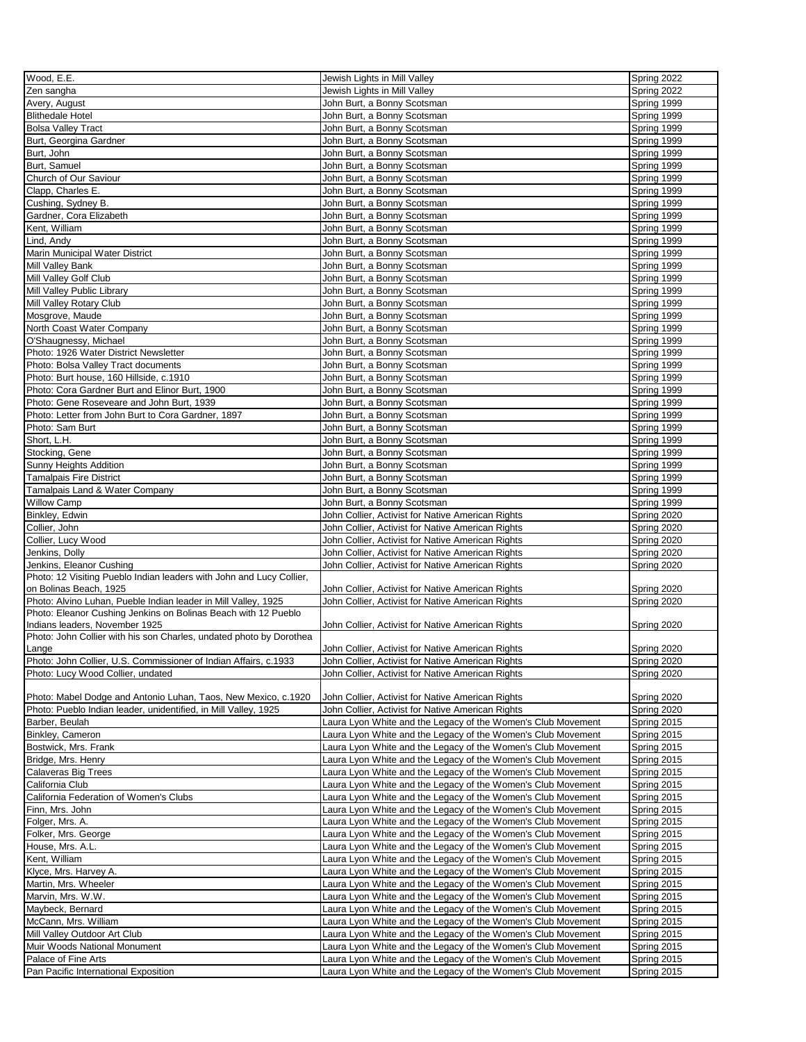| $\overline{W}$ ood, E.E.                                             | Jewish Lights in Mill Valley                                 | Spring 2022 |
|----------------------------------------------------------------------|--------------------------------------------------------------|-------------|
| Zen sangha                                                           | Jewish Lights in Mill Valley                                 | Spring 2022 |
| Avery, August                                                        | John Burt, a Bonny Scotsman                                  | Spring 1999 |
| <b>Blithedale Hotel</b>                                              | John Burt, a Bonny Scotsman                                  | Spring 1999 |
| <b>Bolsa Valley Tract</b>                                            | John Burt, a Bonny Scotsman                                  | Spring 1999 |
| Burt, Georgina Gardner                                               | John Burt, a Bonny Scotsman                                  | Spring 1999 |
| Burt, John                                                           | John Burt, a Bonny Scotsman                                  | Spring 1999 |
| Burt, Samuel                                                         | John Burt, a Bonny Scotsman                                  | Spring 1999 |
| Church of Our Saviour                                                |                                                              | Spring 1999 |
|                                                                      | John Burt, a Bonny Scotsman                                  |             |
| Clapp, Charles E.                                                    | John Burt, a Bonny Scotsman                                  | Spring 1999 |
| Cushing, Sydney B.                                                   | John Burt, a Bonny Scotsman                                  | Spring 1999 |
| Gardner, Cora Elizabeth                                              | John Burt, a Bonny Scotsman                                  | Spring 1999 |
| Kent, William                                                        | John Burt, a Bonny Scotsman                                  | Spring 1999 |
| Lind, Andy                                                           | John Burt, a Bonny Scotsman                                  | Spring 1999 |
| Marin Municipal Water District                                       | John Burt, a Bonny Scotsman                                  | Spring 1999 |
| Mill Valley Bank                                                     | John Burt, a Bonny Scotsman                                  | Spring 1999 |
| Mill Valley Golf Club                                                | John Burt, a Bonny Scotsman                                  | Spring 1999 |
| Mill Valley Public Library                                           | John Burt, a Bonny Scotsman                                  | Spring 1999 |
| Mill Valley Rotary Club                                              | John Burt, a Bonny Scotsman                                  | Spring 1999 |
| Mosgrove, Maude                                                      | John Burt, a Bonny Scotsman                                  | Spring 1999 |
| North Coast Water Company                                            | John Burt, a Bonny Scotsman                                  | Spring 1999 |
| O'Shaugnessy, Michael                                                | John Burt, a Bonny Scotsman                                  | Spring 1999 |
| Photo: 1926 Water District Newsletter                                | John Burt, a Bonny Scotsman                                  | Spring 1999 |
| Photo: Bolsa Valley Tract documents                                  | John Burt, a Bonny Scotsman                                  | Spring 1999 |
| Photo: Burt house, 160 Hillside, c.1910                              | John Burt, a Bonny Scotsman                                  | Spring 1999 |
| Photo: Cora Gardner Burt and Elinor Burt, 1900                       | John Burt, a Bonny Scotsman                                  | Spring 1999 |
| Photo: Gene Roseveare and John Burt, 1939                            | John Burt, a Bonny Scotsman                                  | Spring 1999 |
| Photo: Letter from John Burt to Cora Gardner, 1897                   | John Burt, a Bonny Scotsman                                  | Spring 1999 |
| Photo: Sam Burt                                                      | John Burt, a Bonny Scotsman                                  | Spring 1999 |
| Short, L.H.                                                          | John Burt, a Bonny Scotsman                                  | Spring 1999 |
| Stocking, Gene                                                       | John Burt, a Bonny Scotsman                                  | Spring 1999 |
| Sunny Heights Addition                                               | John Burt, a Bonny Scotsman                                  | Spring 1999 |
| <b>Tamalpais Fire District</b>                                       | John Burt, a Bonny Scotsman                                  | Spring 1999 |
|                                                                      |                                                              |             |
| Tamalpais Land & Water Company                                       | John Burt, a Bonny Scotsman                                  | Spring 1999 |
| <b>Willow Camp</b>                                                   | John Burt, a Bonny Scotsman                                  | Spring 1999 |
| Binkley, Edwin                                                       | John Collier, Activist for Native American Rights            | Spring 2020 |
| Collier, John                                                        | John Collier, Activist for Native American Rights            | Spring 2020 |
| Collier, Lucy Wood                                                   | John Collier, Activist for Native American Rights            | Spring 2020 |
| Jenkins, Dolly                                                       | John Collier, Activist for Native American Rights            | Spring 2020 |
| Jenkins, Eleanor Cushing                                             | John Collier, Activist for Native American Rights            | Spring 2020 |
| Photo: 12 Visiting Pueblo Indian leaders with John and Lucy Collier, |                                                              |             |
| on Bolinas Beach, 1925                                               | John Collier, Activist for Native American Rights            | Spring 2020 |
| Photo: Alvino Luhan, Pueble Indian leader in Mill Valley, 1925       | John Collier, Activist for Native American Rights            | Spring 2020 |
| Photo: Eleanor Cushing Jenkins on Bolinas Beach with 12 Pueblo       |                                                              |             |
| Indians leaders, November 1925                                       | John Collier, Activist for Native American Rights            | Spring 2020 |
| Photo: John Collier with his son Charles, undated photo by Dorothea  |                                                              |             |
| Lange                                                                | John Collier, Activist for Native American Rights            | Spring 2020 |
| Photo: John Collier, U.S. Commissioner of Indian Affairs, c.1933     | John Collier, Activist for Native American Rights            | Spring 2020 |
| Photo: Lucy Wood Collier, undated                                    | John Collier, Activist for Native American Rights            | Spring 2020 |
|                                                                      |                                                              |             |
| Photo: Mabel Dodge and Antonio Luhan, Taos, New Mexico, c.1920       | John Collier, Activist for Native American Rights            | Spring 2020 |
| Photo: Pueblo Indian leader, unidentified, in Mill Valley, 1925      | John Collier, Activist for Native American Rights            | Spring 2020 |
| Barber, Beulah                                                       | Laura Lyon White and the Legacy of the Women's Club Movement | Spring 2015 |
| Binkley, Cameron                                                     | Laura Lyon White and the Legacy of the Women's Club Movement | Spring 2015 |
| Bostwick, Mrs. Frank                                                 | Laura Lyon White and the Legacy of the Women's Club Movement | Spring 2015 |
| Bridge, Mrs. Henry                                                   | Laura Lyon White and the Legacy of the Women's Club Movement | Spring 2015 |
| Calaveras Big Trees                                                  | Laura Lyon White and the Legacy of the Women's Club Movement | Spring 2015 |
| California Club                                                      | Laura Lyon White and the Legacy of the Women's Club Movement | Spring 2015 |
| California Federation of Women's Clubs                               | Laura Lyon White and the Legacy of the Women's Club Movement | Spring 2015 |
| Finn, Mrs. John                                                      | Laura Lyon White and the Legacy of the Women's Club Movement | Spring 2015 |
| Folger, Mrs. A.                                                      | Laura Lyon White and the Legacy of the Women's Club Movement | Spring 2015 |
| Folker, Mrs. George                                                  | Laura Lyon White and the Legacy of the Women's Club Movement | Spring 2015 |
| House, Mrs. A.L.                                                     | Laura Lyon White and the Legacy of the Women's Club Movement | Spring 2015 |
| Kent, William                                                        | Laura Lyon White and the Legacy of the Women's Club Movement | Spring 2015 |
| Klyce, Mrs. Harvey A.                                                | Laura Lyon White and the Legacy of the Women's Club Movement | Spring 2015 |
| Martin, Mrs. Wheeler                                                 | Laura Lyon White and the Legacy of the Women's Club Movement | Spring 2015 |
| Marvin, Mrs. W.W.                                                    | Laura Lyon White and the Legacy of the Women's Club Movement | Spring 2015 |
| Maybeck, Bernard                                                     | Laura Lyon White and the Legacy of the Women's Club Movement | Spring 2015 |
| McCann, Mrs. William                                                 | Laura Lyon White and the Legacy of the Women's Club Movement | Spring 2015 |
|                                                                      |                                                              |             |
| Mill Valley Outdoor Art Club                                         | Laura Lyon White and the Legacy of the Women's Club Movement | Spring 2015 |
| Muir Woods National Monument                                         | Laura Lyon White and the Legacy of the Women's Club Movement | Spring 2015 |
| Palace of Fine Arts                                                  | Laura Lyon White and the Legacy of the Women's Club Movement | Spring 2015 |
| Pan Pacific International Exposition                                 | Laura Lyon White and the Legacy of the Women's Club Movement | Spring 2015 |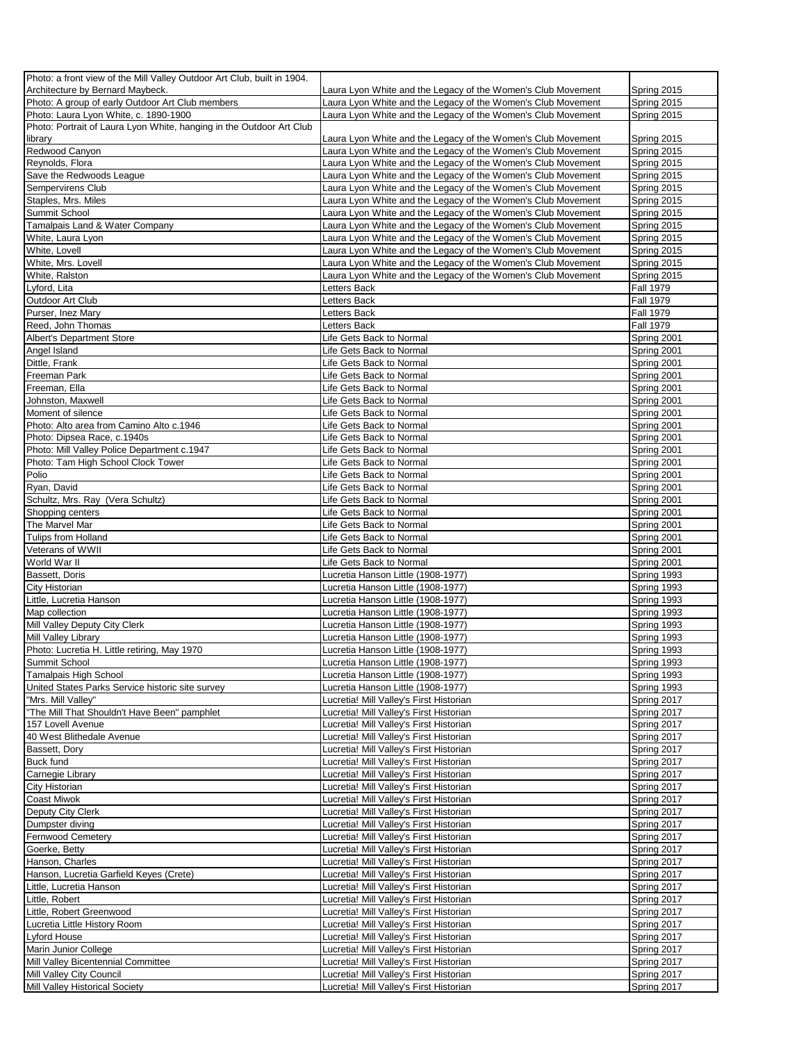| Photo: a front view of the Mill Valley Outdoor Art Club, built in 1904. |                                                                                    |                  |
|-------------------------------------------------------------------------|------------------------------------------------------------------------------------|------------------|
| Architecture by Bernard Maybeck.                                        | Laura Lyon White and the Legacy of the Women's Club Movement                       | Spring 2015      |
| Photo: A group of early Outdoor Art Club members                        | Laura Lyon White and the Legacy of the Women's Club Movement                       | Spring 2015      |
| Photo: Laura Lyon White, c. 1890-1900                                   | Laura Lyon White and the Legacy of the Women's Club Movement                       | Spring 2015      |
| Photo: Portrait of Laura Lyon White, hanging in the Outdoor Art Club    |                                                                                    |                  |
| library                                                                 | Laura Lyon White and the Legacy of the Women's Club Movement                       | Spring 2015      |
| Redwood Canyon                                                          | Laura Lyon White and the Legacy of the Women's Club Movement                       | Spring 2015      |
| Reynolds, Flora                                                         | Laura Lyon White and the Legacy of the Women's Club Movement                       | Spring 2015      |
| Save the Redwoods League                                                | Laura Lyon White and the Legacy of the Women's Club Movement                       | Spring 2015      |
| Sempervirens Club                                                       | Laura Lyon White and the Legacy of the Women's Club Movement                       | Spring 2015      |
| Staples, Mrs. Miles                                                     | Laura Lyon White and the Legacy of the Women's Club Movement                       | Spring 2015      |
| Summit School                                                           | Laura Lyon White and the Legacy of the Women's Club Movement                       | Spring 2015      |
| Tamalpais Land & Water Company                                          | Laura Lyon White and the Legacy of the Women's Club Movement                       | Spring 2015      |
| White, Laura Lyon                                                       | Laura Lyon White and the Legacy of the Women's Club Movement                       | Spring 2015      |
| White, Lovell                                                           | Laura Lyon White and the Legacy of the Women's Club Movement                       | Spring 2015      |
| White, Mrs. Lovell                                                      | Laura Lyon White and the Legacy of the Women's Club Movement                       | Spring 2015      |
| White, Ralston                                                          | Laura Lyon White and the Legacy of the Women's Club Movement                       | Spring 2015      |
| Lyford, Lita                                                            | Letters Back                                                                       | <b>Fall 1979</b> |
| Outdoor Art Club                                                        | Letters Back                                                                       | <b>Fall 1979</b> |
| Purser, Inez Mary                                                       | Letters Back                                                                       | <b>Fall 1979</b> |
| Reed, John Thomas                                                       | <b>Letters Back</b>                                                                | <b>Fall 1979</b> |
| <b>Albert's Department Store</b>                                        | Life Gets Back to Normal                                                           | Spring 2001      |
| Angel Island                                                            | Life Gets Back to Normal                                                           | Spring 2001      |
| Dittle, Frank                                                           | Life Gets Back to Normal                                                           | Spring 2001      |
| Freeman Park                                                            | Life Gets Back to Normal                                                           | Spring 2001      |
|                                                                         |                                                                                    |                  |
| Freeman, Ella                                                           | Life Gets Back to Normal                                                           | Spring 2001      |
| Johnston, Maxwell                                                       | Life Gets Back to Normal                                                           | Spring 2001      |
| Moment of silence                                                       | Life Gets Back to Normal                                                           | Spring 2001      |
| Photo: Alto area from Camino Alto c.1946                                | Life Gets Back to Normal                                                           | Spring 2001      |
| Photo: Dipsea Race, c.1940s                                             | Life Gets Back to Normal                                                           | Spring 2001      |
| Photo: Mill Valley Police Department c.1947                             | Life Gets Back to Normal                                                           | Spring 2001      |
| Photo: Tam High School Clock Tower                                      | Life Gets Back to Normal                                                           | Spring 2001      |
| Polio                                                                   | Life Gets Back to Normal                                                           | Spring 2001      |
| Ryan, David                                                             | Life Gets Back to Normal                                                           | Spring 2001      |
| Schultz, Mrs. Ray (Vera Schultz)                                        | Life Gets Back to Normal                                                           | Spring 2001      |
| Shopping centers                                                        | Life Gets Back to Normal                                                           | Spring 2001      |
| The Marvel Mar                                                          | Life Gets Back to Normal                                                           | Spring 2001      |
| Tulips from Holland                                                     | Life Gets Back to Normal                                                           | Spring 2001      |
| Veterans of WWII                                                        | Life Gets Back to Normal                                                           | Spring 2001      |
| World War II                                                            | Life Gets Back to Normal                                                           | Spring 2001      |
| Bassett, Doris                                                          | Lucretia Hanson Little (1908-1977)                                                 | Spring 1993      |
| <b>City Historian</b>                                                   | Lucretia Hanson Little (1908-1977)                                                 | Spring 1993      |
| Little, Lucretia Hanson                                                 | Lucretia Hanson Little (1908-1977)                                                 | Spring 1993      |
| Map collection                                                          | Lucretia Hanson Little (1908-1977)                                                 | Spring 1993      |
| Mill Valley Deputy City Clerk                                           | Lucretia Hanson Little (1908-1977)                                                 | Spring 1993      |
| Mill Valley Library                                                     | Lucretia Hanson Little (1908-1977)                                                 | Spring 1993      |
| Photo: Lucretia H. Little retiring, May 1970                            | Lucretia Hanson Little (1908-1977)                                                 | Spring 1993      |
| Summit School                                                           | Lucretia Hanson Little (1908-1977)                                                 | Spring 1993      |
| Tamalpais High School                                                   | Lucretia Hanson Little (1908-1977)                                                 | Spring 1993      |
| United States Parks Service historic site survey                        | Lucretia Hanson Little (1908-1977)                                                 | Spring 1993      |
| "Mrs. Mill Valley"                                                      | Lucretia! Mill Valley's First Historian                                            | Spring 2017      |
| "The Mill That Shouldn't Have Been" pamphlet                            | Lucretia! Mill Valley's First Historian                                            | Spring 2017      |
| 157 Lovell Avenue                                                       | Lucretia! Mill Valley's First Historian                                            | Spring 2017      |
| 40 West Blithedale Avenue                                               | Lucretia! Mill Valley's First Historian                                            | Spring 2017      |
| Bassett, Dory                                                           | Lucretia! Mill Valley's First Historian                                            | Spring 2017      |
| <b>Buck fund</b>                                                        | Lucretia! Mill Valley's First Historian                                            | Spring 2017      |
| Carnegie Library                                                        | Lucretia! Mill Valley's First Historian                                            | Spring 2017      |
| <b>City Historian</b>                                                   | Lucretia! Mill Valley's First Historian                                            | Spring 2017      |
| <b>Coast Miwok</b>                                                      | Lucretia! Mill Valley's First Historian                                            | Spring 2017      |
| Deputy City Clerk                                                       | Lucretia! Mill Valley's First Historian                                            | Spring 2017      |
| Dumpster diving                                                         | Lucretia! Mill Valley's First Historian                                            | Spring 2017      |
| <b>Fernwood Cemetery</b>                                                | Lucretia! Mill Valley's First Historian                                            | Spring 2017      |
| Goerke, Betty                                                           | Lucretia! Mill Valley's First Historian                                            | Spring 2017      |
| Hanson, Charles                                                         | Lucretia! Mill Valley's First Historian                                            | Spring 2017      |
| Hanson, Lucretia Garfield Keyes (Crete)                                 | Lucretia! Mill Valley's First Historian                                            | Spring 2017      |
| Little, Lucretia Hanson                                                 | Lucretia! Mill Valley's First Historian                                            | Spring 2017      |
| Little, Robert                                                          | Lucretia! Mill Valley's First Historian                                            | Spring 2017      |
| Little, Robert Greenwood                                                | Lucretia! Mill Valley's First Historian                                            | Spring 2017      |
|                                                                         |                                                                                    | Spring 2017      |
| Lucretia Little History Room<br>Lyford House                            | Lucretia! Mill Valley's First Historian                                            |                  |
|                                                                         | Lucretia! Mill Valley's First Historian                                            | Spring 2017      |
| Marin Junior College                                                    | Lucretia! Mill Valley's First Historian                                            | Spring 2017      |
| Mill Valley Bicentennial Committee                                      | Lucretia! Mill Valley's First Historian                                            | Spring 2017      |
| Mill Valley City Council                                                | Lucretia! Mill Valley's First Historian<br>Lucretia! Mill Valley's First Historian | Spring 2017      |
| Mill Valley Historical Society                                          |                                                                                    | Spring 2017      |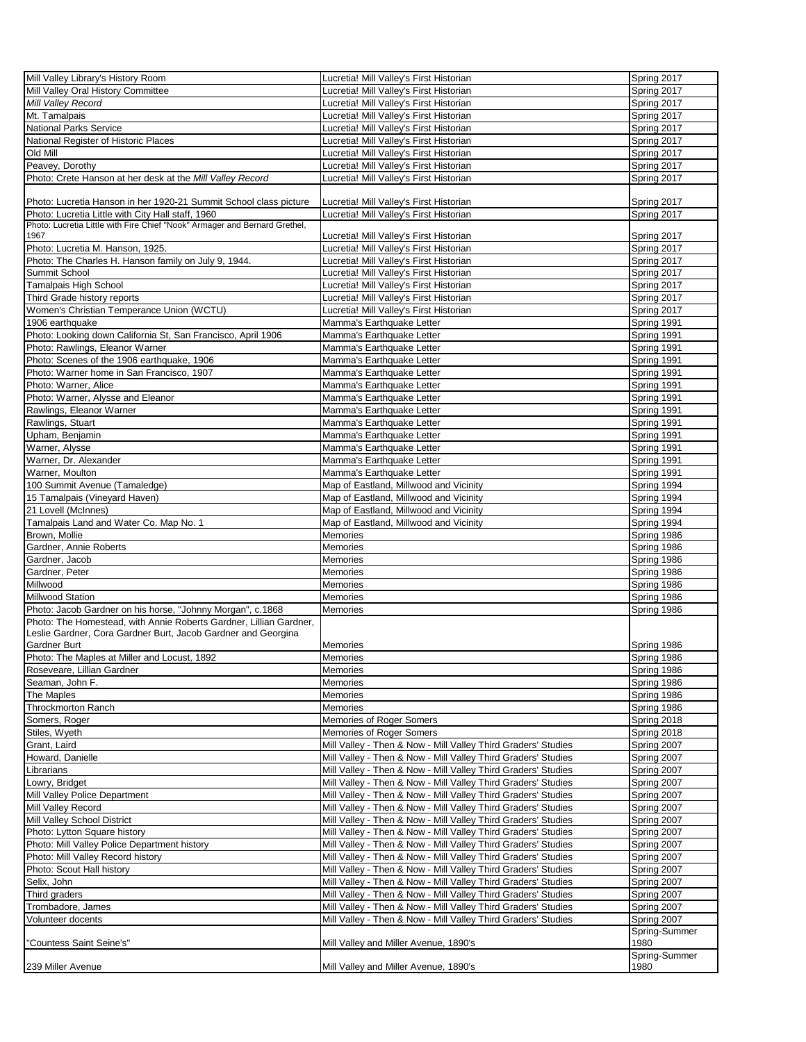| Mill Valley Library's History Room                                         | Lucretia! Mill Valley's First Historian                       | Spring 2017   |
|----------------------------------------------------------------------------|---------------------------------------------------------------|---------------|
| Mill Valley Oral History Committee                                         | Lucretia! Mill Valley's First Historian                       | Spring 2017   |
| Mill Valley Record                                                         | Lucretia! Mill Valley's First Historian                       | Spring 2017   |
|                                                                            |                                                               |               |
| Mt. Tamalpais                                                              | Lucretia! Mill Valley's First Historian                       | Spring 2017   |
| <b>National Parks Service</b>                                              | Lucretia! Mill Valley's First Historian                       | Spring 2017   |
|                                                                            |                                                               |               |
| National Register of Historic Places                                       | Lucretia! Mill Valley's First Historian                       | Spring 2017   |
| Old Mill                                                                   | Lucretia! Mill Valley's First Historian                       | Spring 2017   |
| Peavey, Dorothy                                                            | Lucretia! Mill Valley's First Historian                       | Spring 2017   |
|                                                                            |                                                               |               |
| Photo: Crete Hanson at her desk at the Mill Valley Record                  | Lucretia! Mill Valley's First Historian                       | Spring 2017   |
|                                                                            |                                                               |               |
|                                                                            |                                                               |               |
| Photo: Lucretia Hanson in her 1920-21 Summit School class picture          | Lucretia! Mill Valley's First Historian                       | Spring 2017   |
| Photo: Lucretia Little with City Hall staff, 1960                          | Lucretia! Mill Valley's First Historian                       | Spring 2017   |
| Photo: Lucretia Little with Fire Chief "Nook" Armager and Bernard Grethel, |                                                               |               |
| 1967                                                                       | Lucretia! Mill Valley's First Historian                       | Spring 2017   |
|                                                                            |                                                               |               |
| Photo: Lucretia M. Hanson, 1925.                                           | Lucretia! Mill Valley's First Historian                       | Spring 2017   |
| Photo: The Charles H. Hanson family on July 9, 1944.                       | Lucretia! Mill Valley's First Historian                       | Spring 2017   |
|                                                                            |                                                               |               |
| Summit School                                                              | Lucretia! Mill Valley's First Historian                       | Spring 2017   |
| Tamalpais High School                                                      | Lucretia! Mill Valley's First Historian                       | Spring 2017   |
| Third Grade history reports                                                | Lucretia! Mill Valley's First Historian                       | Spring 2017   |
|                                                                            |                                                               |               |
| Women's Christian Temperance Union (WCTU)                                  | Lucretia! Mill Valley's First Historian                       | Spring 2017   |
| 1906 earthquake                                                            | Mamma's Earthquake Letter                                     | Spring 1991   |
|                                                                            |                                                               |               |
| Photo: Looking down California St, San Francisco, April 1906               | Mamma's Earthquake Letter                                     | Spring 1991   |
| Photo: Rawlings, Eleanor Warner                                            | Mamma's Earthquake Letter                                     | Spring 1991   |
| Photo: Scenes of the 1906 earthquake, 1906                                 |                                                               |               |
|                                                                            | Mamma's Earthquake Letter                                     | Spring 1991   |
| Photo: Warner home in San Francisco, 1907                                  | Mamma's Earthquake Letter                                     | Spring 1991   |
| Photo: Warner, Alice                                                       | Mamma's Earthquake Letter                                     | Spring 1991   |
|                                                                            |                                                               |               |
| Photo: Warner, Alysse and Eleanor                                          | Mamma's Earthquake Letter                                     | Spring 1991   |
| Rawlings, Eleanor Warner                                                   | Mamma's Earthquake Letter                                     | Spring 1991   |
|                                                                            |                                                               |               |
| Rawlings, Stuart                                                           | Mamma's Earthquake Letter                                     | Spring 1991   |
| Upham, Benjamin                                                            | Mamma's Earthquake Letter                                     | Spring 1991   |
| Warner, Alysse                                                             | Mamma's Earthquake Letter                                     | Spring 1991   |
|                                                                            |                                                               |               |
| Warner, Dr. Alexander                                                      | Mamma's Earthquake Letter                                     | Spring 1991   |
| Warner, Moulton                                                            | Mamma's Earthquake Letter                                     | Spring 1991   |
|                                                                            |                                                               |               |
| 100 Summit Avenue (Tamaledge)                                              | Map of Eastland, Millwood and Vicinity                        | Spring 1994   |
| 15 Tamalpais (Vineyard Haven)                                              | Map of Eastland, Millwood and Vicinity                        | Spring 1994   |
| 21 Lovell (McInnes)                                                        | Map of Eastland, Millwood and Vicinity                        | Spring 1994   |
|                                                                            |                                                               |               |
| Tamalpais Land and Water Co. Map No. 1                                     | Map of Eastland, Millwood and Vicinity                        | Spring 1994   |
| Brown, Mollie                                                              | Memories                                                      | Spring 1986   |
|                                                                            |                                                               |               |
| Gardner, Annie Roberts                                                     | Memories                                                      | Spring 1986   |
| Gardner, Jacob                                                             | Memories                                                      | Spring 1986   |
| Gardner, Peter                                                             | Memories                                                      | Spring 1986   |
|                                                                            |                                                               |               |
| Millwood                                                                   | Memories                                                      | Spring 1986   |
| Millwood Station                                                           | Memories                                                      | Spring 1986   |
|                                                                            |                                                               |               |
| Photo: Jacob Gardner on his horse, "Johnny Morgan", c.1868                 | Memories                                                      | Spring 1986   |
| Photo: The Homestead, with Annie Roberts Gardner, Lillian Gardner,         |                                                               |               |
| Leslie Gardner, Cora Gardner Burt, Jacob Gardner and Georgina              |                                                               |               |
|                                                                            |                                                               |               |
| Gardner Burt                                                               | Memories                                                      | Spring 1986   |
| Photo: The Maples at Miller and Locust, 1892                               | Memories                                                      | Spring 1986   |
| Roseveare, Lillian Gardner                                                 | Memories                                                      | Spring 1986   |
|                                                                            |                                                               |               |
| Seaman, John F.                                                            | Memories                                                      | Spring 1986   |
| The Maples                                                                 | Memories                                                      | Spring 1986   |
|                                                                            |                                                               |               |
| <b>Throckmorton Ranch</b>                                                  | Memories                                                      | Spring 1986   |
| Somers, Roger                                                              | Memories of Roger Somers                                      | Spring 2018   |
|                                                                            |                                                               | Spring 2018   |
| Stiles, Wyeth                                                              | Memories of Roger Somers                                      |               |
| Grant, Laird                                                               | Mill Valley - Then & Now - Mill Valley Third Graders' Studies | Spring 2007   |
| Howard, Danielle                                                           | Mill Valley - Then & Now - Mill Valley Third Graders' Studies | Spring 2007   |
|                                                                            |                                                               |               |
| Librarians                                                                 | Mill Valley - Then & Now - Mill Valley Third Graders' Studies | Spring 2007   |
| Lowry, Bridget                                                             | Mill Valley - Then & Now - Mill Valley Third Graders' Studies | Spring 2007   |
| Mill Valley Police Department                                              | Mill Valley - Then & Now - Mill Valley Third Graders' Studies | Spring 2007   |
|                                                                            |                                                               |               |
| Mill Valley Record                                                         | Mill Valley - Then & Now - Mill Valley Third Graders' Studies | Spring 2007   |
| Mill Valley School District                                                | Mill Valley - Then & Now - Mill Valley Third Graders' Studies | Spring 2007   |
| Photo: Lytton Square history                                               | Mill Valley - Then & Now - Mill Valley Third Graders' Studies | Spring 2007   |
|                                                                            |                                                               |               |
| Photo: Mill Valley Police Department history                               | Mill Valley - Then & Now - Mill Valley Third Graders' Studies | Spring 2007   |
| Photo: Mill Valley Record history                                          | Mill Valley - Then & Now - Mill Valley Third Graders' Studies | Spring 2007   |
|                                                                            |                                                               |               |
| Photo: Scout Hall history                                                  | Mill Valley - Then & Now - Mill Valley Third Graders' Studies | Spring 2007   |
| Selix, John                                                                | Mill Valley - Then & Now - Mill Valley Third Graders' Studies | Spring 2007   |
| Third graders                                                              | Mill Valley - Then & Now - Mill Valley Third Graders' Studies | Spring 2007   |
|                                                                            |                                                               |               |
| Trombadore, James                                                          | Mill Valley - Then & Now - Mill Valley Third Graders' Studies | Spring 2007   |
| Volunteer docents                                                          | Mill Valley - Then & Now - Mill Valley Third Graders' Studies | Spring 2007   |
|                                                                            |                                                               | Spring-Summer |
|                                                                            |                                                               |               |
| "Countess Saint Seine's"                                                   | Mill Valley and Miller Avenue, 1890's                         | 1980          |
|                                                                            |                                                               | Spring-Summer |
| 239 Miller Avenue                                                          | Mill Valley and Miller Avenue, 1890's                         | 1980          |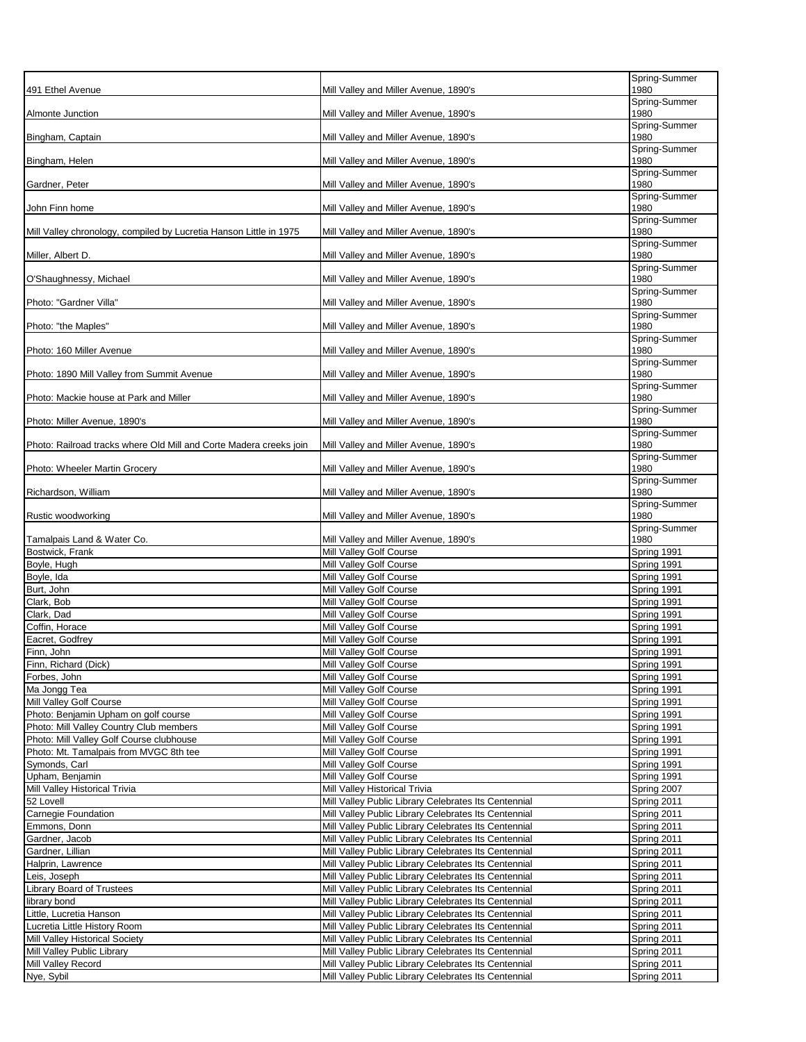| 491 Ethel Avenue                                                                    | Mill Valley and Miller Avenue, 1890's                                                                        | Spring-Summer<br>1980      |
|-------------------------------------------------------------------------------------|--------------------------------------------------------------------------------------------------------------|----------------------------|
| <b>Almonte Junction</b>                                                             | Mill Valley and Miller Avenue, 1890's                                                                        | Spring-Summer<br>1980      |
| Bingham, Captain                                                                    | Mill Valley and Miller Avenue, 1890's                                                                        | Spring-Summer<br>1980      |
|                                                                                     |                                                                                                              | Spring-Summer              |
| Bingham, Helen                                                                      | Mill Valley and Miller Avenue, 1890's                                                                        | 1980<br>Spring-Summer      |
| Gardner, Peter                                                                      | Mill Valley and Miller Avenue, 1890's                                                                        | 1980<br>Spring-Summer      |
| John Finn home                                                                      | Mill Valley and Miller Avenue, 1890's                                                                        | 1980<br>Spring-Summer      |
| Mill Valley chronology, compiled by Lucretia Hanson Little in 1975                  | Mill Valley and Miller Avenue, 1890's                                                                        | 1980                       |
| Miller, Albert D.                                                                   | Mill Valley and Miller Avenue, 1890's                                                                        | Spring-Summer<br>1980      |
| O'Shaughnessy, Michael                                                              | Mill Valley and Miller Avenue, 1890's                                                                        | Spring-Summer<br>1980      |
| Photo: "Gardner Villa"                                                              | Mill Valley and Miller Avenue, 1890's                                                                        | Spring-Summer<br>1980      |
| Photo: "the Maples"                                                                 | Mill Valley and Miller Avenue, 1890's                                                                        | Spring-Summer<br>1980      |
|                                                                                     |                                                                                                              | Spring-Summer              |
| Photo: 160 Miller Avenue                                                            | Mill Valley and Miller Avenue, 1890's                                                                        | 1980<br>Spring-Summer      |
| Photo: 1890 Mill Valley from Summit Avenue                                          | Mill Valley and Miller Avenue, 1890's                                                                        | 1980<br>Spring-Summer      |
| Photo: Mackie house at Park and Miller                                              | Mill Valley and Miller Avenue, 1890's                                                                        | 1980<br>Spring-Summer      |
| Photo: Miller Avenue, 1890's                                                        | Mill Valley and Miller Avenue, 1890's                                                                        | 1980                       |
| Photo: Railroad tracks where Old Mill and Corte Madera creeks join                  | Mill Valley and Miller Avenue, 1890's                                                                        | Spring-Summer<br>1980      |
| Photo: Wheeler Martin Grocery                                                       | Mill Valley and Miller Avenue, 1890's                                                                        | Spring-Summer<br>1980      |
| Richardson, William                                                                 | Mill Valley and Miller Avenue, 1890's                                                                        | Spring-Summer<br>1980      |
| Rustic woodworking                                                                  | Mill Valley and Miller Avenue, 1890's                                                                        | Spring-Summer<br>1980      |
|                                                                                     |                                                                                                              | Spring-Summer              |
|                                                                                     |                                                                                                              |                            |
| Tamalpais Land & Water Co.<br>Bostwick, Frank                                       | Mill Valley and Miller Avenue, 1890's<br>Mill Valley Golf Course                                             | 1980<br>Spring 1991        |
| Boyle, Hugh                                                                         | Mill Valley Golf Course                                                                                      | Spring 1991                |
| Boyle, Ida                                                                          | Mill Valley Golf Course                                                                                      | Spring 1991                |
| Burt, John                                                                          | Mill Valley Golf Course                                                                                      | Spring 1991                |
| Clark, Bob<br>Clark, Dad                                                            | Mill Valley Golf Course<br>Mill Valley Golf Course                                                           | Spring 1991<br>Spring 1991 |
| Coffin, Horace                                                                      | Mill Valley Golf Course                                                                                      | Spring 1991                |
| Eacret, Godfrey                                                                     | Mill Valley Golf Course                                                                                      | Spring 1991                |
| Finn, John                                                                          | Mill Valley Golf Course                                                                                      | Spring 1991                |
| Finn, Richard (Dick)                                                                | Mill Valley Golf Course                                                                                      | Spring 1991                |
| Forbes, John                                                                        | Mill Valley Golf Course                                                                                      | Spring 1991                |
| Ma Jongg Tea                                                                        | Mill Valley Golf Course                                                                                      | Spring 1991                |
| Mill Valley Golf Course                                                             | Mill Valley Golf Course                                                                                      | Spring 1991                |
| Photo: Benjamin Upham on golf course                                                | Mill Valley Golf Course<br>Mill Valley Golf Course                                                           | Spring 1991<br>Spring 1991 |
| Photo: Mill Valley Country Club members<br>Photo: Mill Valley Golf Course clubhouse | Mill Valley Golf Course                                                                                      | Spring 1991                |
| Photo: Mt. Tamalpais from MVGC 8th tee                                              | Mill Valley Golf Course                                                                                      | Spring 1991                |
| Symonds, Carl                                                                       | Mill Valley Golf Course                                                                                      | Spring 1991                |
| Upham, Benjamin                                                                     | Mill Valley Golf Course                                                                                      | Spring 1991                |
| Mill Valley Historical Trivia                                                       | Mill Valley Historical Trivia                                                                                | Spring 2007                |
| 52 Lovell                                                                           | Mill Valley Public Library Celebrates Its Centennial                                                         | Spring 2011                |
| Carnegie Foundation                                                                 | Mill Valley Public Library Celebrates Its Centennial                                                         | Spring 2011                |
| Emmons, Donn                                                                        | Mill Valley Public Library Celebrates Its Centennial                                                         | Spring 2011                |
| Gardner, Jacob<br>Gardner, Lillian                                                  | Mill Valley Public Library Celebrates Its Centennial<br>Mill Valley Public Library Celebrates Its Centennial | Spring 2011<br>Spring 2011 |
| Halprin, Lawrence                                                                   | Mill Valley Public Library Celebrates Its Centennial                                                         | Spring 2011                |
| Leis, Joseph                                                                        | Mill Valley Public Library Celebrates Its Centennial                                                         | Spring 2011                |
| Library Board of Trustees                                                           | Mill Valley Public Library Celebrates Its Centennial                                                         | Spring 2011                |
| library bond                                                                        | Mill Valley Public Library Celebrates Its Centennial                                                         | Spring 2011                |
| Little, Lucretia Hanson                                                             | Mill Valley Public Library Celebrates Its Centennial                                                         | Spring 2011                |
| Lucretia Little History Room                                                        | Mill Valley Public Library Celebrates Its Centennial                                                         | Spring 2011                |
| Mill Valley Historical Society                                                      | Mill Valley Public Library Celebrates Its Centennial                                                         | Spring 2011                |
| Mill Valley Public Library                                                          | Mill Valley Public Library Celebrates Its Centennial                                                         | Spring 2011                |
| Mill Valley Record<br>Nye, Sybil                                                    | Mill Valley Public Library Celebrates Its Centennial<br>Mill Valley Public Library Celebrates Its Centennial | Spring 2011<br>Spring 2011 |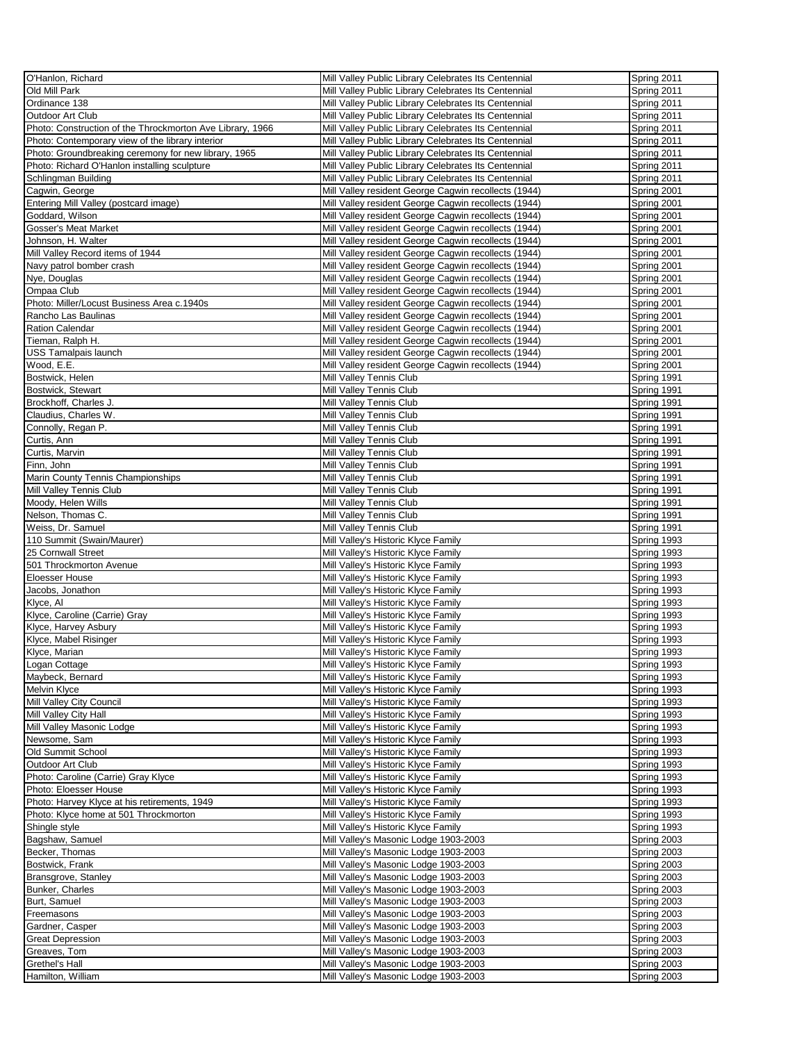| O'Hanlon, Richard                                         | Mill Valley Public Library Celebrates Its Centennial | Spring 2011 |
|-----------------------------------------------------------|------------------------------------------------------|-------------|
| Old Mill Park                                             | Mill Valley Public Library Celebrates Its Centennial | Spring 2011 |
| Ordinance 138                                             |                                                      | Spring 2011 |
|                                                           | Mill Valley Public Library Celebrates Its Centennial |             |
| Outdoor Art Club                                          | Mill Valley Public Library Celebrates Its Centennial | Spring 2011 |
| Photo: Construction of the Throckmorton Ave Library, 1966 | Mill Valley Public Library Celebrates Its Centennial | Spring 2011 |
| Photo: Contemporary view of the library interior          | Mill Valley Public Library Celebrates Its Centennial | Spring 2011 |
| Photo: Groundbreaking ceremony for new library, 1965      | Mill Valley Public Library Celebrates Its Centennial | Spring 2011 |
| Photo: Richard O'Hanlon installing sculpture              | Mill Valley Public Library Celebrates Its Centennial | Spring 2011 |
| Schlingman Building                                       | Mill Valley Public Library Celebrates Its Centennial | Spring 2011 |
| Cagwin, George                                            | Mill Valley resident George Cagwin recollects (1944) | Spring 2001 |
| Entering Mill Valley (postcard image)                     | Mill Valley resident George Cagwin recollects (1944) | Spring 2001 |
| Goddard, Wilson                                           | Mill Valley resident George Cagwin recollects (1944) | Spring 2001 |
| Gosser's Meat Market                                      | Mill Valley resident George Cagwin recollects (1944) | Spring 2001 |
| Johnson, H. Walter                                        | Mill Valley resident George Cagwin recollects (1944) |             |
|                                                           |                                                      | Spring 2001 |
| Mill Valley Record items of 1944                          | Mill Valley resident George Cagwin recollects (1944) | Spring 2001 |
| Navy patrol bomber crash                                  | Mill Valley resident George Cagwin recollects (1944) | Spring 2001 |
| Nye, Douglas                                              | Mill Valley resident George Cagwin recollects (1944) | Spring 2001 |
| Ompaa Club                                                | Mill Valley resident George Cagwin recollects (1944) | Spring 2001 |
| Photo: Miller/Locust Business Area c.1940s                | Mill Valley resident George Cagwin recollects (1944) | Spring 2001 |
| Rancho Las Baulinas                                       | Mill Valley resident George Cagwin recollects (1944) | Spring 2001 |
| <b>Ration Calendar</b>                                    | Mill Valley resident George Cagwin recollects (1944) | Spring 2001 |
| Tieman, Ralph H.                                          | Mill Valley resident George Cagwin recollects (1944) | Spring 2001 |
| USS Tamalpais launch                                      | Mill Valley resident George Cagwin recollects (1944) | Spring 2001 |
| Wood, E.E.                                                | Mill Valley resident George Cagwin recollects (1944) | Spring 2001 |
| Bostwick, Helen                                           | Mill Valley Tennis Club                              | Spring 1991 |
|                                                           |                                                      |             |
| Bostwick, Stewart                                         | Mill Valley Tennis Club                              | Spring 1991 |
| Brockhoff, Charles J.                                     | Mill Valley Tennis Club                              | Spring 1991 |
| Claudius, Charles W.                                      | Mill Valley Tennis Club                              | Spring 1991 |
| Connolly, Regan P.                                        | Mill Valley Tennis Club                              | Spring 1991 |
| Curtis, Ann                                               | Mill Valley Tennis Club                              | Spring 1991 |
| Curtis, Marvin                                            | Mill Valley Tennis Club                              | Spring 1991 |
| Finn, John                                                | Mill Valley Tennis Club                              | Spring 1991 |
| Marin County Tennis Championships                         | Mill Valley Tennis Club                              | Spring 1991 |
| Mill Valley Tennis Club                                   | Mill Valley Tennis Club                              | Spring 1991 |
| Moody, Helen Wills                                        | Mill Valley Tennis Club                              | Spring 1991 |
| Nelson, Thomas C.                                         | Mill Valley Tennis Club                              | Spring 1991 |
| Weiss, Dr. Samuel                                         | Mill Valley Tennis Club                              | Spring 1991 |
| 110 Summit (Swain/Maurer)                                 | Mill Valley's Historic Klyce Family                  | Spring 1993 |
| 25 Cornwall Street                                        |                                                      | Spring 1993 |
|                                                           | Mill Valley's Historic Klyce Family                  |             |
| 501 Throckmorton Avenue                                   | Mill Valley's Historic Klyce Family                  | Spring 1993 |
| Eloesser House                                            | Mill Valley's Historic Klyce Family                  | Spring 1993 |
| Jacobs, Jonathon                                          | Mill Valley's Historic Klyce Family                  | Spring 1993 |
| Klyce, Al                                                 | Mill Valley's Historic Klyce Family                  | Spring 1993 |
| Klyce, Caroline (Carrie) Gray                             | Mill Valley's Historic Klyce Family                  | Spring 1993 |
| Klyce, Harvey Asbury                                      | Mill Valley's Historic Klyce Family                  | Spring 1993 |
| Klyce, Mabel Risinger                                     | Mill Valley's Historic Klyce Family                  | Spring 1993 |
| Klyce, Marian                                             | Mill Valley's Historic Klyce Family                  | Spring 1993 |
| Logan Cottage                                             | Mill Valley's Historic Klyce Family                  | Spring 1993 |
| Maybeck, Bernard                                          | Mill Valley's Historic Klyce Family                  | Spring 1993 |
| Melvin Klyce                                              | Mill Valley's Historic Klyce Family                  | Spring 1993 |
| Mill Valley City Council                                  | Mill Valley's Historic Klyce Family                  | Spring 1993 |
| Mill Valley City Hall                                     | Mill Valley's Historic Klyce Family                  | Spring 1993 |
|                                                           |                                                      |             |
| Mill Valley Masonic Lodge                                 | Mill Valley's Historic Klyce Family                  | Spring 1993 |
| Newsome, Sam                                              | Mill Valley's Historic Klyce Family                  | Spring 1993 |
| Old Summit School                                         | Mill Valley's Historic Klyce Family                  | Spring 1993 |
| Outdoor Art Club                                          | Mill Valley's Historic Klyce Family                  | Spring 1993 |
| Photo: Caroline (Carrie) Gray Klyce                       | Mill Valley's Historic Klyce Family                  | Spring 1993 |
| Photo: Eloesser House                                     | Mill Valley's Historic Klyce Family                  | Spring 1993 |
| Photo: Harvey Klyce at his retirements, 1949              | Mill Valley's Historic Klyce Family                  | Spring 1993 |
| Photo: Klyce home at 501 Throckmorton                     | Mill Valley's Historic Klyce Family                  | Spring 1993 |
| Shingle style                                             | Mill Valley's Historic Klyce Family                  | Spring 1993 |
| Bagshaw, Samuel                                           | Mill Valley's Masonic Lodge 1903-2003                | Spring 2003 |
| Becker, Thomas                                            | Mill Valley's Masonic Lodge 1903-2003                | Spring 2003 |
| Bostwick, Frank                                           | Mill Valley's Masonic Lodge 1903-2003                | Spring 2003 |
| Bransgrove, Stanley                                       | Mill Valley's Masonic Lodge 1903-2003                | Spring 2003 |
| Bunker, Charles                                           | Mill Valley's Masonic Lodge 1903-2003                | Spring 2003 |
|                                                           |                                                      |             |
| Burt, Samuel                                              | Mill Valley's Masonic Lodge 1903-2003                | Spring 2003 |
| Freemasons                                                | Mill Valley's Masonic Lodge 1903-2003                | Spring 2003 |
| Gardner, Casper                                           | Mill Valley's Masonic Lodge 1903-2003                | Spring 2003 |
| <b>Great Depression</b>                                   | Mill Valley's Masonic Lodge 1903-2003                | Spring 2003 |
| Greaves, Tom                                              | Mill Valley's Masonic Lodge 1903-2003                | Spring 2003 |
| Grethel's Hall                                            | Mill Valley's Masonic Lodge 1903-2003                | Spring 2003 |
| Hamilton, William                                         | Mill Valley's Masonic Lodge 1903-2003                | Spring 2003 |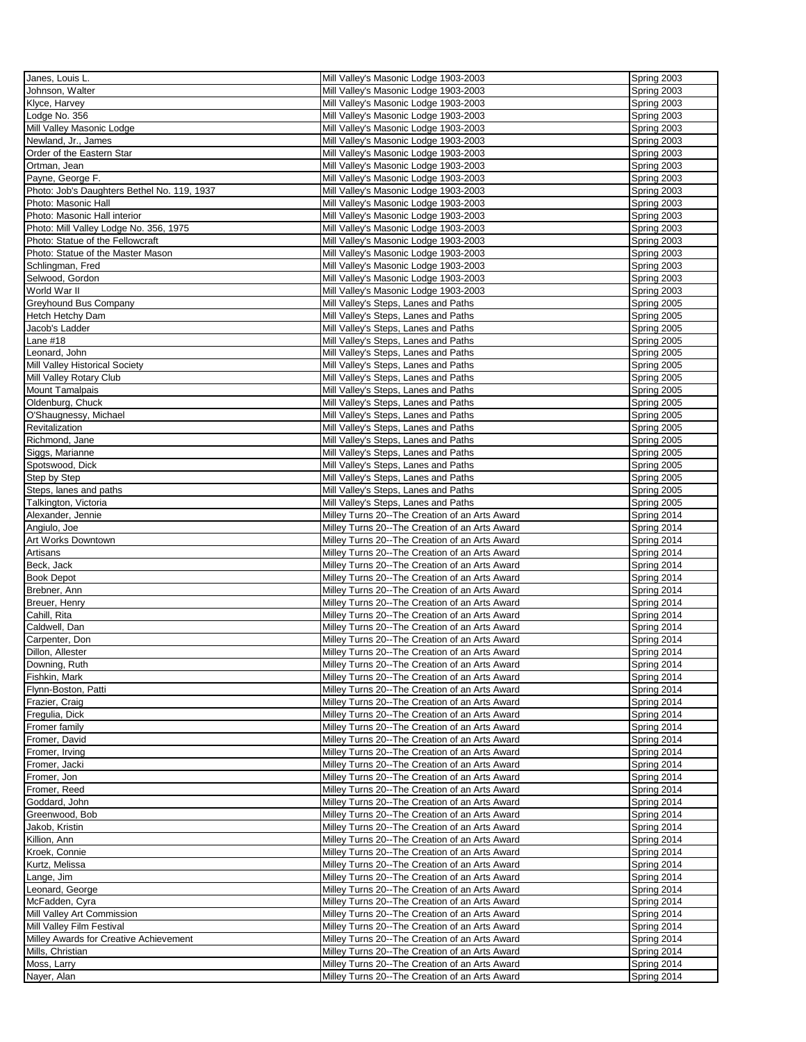| Janes, Louis L.                             | Mill Valley's Masonic Lodge 1903-2003                                                            | Spring 2003 |
|---------------------------------------------|--------------------------------------------------------------------------------------------------|-------------|
| Johnson, Walter                             | Mill Valley's Masonic Lodge 1903-2003                                                            | Spring 2003 |
| Klyce, Harvey                               | Mill Valley's Masonic Lodge 1903-2003                                                            | Spring 2003 |
|                                             |                                                                                                  |             |
| odge No. 356                                | Mill Valley's Masonic Lodge 1903-2003                                                            | Spring 2003 |
| Mill Valley Masonic Lodge                   | Mill Valley's Masonic Lodge 1903-2003                                                            | Spring 2003 |
| Newland, Jr., James                         | Mill Valley's Masonic Lodge 1903-2003                                                            | Spring 2003 |
| Order of the Eastern Star                   | Mill Valley's Masonic Lodge 1903-2003                                                            | Spring 2003 |
| Ortman, Jean                                | Mill Valley's Masonic Lodge 1903-2003                                                            | Spring 2003 |
| Payne, George F.                            | Mill Valley's Masonic Lodge 1903-2003                                                            | Spring 2003 |
| Photo: Job's Daughters Bethel No. 119, 1937 | Mill Valley's Masonic Lodge 1903-2003                                                            | Spring 2003 |
| Photo: Masonic Hall                         | Mill Valley's Masonic Lodge 1903-2003                                                            | Spring 2003 |
| Photo: Masonic Hall interior                | Mill Valley's Masonic Lodge 1903-2003                                                            | Spring 2003 |
| Photo: Mill Valley Lodge No. 356, 1975      | Mill Valley's Masonic Lodge 1903-2003                                                            | Spring 2003 |
| Photo: Statue of the Fellowcraft            | Mill Valley's Masonic Lodge 1903-2003                                                            | Spring 2003 |
| Photo: Statue of the Master Mason           | Mill Valley's Masonic Lodge 1903-2003                                                            | Spring 2003 |
|                                             |                                                                                                  |             |
| Schlingman, Fred                            | Mill Valley's Masonic Lodge 1903-2003                                                            | Spring 2003 |
| Selwood, Gordon                             | Mill Valley's Masonic Lodge 1903-2003                                                            | Spring 2003 |
| World War II                                | Mill Valley's Masonic Lodge 1903-2003                                                            | Spring 2003 |
| <b>Greyhound Bus Company</b>                | Mill Valley's Steps, Lanes and Paths                                                             | Spring 2005 |
| Hetch Hetchy Dam                            | Mill Valley's Steps, Lanes and Paths                                                             | Spring 2005 |
| Jacob's Ladder                              | Mill Valley's Steps, Lanes and Paths                                                             | Spring 2005 |
| Lane #18                                    | Mill Valley's Steps, Lanes and Paths                                                             | Spring 2005 |
| eonard, John                                | Mill Valley's Steps, Lanes and Paths                                                             | Spring 2005 |
| Mill Valley Historical Society              | Mill Valley's Steps, Lanes and Paths                                                             | Spring 2005 |
| Mill Valley Rotary Club                     | Mill Valley's Steps, Lanes and Paths                                                             | Spring 2005 |
| Mount Tamalpais                             | Mill Valley's Steps, Lanes and Paths                                                             | Spring 2005 |
| Oldenburg, Chuck                            | Mill Valley's Steps, Lanes and Paths                                                             | Spring 2005 |
| O'Shaugnessy, Michael                       | Mill Valley's Steps, Lanes and Paths                                                             | Spring 2005 |
| Revitalization                              | Mill Valley's Steps, Lanes and Paths                                                             | Spring 2005 |
| Richmond, Jane                              | Mill Valley's Steps, Lanes and Paths                                                             | Spring 2005 |
|                                             | Mill Valley's Steps, Lanes and Paths                                                             | Spring 2005 |
| Siggs, Marianne                             |                                                                                                  |             |
| Spotswood, Dick                             | Mill Valley's Steps, Lanes and Paths                                                             | Spring 2005 |
| Step by Step                                | Mill Valley's Steps, Lanes and Paths                                                             | Spring 2005 |
| Steps, lanes and paths                      | Mill Valley's Steps, Lanes and Paths                                                             | Spring 2005 |
| Talkington, Victoria                        | Mill Valley's Steps, Lanes and Paths                                                             | Spring 2005 |
| Alexander, Jennie                           | Milley Turns 20--The Creation of an Arts Award                                                   | Spring 2014 |
| Angiulo, Joe                                | Milley Turns 20--The Creation of an Arts Award                                                   | Spring 2014 |
| Art Works Downtown                          | Milley Turns 20--The Creation of an Arts Award                                                   | Spring 2014 |
| Artisans                                    | Milley Turns 20--The Creation of an Arts Award                                                   | Spring 2014 |
| Beck, Jack                                  | Milley Turns 20--The Creation of an Arts Award                                                   | Spring 2014 |
| <b>Book Depot</b>                           | Milley Turns 20--The Creation of an Arts Award                                                   | Spring 2014 |
| Brebner, Ann                                | Milley Turns 20--The Creation of an Arts Award                                                   | Spring 2014 |
| Breuer, Henry                               | Milley Turns 20--The Creation of an Arts Award                                                   | Spring 2014 |
| Cahill, Rita                                | Milley Turns 20--The Creation of an Arts Award                                                   | Spring 2014 |
| Caldwell, Dan                               | Milley Turns 20--The Creation of an Arts Award                                                   | Spring 2014 |
| Carpenter, Don                              | Milley Turns 20--The Creation of an Arts Award                                                   | Spring 2014 |
| Dillon, Allester                            | Milley Turns 20--The Creation of an Arts Award                                                   | Spring 2014 |
| Downing, Ruth                               | Milley Turns 20--The Creation of an Arts Award                                                   | Spring 2014 |
| Fishkin, Mark                               | Milley Turns 20--The Creation of an Arts Award                                                   | Spring 2014 |
| Flynn-Boston, Patti                         | Milley Turns 20--The Creation of an Arts Award                                                   | Spring 2014 |
| Frazier, Craig                              | Milley Turns 20--The Creation of an Arts Award                                                   | Spring 2014 |
| Fregulia, Dick                              | Milley Turns 20--The Creation of an Arts Award                                                   | Spring 2014 |
|                                             |                                                                                                  | Spring 2014 |
| Fromer family<br>Fromer, David              | Milley Turns 20--The Creation of an Arts Award<br>Milley Turns 20--The Creation of an Arts Award | Spring 2014 |
|                                             |                                                                                                  |             |
| Fromer, Irving                              | Milley Turns 20--The Creation of an Arts Award                                                   | Spring 2014 |
| Fromer, Jacki                               | Milley Turns 20--The Creation of an Arts Award                                                   | Spring 2014 |
| Fromer, Jon                                 | Milley Turns 20--The Creation of an Arts Award                                                   | Spring 2014 |
| Fromer, Reed                                | Milley Turns 20--The Creation of an Arts Award                                                   | Spring 2014 |
| Goddard, John                               | Milley Turns 20--The Creation of an Arts Award                                                   | Spring 2014 |
| Greenwood, Bob                              | Milley Turns 20--The Creation of an Arts Award                                                   | Spring 2014 |
| Jakob, Kristin                              | Milley Turns 20--The Creation of an Arts Award                                                   | Spring 2014 |
| Killion, Ann                                | Milley Turns 20--The Creation of an Arts Award                                                   | Spring 2014 |
| Kroek, Connie                               | Milley Turns 20--The Creation of an Arts Award                                                   | Spring 2014 |
| Kurtz, Melissa                              | Milley Turns 20--The Creation of an Arts Award                                                   | Spring 2014 |
| Lange, Jim                                  | Milley Turns 20--The Creation of an Arts Award                                                   | Spring 2014 |
| Leonard, George                             | Milley Turns 20--The Creation of an Arts Award                                                   | Spring 2014 |
| McFadden, Cyra                              | Milley Turns 20--The Creation of an Arts Award                                                   | Spring 2014 |
| Mill Valley Art Commission                  | Milley Turns 20--The Creation of an Arts Award                                                   | Spring 2014 |
| Mill Valley Film Festival                   | Milley Turns 20--The Creation of an Arts Award                                                   | Spring 2014 |
| Milley Awards for Creative Achievement      | Milley Turns 20--The Creation of an Arts Award                                                   | Spring 2014 |
| Mills, Christian                            | Milley Turns 20--The Creation of an Arts Award                                                   | Spring 2014 |
| Moss, Larry                                 | Milley Turns 20--The Creation of an Arts Award                                                   | Spring 2014 |
| Nayer, Alan                                 | Milley Turns 20--The Creation of an Arts Award                                                   | Spring 2014 |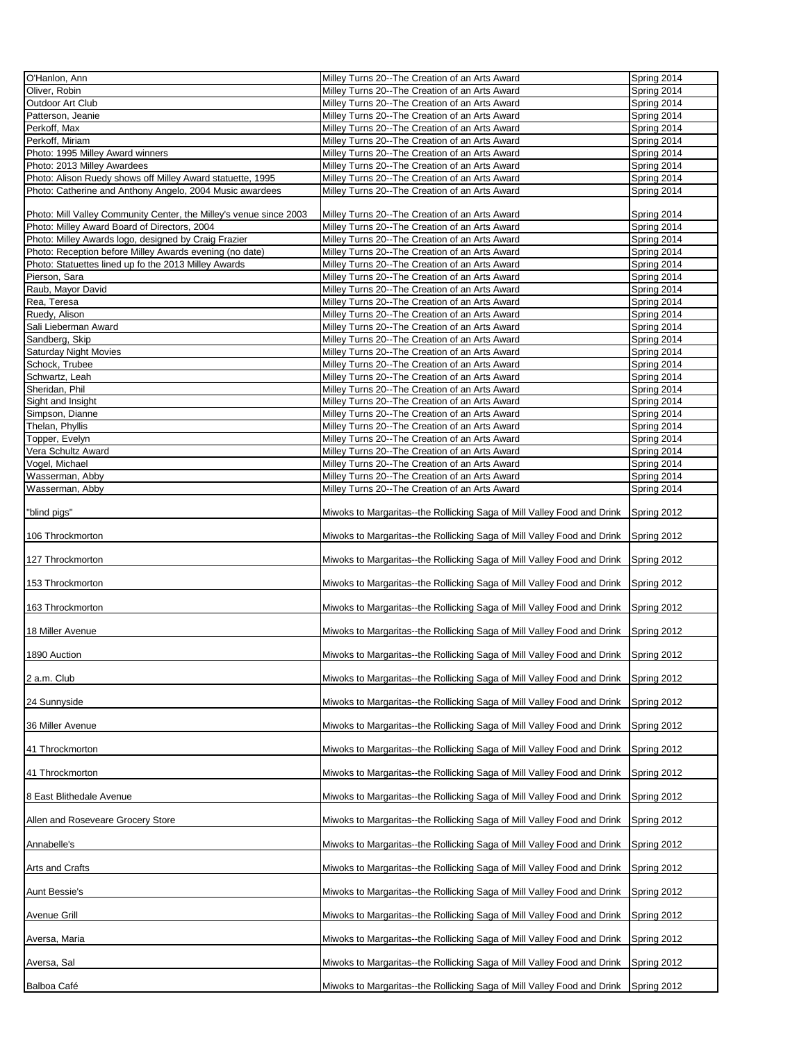| O'Hanlon, Ann                                                      | Milley Turns 20--The Creation of an Arts Award                                      | Spring 2014 |
|--------------------------------------------------------------------|-------------------------------------------------------------------------------------|-------------|
|                                                                    |                                                                                     |             |
| Oliver, Robin                                                      | Milley Turns 20--The Creation of an Arts Award                                      | Spring 2014 |
| Outdoor Art Club                                                   | Milley Turns 20--The Creation of an Arts Award                                      | Spring 2014 |
|                                                                    |                                                                                     |             |
| Patterson, Jeanie                                                  | Milley Turns 20--The Creation of an Arts Award                                      | Spring 2014 |
| Perkoff, Max                                                       | Milley Turns 20--The Creation of an Arts Award                                      | Spring 2014 |
| Perkoff, Miriam                                                    | Milley Turns 20--The Creation of an Arts Award                                      | Spring 2014 |
|                                                                    |                                                                                     |             |
| Photo: 1995 Milley Award winners                                   | Milley Turns 20--The Creation of an Arts Award                                      | Spring 2014 |
| Photo: 2013 Milley Awardees                                        | Milley Turns 20--The Creation of an Arts Award                                      | Spring 2014 |
| Photo: Alison Ruedy shows off Milley Award statuette, 1995         | Milley Turns 20--The Creation of an Arts Award                                      | Spring 2014 |
|                                                                    |                                                                                     |             |
| Photo: Catherine and Anthony Angelo, 2004 Music awardees           | Milley Turns 20--The Creation of an Arts Award                                      | Spring 2014 |
|                                                                    |                                                                                     |             |
| Photo: Mill Valley Community Center, the Milley's venue since 2003 | Milley Turns 20--The Creation of an Arts Award                                      | Spring 2014 |
|                                                                    |                                                                                     |             |
| Photo: Milley Award Board of Directors, 2004                       | Milley Turns 20--The Creation of an Arts Award                                      | Spring 2014 |
| Photo: Milley Awards logo, designed by Craig Frazier               | Milley Turns 20--The Creation of an Arts Award                                      | Spring 2014 |
|                                                                    |                                                                                     |             |
| Photo: Reception before Milley Awards evening (no date)            | Milley Turns 20--The Creation of an Arts Award                                      | Spring 2014 |
| Photo: Statuettes lined up fo the 2013 Milley Awards               | Milley Turns 20--The Creation of an Arts Award                                      | Spring 2014 |
| Pierson, Sara                                                      | Milley Turns 20--The Creation of an Arts Award                                      | Spring 2014 |
|                                                                    |                                                                                     |             |
| Raub, Mayor David                                                  | Milley Turns 20--The Creation of an Arts Award                                      | Spring 2014 |
| Rea, Teresa                                                        | Milley Turns 20--The Creation of an Arts Award                                      | Spring 2014 |
|                                                                    |                                                                                     |             |
| Ruedy, Alison                                                      | Milley Turns 20--The Creation of an Arts Award                                      | Spring 2014 |
| Sali Lieberman Award                                               | Milley Turns 20--The Creation of an Arts Award                                      | Spring 2014 |
| Sandberg, Skip                                                     | Milley Turns 20--The Creation of an Arts Award                                      | Spring 2014 |
|                                                                    |                                                                                     |             |
| <b>Saturday Night Movies</b>                                       | Milley Turns 20--The Creation of an Arts Award                                      | Spring 2014 |
| Schock, Trubee                                                     | Milley Turns 20--The Creation of an Arts Award                                      | Spring 2014 |
|                                                                    |                                                                                     |             |
| Schwartz, Leah                                                     | Milley Turns 20--The Creation of an Arts Award                                      | Spring 2014 |
| Sheridan, Phil                                                     | Milley Turns 20--The Creation of an Arts Award                                      | Spring 2014 |
|                                                                    |                                                                                     |             |
| Sight and Insight                                                  | Milley Turns 20--The Creation of an Arts Award                                      | Spring 2014 |
| Simpson, Dianne                                                    | Milley Turns 20--The Creation of an Arts Award                                      | Spring 2014 |
| Thelan, Phyllis                                                    | Milley Turns 20--The Creation of an Arts Award                                      | Spring 2014 |
|                                                                    |                                                                                     |             |
| Topper, Evelyn                                                     | Milley Turns 20--The Creation of an Arts Award                                      | Spring 2014 |
| Vera Schultz Award                                                 | Milley Turns 20--The Creation of an Arts Award                                      | Spring 2014 |
|                                                                    |                                                                                     |             |
| Vogel, Michael                                                     | Milley Turns 20--The Creation of an Arts Award                                      | Spring 2014 |
| Wasserman, Abby                                                    | Milley Turns 20--The Creation of an Arts Award                                      | Spring 2014 |
|                                                                    |                                                                                     |             |
| Wasserman, Abby                                                    | Milley Turns 20--The Creation of an Arts Award                                      | Spring 2014 |
|                                                                    |                                                                                     |             |
| "blind pigs"                                                       | Miwoks to Margaritas--the Rollicking Saga of Mill Valley Food and Drink             | Spring 2012 |
|                                                                    |                                                                                     |             |
|                                                                    |                                                                                     |             |
| 106 Throckmorton                                                   | Miwoks to Margaritas--the Rollicking Saga of Mill Valley Food and Drink             | Spring 2012 |
|                                                                    |                                                                                     |             |
|                                                                    |                                                                                     |             |
| 127 Throckmorton                                                   | Miwoks to Margaritas--the Rollicking Saga of Mill Valley Food and Drink             | Spring 2012 |
|                                                                    |                                                                                     |             |
| 153 Throckmorton                                                   | Miwoks to Margaritas--the Rollicking Saga of Mill Valley Food and Drink             | Spring 2012 |
|                                                                    |                                                                                     |             |
|                                                                    |                                                                                     |             |
| 163 Throckmorton                                                   | Miwoks to Margaritas--the Rollicking Saga of Mill Valley Food and Drink             | Spring 2012 |
|                                                                    |                                                                                     |             |
|                                                                    |                                                                                     |             |
| 18 Miller Avenue                                                   | Miwoks to Margaritas--the Rollicking Saga of Mill Valley Food and Drink             | Spring 2012 |
|                                                                    |                                                                                     |             |
| 1890 Auction                                                       | Miwoks to Margaritas--the Rollicking Saga of Mill Valley Food and Drink Spring 2012 |             |
|                                                                    |                                                                                     |             |
|                                                                    |                                                                                     |             |
| 2 a.m. Club                                                        | Miwoks to Margaritas--the Rollicking Saga of Mill Valley Food and Drink             | Spring 2012 |
|                                                                    |                                                                                     |             |
|                                                                    |                                                                                     |             |
| 24 Sunnyside                                                       | Miwoks to Margaritas--the Rollicking Saga of Mill Valley Food and Drink             | Spring 2012 |
|                                                                    |                                                                                     |             |
|                                                                    |                                                                                     |             |
| 36 Miller Avenue                                                   | Miwoks to Margaritas--the Rollicking Saga of Mill Valley Food and Drink             | Spring 2012 |
|                                                                    |                                                                                     |             |
| 41 Throckmorton                                                    | Miwoks to Margaritas--the Rollicking Saga of Mill Valley Food and Drink             | Spring 2012 |
|                                                                    |                                                                                     |             |
|                                                                    |                                                                                     |             |
| 41 Throckmorton                                                    | Miwoks to Margaritas--the Rollicking Saga of Mill Valley Food and Drink             | Spring 2012 |
|                                                                    |                                                                                     |             |
|                                                                    | Miwoks to Margaritas--the Rollicking Saga of Mill Valley Food and Drink             |             |
| 8 East Blithedale Avenue                                           |                                                                                     | Spring 2012 |
|                                                                    |                                                                                     |             |
| Allen and Roseveare Grocery Store                                  | Miwoks to Margaritas--the Rollicking Saga of Mill Valley Food and Drink             | Spring 2012 |
|                                                                    |                                                                                     |             |
|                                                                    |                                                                                     |             |
| Annabelle's                                                        | Miwoks to Margaritas--the Rollicking Saga of Mill Valley Food and Drink             | Spring 2012 |
|                                                                    |                                                                                     |             |
|                                                                    |                                                                                     |             |
| Arts and Crafts                                                    | Miwoks to Margaritas--the Rollicking Saga of Mill Valley Food and Drink             | Spring 2012 |
|                                                                    |                                                                                     |             |
| Aunt Bessie's                                                      | Miwoks to Margaritas--the Rollicking Saga of Mill Valley Food and Drink             | Spring 2012 |
|                                                                    |                                                                                     |             |
|                                                                    |                                                                                     |             |
| Avenue Grill                                                       | Miwoks to Margaritas--the Rollicking Saga of Mill Valley Food and Drink             | Spring 2012 |
|                                                                    |                                                                                     |             |
|                                                                    |                                                                                     |             |
| Aversa, Maria                                                      | Miwoks to Margaritas--the Rollicking Saga of Mill Valley Food and Drink             | Spring 2012 |
|                                                                    |                                                                                     |             |
| Aversa, Sal                                                        | Miwoks to Margaritas--the Rollicking Saga of Mill Valley Food and Drink             | Spring 2012 |
|                                                                    |                                                                                     |             |
|                                                                    |                                                                                     |             |
| Balboa Café                                                        | Miwoks to Margaritas--the Rollicking Saga of Mill Valley Food and Drink             | Spring 2012 |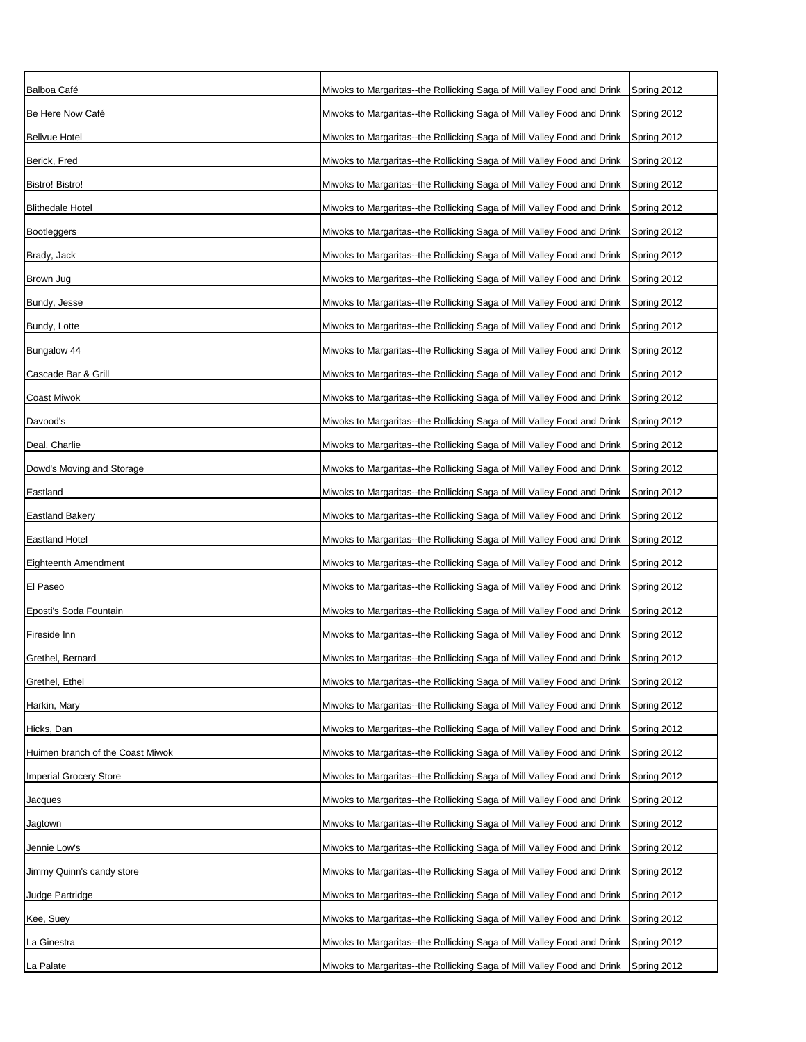| Balboa Café                      | Miwoks to Margaritas--the Rollicking Saga of Mill Valley Food and Drink | Spring 2012 |
|----------------------------------|-------------------------------------------------------------------------|-------------|
| Be Here Now Café                 | Miwoks to Margaritas--the Rollicking Saga of Mill Valley Food and Drink | Spring 2012 |
| <b>Bellvue Hotel</b>             | Miwoks to Margaritas--the Rollicking Saga of Mill Valley Food and Drink | Spring 2012 |
| Berick, Fred                     | Miwoks to Margaritas--the Rollicking Saga of Mill Valley Food and Drink | Spring 2012 |
| <b>Bistro! Bistro!</b>           | Miwoks to Margaritas--the Rollicking Saga of Mill Valley Food and Drink | Spring 2012 |
| <b>Blithedale Hotel</b>          | Miwoks to Margaritas--the Rollicking Saga of Mill Valley Food and Drink | Spring 2012 |
| <b>Bootleggers</b>               | Miwoks to Margaritas--the Rollicking Saga of Mill Valley Food and Drink | Spring 2012 |
| Brady, Jack                      | Miwoks to Margaritas--the Rollicking Saga of Mill Valley Food and Drink | Spring 2012 |
| Brown Jug                        | Miwoks to Margaritas--the Rollicking Saga of Mill Valley Food and Drink | Spring 2012 |
| Bundy, Jesse                     | Miwoks to Margaritas--the Rollicking Saga of Mill Valley Food and Drink | Spring 2012 |
| Bundy, Lotte                     | Miwoks to Margaritas--the Rollicking Saga of Mill Valley Food and Drink | Spring 2012 |
| Bungalow 44                      | Miwoks to Margaritas--the Rollicking Saga of Mill Valley Food and Drink | Spring 2012 |
| Cascade Bar & Grill              | Miwoks to Margaritas--the Rollicking Saga of Mill Valley Food and Drink | Spring 2012 |
| Coast Miwok                      | Miwoks to Margaritas--the Rollicking Saga of Mill Valley Food and Drink | Spring 2012 |
| Davood's                         | Miwoks to Margaritas--the Rollicking Saga of Mill Valley Food and Drink | Spring 2012 |
| Deal, Charlie                    | Miwoks to Margaritas--the Rollicking Saga of Mill Valley Food and Drink | Spring 2012 |
| Dowd's Moving and Storage        | Miwoks to Margaritas--the Rollicking Saga of Mill Valley Food and Drink | Spring 2012 |
| Eastland                         | Miwoks to Margaritas--the Rollicking Saga of Mill Valley Food and Drink | Spring 2012 |
| <b>Eastland Bakery</b>           | Miwoks to Margaritas--the Rollicking Saga of Mill Valley Food and Drink | Spring 2012 |
| <b>Eastland Hotel</b>            | Miwoks to Margaritas--the Rollicking Saga of Mill Valley Food and Drink | Spring 2012 |
| Eighteenth Amendment             | Miwoks to Margaritas--the Rollicking Saga of Mill Valley Food and Drink | Spring 2012 |
| El Paseo                         | Miwoks to Margaritas--the Rollicking Saga of Mill Valley Food and Drink | Spring 2012 |
| Eposti's Soda Fountain           | Miwoks to Margaritas--the Rollicking Saga of Mill Valley Food and Drink | Spring 2012 |
| Fireside Inn                     | Miwoks to Margaritas--the Rollicking Saga of Mill Valley Food and Drink | Spring 2012 |
| Grethel, Bernard                 | Miwoks to Margaritas--the Rollicking Saga of Mill Valley Food and Drink | Spring 2012 |
| Grethel, Ethel                   | Miwoks to Margaritas--the Rollicking Saga of Mill Valley Food and Drink | Spring 2012 |
| Harkin, Mary                     | Miwoks to Margaritas--the Rollicking Saga of Mill Valley Food and Drink | Spring 2012 |
| Hicks, Dan                       | Miwoks to Margaritas--the Rollicking Saga of Mill Valley Food and Drink | Spring 2012 |
| Huimen branch of the Coast Miwok | Miwoks to Margaritas--the Rollicking Saga of Mill Valley Food and Drink | Spring 2012 |
| <b>Imperial Grocery Store</b>    | Miwoks to Margaritas--the Rollicking Saga of Mill Valley Food and Drink | Spring 2012 |
| Jacques                          | Miwoks to Margaritas--the Rollicking Saga of Mill Valley Food and Drink | Spring 2012 |
| Jagtown                          | Miwoks to Margaritas--the Rollicking Saga of Mill Valley Food and Drink | Spring 2012 |
| Jennie Low's                     | Miwoks to Margaritas--the Rollicking Saga of Mill Valley Food and Drink | Spring 2012 |
| Jimmy Quinn's candy store        | Miwoks to Margaritas--the Rollicking Saga of Mill Valley Food and Drink | Spring 2012 |
| Judge Partridge                  | Miwoks to Margaritas--the Rollicking Saga of Mill Valley Food and Drink | Spring 2012 |
| Kee, Suey                        | Miwoks to Margaritas--the Rollicking Saga of Mill Valley Food and Drink | Spring 2012 |
| La Ginestra                      | Miwoks to Margaritas--the Rollicking Saga of Mill Valley Food and Drink | Spring 2012 |
| La Palate                        | Miwoks to Margaritas--the Rollicking Saga of Mill Valley Food and Drink | Spring 2012 |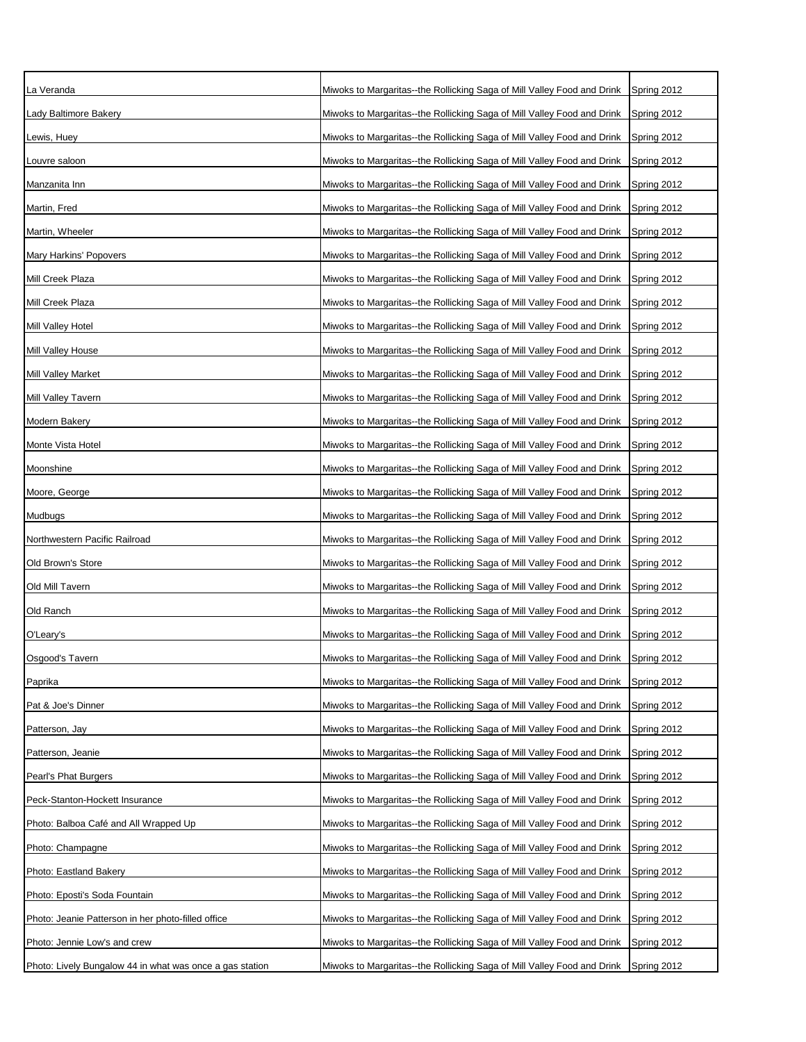| La Veranda                                               | Miwoks to Margaritas--the Rollicking Saga of Mill Valley Food and Drink | Spring 2012 |
|----------------------------------------------------------|-------------------------------------------------------------------------|-------------|
| Lady Baltimore Bakery                                    | Miwoks to Margaritas--the Rollicking Saga of Mill Valley Food and Drink | Spring 2012 |
| _ewis, Huey                                              | Miwoks to Margaritas--the Rollicking Saga of Mill Valley Food and Drink | Spring 2012 |
| Louvre saloon                                            | Miwoks to Margaritas--the Rollicking Saga of Mill Valley Food and Drink | Spring 2012 |
| Manzanita Inn                                            | Miwoks to Margaritas--the Rollicking Saga of Mill Valley Food and Drink | Spring 2012 |
| Martin, Fred                                             | Miwoks to Margaritas--the Rollicking Saga of Mill Valley Food and Drink | Spring 2012 |
| Martin, Wheeler                                          | Miwoks to Margaritas--the Rollicking Saga of Mill Valley Food and Drink | Spring 2012 |
| Mary Harkins' Popovers                                   | Miwoks to Margaritas--the Rollicking Saga of Mill Valley Food and Drink | Spring 2012 |
| Mill Creek Plaza                                         | Miwoks to Margaritas--the Rollicking Saga of Mill Valley Food and Drink | Spring 2012 |
| Mill Creek Plaza                                         | Miwoks to Margaritas--the Rollicking Saga of Mill Valley Food and Drink | Spring 2012 |
| Mill Valley Hotel                                        | Miwoks to Margaritas--the Rollicking Saga of Mill Valley Food and Drink | Spring 2012 |
| Mill Valley House                                        | Miwoks to Margaritas--the Rollicking Saga of Mill Valley Food and Drink | Spring 2012 |
| <b>Mill Valley Market</b>                                | Miwoks to Margaritas--the Rollicking Saga of Mill Valley Food and Drink | Spring 2012 |
| Mill Valley Tavern                                       | Miwoks to Margaritas--the Rollicking Saga of Mill Valley Food and Drink | Spring 2012 |
| Modern Bakery                                            | Miwoks to Margaritas--the Rollicking Saga of Mill Valley Food and Drink | Spring 2012 |
| Monte Vista Hotel                                        | Miwoks to Margaritas--the Rollicking Saga of Mill Valley Food and Drink | Spring 2012 |
| Moonshine                                                | Miwoks to Margaritas--the Rollicking Saga of Mill Valley Food and Drink | Spring 2012 |
| Moore, George                                            | Miwoks to Margaritas--the Rollicking Saga of Mill Valley Food and Drink | Spring 2012 |
| Mudbugs                                                  | Miwoks to Margaritas--the Rollicking Saga of Mill Valley Food and Drink | Spring 2012 |
| Northwestern Pacific Railroad                            | Miwoks to Margaritas--the Rollicking Saga of Mill Valley Food and Drink | Spring 2012 |
| Old Brown's Store                                        | Miwoks to Margaritas--the Rollicking Saga of Mill Valley Food and Drink | Spring 2012 |
| Old Mill Tavern                                          | Miwoks to Margaritas--the Rollicking Saga of Mill Valley Food and Drink | Spring 2012 |
| Old Ranch                                                | Miwoks to Margaritas--the Rollicking Saga of Mill Valley Food and Drink | Spring 2012 |
| O'Leary's                                                | Miwoks to Margaritas--the Rollicking Saga of Mill Valley Food and Drink | Spring 2012 |
| Osgood's Tavern                                          | Miwoks to Margaritas--the Rollicking Saga of Mill Valley Food and Drink | Spring 2012 |
| Paprika                                                  | Miwoks to Margaritas--the Rollicking Saga of Mill Valley Food and Drink | Spring 2012 |
| Pat & Joe's Dinner                                       | Miwoks to Margaritas--the Rollicking Saga of Mill Valley Food and Drink | Spring 2012 |
| Patterson, Jay                                           | Miwoks to Margaritas--the Rollicking Saga of Mill Valley Food and Drink | Spring 2012 |
| Patterson, Jeanie                                        | Miwoks to Margaritas--the Rollicking Saga of Mill Valley Food and Drink | Spring 2012 |
| Pearl's Phat Burgers                                     | Miwoks to Margaritas--the Rollicking Saga of Mill Valley Food and Drink | Spring 2012 |
| Peck-Stanton-Hockett Insurance                           | Miwoks to Margaritas--the Rollicking Saga of Mill Valley Food and Drink | Spring 2012 |
| Photo: Balboa Café and All Wrapped Up                    | Miwoks to Margaritas--the Rollicking Saga of Mill Valley Food and Drink | Spring 2012 |
| Photo: Champagne                                         | Miwoks to Margaritas--the Rollicking Saga of Mill Valley Food and Drink | Spring 2012 |
| Photo: Eastland Bakery                                   | Miwoks to Margaritas--the Rollicking Saga of Mill Valley Food and Drink | Spring 2012 |
| Photo: Eposti's Soda Fountain                            | Miwoks to Margaritas--the Rollicking Saga of Mill Valley Food and Drink | Spring 2012 |
| Photo: Jeanie Patterson in her photo-filled office       | Miwoks to Margaritas--the Rollicking Saga of Mill Valley Food and Drink | Spring 2012 |
| Photo: Jennie Low's and crew                             | Miwoks to Margaritas--the Rollicking Saga of Mill Valley Food and Drink | Spring 2012 |
| Photo: Lively Bungalow 44 in what was once a gas station | Miwoks to Margaritas--the Rollicking Saga of Mill Valley Food and Drink | Spring 2012 |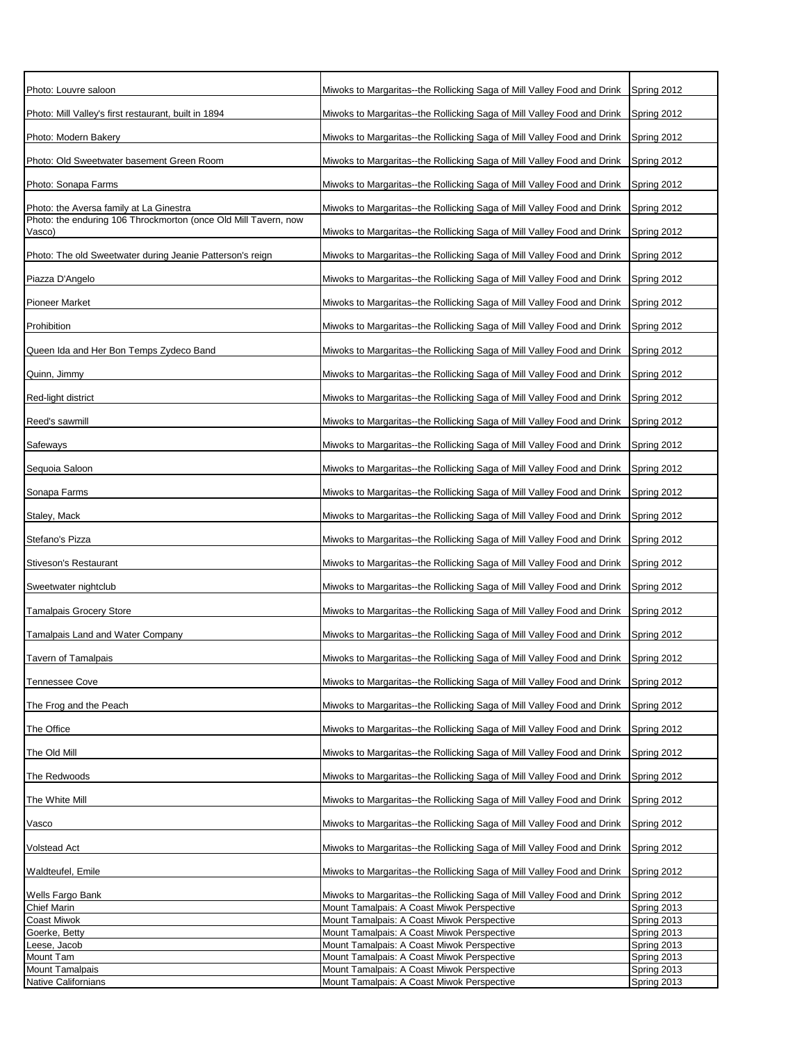| Photo: Louvre saloon                                                                                       | Miwoks to Margaritas--the Rollicking Saga of Mill Valley Food and Drink                  | Spring 2012                |
|------------------------------------------------------------------------------------------------------------|------------------------------------------------------------------------------------------|----------------------------|
| Photo: Mill Valley's first restaurant, built in 1894                                                       | Miwoks to Margaritas--the Rollicking Saga of Mill Valley Food and Drink                  | Spring 2012                |
| Photo: Modern Bakery                                                                                       | Miwoks to Margaritas--the Rollicking Saga of Mill Valley Food and Drink                  | Spring 2012                |
| Photo: Old Sweetwater basement Green Room                                                                  | Miwoks to Margaritas--the Rollicking Saga of Mill Valley Food and Drink                  | Spring 2012                |
|                                                                                                            |                                                                                          |                            |
| Photo: Sonapa Farms                                                                                        | Miwoks to Margaritas--the Rollicking Saga of Mill Valley Food and Drink                  | Spring 2012                |
| Photo: the Aversa family at La Ginestra<br>Photo: the enduring 106 Throckmorton (once Old Mill Tavern, now | Miwoks to Margaritas--the Rollicking Saga of Mill Valley Food and Drink                  | Spring 2012                |
| Vasco)                                                                                                     | Miwoks to Margaritas--the Rollicking Saga of Mill Valley Food and Drink                  | Spring 2012                |
| Photo: The old Sweetwater during Jeanie Patterson's reign                                                  | Miwoks to Margaritas--the Rollicking Saga of Mill Valley Food and Drink                  | Spring 2012                |
| Piazza D'Angelo                                                                                            | Miwoks to Margaritas--the Rollicking Saga of Mill Valley Food and Drink                  | Spring 2012                |
| Pioneer Market                                                                                             | Miwoks to Margaritas--the Rollicking Saga of Mill Valley Food and Drink                  | Spring 2012                |
| Prohibition                                                                                                | Miwoks to Margaritas--the Rollicking Saga of Mill Valley Food and Drink                  | Spring 2012                |
| Queen Ida and Her Bon Temps Zydeco Band                                                                    | Miwoks to Margaritas--the Rollicking Saga of Mill Valley Food and Drink                  | Spring 2012                |
| Quinn, Jimmy                                                                                               | Miwoks to Margaritas--the Rollicking Saga of Mill Valley Food and Drink                  | Spring 2012                |
| Red-light district                                                                                         | Miwoks to Margaritas--the Rollicking Saga of Mill Valley Food and Drink                  | Spring 2012                |
| Reed's sawmill                                                                                             | Miwoks to Margaritas--the Rollicking Saga of Mill Valley Food and Drink                  | Spring 2012                |
| Safeways                                                                                                   | Miwoks to Margaritas--the Rollicking Saga of Mill Valley Food and Drink                  | Spring 2012                |
| Sequoia Saloon                                                                                             | Miwoks to Margaritas--the Rollicking Saga of Mill Valley Food and Drink                  | Spring 2012                |
| Sonapa Farms                                                                                               | Miwoks to Margaritas--the Rollicking Saga of Mill Valley Food and Drink                  | Spring 2012                |
|                                                                                                            |                                                                                          |                            |
| Staley, Mack                                                                                               | Miwoks to Margaritas--the Rollicking Saga of Mill Valley Food and Drink                  | Spring 2012                |
| Stefano's Pizza                                                                                            | Miwoks to Margaritas--the Rollicking Saga of Mill Valley Food and Drink                  | Spring 2012                |
| Stiveson's Restaurant                                                                                      | Miwoks to Margaritas--the Rollicking Saga of Mill Valley Food and Drink                  | Spring 2012                |
| Sweetwater nightclub                                                                                       | Miwoks to Margaritas--the Rollicking Saga of Mill Valley Food and Drink                  | Spring 2012                |
| <b>Tamalpais Grocery Store</b>                                                                             | Miwoks to Margaritas--the Rollicking Saga of Mill Valley Food and Drink                  | Spring 2012                |
| Tamalpais Land and Water Company                                                                           | Miwoks to Margaritas--the Rollicking Saga of Mill Valley Food and Drink                  | Spring 2012                |
| Tavern of Tamalpais                                                                                        | Miwoks to Margaritas--the Rollicking Saga of Mill Valley Food and Drink                  | Spring 2012                |
| <b>Tennessee Cove</b>                                                                                      | Miwoks to Margaritas--the Rollicking Saga of Mill Valley Food and Drink                  | Spring 2012                |
| The Frog and the Peach                                                                                     | Miwoks to Margaritas--the Rollicking Saga of Mill Valley Food and Drink                  | Spring 2012                |
| The Office                                                                                                 | Miwoks to Margaritas--the Rollicking Saga of Mill Valley Food and Drink                  | Spring 2012                |
| The Old Mill                                                                                               | Miwoks to Margaritas--the Rollicking Saga of Mill Valley Food and Drink                  | Spring 2012                |
| The Redwoods                                                                                               | Miwoks to Margaritas--the Rollicking Saga of Mill Valley Food and Drink                  | Spring 2012                |
| The White Mill                                                                                             | Miwoks to Margaritas--the Rollicking Saga of Mill Valley Food and Drink                  | Spring 2012                |
| Vasco                                                                                                      | Miwoks to Margaritas--the Rollicking Saga of Mill Valley Food and Drink                  | Spring 2012                |
| Volstead Act                                                                                               | Miwoks to Margaritas--the Rollicking Saga of Mill Valley Food and Drink                  | Spring 2012                |
| Waldteufel, Emile                                                                                          | Miwoks to Margaritas--the Rollicking Saga of Mill Valley Food and Drink                  | Spring 2012                |
| Wells Fargo Bank                                                                                           | Miwoks to Margaritas--the Rollicking Saga of Mill Valley Food and Drink                  | Spring 2012                |
| <b>Chief Marin</b>                                                                                         | Mount Tamalpais: A Coast Miwok Perspective                                               | Spring 2013                |
| Coast Miwok                                                                                                | Mount Tamalpais: A Coast Miwok Perspective                                               | Spring 2013                |
| Goerke, Betty                                                                                              | Mount Tamalpais: A Coast Miwok Perspective<br>Mount Tamalpais: A Coast Miwok Perspective | Spring 2013<br>Spring 2013 |
| Leese, Jacob<br>Mount Tam                                                                                  | Mount Tamalpais: A Coast Miwok Perspective                                               | Spring 2013                |
| <b>Mount Tamalpais</b>                                                                                     | Mount Tamalpais: A Coast Miwok Perspective                                               | Spring 2013                |
| Native Californians                                                                                        | Mount Tamalpais: A Coast Miwok Perspective                                               | Spring 2013                |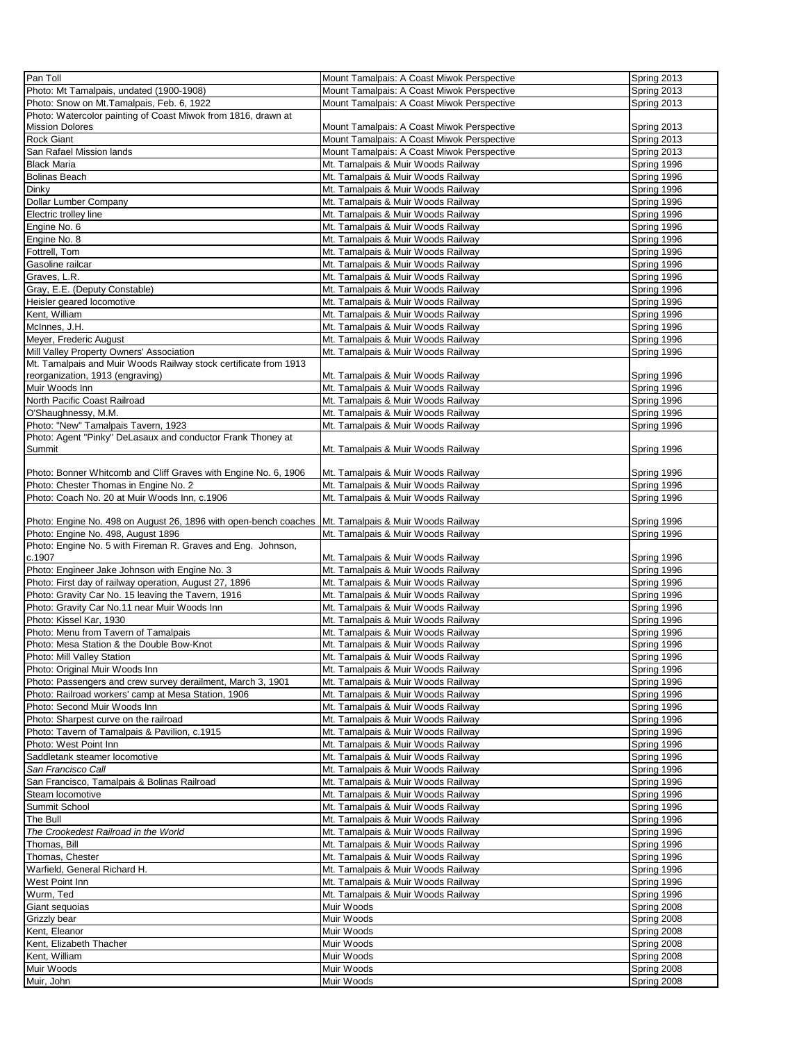| Pan Toll                                                         | Mount Tamalpais: A Coast Miwok Perspective | Spring 2013 |
|------------------------------------------------------------------|--------------------------------------------|-------------|
| Photo: Mt Tamalpais, undated (1900-1908)                         |                                            |             |
|                                                                  | Mount Tamalpais: A Coast Miwok Perspective | Spring 2013 |
| Photo: Snow on Mt. Tamalpais, Feb. 6, 1922                       | Mount Tamalpais: A Coast Miwok Perspective | Spring 2013 |
| Photo: Watercolor painting of Coast Miwok from 1816, drawn at    |                                            |             |
| <b>Mission Dolores</b>                                           | Mount Tamalpais: A Coast Miwok Perspective | Spring 2013 |
| <b>Rock Giant</b>                                                | Mount Tamalpais: A Coast Miwok Perspective | Spring 2013 |
| San Rafael Mission lands                                         | Mount Tamalpais: A Coast Miwok Perspective | Spring 2013 |
| <b>Black Maria</b>                                               | Mt. Tamalpais & Muir Woods Railway         | Spring 1996 |
| <b>Bolinas Beach</b>                                             | Mt. Tamalpais & Muir Woods Railway         | Spring 1996 |
|                                                                  |                                            |             |
| Dinky                                                            | Mt. Tamalpais & Muir Woods Railway         | Spring 1996 |
| Dollar Lumber Company                                            | Mt. Tamalpais & Muir Woods Railway         | Spring 1996 |
| Electric trolley line                                            | Mt. Tamalpais & Muir Woods Railway         | Spring 1996 |
| Engine No. 6                                                     | Mt. Tamalpais & Muir Woods Railway         | Spring 1996 |
| Engine No. 8                                                     | Mt. Tamalpais & Muir Woods Railway         | Spring 1996 |
| Fottrell, Tom                                                    | Mt. Tamalpais & Muir Woods Railway         | Spring 1996 |
|                                                                  |                                            |             |
| Gasoline railcar                                                 | Mt. Tamalpais & Muir Woods Railway         | Spring 1996 |
| Graves, L.R.                                                     | Mt. Tamalpais & Muir Woods Railway         | Spring 1996 |
| Gray, E.E. (Deputy Constable)                                    | Mt. Tamalpais & Muir Woods Railway         | Spring 1996 |
| Heisler geared locomotive                                        | Mt. Tamalpais & Muir Woods Railway         | Spring 1996 |
| Kent, William                                                    | Mt. Tamalpais & Muir Woods Railway         | Spring 1996 |
| McInnes, J.H.                                                    | Mt. Tamalpais & Muir Woods Railway         | Spring 1996 |
| Meyer, Frederic August                                           |                                            |             |
|                                                                  | Mt. Tamalpais & Muir Woods Railway         | Spring 1996 |
| Mill Valley Property Owners' Association                         | Mt. Tamalpais & Muir Woods Railway         | Spring 1996 |
| Mt. Tamalpais and Muir Woods Railway stock certificate from 1913 |                                            |             |
| reorganization, 1913 (engraving)                                 | Mt. Tamalpais & Muir Woods Railway         | Spring 1996 |
| Muir Woods Inn                                                   | Mt. Tamalpais & Muir Woods Railway         | Spring 1996 |
| North Pacific Coast Railroad                                     | Mt. Tamalpais & Muir Woods Railway         | Spring 1996 |
| O'Shaughnessy, M.M.                                              | Mt. Tamalpais & Muir Woods Railway         | Spring 1996 |
| Photo: "New" Tamalpais Tavern, 1923                              | Mt. Tamalpais & Muir Woods Railway         | Spring 1996 |
|                                                                  |                                            |             |
| Photo: Agent "Pinky" DeLasaux and conductor Frank Thoney at      |                                            |             |
| Summit                                                           | Mt. Tamalpais & Muir Woods Railway         | Spring 1996 |
|                                                                  |                                            |             |
| Photo: Bonner Whitcomb and Cliff Graves with Engine No. 6, 1906  | Mt. Tamalpais & Muir Woods Railway         | Spring 1996 |
| Photo: Chester Thomas in Engine No. 2                            | Mt. Tamalpais & Muir Woods Railway         | Spring 1996 |
| Photo: Coach No. 20 at Muir Woods Inn, c.1906                    | Mt. Tamalpais & Muir Woods Railway         | Spring 1996 |
|                                                                  |                                            |             |
| Photo: Engine No. 498 on August 26, 1896 with open-bench coaches | Mt. Tamalpais & Muir Woods Railway         | Spring 1996 |
|                                                                  |                                            |             |
| Photo: Engine No. 498, August 1896                               | Mt. Tamalpais & Muir Woods Railway         | Spring 1996 |
| Photo: Engine No. 5 with Fireman R. Graves and Eng. Johnson,     |                                            |             |
| c.1907                                                           | Mt. Tamalpais & Muir Woods Railway         | Spring 1996 |
| Photo: Engineer Jake Johnson with Engine No. 3                   | Mt. Tamalpais & Muir Woods Railway         | Spring 1996 |
| Photo: First day of railway operation, August 27, 1896           | Mt. Tamalpais & Muir Woods Railway         | Spring 1996 |
| Photo: Gravity Car No. 15 leaving the Tavern, 1916               | Mt. Tamalpais & Muir Woods Railway         | Spring 1996 |
| Photo: Gravity Car No.11 near Muir Woods Inn                     | Mt. Tamalpais & Muir Woods Railway         | Spring 1996 |
|                                                                  |                                            |             |
| Photo: Kissel Kar, 1930                                          | Mt. Tamalpais & Muir Woods Railway         | Spring 1996 |
| Photo: Menu from Tavern of Tamalpais                             | Mt. Tamalpais & Muir Woods Railway         | Spring 1996 |
| Photo: Mesa Station & the Double Bow-Knot                        | Mt. Tamalpais & Muir Woods Railway         | Spring 1996 |
| Photo: Mill Valley Station                                       | Mt. Tamalpais & Muir Woods Railway         | Spring 1996 |
| Photo: Original Muir Woods Inn                                   | Mt. Tamalpais & Muir Woods Railway         | Spring 1996 |
| Photo: Passengers and crew survey derailment, March 3, 1901      | Mt. Tamalpais & Muir Woods Railway         | Spring 1996 |
| Photo: Railroad workers' camp at Mesa Station, 1906              | Mt. Tamalpais & Muir Woods Railway         | Spring 1996 |
|                                                                  |                                            |             |
| Photo: Second Muir Woods Inn                                     | Mt. Tamalpais & Muir Woods Railway         | Spring 1996 |
| Photo: Sharpest curve on the railroad                            | Mt. Tamalpais & Muir Woods Railway         | Spring 1996 |
| Photo: Tavern of Tamalpais & Pavilion, c.1915                    | Mt. Tamalpais & Muir Woods Railway         | Spring 1996 |
| Photo: West Point Inn                                            | Mt. Tamalpais & Muir Woods Railway         | Spring 1996 |
| Saddletank steamer locomotive                                    | Mt. Tamalpais & Muir Woods Railway         | Spring 1996 |
| San Francisco Call                                               | Mt. Tamalpais & Muir Woods Railway         | Spring 1996 |
|                                                                  |                                            |             |
| San Francisco, Tamalpais & Bolinas Railroad                      | Mt. Tamalpais & Muir Woods Railway         | Spring 1996 |
| Steam locomotive                                                 | Mt. Tamalpais & Muir Woods Railway         | Spring 1996 |
| Summit School                                                    | Mt. Tamalpais & Muir Woods Railway         | Spring 1996 |
| The Bull                                                         | Mt. Tamalpais & Muir Woods Railway         | Spring 1996 |
| The Crookedest Railroad in the World                             | Mt. Tamalpais & Muir Woods Railway         | Spring 1996 |
| Thomas, Bill                                                     | Mt. Tamalpais & Muir Woods Railway         | Spring 1996 |
| Thomas, Chester                                                  | Mt. Tamalpais & Muir Woods Railway         | Spring 1996 |
|                                                                  |                                            |             |
| Warfield, General Richard H.                                     | Mt. Tamalpais & Muir Woods Railway         | Spring 1996 |
| West Point Inn                                                   | Mt. Tamalpais & Muir Woods Railway         | Spring 1996 |
| Wurm, Ted                                                        | Mt. Tamalpais & Muir Woods Railway         | Spring 1996 |
| Giant sequoias                                                   | Muir Woods                                 | Spring 2008 |
| Grizzly bear                                                     | Muir Woods                                 | Spring 2008 |
| Kent, Eleanor                                                    | Muir Woods                                 | Spring 2008 |
|                                                                  |                                            |             |
| Kent, Elizabeth Thacher                                          | Muir Woods                                 | Spring 2008 |
| Kent, William                                                    | Muir Woods                                 | Spring 2008 |
| Muir Woods                                                       | Muir Woods                                 | Spring 2008 |
| Muir, John                                                       | Muir Woods                                 | Spring 2008 |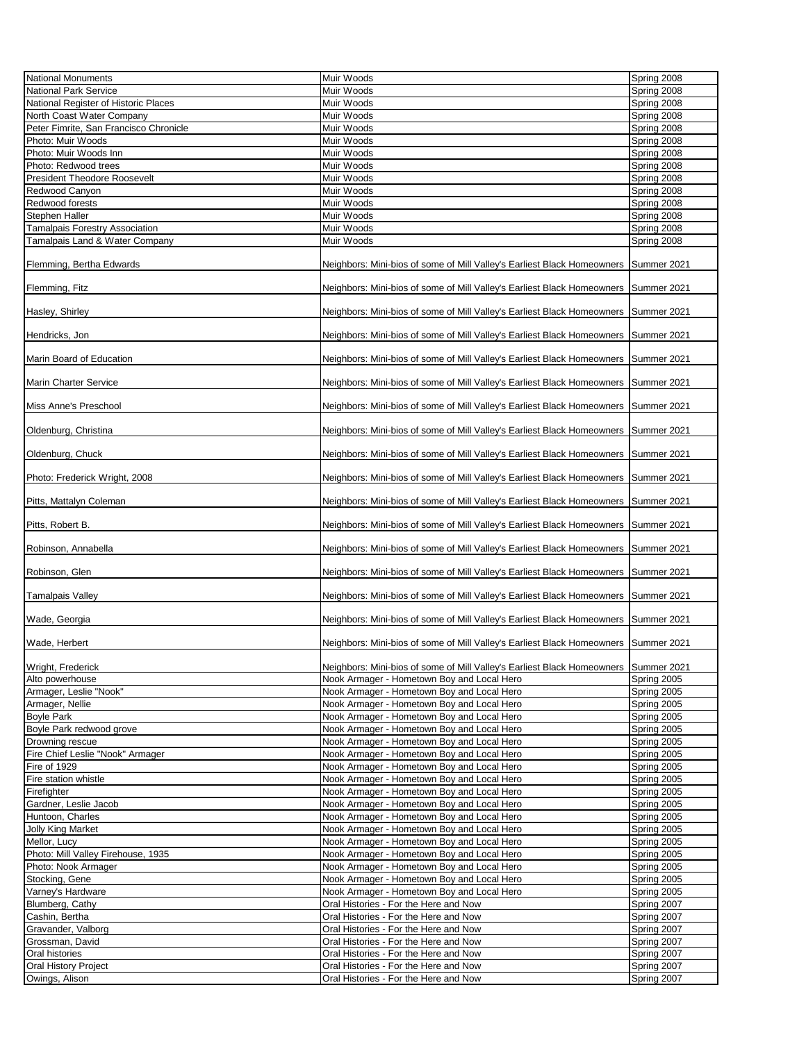| <b>National Monuments</b>                     | Muir Woods                                                                          | Spring 2008                |
|-----------------------------------------------|-------------------------------------------------------------------------------------|----------------------------|
| <b>National Park Service</b>                  |                                                                                     |                            |
|                                               | Muir Woods                                                                          | Spring 2008                |
| National Register of Historic Places          | Muir Woods                                                                          | Spring 2008                |
| North Coast Water Company                     | Muir Woods                                                                          | Spring 2008                |
| Peter Fimrite, San Francisco Chronicle        | Muir Woods                                                                          | Spring 2008                |
| Photo: Muir Woods                             | Muir Woods                                                                          | Spring 2008                |
| Photo: Muir Woods Inn                         | Muir Woods                                                                          | Spring 2008                |
|                                               |                                                                                     |                            |
| Photo: Redwood trees                          | Muir Woods                                                                          | Spring 2008                |
| <b>President Theodore Roosevelt</b>           | Muir Woods                                                                          | Spring 2008                |
| Redwood Canyon                                | Muir Woods                                                                          | Spring 2008                |
| Redwood forests                               | Muir Woods                                                                          | Spring 2008                |
| Stephen Haller                                | Muir Woods                                                                          | Spring 2008                |
| Tamalpais Forestry Association                | Muir Woods                                                                          | Spring 2008                |
|                                               | Muir Woods                                                                          |                            |
| Tamalpais Land & Water Company                |                                                                                     | Spring 2008                |
| Flemming, Bertha Edwards                      | Neighbors: Mini-bios of some of Mill Valley's Earliest Black Homeowners             | Summer 2021                |
| Flemming, Fitz                                | Neighbors: Mini-bios of some of Mill Valley's Earliest Black Homeowners             | Summer 2021                |
| Hasley, Shirley                               | Neighbors: Mini-bios of some of Mill Valley's Earliest Black Homeowners             | Summer 2021                |
| Hendricks, Jon                                | Neighbors: Mini-bios of some of Mill Valley's Earliest Black Homeowners             | Summer 2021                |
| Marin Board of Education                      | Neighbors: Mini-bios of some of Mill Valley's Earliest Black Homeowners             | Summer 2021                |
| <b>Marin Charter Service</b>                  | Neighbors: Mini-bios of some of Mill Valley's Earliest Black Homeowners             | Summer 2021                |
|                                               |                                                                                     |                            |
| Miss Anne's Preschool                         | Neighbors: Mini-bios of some of Mill Valley's Earliest Black Homeowners             | Summer 2021                |
| Oldenburg, Christina                          | Neighbors: Mini-bios of some of Mill Valley's Earliest Black Homeowners             | Summer 2021                |
| Oldenburg, Chuck                              | Neighbors: Mini-bios of some of Mill Valley's Earliest Black Homeowners             | Summer 2021                |
| Photo: Frederick Wright, 2008                 | Neighbors: Mini-bios of some of Mill Valley's Earliest Black Homeowners             | Summer 2021                |
| Pitts, Mattalyn Coleman                       | Neighbors: Mini-bios of some of Mill Valley's Earliest Black Homeowners             | Summer 2021                |
| Pitts, Robert B.                              | Neighbors: Mini-bios of some of Mill Valley's Earliest Black Homeowners             | Summer 2021                |
|                                               |                                                                                     |                            |
| Robinson, Annabella                           | Neighbors: Mini-bios of some of Mill Valley's Earliest Black Homeowners             | Summer 2021                |
| Robinson, Glen                                | Neighbors: Mini-bios of some of Mill Valley's Earliest Black Homeowners             | Summer 2021                |
| Tamalpais Valley                              | Neighbors: Mini-bios of some of Mill Valley's Earliest Black Homeowners             | Summer 2021                |
| Wade, Georgia                                 | Neighbors: Mini-bios of some of Mill Valley's Earliest Black Homeowners             | Summer 2021                |
| Wade, Herbert                                 | Neighbors: Mini-bios of some of Mill Valley's Earliest Black Homeowners             | Summer 2021                |
|                                               |                                                                                     |                            |
| Wright, Frederick                             | Neighbors: Mini-bios of some of Mill Valley's Earliest Black Homeowners Summer 2021 |                            |
| Alto powerhouse                               | Nook Armager - Hometown Boy and Local Hero                                          | Spring 2005                |
| Armager, Leslie "Nook"                        | Nook Armager - Hometown Boy and Local Hero                                          | Spring 2005                |
| Armager, Nellie                               | Nook Armager - Hometown Boy and Local Hero                                          | Spring 2005                |
| <b>Boyle Park</b>                             | Nook Armager - Hometown Boy and Local Hero                                          | Spring 2005                |
| Boyle Park redwood grove                      | Nook Armager - Hometown Boy and Local Hero                                          | Spring 2005                |
|                                               |                                                                                     |                            |
| Drowning rescue                               | Nook Armager - Hometown Boy and Local Hero                                          | Spring 2005                |
| Fire Chief Leslie "Nook" Armager              | Nook Armager - Hometown Boy and Local Hero                                          | Spring 2005                |
| Fire of 1929                                  | Nook Armager - Hometown Boy and Local Hero                                          | Spring 2005                |
| Fire station whistle                          | Nook Armager - Hometown Boy and Local Hero                                          | Spring 2005                |
| Firefighter                                   | Nook Armager - Hometown Boy and Local Hero                                          | Spring 2005                |
| Gardner, Leslie Jacob                         | Nook Armager - Hometown Boy and Local Hero                                          | Spring 2005                |
| Huntoon, Charles                              | Nook Armager - Hometown Boy and Local Hero                                          | Spring 2005                |
| <b>Jolly King Market</b>                      | Nook Armager - Hometown Boy and Local Hero                                          | Spring 2005                |
| Mellor, Lucy                                  | Nook Armager - Hometown Boy and Local Hero                                          | Spring 2005                |
| Photo: Mill Valley Firehouse, 1935            | Nook Armager - Hometown Boy and Local Hero                                          | Spring 2005                |
| Photo: Nook Armager                           | Nook Armager - Hometown Boy and Local Hero                                          | Spring 2005                |
| Stocking, Gene                                | Nook Armager - Hometown Boy and Local Hero                                          | Spring 2005                |
| Varney's Hardware                             | Nook Armager - Hometown Boy and Local Hero                                          | Spring 2005                |
| Blumberg, Cathy                               | Oral Histories - For the Here and Now                                               | Spring 2007                |
|                                               |                                                                                     |                            |
| Cashin, Bertha                                | Oral Histories - For the Here and Now                                               | Spring 2007                |
| Gravander, Valborg                            | Oral Histories - For the Here and Now                                               | Spring 2007                |
| Grossman, David                               | Oral Histories - For the Here and Now                                               | Spring 2007                |
| Oral histories                                | Oral Histories - For the Here and Now                                               | Spring 2007                |
| <b>Oral History Project</b><br>Owings, Alison | Oral Histories - For the Here and Now<br>Oral Histories - For the Here and Now      | Spring 2007<br>Spring 2007 |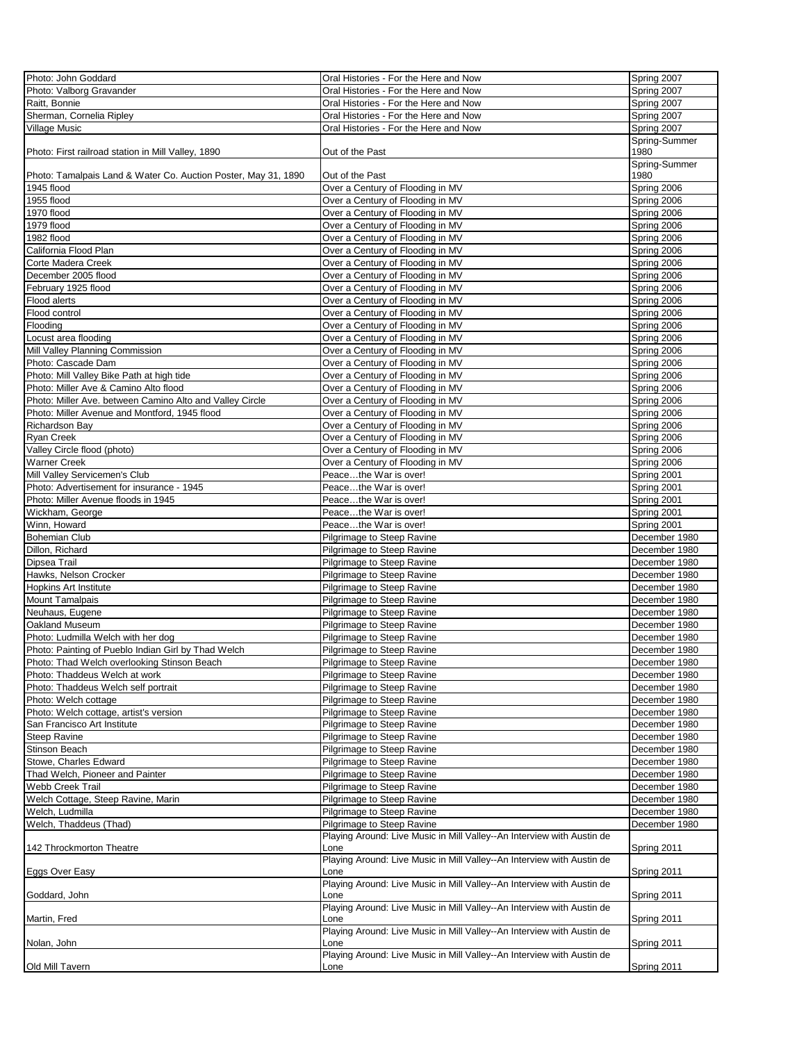| Photo: John Goddard                                            | Oral Histories - For the Here and Now                                  | Spring 2007   |
|----------------------------------------------------------------|------------------------------------------------------------------------|---------------|
| Photo: Valborg Gravander                                       | Oral Histories - For the Here and Now                                  | Spring 2007   |
| Raitt, Bonnie                                                  | Oral Histories - For the Here and Now                                  | Spring 2007   |
| Sherman, Cornelia Ripley                                       | Oral Histories - For the Here and Now                                  | Spring 2007   |
| <b>Village Music</b>                                           | Oral Histories - For the Here and Now                                  | Spring 2007   |
|                                                                |                                                                        | Spring-Summer |
| Photo: First railroad station in Mill Valley, 1890             | Out of the Past                                                        | 1980          |
|                                                                |                                                                        | Spring-Summer |
| Photo: Tamalpais Land & Water Co. Auction Poster, May 31, 1890 | Out of the Past                                                        | 1980          |
| 1945 flood                                                     | Over a Century of Flooding in MV                                       | Spring 2006   |
| 1955 flood                                                     | Over a Century of Flooding in MV                                       | Spring 2006   |
| 1970 flood                                                     | Over a Century of Flooding in MV                                       | Spring 2006   |
| 1979 flood                                                     | Over a Century of Flooding in MV                                       | Spring 2006   |
|                                                                |                                                                        |               |
| 1982 flood                                                     | Over a Century of Flooding in MV                                       | Spring 2006   |
| California Flood Plan                                          | Over a Century of Flooding in MV                                       | Spring 2006   |
| Corte Madera Creek                                             | Over a Century of Flooding in MV                                       | Spring 2006   |
| December 2005 flood                                            | Over a Century of Flooding in MV                                       | Spring 2006   |
| February 1925 flood                                            | Over a Century of Flooding in MV                                       | Spring 2006   |
| Flood alerts                                                   | Over a Century of Flooding in MV                                       | Spring 2006   |
| Flood control                                                  | Over a Century of Flooding in MV                                       | Spring 2006   |
| Flooding                                                       | Over a Century of Flooding in MV                                       | Spring 2006   |
| Locust area flooding                                           | Over a Century of Flooding in MV                                       | Spring 2006   |
| Mill Valley Planning Commission                                | Over a Century of Flooding in MV                                       | Spring 2006   |
| Photo: Cascade Dam                                             | Over a Century of Flooding in MV                                       | Spring 2006   |
| Photo: Mill Valley Bike Path at high tide                      | Over a Century of Flooding in MV                                       | Spring 2006   |
| Photo: Miller Ave & Camino Alto flood                          | Over a Century of Flooding in MV                                       | Spring 2006   |
| Photo: Miller Ave. between Camino Alto and Valley Circle       | Over a Century of Flooding in MV                                       | Spring 2006   |
| Photo: Miller Avenue and Montford, 1945 flood                  | Over a Century of Flooding in MV                                       | Spring 2006   |
| Richardson Bay                                                 | Over a Century of Flooding in MV                                       | Spring 2006   |
| <b>Ryan Creek</b>                                              | Over a Century of Flooding in MV                                       | Spring 2006   |
| Valley Circle flood (photo)                                    | Over a Century of Flooding in MV                                       | Spring 2006   |
| Warner Creek                                                   | Over a Century of Flooding in MV                                       | Spring 2006   |
| Mill Valley Servicemen's Club                                  | Peacethe War is over!                                                  | Spring 2001   |
| Photo: Advertisement for insurance - 1945                      | Peacethe War is over!                                                  | Spring 2001   |
| Photo: Miller Avenue floods in 1945                            | Peacethe War is over!                                                  | Spring 2001   |
|                                                                |                                                                        |               |
| Wickham, George                                                | Peacethe War is over!                                                  | Spring 2001   |
| Winn, Howard                                                   | Peacethe War is over!                                                  | Spring 2001   |
| <b>Bohemian Club</b>                                           | Pilgrimage to Steep Ravine                                             | December 1980 |
| Dillon, Richard                                                | Pilgrimage to Steep Ravine                                             | December 1980 |
| Dipsea Trail                                                   | Pilgrimage to Steep Ravine                                             | December 1980 |
| Hawks, Nelson Crocker                                          | Pilgrimage to Steep Ravine                                             | December 1980 |
| <b>Hopkins Art Institute</b>                                   | Pilgrimage to Steep Ravine                                             | December 1980 |
| <b>Mount Tamalpais</b>                                         | Pilgrimage to Steep Ravine                                             | December 1980 |
| Neuhaus, Eugene                                                | Pilgrimage to Steep Ravine                                             | December 1980 |
| Oakland Museum                                                 | Pilgrimage to Steep Ravine                                             | December 1980 |
| Photo: Ludmilla Welch with her dog                             | Pilgrimage to Steep Ravine                                             | December 1980 |
| Photo: Painting of Pueblo Indian Girl by Thad Welch            | Pilgrimage to Steep Ravine                                             | December 1980 |
| Photo: Thad Welch overlooking Stinson Beach                    | Pilgrimage to Steep Ravine                                             | December 1980 |
| Photo: Thaddeus Welch at work                                  | Pilgrimage to Steep Ravine                                             | December 1980 |
| Photo: Thaddeus Welch self portrait                            | Pilgrimage to Steep Ravine                                             | December 1980 |
| Photo: Welch cottage                                           | Pilgrimage to Steep Ravine                                             | December 1980 |
| Photo: Welch cottage, artist's version                         | Pilgrimage to Steep Ravine                                             | December 1980 |
| San Francisco Art Institute                                    | Pilgrimage to Steep Ravine                                             | December 1980 |
| <b>Steep Ravine</b>                                            | Pilgrimage to Steep Ravine                                             | December 1980 |
| <b>Stinson Beach</b>                                           | Pilgrimage to Steep Ravine                                             | December 1980 |
| Stowe, Charles Edward                                          | Pilgrimage to Steep Ravine                                             | December 1980 |
|                                                                |                                                                        |               |
| Thad Welch, Pioneer and Painter                                | Pilgrimage to Steep Ravine                                             | December 1980 |
| Webb Creek Trail                                               | Pilgrimage to Steep Ravine                                             | December 1980 |
| Welch Cottage, Steep Ravine, Marin                             | Pilgrimage to Steep Ravine                                             | December 1980 |
| Welch, Ludmilla                                                | Pilgrimage to Steep Ravine                                             | December 1980 |
| Welch, Thaddeus (Thad)                                         | Pilgrimage to Steep Ravine                                             | December 1980 |
|                                                                | Playing Around: Live Music in Mill Valley--An Interview with Austin de |               |
| 142 Throckmorton Theatre                                       | Lone                                                                   | Spring 2011   |
|                                                                | Playing Around: Live Music in Mill Valley--An Interview with Austin de |               |
| Eggs Over Easy                                                 | Lone                                                                   | Spring 2011   |
|                                                                | Playing Around: Live Music in Mill Valley--An Interview with Austin de |               |
| Goddard, John                                                  | Lone                                                                   | Spring 2011   |
|                                                                | Playing Around: Live Music in Mill Valley--An Interview with Austin de |               |
| Martin, Fred                                                   | Lone                                                                   | Spring 2011   |
|                                                                | Playing Around: Live Music in Mill Valley--An Interview with Austin de |               |
| Nolan, John                                                    | Lone                                                                   | Spring 2011   |
|                                                                | Playing Around: Live Music in Mill Valley--An Interview with Austin de |               |
| Old Mill Tavern                                                | Lone                                                                   | Spring 2011   |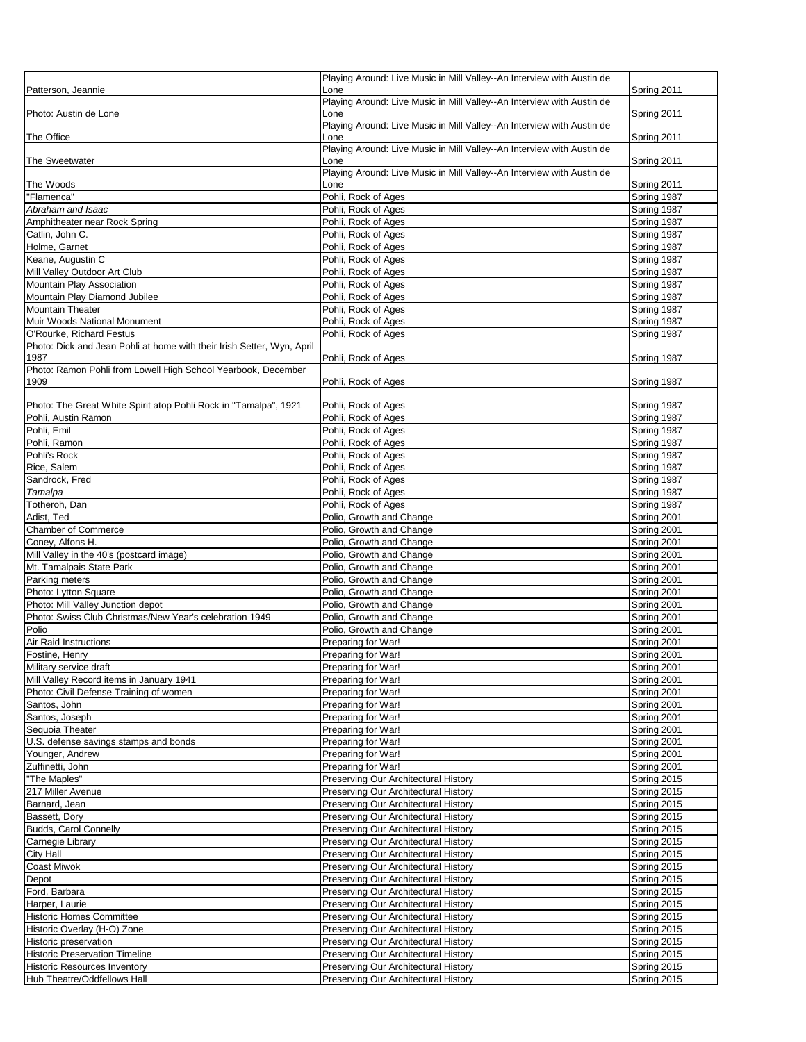| Patterson, Jeannie                                                                                 | Playing Around: Live Music in Mill Valley--An Interview with Austin de<br>Lone | Spring 2011                |
|----------------------------------------------------------------------------------------------------|--------------------------------------------------------------------------------|----------------------------|
|                                                                                                    | Playing Around: Live Music in Mill Valley--An Interview with Austin de         |                            |
| Photo: Austin de Lone                                                                              | Lone<br>Playing Around: Live Music in Mill Valley--An Interview with Austin de | Spring 2011                |
| The Office                                                                                         | Lone                                                                           | Spring 2011                |
|                                                                                                    | Playing Around: Live Music in Mill Valley--An Interview with Austin de         |                            |
| The Sweetwater                                                                                     | Lone<br>Playing Around: Live Music in Mill Valley--An Interview with Austin de | Spring 2011                |
| The Woods                                                                                          | Lone                                                                           | Spring 2011                |
| "Flamenca"                                                                                         | Pohli, Rock of Ages                                                            | Spring 1987                |
| Abraham and Isaac<br>Amphitheater near Rock Spring                                                 | Pohli, Rock of Ages<br>Pohli, Rock of Ages                                     | Spring 1987<br>Spring 1987 |
| Catlin, John C.                                                                                    | Pohli, Rock of Ages                                                            | Spring 1987                |
| Holme, Garnet                                                                                      | Pohli, Rock of Ages                                                            | Spring 1987                |
| Keane, Augustin C                                                                                  | Pohli, Rock of Ages                                                            | Spring 1987                |
| Mill Valley Outdoor Art Club                                                                       | Pohli, Rock of Ages                                                            | Spring 1987                |
| Mountain Play Association                                                                          | Pohli, Rock of Ages                                                            | Spring 1987                |
| Mountain Play Diamond Jubilee                                                                      | Pohli, Rock of Ages                                                            | Spring 1987                |
| <b>Mountain Theater</b>                                                                            | Pohli, Rock of Ages                                                            | Spring 1987                |
| Muir Woods National Monument                                                                       | Pohli, Rock of Ages                                                            | Spring 1987                |
| O'Rourke, Richard Festus<br>Photo: Dick and Jean Pohli at home with their Irish Setter, Wyn, April | Pohli, Rock of Ages                                                            | Spring 1987                |
| 1987                                                                                               | Pohli, Rock of Ages                                                            | Spring 1987                |
| Photo: Ramon Pohli from Lowell High School Yearbook, December                                      |                                                                                |                            |
| 1909                                                                                               | Pohli, Rock of Ages                                                            | Spring 1987                |
| Photo: The Great White Spirit atop Pohli Rock in "Tamalpa", 1921                                   | Pohli, Rock of Ages                                                            | Spring 1987                |
| Pohli, Austin Ramon                                                                                | Pohli, Rock of Ages                                                            | Spring 1987                |
| Pohli, Emil                                                                                        | Pohli, Rock of Ages                                                            | Spring 1987                |
| Pohli, Ramon                                                                                       | Pohli, Rock of Ages                                                            | Spring 1987                |
| Pohli's Rock                                                                                       | Pohli, Rock of Ages                                                            | Spring 1987                |
| Rice, Salem                                                                                        | Pohli, Rock of Ages                                                            | Spring 1987                |
| Sandrock, Fred                                                                                     | Pohli, Rock of Ages                                                            | Spring 1987                |
| Tamalpa                                                                                            | Pohli, Rock of Ages                                                            | Spring 1987                |
| Totheroh, Dan                                                                                      | Pohli, Rock of Ages                                                            | Spring 1987                |
| Adist, Ted<br>Chamber of Commerce                                                                  | Polio, Growth and Change                                                       | Spring 2001                |
| Coney, Alfons H.                                                                                   | Polio, Growth and Change<br>Polio, Growth and Change                           | Spring 2001<br>Spring 2001 |
| Mill Valley in the 40's (postcard image)                                                           | Polio, Growth and Change                                                       | Spring 2001                |
| Mt. Tamalpais State Park                                                                           | Polio, Growth and Change                                                       | Spring 2001                |
| Parking meters                                                                                     | Polio, Growth and Change                                                       | Spring 2001                |
| Photo: Lytton Square                                                                               | Polio, Growth and Change                                                       | Spring 2001                |
| Photo: Mill Valley Junction depot                                                                  | Polio, Growth and Change                                                       | Spring 2001                |
| Photo: Swiss Club Christmas/New Year's celebration 1949                                            | Polio, Growth and Change                                                       | Spring 2001                |
| Polio                                                                                              | Polio, Growth and Change                                                       | Spring 2001                |
| Air Raid Instructions<br>Fostine, Henry                                                            | Preparing for War!<br>Preparing for War!                                       | Spring 2001<br>Spring 2001 |
| Military service draft                                                                             | Preparing for War!                                                             | Spring 2001                |
| Mill Valley Record items in January 1941                                                           | Preparing for War!                                                             | Spring 2001                |
| Photo: Civil Defense Training of women                                                             | Preparing for War!                                                             | Spring 2001                |
| Santos, John                                                                                       | Preparing for War!                                                             | Spring 2001                |
| Santos, Joseph                                                                                     | Preparing for War!                                                             | Spring 2001                |
| Sequoia Theater                                                                                    | Preparing for War!                                                             | Spring 2001                |
| U.S. defense savings stamps and bonds                                                              | Preparing for War!                                                             | Spring 2001                |
| Younger, Andrew<br>Zuffinetti, John                                                                | Preparing for War!<br>Preparing for War!                                       | Spring 2001<br>Spring 2001 |
| "The Maples"                                                                                       | Preserving Our Architectural History                                           | Spring 2015                |
| 217 Miller Avenue                                                                                  | Preserving Our Architectural History                                           | Spring 2015                |
| Barnard, Jean                                                                                      | Preserving Our Architectural History                                           | Spring 2015                |
| Bassett, Dory                                                                                      | Preserving Our Architectural History                                           | Spring 2015                |
| Budds, Carol Connelly                                                                              | Preserving Our Architectural History                                           | Spring 2015                |
| Carnegie Library                                                                                   | Preserving Our Architectural History                                           | Spring 2015                |
| <b>City Hall</b>                                                                                   | Preserving Our Architectural History                                           | Spring 2015                |
| Coast Miwok                                                                                        | Preserving Our Architectural History                                           | Spring 2015                |
| Depot<br>Ford, Barbara                                                                             | Preserving Our Architectural History                                           | Spring 2015                |
| Harper, Laurie                                                                                     | Preserving Our Architectural History<br>Preserving Our Architectural History   | Spring 2015<br>Spring 2015 |
| <b>Historic Homes Committee</b>                                                                    | Preserving Our Architectural History                                           | Spring 2015                |
| Historic Overlay (H-O) Zone                                                                        | Preserving Our Architectural History                                           | Spring 2015                |
| Historic preservation                                                                              | Preserving Our Architectural History                                           | Spring 2015                |
| <b>Historic Preservation Timeline</b>                                                              | Preserving Our Architectural History                                           | Spring 2015                |
| <b>Historic Resources Inventory</b>                                                                | Preserving Our Architectural History                                           | Spring 2015                |
| Hub Theatre/Oddfellows Hall                                                                        | Preserving Our Architectural History                                           | Spring 2015                |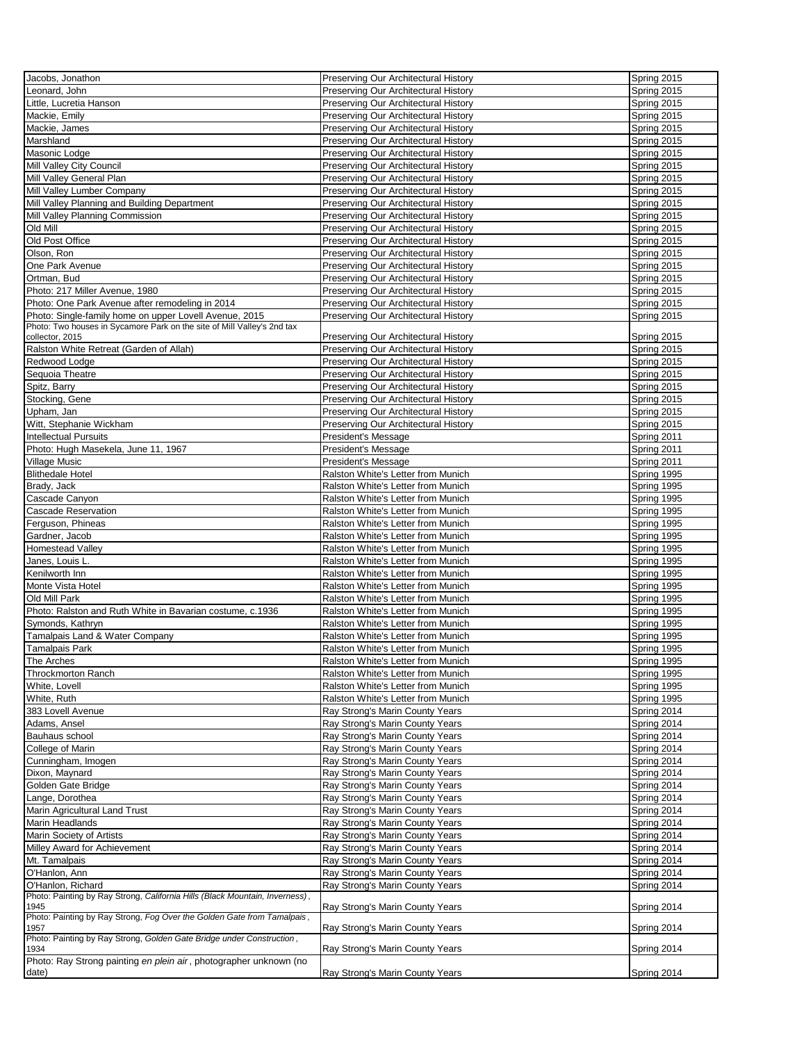| Jacobs, Jonathon                                                             | Preserving Our Architectural History | Spring 2015 |
|------------------------------------------------------------------------------|--------------------------------------|-------------|
| Leonard, John                                                                | Preserving Our Architectural History | Spring 2015 |
| Little, Lucretia Hanson                                                      | Preserving Our Architectural History | Spring 2015 |
| Mackie, Emily                                                                | Preserving Our Architectural History | Spring 2015 |
| Mackie, James                                                                | Preserving Our Architectural History | Spring 2015 |
| Marshland                                                                    |                                      |             |
|                                                                              | Preserving Our Architectural History | Spring 2015 |
| Masonic Lodge                                                                | Preserving Our Architectural History | Spring 2015 |
| Mill Valley City Council                                                     | Preserving Our Architectural History | Spring 2015 |
| Mill Valley General Plan                                                     | Preserving Our Architectural History | Spring 2015 |
| Mill Valley Lumber Company                                                   | Preserving Our Architectural History | Spring 2015 |
| Mill Valley Planning and Building Department                                 | Preserving Our Architectural History | Spring 2015 |
| Mill Valley Planning Commission                                              | Preserving Our Architectural History | Spring 2015 |
| Old Mill                                                                     | Preserving Our Architectural History | Spring 2015 |
| Old Post Office                                                              | Preserving Our Architectural History | Spring 2015 |
| Olson, Ron                                                                   | Preserving Our Architectural History | Spring 2015 |
| One Park Avenue                                                              | Preserving Our Architectural History | Spring 2015 |
|                                                                              |                                      |             |
| Ortman, Bud                                                                  | Preserving Our Architectural History | Spring 2015 |
| Photo: 217 Miller Avenue, 1980                                               | Preserving Our Architectural History | Spring 2015 |
| Photo: One Park Avenue after remodeling in 2014                              | Preserving Our Architectural History | Spring 2015 |
| Photo: Single-family home on upper Lovell Avenue, 2015                       | Preserving Our Architectural History | Spring 2015 |
| Photo: Two houses in Sycamore Park on the site of Mill Valley's 2nd tax      |                                      |             |
| collector, 2015                                                              | Preserving Our Architectural History | Spring 2015 |
| Ralston White Retreat (Garden of Allah)                                      | Preserving Our Architectural History | Spring 2015 |
| Redwood Lodge                                                                | Preserving Our Architectural History | Spring 2015 |
| Sequoia Theatre                                                              | Preserving Our Architectural History | Spring 2015 |
| Spitz, Barry                                                                 | Preserving Our Architectural History | Spring 2015 |
| Stocking, Gene                                                               | Preserving Our Architectural History | Spring 2015 |
| Upham, Jan                                                                   | Preserving Our Architectural History | Spring 2015 |
| Witt, Stephanie Wickham                                                      | Preserving Our Architectural History | Spring 2015 |
|                                                                              |                                      |             |
| <b>Intellectual Pursuits</b>                                                 | President's Message                  | Spring 2011 |
| Photo: Hugh Masekela, June 11, 1967                                          | President's Message                  | Spring 2011 |
| Village Music                                                                | President's Message                  | Spring 2011 |
| <b>Blithedale Hotel</b>                                                      | Ralston White's Letter from Munich   | Spring 1995 |
| Brady, Jack                                                                  | Ralston White's Letter from Munich   | Spring 1995 |
| Cascade Canyon                                                               | Ralston White's Letter from Munich   | Spring 1995 |
| Cascade Reservation                                                          | Ralston White's Letter from Munich   | Spring 1995 |
| Ferguson, Phineas                                                            | Ralston White's Letter from Munich   | Spring 1995 |
|                                                                              | Ralston White's Letter from Munich   |             |
| Gardner, Jacob                                                               |                                      | Spring 1995 |
| Homestead Valley                                                             | Ralston White's Letter from Munich   | Spring 1995 |
| Janes, Louis L.                                                              | Ralston White's Letter from Munich   | Spring 1995 |
| Kenilworth Inn                                                               | Ralston White's Letter from Munich   | Spring 1995 |
| Monte Vista Hotel                                                            | Ralston White's Letter from Munich   | Spring 1995 |
| Old Mill Park                                                                | Ralston White's Letter from Munich   | Spring 1995 |
| Photo: Ralston and Ruth White in Bavarian costume, c.1936                    | Ralston White's Letter from Munich   | Spring 1995 |
| Symonds, Kathryn                                                             | Ralston White's Letter from Munich   | Spring 1995 |
| Tamalpais Land & Water Company                                               | Ralston White's Letter from Munich   | Spring 1995 |
| Tamalpais Park                                                               | Ralston White's Letter from Munich   | Spring 1995 |
|                                                                              |                                      |             |
| The Arches                                                                   | Ralston White's Letter from Munich   | Spring 1995 |
| <b>Throckmorton Ranch</b>                                                    | Ralston White's Letter from Munich   | Spring 1995 |
| White, Lovell                                                                | Ralston White's Letter from Munich   | Spring 1995 |
| White, Ruth                                                                  | Ralston White's Letter from Munich   | Spring 1995 |
| 383 Lovell Avenue                                                            | Ray Strong's Marin County Years      | Spring 2014 |
| Adams, Ansel                                                                 | Ray Strong's Marin County Years      | Spring 2014 |
| Bauhaus school                                                               | Ray Strong's Marin County Years      | Spring 2014 |
| College of Marin                                                             | Ray Strong's Marin County Years      | Spring 2014 |
| Cunningham, Imogen                                                           | Ray Strong's Marin County Years      | Spring 2014 |
| Dixon, Maynard                                                               | Ray Strong's Marin County Years      | Spring 2014 |
|                                                                              |                                      |             |
| Golden Gate Bridge                                                           | Ray Strong's Marin County Years      | Spring 2014 |
| Lange, Dorothea                                                              | Ray Strong's Marin County Years      | Spring 2014 |
| Marin Agricultural Land Trust                                                | Ray Strong's Marin County Years      | Spring 2014 |
| Marin Headlands                                                              | Ray Strong's Marin County Years      | Spring 2014 |
| Marin Society of Artists                                                     | Ray Strong's Marin County Years      | Spring 2014 |
| Milley Award for Achievement                                                 | Ray Strong's Marin County Years      | Spring 2014 |
| Mt. Tamalpais                                                                | Ray Strong's Marin County Years      | Spring 2014 |
| O'Hanlon, Ann                                                                | Ray Strong's Marin County Years      | Spring 2014 |
| O'Hanlon, Richard                                                            | Ray Strong's Marin County Years      | Spring 2014 |
| Photo: Painting by Ray Strong, California Hills (Black Mountain, Inverness), |                                      |             |
| 1945                                                                         | Ray Strong's Marin County Years      | Spring 2014 |
| Photo: Painting by Ray Strong, Fog Over the Golden Gate from Tamalpais,      |                                      |             |
| 1957                                                                         | Ray Strong's Marin County Years      | Spring 2014 |
| Photo: Painting by Ray Strong, Golden Gate Bridge under Construction,        |                                      |             |
| 1934                                                                         | Ray Strong's Marin County Years      | Spring 2014 |
| Photo: Ray Strong painting en plein air, photographer unknown (no            |                                      |             |
| date)                                                                        | Ray Strong's Marin County Years      | Spring 2014 |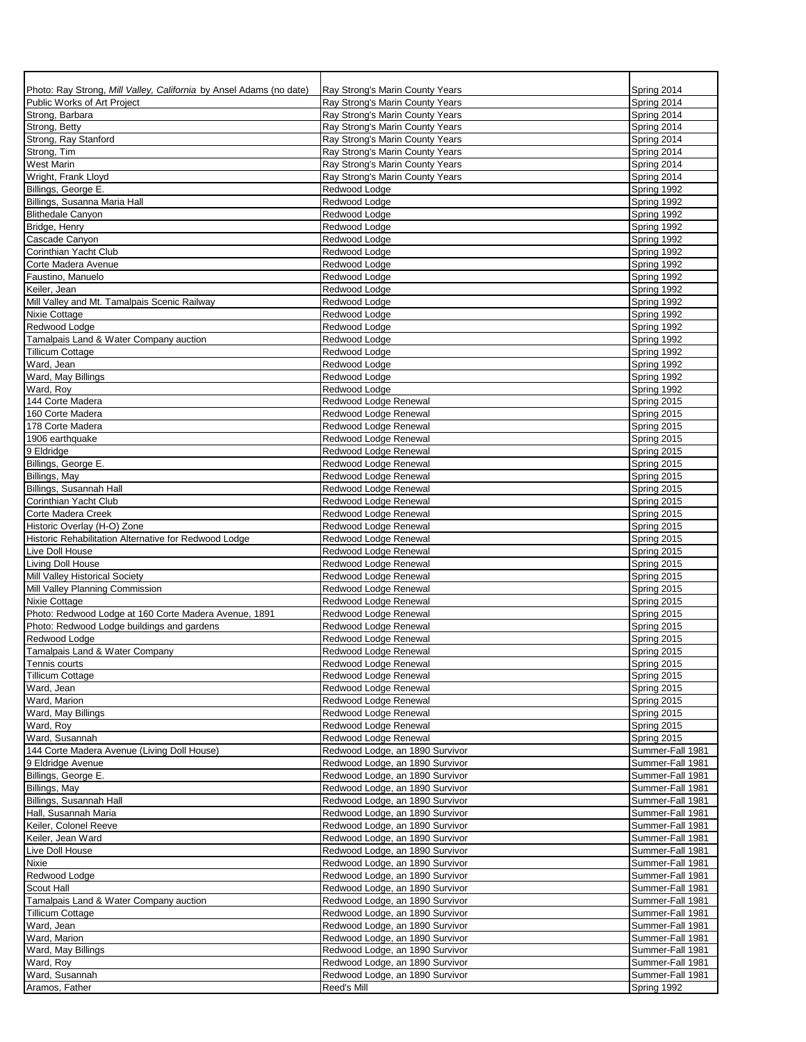| Photo: Ray Strong, Mill Valley, California by Ansel Adams (no date)<br>Public Works of Art Project | Ray Strong's Marin County Years<br>Ray Strong's Marin County Years | Spring 2014<br>Spring 2014           |
|----------------------------------------------------------------------------------------------------|--------------------------------------------------------------------|--------------------------------------|
| Strong, Barbara                                                                                    | Ray Strong's Marin County Years                                    | Spring 2014                          |
| Strong, Betty                                                                                      | Ray Strong's Marin County Years                                    | Spring 2014                          |
| Strong, Ray Stanford                                                                               | Ray Strong's Marin County Years                                    | Spring 2014                          |
| Strong, Tim                                                                                        | Ray Strong's Marin County Years                                    | Spring 2014                          |
| <b>West Marin</b>                                                                                  | Ray Strong's Marin County Years                                    | Spring 2014                          |
| Wright, Frank Lloyd                                                                                | Ray Strong's Marin County Years                                    | Spring 2014                          |
| Billings, George E.                                                                                | Redwood Lodge                                                      | Spring 1992                          |
| Billings, Susanna Maria Hall<br><b>Blithedale Canyon</b>                                           | Redwood Lodge<br>Redwood Lodge                                     | Spring 1992<br>Spring 1992           |
| Bridge, Henry                                                                                      | Redwood Lodge                                                      | Spring 1992                          |
| Cascade Canyon                                                                                     | Redwood Lodge                                                      | Spring 1992                          |
| Corinthian Yacht Club                                                                              | Redwood Lodge                                                      | Spring 1992                          |
| Corte Madera Avenue                                                                                | Redwood Lodge                                                      | Spring 1992                          |
| Faustino, Manuelo                                                                                  | Redwood Lodge                                                      | Spring 1992                          |
| Keiler, Jean                                                                                       | Redwood Lodge                                                      | Spring 1992                          |
| Mill Valley and Mt. Tamalpais Scenic Railway                                                       | Redwood Lodge                                                      | Spring 1992                          |
| Nixie Cottage                                                                                      | Redwood Lodge                                                      | Spring 1992                          |
| Redwood Lodge<br>Tamalpais Land & Water Company auction                                            | Redwood Lodge<br>Redwood Lodge                                     | Spring 1992<br>Spring 1992           |
| <b>Tillicum Cottage</b>                                                                            | Redwood Lodge                                                      | Spring 1992                          |
| Ward, Jean                                                                                         | Redwood Lodge                                                      | Spring 1992                          |
| Ward, May Billings                                                                                 | Redwood Lodge                                                      | Spring 1992                          |
| Ward, Roy                                                                                          | Redwood Lodge                                                      | Spring 1992                          |
| 144 Corte Madera                                                                                   | Redwood Lodge Renewal                                              | Spring 2015                          |
| 160 Corte Madera                                                                                   | Redwood Lodge Renewal                                              | Spring 2015                          |
| 178 Corte Madera                                                                                   | Redwood Lodge Renewal                                              | Spring 2015                          |
| 1906 earthquake                                                                                    | Redwood Lodge Renewal                                              | Spring 2015                          |
| 9 Eldridge<br>Billings, George E.                                                                  | Redwood Lodge Renewal<br>Redwood Lodge Renewal                     | Spring 2015<br>Spring 2015           |
| Billings, May                                                                                      | Redwood Lodge Renewal                                              | Spring 2015                          |
| Billings, Susannah Hall                                                                            | Redwood Lodge Renewal                                              | Spring 2015                          |
| Corinthian Yacht Club                                                                              | Redwood Lodge Renewal                                              | Spring 2015                          |
| Corte Madera Creek                                                                                 | Redwood Lodge Renewal                                              | Spring 2015                          |
| Historic Overlay (H-O) Zone                                                                        | Redwood Lodge Renewal                                              | Spring 2015                          |
| Historic Rehabilitation Alternative for Redwood Lodge                                              | Redwood Lodge Renewal                                              | Spring 2015                          |
| Live Doll House                                                                                    | Redwood Lodge Renewal                                              | Spring 2015                          |
| Living Doll House                                                                                  | Redwood Lodge Renewal<br>Redwood Lodge Renewal                     | Spring 2015                          |
| Mill Valley Historical Society<br>Mill Valley Planning Commission                                  | Redwood Lodge Renewal                                              | Spring 2015<br>Spring 2015           |
| Nixie Cottage                                                                                      | Redwood Lodge Renewal                                              | Spring 2015                          |
| Photo: Redwood Lodge at 160 Corte Madera Avenue, 1891                                              | Redwood Lodge Renewal                                              | Spring 2015                          |
| Photo: Redwood Lodge buildings and gardens                                                         | Redwood Lodge Renewal                                              | Spring 2015                          |
| Redwood Lodge                                                                                      | Redwood Lodge Renewal                                              | Spring 2015                          |
| Tamalpais Land & Water Company                                                                     | Redwood Lodge Renewal                                              | Spring 2015                          |
| Tennis courts                                                                                      | Redwood Lodge Renewal                                              | Spring 2015                          |
| <b>Tillicum Cottage</b>                                                                            | Redwood Lodge Renewal                                              | Spring 2015                          |
| Ward, Jean<br>Ward, Marion                                                                         | Redwood Lodge Renewal<br>Redwood Lodge Renewal                     | Spring 2015<br>Spring 2015           |
| Ward, May Billings                                                                                 | Redwood Lodge Renewal                                              | Spring 2015                          |
| Ward, Roy                                                                                          | Redwood Lodge Renewal                                              | Spring 2015                          |
| Ward, Susannah                                                                                     | Redwood Lodge Renewal                                              | Spring 2015                          |
| 144 Corte Madera Avenue (Living Doll House)                                                        | Redwood Lodge, an 1890 Survivor                                    | Summer-Fall 1981                     |
| 9 Eldridge Avenue                                                                                  | Redwood Lodge, an 1890 Survivor                                    | Summer-Fall 1981                     |
| Billings, George E.                                                                                | Redwood Lodge, an 1890 Survivor                                    | Summer-Fall 1981                     |
| Billings, May                                                                                      | Redwood Lodge, an 1890 Survivor                                    | Summer-Fall 1981                     |
| Billings, Susannah Hall                                                                            | Redwood Lodge, an 1890 Survivor                                    | Summer-Fall 1981                     |
| Hall, Susannah Maria<br>Keiler, Colonel Reeve                                                      | Redwood Lodge, an 1890 Survivor<br>Redwood Lodge, an 1890 Survivor | Summer-Fall 1981<br>Summer-Fall 1981 |
| Keiler, Jean Ward                                                                                  | Redwood Lodge, an 1890 Survivor                                    | Summer-Fall 1981                     |
| Live Doll House                                                                                    | Redwood Lodge, an 1890 Survivor                                    | Summer-Fall 1981                     |
| Nixie                                                                                              | Redwood Lodge, an 1890 Survivor                                    | Summer-Fall 1981                     |
| Redwood Lodge                                                                                      | Redwood Lodge, an 1890 Survivor                                    | Summer-Fall 1981                     |
| Scout Hall                                                                                         | Redwood Lodge, an 1890 Survivor                                    | Summer-Fall 1981                     |
| Tamalpais Land & Water Company auction                                                             | Redwood Lodge, an 1890 Survivor                                    | Summer-Fall 1981                     |
| <b>Tillicum Cottage</b>                                                                            | Redwood Lodge, an 1890 Survivor                                    | Summer-Fall 1981                     |
| Ward, Jean                                                                                         | Redwood Lodge, an 1890 Survivor                                    | Summer-Fall 1981                     |
| Ward, Marion<br>Ward, May Billings                                                                 | Redwood Lodge, an 1890 Survivor<br>Redwood Lodge, an 1890 Survivor | Summer-Fall 1981<br>Summer-Fall 1981 |
| Ward, Roy                                                                                          | Redwood Lodge, an 1890 Survivor                                    | Summer-Fall 1981                     |
| Ward, Susannah                                                                                     | Redwood Lodge, an 1890 Survivor                                    | Summer-Fall 1981                     |
| Aramos, Father                                                                                     | Reed's Mill                                                        | Spring 1992                          |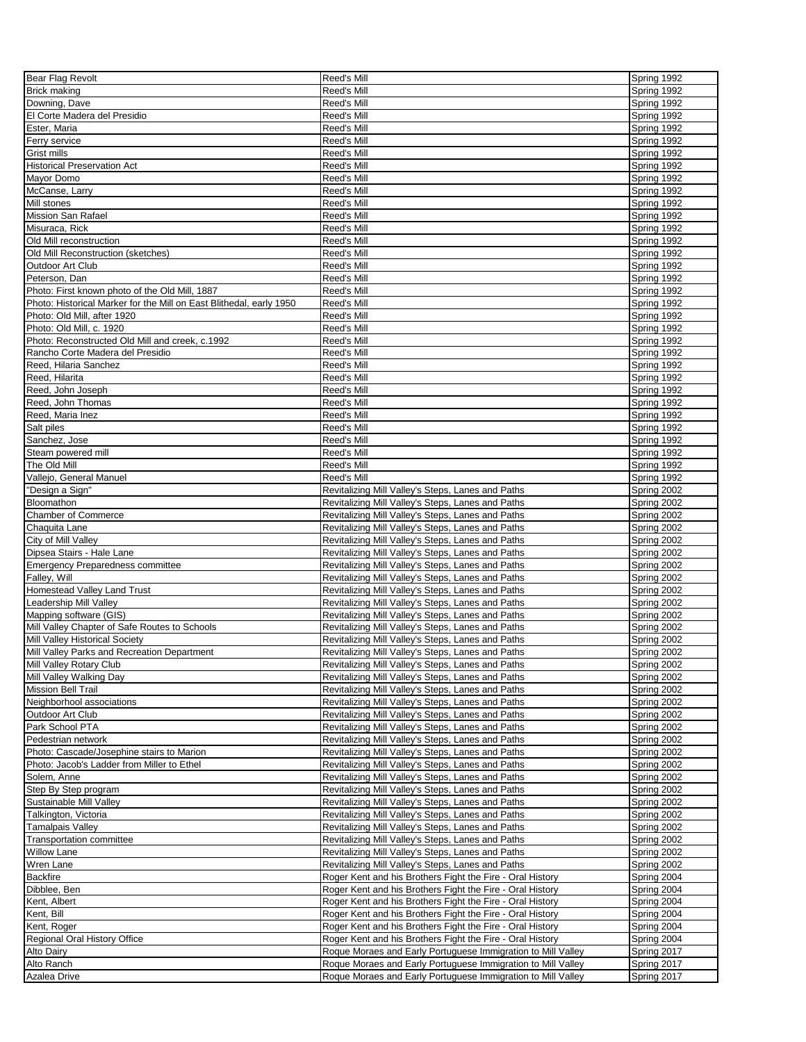| Bear Flag Revolt                                                    | Reed's Mill                                                  | Spring 1992 |
|---------------------------------------------------------------------|--------------------------------------------------------------|-------------|
| <b>Brick making</b>                                                 | Reed's Mill                                                  | Spring 1992 |
| Downing, Dave                                                       | Reed's Mill                                                  | Spring 1992 |
| El Corte Madera del Presidio                                        |                                                              |             |
|                                                                     | Reed's Mill                                                  | Spring 1992 |
| Ester, Maria                                                        | Reed's Mill                                                  | Spring 1992 |
| Ferry service                                                       | Reed's Mill                                                  | Spring 1992 |
| Grist mills                                                         | Reed's Mill                                                  | Spring 1992 |
| <b>Historical Preservation Act</b>                                  | Reed's Mill                                                  | Spring 1992 |
| Mayor Domo                                                          | Reed's Mill                                                  | Spring 1992 |
| McCanse, Larry                                                      | Reed's Mill                                                  | Spring 1992 |
| Mill stones                                                         | Reed's Mill                                                  | Spring 1992 |
| <b>Mission San Rafael</b>                                           | Reed's Mill                                                  | Spring 1992 |
| Misuraca, Rick                                                      | Reed's Mill                                                  | Spring 1992 |
|                                                                     |                                                              |             |
| Old Mill reconstruction                                             | Reed's Mill                                                  | Spring 1992 |
| Old Mill Reconstruction (sketches)                                  | Reed's Mill                                                  | Spring 1992 |
| Outdoor Art Club                                                    | Reed's Mill                                                  | Spring 1992 |
| Peterson, Dan                                                       | Reed's Mill                                                  | Spring 1992 |
| Photo: First known photo of the Old Mill, 1887                      | Reed's Mill                                                  | Spring 1992 |
| Photo: Historical Marker for the Mill on East Blithedal, early 1950 | Reed's Mill                                                  | Spring 1992 |
| Photo: Old Mill, after 1920                                         | Reed's Mill                                                  | Spring 1992 |
| Photo: Old Mill, c. 1920                                            | Reed's Mill                                                  | Spring 1992 |
| Photo: Reconstructed Old Mill and creek, c.1992                     | Reed's Mill                                                  | Spring 1992 |
| Rancho Corte Madera del Presidio                                    | Reed's Mill                                                  | Spring 1992 |
| Reed, Hilaria Sanchez                                               | Reed's Mill                                                  | Spring 1992 |
| Reed, Hilarita                                                      | Reed's Mill                                                  | Spring 1992 |
|                                                                     |                                                              |             |
| Reed, John Joseph                                                   | Reed's Mill                                                  | Spring 1992 |
| Reed, John Thomas                                                   | Reed's Mill                                                  | Spring 1992 |
| Reed, Maria Inez                                                    | Reed's Mill                                                  | Spring 1992 |
| Salt piles                                                          | Reed's Mill                                                  | Spring 1992 |
| Sanchez, Jose                                                       | Reed's Mill                                                  | Spring 1992 |
| Steam powered mill                                                  | Reed's Mill                                                  | Spring 1992 |
| The Old Mill                                                        | Reed's Mill                                                  | Spring 1992 |
| Vallejo, General Manuel                                             | Reed's Mill                                                  | Spring 1992 |
| "Design a Sign"                                                     | Revitalizing Mill Valley's Steps, Lanes and Paths            | Spring 2002 |
| Bloomathon                                                          | Revitalizing Mill Valley's Steps, Lanes and Paths            | Spring 2002 |
| <b>Chamber of Commerce</b>                                          | Revitalizing Mill Valley's Steps, Lanes and Paths            | Spring 2002 |
| Chaquita Lane                                                       | Revitalizing Mill Valley's Steps, Lanes and Paths            | Spring 2002 |
| City of Mill Valley                                                 | Revitalizing Mill Valley's Steps, Lanes and Paths            | Spring 2002 |
|                                                                     |                                                              |             |
| Dipsea Stairs - Hale Lane                                           | Revitalizing Mill Valley's Steps, Lanes and Paths            | Spring 2002 |
| <b>Emergency Preparedness committee</b>                             | Revitalizing Mill Valley's Steps, Lanes and Paths            | Spring 2002 |
| Falley, Will                                                        | Revitalizing Mill Valley's Steps, Lanes and Paths            | Spring 2002 |
| Homestead Valley Land Trust                                         | Revitalizing Mill Valley's Steps, Lanes and Paths            | Spring 2002 |
| Leadership Mill Valley                                              | Revitalizing Mill Valley's Steps, Lanes and Paths            | Spring 2002 |
| Mapping software (GIS)                                              | Revitalizing Mill Valley's Steps, Lanes and Paths            | Spring 2002 |
| Mill Valley Chapter of Safe Routes to Schools                       | Revitalizing Mill Valley's Steps, Lanes and Paths            | Spring 2002 |
| Mill Valley Historical Society                                      | Revitalizing Mill Valley's Steps, Lanes and Paths            | Spring 2002 |
| Mill Valley Parks and Recreation Department                         | Revitalizing Mill Valley's Steps, Lanes and Paths            | Spring 2002 |
| Mill Valley Rotary Club                                             | Revitalizing Mill Valley's Steps, Lanes and Paths            | Spring 2002 |
| Mill Valley Walking Day                                             | Revitalizing Mill Valley's Steps, Lanes and Paths            | Spring 2002 |
| <b>Mission Bell Trail</b>                                           | Revitalizing Mill Valley's Steps, Lanes and Paths            | Spring 2002 |
| Neighborhool associations                                           | Revitalizing Mill Valley's Steps, Lanes and Paths            | Spring 2002 |
|                                                                     |                                                              |             |
| Outdoor Art Club                                                    | Revitalizing Mill Valley's Steps, Lanes and Paths            | Spring 2002 |
| Park School PTA                                                     | Revitalizing Mill Valley's Steps, Lanes and Paths            | Spring 2002 |
| Pedestrian network                                                  | Revitalizing Mill Valley's Steps, Lanes and Paths            | Spring 2002 |
| Photo: Cascade/Josephine stairs to Marion                           | Revitalizing Mill Valley's Steps, Lanes and Paths            | Spring 2002 |
| Photo: Jacob's Ladder from Miller to Ethel                          | Revitalizing Mill Valley's Steps, Lanes and Paths            | Spring 2002 |
| Solem, Anne                                                         | Revitalizing Mill Valley's Steps, Lanes and Paths            | Spring 2002 |
| Step By Step program                                                | Revitalizing Mill Valley's Steps, Lanes and Paths            | Spring 2002 |
| Sustainable Mill Valley                                             | Revitalizing Mill Valley's Steps, Lanes and Paths            | Spring 2002 |
| Talkington, Victoria                                                | Revitalizing Mill Valley's Steps, Lanes and Paths            | Spring 2002 |
| <b>Tamalpais Valley</b>                                             | Revitalizing Mill Valley's Steps, Lanes and Paths            | Spring 2002 |
| <b>Transportation committee</b>                                     | Revitalizing Mill Valley's Steps, Lanes and Paths            | Spring 2002 |
| <b>Willow Lane</b>                                                  | Revitalizing Mill Valley's Steps, Lanes and Paths            | Spring 2002 |
|                                                                     |                                                              |             |
| Wren Lane                                                           | Revitalizing Mill Valley's Steps, Lanes and Paths            | Spring 2002 |
| <b>Backfire</b>                                                     | Roger Kent and his Brothers Fight the Fire - Oral History    | Spring 2004 |
| Dibblee, Ben                                                        | Roger Kent and his Brothers Fight the Fire - Oral History    | Spring 2004 |
| Kent, Albert                                                        | Roger Kent and his Brothers Fight the Fire - Oral History    | Spring 2004 |
| Kent, Bill                                                          | Roger Kent and his Brothers Fight the Fire - Oral History    | Spring 2004 |
| Kent, Roger                                                         | Roger Kent and his Brothers Fight the Fire - Oral History    | Spring 2004 |
| Regional Oral History Office                                        | Roger Kent and his Brothers Fight the Fire - Oral History    | Spring 2004 |
| Alto Dairy                                                          | Roque Moraes and Early Portuguese Immigration to Mill Valley | Spring 2017 |
| Alto Ranch                                                          | Roque Moraes and Early Portuguese Immigration to Mill Valley | Spring 2017 |
| Azalea Drive                                                        | Roque Moraes and Early Portuguese Immigration to Mill Valley | Spring 2017 |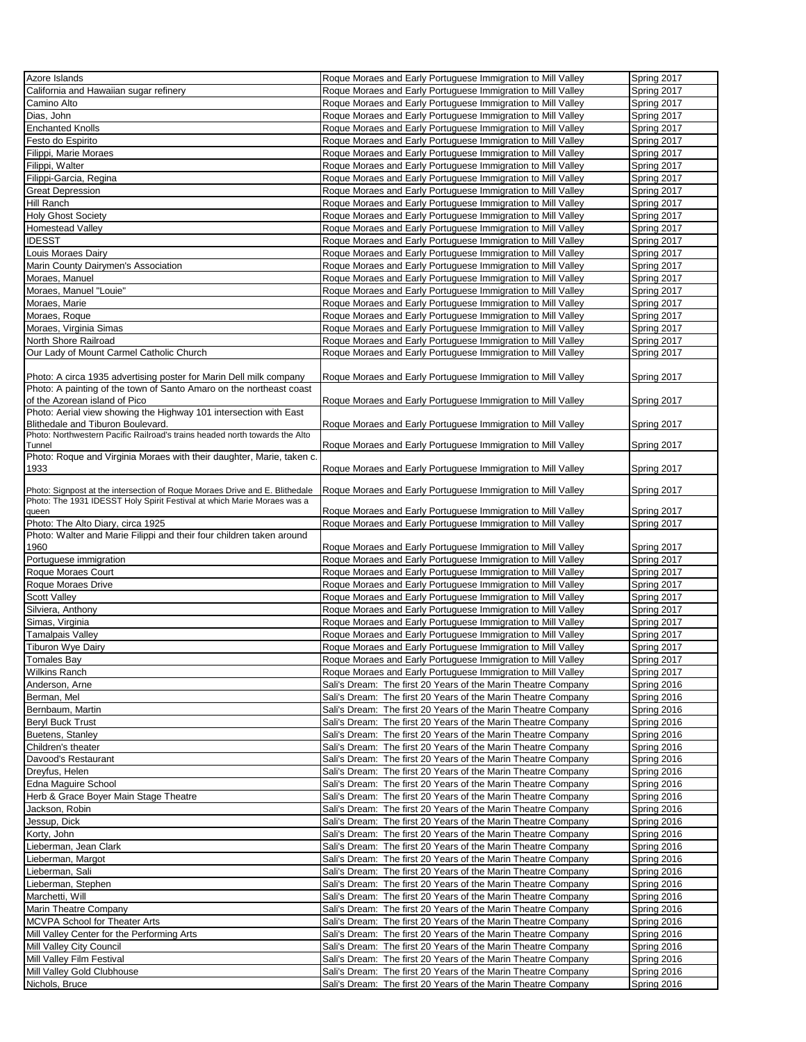| Azore Islands                                                               | Roque Moraes and Early Portuguese Immigration to Mill Valley                                                                   | Spring 2017                |
|-----------------------------------------------------------------------------|--------------------------------------------------------------------------------------------------------------------------------|----------------------------|
| California and Hawaiian sugar refinery                                      | Roque Moraes and Early Portuguese Immigration to Mill Valley                                                                   | Spring 2017                |
| Camino Alto                                                                 | Roque Moraes and Early Portuguese Immigration to Mill Valley                                                                   | Spring 2017                |
|                                                                             |                                                                                                                                |                            |
| Dias, John                                                                  | Roque Moraes and Early Portuguese Immigration to Mill Valley                                                                   | Spring 2017                |
| <b>Enchanted Knolls</b>                                                     | Roque Moraes and Early Portuguese Immigration to Mill Valley                                                                   | Spring 2017                |
| Festo do Espirito                                                           | Roque Moraes and Early Portuguese Immigration to Mill Valley                                                                   | Spring 2017                |
| Filippi, Marie Moraes                                                       |                                                                                                                                |                            |
|                                                                             | Roque Moraes and Early Portuguese Immigration to Mill Valley                                                                   | Spring 2017                |
| Filippi, Walter                                                             | Roque Moraes and Early Portuguese Immigration to Mill Valley                                                                   | Spring 2017                |
| Filippi-Garcia, Regina                                                      | Roque Moraes and Early Portuguese Immigration to Mill Valley                                                                   | Spring 2017                |
| <b>Great Depression</b>                                                     | Roque Moraes and Early Portuguese Immigration to Mill Valley                                                                   | Spring 2017                |
|                                                                             |                                                                                                                                |                            |
| Hill Ranch                                                                  | Roque Moraes and Early Portuguese Immigration to Mill Valley                                                                   | Spring 2017                |
| <b>Holy Ghost Society</b>                                                   | Roque Moraes and Early Portuguese Immigration to Mill Valley                                                                   | Spring 2017                |
| <b>Homestead Valley</b>                                                     | Roque Moraes and Early Portuguese Immigration to Mill Valley                                                                   | Spring 2017                |
| <b>IDESST</b>                                                               | Roque Moraes and Early Portuguese Immigration to Mill Valley                                                                   | Spring 2017                |
|                                                                             |                                                                                                                                |                            |
| Louis Moraes Dairy                                                          | Roque Moraes and Early Portuguese Immigration to Mill Valley                                                                   | Spring 2017                |
| Marin County Dairymen's Association                                         | Roque Moraes and Early Portuguese Immigration to Mill Valley                                                                   | Spring 2017                |
| Moraes, Manuel                                                              | Roque Moraes and Early Portuguese Immigration to Mill Valley                                                                   | Spring 2017                |
| Moraes, Manuel "Louie"                                                      | Roque Moraes and Early Portuguese Immigration to Mill Valley                                                                   | Spring 2017                |
|                                                                             |                                                                                                                                |                            |
| Moraes, Marie                                                               | Roque Moraes and Early Portuguese Immigration to Mill Valley                                                                   | Spring 2017                |
| Moraes, Roque                                                               | Roque Moraes and Early Portuguese Immigration to Mill Valley                                                                   | Spring 2017                |
| Moraes, Virginia Simas                                                      | Roque Moraes and Early Portuguese Immigration to Mill Valley                                                                   | Spring 2017                |
| North Shore Railroad                                                        |                                                                                                                                |                            |
|                                                                             | Roque Moraes and Early Portuguese Immigration to Mill Valley                                                                   | Spring 2017                |
| Our Lady of Mount Carmel Catholic Church                                    | Roque Moraes and Early Portuguese Immigration to Mill Valley                                                                   | Spring 2017                |
|                                                                             |                                                                                                                                |                            |
| Photo: A circa 1935 advertising poster for Marin Dell milk company          | Roque Moraes and Early Portuguese Immigration to Mill Valley                                                                   | Spring 2017                |
| Photo: A painting of the town of Santo Amaro on the northeast coast         |                                                                                                                                |                            |
|                                                                             |                                                                                                                                |                            |
| of the Azorean island of Pico                                               | Roque Moraes and Early Portuguese Immigration to Mill Valley                                                                   | Spring 2017                |
| Photo: Aerial view showing the Highway 101 intersection with East           |                                                                                                                                |                            |
| Blithedale and Tiburon Boulevard.                                           | Roque Moraes and Early Portuguese Immigration to Mill Valley                                                                   | Spring 2017                |
| Photo: Northwestern Pacific Railroad's trains headed north towards the Alto |                                                                                                                                |                            |
| Tunnel                                                                      | Roque Moraes and Early Portuguese Immigration to Mill Valley                                                                   | Spring 2017                |
| Photo: Roque and Virginia Moraes with their daughter, Marie, taken c.       |                                                                                                                                |                            |
| 1933                                                                        |                                                                                                                                |                            |
|                                                                             | Roque Moraes and Early Portuguese Immigration to Mill Valley                                                                   | Spring 2017                |
|                                                                             |                                                                                                                                |                            |
| Photo: Signpost at the intersection of Roque Moraes Drive and E. Blithedale | Roque Moraes and Early Portuguese Immigration to Mill Valley                                                                   | Spring 2017                |
| Photo: The 1931 IDESST Holy Spirit Festival at which Marie Moraes was a     |                                                                                                                                |                            |
| queen                                                                       | Roque Moraes and Early Portuguese Immigration to Mill Valley                                                                   | Spring 2017                |
| Photo: The Alto Diary, circa 1925                                           | Roque Moraes and Early Portuguese Immigration to Mill Valley                                                                   | Spring 2017                |
|                                                                             |                                                                                                                                |                            |
|                                                                             |                                                                                                                                |                            |
| Photo: Walter and Marie Filippi and their four children taken around        |                                                                                                                                |                            |
| 1960                                                                        | Roque Moraes and Early Portuguese Immigration to Mill Valley                                                                   | Spring 2017                |
| Portuguese immigration                                                      | Roque Moraes and Early Portuguese Immigration to Mill Valley                                                                   | Spring 2017                |
| Roque Moraes Court                                                          | Roque Moraes and Early Portuguese Immigration to Mill Valley                                                                   | Spring 2017                |
| Roque Moraes Drive                                                          | Roque Moraes and Early Portuguese Immigration to Mill Valley                                                                   | Spring 2017                |
|                                                                             |                                                                                                                                |                            |
| <b>Scott Valley</b>                                                         | Roque Moraes and Early Portuguese Immigration to Mill Valley                                                                   | Spring 2017                |
| Silviera, Anthony                                                           | Roque Moraes and Early Portuguese Immigration to Mill Valley                                                                   | Spring 2017                |
| Simas, Virginia                                                             | Roque Moraes and Early Portuguese Immigration to Mill Valley                                                                   | Spring 2017                |
|                                                                             | Roque Moraes and Early Portuguese Immigration to Mill Valley                                                                   |                            |
| Tamalpais Valley                                                            |                                                                                                                                | Spring 2017                |
| Tiburon Wye Dairy                                                           | Roque Moraes and Early Portuguese Immigration to Mill Valley                                                                   | Spring 2017                |
|                                                                             | Roque Moraes and Early Portuguese Immigration to Mill Valley                                                                   | Spring 2017                |
| <b>Wilkins Ranch</b>                                                        | Roque Moraes and Early Portuguese Immigration to Mill Valley                                                                   | Spring 2017                |
| Anderson, Arne                                                              | Sali's Dream: The first 20 Years of the Marin Theatre Company                                                                  | Spring 2016                |
|                                                                             |                                                                                                                                |                            |
| Berman, Mel                                                                 | Sali's Dream: The first 20 Years of the Marin Theatre Company                                                                  | Spring 2016                |
| Bernbaum, Martin                                                            | Sali's Dream: The first 20 Years of the Marin Theatre Company                                                                  | Spring 2016                |
| <b>Beryl Buck Trust</b>                                                     | Sali's Dream: The first 20 Years of the Marin Theatre Company                                                                  | Spring 2016                |
| Buetens, Stanley                                                            | Sali's Dream: The first 20 Years of the Marin Theatre Company                                                                  | Spring 2016                |
|                                                                             |                                                                                                                                |                            |
| Children's theater                                                          | Sali's Dream: The first 20 Years of the Marin Theatre Company                                                                  | Spring 2016                |
| Davood's Restaurant                                                         | Sali's Dream: The first 20 Years of the Marin Theatre Company                                                                  | Spring 2016                |
| Dreyfus, Helen                                                              | Sali's Dream: The first 20 Years of the Marin Theatre Company                                                                  | Spring 2016                |
|                                                                             |                                                                                                                                |                            |
| Edna Maguire School                                                         | Sali's Dream: The first 20 Years of the Marin Theatre Company                                                                  | Spring 2016                |
| Herb & Grace Boyer Main Stage Theatre                                       | Sali's Dream: The first 20 Years of the Marin Theatre Company                                                                  | Spring 2016                |
| Jackson, Robin                                                              | Sali's Dream: The first 20 Years of the Marin Theatre Company                                                                  | Spring 2016                |
| Jessup, Dick                                                                | Sali's Dream: The first 20 Years of the Marin Theatre Company                                                                  | Spring 2016                |
| Korty, John                                                                 | Sali's Dream: The first 20 Years of the Marin Theatre Company                                                                  | Spring 2016                |
|                                                                             |                                                                                                                                |                            |
| Lieberman, Jean Clark                                                       | Sali's Dream: The first 20 Years of the Marin Theatre Company                                                                  | Spring 2016                |
| Lieberman, Margot                                                           | Sali's Dream: The first 20 Years of the Marin Theatre Company                                                                  | Spring 2016                |
| Lieberman, Sali                                                             | Sali's Dream: The first 20 Years of the Marin Theatre Company                                                                  | Spring 2016                |
| Lieberman, Stephen                                                          | Sali's Dream: The first 20 Years of the Marin Theatre Company                                                                  | Spring 2016                |
| Marchetti, Will                                                             | Sali's Dream: The first 20 Years of the Marin Theatre Company                                                                  | Spring 2016                |
|                                                                             |                                                                                                                                |                            |
| Marin Theatre Company                                                       | Sali's Dream: The first 20 Years of the Marin Theatre Company                                                                  | Spring 2016                |
| MCVPA School for Theater Arts                                               | Sali's Dream: The first 20 Years of the Marin Theatre Company                                                                  | Spring 2016                |
| Mill Valley Center for the Performing Arts                                  | Sali's Dream: The first 20 Years of the Marin Theatre Company                                                                  | Spring 2016                |
| Mill Valley City Council                                                    | Sali's Dream: The first 20 Years of the Marin Theatre Company                                                                  | Spring 2016                |
| Tomales Bay                                                                 | Sali's Dream: The first 20 Years of the Marin Theatre Company                                                                  | Spring 2016                |
| Mill Valley Film Festival                                                   |                                                                                                                                |                            |
| Mill Valley Gold Clubhouse<br>Nichols, Bruce                                | Sali's Dream: The first 20 Years of the Marin Theatre Company<br>Sali's Dream: The first 20 Years of the Marin Theatre Company | Spring 2016<br>Spring 2016 |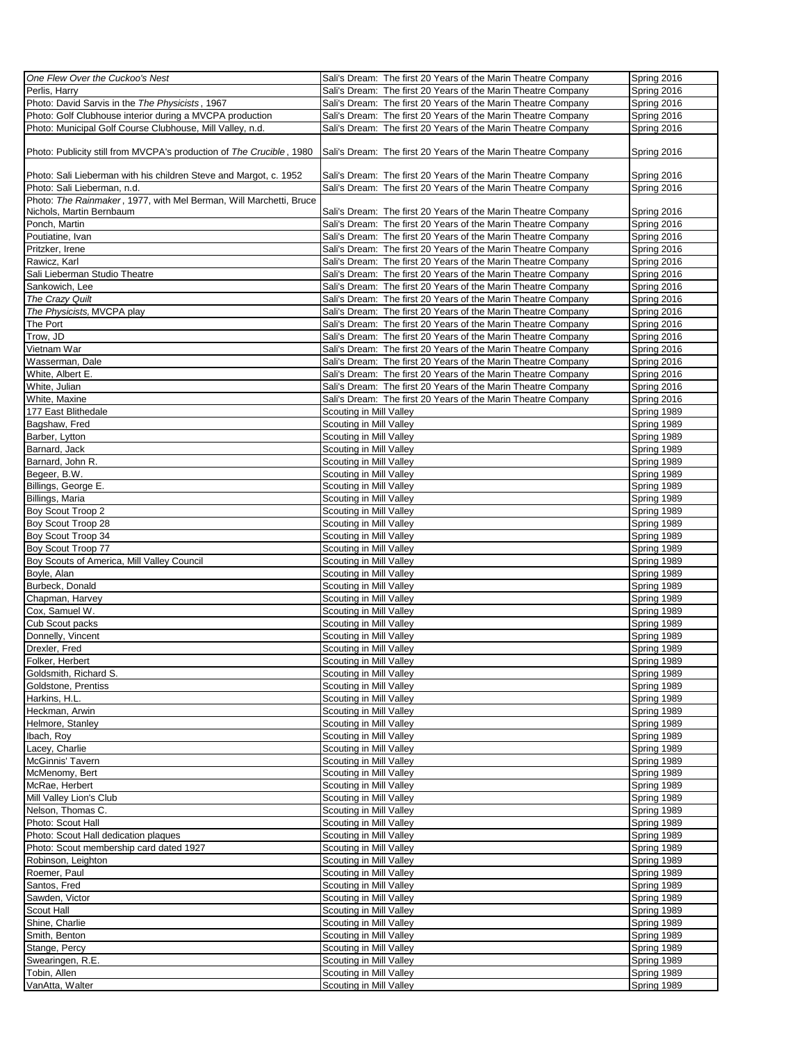| One Flew Over the Cuckoo's Nest                                      | Sali's Dream: The first 20 Years of the Marin Theatre Company | Spring 2016                |
|----------------------------------------------------------------------|---------------------------------------------------------------|----------------------------|
|                                                                      | Sali's Dream: The first 20 Years of the Marin Theatre Company |                            |
| Perlis, Harry                                                        |                                                               | Spring 2016                |
| Photo: David Sarvis in the The Physicists, 1967                      | Sali's Dream: The first 20 Years of the Marin Theatre Company | Spring 2016                |
| Photo: Golf Clubhouse interior during a MVCPA production             | Sali's Dream: The first 20 Years of the Marin Theatre Company | Spring 2016                |
| Photo: Municipal Golf Course Clubhouse, Mill Valley, n.d.            | Sali's Dream: The first 20 Years of the Marin Theatre Company | Spring 2016                |
|                                                                      |                                                               |                            |
| Photo: Publicity still from MVCPA's production of The Crucible, 1980 | Sali's Dream: The first 20 Years of the Marin Theatre Company | Spring 2016                |
|                                                                      |                                                               |                            |
| Photo: Sali Lieberman with his children Steve and Margot, c. 1952    | Sali's Dream: The first 20 Years of the Marin Theatre Company | Spring 2016                |
| Photo: Sali Lieberman, n.d.                                          | Sali's Dream: The first 20 Years of the Marin Theatre Company | Spring 2016                |
| Photo: The Rainmaker, 1977, with Mel Berman, Will Marchetti, Bruce   |                                                               |                            |
|                                                                      |                                                               |                            |
| Nichols, Martin Bernbaum                                             | Sali's Dream: The first 20 Years of the Marin Theatre Company | Spring 2016                |
| Ponch, Martin                                                        | Sali's Dream: The first 20 Years of the Marin Theatre Company | Spring 2016                |
| Poutiatine, Ivan                                                     | Sali's Dream: The first 20 Years of the Marin Theatre Company | Spring 2016                |
| Pritzker, Irene                                                      | Sali's Dream: The first 20 Years of the Marin Theatre Company | Spring 2016                |
|                                                                      |                                                               |                            |
| Rawicz, Karl                                                         | Sali's Dream: The first 20 Years of the Marin Theatre Company | Spring 2016                |
| Sali Lieberman Studio Theatre                                        | Sali's Dream: The first 20 Years of the Marin Theatre Company | Spring 2016                |
| Sankowich, Lee                                                       | Sali's Dream: The first 20 Years of the Marin Theatre Company | Spring 2016                |
|                                                                      |                                                               |                            |
| The Crazy Quilt                                                      | Sali's Dream: The first 20 Years of the Marin Theatre Company | Spring 2016                |
| The Physicists, MVCPA play                                           | Sali's Dream: The first 20 Years of the Marin Theatre Company | Spring 2016                |
| The Port                                                             | Sali's Dream: The first 20 Years of the Marin Theatre Company | Spring 2016                |
| Trow, JD                                                             | Sali's Dream: The first 20 Years of the Marin Theatre Company | Spring 2016                |
|                                                                      |                                                               |                            |
| Vietnam War                                                          | Sali's Dream: The first 20 Years of the Marin Theatre Company | Spring 2016                |
| Wasserman, Dale                                                      | Sali's Dream: The first 20 Years of the Marin Theatre Company | Spring 2016                |
| White, Albert E.                                                     | Sali's Dream: The first 20 Years of the Marin Theatre Company | Spring 2016                |
|                                                                      |                                                               |                            |
| White, Julian                                                        | Sali's Dream: The first 20 Years of the Marin Theatre Company | Spring 2016                |
| White, Maxine                                                        | Sali's Dream: The first 20 Years of the Marin Theatre Company | Spring 2016                |
| 177 East Blithedale                                                  | Scouting in Mill Valley                                       | Spring 1989                |
|                                                                      |                                                               |                            |
| Bagshaw, Fred                                                        | Scouting in Mill Valley                                       | Spring 1989                |
| Barber, Lytton                                                       | Scouting in Mill Valley                                       | Spring 1989                |
| Barnard, Jack                                                        | Scouting in Mill Valley                                       | Spring 1989                |
| Barnard, John R.                                                     | Scouting in Mill Valley                                       | Spring 1989                |
|                                                                      |                                                               |                            |
| Begeer, B.W.                                                         | Scouting in Mill Valley                                       | Spring 1989                |
| Billings, George E.                                                  | Scouting in Mill Valley                                       | Spring 1989                |
| Billings, Maria                                                      | Scouting in Mill Valley                                       | Spring 1989                |
|                                                                      |                                                               |                            |
| Boy Scout Troop 2                                                    | Scouting in Mill Valley                                       | Spring 1989                |
| Boy Scout Troop 28                                                   | Scouting in Mill Valley                                       | Spring 1989                |
| Boy Scout Troop 34                                                   | Scouting in Mill Valley                                       | Spring 1989                |
| Boy Scout Troop 77                                                   | Scouting in Mill Valley                                       | Spring 1989                |
|                                                                      |                                                               |                            |
| Boy Scouts of America, Mill Valley Council                           | Scouting in Mill Valley                                       | Spring 1989                |
| Boyle, Alan                                                          | Scouting in Mill Valley                                       | Spring 1989                |
| Burbeck, Donald                                                      | Scouting in Mill Valley                                       | Spring 1989                |
| Chapman, Harvey                                                      | Scouting in Mill Valley                                       | Spring 1989                |
|                                                                      |                                                               |                            |
| Cox, Samuel W.                                                       | Scouting in Mill Valley                                       | Spring 1989                |
| Cub Scout packs                                                      | Scouting in Mill Valley                                       | Spring 1989                |
| Donnelly, Vincent                                                    | Scouting in Mill Valley                                       | Spring 1989                |
| Drexler, Fred                                                        |                                                               | Spring 1989                |
|                                                                      | Scouting in Mill Valley                                       |                            |
| Folker, Herbert                                                      | Scouting in Mill Valley                                       | Spring 1989                |
| Goldsmith, Richard S.                                                | Scouting in Mill Valley                                       | Spring 1989                |
| Goldstone, Prentiss                                                  | Scouting in Mill Valley                                       | Spring 1989                |
|                                                                      |                                                               |                            |
| Harkins, H.L.                                                        | Scouting in Mill Valley                                       | Spring 1989                |
| Heckman, Arwin                                                       | Scouting in Mill Valley                                       | Spring 1989                |
| Helmore, Stanley                                                     | Scouting in Mill Valley                                       | Spring 1989                |
| Ibach, Roy                                                           | Scouting in Mill Valley                                       | Spring 1989                |
|                                                                      |                                                               |                            |
| Lacey, Charlie                                                       | Scouting in Mill Valley                                       | Spring 1989                |
| McGinnis' Tavern                                                     | Scouting in Mill Valley                                       | Spring 1989                |
| McMenomy, Bert                                                       | Scouting in Mill Valley                                       | Spring 1989                |
| McRae, Herbert                                                       | Scouting in Mill Valley                                       | Spring 1989                |
|                                                                      |                                                               |                            |
| Mill Valley Lion's Club                                              | Scouting in Mill Valley                                       | Spring 1989                |
| Nelson, Thomas C.                                                    | Scouting in Mill Valley                                       | Spring 1989                |
| Photo: Scout Hall                                                    | Scouting in Mill Valley                                       | Spring 1989                |
|                                                                      |                                                               |                            |
| Photo: Scout Hall dedication plaques                                 | Scouting in Mill Valley                                       | Spring 1989                |
| Photo: Scout membership card dated 1927                              | Scouting in Mill Valley                                       | Spring 1989                |
| Robinson, Leighton                                                   | Scouting in Mill Valley                                       | Spring 1989                |
| Roemer, Paul                                                         | Scouting in Mill Valley                                       | Spring 1989                |
|                                                                      |                                                               |                            |
| Santos, Fred                                                         | Scouting in Mill Valley                                       | Spring 1989                |
| Sawden, Victor                                                       | Scouting in Mill Valley                                       | Spring 1989                |
| Scout Hall                                                           | Scouting in Mill Valley                                       | Spring 1989                |
| Shine, Charlie                                                       | Scouting in Mill Valley                                       | Spring 1989                |
|                                                                      |                                                               |                            |
| Smith, Benton                                                        | Scouting in Mill Valley                                       | Spring 1989                |
| Stange, Percy                                                        | Scouting in Mill Valley                                       | Spring 1989                |
| Swearingen, R.E.                                                     | Scouting in Mill Valley                                       | Spring 1989                |
|                                                                      |                                                               |                            |
|                                                                      |                                                               |                            |
| Tobin, Allen<br>VanAtta, Walter                                      | Scouting in Mill Valley<br>Scouting in Mill Valley            | Spring 1989<br>Spring 1989 |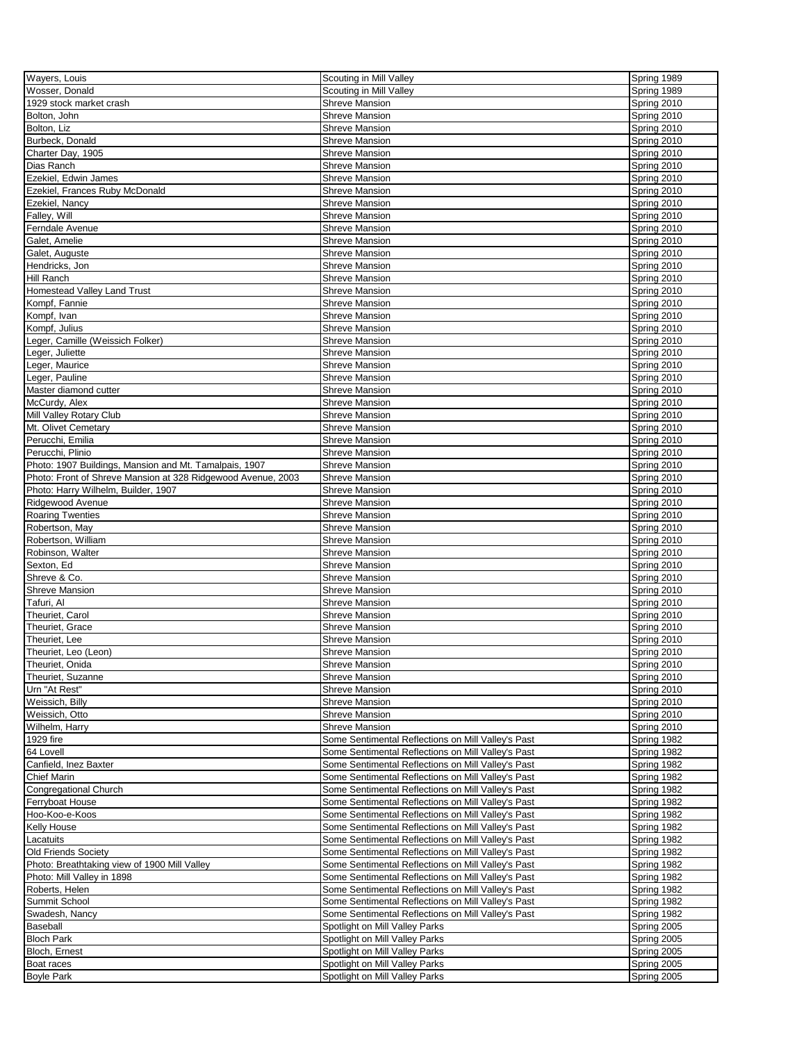| Wayers, Louis                                                | Scouting in Mill Valley                            | Spring 1989 |
|--------------------------------------------------------------|----------------------------------------------------|-------------|
| Wosser, Donald                                               | Scouting in Mill Valley                            | Spring 1989 |
|                                                              |                                                    |             |
| 1929 stock market crash                                      | <b>Shreve Mansion</b>                              | Spring 2010 |
| Bolton, John                                                 | <b>Shreve Mansion</b>                              | Spring 2010 |
| Bolton, Liz                                                  | <b>Shreve Mansion</b>                              | Spring 2010 |
| Burbeck, Donald                                              | <b>Shreve Mansion</b>                              | Spring 2010 |
| Charter Day, 1905                                            | <b>Shreve Mansion</b>                              | Spring 2010 |
| Dias Ranch                                                   | <b>Shreve Mansion</b>                              | Spring 2010 |
|                                                              |                                                    |             |
| Ezekiel, Edwin James                                         | <b>Shreve Mansion</b>                              | Spring 2010 |
| Ezekiel, Frances Ruby McDonald                               | <b>Shreve Mansion</b>                              | Spring 2010 |
| Ezekiel, Nancy                                               | <b>Shreve Mansion</b>                              | Spring 2010 |
| Falley, Will                                                 | <b>Shreve Mansion</b>                              | Spring 2010 |
| Ferndale Avenue                                              | <b>Shreve Mansion</b>                              | Spring 2010 |
| Galet, Amelie                                                | <b>Shreve Mansion</b>                              | Spring 2010 |
|                                                              |                                                    |             |
| Galet, Auguste                                               | <b>Shreve Mansion</b>                              | Spring 2010 |
| Hendricks, Jon                                               | <b>Shreve Mansion</b>                              | Spring 2010 |
| <b>Hill Ranch</b>                                            | <b>Shreve Mansion</b>                              | Spring 2010 |
| <b>Homestead Valley Land Trust</b>                           | <b>Shreve Mansion</b>                              | Spring 2010 |
| Kompf, Fannie                                                | <b>Shreve Mansion</b>                              | Spring 2010 |
| Kompf, Ivan                                                  |                                                    |             |
|                                                              | <b>Shreve Mansion</b>                              | Spring 2010 |
| Kompf, Julius                                                | <b>Shreve Mansion</b>                              | Spring 2010 |
| Leger, Camille (Weissich Folker)                             | <b>Shreve Mansion</b>                              | Spring 2010 |
| Leger, Juliette                                              | <b>Shreve Mansion</b>                              | Spring 2010 |
| Leger, Maurice                                               | <b>Shreve Mansion</b>                              | Spring 2010 |
| Leger, Pauline                                               | <b>Shreve Mansion</b>                              | Spring 2010 |
| Master diamond cutter                                        | <b>Shreve Mansion</b>                              | Spring 2010 |
|                                                              |                                                    |             |
| McCurdy, Alex                                                | <b>Shreve Mansion</b>                              | Spring 2010 |
| Mill Valley Rotary Club                                      | <b>Shreve Mansion</b>                              | Spring 2010 |
| Mt. Olivet Cemetary                                          | <b>Shreve Mansion</b>                              | Spring 2010 |
| Perucchi, Emilia                                             | <b>Shreve Mansion</b>                              | Spring 2010 |
| Perucchi, Plinio                                             | <b>Shreve Mansion</b>                              | Spring 2010 |
| Photo: 1907 Buildings, Mansion and Mt. Tamalpais, 1907       | <b>Shreve Mansion</b>                              | Spring 2010 |
|                                                              |                                                    |             |
| Photo: Front of Shreve Mansion at 328 Ridgewood Avenue, 2003 | <b>Shreve Mansion</b>                              | Spring 2010 |
| Photo: Harry Wilhelm, Builder, 1907                          | <b>Shreve Mansion</b>                              | Spring 2010 |
| Ridgewood Avenue                                             | <b>Shreve Mansion</b>                              | Spring 2010 |
| <b>Roaring Twenties</b>                                      | <b>Shreve Mansion</b>                              | Spring 2010 |
| Robertson, May                                               | <b>Shreve Mansion</b>                              | Spring 2010 |
| Robertson, William                                           | <b>Shreve Mansion</b>                              | Spring 2010 |
| Robinson, Walter                                             | <b>Shreve Mansion</b>                              | Spring 2010 |
|                                                              |                                                    |             |
| Sexton, Ed                                                   | <b>Shreve Mansion</b>                              | Spring 2010 |
| Shreve & Co.                                                 | <b>Shreve Mansion</b>                              | Spring 2010 |
| <b>Shreve Mansion</b>                                        | <b>Shreve Mansion</b>                              | Spring 2010 |
| Tafuri, Al                                                   | <b>Shreve Mansion</b>                              | Spring 2010 |
| Theuriet, Carol                                              | <b>Shreve Mansion</b>                              | Spring 2010 |
| Theuriet, Grace                                              | <b>Shreve Mansion</b>                              | Spring 2010 |
|                                                              |                                                    |             |
| Theuriet, Lee                                                | <b>Shreve Mansion</b>                              | Spring 2010 |
| Theuriet, Leo (Leon)                                         | <b>Shreve Mansion</b>                              | Spring 2010 |
| Theuriet, Onida                                              | Shreve Mansion                                     | Spring 2010 |
| Theuriet, Suzanne                                            | <b>Shreve Mansion</b>                              | Spring 2010 |
| Urn "At Rest"                                                | <b>Shreve Mansion</b>                              | Spring 2010 |
| Weissich, Billy                                              | Shreve Mansion                                     | Spring 2010 |
|                                                              | <b>Shreve Mansion</b>                              |             |
| Weissich, Otto                                               |                                                    | Spring 2010 |
| Wilhelm, Harry                                               | Shreve Mansion                                     | Spring 2010 |
| 1929 fire                                                    | Some Sentimental Reflections on Mill Valley's Past | Spring 1982 |
| 64 Lovell                                                    | Some Sentimental Reflections on Mill Valley's Past | Spring 1982 |
| Canfield, Inez Baxter                                        | Some Sentimental Reflections on Mill Valley's Past | Spring 1982 |
| <b>Chief Marin</b>                                           | Some Sentimental Reflections on Mill Valley's Past | Spring 1982 |
|                                                              | Some Sentimental Reflections on Mill Valley's Past | Spring 1982 |
| Congregational Church                                        |                                                    |             |
| Ferryboat House                                              | Some Sentimental Reflections on Mill Valley's Past | Spring 1982 |
| Hoo-Koo-e-Koos                                               | Some Sentimental Reflections on Mill Valley's Past | Spring 1982 |
| Kelly House                                                  | Some Sentimental Reflections on Mill Valley's Past | Spring 1982 |
| Lacatuits                                                    | Some Sentimental Reflections on Mill Valley's Past | Spring 1982 |
| <b>Old Friends Society</b>                                   | Some Sentimental Reflections on Mill Valley's Past | Spring 1982 |
| Photo: Breathtaking view of 1900 Mill Valley                 | Some Sentimental Reflections on Mill Valley's Past | Spring 1982 |
|                                                              |                                                    |             |
| Photo: Mill Valley in 1898                                   | Some Sentimental Reflections on Mill Valley's Past | Spring 1982 |
| Roberts, Helen                                               | Some Sentimental Reflections on Mill Valley's Past | Spring 1982 |
| Summit School                                                | Some Sentimental Reflections on Mill Valley's Past | Spring 1982 |
| Swadesh, Nancy                                               | Some Sentimental Reflections on Mill Valley's Past | Spring 1982 |
| <b>Baseball</b>                                              | Spotlight on Mill Valley Parks                     | Spring 2005 |
| <b>Bloch Park</b>                                            | Spotlight on Mill Valley Parks                     | Spring 2005 |
| Bloch, Ernest                                                |                                                    |             |
|                                                              | Spotlight on Mill Valley Parks                     | Spring 2005 |
| Boat races                                                   | Spotlight on Mill Valley Parks                     | Spring 2005 |
| <b>Boyle Park</b>                                            | Spotlight on Mill Valley Parks                     | Spring 2005 |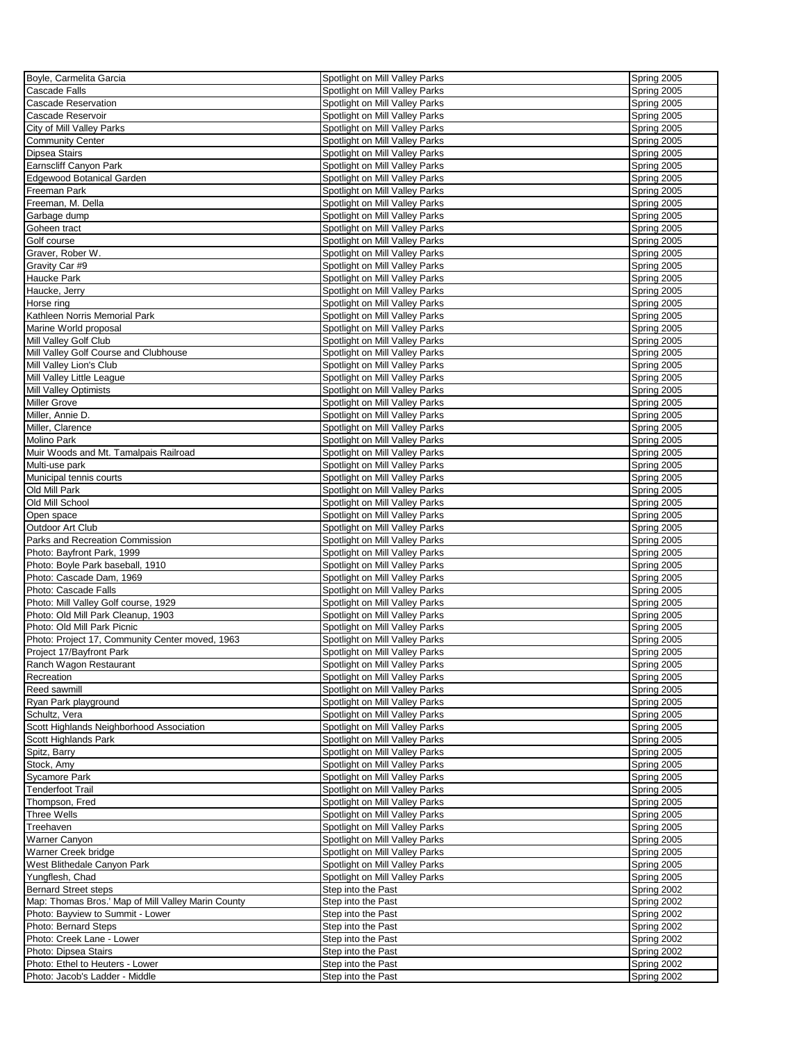| Boyle, Carmelita Garcia                            | Spotlight on Mill Valley Parks                                   | Spring 2005 |
|----------------------------------------------------|------------------------------------------------------------------|-------------|
| <b>Cascade Falls</b>                               | Spotlight on Mill Valley Parks                                   | Spring 2005 |
| <b>Cascade Reservation</b>                         | Spotlight on Mill Valley Parks                                   | Spring 2005 |
| Cascade Reservoir                                  | Spotlight on Mill Valley Parks                                   | Spring 2005 |
| City of Mill Valley Parks                          | Spotlight on Mill Valley Parks                                   | Spring 2005 |
| <b>Community Center</b>                            | Spotlight on Mill Valley Parks                                   | Spring 2005 |
| <b>Dipsea Stairs</b>                               | Spotlight on Mill Valley Parks                                   | Spring 2005 |
| Earnscliff Canyon Park                             | Spotlight on Mill Valley Parks                                   | Spring 2005 |
|                                                    |                                                                  |             |
| <b>Edgewood Botanical Garden</b>                   | Spotlight on Mill Valley Parks                                   | Spring 2005 |
| Freeman Park                                       | Spotlight on Mill Valley Parks                                   | Spring 2005 |
| Freeman, M. Della                                  | Spotlight on Mill Valley Parks                                   | Spring 2005 |
| Garbage dump                                       | Spotlight on Mill Valley Parks                                   | Spring 2005 |
| Goheen tract                                       | Spotlight on Mill Valley Parks                                   | Spring 2005 |
| Golf course                                        | Spotlight on Mill Valley Parks                                   | Spring 2005 |
| Graver, Rober W.                                   | Spotlight on Mill Valley Parks                                   | Spring 2005 |
| Gravity Car #9                                     | Spotlight on Mill Valley Parks                                   | Spring 2005 |
| Haucke Park                                        | Spotlight on Mill Valley Parks                                   | Spring 2005 |
| Haucke, Jerry                                      | Spotlight on Mill Valley Parks                                   | Spring 2005 |
| Horse ring                                         | Spotlight on Mill Valley Parks                                   | Spring 2005 |
| Kathleen Norris Memorial Park                      | Spotlight on Mill Valley Parks                                   | Spring 2005 |
| Marine World proposal                              | Spotlight on Mill Valley Parks                                   | Spring 2005 |
| Mill Valley Golf Club                              | Spotlight on Mill Valley Parks                                   | Spring 2005 |
| Mill Valley Golf Course and Clubhouse              | Spotlight on Mill Valley Parks                                   | Spring 2005 |
| Mill Valley Lion's Club                            | Spotlight on Mill Valley Parks                                   | Spring 2005 |
| Mill Valley Little League                          | Spotlight on Mill Valley Parks                                   | Spring 2005 |
| Mill Valley Optimists                              | Spotlight on Mill Valley Parks                                   | Spring 2005 |
| <b>Miller Grove</b>                                | Spotlight on Mill Valley Parks                                   | Spring 2005 |
| Miller, Annie D.                                   | Spotlight on Mill Valley Parks                                   | Spring 2005 |
|                                                    |                                                                  |             |
| Miller, Clarence                                   | Spotlight on Mill Valley Parks                                   | Spring 2005 |
| <b>Molino Park</b>                                 | Spotlight on Mill Valley Parks                                   | Spring 2005 |
| Muir Woods and Mt. Tamalpais Railroad              | Spotlight on Mill Valley Parks                                   | Spring 2005 |
| Multi-use park                                     | Spotlight on Mill Valley Parks                                   | Spring 2005 |
| Municipal tennis courts                            | Spotlight on Mill Valley Parks                                   | Spring 2005 |
| Old Mill Park                                      | Spotlight on Mill Valley Parks                                   | Spring 2005 |
| Old Mill School                                    | Spotlight on Mill Valley Parks                                   | Spring 2005 |
| Open space                                         | Spotlight on Mill Valley Parks                                   | Spring 2005 |
| Outdoor Art Club                                   | Spotlight on Mill Valley Parks                                   | Spring 2005 |
| Parks and Recreation Commission                    | Spotlight on Mill Valley Parks                                   | Spring 2005 |
| Photo: Bayfront Park, 1999                         | Spotlight on Mill Valley Parks                                   | Spring 2005 |
| Photo: Boyle Park baseball, 1910                   | Spotlight on Mill Valley Parks                                   | Spring 2005 |
| Photo: Cascade Dam, 1969                           | Spotlight on Mill Valley Parks                                   | Spring 2005 |
| Photo: Cascade Falls                               | Spotlight on Mill Valley Parks                                   | Spring 2005 |
| Photo: Mill Valley Golf course, 1929               | Spotlight on Mill Valley Parks                                   | Spring 2005 |
| Photo: Old Mill Park Cleanup, 1903                 | Spotlight on Mill Valley Parks                                   | Spring 2005 |
| Photo: Old Mill Park Picnic                        | Spotlight on Mill Valley Parks                                   | Spring 2005 |
| Photo: Project 17, Community Center moved, 1963    | Spotlight on Mill Valley Parks                                   | Spring 2005 |
| Project 17/Bayfront Park                           | Spotlight on Mill Valley Parks                                   | Spring 2005 |
|                                                    |                                                                  |             |
| Ranch Wagon Restaurant                             | Spotlight on Mill Valley Parks<br>Spotlight on Mill Valley Parks | Spring 2005 |
| Recreation                                         |                                                                  | Spring 2005 |
| Reed sawmill                                       | Spotlight on Mill Valley Parks                                   | Spring 2005 |
| Ryan Park playground                               | Spotlight on Mill Valley Parks                                   | Spring 2005 |
| Schultz, Vera                                      | Spotlight on Mill Valley Parks                                   | Spring 2005 |
| Scott Highlands Neighborhood Association           | Spotlight on Mill Valley Parks                                   | Spring 2005 |
| Scott Highlands Park                               | Spotlight on Mill Valley Parks                                   | Spring 2005 |
| Spitz, Barry                                       | Spotlight on Mill Valley Parks                                   | Spring 2005 |
| Stock, Amy                                         | Spotlight on Mill Valley Parks                                   | Spring 2005 |
| <b>Sycamore Park</b>                               | Spotlight on Mill Valley Parks                                   | Spring 2005 |
| <b>Tenderfoot Trail</b>                            | Spotlight on Mill Valley Parks                                   | Spring 2005 |
| Thompson, Fred                                     | Spotlight on Mill Valley Parks                                   | Spring 2005 |
| <b>Three Wells</b>                                 | Spotlight on Mill Valley Parks                                   | Spring 2005 |
| Treehaven                                          | Spotlight on Mill Valley Parks                                   | Spring 2005 |
| <b>Warner Canyon</b>                               | Spotlight on Mill Valley Parks                                   | Spring 2005 |
| Warner Creek bridge                                | Spotlight on Mill Valley Parks                                   | Spring 2005 |
| West Blithedale Canyon Park                        | Spotlight on Mill Valley Parks                                   | Spring 2005 |
| Yungflesh, Chad                                    | Spotlight on Mill Valley Parks                                   | Spring 2005 |
| <b>Bernard Street steps</b>                        | Step into the Past                                               | Spring 2002 |
| Map: Thomas Bros.' Map of Mill Valley Marin County | Step into the Past                                               | Spring 2002 |
| Photo: Bayview to Summit - Lower                   | Step into the Past                                               | Spring 2002 |
| Photo: Bernard Steps                               | Step into the Past                                               | Spring 2002 |
| Photo: Creek Lane - Lower                          | Step into the Past                                               | Spring 2002 |
| Photo: Dipsea Stairs                               | Step into the Past                                               | Spring 2002 |
| Photo: Ethel to Heuters - Lower                    | Step into the Past                                               | Spring 2002 |
| Photo: Jacob's Ladder - Middle                     | Step into the Past                                               | Spring 2002 |
|                                                    |                                                                  |             |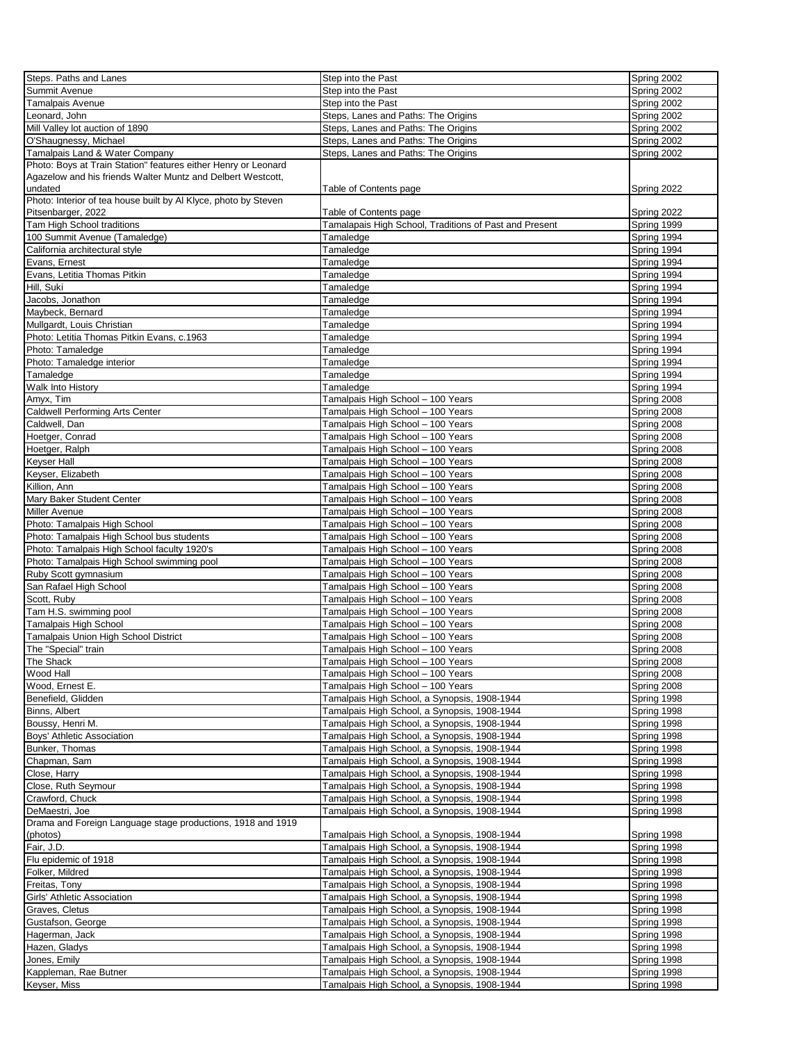| Steps. Paths and Lanes                                          | Step into the Past                                     | Spring 2002 |
|-----------------------------------------------------------------|--------------------------------------------------------|-------------|
| Summit Avenue                                                   | Step into the Past                                     | Spring 2002 |
| Tamalpais Avenue                                                | Step into the Past                                     | Spring 2002 |
| eonard, John                                                    | Steps, Lanes and Paths: The Origins                    | Spring 2002 |
| Mill Valley lot auction of 1890                                 | Steps, Lanes and Paths: The Origins                    | Spring 2002 |
| O'Shaugnessy, Michael                                           | Steps, Lanes and Paths: The Origins                    | Spring 2002 |
| Tamalpais Land & Water Company                                  | Steps, Lanes and Paths: The Origins                    | Spring 2002 |
| Photo: Boys at Train Station" features either Henry or Leonard  |                                                        |             |
| Agazelow and his friends Walter Muntz and Delbert Westcott,     |                                                        |             |
| undated                                                         | Table of Contents page                                 | Spring 2022 |
| Photo: Interior of tea house built by Al Klyce, photo by Steven |                                                        |             |
| Pitsenbarger, 2022                                              | Table of Contents page                                 | Spring 2022 |
| <b>Tam High School traditions</b>                               | Tamalapais High School, Traditions of Past and Present | Spring 1999 |
| 100 Summit Avenue (Tamaledge)                                   | Tamaledge                                              | Spring 1994 |
| California architectural style                                  | Tamaledge                                              | Spring 1994 |
| Evans, Ernest                                                   | Tamaledge                                              | Spring 1994 |
| Evans, Letitia Thomas Pitkin                                    | Tamaledge                                              | Spring 1994 |
| Hill, Suki                                                      | Tamaledge                                              | Spring 1994 |
| Jacobs, Jonathon                                                | Tamaledge                                              | Spring 1994 |
| Maybeck, Bernard                                                | Tamaledge                                              | Spring 1994 |
| Mullgardt, Louis Christian                                      | Tamaledge                                              | Spring 1994 |
| Photo: Letitia Thomas Pitkin Evans, c.1963                      | Tamaledge                                              | Spring 1994 |
| Photo: Tamaledge                                                | Tamaledge                                              | Spring 1994 |
| Photo: Tamaledge interior                                       | Tamaledge                                              | Spring 1994 |
| Tamaledge                                                       | Tamaledge                                              | Spring 1994 |
|                                                                 |                                                        |             |
| Walk Into History                                               | Tamaledge                                              | Spring 1994 |
| Amyx, Tim                                                       | Tamalpais High School - 100 Years                      | Spring 2008 |
| Caldwell Performing Arts Center                                 | Tamalpais High School - 100 Years                      | Spring 2008 |
| Caldwell, Dan                                                   | Tamalpais High School - 100 Years                      | Spring 2008 |
| Hoetger, Conrad                                                 | Tamalpais High School - 100 Years                      | Spring 2008 |
| Hoetger, Ralph                                                  | Tamalpais High School - 100 Years                      | Spring 2008 |
| Keyser Hall                                                     | Tamalpais High School - 100 Years                      | Spring 2008 |
| Keyser, Elizabeth                                               | Tamalpais High School - 100 Years                      | Spring 2008 |
| Killion, Ann                                                    | Tamalpais High School - 100 Years                      | Spring 2008 |
| Mary Baker Student Center                                       | Tamalpais High School - 100 Years                      | Spring 2008 |
| Miller Avenue                                                   | Tamalpais High School - 100 Years                      | Spring 2008 |
| Photo: Tamalpais High School                                    | Tamalpais High School - 100 Years                      | Spring 2008 |
| Photo: Tamalpais High School bus students                       | Tamalpais High School - 100 Years                      | Spring 2008 |
| Photo: Tamalpais High School faculty 1920's                     | Tamalpais High School - 100 Years                      | Spring 2008 |
| Photo: Tamalpais High School swimming pool                      | Tamalpais High School - 100 Years                      | Spring 2008 |
| Ruby Scott gymnasium                                            | Tamalpais High School - 100 Years                      | Spring 2008 |
| San Rafael High School                                          | Tamalpais High School - 100 Years                      | Spring 2008 |
| Scott, Ruby                                                     | Tamalpais High School - 100 Years                      | Spring 2008 |
| Tam H.S. swimming pool                                          | Tamalpais High School - 100 Years                      | Spring 2008 |
| Tamalpais High School                                           | Tamalpais High School - 100 Years                      | Spring 2008 |
| <b>Tamalpais Union High School District</b>                     | Tamalpais High School - 100 Years                      | Spring 2008 |
| The "Special" train                                             | Tamalpais High School - 100 Years                      | Spring 2008 |
| The Shack                                                       | Tamalpais High School - 100 Years                      | Spring 2008 |
| Wood Hall                                                       | Tamalpais High School - 100 Years                      | Spring 2008 |
| Wood, Ernest E.                                                 | Tamalpais High School - 100 Years                      | Spring 2008 |
| Benefield, Glidden                                              | Tamalpais High School, a Synopsis, 1908-1944           | Spring 1998 |
| Binns, Albert                                                   | Tamalpais High School, a Synopsis, 1908-1944           | Spring 1998 |
| Boussy, Henri M.                                                | Tamalpais High School, a Synopsis, 1908-1944           | Spring 1998 |
| Boys' Athletic Association                                      | Tamalpais High School, a Synopsis, 1908-1944           | Spring 1998 |
| Bunker, Thomas                                                  | Tamalpais High School, a Synopsis, 1908-1944           | Spring 1998 |
| Chapman, Sam                                                    | Tamalpais High School, a Synopsis, 1908-1944           | Spring 1998 |
| Close, Harry                                                    | Tamalpais High School, a Synopsis, 1908-1944           | Spring 1998 |
| Close, Ruth Seymour                                             | Tamalpais High School, a Synopsis, 1908-1944           | Spring 1998 |
| Crawford, Chuck                                                 | Tamalpais High School, a Synopsis, 1908-1944           | Spring 1998 |
| DeMaestri, Joe                                                  | Tamalpais High School, a Synopsis, 1908-1944           | Spring 1998 |
| Drama and Foreign Language stage productions, 1918 and 1919     |                                                        |             |
| (photos)                                                        | Tamalpais High School, a Synopsis, 1908-1944           | Spring 1998 |
| Fair, J.D.                                                      | Tamalpais High School, a Synopsis, 1908-1944           | Spring 1998 |
| Flu epidemic of 1918                                            | Tamalpais High School, a Synopsis, 1908-1944           | Spring 1998 |
| Folker, Mildred                                                 | Tamalpais High School, a Synopsis, 1908-1944           | Spring 1998 |
| Freitas, Tony                                                   | Tamalpais High School, a Synopsis, 1908-1944           | Spring 1998 |
| Girls' Athletic Association                                     | Tamalpais High School, a Synopsis, 1908-1944           | Spring 1998 |
| Graves, Cletus                                                  | Tamalpais High School, a Synopsis, 1908-1944           | Spring 1998 |
| Gustafson, George                                               | Tamalpais High School, a Synopsis, 1908-1944           | Spring 1998 |
| Hagerman, Jack                                                  | Tamalpais High School, a Synopsis, 1908-1944           | Spring 1998 |
| Hazen, Gladys                                                   | Tamalpais High School, a Synopsis, 1908-1944           | Spring 1998 |
| Jones, Emily                                                    | Tamalpais High School, a Synopsis, 1908-1944           | Spring 1998 |
| Kappleman, Rae Butner                                           | Tamalpais High School, a Synopsis, 1908-1944           | Spring 1998 |
|                                                                 |                                                        |             |
| Keyser, Miss                                                    | Tamalpais High School, a Synopsis, 1908-1944           | Spring 1998 |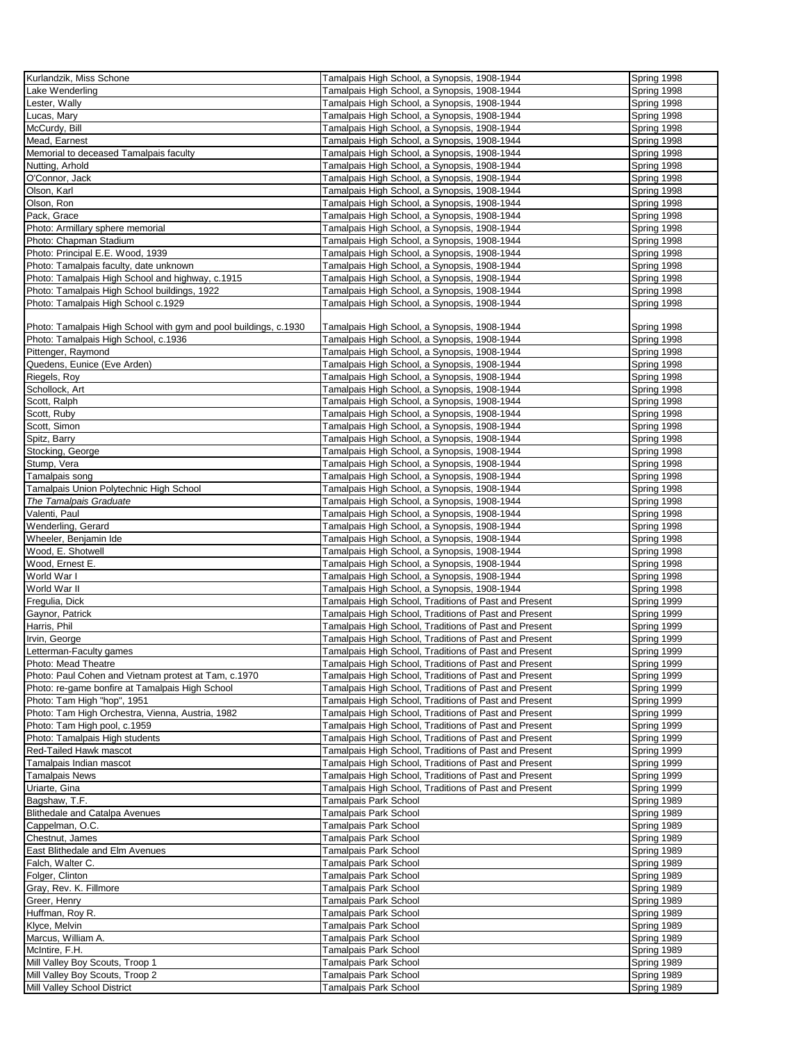| Kurlandzik, Miss Schone                                          | Tamalpais High School, a Synopsis, 1908-1944          | Spring 1998 |
|------------------------------------------------------------------|-------------------------------------------------------|-------------|
| Lake Wenderling                                                  | Tamalpais High School, a Synopsis, 1908-1944          | Spring 1998 |
| Lester, Wally                                                    | Tamalpais High School, a Synopsis, 1908-1944          | Spring 1998 |
|                                                                  |                                                       |             |
| Lucas, Mary                                                      | Tamalpais High School, a Synopsis, 1908-1944          | Spring 1998 |
| McCurdy, Bill                                                    | Tamalpais High School, a Synopsis, 1908-1944          | Spring 1998 |
| Mead, Earnest                                                    | Tamalpais High School, a Synopsis, 1908-1944          | Spring 1998 |
| Memorial to deceased Tamalpais faculty                           | Tamalpais High School, a Synopsis, 1908-1944          | Spring 1998 |
| Nutting, Arhold                                                  | Tamalpais High School, a Synopsis, 1908-1944          | Spring 1998 |
| O'Connor, Jack                                                   | Tamalpais High School, a Synopsis, 1908-1944          | Spring 1998 |
| Olson, Karl                                                      | Tamalpais High School, a Synopsis, 1908-1944          |             |
|                                                                  |                                                       | Spring 1998 |
| Olson, Ron                                                       | Tamalpais High School, a Synopsis, 1908-1944          | Spring 1998 |
| Pack, Grace                                                      | Tamalpais High School, a Synopsis, 1908-1944          | Spring 1998 |
| Photo: Armillary sphere memorial                                 | Tamalpais High School, a Synopsis, 1908-1944          | Spring 1998 |
| Photo: Chapman Stadium                                           | Tamalpais High School, a Synopsis, 1908-1944          | Spring 1998 |
| Photo: Principal E.E. Wood, 1939                                 | Tamalpais High School, a Synopsis, 1908-1944          | Spring 1998 |
|                                                                  |                                                       |             |
| Photo: Tamalpais faculty, date unknown                           | Tamalpais High School, a Synopsis, 1908-1944          | Spring 1998 |
| Photo: Tamalpais High School and highway, c.1915                 | Tamalpais High School, a Synopsis, 1908-1944          | Spring 1998 |
| Photo: Tamalpais High School buildings, 1922                     | Tamalpais High School, a Synopsis, 1908-1944          | Spring 1998 |
| Photo: Tamalpais High School c.1929                              | Tamalpais High School, a Synopsis, 1908-1944          | Spring 1998 |
|                                                                  |                                                       |             |
| Photo: Tamalpais High School with gym and pool buildings, c.1930 | Tamalpais High School, a Synopsis, 1908-1944          | Spring 1998 |
| Photo: Tamalpais High School, c.1936                             | Tamalpais High School, a Synopsis, 1908-1944          | Spring 1998 |
|                                                                  |                                                       |             |
| Pittenger, Raymond                                               | Tamalpais High School, a Synopsis, 1908-1944          | Spring 1998 |
| Quedens, Eunice (Eve Arden)                                      | Tamalpais High School, a Synopsis, 1908-1944          | Spring 1998 |
| Riegels, Roy                                                     | Tamalpais High School, a Synopsis, 1908-1944          | Spring 1998 |
| Schollock, Art                                                   | Tamalpais High School, a Synopsis, 1908-1944          | Spring 1998 |
| Scott, Ralph                                                     | Tamalpais High School, a Synopsis, 1908-1944          | Spring 1998 |
| Scott, Ruby                                                      | Tamalpais High School, a Synopsis, 1908-1944          | Spring 1998 |
| Scott, Simon                                                     |                                                       |             |
|                                                                  | Tamalpais High School, a Synopsis, 1908-1944          | Spring 1998 |
| Spitz, Barry                                                     | Tamalpais High School, a Synopsis, 1908-1944          | Spring 1998 |
| Stocking, George                                                 | Tamalpais High School, a Synopsis, 1908-1944          | Spring 1998 |
| Stump, Vera                                                      | Tamalpais High School, a Synopsis, 1908-1944          | Spring 1998 |
| Tamalpais song                                                   | Tamalpais High School, a Synopsis, 1908-1944          | Spring 1998 |
| Tamalpais Union Polytechnic High School                          | Tamalpais High School, a Synopsis, 1908-1944          | Spring 1998 |
| The Tamalpais Graduate                                           | Tamalpais High School, a Synopsis, 1908-1944          | Spring 1998 |
|                                                                  |                                                       |             |
| Valenti, Paul                                                    | Tamalpais High School, a Synopsis, 1908-1944          | Spring 1998 |
| Wenderling, Gerard                                               | Tamalpais High School, a Synopsis, 1908-1944          | Spring 1998 |
| Wheeler, Benjamin Ide                                            | Tamalpais High School, a Synopsis, 1908-1944          | Spring 1998 |
| Wood, E. Shotwell                                                | Tamalpais High School, a Synopsis, 1908-1944          | Spring 1998 |
| Wood, Ernest E.                                                  | Tamalpais High School, a Synopsis, 1908-1944          | Spring 1998 |
| World War I                                                      | Tamalpais High School, a Synopsis, 1908-1944          | Spring 1998 |
| World War II                                                     |                                                       |             |
|                                                                  | Tamalpais High School, a Synopsis, 1908-1944          | Spring 1998 |
| Fregulia, Dick                                                   | Tamalpais High School, Traditions of Past and Present | Spring 1999 |
| Gaynor, Patrick                                                  | Tamalpais High School, Traditions of Past and Present | Spring 1999 |
| Harris, Phil                                                     | Tamalpais High School, Traditions of Past and Present | Spring 1999 |
| Irvin, George                                                    | Tamalpais High School, Traditions of Past and Present | Spring 1999 |
| Letterman-Faculty games                                          | Tamalpais High School, Traditions of Past and Present | Spring 1999 |
|                                                                  | Tamalpais High School, Traditions of Past and Present |             |
| Photo: Mead Theatre                                              |                                                       | Spring 1999 |
| Photo: Paul Cohen and Vietnam protest at Tam, c.1970             | Tamalpais High School, Traditions of Past and Present | Spring 1999 |
| Photo: re-game bonfire at Tamalpais High School                  | Tamalpais High School, Traditions of Past and Present | Spring 1999 |
| Photo: Tam High "hop", 1951                                      | Tamalpais High School, Traditions of Past and Present | Spring 1999 |
| Photo: Tam High Orchestra, Vienna, Austria, 1982                 | Tamalpais High School, Traditions of Past and Present | Spring 1999 |
| Photo: Tam High pool, c.1959                                     | Tamalpais High School, Traditions of Past and Present | Spring 1999 |
| Photo: Tamalpais High students                                   | Tamalpais High School, Traditions of Past and Present | Spring 1999 |
| Red-Tailed Hawk mascot                                           | Tamalpais High School, Traditions of Past and Present | Spring 1999 |
|                                                                  |                                                       |             |
| Tamalpais Indian mascot                                          | Tamalpais High School, Traditions of Past and Present | Spring 1999 |
| Tamalpais News                                                   | Tamalpais High School, Traditions of Past and Present | Spring 1999 |
| Uriarte, Gina                                                    | Tamalpais High School, Traditions of Past and Present | Spring 1999 |
| Bagshaw, T.F.                                                    | Tamalpais Park School                                 | Spring 1989 |
| <b>Blithedale and Catalpa Avenues</b>                            | Tamalpais Park School                                 | Spring 1989 |
| Cappelman, O.C.                                                  | Tamalpais Park School                                 | Spring 1989 |
|                                                                  |                                                       |             |
| Chestnut, James                                                  | Tamalpais Park School                                 | Spring 1989 |
| East Blithedale and Elm Avenues                                  | Tamalpais Park School                                 | Spring 1989 |
| Falch, Walter C.                                                 | Tamalpais Park School                                 | Spring 1989 |
| Folger, Clinton                                                  | Tamalpais Park School                                 | Spring 1989 |
| Gray, Rev. K. Fillmore                                           | Tamalpais Park School                                 | Spring 1989 |
| Greer, Henry                                                     | Tamalpais Park School                                 | Spring 1989 |
| Huffman, Roy R.                                                  | Tamalpais Park School                                 | Spring 1989 |
|                                                                  |                                                       |             |
| Klyce, Melvin                                                    | Tamalpais Park School                                 | Spring 1989 |
| Marcus, William A.                                               | Tamalpais Park School                                 | Spring 1989 |
| McIntire, F.H.                                                   | Tamalpais Park School                                 | Spring 1989 |
| Mill Valley Boy Scouts, Troop 1                                  | Tamalpais Park School                                 | Spring 1989 |
| Mill Valley Boy Scouts, Troop 2                                  | Tamalpais Park School                                 | Spring 1989 |
| Mill Valley School District                                      | Tamalpais Park School                                 | Spring 1989 |
|                                                                  |                                                       |             |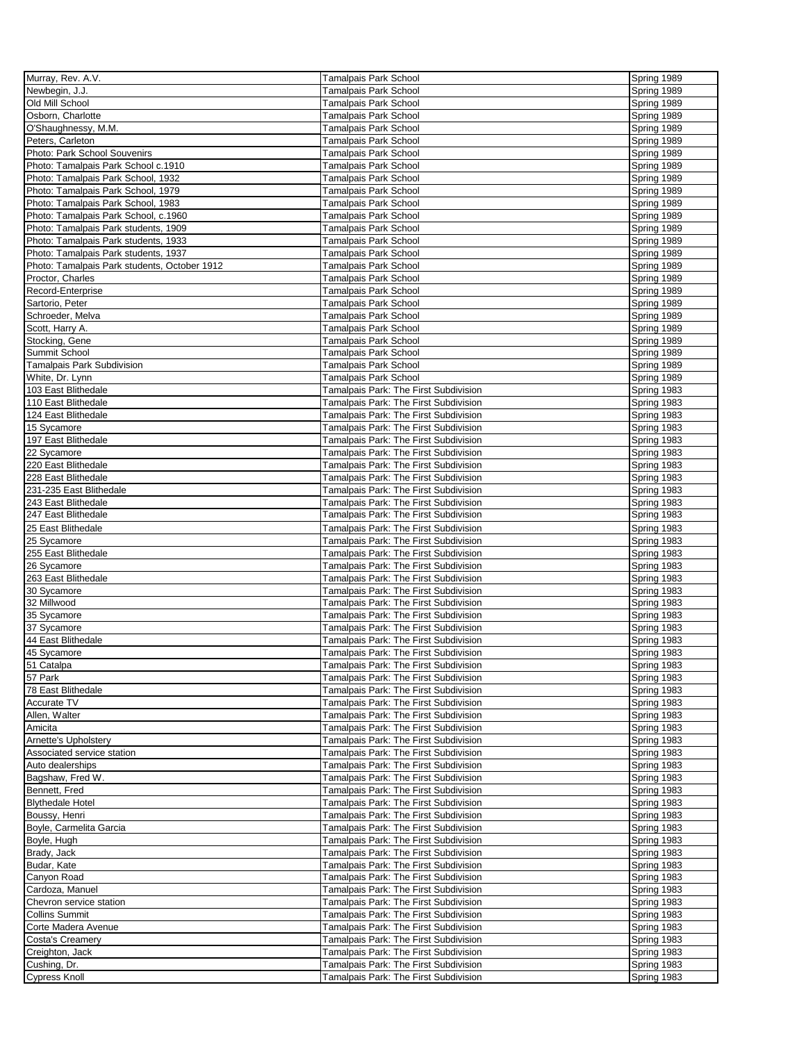| Murray, Rev. A.V.                            | <b>Tamalpais Park School</b>          | Spring 1989 |
|----------------------------------------------|---------------------------------------|-------------|
| Newbegin, J.J.                               | Tamalpais Park School                 | Spring 1989 |
| Old Mill School                              | Tamalpais Park School                 | Spring 1989 |
| Osborn, Charlotte                            | Tamalpais Park School                 | Spring 1989 |
| O'Shaughnessy, M.M.                          | Tamalpais Park School                 | Spring 1989 |
| Peters, Carleton                             | Tamalpais Park School                 | Spring 1989 |
| Photo: Park School Souvenirs                 | Tamalpais Park School                 | Spring 1989 |
| Photo: Tamalpais Park School c.1910          | Tamalpais Park School                 | Spring 1989 |
| Photo: Tamalpais Park School, 1932           | Tamalpais Park School                 | Spring 1989 |
|                                              |                                       |             |
| Photo: Tamalpais Park School, 1979           | Tamalpais Park School                 | Spring 1989 |
| Photo: Tamalpais Park School, 1983           | Tamalpais Park School                 | Spring 1989 |
| Photo: Tamalpais Park School, c.1960         | Tamalpais Park School                 | Spring 1989 |
| Photo: Tamalpais Park students, 1909         | Tamalpais Park School                 | Spring 1989 |
| Photo: Tamalpais Park students, 1933         | Tamalpais Park School                 | Spring 1989 |
| Photo: Tamalpais Park students, 1937         | Tamalpais Park School                 | Spring 1989 |
| Photo: Tamalpais Park students, October 1912 | Tamalpais Park School                 | Spring 1989 |
| Proctor, Charles                             | Tamalpais Park School                 | Spring 1989 |
| Record-Enterprise                            | Tamalpais Park School                 | Spring 1989 |
| Sartorio, Peter                              | Tamalpais Park School                 | Spring 1989 |
| Schroeder, Melva                             | Tamalpais Park School                 | Spring 1989 |
| Scott, Harry A.                              | Tamalpais Park School                 | Spring 1989 |
| Stocking, Gene                               | Tamalpais Park School                 | Spring 1989 |
| Summit School                                | Tamalpais Park School                 | Spring 1989 |
| Tamalpais Park Subdivision                   | <b>Tamalpais Park School</b>          | Spring 1989 |
| White, Dr. Lynn                              | Tamalpais Park School                 | Spring 1989 |
| 103 East Blithedale                          | Tamalpais Park: The First Subdivision | Spring 1983 |
| 110 East Blithedale                          | Tamalpais Park: The First Subdivision | Spring 1983 |
| 124 East Blithedale                          | Tamalpais Park: The First Subdivision | Spring 1983 |
| 15 Sycamore                                  | Tamalpais Park: The First Subdivision | Spring 1983 |
| 197 East Blithedale                          | Tamalpais Park: The First Subdivision | Spring 1983 |
| 22 Sycamore                                  | Tamalpais Park: The First Subdivision | Spring 1983 |
| 220 East Blithedale                          | Tamalpais Park: The First Subdivision | Spring 1983 |
| 228 East Blithedale                          | Tamalpais Park: The First Subdivision | Spring 1983 |
| 231-235 East Blithedale                      | Tamalpais Park: The First Subdivision | Spring 1983 |
| 243 East Blithedale                          |                                       |             |
| 247 East Blithedale                          | Tamalpais Park: The First Subdivision | Spring 1983 |
|                                              | Tamalpais Park: The First Subdivision | Spring 1983 |
| 25 East Blithedale                           | Tamalpais Park: The First Subdivision | Spring 1983 |
| 25 Sycamore                                  | Tamalpais Park: The First Subdivision | Spring 1983 |
| 255 East Blithedale                          | Tamalpais Park: The First Subdivision | Spring 1983 |
| 26 Sycamore                                  | Tamalpais Park: The First Subdivision | Spring 1983 |
| 263 East Blithedale                          | Tamalpais Park: The First Subdivision | Spring 1983 |
| 30 Sycamore                                  | Tamalpais Park: The First Subdivision | Spring 1983 |
| 32 Millwood                                  | Tamalpais Park: The First Subdivision | Spring 1983 |
| 35 Sycamore                                  | Tamalpais Park: The First Subdivision | Spring 1983 |
| 37 Svcamore                                  | Tamalpais Park: The First Subdivision | Spring 1983 |
| 44 East Blithedale                           | Tamalpais Park: The First Subdivision | Spring 1983 |
| 45 Sycamore                                  | Tamalpais Park: The First Subdivision | Spring 1983 |
| 51 Catalpa                                   | Tamalpais Park: The First Subdivision | Spring 1983 |
| 57 Park                                      | Tamalpais Park: The First Subdivision | Spring 1983 |
| 78 East Blithedale                           | Tamalpais Park: The First Subdivision | Spring 1983 |
| Accurate TV                                  | Tamalpais Park: The First Subdivision | Spring 1983 |
| Allen, Walter                                | Tamalpais Park: The First Subdivision | Spring 1983 |
| Amicita                                      | Tamalpais Park: The First Subdivision | Spring 1983 |
| <b>Arnette's Upholstery</b>                  | Tamalpais Park: The First Subdivision | Spring 1983 |
| Associated service station                   | Tamalpais Park: The First Subdivision | Spring 1983 |
| Auto dealerships                             | Tamalpais Park: The First Subdivision | Spring 1983 |
| Bagshaw, Fred W.                             | Tamalpais Park: The First Subdivision | Spring 1983 |
| Bennett, Fred                                | Tamalpais Park: The First Subdivision | Spring 1983 |
| <b>Blythedale Hotel</b>                      | Tamalpais Park: The First Subdivision | Spring 1983 |
| Boussy, Henri                                | Tamalpais Park: The First Subdivision | Spring 1983 |
| Boyle, Carmelita Garcia                      | Tamalpais Park: The First Subdivision | Spring 1983 |
| Boyle, Hugh                                  | Tamalpais Park: The First Subdivision | Spring 1983 |
| Brady, Jack                                  | Tamalpais Park: The First Subdivision | Spring 1983 |
| Budar, Kate                                  | Tamalpais Park: The First Subdivision | Spring 1983 |
| Canyon Road                                  | Tamalpais Park: The First Subdivision | Spring 1983 |
| Cardoza, Manuel                              |                                       |             |
|                                              | Tamalpais Park: The First Subdivision | Spring 1983 |
| Chevron service station                      | Tamalpais Park: The First Subdivision | Spring 1983 |
| <b>Collins Summit</b>                        | Tamalpais Park: The First Subdivision | Spring 1983 |
| Corte Madera Avenue                          | Tamalpais Park: The First Subdivision | Spring 1983 |
| Costa's Creamery                             | Tamalpais Park: The First Subdivision | Spring 1983 |
| Creighton, Jack                              | Tamalpais Park: The First Subdivision | Spring 1983 |
| Cushing, Dr.                                 | Tamalpais Park: The First Subdivision | Spring 1983 |
| <b>Cypress Knoll</b>                         | Tamalpais Park: The First Subdivision | Spring 1983 |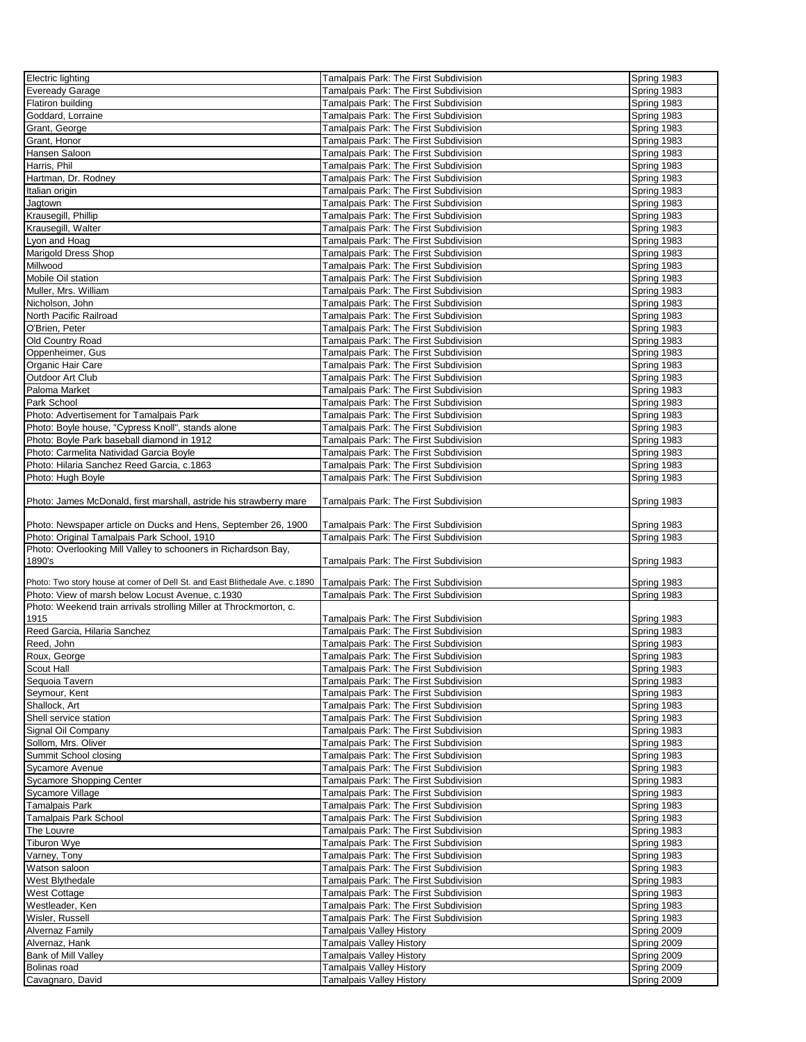| Electric lighting                                                            | Tamalpais Park: The First Subdivision | Spring 1983 |
|------------------------------------------------------------------------------|---------------------------------------|-------------|
| Eveready Garage                                                              | Tamalpais Park: The First Subdivision | Spring 1983 |
| Flatiron building                                                            | Tamalpais Park: The First Subdivision | Spring 1983 |
|                                                                              |                                       |             |
| Goddard, Lorraine                                                            | Tamalpais Park: The First Subdivision | Spring 1983 |
| Grant, George                                                                | Tamalpais Park: The First Subdivision | Spring 1983 |
| Grant, Honor                                                                 | Tamalpais Park: The First Subdivision | Spring 1983 |
| Hansen Saloon                                                                | Tamalpais Park: The First Subdivision | Spring 1983 |
| Harris, Phil                                                                 | Tamalpais Park: The First Subdivision | Spring 1983 |
| Hartman, Dr. Rodney                                                          | Tamalpais Park: The First Subdivision | Spring 1983 |
| Italian origin                                                               | Tamalpais Park: The First Subdivision | Spring 1983 |
| Jagtown                                                                      | Tamalpais Park: The First Subdivision | Spring 1983 |
| Krausegill, Phillip                                                          | Tamalpais Park: The First Subdivision | Spring 1983 |
|                                                                              |                                       |             |
| Krausegill, Walter                                                           | Tamalpais Park: The First Subdivision | Spring 1983 |
| Lyon and Hoag                                                                | Tamalpais Park: The First Subdivision | Spring 1983 |
| Marigold Dress Shop                                                          | Tamalpais Park: The First Subdivision | Spring 1983 |
| Millwood                                                                     | Tamalpais Park: The First Subdivision | Spring 1983 |
| Mobile Oil station                                                           | Tamalpais Park: The First Subdivision | Spring 1983 |
| Muller, Mrs. William                                                         | Tamalpais Park: The First Subdivision | Spring 1983 |
| Nicholson, John                                                              | Tamalpais Park: The First Subdivision | Spring 1983 |
| North Pacific Railroad                                                       | Tamalpais Park: The First Subdivision | Spring 1983 |
| O'Brien, Peter                                                               | Tamalpais Park: The First Subdivision | Spring 1983 |
|                                                                              |                                       |             |
| Old Country Road                                                             | Tamalpais Park: The First Subdivision | Spring 1983 |
| Oppenheimer, Gus                                                             | Tamalpais Park: The First Subdivision | Spring 1983 |
| Organic Hair Care                                                            | Tamalpais Park: The First Subdivision | Spring 1983 |
| Outdoor Art Club                                                             | Tamalpais Park: The First Subdivision | Spring 1983 |
| Paloma Market                                                                | Tamalpais Park: The First Subdivision | Spring 1983 |
| Park School                                                                  | Tamalpais Park: The First Subdivision | Spring 1983 |
| Photo: Advertisement for Tamalpais Park                                      | Tamalpais Park: The First Subdivision | Spring 1983 |
| Photo: Boyle house, "Cypress Knoll", stands alone                            | Tamalpais Park: The First Subdivision | Spring 1983 |
| Photo: Boyle Park baseball diamond in 1912                                   | Tamalpais Park: The First Subdivision | Spring 1983 |
| Photo: Carmelita Natividad Garcia Boyle                                      | Tamalpais Park: The First Subdivision | Spring 1983 |
|                                                                              |                                       |             |
| Photo: Hilaria Sanchez Reed Garcia, c.1863                                   | Tamalpais Park: The First Subdivision | Spring 1983 |
| Photo: Hugh Boyle                                                            | Tamalpais Park: The First Subdivision | Spring 1983 |
|                                                                              |                                       |             |
| Photo: James McDonald, first marshall, astride his strawberry mare           | Tamalpais Park: The First Subdivision | Spring 1983 |
|                                                                              |                                       |             |
| Photo: Newspaper article on Ducks and Hens, September 26, 1900               | Tamalpais Park: The First Subdivision | Spring 1983 |
|                                                                              |                                       |             |
| Photo: Original Tamalpais Park School, 1910                                  |                                       | Spring 1983 |
|                                                                              | Tamalpais Park: The First Subdivision |             |
| Photo: Overlooking Mill Valley to schooners in Richardson Bay,<br>1890's     |                                       |             |
|                                                                              | Tamalpais Park: The First Subdivision | Spring 1983 |
| Photo: Two story house at corner of Dell St. and East Blithedale Ave. c.1890 | Tamalpais Park: The First Subdivision | Spring 1983 |
| Photo: View of marsh below Locust Avenue, c.1930                             | Tamalpais Park: The First Subdivision | Spring 1983 |
|                                                                              |                                       |             |
| Photo: Weekend train arrivals strolling Miller at Throckmorton, c.           |                                       |             |
| 1915                                                                         | Tamalpais Park: The First Subdivision | Spring 1983 |
| Reed Garcia, Hilaria Sanchez                                                 | Tamalpais Park: The First Subdivision | Spring 1983 |
| Reed, John                                                                   | Tamalpais Park: The First Subdivision | Spring 1983 |
| Roux, George                                                                 | Tamalpais Park: The First Subdivision | Spring 1983 |
| Scout Hall                                                                   | Tamalpais Park: The First Subdivision | Spring 1983 |
| Sequoia Tavern                                                               | Tamalpais Park: The First Subdivision | Spring 1983 |
| Seymour, Kent                                                                | Tamalpais Park: The First Subdivision | Spring 1983 |
| Shallock, Art                                                                | Tamalpais Park: The First Subdivision | Spring 1983 |
| Shell service station                                                        | Tamalpais Park: The First Subdivision | Spring 1983 |
|                                                                              | Tamalpais Park: The First Subdivision | Spring 1983 |
| Signal Oil Company                                                           |                                       |             |
| Sollom, Mrs. Oliver                                                          | Tamalpais Park: The First Subdivision | Spring 1983 |
| Summit School closing                                                        | Tamalpais Park: The First Subdivision | Spring 1983 |
| Sycamore Avenue                                                              | Tamalpais Park: The First Subdivision | Spring 1983 |
| Sycamore Shopping Center                                                     | Tamalpais Park: The First Subdivision | Spring 1983 |
| Sycamore Village                                                             | Tamalpais Park: The First Subdivision | Spring 1983 |
| Tamalpais Park                                                               | Tamalpais Park: The First Subdivision | Spring 1983 |
| Tamalpais Park School                                                        | Tamalpais Park: The First Subdivision | Spring 1983 |
| The Louvre                                                                   | Tamalpais Park: The First Subdivision | Spring 1983 |
| Tiburon Wye                                                                  | Tamalpais Park: The First Subdivision | Spring 1983 |
| Varney, Tony                                                                 | Tamalpais Park: The First Subdivision | Spring 1983 |
| Watson saloon                                                                |                                       | Spring 1983 |
|                                                                              | Tamalpais Park: The First Subdivision |             |
| West Blythedale                                                              | Tamalpais Park: The First Subdivision | Spring 1983 |
| West Cottage                                                                 | Tamalpais Park: The First Subdivision | Spring 1983 |
| Westleader, Ken                                                              | Tamalpais Park: The First Subdivision | Spring 1983 |
| Wisler, Russell                                                              | Tamalpais Park: The First Subdivision | Spring 1983 |
| Alvernaz Family                                                              | <b>Tamalpais Valley History</b>       | Spring 2009 |
| Alvernaz, Hank                                                               | <b>Tamalpais Valley History</b>       | Spring 2009 |
| Bank of Mill Valley                                                          | Tamalpais Valley History              | Spring 2009 |
| Bolinas road                                                                 | <b>Tamalpais Valley History</b>       | Spring 2009 |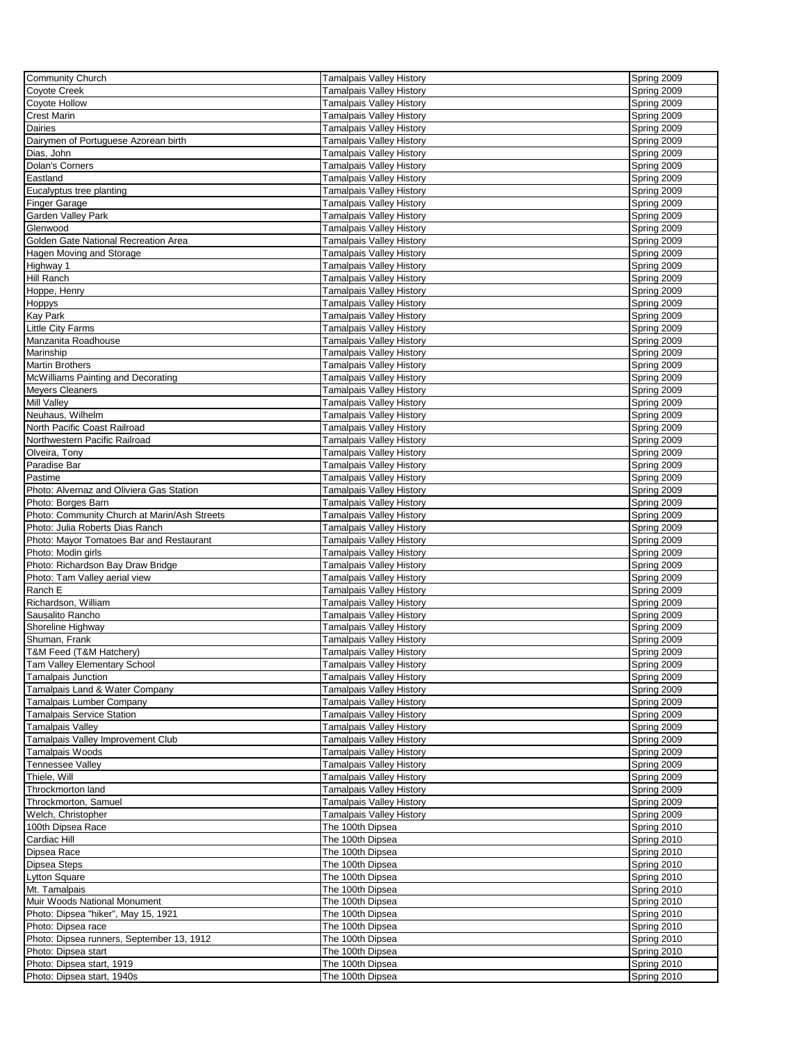| <b>Community Church</b>                      | <b>Tamalpais Valley History</b> | Spring 2009 |
|----------------------------------------------|---------------------------------|-------------|
| Coyote Creek                                 | <b>Tamalpais Valley History</b> | Spring 2009 |
| Coyote Hollow                                | <b>Tamalpais Valley History</b> | Spring 2009 |
| <b>Crest Marin</b>                           | <b>Tamalpais Valley History</b> | Spring 2009 |
| Dairies                                      | Tamalpais Valley History        | Spring 2009 |
| Dairymen of Portuguese Azorean birth         | Tamalpais Valley History        | Spring 2009 |
| Dias, John                                   | <b>Tamalpais Valley History</b> | Spring 2009 |
| Dolan's Corners                              | Tamalpais Valley History        | Spring 2009 |
|                                              |                                 |             |
| Eastland                                     | Tamalpais Valley History        | Spring 2009 |
| Eucalyptus tree planting                     | <b>Tamalpais Valley History</b> | Spring 2009 |
| <b>Finger Garage</b>                         | <b>Tamalpais Valley History</b> | Spring 2009 |
| <b>Garden Valley Park</b>                    | <b>Tamalpais Valley History</b> | Spring 2009 |
| Glenwood                                     | <b>Tamalpais Valley History</b> | Spring 2009 |
| Golden Gate National Recreation Area         | <b>Tamalpais Valley History</b> | Spring 2009 |
| Hagen Moving and Storage                     | <b>Tamalpais Valley History</b> | Spring 2009 |
| Highway 1                                    | <b>Tamalpais Valley History</b> | Spring 2009 |
| Hill Ranch                                   | <b>Tamalpais Valley History</b> | Spring 2009 |
| Hoppe, Henry                                 | <b>Tamalpais Valley History</b> | Spring 2009 |
| Hoppys                                       | <b>Tamalpais Valley History</b> | Spring 2009 |
| <b>Kay Park</b>                              | Tamalpais Valley History        | Spring 2009 |
| Little City Farms                            | <b>Tamalpais Valley History</b> | Spring 2009 |
|                                              |                                 |             |
| Manzanita Roadhouse                          | <b>Tamalpais Valley History</b> | Spring 2009 |
| Marinship                                    | <b>Tamalpais Valley History</b> | Spring 2009 |
| <b>Martin Brothers</b>                       | <b>Tamalpais Valley History</b> | Spring 2009 |
| McWilliams Painting and Decorating           | <b>Tamalpais Valley History</b> | Spring 2009 |
| <b>Meyers Cleaners</b>                       | <b>Tamalpais Valley History</b> | Spring 2009 |
| <b>Mill Valley</b>                           | <b>Tamalpais Valley History</b> | Spring 2009 |
| Neuhaus, Wilhelm                             | <b>Tamalpais Valley History</b> | Spring 2009 |
| North Pacific Coast Railroad                 | Tamalpais Valley History        | Spring 2009 |
| Northwestern Pacific Railroad                | <b>Tamalpais Valley History</b> | Spring 2009 |
| Olveira, Tony                                | Tamalpais Valley History        | Spring 2009 |
| Paradise Bar                                 | <b>Tamalpais Valley History</b> | Spring 2009 |
| Pastime                                      | <b>Tamalpais Valley History</b> | Spring 2009 |
| Photo: Alvernaz and Oliviera Gas Station     | Tamalpais Valley History        | Spring 2009 |
|                                              |                                 |             |
| Photo: Borges Barn                           | <b>Tamalpais Valley History</b> | Spring 2009 |
| Photo: Community Church at Marin/Ash Streets | <b>Tamalpais Valley History</b> | Spring 2009 |
| Photo: Julia Roberts Dias Ranch              | <b>Tamalpais Valley History</b> | Spring 2009 |
| Photo: Mayor Tomatoes Bar and Restaurant     | <b>Tamalpais Valley History</b> | Spring 2009 |
| Photo: Modin girls                           | Tamalpais Valley History        | Spring 2009 |
| Photo: Richardson Bay Draw Bridge            | <b>Tamalpais Valley History</b> | Spring 2009 |
| Photo: Tam Valley aerial view                | <b>Tamalpais Valley History</b> | Spring 2009 |
| Ranch E                                      | <b>Tamalpais Valley History</b> | Spring 2009 |
| Richardson, William                          | <b>Tamalpais Valley History</b> | Spring 2009 |
| Sausalito Rancho                             | <b>Tamalpais Valley History</b> | Spring 2009 |
| Shoreline Highway                            | <b>Tamalpais Valley History</b> | Spring 2009 |
| Shuman, Frank                                | <b>Tamalpais Valley History</b> | Spring 2009 |
| T&M Feed (T&M Hatchery)                      | <b>Tamalpais Valley History</b> | Spring 2009 |
|                                              |                                 |             |
| <b>Tam Valley Elementary School</b>          | <b>Tamalpais Valley History</b> | Spring 2009 |
| <b>Tamalpais Junction</b>                    | <b>Tamalpais Valley History</b> | Spring 2009 |
| Tamalpais Land & Water Company               | <b>Tamalpais Valley History</b> | Spring 2009 |
| <b>Tamalpais Lumber Company</b>              | <b>Tamalpais Valley History</b> | Spring 2009 |
| <b>Tamalpais Service Station</b>             | <b>Tamalpais Valley History</b> | Spring 2009 |
| <b>Tamalpais Valley</b>                      | <b>Tamalpais Valley History</b> | Spring 2009 |
| Tamalpais Valley Improvement Club            | <b>Tamalpais Valley History</b> | Spring 2009 |
| Tamalpais Woods                              | <b>Tamalpais Valley History</b> | Spring 2009 |
| <b>Tennessee Valley</b>                      | <b>Tamalpais Valley History</b> | Spring 2009 |
| Thiele, Will                                 | <b>Tamalpais Valley History</b> | Spring 2009 |
| Throckmorton land                            | <b>Tamalpais Valley History</b> | Spring 2009 |
| Throckmorton, Samuel                         | Tamalpais Valley History        | Spring 2009 |
| Welch, Christopher                           | <b>Tamalpais Valley History</b> | Spring 2009 |
| 100th Dipsea Race                            | The 100th Dipsea                | Spring 2010 |
| Cardiac Hill                                 | The 100th Dipsea                | Spring 2010 |
|                                              |                                 |             |
| Dipsea Race                                  | The 100th Dipsea                | Spring 2010 |
| Dipsea Steps                                 | The 100th Dipsea                | Spring 2010 |
| <b>Lytton Square</b>                         | The 100th Dipsea                | Spring 2010 |
| Mt. Tamalpais                                | The 100th Dipsea                | Spring 2010 |
| Muir Woods National Monument                 | The 100th Dipsea                | Spring 2010 |
| Photo: Dipsea "hiker", May 15, 1921          | The 100th Dipsea                | Spring 2010 |
| Photo: Dipsea race                           | The 100th Dipsea                | Spring 2010 |
| Photo: Dipsea runners, September 13, 1912    | The 100th Dipsea                | Spring 2010 |
| Photo: Dipsea start                          | The 100th Dipsea                | Spring 2010 |
| Photo: Dipsea start, 1919                    | The 100th Dipsea                | Spring 2010 |
| Photo: Dipsea start, 1940s                   | The 100th Dipsea                | Spring 2010 |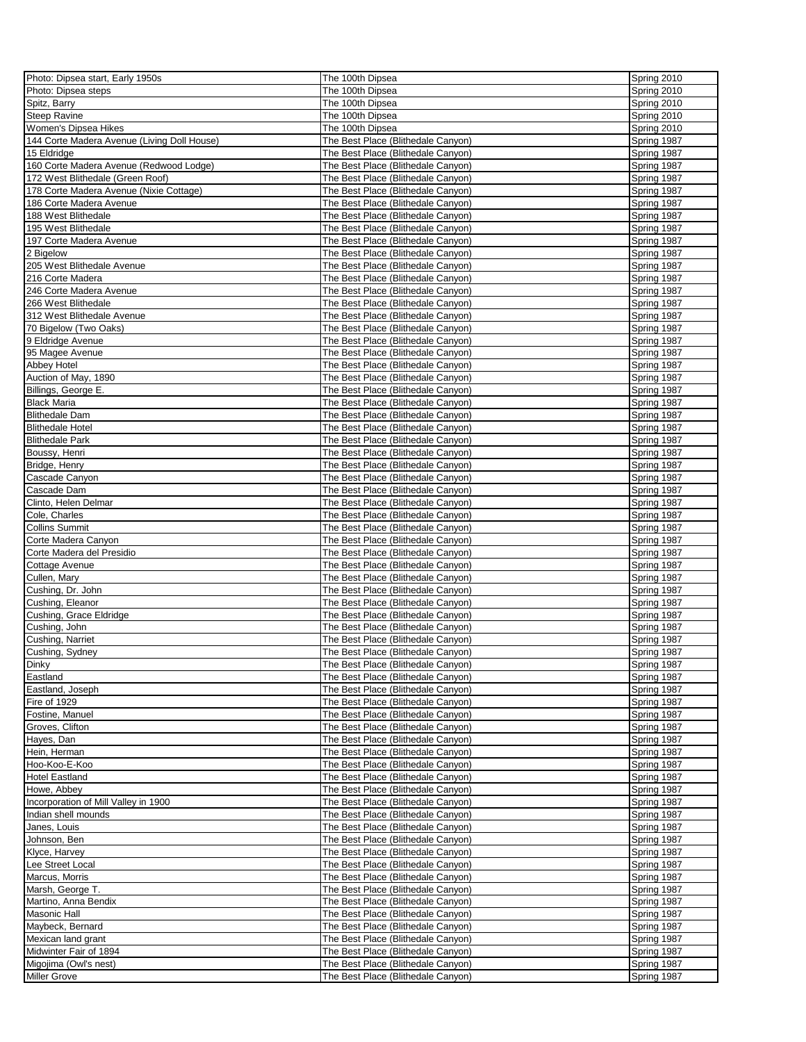| Photo: Dipsea start, Early 1950s            | The 100th Dipsea                   | Spring 2010 |
|---------------------------------------------|------------------------------------|-------------|
| Photo: Dipsea steps                         | The 100th Dipsea                   | Spring 2010 |
| Spitz, Barry                                | The 100th Dipsea                   | Spring 2010 |
| <b>Steep Ravine</b>                         | The 100th Dipsea                   | Spring 2010 |
| Women's Dipsea Hikes                        | The 100th Dipsea                   | Spring 2010 |
| 144 Corte Madera Avenue (Living Doll House) | The Best Place (Blithedale Canyon) | Spring 1987 |
|                                             |                                    |             |
| 15 Eldridge                                 | The Best Place (Blithedale Canyon) | Spring 1987 |
| 160 Corte Madera Avenue (Redwood Lodge)     | The Best Place (Blithedale Canyon) | Spring 1987 |
| 172 West Blithedale (Green Roof)            | The Best Place (Blithedale Canyon) | Spring 1987 |
| 178 Corte Madera Avenue (Nixie Cottage)     | The Best Place (Blithedale Canyon) | Spring 1987 |
| 186 Corte Madera Avenue                     | The Best Place (Blithedale Canyon) | Spring 1987 |
| 188 West Blithedale                         | The Best Place (Blithedale Canyon) | Spring 1987 |
| 195 West Blithedale                         | The Best Place (Blithedale Canyon) | Spring 1987 |
| 197 Corte Madera Avenue                     | The Best Place (Blithedale Canyon) | Spring 1987 |
| 2 Bigelow                                   | The Best Place (Blithedale Canyon) | Spring 1987 |
| 205 West Blithedale Avenue                  | The Best Place (Blithedale Canyon) | Spring 1987 |
| 216 Corte Madera                            | The Best Place (Blithedale Canyon) | Spring 1987 |
| 246 Corte Madera Avenue                     | The Best Place (Blithedale Canyon) | Spring 1987 |
|                                             |                                    |             |
| 266 West Blithedale                         | The Best Place (Blithedale Canyon) | Spring 1987 |
| 312 West Blithedale Avenue                  | The Best Place (Blithedale Canyon) | Spring 1987 |
| 70 Bigelow (Two Oaks)                       | The Best Place (Blithedale Canyon) | Spring 1987 |
| 9 Eldridge Avenue                           | The Best Place (Blithedale Canyon) | Spring 1987 |
| 95 Magee Avenue                             | The Best Place (Blithedale Canyon) | Spring 1987 |
| Abbey Hotel                                 | The Best Place (Blithedale Canyon) | Spring 1987 |
| Auction of May, 1890                        | The Best Place (Blithedale Canyon) | Spring 1987 |
| Billings, George E.                         | The Best Place (Blithedale Canyon) | Spring 1987 |
| <b>Black Maria</b>                          | The Best Place (Blithedale Canyon) | Spring 1987 |
| <b>Blithedale Dam</b>                       | The Best Place (Blithedale Canyon) | Spring 1987 |
|                                             |                                    |             |
| <b>Blithedale Hotel</b>                     | The Best Place (Blithedale Canyon) | Spring 1987 |
| <b>Blithedale Park</b>                      | The Best Place (Blithedale Canyon) | Spring 1987 |
| Boussy, Henri                               | The Best Place (Blithedale Canyon) | Spring 1987 |
| Bridge, Henry                               | The Best Place (Blithedale Canyon) | Spring 1987 |
| Cascade Canyon                              | The Best Place (Blithedale Canyon) | Spring 1987 |
| Cascade Dam                                 | The Best Place (Blithedale Canyon) | Spring 1987 |
| Clinto, Helen Delmar                        | The Best Place (Blithedale Canyon) | Spring 1987 |
| Cole, Charles                               | The Best Place (Blithedale Canyon) | Spring 1987 |
| <b>Collins Summit</b>                       | The Best Place (Blithedale Canyon) | Spring 1987 |
| Corte Madera Canyon                         | The Best Place (Blithedale Canyon) | Spring 1987 |
| Corte Madera del Presidio                   | The Best Place (Blithedale Canyon) | Spring 1987 |
|                                             |                                    |             |
| Cottage Avenue                              | The Best Place (Blithedale Canyon) | Spring 1987 |
| Cullen, Mary                                | The Best Place (Blithedale Canyon) | Spring 1987 |
| Cushing, Dr. John                           | The Best Place (Blithedale Canyon) | Spring 1987 |
| Cushing, Eleanor                            | The Best Place (Blithedale Canyon) | Spring 1987 |
| Cushing, Grace Eldridge                     | The Best Place (Blithedale Canyon) | Spring 1987 |
| Cushing, John                               | The Best Place (Blithedale Canyon) | Spring 1987 |
| Cushing, Narriet                            | The Best Place (Blithedale Canyon) | Spring 1987 |
| Cushing, Sydney                             | The Best Place (Blithedale Canyon) | Spring 1987 |
| Dinky                                       | The Best Place (Blithedale Canyon) | Spring 1987 |
| Eastland                                    | The Best Place (Blithedale Canyon) | Spring 1987 |
| Eastland, Joseph                            | The Best Place (Blithedale Canyon) | Spring 1987 |
|                                             |                                    |             |
| Fire of 1929                                | The Best Place (Blithedale Canyon) | Spring 1987 |
| Fostine, Manuel                             | The Best Place (Blithedale Canyon) | Spring 1987 |
| Groves, Clifton                             | The Best Place (Blithedale Canyon) | Spring 1987 |
| Hayes, Dan                                  | The Best Place (Blithedale Canyon) | Spring 1987 |
| Hein, Herman                                | The Best Place (Blithedale Canyon) | Spring 1987 |
| Hoo-Koo-E-Koo                               | The Best Place (Blithedale Canyon) | Spring 1987 |
| <b>Hotel Eastland</b>                       | The Best Place (Blithedale Canyon) | Spring 1987 |
| Howe, Abbey                                 | The Best Place (Blithedale Canyon) | Spring 1987 |
| Incorporation of Mill Valley in 1900        | The Best Place (Blithedale Canyon) | Spring 1987 |
| Indian shell mounds                         | The Best Place (Blithedale Canyon) | Spring 1987 |
| Janes, Louis                                | The Best Place (Blithedale Canyon) | Spring 1987 |
| Johnson, Ben                                | The Best Place (Blithedale Canyon) | Spring 1987 |
|                                             |                                    |             |
| Klyce, Harvey                               | The Best Place (Blithedale Canyon) | Spring 1987 |
| Lee Street Local                            | The Best Place (Blithedale Canyon) | Spring 1987 |
| Marcus, Morris                              | The Best Place (Blithedale Canyon) | Spring 1987 |
| Marsh, George T.                            | The Best Place (Blithedale Canyon) | Spring 1987 |
| Martino, Anna Bendix                        | The Best Place (Blithedale Canyon) | Spring 1987 |
| <b>Masonic Hall</b>                         | The Best Place (Blithedale Canyon) | Spring 1987 |
| Maybeck, Bernard                            | The Best Place (Blithedale Canyon) | Spring 1987 |
| Mexican land grant                          | The Best Place (Blithedale Canyon) | Spring 1987 |
| Midwinter Fair of 1894                      | The Best Place (Blithedale Canyon) | Spring 1987 |
| Migojima (Owl's nest)                       | The Best Place (Blithedale Canyon) | Spring 1987 |
| <b>Miller Grove</b>                         | The Best Place (Blithedale Canyon) |             |
|                                             |                                    | Spring 1987 |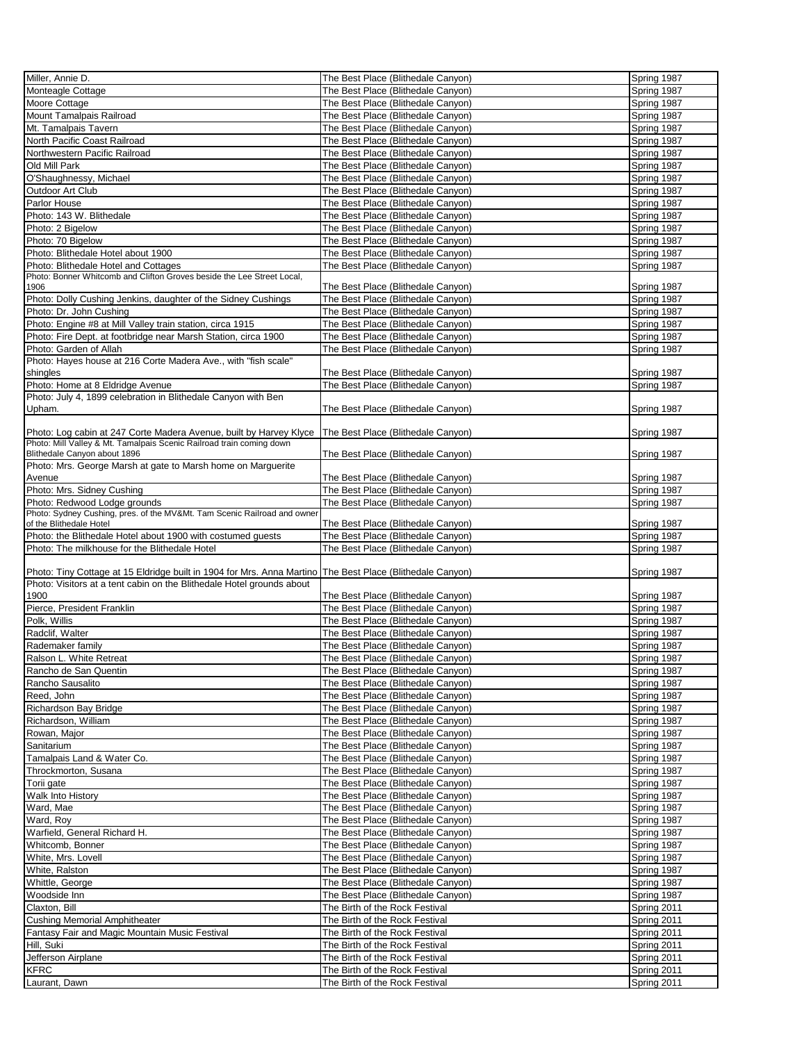| Miller, Annie D.                                                                                          | The Best Place (Blithedale Canyon)                               | Spring 1987                |
|-----------------------------------------------------------------------------------------------------------|------------------------------------------------------------------|----------------------------|
| Monteagle Cottage                                                                                         | The Best Place (Blithedale Canyon)                               | Spring 1987                |
|                                                                                                           |                                                                  |                            |
| Moore Cottage                                                                                             | The Best Place (Blithedale Canyon)                               | Spring 1987                |
| Mount Tamalpais Railroad                                                                                  | The Best Place (Blithedale Canyon)                               | Spring 1987                |
| Mt. Tamalpais Tavern                                                                                      | The Best Place (Blithedale Canyon)                               | Spring 1987                |
|                                                                                                           | The Best Place (Blithedale Canyon)                               |                            |
| North Pacific Coast Railroad                                                                              |                                                                  | Spring 1987                |
| Northwestern Pacific Railroad                                                                             | The Best Place (Blithedale Canyon)                               | Spring 1987                |
| Old Mill Park                                                                                             | The Best Place (Blithedale Canyon)                               | Spring 1987                |
| O'Shaughnessy, Michael                                                                                    | The Best Place (Blithedale Canyon)                               | Spring 1987                |
|                                                                                                           |                                                                  |                            |
| Outdoor Art Club                                                                                          | The Best Place (Blithedale Canyon)                               | Spring 1987                |
| Parlor House                                                                                              | The Best Place (Blithedale Canyon)                               | Spring 1987                |
| Photo: 143 W. Blithedale                                                                                  | The Best Place (Blithedale Canyon)                               | Spring 1987                |
| Photo: 2 Bigelow                                                                                          | The Best Place (Blithedale Canyon)                               | Spring 1987                |
|                                                                                                           |                                                                  |                            |
| Photo: 70 Bigelow                                                                                         | The Best Place (Blithedale Canyon)                               | Spring 1987                |
| Photo: Blithedale Hotel about 1900                                                                        | The Best Place (Blithedale Canyon)                               | Spring 1987                |
| Photo: Blithedale Hotel and Cottages                                                                      | The Best Place (Blithedale Canyon)                               | Spring 1987                |
| Photo: Bonner Whitcomb and Clifton Groves beside the Lee Street Local,                                    |                                                                  |                            |
| 1906                                                                                                      | The Best Place (Blithedale Canyon)                               | Spring 1987                |
|                                                                                                           |                                                                  |                            |
| Photo: Dolly Cushing Jenkins, daughter of the Sidney Cushings                                             | The Best Place (Blithedale Canyon)                               | Spring 1987                |
| Photo: Dr. John Cushing                                                                                   | The Best Place (Blithedale Canyon)                               | Spring 1987                |
| Photo: Engine #8 at Mill Valley train station, circa 1915                                                 | The Best Place (Blithedale Canyon)                               | Spring 1987                |
|                                                                                                           |                                                                  |                            |
| Photo: Fire Dept. at footbridge near Marsh Station, circa 1900                                            | The Best Place (Blithedale Canyon)                               | Spring 1987                |
| Photo: Garden of Allah                                                                                    | The Best Place (Blithedale Canyon)                               | Spring 1987                |
| Photo: Hayes house at 216 Corte Madera Ave., with "fish scale"                                            |                                                                  |                            |
| shingles                                                                                                  | The Best Place (Blithedale Canvon)                               | Spring 1987                |
|                                                                                                           |                                                                  |                            |
| Photo: Home at 8 Eldridge Avenue                                                                          | The Best Place (Blithedale Canyon)                               | Spring 1987                |
| Photo: July 4, 1899 celebration in Blithedale Canyon with Ben                                             |                                                                  |                            |
| Upham.                                                                                                    | The Best Place (Blithedale Canyon)                               | Spring 1987                |
|                                                                                                           |                                                                  |                            |
|                                                                                                           |                                                                  |                            |
| Photo: Log cabin at 247 Corte Madera Avenue, built by Harvey Klyce   The Best Place (Blithedale Canyon)   |                                                                  | Spring 1987                |
| Photo: Mill Valley & Mt. Tamalpais Scenic Railroad train coming down                                      |                                                                  |                            |
| Blithedale Canyon about 1896                                                                              | The Best Place (Blithedale Canyon)                               | Spring 1987                |
| Photo: Mrs. George Marsh at gate to Marsh home on Marguerite                                              |                                                                  |                            |
| Avenue                                                                                                    | The Best Place (Blithedale Canyon)                               | Spring 1987                |
|                                                                                                           |                                                                  |                            |
| Photo: Mrs. Sidney Cushing                                                                                | The Best Place (Blithedale Canyon)                               | Spring 1987                |
| Photo: Redwood Lodge grounds                                                                              | The Best Place (Blithedale Canyon)                               | Spring 1987                |
| Photo: Sydney Cushing, pres. of the MV&Mt. Tam Scenic Railroad and owner                                  |                                                                  |                            |
| of the Blithedale Hotel                                                                                   | The Best Place (Blithedale Canyon)                               | Spring 1987                |
| Photo: the Blithedale Hotel about 1900 with costumed guests                                               | The Best Place (Blithedale Canyon)                               | Spring 1987                |
|                                                                                                           |                                                                  |                            |
| Photo: The milkhouse for the Blithedale Hotel                                                             | The Best Place (Blithedale Canyon)                               | Spring 1987                |
|                                                                                                           |                                                                  |                            |
| Photo: Tiny Cottage at 15 Eldridge built in 1904 for Mrs. Anna Martino The Best Place (Blithedale Canyon) |                                                                  | Spring 1987                |
| Photo: Visitors at a tent cabin on the Blithedale Hotel grounds about                                     |                                                                  |                            |
|                                                                                                           |                                                                  |                            |
| 1900                                                                                                      | The Best Place (Blithedale Canyon)                               | Spring 1987                |
| Pierce, President Franklin                                                                                | The Best Place (Blithedale Canyon)                               | Spring 1987                |
| Polk, Willis                                                                                              | The Best Place (Blithedale Canyon)                               | Spring 1987                |
|                                                                                                           |                                                                  |                            |
| Radclif, Walter                                                                                           | The Best Place (Blithedale Canyon)                               | Spring 1987                |
| Rademaker family                                                                                          | The Best Place (Blithedale Canyon)                               | Spring 1987                |
| Ralson L. White Retreat                                                                                   | The Best Place (Blithedale Canyon)                               | Spring 1987                |
| Rancho de San Quentin                                                                                     | The Best Place (Blithedale Canyon)                               | Spring 1987                |
|                                                                                                           |                                                                  |                            |
| Rancho Sausalito                                                                                          | The Best Place (Blithedale Canyon)                               | Spring 1987                |
| Reed, John                                                                                                | The Best Place (Blithedale Canyon)                               | Spring 1987                |
| Richardson Bay Bridge                                                                                     | The Best Place (Blithedale Canyon)                               | Spring 1987                |
|                                                                                                           |                                                                  |                            |
| Richardson, William                                                                                       | The Best Place (Blithedale Canyon)                               | Spring 1987                |
| Rowan, Major                                                                                              | The Best Place (Blithedale Canyon)                               | Spring 1987                |
| Sanitarium                                                                                                | The Best Place (Blithedale Canyon)                               | Spring 1987                |
|                                                                                                           |                                                                  |                            |
| Tamalpais Land & Water Co.                                                                                | The Best Place (Blithedale Canyon)                               | Spring 1987                |
| Throckmorton, Susana                                                                                      | The Best Place (Blithedale Canyon)                               | Spring 1987                |
| Torii gate                                                                                                | The Best Place (Blithedale Canyon)                               | Spring 1987                |
| Walk Into History                                                                                         | The Best Place (Blithedale Canyon)                               | Spring 1987                |
|                                                                                                           |                                                                  |                            |
| Ward, Mae                                                                                                 |                                                                  |                            |
| Ward, Roy                                                                                                 | The Best Place (Blithedale Canyon)                               | Spring 1987                |
|                                                                                                           | The Best Place (Blithedale Canyon)                               | Spring 1987                |
|                                                                                                           |                                                                  |                            |
| Warfield, General Richard H.                                                                              | The Best Place (Blithedale Canyon)                               | Spring 1987                |
| Whitcomb, Bonner                                                                                          | The Best Place (Blithedale Canyon)                               | Spring 1987                |
| White, Mrs. Lovell                                                                                        | The Best Place (Blithedale Canyon)                               | Spring 1987                |
| White, Ralston                                                                                            | The Best Place (Blithedale Canyon)                               | Spring 1987                |
|                                                                                                           |                                                                  |                            |
| Whittle, George                                                                                           | The Best Place (Blithedale Canyon)                               | Spring 1987                |
| Woodside Inn                                                                                              | The Best Place (Blithedale Canyon)                               | Spring 1987                |
| Claxton, Bill                                                                                             | The Birth of the Rock Festival                                   | Spring 2011                |
|                                                                                                           |                                                                  |                            |
| <b>Cushing Memorial Amphitheater</b>                                                                      | The Birth of the Rock Festival                                   | Spring 2011                |
| Fantasy Fair and Magic Mountain Music Festival                                                            | The Birth of the Rock Festival                                   | Spring 2011                |
| Hill, Suki                                                                                                | The Birth of the Rock Festival                                   | Spring 2011                |
|                                                                                                           |                                                                  |                            |
| Jefferson Airplane                                                                                        | The Birth of the Rock Festival                                   | Spring 2011                |
| <b>KFRC</b><br>Laurant, Dawn                                                                              | The Birth of the Rock Festival<br>The Birth of the Rock Festival | Spring 2011<br>Spring 2011 |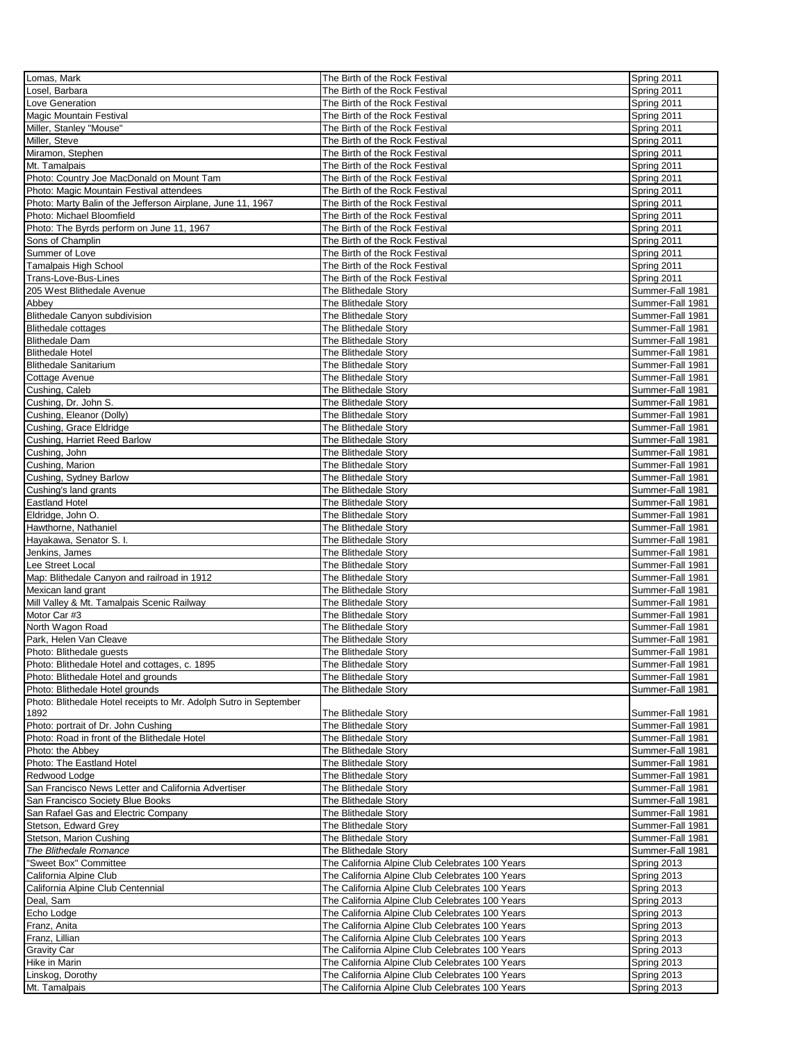| Lomas, Mark                                                       | The Birth of the Rock Festival                  | Spring 2011      |
|-------------------------------------------------------------------|-------------------------------------------------|------------------|
| Losel, Barbara                                                    | The Birth of the Rock Festival                  | Spring 2011      |
| Love Generation                                                   | The Birth of the Rock Festival                  | Spring 2011      |
|                                                                   | The Birth of the Rock Festival                  | Spring 2011      |
| <b>Magic Mountain Festival</b>                                    |                                                 |                  |
| Miller, Stanley "Mouse"                                           | The Birth of the Rock Festival                  | Spring 2011      |
| Miller, Steve                                                     | The Birth of the Rock Festival                  | Spring 2011      |
| Miramon, Stephen                                                  | The Birth of the Rock Festival                  | Spring 2011      |
| Mt. Tamalpais                                                     | The Birth of the Rock Festival                  | Spring 2011      |
| Photo: Country Joe MacDonald on Mount Tam                         | The Birth of the Rock Festival                  | Spring 2011      |
| Photo: Magic Mountain Festival attendees                          | The Birth of the Rock Festival                  | Spring 2011      |
| Photo: Marty Balin of the Jefferson Airplane, June 11, 1967       | The Birth of the Rock Festival                  | Spring 2011      |
| Photo: Michael Bloomfield                                         | The Birth of the Rock Festival                  | Spring 2011      |
| Photo: The Byrds perform on June 11, 1967                         | The Birth of the Rock Festival                  | Spring 2011      |
| Sons of Champlin                                                  | The Birth of the Rock Festival                  | Spring 2011      |
| Summer of Love                                                    | The Birth of the Rock Festival                  | Spring 2011      |
| <b>Tamalpais High School</b>                                      | The Birth of the Rock Festival                  | Spring 2011      |
| Trans-Love-Bus-Lines                                              | The Birth of the Rock Festival                  | Spring 2011      |
| 205 West Blithedale Avenue                                        | The Blithedale Story                            | Summer-Fall 1981 |
|                                                                   |                                                 |                  |
| Abbey                                                             | The Blithedale Story                            | Summer-Fall 1981 |
| Blithedale Canyon subdivision                                     | The Blithedale Story                            | Summer-Fall 1981 |
| <b>Blithedale cottages</b>                                        | The Blithedale Story                            | Summer-Fall 1981 |
| <b>Blithedale Dam</b>                                             | The Blithedale Story                            | Summer-Fall 1981 |
| <b>Blithedale Hotel</b>                                           | The Blithedale Story                            | Summer-Fall 1981 |
| <b>Blithedale Sanitarium</b>                                      | The Blithedale Story                            | Summer-Fall 1981 |
| Cottage Avenue                                                    | The Blithedale Story                            | Summer-Fall 1981 |
| Cushing, Caleb                                                    | The Blithedale Story                            | Summer-Fall 1981 |
| Cushing, Dr. John S.                                              | The Blithedale Story                            | Summer-Fall 1981 |
| Cushing, Eleanor (Dolly)                                          | The Blithedale Story                            | Summer-Fall 1981 |
| Cushing, Grace Eldridge                                           | The Blithedale Storv                            | Summer-Fall 1981 |
| Cushing, Harriet Reed Barlow                                      | The Blithedale Storv                            | Summer-Fall 1981 |
| Cushing, John                                                     | The Blithedale Story                            | Summer-Fall 1981 |
| Cushing, Marion                                                   | The Blithedale Story                            | Summer-Fall 1981 |
| Cushing, Sydney Barlow                                            | The Blithedale Story                            | Summer-Fall 1981 |
| Cushing's land grants                                             | The Blithedale Story                            | Summer-Fall 1981 |
| <b>Eastland Hotel</b>                                             | The Blithedale Story                            | Summer-Fall 1981 |
| Eldridge, John O.                                                 | The Blithedale Story                            | Summer-Fall 1981 |
| Hawthorne, Nathaniel                                              | The Blithedale Story                            | Summer-Fall 1981 |
| Hayakawa, Senator S. I.                                           | The Blithedale Story                            | Summer-Fall 1981 |
| Jenkins, James                                                    | The Blithedale Story                            | Summer-Fall 1981 |
| Lee Street Local                                                  | The Blithedale Story                            | Summer-Fall 1981 |
| Map: Blithedale Canyon and railroad in 1912                       | The Blithedale Story                            | Summer-Fall 1981 |
|                                                                   |                                                 | Summer-Fall 1981 |
| Mexican land grant                                                | The Blithedale Story                            | Summer-Fall 1981 |
| Mill Valley & Mt. Tamalpais Scenic Railway                        | The Blithedale Story                            |                  |
| Motor Car #3                                                      | The Blithedale Story                            | Summer-Fall 1981 |
| North Wagon Road                                                  | The Blithedale Story                            | Summer-Fall 1981 |
| Park, Helen Van Cleave                                            | The Blithedale Story                            | Summer-Fall 1981 |
| Photo: Blithedale guests                                          | The Blithedale Storv                            | Summer-Fall 1981 |
| Photo: Blithedale Hotel and cottages, c. 1895                     | The Blithedale Story                            | Summer-Fall 1981 |
| Photo: Blithedale Hotel and grounds                               | The Blithedale Story                            | Summer-Fall 1981 |
| Photo: Blithedale Hotel grounds                                   | The Blithedale Story                            | Summer-Fall 1981 |
| Photo: Blithedale Hotel receipts to Mr. Adolph Sutro in September |                                                 |                  |
| 1892                                                              | The Blithedale Story                            | Summer-Fall 1981 |
| Photo: portrait of Dr. John Cushing                               | The Blithedale Story                            | Summer-Fall 1981 |
| Photo: Road in front of the Blithedale Hotel                      | The Blithedale Story                            | Summer-Fall 1981 |
| Photo: the Abbey                                                  | The Blithedale Story                            | Summer-Fall 1981 |
| Photo: The Eastland Hotel                                         | The Blithedale Story                            | Summer-Fall 1981 |
| Redwood Lodge                                                     | The Blithedale Story                            | Summer-Fall 1981 |
| San Francisco News Letter and California Advertiser               | The Blithedale Story                            | Summer-Fall 1981 |
| San Francisco Society Blue Books                                  | The Blithedale Storv                            | Summer-Fall 1981 |
| San Rafael Gas and Electric Company                               | The Blithedale Story                            | Summer-Fall 1981 |
| Stetson, Edward Grey                                              | The Blithedale Story                            | Summer-Fall 1981 |
| Stetson, Marion Cushing                                           | The Blithedale Story                            | Summer-Fall 1981 |
| The Blithedale Romance                                            | The Blithedale Story                            | Summer-Fall 1981 |
| "Sweet Box" Committee                                             | The California Alpine Club Celebrates 100 Years | Spring 2013      |
| California Alpine Club                                            | The California Alpine Club Celebrates 100 Years | Spring 2013      |
| California Alpine Club Centennial                                 | The California Alpine Club Celebrates 100 Years | Spring 2013      |
| Deal, Sam                                                         | The California Alpine Club Celebrates 100 Years | Spring 2013      |
| Echo Lodge                                                        | The California Alpine Club Celebrates 100 Years | Spring 2013      |
| Franz, Anita                                                      | The California Alpine Club Celebrates 100 Years | Spring 2013      |
| Franz, Lillian                                                    | The California Alpine Club Celebrates 100 Years | Spring 2013      |
| <b>Gravity Car</b>                                                | The California Alpine Club Celebrates 100 Years | Spring 2013      |
| Hike in Marin                                                     | The California Alpine Club Celebrates 100 Years | Spring 2013      |
| Linskog, Dorothy                                                  | The California Alpine Club Celebrates 100 Years | Spring 2013      |
| Mt. Tamalpais                                                     | The California Alpine Club Celebrates 100 Years | Spring 2013      |
|                                                                   |                                                 |                  |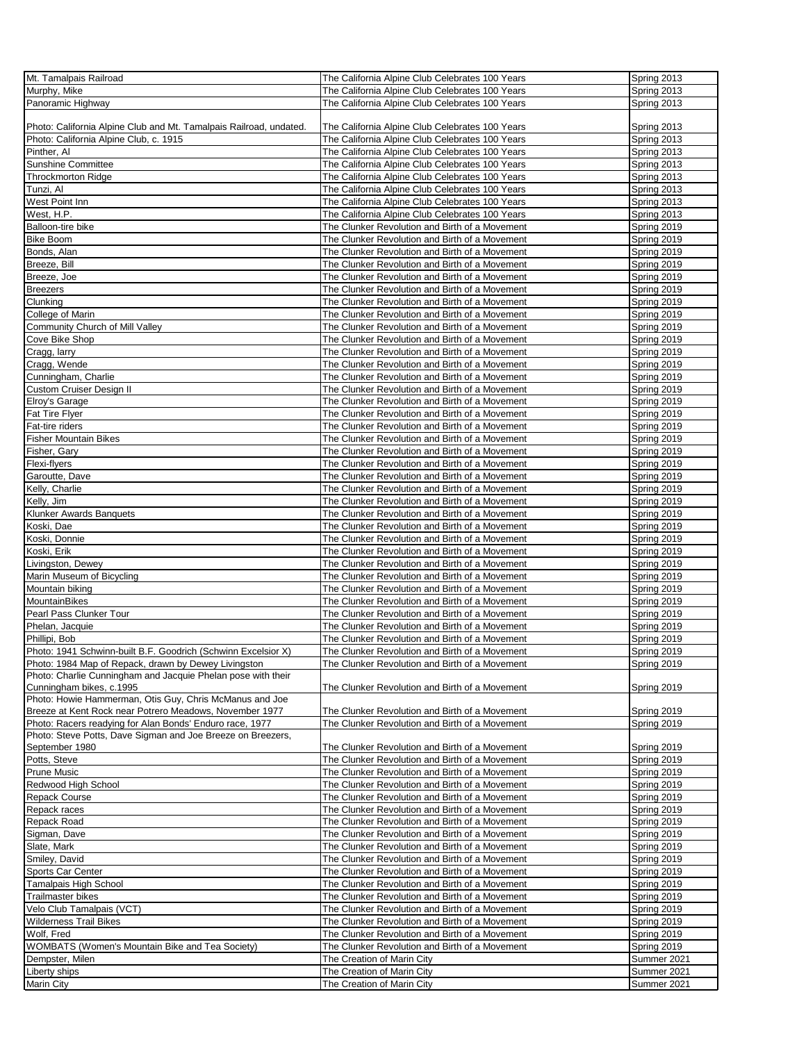| Mt. Tamalpais Railroad                                                              | The California Alpine Club Celebrates 100 Years | Spring 2013 |
|-------------------------------------------------------------------------------------|-------------------------------------------------|-------------|
| Murphy, Mike                                                                        | The California Alpine Club Celebrates 100 Years | Spring 2013 |
| Panoramic Highway                                                                   |                                                 |             |
|                                                                                     | The California Alpine Club Celebrates 100 Years | Spring 2013 |
|                                                                                     |                                                 |             |
| Photo: California Alpine Club and Mt. Tamalpais Railroad, undated.                  | The California Alpine Club Celebrates 100 Years | Spring 2013 |
| Photo: California Alpine Club, c. 1915                                              | The California Alpine Club Celebrates 100 Years | Spring 2013 |
| Pinther, Al                                                                         | The California Alpine Club Celebrates 100 Years | Spring 2013 |
| Sunshine Committee                                                                  | The California Alpine Club Celebrates 100 Years | Spring 2013 |
| <b>Throckmorton Ridge</b>                                                           | The California Alpine Club Celebrates 100 Years | Spring 2013 |
| Tunzi, Al                                                                           | The California Alpine Club Celebrates 100 Years | Spring 2013 |
| West Point Inn                                                                      | The California Alpine Club Celebrates 100 Years | Spring 2013 |
| West, H.P.                                                                          | The California Alpine Club Celebrates 100 Years | Spring 2013 |
| Balloon-tire bike                                                                   |                                                 |             |
|                                                                                     | The Clunker Revolution and Birth of a Movement  | Spring 2019 |
| <b>Bike Boom</b>                                                                    | The Clunker Revolution and Birth of a Movement  | Spring 2019 |
| Bonds, Alan                                                                         | The Clunker Revolution and Birth of a Movement  | Spring 2019 |
| Breeze, Bill                                                                        | The Clunker Revolution and Birth of a Movement  | Spring 2019 |
| Breeze, Joe                                                                         | The Clunker Revolution and Birth of a Movement  | Spring 2019 |
| <b>Breezers</b>                                                                     | The Clunker Revolution and Birth of a Movement  | Spring 2019 |
| Clunking                                                                            | The Clunker Revolution and Birth of a Movement  | Spring 2019 |
| College of Marin                                                                    | The Clunker Revolution and Birth of a Movement  | Spring 2019 |
|                                                                                     | The Clunker Revolution and Birth of a Movement  | Spring 2019 |
| Community Church of Mill Valley                                                     |                                                 |             |
| Cove Bike Shop                                                                      | The Clunker Revolution and Birth of a Movement  | Spring 2019 |
| Cragg, larry                                                                        | The Clunker Revolution and Birth of a Movement  | Spring 2019 |
| Cragg, Wende                                                                        | The Clunker Revolution and Birth of a Movement  | Spring 2019 |
| Cunningham, Charlie                                                                 | The Clunker Revolution and Birth of a Movement  | Spring 2019 |
| <b>Custom Cruiser Design II</b>                                                     | The Clunker Revolution and Birth of a Movement  | Spring 2019 |
| Elroy's Garage                                                                      | The Clunker Revolution and Birth of a Movement  | Spring 2019 |
| Fat Tire Flyer                                                                      | The Clunker Revolution and Birth of a Movement  | Spring 2019 |
| Fat-tire riders                                                                     | The Clunker Revolution and Birth of a Movement  | Spring 2019 |
| <b>Fisher Mountain Bikes</b>                                                        | The Clunker Revolution and Birth of a Movement  | Spring 2019 |
|                                                                                     |                                                 |             |
| Fisher, Gary                                                                        | The Clunker Revolution and Birth of a Movement  | Spring 2019 |
| Flexi-flyers                                                                        | The Clunker Revolution and Birth of a Movement  | Spring 2019 |
| Garoutte, Dave                                                                      | The Clunker Revolution and Birth of a Movement  | Spring 2019 |
| Kelly, Charlie                                                                      | The Clunker Revolution and Birth of a Movement  | Spring 2019 |
| Kelly, Jim                                                                          | The Clunker Revolution and Birth of a Movement  | Spring 2019 |
| Klunker Awards Banquets                                                             | The Clunker Revolution and Birth of a Movement  | Spring 2019 |
| Koski, Dae                                                                          | The Clunker Revolution and Birth of a Movement  | Spring 2019 |
| Koski, Donnie                                                                       | The Clunker Revolution and Birth of a Movement  | Spring 2019 |
| Koski, Erik                                                                         | The Clunker Revolution and Birth of a Movement  | Spring 2019 |
| Livingston, Dewey                                                                   | The Clunker Revolution and Birth of a Movement  | Spring 2019 |
|                                                                                     |                                                 |             |
| Marin Museum of Bicycling                                                           | The Clunker Revolution and Birth of a Movement  | Spring 2019 |
| Mountain biking                                                                     | The Clunker Revolution and Birth of a Movement  | Spring 2019 |
| MountainBikes                                                                       | The Clunker Revolution and Birth of a Movement  | Spring 2019 |
| Pearl Pass Clunker Tour                                                             | The Clunker Revolution and Birth of a Movement  | Spring 2019 |
| Phelan, Jacquie                                                                     | The Clunker Revolution and Birth of a Movement  | Spring 2019 |
| Phillipi, Bob                                                                       | The Clunker Revolution and Birth of a Movement  | Spring 2019 |
| Photo: 1941 Schwinn-built B.F. Goodrich (Schwinn Excelsior X)                       | The Clunker Revolution and Birth of a Movement  | Spring 2019 |
| Photo: 1984 Map of Repack, drawn by Dewey Livingston                                | The Clunker Revolution and Birth of a Movement  | Spring 2019 |
| Photo: Charlie Cunningham and Jacquie Phelan pose with their                        |                                                 |             |
|                                                                                     |                                                 |             |
| Cunningham bikes, c.1995<br>Photo: Howie Hammerman, Otis Guy, Chris McManus and Joe | The Clunker Revolution and Birth of a Movement  | Spring 2019 |
|                                                                                     |                                                 |             |
| Breeze at Kent Rock near Potrero Meadows, November 1977                             | The Clunker Revolution and Birth of a Movement  | Spring 2019 |
| Photo: Racers readying for Alan Bonds' Enduro race, 1977                            | The Clunker Revolution and Birth of a Movement  | Spring 2019 |
| Photo: Steve Potts, Dave Sigman and Joe Breeze on Breezers,                         |                                                 |             |
| September 1980                                                                      | The Clunker Revolution and Birth of a Movement  | Spring 2019 |
| Potts, Steve                                                                        | The Clunker Revolution and Birth of a Movement  | Spring 2019 |
| <b>Prune Music</b>                                                                  | The Clunker Revolution and Birth of a Movement  | Spring 2019 |
| Redwood High School                                                                 | The Clunker Revolution and Birth of a Movement  | Spring 2019 |
| <b>Repack Course</b>                                                                | The Clunker Revolution and Birth of a Movement  | Spring 2019 |
| Repack races                                                                        | The Clunker Revolution and Birth of a Movement  | Spring 2019 |
| Repack Road                                                                         | The Clunker Revolution and Birth of a Movement  | Spring 2019 |
| Sigman, Dave                                                                        | The Clunker Revolution and Birth of a Movement  | Spring 2019 |
|                                                                                     |                                                 |             |
| Slate, Mark                                                                         | The Clunker Revolution and Birth of a Movement  | Spring 2019 |
| Smiley, David                                                                       | The Clunker Revolution and Birth of a Movement  | Spring 2019 |
| Sports Car Center                                                                   | The Clunker Revolution and Birth of a Movement  | Spring 2019 |
| Tamalpais High School                                                               | The Clunker Revolution and Birth of a Movement  | Spring 2019 |
| Trailmaster bikes                                                                   | The Clunker Revolution and Birth of a Movement  | Spring 2019 |
| Velo Club Tamalpais (VCT)                                                           | The Clunker Revolution and Birth of a Movement  | Spring 2019 |
| Wilderness Trail Bikes                                                              | The Clunker Revolution and Birth of a Movement  | Spring 2019 |
| Wolf, Fred                                                                          | The Clunker Revolution and Birth of a Movement  | Spring 2019 |
| WOMBATS (Women's Mountain Bike and Tea Society)                                     | The Clunker Revolution and Birth of a Movement  | Spring 2019 |
|                                                                                     |                                                 |             |
| Dempster, Milen                                                                     | The Creation of Marin City                      | Summer 2021 |
| Liberty ships                                                                       | The Creation of Marin City                      | Summer 2021 |
| <b>Marin City</b>                                                                   | The Creation of Marin City                      | Summer 2021 |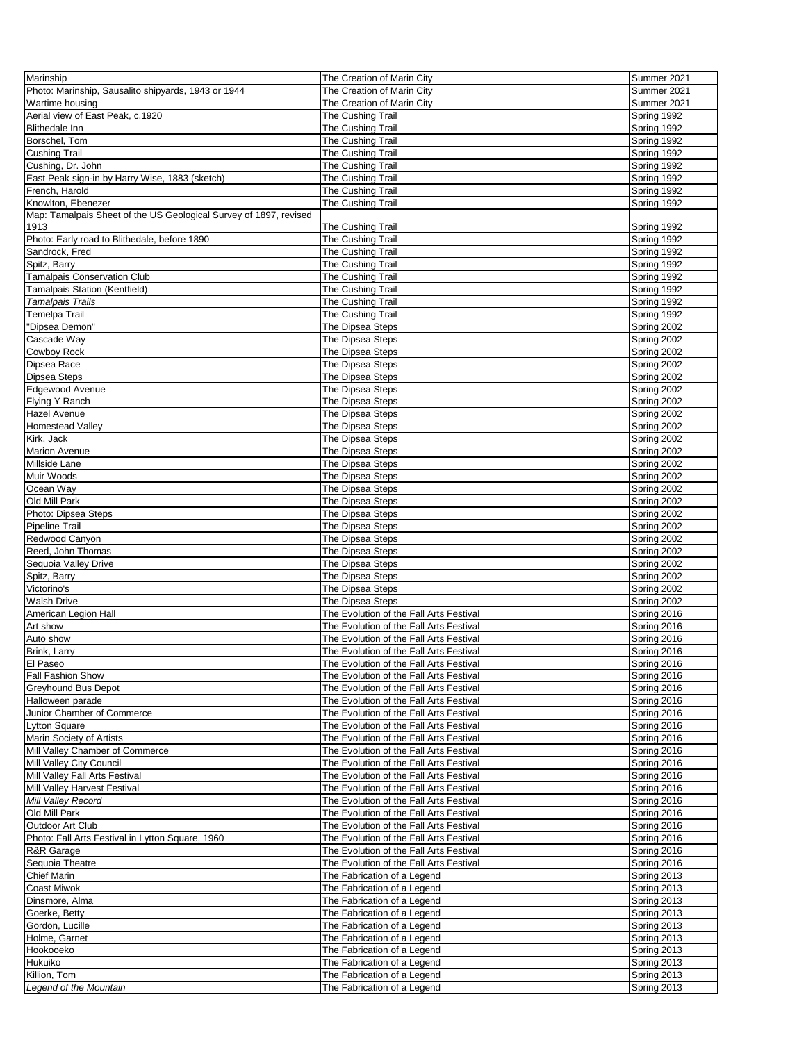| Marinship                                                         | The Creation of Marin City              | Summer 2021 |
|-------------------------------------------------------------------|-----------------------------------------|-------------|
| Photo: Marinship, Sausalito shipyards, 1943 or 1944               | The Creation of Marin City              | Summer 2021 |
|                                                                   |                                         |             |
| Wartime housing                                                   | The Creation of Marin City              | Summer 2021 |
| Aerial view of East Peak, c.1920                                  | The Cushing Trail                       | Spring 1992 |
| <b>Blithedale Inn</b>                                             | The Cushing Trail                       | Spring 1992 |
| Borschel, Tom                                                     | The Cushing Trail                       | Spring 1992 |
| Cushing Trail                                                     | The Cushing Trail                       | Spring 1992 |
| Cushing, Dr. John                                                 | The Cushing Trail                       | Spring 1992 |
| East Peak sign-in by Harry Wise, 1883 (sketch)                    | The Cushing Trail                       | Spring 1992 |
|                                                                   |                                         |             |
| French, Harold                                                    | The Cushing Trail                       | Spring 1992 |
| Knowlton, Ebenezer                                                | The Cushing Trail                       | Spring 1992 |
| Map: Tamalpais Sheet of the US Geological Survey of 1897, revised |                                         |             |
| 1913                                                              | The Cushing Trail                       | Spring 1992 |
| Photo: Early road to Blithedale, before 1890                      | The Cushing Trail                       | Spring 1992 |
| Sandrock, Fred                                                    | The Cushing Trail                       | Spring 1992 |
| Spitz, Barry                                                      |                                         |             |
|                                                                   | The Cushing Trail                       | Spring 1992 |
| <b>Tamalpais Conservation Club</b>                                | The Cushing Trail                       | Spring 1992 |
| Tamalpais Station (Kentfield)                                     | The Cushing Trail                       | Spring 1992 |
| <b>Tamalpais Trails</b>                                           | The Cushing Trail                       | Spring 1992 |
| <b>Temelpa Trail</b>                                              | The Cushing Trail                       | Spring 1992 |
| 'Dipsea Demon"                                                    | The Dipsea Steps                        | Spring 2002 |
| Cascade Way                                                       | The Dipsea Steps                        | Spring 2002 |
|                                                                   |                                         |             |
| Cowboy Rock                                                       | The Dipsea Steps                        | Spring 2002 |
| Dipsea Race                                                       | The Dipsea Steps                        | Spring 2002 |
| <b>Dipsea Steps</b>                                               | The Dipsea Steps                        | Spring 2002 |
| Edgewood Avenue                                                   | The Dipsea Steps                        | Spring 2002 |
| <b>Flying Y Ranch</b>                                             | The Dipsea Steps                        | Spring 2002 |
| <b>Hazel Avenue</b>                                               |                                         |             |
|                                                                   | The Dipsea Steps                        | Spring 2002 |
| <b>Homestead Valley</b>                                           | The Dipsea Steps                        | Spring 2002 |
| Kirk, Jack                                                        | The Dipsea Steps                        | Spring 2002 |
| <b>Marion Avenue</b>                                              | The Dipsea Steps                        | Spring 2002 |
| Millside Lane                                                     | The Dipsea Steps                        | Spring 2002 |
| Muir Woods                                                        | The Dipsea Steps                        | Spring 2002 |
| Ocean Way                                                         | The Dipsea Steps                        | Spring 2002 |
| Old Mill Park                                                     | The Dipsea Steps                        |             |
|                                                                   |                                         | Spring 2002 |
| Photo: Dipsea Steps                                               | The Dipsea Steps                        | Spring 2002 |
| Pipeline Trail                                                    | The Dipsea Steps                        | Spring 2002 |
| Redwood Canyon                                                    | The Dipsea Steps                        | Spring 2002 |
| Reed, John Thomas                                                 | The Dipsea Steps                        | Spring 2002 |
| Sequoia Valley Drive                                              | The Dipsea Steps                        | Spring 2002 |
| Spitz, Barry                                                      | The Dipsea Steps                        | Spring 2002 |
|                                                                   |                                         |             |
| Victorino's                                                       | The Dipsea Steps                        | Spring 2002 |
| <b>Walsh Drive</b>                                                | The Dipsea Steps                        | Spring 2002 |
| American Legion Hall                                              | The Evolution of the Fall Arts Festival | Spring 2016 |
| Art show                                                          | The Evolution of the Fall Arts Festival | Spring 2016 |
| Auto show                                                         | The Evolution of the Fall Arts Festival | Spring 2016 |
| Brink, Larry                                                      | The Evolution of the Fall Arts Festival | Spring 2016 |
|                                                                   |                                         |             |
| El Paseo                                                          | The Evolution of the Fall Arts Festival | Spring 2016 |
| <b>Fall Fashion Show</b>                                          | The Evolution of the Fall Arts Festival | Spring 2016 |
| <b>Greyhound Bus Depot</b>                                        | The Evolution of the Fall Arts Festival | Spring 2016 |
| Halloween parade                                                  | The Evolution of the Fall Arts Festival | Spring 2016 |
| Junior Chamber of Commerce                                        | The Evolution of the Fall Arts Festival | Spring 2016 |
| <b>Lytton Square</b>                                              | The Evolution of the Fall Arts Festival | Spring 2016 |
| Marin Society of Artists                                          | The Evolution of the Fall Arts Festival | Spring 2016 |
|                                                                   |                                         |             |
| Mill Valley Chamber of Commerce                                   | The Evolution of the Fall Arts Festival | Spring 2016 |
| Mill Valley City Council                                          | The Evolution of the Fall Arts Festival | Spring 2016 |
| Mill Valley Fall Arts Festival                                    | The Evolution of the Fall Arts Festival | Spring 2016 |
| Mill Valley Harvest Festival                                      | The Evolution of the Fall Arts Festival | Spring 2016 |
| Mill Valley Record                                                | The Evolution of the Fall Arts Festival | Spring 2016 |
| Old Mill Park                                                     | The Evolution of the Fall Arts Festival | Spring 2016 |
| Outdoor Art Club                                                  | The Evolution of the Fall Arts Festival | Spring 2016 |
|                                                                   |                                         |             |
| Photo: Fall Arts Festival in Lytton Square, 1960                  | The Evolution of the Fall Arts Festival | Spring 2016 |
| R&R Garage                                                        | The Evolution of the Fall Arts Festival | Spring 2016 |
| Sequoia Theatre                                                   | The Evolution of the Fall Arts Festival | Spring 2016 |
| <b>Chief Marin</b>                                                | The Fabrication of a Legend             | Spring 2013 |
| Coast Miwok                                                       | The Fabrication of a Legend             | Spring 2013 |
| Dinsmore, Alma                                                    | The Fabrication of a Legend             | Spring 2013 |
|                                                                   |                                         |             |
| Goerke, Betty                                                     | The Fabrication of a Legend             | Spring 2013 |
| Gordon, Lucille                                                   | The Fabrication of a Legend             | Spring 2013 |
| Holme, Garnet                                                     | The Fabrication of a Legend             | Spring 2013 |
| Hookooeko                                                         | The Fabrication of a Legend             | Spring 2013 |
| Hukuiko                                                           | The Fabrication of a Legend             | Spring 2013 |
| Killion, Tom                                                      | The Fabrication of a Legend             | Spring 2013 |
| Legend of the Mountain                                            |                                         | Spring 2013 |
|                                                                   | The Fabrication of a Legend             |             |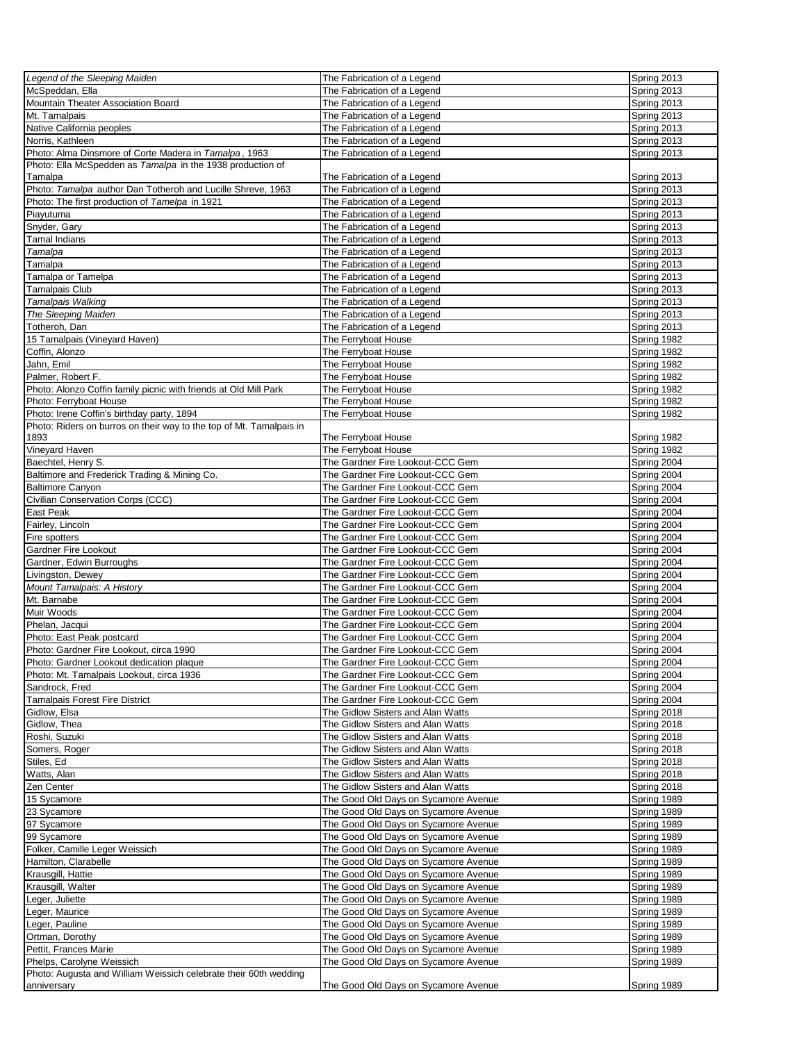| Legend of the Sleeping Maiden                                                                                     | The Fabrication of a Legend          | Spring 2013 |
|-------------------------------------------------------------------------------------------------------------------|--------------------------------------|-------------|
| McSpeddan, Ella                                                                                                   | The Fabrication of a Legend          | Spring 2013 |
| Mountain Theater Association Board                                                                                | The Fabrication of a Legend          | Spring 2013 |
| Mt. Tamalpais                                                                                                     | The Fabrication of a Legend          | Spring 2013 |
| Native California peoples                                                                                         | The Fabrication of a Legend          | Spring 2013 |
| Norris, Kathleen                                                                                                  | The Fabrication of a Legend          | Spring 2013 |
| Photo: Alma Dinsmore of Corte Madera in Tamalpa, 1963                                                             | The Fabrication of a Legend          | Spring 2013 |
| Photo: Ella McSpedden as Tamalpa in the 1938 production of                                                        |                                      |             |
| Tamalpa                                                                                                           | The Fabrication of a Legend          | Spring 2013 |
| Photo: Tamalpa author Dan Totheroh and Lucille Shreve, 1963                                                       | The Fabrication of a Legend          | Spring 2013 |
| Photo: The first production of Tamelpa in 1921                                                                    | The Fabrication of a Legend          | Spring 2013 |
|                                                                                                                   |                                      |             |
| Piayutuma<br>Snyder, Gary                                                                                         | The Fabrication of a Legend          | Spring 2013 |
|                                                                                                                   | The Fabrication of a Legend          | Spring 2013 |
| Tamal Indians                                                                                                     | The Fabrication of a Legend          | Spring 2013 |
| Tamalpa                                                                                                           | The Fabrication of a Legend          | Spring 2013 |
| Tamalpa                                                                                                           | The Fabrication of a Legend          | Spring 2013 |
| Tamalpa or Tamelpa                                                                                                | The Fabrication of a Legend          | Spring 2013 |
| <b>Tamalpais Club</b>                                                                                             | The Fabrication of a Legend          | Spring 2013 |
| Tamalpais Walking                                                                                                 | The Fabrication of a Legend          | Spring 2013 |
| The Sleeping Maiden                                                                                               | The Fabrication of a Legend          | Spring 2013 |
| Totheroh, Dan                                                                                                     | The Fabrication of a Legend          | Spring 2013 |
| 15 Tamalpais (Vineyard Haven)                                                                                     | The Ferryboat House                  | Spring 1982 |
| Coffin, Alonzo                                                                                                    | The Ferryboat House                  | Spring 1982 |
| Jahn, Emil                                                                                                        | The Ferryboat House                  | Spring 1982 |
| Palmer, Robert F.                                                                                                 | The Ferryboat House                  | Spring 1982 |
| Photo: Alonzo Coffin family picnic with friends at Old Mill Park                                                  | The Ferryboat House                  | Spring 1982 |
| Photo: Ferryboat House                                                                                            | The Ferryboat House                  | Spring 1982 |
|                                                                                                                   |                                      |             |
| Photo: Irene Coffin's birthday party, 1894<br>Photo: Riders on burros on their way to the top of Mt. Tamalpais in | The Ferryboat House                  | Spring 1982 |
|                                                                                                                   |                                      |             |
| 1893                                                                                                              | The Ferryboat House                  | Spring 1982 |
| Vineyard Haven                                                                                                    | The Ferryboat House                  | Spring 1982 |
| Baechtel, Henry S.                                                                                                | The Gardner Fire Lookout-CCC Gem     | Spring 2004 |
| Baltimore and Frederick Trading & Mining Co.                                                                      | The Gardner Fire Lookout-CCC Gem     | Spring 2004 |
| <b>Baltimore Canyon</b>                                                                                           | The Gardner Fire Lookout-CCC Gem     | Spring 2004 |
| Civilian Conservation Corps (CCC)                                                                                 | The Gardner Fire Lookout-CCC Gem     | Spring 2004 |
| East Peak                                                                                                         | The Gardner Fire Lookout-CCC Gem     | Spring 2004 |
| Fairley, Lincoln                                                                                                  | The Gardner Fire Lookout-CCC Gem     | Spring 2004 |
| Fire spotters                                                                                                     | The Gardner Fire Lookout-CCC Gem     | Spring 2004 |
| Gardner Fire Lookout                                                                                              | The Gardner Fire Lookout-CCC Gem     | Spring 2004 |
| Gardner, Edwin Burroughs                                                                                          | The Gardner Fire Lookout-CCC Gem     | Spring 2004 |
| Livingston, Dewey                                                                                                 | The Gardner Fire Lookout-CCC Gem     | Spring 2004 |
| Mount Tamalpais: A History                                                                                        | The Gardner Fire Lookout-CCC Gem     | Spring 2004 |
| Mt. Barnabe                                                                                                       | The Gardner Fire Lookout-CCC Gem     | Spring 2004 |
| Muir Woods                                                                                                        | The Gardner Fire Lookout-CCC Gem     | Spring 2004 |
| Phelan, Jacqui                                                                                                    | The Gardner Fire Lookout-CCC Gem     | Spring 2004 |
|                                                                                                                   | The Gardner Fire Lookout-CCC Gem     |             |
| Photo: East Peak postcard                                                                                         |                                      | Spring 2004 |
| Photo: Gardner Fire Lookout, circa 1990                                                                           | The Gardner Fire Lookout-CCC Gem     | Spring 2004 |
| Photo: Gardner Lookout dedication plaque                                                                          | The Gardner Fire Lookout-CCC Gem     | Spring 2004 |
| Photo: Mt. Tamalpais Lookout, circa 1936                                                                          | The Gardner Fire Lookout-CCC Gem     | Spring 2004 |
| Sandrock, Fred                                                                                                    | The Gardner Fire Lookout-CCC Gem     | Spring 2004 |
| Tamalpais Forest Fire District                                                                                    | The Gardner Fire Lookout-CCC Gem     | Spring 2004 |
| Gidlow, Elsa                                                                                                      | The Gidlow Sisters and Alan Watts    | Spring 2018 |
| Gidlow, Thea                                                                                                      | The Gidlow Sisters and Alan Watts    | Spring 2018 |
| Roshi, Suzuki                                                                                                     | The Gidlow Sisters and Alan Watts    | Spring 2018 |
| Somers, Roger                                                                                                     | The Gidlow Sisters and Alan Watts    | Spring 2018 |
| Stiles, Ed                                                                                                        | The Gidlow Sisters and Alan Watts    | Spring 2018 |
| Watts, Alan                                                                                                       | The Gidlow Sisters and Alan Watts    | Spring 2018 |
| Zen Center                                                                                                        | The Gidlow Sisters and Alan Watts    | Spring 2018 |
| 15 Sycamore                                                                                                       | The Good Old Days on Sycamore Avenue | Spring 1989 |
| 23 Sycamore                                                                                                       | The Good Old Days on Sycamore Avenue | Spring 1989 |
| 97 Sycamore                                                                                                       | The Good Old Days on Sycamore Avenue | Spring 1989 |
| 99 Sycamore                                                                                                       | The Good Old Days on Sycamore Avenue | Spring 1989 |
| Folker, Camille Leger Weissich                                                                                    | The Good Old Days on Sycamore Avenue | Spring 1989 |
|                                                                                                                   |                                      |             |
| Hamilton, Clarabelle                                                                                              | The Good Old Days on Sycamore Avenue | Spring 1989 |
| Krausgill, Hattie                                                                                                 | The Good Old Days on Sycamore Avenue | Spring 1989 |
| Krausgill, Walter                                                                                                 | The Good Old Days on Sycamore Avenue | Spring 1989 |
| Leger, Juliette                                                                                                   | The Good Old Days on Sycamore Avenue | Spring 1989 |
| Leger, Maurice                                                                                                    | The Good Old Days on Sycamore Avenue | Spring 1989 |
| Leger, Pauline                                                                                                    | The Good Old Days on Sycamore Avenue | Spring 1989 |
| Ortman, Dorothy                                                                                                   | The Good Old Days on Sycamore Avenue | Spring 1989 |
| Pettit, Frances Marie                                                                                             | The Good Old Days on Sycamore Avenue | Spring 1989 |
| Phelps, Carolyne Weissich                                                                                         | The Good Old Days on Sycamore Avenue | Spring 1989 |
| Photo: Augusta and William Weissich celebrate their 60th wedding                                                  |                                      |             |
| anniversary                                                                                                       | The Good Old Days on Sycamore Avenue | Spring 1989 |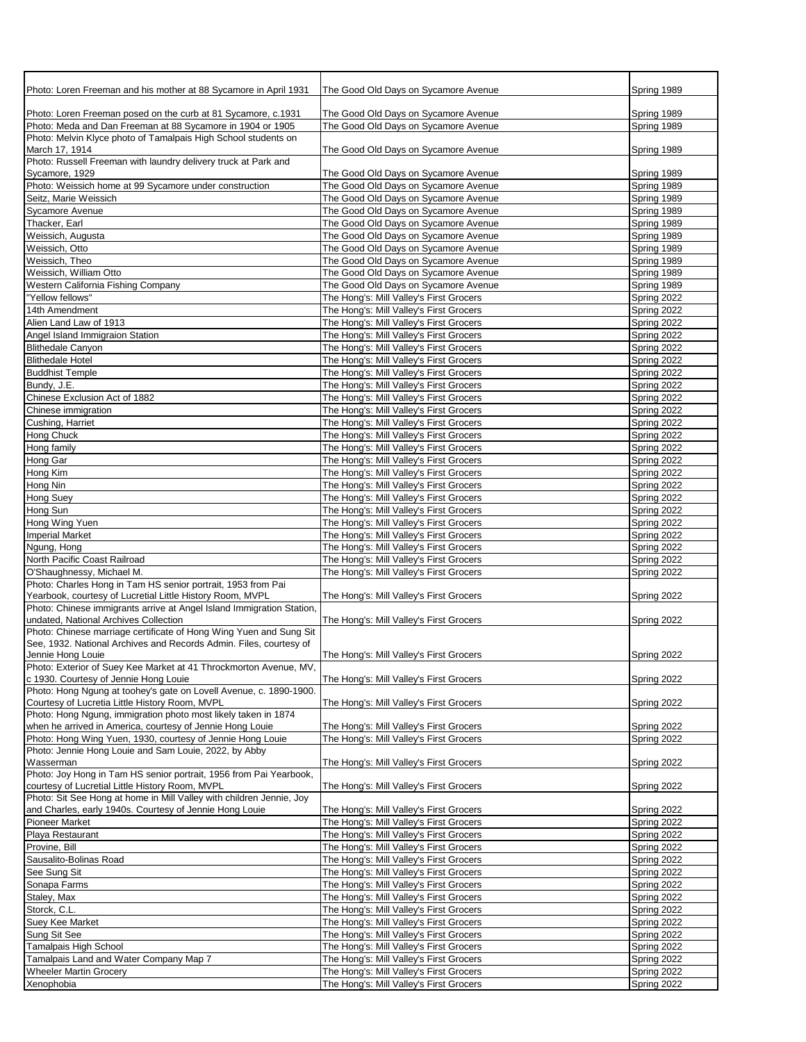| Photo: Loren Freeman and his mother at 88 Sycamore in April 1931                                                                         | The Good Old Days on Sycamore Avenue                                               | Spring 1989                |
|------------------------------------------------------------------------------------------------------------------------------------------|------------------------------------------------------------------------------------|----------------------------|
|                                                                                                                                          |                                                                                    |                            |
| Photo: Loren Freeman posed on the curb at 81 Sycamore, c.1931<br>Photo: Meda and Dan Freeman at 88 Sycamore in 1904 or 1905              | The Good Old Days on Sycamore Avenue<br>The Good Old Days on Sycamore Avenue       | Spring 1989<br>Spring 1989 |
| Photo: Melvin Klyce photo of Tamalpais High School students on                                                                           |                                                                                    |                            |
| March 17, 1914                                                                                                                           | The Good Old Days on Sycamore Avenue                                               | Spring 1989                |
| Photo: Russell Freeman with laundry delivery truck at Park and                                                                           |                                                                                    |                            |
| Sycamore, 1929                                                                                                                           | The Good Old Days on Sycamore Avenue                                               | Spring 1989                |
| Photo: Weissich home at 99 Sycamore under construction                                                                                   | The Good Old Days on Sycamore Avenue                                               | Spring 1989                |
| Seitz, Marie Weissich<br>Sycamore Avenue                                                                                                 | The Good Old Days on Sycamore Avenue<br>The Good Old Days on Sycamore Avenue       | Spring 1989<br>Spring 1989 |
| Thacker, Earl                                                                                                                            | The Good Old Days on Sycamore Avenue                                               | Spring 1989                |
| Weissich, Augusta                                                                                                                        | The Good Old Days on Sycamore Avenue                                               | Spring 1989                |
| Weissich, Otto                                                                                                                           | The Good Old Days on Sycamore Avenue                                               | Spring 1989                |
| Weissich, Theo                                                                                                                           | The Good Old Days on Sycamore Avenue                                               | Spring 1989                |
| Weissich, William Otto                                                                                                                   | The Good Old Days on Sycamore Avenue                                               | Spring 1989                |
| Western California Fishing Company                                                                                                       | The Good Old Days on Sycamore Avenue                                               | Spring 1989                |
| "Yellow fellows"                                                                                                                         | The Hong's: Mill Valley's First Grocers                                            | Spring 2022                |
| 14th Amendment<br>Alien Land Law of 1913                                                                                                 | The Hong's: Mill Valley's First Grocers<br>The Hong's: Mill Valley's First Grocers | Spring 2022<br>Spring 2022 |
| Angel Island Immigraion Station                                                                                                          | The Hong's: Mill Valley's First Grocers                                            | Spring 2022                |
| <b>Blithedale Canyon</b>                                                                                                                 | The Hong's: Mill Valley's First Grocers                                            | Spring 2022                |
| <b>Blithedale Hotel</b>                                                                                                                  | The Hong's: Mill Valley's First Grocers                                            | Spring 2022                |
| <b>Buddhist Temple</b>                                                                                                                   | The Hong's: Mill Valley's First Grocers                                            | Spring 2022                |
| Bundy, J.E.                                                                                                                              | The Hong's: Mill Valley's First Grocers                                            | Spring 2022                |
| Chinese Exclusion Act of 1882                                                                                                            | The Hong's: Mill Valley's First Grocers                                            | Spring 2022                |
| Chinese immigration                                                                                                                      | The Hong's: Mill Valley's First Grocers                                            | Spring 2022                |
| Cushing, Harriet                                                                                                                         | The Hong's: Mill Valley's First Grocers                                            | Spring 2022                |
| Hong Chuck<br>Hong family                                                                                                                | The Hong's: Mill Valley's First Grocers<br>The Hong's: Mill Valley's First Grocers | Spring 2022<br>Spring 2022 |
| Hong Gar                                                                                                                                 | The Hong's: Mill Valley's First Grocers                                            | Spring 2022                |
| Hong Kim                                                                                                                                 | The Hong's: Mill Valley's First Grocers                                            | Spring 2022                |
| Hong Nin                                                                                                                                 | The Hong's: Mill Valley's First Grocers                                            | Spring 2022                |
| <b>Hong Suey</b>                                                                                                                         | The Hong's: Mill Valley's First Grocers                                            | Spring 2022                |
| Hong Sun                                                                                                                                 | The Hong's: Mill Valley's First Grocers                                            | Spring 2022                |
| Hong Wing Yuen                                                                                                                           | The Hong's: Mill Valley's First Grocers                                            | Spring 2022                |
| <b>Imperial Market</b>                                                                                                                   | The Hong's: Mill Valley's First Grocers                                            | Spring 2022                |
| Ngung, Hong<br>North Pacific Coast Railroad                                                                                              | The Hong's: Mill Valley's First Grocers<br>The Hong's: Mill Valley's First Grocers | Spring 2022<br>Spring 2022 |
| O'Shaughnessy, Michael M.                                                                                                                | The Hong's: Mill Valley's First Grocers                                            | Spring 2022                |
| Photo: Charles Hong in Tam HS senior portrait, 1953 from Pai                                                                             |                                                                                    |                            |
| Yearbook, courtesy of Lucretial Little History Room, MVPL                                                                                | The Hong's: Mill Valley's First Grocers                                            | Spring 2022                |
| Photo: Chinese immigrants arrive at Angel Island Immigration Station,                                                                    |                                                                                    |                            |
| undated, National Archives Collection                                                                                                    | The Hong's: Mill Valley's First Grocers                                            | Spring 2022                |
| Photo: Chinese marriage certificate of Hong Wing Yuen and Sung Sit<br>See, 1932. National Archives and Records Admin. Files, courtesy of |                                                                                    |                            |
| Jennie Hong Louie                                                                                                                        | The Hong's: Mill Valley's First Grocers                                            | Spring 2022                |
| Photo: Exterior of Suey Kee Market at 41 Throckmorton Avenue, MV,                                                                        |                                                                                    |                            |
| c 1930. Courtesy of Jennie Hong Louie                                                                                                    | The Hong's: Mill Valley's First Grocers                                            | Spring 2022                |
| Photo: Hong Ngung at toohey's gate on Lovell Avenue, c. 1890-1900.                                                                       |                                                                                    |                            |
| Courtesy of Lucretia Little History Room, MVPL                                                                                           | The Hong's: Mill Valley's First Grocers                                            | Spring 2022                |
| Photo: Hong Ngung, immigration photo most likely taken in 1874<br>when he arrived in America, courtesy of Jennie Hong Louie              | The Hong's: Mill Valley's First Grocers                                            | Spring 2022                |
| Photo: Hong Wing Yuen, 1930, courtesy of Jennie Hong Louie                                                                               | The Hong's: Mill Valley's First Grocers                                            | Spring 2022                |
| Photo: Jennie Hong Louie and Sam Louie, 2022, by Abby                                                                                    |                                                                                    |                            |
| Wasserman                                                                                                                                | The Hong's: Mill Valley's First Grocers                                            | Spring 2022                |
| Photo: Joy Hong in Tam HS senior portrait, 1956 from Pai Yearbook,                                                                       |                                                                                    |                            |
| courtesy of Lucretial Little History Room, MVPL<br>Photo: Sit See Hong at home in Mill Valley with children Jennie, Joy                  | The Hong's: Mill Valley's First Grocers                                            | Spring 2022                |
| and Charles, early 1940s. Courtesy of Jennie Hong Louie                                                                                  | The Hong's: Mill Valley's First Grocers                                            | Spring 2022                |
| <b>Pioneer Market</b>                                                                                                                    | The Hong's: Mill Valley's First Grocers                                            | Spring 2022                |
| Playa Restaurant                                                                                                                         | The Hong's: Mill Valley's First Grocers                                            | Spring 2022                |
| Provine, Bill                                                                                                                            | The Hong's: Mill Valley's First Grocers                                            | Spring 2022                |
| Sausalito-Bolinas Road                                                                                                                   | The Hong's: Mill Valley's First Grocers                                            | Spring 2022                |
| See Sung Sit                                                                                                                             | The Hong's: Mill Valley's First Grocers                                            | Spring 2022                |
| Sonapa Farms                                                                                                                             | The Hong's: Mill Valley's First Grocers                                            | Spring 2022                |
| Staley, Max<br>Storck, C.L.                                                                                                              | The Hong's: Mill Valley's First Grocers<br>The Hong's: Mill Valley's First Grocers | Spring 2022<br>Spring 2022 |
| Suey Kee Market                                                                                                                          | The Hong's: Mill Valley's First Grocers                                            | Spring 2022                |
| Sung Sit See                                                                                                                             | The Hong's: Mill Valley's First Grocers                                            | Spring 2022                |
| Tamalpais High School                                                                                                                    | The Hong's: Mill Valley's First Grocers                                            | Spring 2022                |
| Tamalpais Land and Water Company Map 7                                                                                                   | The Hong's: Mill Valley's First Grocers                                            | Spring 2022                |
| <b>Wheeler Martin Grocery</b>                                                                                                            | The Hong's: Mill Valley's First Grocers                                            | Spring 2022                |
| Xenophobia                                                                                                                               | The Hong's: Mill Valley's First Grocers                                            | Spring 2022                |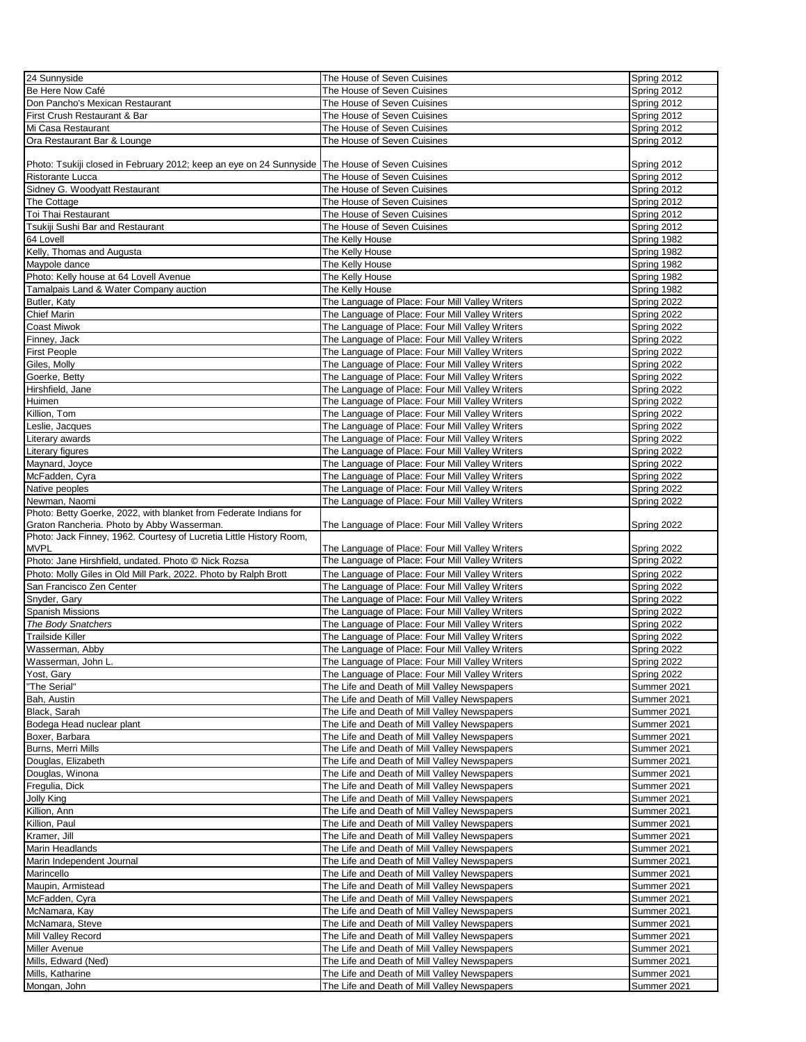| 24 Sunnyside                                                                                      | The House of Seven Cuisines                     | Spring 2012 |
|---------------------------------------------------------------------------------------------------|-------------------------------------------------|-------------|
|                                                                                                   |                                                 |             |
| Be Here Now Café                                                                                  | The House of Seven Cuisines                     | Spring 2012 |
| Don Pancho's Mexican Restaurant                                                                   | The House of Seven Cuisines                     | Spring 2012 |
| First Crush Restaurant & Bar                                                                      | The House of Seven Cuisines                     | Spring 2012 |
| Mi Casa Restaurant                                                                                | The House of Seven Cuisines                     | Spring 2012 |
| Ora Restaurant Bar & Lounge                                                                       | The House of Seven Cuisines                     | Spring 2012 |
|                                                                                                   |                                                 |             |
|                                                                                                   |                                                 |             |
| Photo: Tsukiji closed in February 2012; keep an eye on 24 Sunnyside   The House of Seven Cuisines |                                                 | Spring 2012 |
| Ristorante Lucca                                                                                  | The House of Seven Cuisines                     | Spring 2012 |
| Sidney G. Woodyatt Restaurant                                                                     | The House of Seven Cuisines                     | Spring 2012 |
| The Cottage                                                                                       | The House of Seven Cuisines                     | Spring 2012 |
| Toi Thai Restaurant                                                                               | The House of Seven Cuisines                     | Spring 2012 |
|                                                                                                   |                                                 |             |
| Tsukiji Sushi Bar and Restaurant                                                                  | The House of Seven Cuisines                     | Spring 2012 |
| 64 Lovell                                                                                         | The Kelly House                                 | Spring 1982 |
| Kelly, Thomas and Augusta                                                                         | The Kelly House                                 | Spring 1982 |
| Maypole dance                                                                                     | The Kelly House                                 | Spring 1982 |
| Photo: Kelly house at 64 Lovell Avenue                                                            | The Kelly House                                 | Spring 1982 |
|                                                                                                   |                                                 |             |
| Tamalpais Land & Water Company auction                                                            | The Kelly House                                 | Spring 1982 |
| Butler, Katy                                                                                      | The Language of Place: Four Mill Valley Writers | Spring 2022 |
| <b>Chief Marin</b>                                                                                | The Language of Place: Four Mill Valley Writers | Spring 2022 |
| Coast Miwok                                                                                       | The Language of Place: Four Mill Valley Writers | Spring 2022 |
| Finney, Jack                                                                                      | The Language of Place: Four Mill Valley Writers |             |
|                                                                                                   |                                                 | Spring 2022 |
| First People                                                                                      | The Language of Place: Four Mill Valley Writers | Spring 2022 |
| Giles, Molly                                                                                      | The Language of Place: Four Mill Valley Writers | Spring 2022 |
| Goerke, Betty                                                                                     | The Language of Place: Four Mill Valley Writers | Spring 2022 |
| Hirshfield, Jane                                                                                  | The Language of Place: Four Mill Valley Writers | Spring 2022 |
| Huimen                                                                                            | The Language of Place: Four Mill Valley Writers | Spring 2022 |
|                                                                                                   |                                                 |             |
| Killion, Tom                                                                                      | The Language of Place: Four Mill Valley Writers | Spring 2022 |
| eslie, Jacques                                                                                    | The Language of Place: Four Mill Valley Writers | Spring 2022 |
| iterary awards                                                                                    | The Language of Place: Four Mill Valley Writers | Spring 2022 |
| Literary figures                                                                                  | The Language of Place: Four Mill Valley Writers | Spring 2022 |
| Maynard, Joyce                                                                                    | The Language of Place: Four Mill Valley Writers | Spring 2022 |
|                                                                                                   |                                                 |             |
| McFadden, Cyra                                                                                    | The Language of Place: Four Mill Valley Writers | Spring 2022 |
| Native peoples                                                                                    | The Language of Place: Four Mill Valley Writers | Spring 2022 |
| Newman, Naomi                                                                                     | The Language of Place: Four Mill Valley Writers | Spring 2022 |
| Photo: Betty Goerke, 2022, with blanket from Federate Indians for                                 |                                                 |             |
| Graton Rancheria. Photo by Abby Wasserman.                                                        | The Language of Place: Four Mill Valley Writers | Spring 2022 |
| Photo: Jack Finney, 1962. Courtesy of Lucretia Little History Room,                               |                                                 |             |
|                                                                                                   |                                                 |             |
| <b>MVPL</b>                                                                                       | The Language of Place: Four Mill Valley Writers | Spring 2022 |
| Photo: Jane Hirshfield, undated. Photo © Nick Rozsa                                               | The Language of Place: Four Mill Valley Writers | Spring 2022 |
| Photo: Molly Giles in Old Mill Park, 2022. Photo by Ralph Brott                                   | The Language of Place: Four Mill Valley Writers | Spring 2022 |
| San Francisco Zen Center                                                                          | The Language of Place: Four Mill Valley Writers | Spring 2022 |
| Snyder, Gary                                                                                      | The Language of Place: Four Mill Valley Writers | Spring 2022 |
|                                                                                                   |                                                 |             |
| <b>Spanish Missions</b>                                                                           | The Language of Place: Four Mill Valley Writers | Spring 2022 |
| The Body Snatchers                                                                                | The Language of Place: Four Mill Valley Writers | Spring 2022 |
| Trailside Killer                                                                                  | The Language of Place: Four Mill Valley Writers | Spring 2022 |
| Wasserman, Abby                                                                                   | The Language of Place: Four Mill Valley Writers | Spring 2022 |
| Wasserman, John L.                                                                                | The Language of Place: Four Mill Valley Writers | Spring 2022 |
|                                                                                                   |                                                 |             |
| Yost, Gary                                                                                        | The Language of Place: Four Mill Valley Writers | Spring 2022 |
| "The Serial"                                                                                      | The Life and Death of Mill Valley Newspapers    | Summer 2021 |
| Bah, Austin                                                                                       | The Life and Death of Mill Valley Newspapers    | Summer 2021 |
| Black, Sarah                                                                                      | The Life and Death of Mill Valley Newspapers    | Summer 2021 |
| Bodega Head nuclear plant                                                                         | The Life and Death of Mill Valley Newspapers    | Summer 2021 |
|                                                                                                   |                                                 |             |
| Boxer, Barbara                                                                                    | The Life and Death of Mill Valley Newspapers    | Summer 2021 |
| Burns, Merri Mills                                                                                | The Life and Death of Mill Valley Newspapers    | Summer 2021 |
| Douglas, Elizabeth                                                                                | The Life and Death of Mill Valley Newspapers    | Summer 2021 |
| Douglas, Winona                                                                                   | The Life and Death of Mill Valley Newspapers    | Summer 2021 |
| Fregulia, Dick                                                                                    | The Life and Death of Mill Valley Newspapers    | Summer 2021 |
| Jolly King                                                                                        | The Life and Death of Mill Valley Newspapers    | Summer 2021 |
|                                                                                                   |                                                 |             |
| Killion, Ann                                                                                      | The Life and Death of Mill Valley Newspapers    | Summer 2021 |
| Killion, Paul                                                                                     | The Life and Death of Mill Valley Newspapers    | Summer 2021 |
| Kramer, Jill                                                                                      | The Life and Death of Mill Valley Newspapers    | Summer 2021 |
| Marin Headlands                                                                                   | The Life and Death of Mill Valley Newspapers    | Summer 2021 |
| Marin Independent Journal                                                                         | The Life and Death of Mill Valley Newspapers    | Summer 2021 |
|                                                                                                   |                                                 |             |
| Marincello                                                                                        | The Life and Death of Mill Valley Newspapers    | Summer 2021 |
| Maupin, Armistead                                                                                 | The Life and Death of Mill Valley Newspapers    | Summer 2021 |
| McFadden, Cyra                                                                                    | The Life and Death of Mill Valley Newspapers    | Summer 2021 |
| McNamara, Kay                                                                                     | The Life and Death of Mill Valley Newspapers    | Summer 2021 |
| McNamara, Steve                                                                                   | The Life and Death of Mill Valley Newspapers    | Summer 2021 |
|                                                                                                   |                                                 |             |
| Mill Valley Record                                                                                | The Life and Death of Mill Valley Newspapers    | Summer 2021 |
| Miller Avenue                                                                                     | The Life and Death of Mill Valley Newspapers    | Summer 2021 |
| Mills, Edward (Ned)                                                                               | The Life and Death of Mill Valley Newspapers    | Summer 2021 |
| Mills, Katharine                                                                                  | The Life and Death of Mill Valley Newspapers    | Summer 2021 |
|                                                                                                   |                                                 |             |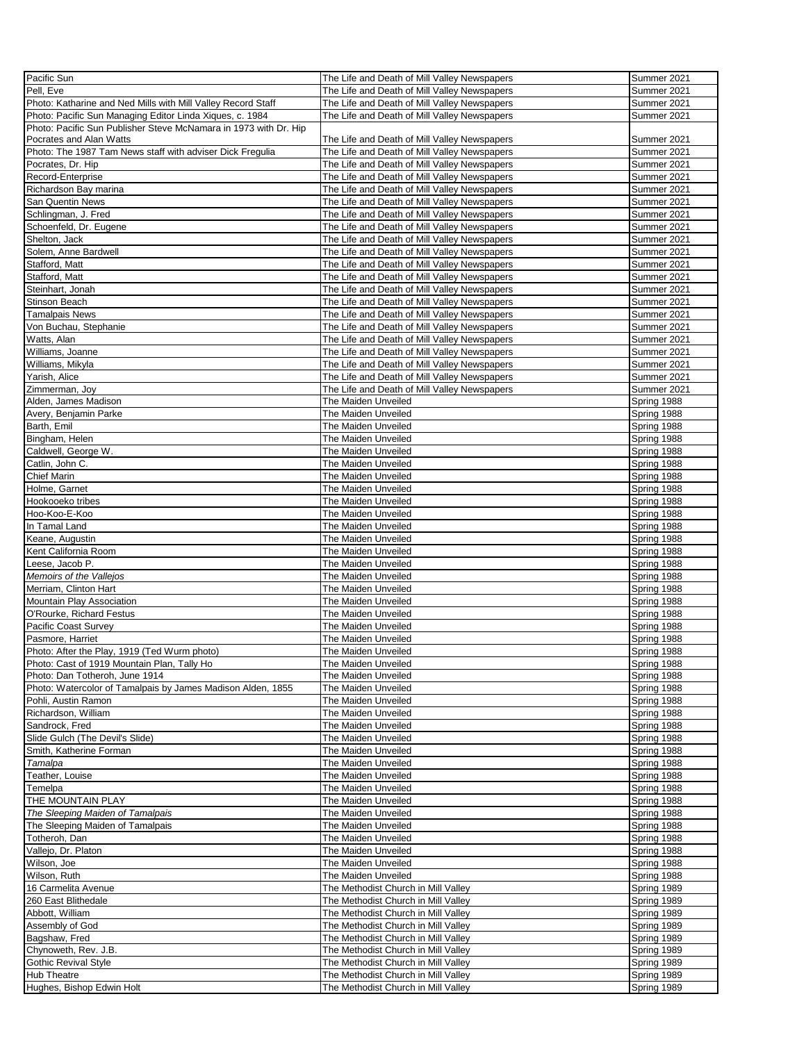| Pacific Sun                                                      | The Life and Death of Mill Valley Newspapers | Summer 2021 |
|------------------------------------------------------------------|----------------------------------------------|-------------|
| Pell. Eve                                                        | The Life and Death of Mill Valley Newspapers | Summer 2021 |
|                                                                  |                                              |             |
| Photo: Katharine and Ned Mills with Mill Valley Record Staff     | The Life and Death of Mill Valley Newspapers | Summer 2021 |
| Photo: Pacific Sun Managing Editor Linda Xiques, c. 1984         | The Life and Death of Mill Valley Newspapers | Summer 2021 |
| Photo: Pacific Sun Publisher Steve McNamara in 1973 with Dr. Hip |                                              |             |
| Pocrates and Alan Watts                                          | The Life and Death of Mill Valley Newspapers | Summer 2021 |
| Photo: The 1987 Tam News staff with adviser Dick Fregulia        | The Life and Death of Mill Valley Newspapers | Summer 2021 |
| Pocrates, Dr. Hip                                                | The Life and Death of Mill Valley Newspapers | Summer 2021 |
| Record-Enterprise                                                | The Life and Death of Mill Valley Newspapers | Summer 2021 |
|                                                                  |                                              |             |
| Richardson Bay marina                                            | The Life and Death of Mill Valley Newspapers | Summer 2021 |
| San Quentin News                                                 | The Life and Death of Mill Valley Newspapers | Summer 2021 |
| Schlingman, J. Fred                                              | The Life and Death of Mill Valley Newspapers | Summer 2021 |
| Schoenfeld, Dr. Eugene                                           | The Life and Death of Mill Valley Newspapers | Summer 2021 |
| Shelton, Jack                                                    | The Life and Death of Mill Valley Newspapers | Summer 2021 |
| Solem, Anne Bardwell                                             | The Life and Death of Mill Valley Newspapers | Summer 2021 |
|                                                                  |                                              |             |
| Stafford, Matt                                                   | The Life and Death of Mill Valley Newspapers | Summer 2021 |
| Stafford, Matt                                                   | The Life and Death of Mill Valley Newspapers | Summer 2021 |
| Steinhart, Jonah                                                 | The Life and Death of Mill Valley Newspapers | Summer 2021 |
| Stinson Beach                                                    | The Life and Death of Mill Valley Newspapers | Summer 2021 |
| <b>Tamalpais News</b>                                            | The Life and Death of Mill Valley Newspapers | Summer 2021 |
| Von Buchau, Stephanie                                            | The Life and Death of Mill Valley Newspapers | Summer 2021 |
|                                                                  |                                              |             |
| Watts, Alan                                                      | The Life and Death of Mill Valley Newspapers | Summer 2021 |
| Williams, Joanne                                                 | The Life and Death of Mill Valley Newspapers | Summer 2021 |
| Williams, Mikyla                                                 | The Life and Death of Mill Valley Newspapers | Summer 2021 |
| Yarish, Alice                                                    | The Life and Death of Mill Valley Newspapers | Summer 2021 |
| Zimmerman, Joy                                                   | The Life and Death of Mill Valley Newspapers | Summer 2021 |
| Alden, James Madison                                             | The Maiden Unveiled                          | Spring 1988 |
|                                                                  |                                              |             |
| Avery, Benjamin Parke                                            | The Maiden Unveiled                          | Spring 1988 |
| Barth, Emil                                                      | The Maiden Unveiled                          | Spring 1988 |
| Bingham, Helen                                                   | The Maiden Unveiled                          | Spring 1988 |
| Caldwell, George W.                                              | The Maiden Unveiled                          | Spring 1988 |
| Catlin, John C.                                                  | The Maiden Unveiled                          | Spring 1988 |
| <b>Chief Marin</b>                                               | The Maiden Unveiled                          | Spring 1988 |
|                                                                  |                                              |             |
| Holme, Garnet                                                    | The Maiden Unveiled                          | Spring 1988 |
| Hookooeko tribes                                                 | The Maiden Unveiled                          | Spring 1988 |
| Hoo-Koo-E-Koo                                                    | The Maiden Unveiled                          | Spring 1988 |
| In Tamal Land                                                    | The Maiden Unveiled                          | Spring 1988 |
| Keane, Augustin                                                  | The Maiden Unveiled                          | Spring 1988 |
| Kent California Room                                             | The Maiden Unveiled                          | Spring 1988 |
| Leese, Jacob P.                                                  | The Maiden Unveiled                          | Spring 1988 |
|                                                                  |                                              |             |
| Memoirs of the Vallejos                                          | The Maiden Unveiled                          | Spring 1988 |
| Merriam, Clinton Hart                                            | The Maiden Unveiled                          | Spring 1988 |
| Mountain Play Association                                        | The Maiden Unveiled                          | Spring 1988 |
| O'Rourke, Richard Festus                                         | The Maiden Unveiled                          | Spring 1988 |
| Pacific Coast Survey                                             | The Maiden Unveiled                          | Spring 1988 |
| Pasmore, Harriet                                                 | The Maiden Unveiled                          | Spring 1988 |
|                                                                  |                                              |             |
| Photo: After the Play, 1919 (Ted Wurm photo)                     | The Maiden Unveiled                          | Spring 1988 |
| Photo: Cast of 1919 Mountain Plan, Tally Ho                      | The Maiden Unveiled                          | Spring 1988 |
| Photo: Dan Totheroh, June 1914                                   | The Maiden Unveiled                          | Spring 1988 |
| Photo: Watercolor of Tamalpais by James Madison Alden, 1855      | The Maiden Unveiled                          | Spring 1988 |
| Pohli, Austin Ramon                                              | The Maiden Unveiled                          | Spring 1988 |
| Richardson, William                                              | The Maiden Unveiled                          | Spring 1988 |
|                                                                  |                                              |             |
| Sandrock, Fred                                                   | The Maiden Unveiled                          | Spring 1988 |
| Slide Gulch (The Devil's Slide)                                  | The Maiden Unveiled                          | Spring 1988 |
| Smith, Katherine Forman                                          | The Maiden Unveiled                          | Spring 1988 |
| Tamalpa                                                          | The Maiden Unveiled                          | Spring 1988 |
| Teather, Louise                                                  | The Maiden Unveiled                          | Spring 1988 |
| Temelpa                                                          | The Maiden Unveiled                          | Spring 1988 |
|                                                                  |                                              |             |
| THE MOUNTAIN PLAY                                                | The Maiden Unveiled                          | Spring 1988 |
| The Sleeping Maiden of Tamalpais                                 | The Maiden Unveiled                          | Spring 1988 |
| The Sleeping Maiden of Tamalpais                                 | The Maiden Unveiled                          | Spring 1988 |
| Totheroh, Dan                                                    | The Maiden Unveiled                          | Spring 1988 |
| Vallejo, Dr. Platon                                              | The Maiden Unveiled                          | Spring 1988 |
| Wilson, Joe                                                      | The Maiden Unveiled                          | Spring 1988 |
| Wilson, Ruth                                                     | The Maiden Unveiled                          | Spring 1988 |
|                                                                  |                                              |             |
| 16 Carmelita Avenue                                              | The Methodist Church in Mill Valley          | Spring 1989 |
| 260 East Blithedale                                              | The Methodist Church in Mill Valley          | Spring 1989 |
| Abbott, William                                                  | The Methodist Church in Mill Valley          | Spring 1989 |
| Assembly of God                                                  | The Methodist Church in Mill Valley          | Spring 1989 |
| Bagshaw, Fred                                                    | The Methodist Church in Mill Valley          | Spring 1989 |
| Chynoweth, Rev. J.B.                                             | The Methodist Church in Mill Valley          | Spring 1989 |
|                                                                  |                                              |             |
| <b>Gothic Revival Style</b>                                      | The Methodist Church in Mill Valley          | Spring 1989 |
| Hub Theatre                                                      | The Methodist Church in Mill Valley          | Spring 1989 |
| Hughes, Bishop Edwin Holt                                        | The Methodist Church in Mill Valley          | Spring 1989 |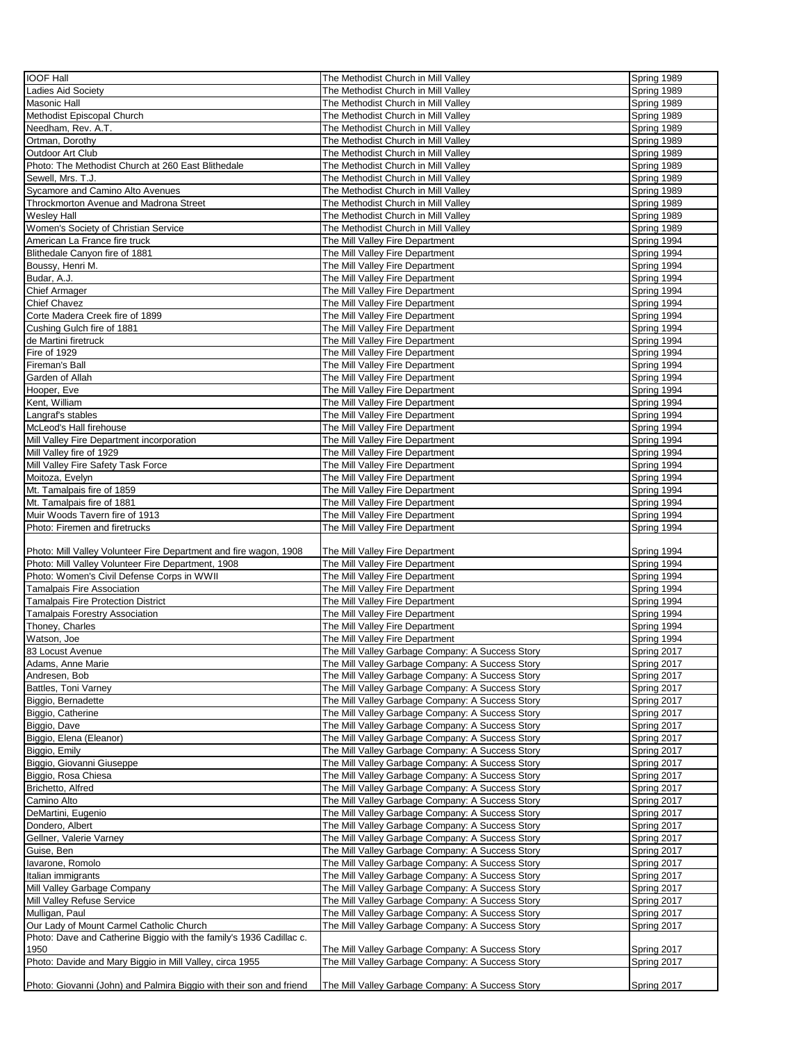| <b>IOOF Hall</b>                                                    | The Methodist Church in Mill Valley                                                                  | Spring 1989                |
|---------------------------------------------------------------------|------------------------------------------------------------------------------------------------------|----------------------------|
| <b>Ladies Aid Society</b>                                           | The Methodist Church in Mill Valley                                                                  | Spring 1989                |
| Masonic Hall                                                        | The Methodist Church in Mill Valley                                                                  | Spring 1989                |
| Methodist Episcopal Church                                          | The Methodist Church in Mill Valley                                                                  | Spring 1989                |
| Needham, Rev. A.T.                                                  | The Methodist Church in Mill Valley                                                                  | Spring 1989                |
| Ortman, Dorothy                                                     | The Methodist Church in Mill Valley                                                                  | Spring 1989                |
| Outdoor Art Club                                                    | The Methodist Church in Mill Valley                                                                  | Spring 1989                |
| Photo: The Methodist Church at 260 East Blithedale                  | The Methodist Church in Mill Valley                                                                  | Spring 1989                |
| Sewell, Mrs. T.J.                                                   | The Methodist Church in Mill Valley                                                                  | Spring 1989                |
| Sycamore and Camino Alto Avenues                                    | The Methodist Church in Mill Valley                                                                  | Spring 1989                |
| Throckmorton Avenue and Madrona Street                              | The Methodist Church in Mill Valley                                                                  | Spring 1989                |
| <b>Wesley Hall</b>                                                  | The Methodist Church in Mill Valley                                                                  | Spring 1989                |
| Women's Society of Christian Service                                | The Methodist Church in Mill Valley                                                                  | Spring 1989                |
| American La France fire truck                                       | The Mill Valley Fire Department                                                                      | Spring 1994                |
|                                                                     |                                                                                                      |                            |
| Blithedale Canyon fire of 1881                                      | The Mill Valley Fire Department                                                                      | Spring 1994                |
| Boussy, Henri M.                                                    | The Mill Valley Fire Department                                                                      | Spring 1994                |
| Budar, A.J.                                                         | The Mill Valley Fire Department                                                                      | Spring 1994                |
| <b>Chief Armager</b>                                                | The Mill Valley Fire Department                                                                      | Spring 1994                |
| <b>Chief Chavez</b>                                                 | The Mill Valley Fire Department                                                                      | Spring 1994                |
| Corte Madera Creek fire of 1899                                     | The Mill Valley Fire Department                                                                      | Spring 1994                |
| Cushing Gulch fire of 1881                                          | The Mill Valley Fire Department                                                                      | Spring 1994                |
| de Martini firetruck                                                | The Mill Valley Fire Department                                                                      | Spring 1994                |
| Fire of 1929                                                        | The Mill Valley Fire Department                                                                      | Spring 1994                |
| Fireman's Ball                                                      | The Mill Valley Fire Department                                                                      | Spring 1994                |
| Garden of Allah                                                     | The Mill Valley Fire Department                                                                      | Spring 1994                |
| Hooper, Eve                                                         | The Mill Valley Fire Department                                                                      | Spring 1994                |
| Kent, William                                                       | The Mill Valley Fire Department                                                                      | Spring 1994                |
| Langraf's stables                                                   | The Mill Valley Fire Department                                                                      | Spring 1994                |
| McLeod's Hall firehouse                                             | The Mill Valley Fire Department                                                                      | Spring 1994                |
| Mill Valley Fire Department incorporation                           | The Mill Valley Fire Department                                                                      | Spring 1994                |
| Mill Valley fire of 1929                                            | The Mill Valley Fire Department                                                                      | Spring 1994                |
| Mill Valley Fire Safety Task Force                                  | The Mill Valley Fire Department                                                                      | Spring 1994                |
| Moitoza, Evelyn                                                     | The Mill Valley Fire Department                                                                      | Spring 1994                |
| Mt. Tamalpais fire of 1859                                          | The Mill Valley Fire Department                                                                      | Spring 1994                |
| Mt. Tamalpais fire of 1881                                          | The Mill Valley Fire Department                                                                      | Spring 1994                |
| Muir Woods Tavern fire of 1913                                      | The Mill Valley Fire Department                                                                      | Spring 1994                |
| Photo: Firemen and firetrucks                                       | The Mill Valley Fire Department                                                                      | Spring 1994                |
|                                                                     |                                                                                                      |                            |
| Photo: Mill Valley Volunteer Fire Department and fire wagon, 1908   | The Mill Valley Fire Department                                                                      | Spring 1994                |
| Photo: Mill Valley Volunteer Fire Department, 1908                  | The Mill Valley Fire Department                                                                      | Spring 1994                |
| Photo: Women's Civil Defense Corps in WWII                          | The Mill Valley Fire Department                                                                      | Spring 1994                |
| <b>Tamalpais Fire Association</b>                                   | The Mill Valley Fire Department                                                                      | Spring 1994                |
| <b>Tamalpais Fire Protection District</b>                           | The Mill Valley Fire Department                                                                      | Spring 1994                |
| <b>Tamalpais Forestry Association</b>                               | The Mill Valley Fire Department                                                                      | Spring 1994                |
| Thoney, Charles                                                     | The Mill Valley Fire Department                                                                      | Spring 1994                |
| Watson, Joe                                                         | The Mill Valley Fire Department                                                                      | Spring 1994                |
| 83 Locust Avenue                                                    | The Mill Valley Garbage Company: A Success Story                                                     |                            |
|                                                                     |                                                                                                      | Spring 2017                |
|                                                                     |                                                                                                      |                            |
| Adams, Anne Marie<br>Andresen, Bob                                  | The Mill Valley Garbage Company: A Success Story                                                     | Spring 2017<br>Spring 2017 |
|                                                                     | The Mill Valley Garbage Company: A Success Story                                                     |                            |
| Battles, Toni Varney<br>Biggio, Bernadette                          | The Mill Valley Garbage Company: A Success Story<br>The Mill Valley Garbage Company: A Success Story | Spring 2017<br>Spring 2017 |
|                                                                     |                                                                                                      |                            |
| Biggio, Catherine<br>Biggio, Dave                                   | The Mill Valley Garbage Company: A Success Story<br>The Mill Valley Garbage Company: A Success Story | Spring 2017<br>Spring 2017 |
|                                                                     |                                                                                                      |                            |
| Biggio, Elena (Eleanor)                                             | The Mill Valley Garbage Company: A Success Story                                                     | Spring 2017                |
| Biggio, Emily                                                       | The Mill Valley Garbage Company: A Success Story                                                     | Spring 2017                |
| Biggio, Giovanni Giuseppe                                           | The Mill Valley Garbage Company: A Success Story                                                     | Spring 2017                |
| Biggio, Rosa Chiesa                                                 | The Mill Valley Garbage Company: A Success Story                                                     | <b>Spring 2017</b>         |
| Brichetto, Alfred                                                   | The Mill Valley Garbage Company: A Success Story                                                     | Spring 2017                |
| Camino Alto                                                         | The Mill Valley Garbage Company: A Success Story                                                     | Spring 2017                |
| DeMartini, Eugenio                                                  | The Mill Valley Garbage Company: A Success Story                                                     | Spring 2017                |
| Dondero, Albert                                                     | The Mill Valley Garbage Company: A Success Story                                                     | Spring 2017                |
| Gellner, Valerie Varney                                             | The Mill Valley Garbage Company: A Success Story                                                     | Spring 2017                |
| Guise, Ben                                                          | The Mill Valley Garbage Company: A Success Story                                                     | Spring 2017                |
| lavarone, Romolo                                                    | The Mill Valley Garbage Company: A Success Story                                                     | Spring 2017                |
| Italian immigrants                                                  | The Mill Valley Garbage Company: A Success Story                                                     | Spring 2017                |
| Mill Valley Garbage Company                                         | The Mill Valley Garbage Company: A Success Story                                                     | Spring 2017                |
| Mill Valley Refuse Service                                          | The Mill Valley Garbage Company: A Success Story                                                     | Spring 2017                |
| Mulligan, Paul                                                      | The Mill Valley Garbage Company: A Success Story                                                     | Spring 2017                |
| Our Lady of Mount Carmel Catholic Church                            | The Mill Valley Garbage Company: A Success Story                                                     | Spring 2017                |
| Photo: Dave and Catherine Biggio with the family's 1936 Cadillac c. |                                                                                                      |                            |
| 1950                                                                | The Mill Valley Garbage Company: A Success Story                                                     | Spring 2017                |
| Photo: Davide and Mary Biggio in Mill Valley, circa 1955            | The Mill Valley Garbage Company: A Success Story                                                     | Spring 2017                |
| Photo: Giovanni (John) and Palmira Biggio with their son and friend | The Mill Valley Garbage Company: A Success Story                                                     | Spring 2017                |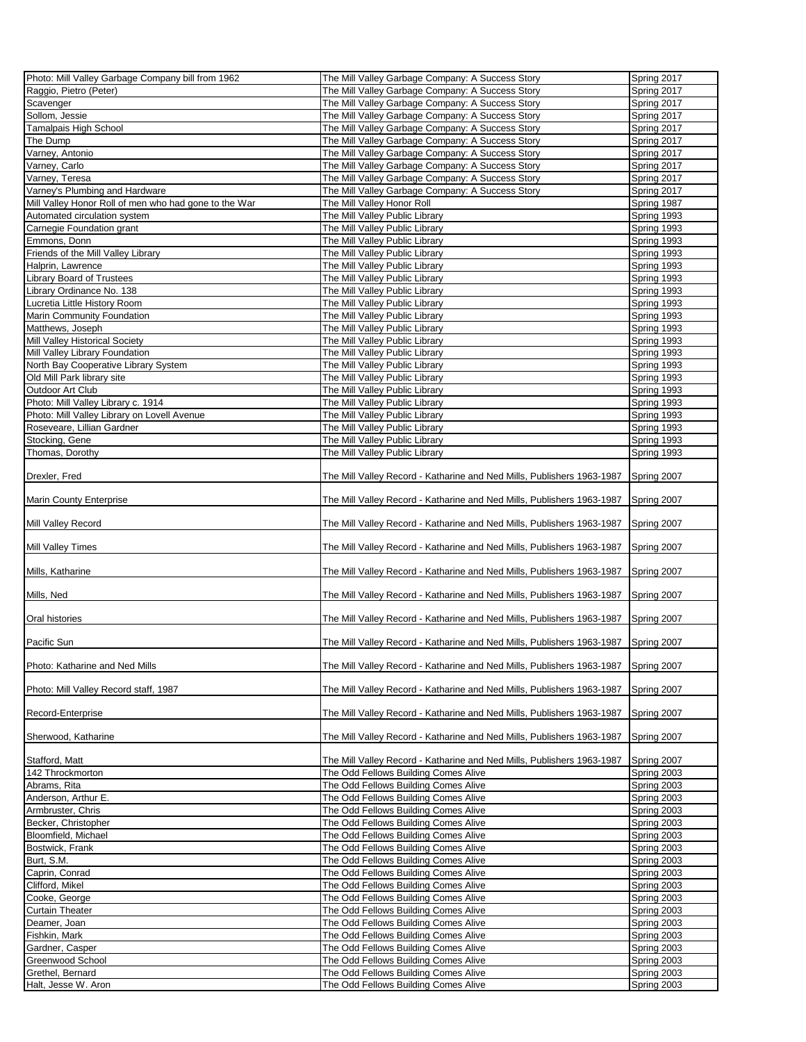| Photo: Mill Valley Garbage Company bill from 1962     | The Mill Valley Garbage Company: A Success Story                       | Spring 2017 |
|-------------------------------------------------------|------------------------------------------------------------------------|-------------|
|                                                       |                                                                        |             |
| Raggio, Pietro (Peter)                                | The Mill Valley Garbage Company: A Success Story                       | Spring 2017 |
| Scavenger                                             | The Mill Valley Garbage Company: A Success Story                       | Spring 2017 |
| Sollom, Jessie                                        | The Mill Valley Garbage Company: A Success Story                       | Spring 2017 |
|                                                       |                                                                        |             |
| Tamalpais High School                                 | The Mill Valley Garbage Company: A Success Story                       | Spring 2017 |
| The Dump                                              | The Mill Valley Garbage Company: A Success Story                       | Spring 2017 |
| Varney, Antonio                                       | The Mill Valley Garbage Company: A Success Story                       | Spring 2017 |
| Varney, Carlo                                         | The Mill Valley Garbage Company: A Success Story                       | Spring 2017 |
| Varney, Teresa                                        |                                                                        |             |
|                                                       | The Mill Valley Garbage Company: A Success Story                       | Spring 2017 |
| Varney's Plumbing and Hardware                        | The Mill Valley Garbage Company: A Success Story                       | Spring 2017 |
| Mill Valley Honor Roll of men who had gone to the War | The Mill Valley Honor Roll                                             | Spring 1987 |
| Automated circulation system                          | The Mill Valley Public Library                                         | Spring 1993 |
|                                                       |                                                                        |             |
| Carnegie Foundation grant                             | The Mill Valley Public Library                                         | Spring 1993 |
| Emmons, Donn                                          | The Mill Valley Public Library                                         | Spring 1993 |
| Friends of the Mill Valley Library                    | The Mill Valley Public Library                                         | Spring 1993 |
| Halprin, Lawrence                                     | The Mill Valley Public Library                                         | Spring 1993 |
|                                                       |                                                                        |             |
| <b>Library Board of Trustees</b>                      | The Mill Valley Public Library                                         | Spring 1993 |
| Library Ordinance No. 138                             | The Mill Valley Public Library                                         | Spring 1993 |
| Lucretia Little History Room                          | The Mill Valley Public Library                                         | Spring 1993 |
| Marin Community Foundation                            | The Mill Valley Public Library                                         | Spring 1993 |
|                                                       |                                                                        |             |
| Matthews, Joseph                                      | The Mill Valley Public Library                                         | Spring 1993 |
| Mill Valley Historical Society                        | The Mill Valley Public Library                                         | Spring 1993 |
| Mill Valley Library Foundation                        | The Mill Valley Public Library                                         | Spring 1993 |
| North Bay Cooperative Library System                  | The Mill Valley Public Library                                         | Spring 1993 |
|                                                       |                                                                        |             |
| Old Mill Park library site                            | The Mill Valley Public Library                                         | Spring 1993 |
| Outdoor Art Club                                      | The Mill Valley Public Library                                         | Spring 1993 |
| Photo: Mill Valley Library c. 1914                    | The Mill Valley Public Library                                         | Spring 1993 |
| Photo: Mill Valley Library on Lovell Avenue           | The Mill Valley Public Library                                         | Spring 1993 |
|                                                       |                                                                        |             |
| Roseveare, Lillian Gardner                            | The Mill Valley Public Library                                         | Spring 1993 |
| Stocking, Gene                                        | The Mill Valley Public Library                                         | Spring 1993 |
| Thomas, Dorothy                                       | The Mill Valley Public Library                                         | Spring 1993 |
|                                                       |                                                                        |             |
| Drexler, Fred                                         | The Mill Valley Record - Katharine and Ned Mills, Publishers 1963-1987 | Spring 2007 |
|                                                       |                                                                        |             |
|                                                       |                                                                        |             |
| Marin County Enterprise                               | The Mill Valley Record - Katharine and Ned Mills, Publishers 1963-1987 | Spring 2007 |
|                                                       |                                                                        |             |
| Mill Valley Record                                    | The Mill Valley Record - Katharine and Ned Mills, Publishers 1963-1987 | Spring 2007 |
|                                                       |                                                                        |             |
| <b>Mill Valley Times</b>                              | The Mill Valley Record - Katharine and Ned Mills, Publishers 1963-1987 | Spring 2007 |
|                                                       |                                                                        |             |
|                                                       |                                                                        |             |
| Mills, Katharine                                      | The Mill Valley Record - Katharine and Ned Mills, Publishers 1963-1987 | Spring 2007 |
|                                                       |                                                                        |             |
| Mills, Ned                                            | The Mill Valley Record - Katharine and Ned Mills, Publishers 1963-1987 | Spring 2007 |
|                                                       |                                                                        |             |
| Oral histories                                        | The Mill Valley Record - Katharine and Ned Mills, Publishers 1963-1987 | Spring 2007 |
|                                                       |                                                                        |             |
|                                                       |                                                                        |             |
| Pacific Sun                                           | The Mill Valley Record - Katharine and Ned Mills, Publishers 1963-1987 | Spring 2007 |
|                                                       |                                                                        |             |
| Photo: Katharine and Ned Mills                        | The Mill Valley Record - Katharine and Ned Mills, Publishers 1963-1987 | Spring 2007 |
|                                                       |                                                                        |             |
|                                                       |                                                                        |             |
| Photo: Mill Valley Record staff, 1987                 | The Mill Valley Record - Katharine and Ned Mills, Publishers 1963-1987 | Spring 2007 |
|                                                       |                                                                        |             |
| Record-Enterprise                                     | The Mill Valley Record - Katharine and Ned Mills, Publishers 1963-1987 | Spring 2007 |
|                                                       |                                                                        |             |
| Sherwood, Katharine                                   | The Mill Valley Record - Katharine and Ned Mills, Publishers 1963-1987 | Spring 2007 |
|                                                       |                                                                        |             |
|                                                       |                                                                        |             |
| Stafford, Matt                                        | The Mill Valley Record - Katharine and Ned Mills, Publishers 1963-1987 | Spring 2007 |
| 142 Throckmorton                                      | The Odd Fellows Building Comes Alive                                   | Spring 2003 |
| Abrams, Rita                                          | The Odd Fellows Building Comes Alive                                   | Spring 2003 |
| Anderson, Arthur E.                                   | The Odd Fellows Building Comes Alive                                   | Spring 2003 |
| Armbruster, Chris                                     |                                                                        | Spring 2003 |
|                                                       | The Odd Fellows Building Comes Alive                                   |             |
| Becker, Christopher                                   | The Odd Fellows Building Comes Alive                                   | Spring 2003 |
| Bloomfield, Michael                                   | The Odd Fellows Building Comes Alive                                   | Spring 2003 |
| Bostwick, Frank                                       | The Odd Fellows Building Comes Alive                                   | Spring 2003 |
| Burt, S.M.                                            | The Odd Fellows Building Comes Alive                                   | Spring 2003 |
|                                                       |                                                                        |             |
| Caprin, Conrad                                        | The Odd Fellows Building Comes Alive                                   | Spring 2003 |
| Clifford, Mikel                                       | The Odd Fellows Building Comes Alive                                   | Spring 2003 |
| Cooke, George                                         | The Odd Fellows Building Comes Alive                                   | Spring 2003 |
| <b>Curtain Theater</b>                                | The Odd Fellows Building Comes Alive                                   | Spring 2003 |
|                                                       |                                                                        |             |
| Deamer, Joan                                          | The Odd Fellows Building Comes Alive                                   | Spring 2003 |
| Fishkin, Mark                                         | The Odd Fellows Building Comes Alive                                   | Spring 2003 |
| Gardner, Casper                                       | The Odd Fellows Building Comes Alive                                   | Spring 2003 |
| Greenwood School                                      | The Odd Fellows Building Comes Alive                                   | Spring 2003 |
| Grethel, Bernard                                      |                                                                        | Spring 2003 |
|                                                       | The Odd Fellows Building Comes Alive                                   |             |
| Halt, Jesse W. Aron                                   | The Odd Fellows Building Comes Alive                                   | Spring 2003 |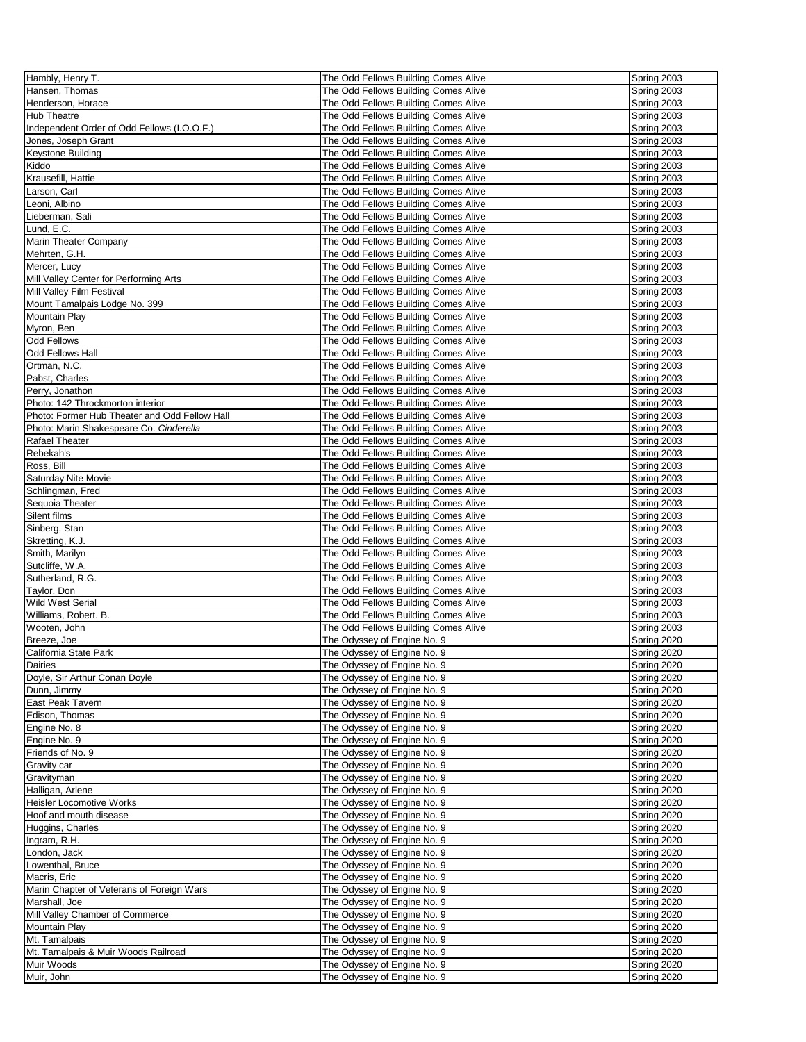| Hambly, Henry T.                              | The Odd Fellows Building Comes Alive | Spring 2003 |
|-----------------------------------------------|--------------------------------------|-------------|
|                                               |                                      |             |
| Hansen, Thomas                                | The Odd Fellows Building Comes Alive | Spring 2003 |
| Henderson, Horace                             | The Odd Fellows Building Comes Alive | Spring 2003 |
| Hub Theatre                                   | The Odd Fellows Building Comes Alive | Spring 2003 |
| Independent Order of Odd Fellows (I.O.O.F.)   | The Odd Fellows Building Comes Alive | Spring 2003 |
|                                               |                                      |             |
| Jones, Joseph Grant                           | The Odd Fellows Building Comes Alive | Spring 2003 |
| Keystone Building                             | The Odd Fellows Building Comes Alive | Spring 2003 |
| Kiddo                                         | The Odd Fellows Building Comes Alive | Spring 2003 |
|                                               |                                      |             |
| Krausefill, Hattie                            | The Odd Fellows Building Comes Alive | Spring 2003 |
| Larson, Carl                                  | The Odd Fellows Building Comes Alive | Spring 2003 |
| Leoni, Albino                                 | The Odd Fellows Building Comes Alive | Spring 2003 |
| Lieberman, Sali                               | The Odd Fellows Building Comes Alive | Spring 2003 |
|                                               |                                      |             |
| Lund, E.C.                                    | The Odd Fellows Building Comes Alive | Spring 2003 |
| Marin Theater Company                         | The Odd Fellows Building Comes Alive | Spring 2003 |
| Mehrten, G.H.                                 | The Odd Fellows Building Comes Alive | Spring 2003 |
| Mercer, Lucy                                  | The Odd Fellows Building Comes Alive | Spring 2003 |
|                                               |                                      |             |
| Mill Valley Center for Performing Arts        | The Odd Fellows Building Comes Alive | Spring 2003 |
| Mill Valley Film Festival                     | The Odd Fellows Building Comes Alive | Spring 2003 |
| Mount Tamalpais Lodge No. 399                 | The Odd Fellows Building Comes Alive | Spring 2003 |
|                                               |                                      | Spring 2003 |
| Mountain Play                                 | The Odd Fellows Building Comes Alive |             |
| Myron, Ben                                    | The Odd Fellows Building Comes Alive | Spring 2003 |
| <b>Odd Fellows</b>                            | The Odd Fellows Building Comes Alive | Spring 2003 |
| <b>Odd Fellows Hall</b>                       | The Odd Fellows Building Comes Alive | Spring 2003 |
| Ortman, N.C.                                  | The Odd Fellows Building Comes Alive | Spring 2003 |
|                                               |                                      |             |
| Pabst, Charles                                | The Odd Fellows Building Comes Alive | Spring 2003 |
| Perry, Jonathon                               | The Odd Fellows Building Comes Alive | Spring 2003 |
| Photo: 142 Throckmorton interior              | The Odd Fellows Building Comes Alive | Spring 2003 |
| Photo: Former Hub Theater and Odd Fellow Hall | The Odd Fellows Building Comes Alive | Spring 2003 |
|                                               |                                      |             |
| Photo: Marin Shakespeare Co. Cinderella       | The Odd Fellows Building Comes Alive | Spring 2003 |
| Rafael Theater                                | The Odd Fellows Building Comes Alive | Spring 2003 |
| Rebekah's                                     | The Odd Fellows Building Comes Alive | Spring 2003 |
| Ross, Bill                                    | The Odd Fellows Building Comes Alive | Spring 2003 |
|                                               |                                      |             |
| Saturday Nite Movie                           | The Odd Fellows Building Comes Alive | Spring 2003 |
| Schlingman, Fred                              | The Odd Fellows Building Comes Alive | Spring 2003 |
| Sequoia Theater                               | The Odd Fellows Building Comes Alive | Spring 2003 |
| Silent films                                  |                                      |             |
|                                               | The Odd Fellows Building Comes Alive | Spring 2003 |
| Sinberg, Stan                                 | The Odd Fellows Building Comes Alive | Spring 2003 |
| Skretting, K.J.                               | The Odd Fellows Building Comes Alive | Spring 2003 |
| Smith, Marilyn                                | The Odd Fellows Building Comes Alive | Spring 2003 |
|                                               |                                      |             |
| Sutcliffe, W.A.                               | The Odd Fellows Building Comes Alive | Spring 2003 |
| Sutherland, R.G.                              | The Odd Fellows Building Comes Alive | Spring 2003 |
| Taylor, Don                                   | The Odd Fellows Building Comes Alive | Spring 2003 |
| <b>Wild West Serial</b>                       | The Odd Fellows Building Comes Alive | Spring 2003 |
| Williams, Robert. B.                          | The Odd Fellows Building Comes Alive |             |
|                                               |                                      | Spring 2003 |
| Wooten, John                                  | The Odd Fellows Building Comes Alive | Spring 2003 |
| Breeze, Joe                                   | The Odyssey of Engine No. 9          | Spring 2020 |
| California State Park                         | The Odyssey of Engine No. 9          | Spring 2020 |
|                                               |                                      |             |
| Dairies                                       | The Odyssey of Engine No. 9          | Spring 2020 |
| Doyle, Sir Arthur Conan Doyle                 | The Odyssey of Engine No. 9          | Spring 2020 |
| Dunn, Jimmy                                   | The Odyssey of Engine No. 9          | Spring 2020 |
| East Peak Tavern                              | The Odyssey of Engine No. 9          | Spring 2020 |
|                                               |                                      |             |
| Edison, Thomas                                | The Odyssey of Engine No. 9          | Spring 2020 |
| Engine No. 8                                  | The Odyssey of Engine No. 9          | Spring 2020 |
| Engine No. 9                                  | The Odyssey of Engine No. 9          | Spring 2020 |
| Friends of No. 9                              | The Odyssey of Engine No. 9          | Spring 2020 |
| Gravity car                                   | The Odyssey of Engine No. 9          | Spring 2020 |
|                                               |                                      |             |
| Gravityman                                    | The Odyssey of Engine No. 9          | Spring 2020 |
| Halligan, Arlene                              | The Odyssey of Engine No. 9          | Spring 2020 |
| <b>Heisler Locomotive Works</b>               | The Odyssey of Engine No. 9          | Spring 2020 |
| Hoof and mouth disease                        | The Odyssey of Engine No. 9          | Spring 2020 |
|                                               |                                      |             |
| Huggins, Charles                              | The Odyssey of Engine No. 9          | Spring 2020 |
| Ingram, R.H.                                  | The Odyssey of Engine No. 9          | Spring 2020 |
| London, Jack                                  | The Odyssey of Engine No. 9          | Spring 2020 |
| Lowenthal, Bruce                              | The Odyssey of Engine No. 9          | Spring 2020 |
| Macris, Eric                                  |                                      | Spring 2020 |
|                                               | The Odyssey of Engine No. 9          |             |
| Marin Chapter of Veterans of Foreign Wars     | The Odyssey of Engine No. 9          | Spring 2020 |
| Marshall, Joe                                 | The Odyssey of Engine No. 9          | Spring 2020 |
| Mill Valley Chamber of Commerce               | The Odyssey of Engine No. 9          | Spring 2020 |
| <b>Mountain Play</b>                          | The Odyssey of Engine No. 9          | Spring 2020 |
|                                               |                                      |             |
| Mt. Tamalpais                                 | The Odyssey of Engine No. 9          | Spring 2020 |
| Mt. Tamalpais & Muir Woods Railroad           | The Odyssey of Engine No. 9          | Spring 2020 |
| Muir Woods                                    | The Odyssey of Engine No. 9          | Spring 2020 |
| Muir, John                                    | The Odyssey of Engine No. 9          | Spring 2020 |
|                                               |                                      |             |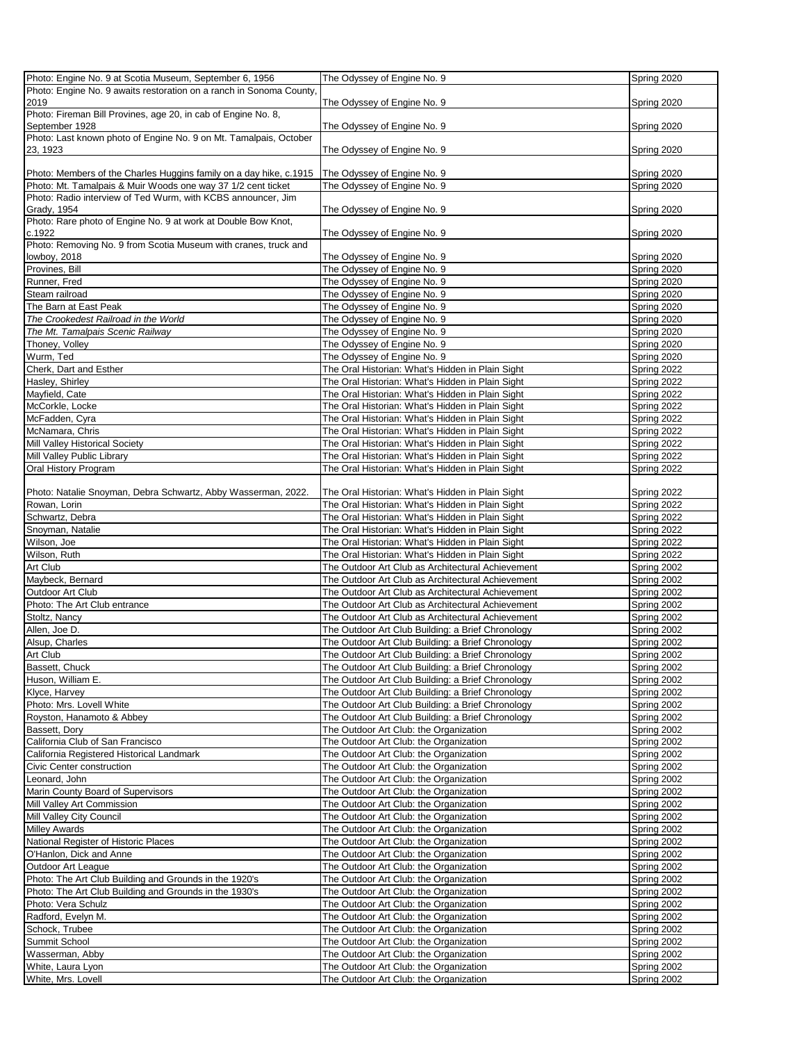| Photo: Engine No. 9 at Scotia Museum, September 6, 1956                       | The Odyssey of Engine No. 9                                                                            | Spring 2020                |
|-------------------------------------------------------------------------------|--------------------------------------------------------------------------------------------------------|----------------------------|
| Photo: Engine No. 9 awaits restoration on a ranch in Sonoma County,           |                                                                                                        |                            |
| 2019                                                                          | The Odyssey of Engine No. 9                                                                            | Spring 2020                |
| Photo: Fireman Bill Provines, age 20, in cab of Engine No. 8,                 |                                                                                                        |                            |
| September 1928                                                                | The Odyssey of Engine No. 9                                                                            | Spring 2020                |
| Photo: Last known photo of Engine No. 9 on Mt. Tamalpais, October<br>23, 1923 | The Odyssey of Engine No. 9                                                                            | Spring 2020                |
|                                                                               |                                                                                                        |                            |
| Photo: Members of the Charles Huggins family on a day hike, c.1915            | The Odyssey of Engine No. 9                                                                            | Spring 2020                |
| Photo: Mt. Tamalpais & Muir Woods one way 37 1/2 cent ticket                  | The Odyssey of Engine No. 9                                                                            | Spring 2020                |
| Photo: Radio interview of Ted Wurm, with KCBS announcer, Jim                  |                                                                                                        |                            |
| Grady, 1954                                                                   | The Odyssey of Engine No. 9                                                                            | Spring 2020                |
| Photo: Rare photo of Engine No. 9 at work at Double Bow Knot,                 |                                                                                                        |                            |
| c.1922                                                                        | The Odyssey of Engine No. 9                                                                            | Spring 2020                |
| Photo: Removing No. 9 from Scotia Museum with cranes, truck and               |                                                                                                        |                            |
| lowboy, 2018<br>Provines, Bill                                                | The Odyssey of Engine No. 9<br>The Odyssey of Engine No. 9                                             | Spring 2020<br>Spring 2020 |
| Runner, Fred                                                                  | The Odyssey of Engine No. 9                                                                            | Spring 2020                |
| Steam railroad                                                                | The Odyssey of Engine No. 9                                                                            | Spring 2020                |
| The Barn at East Peak                                                         | The Odyssey of Engine No. 9                                                                            | Spring 2020                |
| The Crookedest Railroad in the World                                          | The Odyssey of Engine No. 9                                                                            | Spring 2020                |
| The Mt. Tamalpais Scenic Railway                                              | The Odyssey of Engine No. 9                                                                            | Spring 2020                |
| Thoney, Volley                                                                | The Odyssey of Engine No. 9                                                                            | Spring 2020                |
| Wurm, Ted                                                                     | The Odyssey of Engine No. 9                                                                            | Spring 2020                |
| Cherk, Dart and Esther                                                        | The Oral Historian: What's Hidden in Plain Sight                                                       | Spring 2022                |
| Hasley, Shirley                                                               | The Oral Historian: What's Hidden in Plain Sight                                                       | Spring 2022                |
| Mayfield, Cate                                                                | The Oral Historian: What's Hidden in Plain Sight                                                       | Spring 2022                |
| McCorkle, Locke                                                               | The Oral Historian: What's Hidden in Plain Sight                                                       | Spring 2022                |
| McFadden, Cyra                                                                | The Oral Historian: What's Hidden in Plain Sight                                                       | Spring 2022                |
| McNamara, Chris                                                               | The Oral Historian: What's Hidden in Plain Sight                                                       | Spring 2022                |
| Mill Valley Historical Society<br>Mill Valley Public Library                  | The Oral Historian: What's Hidden in Plain Sight<br>The Oral Historian: What's Hidden in Plain Sight   | Spring 2022<br>Spring 2022 |
| Oral History Program                                                          | The Oral Historian: What's Hidden in Plain Sight                                                       | Spring 2022                |
|                                                                               |                                                                                                        |                            |
| Photo: Natalie Snoyman, Debra Schwartz, Abby Wasserman, 2022.                 | The Oral Historian: What's Hidden in Plain Sight                                                       | Spring 2022                |
| Rowan, Lorin                                                                  | The Oral Historian: What's Hidden in Plain Sight                                                       | Spring 2022                |
| Schwartz, Debra                                                               | The Oral Historian: What's Hidden in Plain Sight                                                       | Spring 2022                |
| Snoyman, Natalie                                                              | The Oral Historian: What's Hidden in Plain Sight<br>The Oral Historian: What's Hidden in Plain Sight   | Spring 2022                |
| Wilson, Joe<br>Wilson, Ruth                                                   | The Oral Historian: What's Hidden in Plain Sight                                                       | Spring 2022<br>Spring 2022 |
| Art Club                                                                      | The Outdoor Art Club as Architectural Achievement                                                      | Spring 2002                |
| Maybeck, Bernard                                                              | The Outdoor Art Club as Architectural Achievement                                                      | Spring 2002                |
| Outdoor Art Club                                                              | The Outdoor Art Club as Architectural Achievement                                                      | Spring 2002                |
| Photo: The Art Club entrance                                                  | The Outdoor Art Club as Architectural Achievement                                                      | Spring 2002                |
| Stoltz, Nancy                                                                 | The Outdoor Art Club as Architectural Achievement                                                      | Spring 2002                |
| Allen, Joe D.                                                                 | The Outdoor Art Club Building: a Brief Chronology                                                      | Spring 2002                |
| Alsup, Charles                                                                | The Outdoor Art Club Building: a Brief Chronology                                                      | Spring 2002                |
| Art Club                                                                      | The Outdoor Art Club Building: a Brief Chronology                                                      | Spring 2002                |
| Bassett, Chuck<br>Huson, William E.                                           | The Outdoor Art Club Building: a Brief Chronology<br>The Outdoor Art Club Building: a Brief Chronology | Spring 2002<br>Spring 2002 |
| Klyce, Harvey                                                                 | The Outdoor Art Club Building: a Brief Chronology                                                      | Spring 2002                |
| Photo: Mrs. Lovell White                                                      | The Outdoor Art Club Building: a Brief Chronology                                                      | Spring 2002                |
| Royston, Hanamoto & Abbey                                                     | The Outdoor Art Club Building: a Brief Chronology                                                      | Spring 2002                |
| Bassett, Dory                                                                 | The Outdoor Art Club: the Organization                                                                 | Spring 2002                |
| California Club of San Francisco                                              | The Outdoor Art Club: the Organization                                                                 | Spring 2002                |
| California Registered Historical Landmark                                     | The Outdoor Art Club: the Organization                                                                 | Spring 2002                |
| Civic Center construction                                                     | The Outdoor Art Club: the Organization                                                                 | Spring 2002                |
| Leonard, John                                                                 | The Outdoor Art Club: the Organization                                                                 | Spring 2002                |
| Marin County Board of Supervisors                                             | The Outdoor Art Club: the Organization                                                                 | Spring 2002                |
| Mill Valley Art Commission                                                    | The Outdoor Art Club: the Organization                                                                 | Spring 2002                |
| Mill Valley City Council                                                      | The Outdoor Art Club: the Organization                                                                 | Spring 2002                |
| <b>Milley Awards</b>                                                          | The Outdoor Art Club: the Organization                                                                 | Spring 2002                |
| National Register of Historic Places<br>O'Hanlon, Dick and Anne               | The Outdoor Art Club: the Organization<br>The Outdoor Art Club: the Organization                       | Spring 2002<br>Spring 2002 |
| Outdoor Art League                                                            | The Outdoor Art Club: the Organization                                                                 | Spring 2002                |
| Photo: The Art Club Building and Grounds in the 1920's                        | The Outdoor Art Club: the Organization                                                                 | Spring 2002                |
| Photo: The Art Club Building and Grounds in the 1930's                        | The Outdoor Art Club: the Organization                                                                 | Spring 2002                |
| Photo: Vera Schulz                                                            | The Outdoor Art Club: the Organization                                                                 | Spring 2002                |
| Radford, Evelyn M.                                                            | The Outdoor Art Club: the Organization                                                                 | Spring 2002                |
| Schock, Trubee                                                                | The Outdoor Art Club: the Organization                                                                 | Spring 2002                |
| Summit School                                                                 | The Outdoor Art Club: the Organization                                                                 | Spring 2002                |
| Wasserman, Abby<br>White, Laura Lyon                                          | The Outdoor Art Club: the Organization<br>The Outdoor Art Club: the Organization                       | Spring 2002<br>Spring 2002 |
| White, Mrs. Lovell                                                            | The Outdoor Art Club: the Organization                                                                 | Spring 2002                |
|                                                                               |                                                                                                        |                            |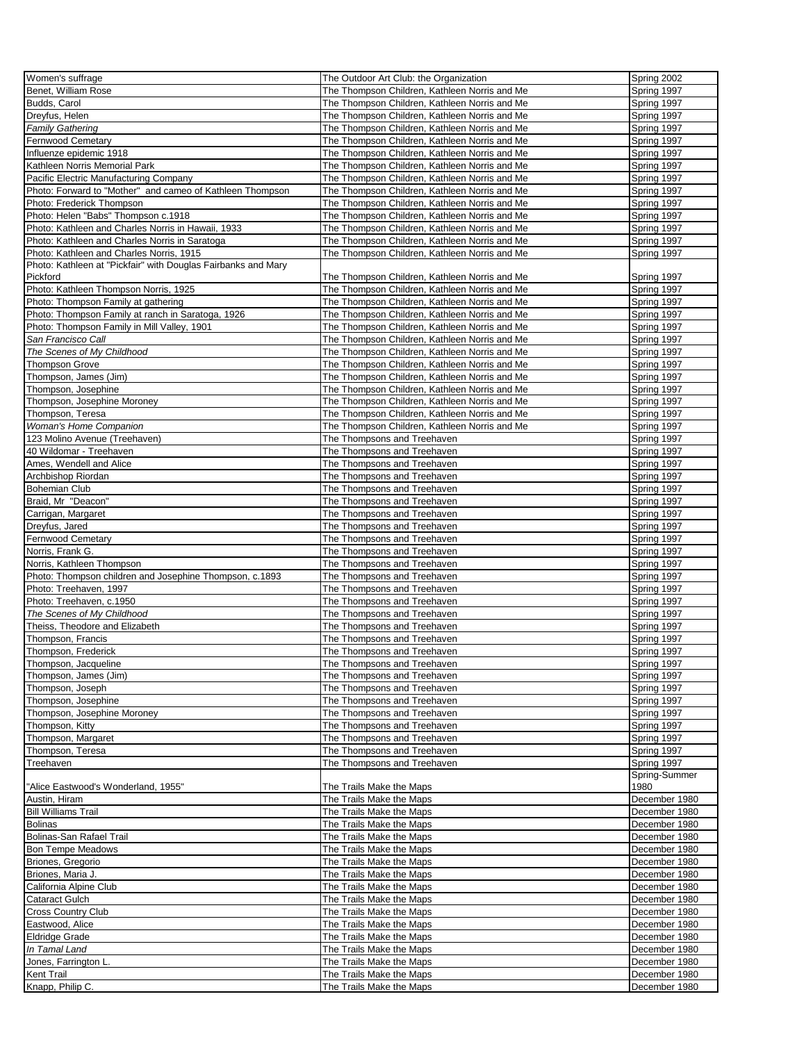| Women's suffrage                                              | The Outdoor Art Club: the Organization               | Spring 2002                    |
|---------------------------------------------------------------|------------------------------------------------------|--------------------------------|
|                                                               |                                                      |                                |
| Benet, William Rose                                           | The Thompson Children, Kathleen Norris and Me        | Spring 1997                    |
| Budds, Carol                                                  | The Thompson Children, Kathleen Norris and Me        | Spring 1997                    |
| Dreyfus, Helen                                                | The Thompson Children, Kathleen Norris and Me        | Spring 1997                    |
| Family Gathering                                              | The Thompson Children, Kathleen Norris and Me        | Spring 1997                    |
| Fernwood Cemetary                                             | The Thompson Children, Kathleen Norris and Me        | Spring 1997                    |
| Influenze epidemic 1918                                       | The Thompson Children, Kathleen Norris and Me        | Spring 1997                    |
|                                                               |                                                      |                                |
| Kathleen Norris Memorial Park                                 | The Thompson Children, Kathleen Norris and Me        | Spring 1997                    |
| Pacific Electric Manufacturing Company                        | The Thompson Children, Kathleen Norris and Me        | Spring 1997                    |
| Photo: Forward to "Mother" and cameo of Kathleen Thompson     | The Thompson Children, Kathleen Norris and Me        | Spring 1997                    |
| Photo: Frederick Thompson                                     | The Thompson Children, Kathleen Norris and Me        | Spring 1997                    |
| Photo: Helen "Babs" Thompson c.1918                           | The Thompson Children, Kathleen Norris and Me        | Spring 1997                    |
| Photo: Kathleen and Charles Norris in Hawaii, 1933            | The Thompson Children, Kathleen Norris and Me        | Spring 1997                    |
| Photo: Kathleen and Charles Norris in Saratoga                | The Thompson Children, Kathleen Norris and Me        | Spring 1997                    |
|                                                               |                                                      |                                |
| Photo: Kathleen and Charles Norris, 1915                      | The Thompson Children, Kathleen Norris and Me        | Spring 1997                    |
| Photo: Kathleen at "Pickfair" with Douglas Fairbanks and Mary |                                                      |                                |
| Pickford                                                      | The Thompson Children, Kathleen Norris and Me        | Spring 1997                    |
| Photo: Kathleen Thompson Norris, 1925                         | The Thompson Children, Kathleen Norris and Me        | Spring 1997                    |
| Photo: Thompson Family at gathering                           | The Thompson Children, Kathleen Norris and Me        | Spring 1997                    |
| Photo: Thompson Family at ranch in Saratoga, 1926             | The Thompson Children, Kathleen Norris and Me        | Spring 1997                    |
| Photo: Thompson Family in Mill Valley, 1901                   | The Thompson Children, Kathleen Norris and Me        | Spring 1997                    |
|                                                               |                                                      |                                |
| San Francisco Call                                            | The Thompson Children, Kathleen Norris and Me        | Spring 1997                    |
| The Scenes of My Childhood                                    | The Thompson Children. Kathleen Norris and Me        | Spring 1997                    |
| <b>Thompson Grove</b>                                         | The Thompson Children, Kathleen Norris and Me        | Spring 1997                    |
| Thompson, James (Jim)                                         | The Thompson Children, Kathleen Norris and Me        | Spring 1997                    |
| Thompson, Josephine                                           | The Thompson Children, Kathleen Norris and Me        | Spring 1997                    |
| Thompson, Josephine Moroney                                   | The Thompson Children, Kathleen Norris and Me        | Spring 1997                    |
| Thompson, Teresa                                              | The Thompson Children, Kathleen Norris and Me        | Spring 1997                    |
|                                                               |                                                      |                                |
| <b>Woman's Home Companion</b>                                 | The Thompson Children, Kathleen Norris and Me        | Spring 1997                    |
| 123 Molino Avenue (Treehaven)                                 | The Thompsons and Treehaven                          | Spring 1997                    |
| 40 Wildomar - Treehaven                                       | The Thompsons and Treehaven                          | Spring 1997                    |
| Ames, Wendell and Alice                                       | The Thompsons and Treehaven                          | Spring 1997                    |
| Archbishop Riordan                                            | The Thompsons and Treehaven                          | Spring 1997                    |
| <b>Bohemian Club</b>                                          | The Thompsons and Treehaven                          | Spring 1997                    |
| Braid, Mr "Deacon"                                            |                                                      | Spring 1997                    |
|                                                               | The Thompsons and Treehaven                          |                                |
| Carrigan, Margaret                                            | The Thompsons and Treehaven                          | Spring 1997                    |
| Dreyfus, Jared                                                | The Thompsons and Treehaven                          | Spring 1997                    |
| Fernwood Cemetary                                             | The Thompsons and Treehaven                          | Spring 1997                    |
| Norris, Frank G.                                              | The Thompsons and Treehaven                          | Spring 1997                    |
| Norris, Kathleen Thompson                                     | The Thompsons and Treehaven                          | Spring 1997                    |
| Photo: Thompson children and Josephine Thompson, c.1893       | The Thompsons and Treehaven                          | Spring 1997                    |
| Photo: Treehaven, 1997                                        |                                                      | Spring 1997                    |
|                                                               | The Thompsons and Treehaven                          |                                |
| Photo: Treehaven, c.1950                                      | The Thompsons and Treehaven                          | Spring 1997                    |
| The Scenes of My Childhood                                    | The Thompsons and Treehaven                          | Spring 1997                    |
| Theiss, Theodore and Elizabeth                                | The Thompsons and Treehaven                          | Spring 1997                    |
| Thompson, Francis                                             | The Thompsons and Treehaven                          | Spring 1997                    |
| Thompson, Frederick                                           | The Thompsons and Treehaven                          | Spring 1997                    |
| Thompson, Jacqueline                                          | The Thompsons and Treehaven                          | Spring 1997                    |
| Thompson, James (Jim)                                         | The Thompsons and Treehaven                          | Spring 1997                    |
|                                                               |                                                      |                                |
| Thompson, Joseph                                              | The Thompsons and Treehaven                          | Spring 1997                    |
| Thompson, Josephine                                           | The Thompsons and Treehaven                          | Spring 1997                    |
| Thompson, Josephine Moroney                                   | The Thompsons and Treehaven                          | Spring 1997                    |
| Thompson, Kitty                                               | The Thompsons and Treehaven                          | Spring 1997                    |
| Thompson, Margaret                                            |                                                      |                                |
| Thompson, Teresa                                              |                                                      | Spring 1997                    |
| Treehaven                                                     | The Thompsons and Treehaven                          |                                |
|                                                               | The Thompsons and Treehaven                          | Spring 1997                    |
|                                                               | The Thompsons and Treehaven                          | Spring 1997                    |
|                                                               |                                                      | Spring-Summer                  |
| 'Alice Eastwood's Wonderland, 1955"                           | The Trails Make the Maps                             | 1980                           |
| Austin, Hiram                                                 | The Trails Make the Maps                             | December 1980                  |
| <b>Bill Williams Trail</b>                                    | The Trails Make the Maps                             | December 1980                  |
| <b>Bolinas</b>                                                | The Trails Make the Maps                             | December 1980                  |
| Bolinas-San Rafael Trail                                      | The Trails Make the Maps                             | December 1980                  |
|                                                               |                                                      | December 1980                  |
| <b>Bon Tempe Meadows</b>                                      | The Trails Make the Maps                             |                                |
| Briones, Gregorio                                             | The Trails Make the Maps                             | December 1980                  |
| Briones, Maria J.                                             | The Trails Make the Maps                             | December 1980                  |
| California Alpine Club                                        | The Trails Make the Maps                             | December 1980                  |
| Cataract Gulch                                                | The Trails Make the Maps                             | December 1980                  |
| <b>Cross Country Club</b>                                     | The Trails Make the Maps                             | December 1980                  |
| Eastwood, Alice                                               | The Trails Make the Maps                             | December 1980                  |
| <b>Eldridge Grade</b>                                         | The Trails Make the Maps                             | December 1980                  |
|                                                               |                                                      |                                |
| In Tamal Land                                                 | The Trails Make the Maps                             | December 1980                  |
| Jones, Farrington L.                                          | The Trails Make the Maps                             | December 1980                  |
| Kent Trail<br>Knapp, Philip C.                                | The Trails Make the Maps<br>The Trails Make the Maps | December 1980<br>December 1980 |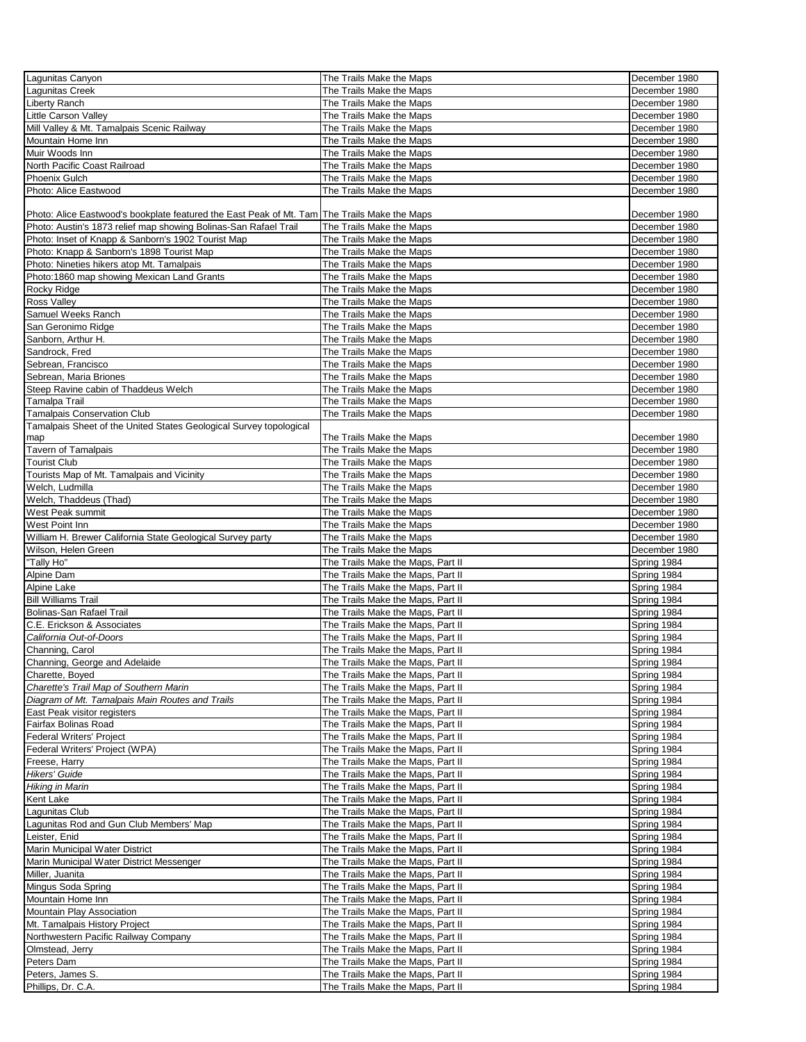| Lagunitas Canyon                                                                             | The Trails Make the Maps          | December 1980 |
|----------------------------------------------------------------------------------------------|-----------------------------------|---------------|
| Lagunitas Creek                                                                              | The Trails Make the Maps          | December 1980 |
|                                                                                              |                                   |               |
| Liberty Ranch                                                                                | The Trails Make the Maps          | December 1980 |
| Little Carson Valley                                                                         | The Trails Make the Maps          | December 1980 |
| Mill Valley & Mt. Tamalpais Scenic Railway                                                   | The Trails Make the Maps          | December 1980 |
| Mountain Home Inn                                                                            | The Trails Make the Maps          | December 1980 |
| Muir Woods Inn                                                                               | The Trails Make the Maps          | December 1980 |
| North Pacific Coast Railroad                                                                 | The Trails Make the Maps          | December 1980 |
|                                                                                              |                                   |               |
| Phoenix Gulch                                                                                | The Trails Make the Maps          | December 1980 |
| Photo: Alice Eastwood                                                                        | The Trails Make the Maps          | December 1980 |
|                                                                                              |                                   |               |
| Photo: Alice Eastwood's bookplate featured the East Peak of Mt. Tam The Trails Make the Maps |                                   | December 1980 |
| Photo: Austin's 1873 relief map showing Bolinas-San Rafael Trail                             | The Trails Make the Maps          | December 1980 |
| Photo: Inset of Knapp & Sanborn's 1902 Tourist Map                                           | The Trails Make the Maps          | December 1980 |
| Photo: Knapp & Sanborn's 1898 Tourist Map                                                    | The Trails Make the Maps          | December 1980 |
|                                                                                              |                                   |               |
| Photo: Nineties hikers atop Mt. Tamalpais                                                    | The Trails Make the Maps          | December 1980 |
| Photo:1860 map showing Mexican Land Grants                                                   | The Trails Make the Maps          | December 1980 |
| Rocky Ridge                                                                                  | The Trails Make the Maps          | December 1980 |
| Ross Valley                                                                                  | The Trails Make the Maps          | December 1980 |
| Samuel Weeks Ranch                                                                           | The Trails Make the Maps          | December 1980 |
| San Geronimo Ridge                                                                           |                                   |               |
|                                                                                              | The Trails Make the Maps          | December 1980 |
| Sanborn, Arthur H.                                                                           | The Trails Make the Maps          | December 1980 |
| Sandrock, Fred                                                                               | The Trails Make the Maps          | December 1980 |
| Sebrean, Francisco                                                                           | The Trails Make the Maps          | December 1980 |
| Sebrean, Maria Briones                                                                       | The Trails Make the Maps          | December 1980 |
| Steep Ravine cabin of Thaddeus Welch                                                         | The Trails Make the Maps          | December 1980 |
|                                                                                              |                                   | December 1980 |
| Tamalpa Trail                                                                                | The Trails Make the Maps          |               |
| Tamalpais Conservation Club                                                                  | The Trails Make the Maps          | December 1980 |
| Tamalpais Sheet of the United States Geological Survey topological                           |                                   |               |
| map                                                                                          | The Trails Make the Maps          | December 1980 |
| <b>Tavern of Tamalpais</b>                                                                   | The Trails Make the Maps          | December 1980 |
| <b>Tourist Club</b>                                                                          | The Trails Make the Maps          | December 1980 |
|                                                                                              |                                   | December 1980 |
| Tourists Map of Mt. Tamalpais and Vicinity                                                   | The Trails Make the Maps          |               |
| Welch, Ludmilla                                                                              | The Trails Make the Maps          | December 1980 |
| Welch, Thaddeus (Thad)                                                                       | The Trails Make the Maps          | December 1980 |
| West Peak summit                                                                             | The Trails Make the Maps          | December 1980 |
| West Point Inn                                                                               | The Trails Make the Maps          | December 1980 |
| William H. Brewer California State Geological Survey party                                   | The Trails Make the Maps          | December 1980 |
|                                                                                              |                                   |               |
| Wilson, Helen Green                                                                          | The Trails Make the Maps          | December 1980 |
| "Tally Ho"                                                                                   | The Trails Make the Maps, Part II | Spring 1984   |
| Alpine Dam                                                                                   | The Trails Make the Maps, Part II | Spring 1984   |
| Alpine Lake                                                                                  | The Trails Make the Maps, Part II | Spring 1984   |
| <b>Bill Williams Trail</b>                                                                   | The Trails Make the Maps, Part II | Spring 1984   |
| Bolinas-San Rafael Trail                                                                     | The Trails Make the Maps, Part II | Spring 1984   |
|                                                                                              |                                   |               |
| C.E. Erickson & Associates                                                                   | The Trails Make the Maps, Part II | Spring 1984   |
| California Out-of-Doors                                                                      | The Trails Make the Maps, Part II | Spring 1984   |
| Channing, Carol                                                                              | The Trails Make the Maps, Part II | Spring 1984   |
| Channing, George and Adelaide                                                                | The Trails Make the Maps, Part II | Spring 1984   |
| Charette, Boyed                                                                              | The Trails Make the Maps, Part II | Spring 1984   |
| Charette's Trail Map of Southern Marin                                                       | The Trails Make the Maps, Part II | Spring 1984   |
|                                                                                              |                                   |               |
| Diagram of Mt. Tamalpais Main Routes and Trails                                              | The Trails Make the Maps, Part II | Spring 1984   |
| East Peak visitor registers                                                                  | The Trails Make the Maps, Part II | Spring 1984   |
| Fairfax Bolinas Road                                                                         | The Trails Make the Maps, Part II | Spring 1984   |
| Federal Writers' Project                                                                     | The Trails Make the Maps, Part II | Spring 1984   |
| Federal Writers' Project (WPA)                                                               | The Trails Make the Maps, Part II | Spring 1984   |
| Freese, Harry                                                                                | The Trails Make the Maps, Part II | Spring 1984   |
| Hikers' Guide                                                                                | The Trails Make the Maps, Part II | Spring 1984   |
|                                                                                              |                                   |               |
| Hiking in Marin                                                                              | The Trails Make the Maps, Part II | Spring 1984   |
| Kent Lake                                                                                    | The Trails Make the Maps, Part II | Spring 1984   |
| Lagunitas Club                                                                               | The Trails Make the Maps, Part II | Spring 1984   |
| Lagunitas Rod and Gun Club Members' Map                                                      | The Trails Make the Maps, Part II | Spring 1984   |
| Leister, Enid                                                                                | The Trails Make the Maps, Part II | Spring 1984   |
| Marin Municipal Water District                                                               | The Trails Make the Maps, Part II | Spring 1984   |
|                                                                                              |                                   |               |
| Marin Municipal Water District Messenger                                                     | The Trails Make the Maps, Part II | Spring 1984   |
| Miller, Juanita                                                                              | The Trails Make the Maps, Part II | Spring 1984   |
| Mingus Soda Spring                                                                           | The Trails Make the Maps, Part II | Spring 1984   |
| Mountain Home Inn                                                                            | The Trails Make the Maps, Part II | Spring 1984   |
| Mountain Play Association                                                                    | The Trails Make the Maps, Part II | Spring 1984   |
| Mt. Tamalpais History Project                                                                | The Trails Make the Maps, Part II | Spring 1984   |
|                                                                                              |                                   |               |
| Northwestern Pacific Railway Company                                                         | The Trails Make the Maps, Part II | Spring 1984   |
| Olmstead, Jerry                                                                              | The Trails Make the Maps, Part II | Spring 1984   |
| Peters Dam                                                                                   | The Trails Make the Maps, Part II | Spring 1984   |
| Peters, James S.                                                                             | The Trails Make the Maps, Part II | Spring 1984   |
| Phillips, Dr. C.A.                                                                           | The Trails Make the Maps, Part II | Spring 1984   |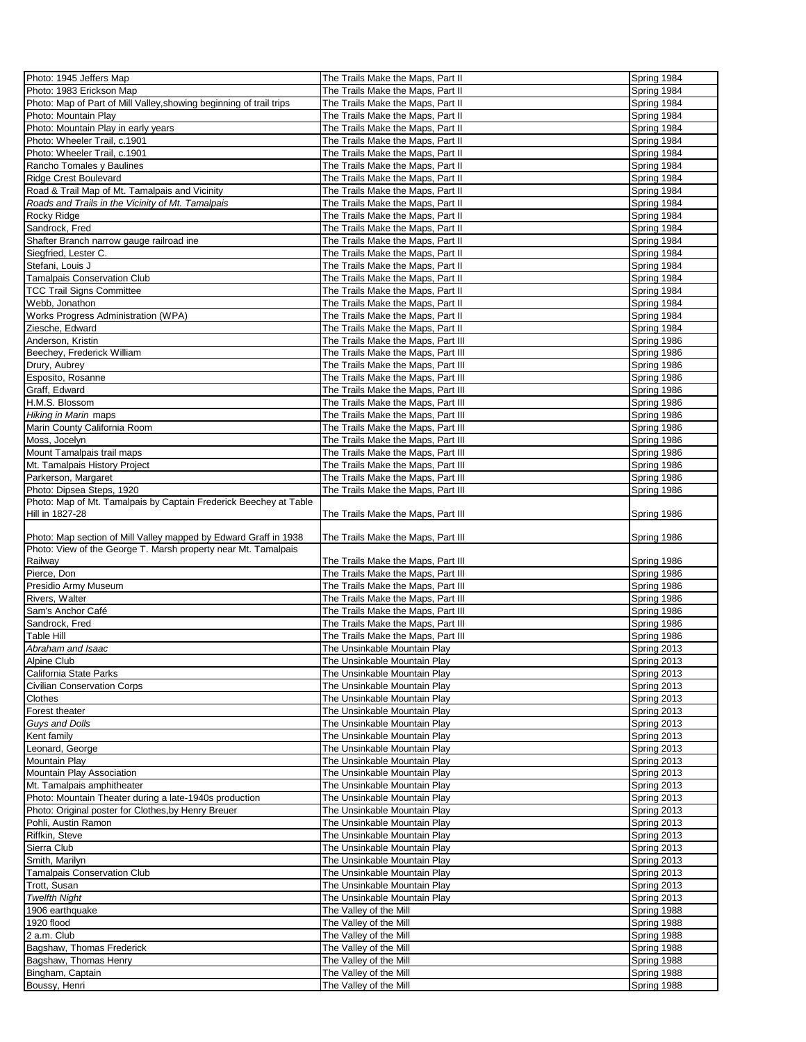| Photo: 1945 Jeffers Map                                             | The Trails Make the Maps, Part II                | Spring 1984                |
|---------------------------------------------------------------------|--------------------------------------------------|----------------------------|
| Photo: 1983 Erickson Map                                            | The Trails Make the Maps, Part II                | Spring 1984                |
|                                                                     |                                                  |                            |
| Photo: Map of Part of Mill Valley, showing beginning of trail trips | The Trails Make the Maps, Part II                | Spring 1984                |
| Photo: Mountain Play                                                | The Trails Make the Maps, Part II                | Spring 1984                |
| Photo: Mountain Play in early years                                 | The Trails Make the Maps, Part II                | Spring 1984                |
| Photo: Wheeler Trail, c.1901                                        | The Trails Make the Maps, Part II                | Spring 1984                |
| Photo: Wheeler Trail. c.1901                                        | The Trails Make the Maps, Part II                | Spring 1984                |
| Rancho Tomales y Baulines                                           | The Trails Make the Maps, Part II                | Spring 1984                |
|                                                                     |                                                  |                            |
| <b>Ridge Crest Boulevard</b>                                        | The Trails Make the Maps, Part II                | Spring 1984                |
| Road & Trail Map of Mt. Tamalpais and Vicinity                      | The Trails Make the Maps, Part II                | Spring 1984                |
| Roads and Trails in the Vicinity of Mt. Tamalpais                   | The Trails Make the Maps, Part II                | Spring 1984                |
| Rocky Ridge                                                         | The Trails Make the Maps, Part II                | Spring 1984                |
| Sandrock, Fred                                                      | The Trails Make the Maps, Part II                | Spring 1984                |
| Shafter Branch narrow gauge railroad ine                            | The Trails Make the Maps, Part II                | Spring 1984                |
|                                                                     |                                                  |                            |
| Siegfried, Lester C.                                                | The Trails Make the Maps, Part II                | Spring 1984                |
| Stefani, Louis J                                                    | The Trails Make the Maps, Part II                | Spring 1984                |
| <b>Tamalpais Conservation Club</b>                                  | The Trails Make the Maps, Part II                | Spring 1984                |
| <b>TCC Trail Signs Committee</b>                                    | The Trails Make the Maps, Part II                | Spring 1984                |
| Webb, Jonathon                                                      | The Trails Make the Maps, Part II                | Spring 1984                |
| Works Progress Administration (WPA)                                 | The Trails Make the Maps, Part II                | Spring 1984                |
|                                                                     |                                                  |                            |
| Ziesche, Edward                                                     | The Trails Make the Maps, Part II                | Spring 1984                |
| Anderson, Kristin                                                   | The Trails Make the Maps, Part III               | Spring 1986                |
| Beechey, Frederick William                                          | The Trails Make the Maps, Part III               | Spring 1986                |
| Drury, Aubrey                                                       | The Trails Make the Maps, Part III               | Spring 1986                |
| Esposito, Rosanne                                                   | The Trails Make the Maps, Part III               | Spring 1986                |
| Graff, Edward                                                       | The Trails Make the Maps, Part III               | Spring 1986                |
|                                                                     |                                                  |                            |
| H.M.S. Blossom                                                      | The Trails Make the Maps, Part III               | Spring 1986                |
| Hiking in Marin maps                                                | The Trails Make the Maps, Part III               | Spring 1986                |
| Marin County California Room                                        | The Trails Make the Maps, Part III               | Spring 1986                |
| Moss, Jocelyn                                                       | The Trails Make the Maps, Part III               | Spring 1986                |
| Mount Tamalpais trail maps                                          | The Trails Make the Maps, Part III               | Spring 1986                |
|                                                                     |                                                  |                            |
| Mt. Tamalpais History Project                                       | The Trails Make the Maps, Part III               | Spring 1986                |
| Parkerson, Margaret                                                 | The Trails Make the Maps, Part III               | Spring 1986                |
| Photo: Dipsea Steps, 1920                                           | The Trails Make the Maps, Part III               | Spring 1986                |
| Photo: Map of Mt. Tamalpais by Captain Frederick Beechey at Table   |                                                  |                            |
| Hill in 1827-28                                                     | The Trails Make the Maps, Part III               | Spring 1986                |
|                                                                     |                                                  |                            |
| Photo: Map section of Mill Valley mapped by Edward Graff in 1938    | The Trails Make the Maps, Part III               | Spring 1986                |
| Photo: View of the George T. Marsh property near Mt. Tamalpais      |                                                  |                            |
| Railway                                                             | The Trails Make the Maps, Part III               | Spring 1986                |
|                                                                     |                                                  |                            |
| Pierce, Don                                                         | The Trails Make the Maps, Part III               | Spring 1986                |
| Presidio Army Museum                                                | The Trails Make the Maps, Part III               | Spring 1986                |
| Rivers, Walter                                                      | The Trails Make the Maps, Part III               | Spring 1986                |
| Sam's Anchor Café                                                   | The Trails Make the Maps, Part III               | Spring 1986                |
| Sandrock, Fred                                                      | The Trails Make the Maps, Part III               | Spring 1986                |
| Table Hill                                                          | The Trails Make the Maps, Part III               | Spring 1986                |
| Abraham and Isaac                                                   |                                                  |                            |
|                                                                     | The Unsinkable Mountain Play                     | Spring 2013                |
| Alpine Club                                                         | The Unsinkable Mountain Play                     | Spring 2013                |
| California State Parks                                              | The Unsinkable Mountain Play                     | Spring 2013                |
| <b>Civilian Conservation Corps</b>                                  | The Unsinkable Mountain Play                     | Spring 2013                |
| Clothes                                                             | The Unsinkable Mountain Play                     | Spring 2013                |
| Forest theater                                                      | The Unsinkable Mountain Play                     | Spring 2013                |
| Guys and Dolls                                                      | The Unsinkable Mountain Play                     | Spring 2013                |
|                                                                     |                                                  |                            |
| Kent family                                                         | The Unsinkable Mountain Play                     | Spring 2013                |
| Leonard, George                                                     |                                                  |                            |
| Mountain Play                                                       | The Unsinkable Mountain Play                     | Spring 2013                |
|                                                                     | The Unsinkable Mountain Play                     | Spring 2013                |
| Mountain Play Association                                           | The Unsinkable Mountain Play                     | Spring 2013                |
|                                                                     |                                                  |                            |
| Mt. Tamalpais amphitheater                                          | The Unsinkable Mountain Play                     | Spring 2013                |
| Photo: Mountain Theater during a late-1940s production              | The Unsinkable Mountain Play                     | Spring 2013                |
| Photo: Original poster for Clothes, by Henry Breuer                 | The Unsinkable Mountain Play                     | Spring 2013                |
| Pohli, Austin Ramon                                                 | The Unsinkable Mountain Play                     | Spring 2013                |
| Riffkin, Steve                                                      | The Unsinkable Mountain Play                     | Spring 2013                |
| Sierra Club                                                         | The Unsinkable Mountain Play                     | Spring 2013                |
|                                                                     |                                                  |                            |
| Smith, Marilyn                                                      | The Unsinkable Mountain Play                     | Spring 2013                |
| <b>Tamalpais Conservation Club</b>                                  | The Unsinkable Mountain Play                     | Spring 2013                |
| Trott, Susan                                                        | The Unsinkable Mountain Play                     | Spring 2013                |
| <b>Twelfth Night</b>                                                | The Unsinkable Mountain Play                     | Spring 2013                |
| 1906 earthquake                                                     | The Valley of the Mill                           | Spring 1988                |
| 1920 flood                                                          | The Valley of the Mill                           | Spring 1988                |
| 2 a.m. Club                                                         | The Valley of the Mill                           | Spring 1988                |
|                                                                     |                                                  |                            |
| Bagshaw, Thomas Frederick                                           | The Valley of the Mill                           | Spring 1988                |
| Bagshaw, Thomas Henry                                               | The Valley of the Mill                           | Spring 1988                |
| Bingham, Captain<br>Boussy, Henri                                   | The Valley of the Mill<br>The Valley of the Mill | Spring 1988<br>Spring 1988 |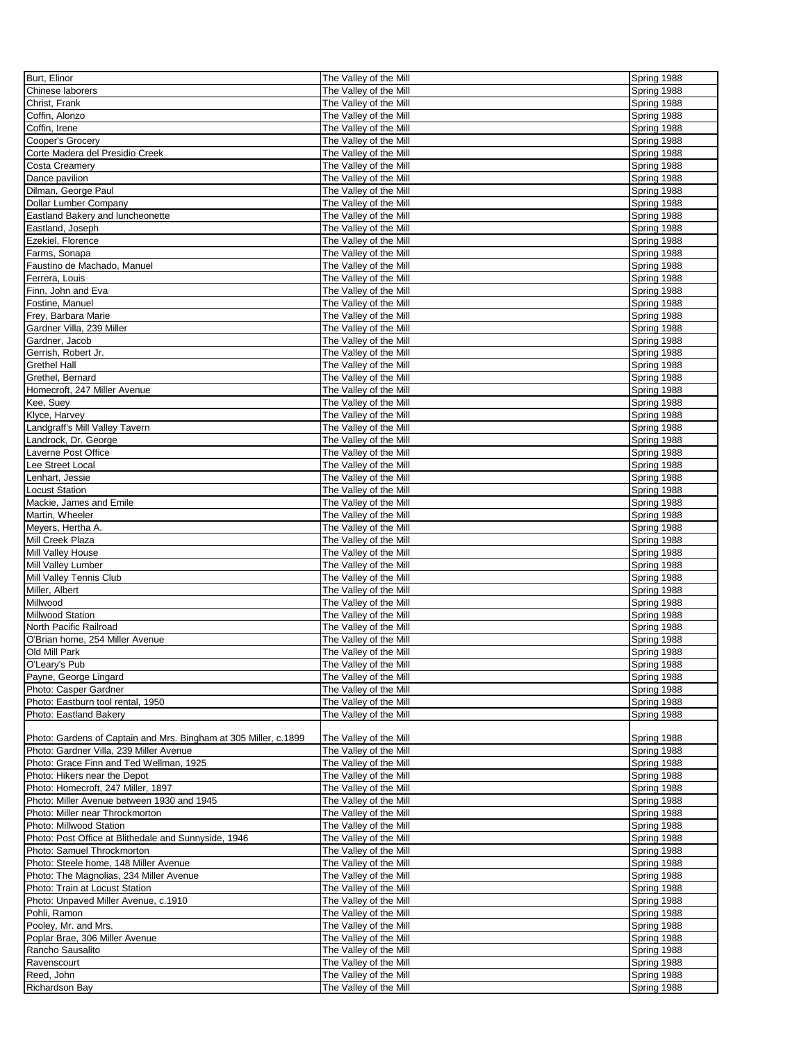| Burt, Elinor                                                     | The Valley of the Mill | Spring 1988 |
|------------------------------------------------------------------|------------------------|-------------|
| Chinese laborers                                                 | The Valley of the Mill | Spring 1988 |
| Christ, Frank                                                    | The Valley of the Mill | Spring 1988 |
|                                                                  |                        |             |
| Coffin, Alonzo                                                   | The Valley of the Mill | Spring 1988 |
| Coffin, Irene                                                    | The Valley of the Mill | Spring 1988 |
| Cooper's Grocery                                                 | The Valley of the Mill | Spring 1988 |
| Corte Madera del Presidio Creek                                  | The Valley of the Mill | Spring 1988 |
| <b>Costa Creamery</b>                                            | The Valley of the Mill | Spring 1988 |
| Dance pavilion                                                   | The Valley of the Mill | Spring 1988 |
| Dilman, George Paul                                              | The Valley of the Mill | Spring 1988 |
|                                                                  |                        |             |
| Dollar Lumber Company                                            | The Valley of the Mill | Spring 1988 |
| Eastland Bakery and luncheonette                                 | The Valley of the Mill | Spring 1988 |
| Eastland, Joseph                                                 | The Valley of the Mill | Spring 1988 |
| Ezekiel, Florence                                                | The Valley of the Mill | Spring 1988 |
| Farms, Sonapa                                                    | The Valley of the Mill | Spring 1988 |
| Faustino de Machado, Manuel                                      | The Valley of the Mill | Spring 1988 |
| Ferrera, Louis                                                   | The Valley of the Mill | Spring 1988 |
| Finn, John and Eva                                               | The Valley of the Mill | Spring 1988 |
| Fostine, Manuel                                                  | The Valley of the Mill | Spring 1988 |
|                                                                  |                        |             |
| Frey, Barbara Marie                                              | The Valley of the Mill | Spring 1988 |
| Gardner Villa, 239 Miller                                        | The Valley of the Mill | Spring 1988 |
| Gardner, Jacob                                                   | The Valley of the Mill | Spring 1988 |
| Gerrish, Robert Jr.                                              | The Valley of the Mill | Spring 1988 |
| <b>Grethel Hall</b>                                              | The Valley of the Mill | Spring 1988 |
| Grethel, Bernard                                                 | The Valley of the Mill | Spring 1988 |
| Homecroft, 247 Miller Avenue                                     | The Valley of the Mill | Spring 1988 |
| Kee, Suey                                                        | The Valley of the Mill |             |
|                                                                  |                        | Spring 1988 |
| Klyce, Harvey                                                    | The Valley of the Mill | Spring 1988 |
| Landgraff's Mill Valley Tavern                                   | The Valley of the Mill | Spring 1988 |
| Landrock, Dr. George                                             | The Valley of the Mill | Spring 1988 |
| Laverne Post Office                                              | The Valley of the Mill | Spring 1988 |
| Lee Street Local                                                 | The Valley of the Mill | Spring 1988 |
| Lenhart, Jessie                                                  | The Valley of the Mill | Spring 1988 |
| <b>Locust Station</b>                                            | The Valley of the Mill | Spring 1988 |
|                                                                  |                        |             |
| Mackie, James and Emile                                          | The Valley of the Mill | Spring 1988 |
| Martin, Wheeler                                                  | The Valley of the Mill | Spring 1988 |
| Meyers, Hertha A.                                                | The Valley of the Mill | Spring 1988 |
| Mill Creek Plaza                                                 | The Valley of the Mill | Spring 1988 |
| Mill Valley House                                                | The Valley of the Mill | Spring 1988 |
| Mill Valley Lumber                                               | The Valley of the Mill | Spring 1988 |
| Mill Valley Tennis Club                                          | The Valley of the Mill | Spring 1988 |
| Miller, Albert                                                   | The Valley of the Mill | Spring 1988 |
| Millwood                                                         |                        |             |
|                                                                  | The Valley of the Mill | Spring 1988 |
| Millwood Station                                                 | The Valley of the Mill | Spring 1988 |
| North Pacific Railroad                                           | The Valley of the Mill | Spring 1988 |
| O'Brian home, 254 Miller Avenue                                  | The Valley of the Mill | Spring 1988 |
| Old Mill Park                                                    | The Valley of the Mill | Spring 1988 |
| O'Leary's Pub                                                    | The Valley of the Mill | Spring 1988 |
| Payne, George Lingard                                            | The Valley of the Mill | Spring 1988 |
| Photo: Casper Gardner                                            | The Valley of the Mill | Spring 1988 |
| Photo: Eastburn tool rental, 1950                                | The Valley of the Mill | Spring 1988 |
|                                                                  |                        |             |
| Photo: Eastland Bakery                                           | The Valley of the Mill | Spring 1988 |
|                                                                  |                        |             |
| Photo: Gardens of Captain and Mrs. Bingham at 305 Miller, c.1899 | The Valley of the Mill | Spring 1988 |
| Photo: Gardner Villa, 239 Miller Avenue                          | The Valley of the Mill | Spring 1988 |
| Photo: Grace Finn and Ted Wellman, 1925                          | The Valley of the Mill | Spring 1988 |
| Photo: Hikers near the Depot                                     | The Valley of the Mill | Spring 1988 |
| Photo: Homecroft, 247 Miller, 1897                               | The Valley of the Mill | Spring 1988 |
| Photo: Miller Avenue between 1930 and 1945                       | The Valley of the Mill | Spring 1988 |
| Photo: Miller near Throckmorton                                  | The Valley of the Mill | Spring 1988 |
| Photo: Millwood Station                                          | The Valley of the Mill | Spring 1988 |
|                                                                  |                        |             |
| Photo: Post Office at Blithedale and Sunnyside, 1946             | The Valley of the Mill | Spring 1988 |
| Photo: Samuel Throckmorton                                       | The Valley of the Mill | Spring 1988 |
| Photo: Steele home, 148 Miller Avenue                            | The Valley of the Mill | Spring 1988 |
| Photo: The Magnolias, 234 Miller Avenue                          | The Valley of the Mill | Spring 1988 |
| Photo: Train at Locust Station                                   | The Valley of the Mill | Spring 1988 |
| Photo: Unpaved Miller Avenue, c.1910                             | The Valley of the Mill | Spring 1988 |
| Pohli, Ramon                                                     | The Valley of the Mill | Spring 1988 |
|                                                                  |                        |             |
| Pooley, Mr. and Mrs.                                             | The Valley of the Mill | Spring 1988 |
| Poplar Brae, 306 Miller Avenue                                   | The Valley of the Mill | Spring 1988 |
| Rancho Sausalito                                                 | The Valley of the Mill | Spring 1988 |
| Ravenscourt                                                      | The Valley of the Mill | Spring 1988 |
| Reed, John                                                       | The Valley of the Mill | Spring 1988 |
| Richardson Bay                                                   | The Valley of the Mill | Spring 1988 |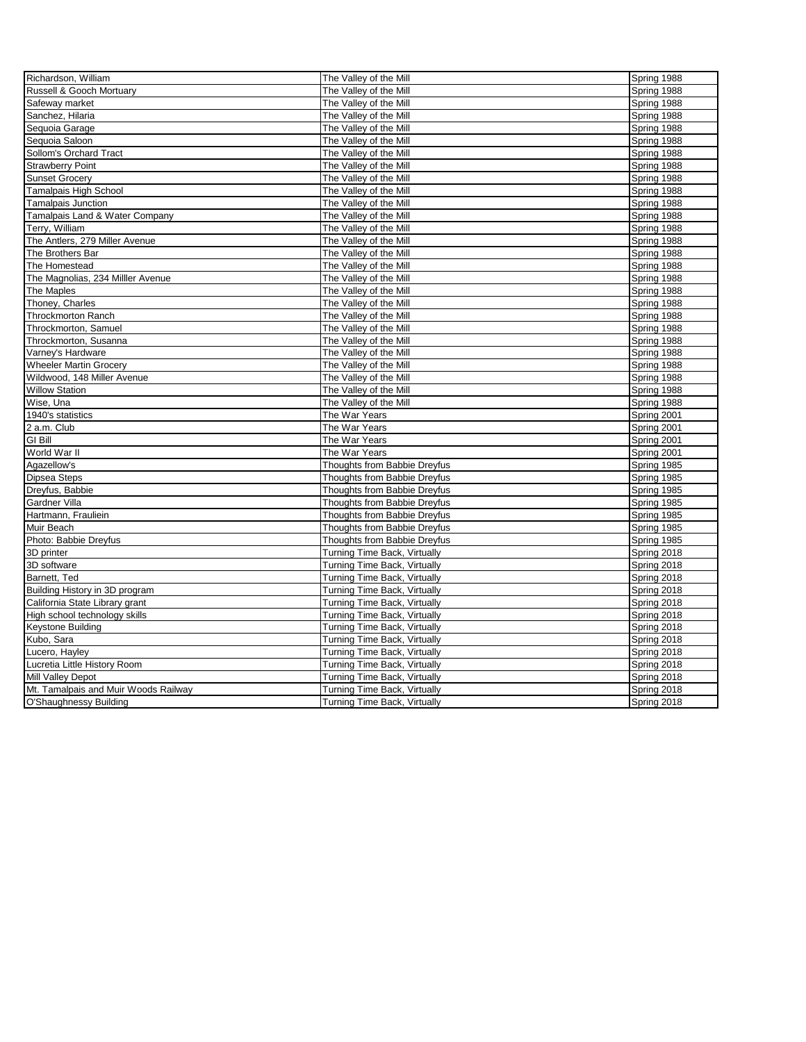| Richardson, William                  | The Valley of the Mill       | Spring 1988 |
|--------------------------------------|------------------------------|-------------|
| Russell & Gooch Mortuary             | The Valley of the Mill       | Spring 1988 |
| Safeway market                       | The Valley of the Mill       | Spring 1988 |
| Sanchez, Hilaria                     | The Valley of the Mill       | Spring 1988 |
| Sequoia Garage                       | The Valley of the Mill       | Spring 1988 |
| Sequoia Saloon                       | The Valley of the Mill       | Spring 1988 |
| Sollom's Orchard Tract               | The Valley of the Mill       | Spring 1988 |
| <b>Strawberry Point</b>              | The Valley of the Mill       | Spring 1988 |
| <b>Sunset Grocery</b>                | The Valley of the Mill       | Spring 1988 |
| Tamalpais High School                | The Valley of the Mill       | Spring 1988 |
| <b>Tamalpais Junction</b>            | The Valley of the Mill       | Spring 1988 |
| Tamalpais Land & Water Company       | The Valley of the Mill       | Spring 1988 |
| Terry, William                       | The Valley of the Mill       | Spring 1988 |
| The Antlers, 279 Miller Avenue       | The Valley of the Mill       | Spring 1988 |
| The Brothers Bar                     | The Valley of the Mill       | Spring 1988 |
| The Homestead                        | The Valley of the Mill       | Spring 1988 |
| The Magnolias, 234 Milller Avenue    | The Valley of the Mill       | Spring 1988 |
| The Maples                           | The Valley of the Mill       | Spring 1988 |
| Thoney, Charles                      | The Valley of the Mill       | Spring 1988 |
| <b>Throckmorton Ranch</b>            | The Valley of the Mill       | Spring 1988 |
| Throckmorton, Samuel                 | The Valley of the Mill       | Spring 1988 |
| Throckmorton, Susanna                | The Valley of the Mill       | Spring 1988 |
| Varney's Hardware                    | The Valley of the Mill       | Spring 1988 |
| <b>Wheeler Martin Grocery</b>        | The Valley of the Mill       | Spring 1988 |
| Wildwood, 148 Miller Avenue          | The Valley of the Mill       | Spring 1988 |
| <b>Willow Station</b>                | The Valley of the Mill       | Spring 1988 |
| Wise, Una                            | The Valley of the Mill       | Spring 1988 |
| 1940's statistics                    | The War Years                | Spring 2001 |
| 2 a.m. Club                          | The War Years                | Spring 2001 |
| <b>GI Bill</b>                       | The War Years                | Spring 2001 |
| World War II                         | The War Years                | Spring 2001 |
| Agazellow's                          | Thoughts from Babbie Dreyfus | Spring 1985 |
| <b>Dipsea Steps</b>                  | Thoughts from Babbie Dreyfus | Spring 1985 |
| Dreyfus, Babbie                      | Thoughts from Babbie Dreyfus | Spring 1985 |
| <b>Gardner Villa</b>                 | Thoughts from Babbie Dreyfus | Spring 1985 |
| Hartmann, Frauliein                  | Thoughts from Babbie Dreyfus | Spring 1985 |
| Muir Beach                           | Thoughts from Babbie Dreyfus | Spring 1985 |
| Photo: Babbie Dreyfus                | Thoughts from Babbie Dreyfus | Spring 1985 |
| 3D printer                           | Turning Time Back, Virtually | Spring 2018 |
| 3D software                          | Turning Time Back, Virtually | Spring 2018 |
| Barnett, Ted                         | Turning Time Back, Virtually | Spring 2018 |
| Building History in 3D program       | Turning Time Back, Virtually | Spring 2018 |
| California State Library grant       | Turning Time Back, Virtually | Spring 2018 |
| High school technology skills        | Turning Time Back, Virtually | Spring 2018 |
| <b>Keystone Building</b>             | Turning Time Back, Virtually | Spring 2018 |
| Kubo, Sara                           | Turning Time Back, Virtually | Spring 2018 |
| Lucero, Hayley                       | Turning Time Back, Virtually | Spring 2018 |
| Lucretia Little History Room         | Turning Time Back, Virtually | Spring 2018 |
| Mill Valley Depot                    | Turning Time Back, Virtually | Spring 2018 |
| Mt. Tamalpais and Muir Woods Railway | Turning Time Back, Virtually | Spring 2018 |
| O'Shaughnessy Building               | Turning Time Back, Virtually | Spring 2018 |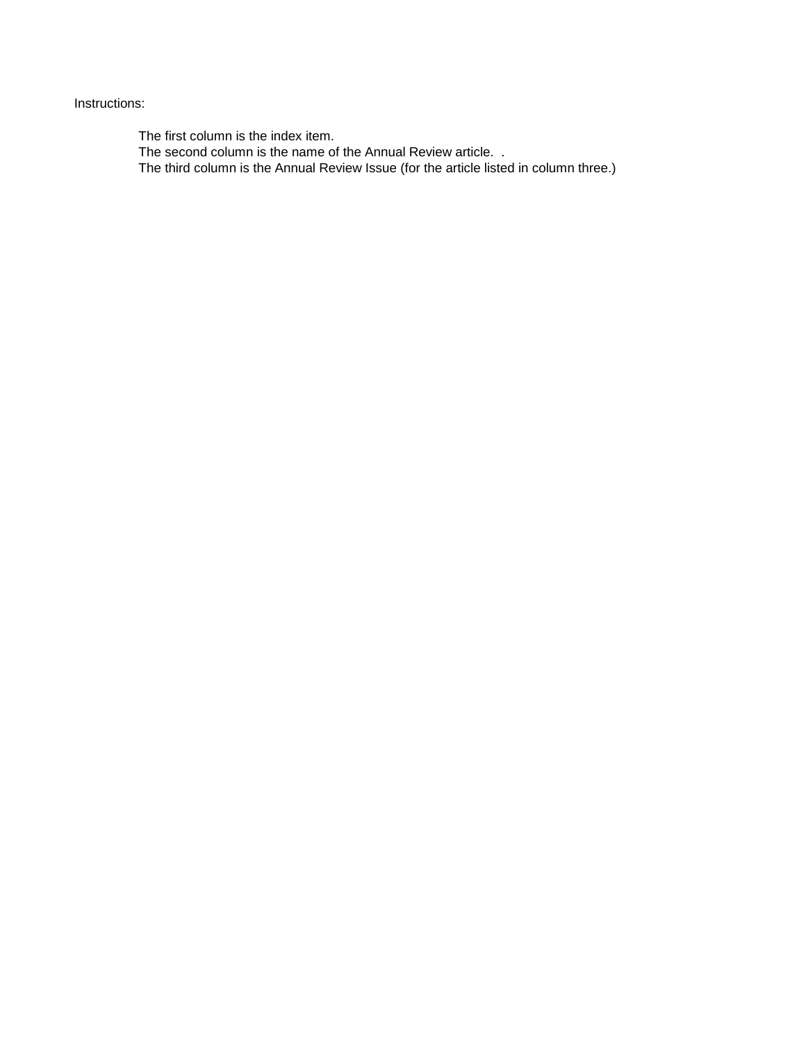## Instructions:

The first column is the index item.

The second column is the name of the Annual Review article. .

The third column is the Annual Review Issue (for the article listed in column three.)